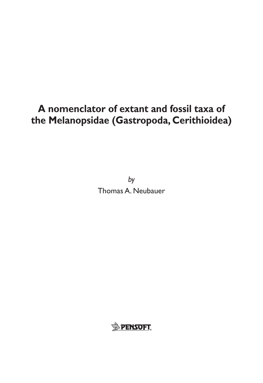# **A nomenclator of extant and fossil taxa of the Melanopsidae (Gastropoda, Cerithioidea)**

*by* Thomas A. Neubauer

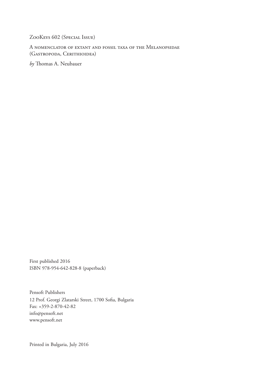ZooKeys 602 (Special Issue)

A nomenclator of extant and fossil taxa of the Melanopsidae (Gastropoda, Cerithioidea)

*by* Thomas A. Neubauer

First published 2016 ISBN 978-954-642-828-8 (paperback)

Pensoft Publishers 12 Prof. Georgi Zlatarski Street, 1700 Sofia, Bulgaria Fax: +359-2-870-42-82 info@pensoft.net www.pensoft.net

Printed in Bulgaria, July 2016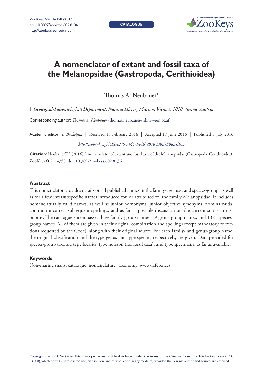**Catalogue**



## **A nomenclator of extant and fossil taxa of the Melanopsidae (Gastropoda, Cerithioidea)**

Thomas A. Neubauer<sup>1</sup>

**1** *Geological-Paleontological Department, Natural History Museum Vienna, 1010 Vienna, Austria*

Corresponding author: *Thomas A. Neubauer* (thomas.neubauer@nhm-wien.ac.at)

| Academic editor: T. Backeljau   Received 15 February 2016   Accepted 17 June 2016   Published 5 July 2016 |  |  |  |  |  |
|-----------------------------------------------------------------------------------------------------------|--|--|--|--|--|
| http://zoobank.org/65EFA276-7345-4AC6-9B78-DBE7E98D6103                                                   |  |  |  |  |  |

**Citation:** Neubauer TA (2016) A nomenclator of extant and fossil taxa of the Melanopsidae (Gastropoda, Cerithioidea). ZooKeys 602: 1–358. doi: 10.3897/zookeys.602.8136

#### **Abstract**

This nomenclator provides details on all published names in the family-, genus-, and species-group, as well as for a few infrasubspecific names introduced for, or attributed to, the family Melanopsidae. It includes nomenclaturally valid names, as well as junior homonyms, junior objective synonyms, nomina nuda, common incorrect subsequent spellings, and as far as possible discussion on the current status in taxonomy. The catalogue encompasses three family-group names, 79 genus-group names, and 1381 speciesgroup names. All of them are given in their original combination and spelling (except mandatory corrections requested by the Code), along with their original source. For each family- and genus-group name, the original classification and the type genus and type species, respectively, are given. Data provided for species-group taxa are type locality, type horizon (for fossil taxa), and type specimens, as far as available.

#### **Keywords**

Non-marine snails, catalogue, nomenclature, taxonomy, www-references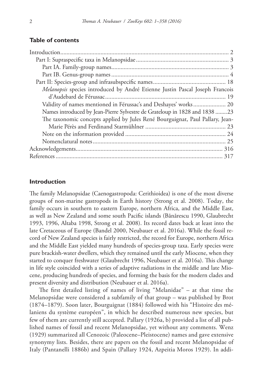## **Table of contents**

## **Introduction**

The family Melanopsidae (Caenogastropoda: Cerithioidea) is one of the most diverse groups of non-marine gastropods in Earth history (Strong et al. 2008). Today, the family occurs in southern to eastern Europe, northern Africa, and the Middle East, as well as New Zealand and some south Pacific islands (Bănărescu 1990, Glaubrecht 1993, 1996, Altaba 1998, Strong et al. 2008). Its record dates back at least into the late Cretaceous of Europe (Bandel 2000, Neubauer et al. 2016a). While the fossil record of New Zealand species is fairly restricted, the record for Europe, northern Africa and the Middle East yielded many hundreds of species-group taxa. Early species were pure brackish-water dwellers, which they remained until the early Miocene, when they started to conquer freshwater (Glaubrecht 1996, Neubauer et al. 2016a). This change in life style coincided with a series of adaptive radiations in the middle and late Miocene, producing hundreds of species, and forming the basis for the modern clades and present diversity and distribution (Neubauer et al. 2016a).

The first detailed listing of names of living "Melanidae" – at that time the Melanopsidae were considered a subfamily of that group – was published by Brot (1874–1879). Soon later, Bourguignat (1884) followed with his "Histoire des mélaniens du système européen", in which he described numerous new species, but few of them are currently still accepted. Pallary (1926a, b) provided a list of all published names of fossil and recent Melanopsidae, yet without any comments. Wenz (1929) summarized all Cenozoic (Paleocene–Pleistocene) names and gave extensive synonymy lists. Besides, there are papers on the fossil and recent Melanopsidae of Italy (Pantanelli 1886b) and Spain (Pallary 1924, Azpeitia Moros 1929). In addi-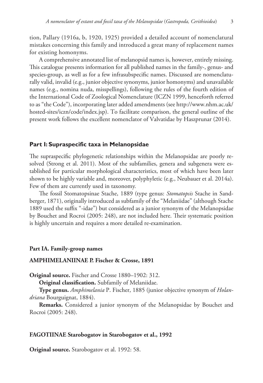tion, Pallary (1916a, b, 1920, 1925) provided a detailed account of nomenclatural mistakes concerning this family and introduced a great many of replacement names for existing homonyms.

A comprehensive annotated list of melanopsid names is, however, entirely missing. This catalogue presents information for all published names in the family-, genus- and species-group, as well as for a few infrasubspecific names. Discussed are nomenclaturally valid, invalid (e.g., junior objective synonyms, junior homonyms) and unavailable names (e.g., nomina nuda, misspellings), following the rules of the fourth edition of the International Code of Zoological Nomenclature (ICZN 1999, henceforth referred to as "the Code"), incorporating later added amendments (see http://www.nhm.ac.uk/ hosted-sites/iczn/code/index.jsp). To facilitate comparison, the general outline of the present work follows the excellent nomenclator of Valvatidae by Haszprunar (2014).

## **Part I: Supraspecific taxa in Melanopsidae**

The supraspecific phylogenetic relationships within the Melanopsidae are poorly resolved (Strong et al. 2011). Most of the subfamilies, genera and subgenera were established for particular morphological characteristics, most of which have been later shown to be highly variable and, moreover, polyphyletic (e.g., Neubauer et al. 2014a). Few of them are currently used in taxonomy.

The fossil Stomatopsinae Stache, 1889 (type genus: *Stomatopsis* Stache in Sandberger, 1871), originally introduced as subfamily of the "Melaniidae" (although Stache 1889 used the suffix "-idae") but considered as a junior synonym of the Melanopsidae by Bouchet and Rocroi (2005: 248), are not included here. Their systematic position is highly uncertain and requires a more detailed re-examination.

## **Part IA. Family-group names**

## **AMPHIMELANIINAE P. Fischer & Crosse, 1891**

**Original source.** Fischer and Crosse 1880–1902: 312.

**Original classification.** Subfamily of Melaniidae.

**Type genus.** *Amphimelania* P. Fischer, 1885 (junior objective synonym of *Holandriana* Bourguignat, 1884).

**Remarks.** Considered a junior synonym of the Melanopsidae by Bouchet and Rocroi (2005: 248).

#### **FAGOTIINAE Starobogatov in Starobogatov et al., 1992**

**Original source.** Starobogatov et al. 1992: 58.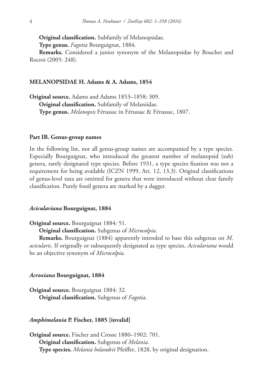**Original classification.** Subfamily of Melanopsidae.

**Type genus.** *Fagotia* Bourguignat, 1884.

**Remarks.** Considered a junior synonym of the Melanopsidae by Bouchet and Rocroi (2005: 248).

## **MELANOPSIDAE H. Adams & A. Adams, 1854**

**Original source.** Adams and Adams 1853–1858: 309. **Original classification.** Subfamily of Melaniidae. **Type genus.** *Melanopsis* Férussac in Férussac & Férussac, 1807.

#### **Part IB. Genus-group names**

In the following list, not all genus-group names are accompanied by a type species. Especially Bourguignat, who introduced the greatest number of melanopsid (sub) genera, rarely designated type species. Before 1931, a type species fixation was not a requirement for being available (ICZN 1999, Art. 12, 13.3). Original classifications of genus-level taxa are omitted for genera that were introduced without clear family classification. Purely fossil genera are marked by a dagger.

## *Aciculariana* **Bourguignat, 1884**

**Original source.** Bourguignat 1884: 51.

**Original classification.** Subgenus of *Microcolpia*.

**Remarks.** Bourguignat (1884) apparently intended to base this subgenus on *M. acicularis*. If originally or subsequently designated as type species, *Aciculariana* would be an objective synonym of *Microcolpia*.

#### *Acroxiana* **Bourguignat, 1884**

**Original source.** Bourguignat 1884: 32. **Original classification.** Subgenus of *Fagotia*.

#### *Amphimelania* **P. Fischer, 1885 [invalid]**

**Original source.** Fischer and Crosse 1880–1902: 701. **Original classification.** Subgenus of *Melania*. **Type species.** *Melania holandrii* Pfeiffer, 1828, by original designation.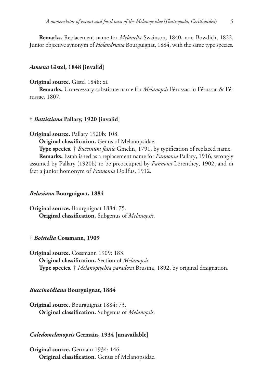**Remarks.** Replacement name for *Melanella* Swainson, 1840, non Bowdich, 1822. Junior objective synonym of *Holandriana* Bourguignat, 1884, with the same type species.

#### *Asmena* **Gistel, 1848 [invalid]**

## **Original source.** Gistel 1848: xi.

**Remarks.** Unnecessary substitute name for *Melanopsis* Férussac in Férussac & Férussac, 1807.

## **†** *Battistiana* **Pallary, 1920 [invalid]**

**Original source.** Pallary 1920b: 108.

**Original classification.** Genus of Melanopsidae.

**Type species.** † *Buccinum fossile* Gmelin, 1791, by typification of replaced name. **Remarks.** Established as a replacement name for *Pannonia* Pallary, 1916, wrongly assumed by Pallary (1920b) to be preoccupied by *Pannona* Lörenthey, 1902, and in fact a junior homonym of *Pannonia* Dollfus, 1912.

#### *Belusiana* **Bourguignat, 1884**

**Original source.** Bourguignat 1884: 75. **Original classification.** Subgenus of *Melanopsis*.

#### **†** *Boistelia* **Cossmann, 1909**

**Original source.** Cossmann 1909: 183. **Original classification.** Section of *Melanopsis*. **Type species.** † *Melanoptychia paradoxa* Brusina, 1892, by original designation.

#### *Buccinoidiana* **Bourguignat, 1884**

**Original source.** Bourguignat 1884: 73. **Original classification.** Subgenus of *Melanopsis*.

#### *Caledomelanopsis* **Germain, 1934 [unavailable]**

**Original source.** Germain 1934: 146. **Original classification.** Genus of Melanopsidae.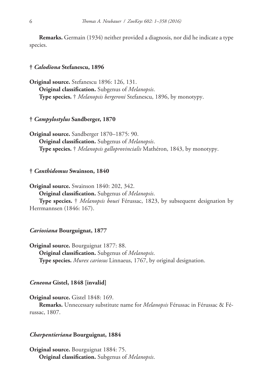**Remarks.** Germain (1934) neither provided a diagnosis, nor did he indicate a type species.

## **†** *Calodiona* **Stefanescu, 1896**

**Original source.** Stefanescu 1896: 126, 131. **Original classification.** Subgenus of *Melanopsis*. **Type species.** † *Melanopsis bergeroni* Stefanescu, 1896, by monotypy.

## **†** *Campylostylus* **Sandberger, 1870**

**Original source.** Sandberger 1870–1875: 90. **Original classification.** Subgenus of *Melanopsis*. **Type species.** † *Melanopsis galloprovincialis* Mathéron, 1843, by monotypy.

## **†** *Canthidomus* **Swainson, 1840**

**Original source.** Swainson 1840: 202, 342.

**Original classification.** Subgenus of *Melanopsis*.

**Type species.** † *Melanopsis bouei* Férussac, 1823, by subsequent designation by Herrmannsen (1846: 167).

#### *Cariosiana* **Bourguignat, 1877**

**Original source.** Bourguignat 1877: 88. **Original classification.** Subgenus of *Melanopsis*. **Type species.** *Murex cariosus* Linnaeus, 1767, by original designation.

## *Ceneona* **Gistel, 1848 [invalid]**

#### **Original source.** Gistel 1848: 169.

**Remarks.** Unnecessary substitute name for *Melanopsis* Férussac in Férussac & Férussac, 1807.

#### *Charpentieriana* **Bourguignat, 1884**

**Original source.** Bourguignat 1884: 75. **Original classification.** Subgenus of *Melanopsis*.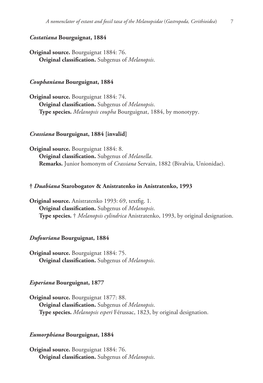## *Costatiana* **Bourguignat, 1884**

**Original source.** Bourguignat 1884: 76. **Original classification.** Subgenus of *Melanopsis*.

## *Couphaniana* **Bourguignat, 1884**

**Original source.** Bourguignat 1884: 74. **Original classification.** Subgenus of *Melanopsis*. **Type species.** *Melanopsis coupha* Bourguignat, 1884, by monotypy.

#### *Crassiana* **Bourguignat, 1884 [invalid]**

**Original source.** Bourguignat 1884: 8. **Original classification.** Subgenus of *Melanella*. **Remarks.** Junior homonym of *Crassiana* Servain, 1882 (Bivalvia, Unionidae).

#### **†** *Duabiana* **Starobogatov & Anistratenko in Anistratenko, 1993**

**Original source.** Anistratenko 1993: 69, textfig. 1. **Original classification.** Subgenus of *Melanopsis*. **Type species.** † *Melanopsis cylindrica* Anistratenko, 1993, by original designation.

## *Dufouriana* **Bourguignat, 1884**

**Original source.** Bourguignat 1884: 75. **Original classification.** Subgenus of *Melanopsis*.

## *Esperiana* **Bourguignat, 1877**

**Original source.** Bourguignat 1877: 88. **Original classification.** Subgenus of *Melanopsis*. **Type species.** *Melanopsis esperi* Férussac, 1823, by original designation.

#### *Eumorphiana* **Bourguignat, 1884**

**Original source.** Bourguignat 1884: 76. **Original classification.** Subgenus of *Melanopsis*.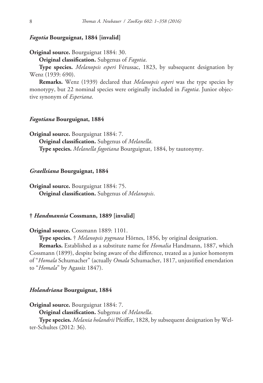## *Fagotia* **Bourguignat, 1884 [invalid]**

**Original source.** Bourguignat 1884: 30.

**Original classification.** Subgenus of *Fagotia*.

**Type species.** *Melanopsis esperi* Férussac, 1823, by subsequent designation by Wenz (1939: 690).

**Remarks.** Wenz (1939) declared that *Melanopsis esperi* was the type species by monotypy, but 22 nominal species were originally included in *Fagotia*. Junior objective synonym of *Esperiana*.

## *Fagotiana* **Bourguignat, 1884**

**Original source.** Bourguignat 1884: 7.

**Original classification.** Subgenus of *Melanella*. **Type species.** *Melanella fagotiana* Bourguignat, 1884, by tautonymy.

#### *Graellsiana* **Bourguignat, 1884**

**Original source.** Bourguignat 1884: 75. **Original classification.** Subgenus of *Melanopsis*.

## **†** *Handmannia* **Cossmann, 1889 [invalid]**

**Original source.** Cossmann 1889: 1101.

**Type species.** † *Melanopsis pygmaea* Hörnes, 1856, by original designation.

**Remarks.** Established as a substitute name for *Homalia* Handmann, 1887, which Cossmann (1899), despite being aware of the difference, treated as a junior homonym of "*Homala* Schumacher" (actually *Omala* Schumacher, 1817, unjustified emendation to "*Homala*" by Agassiz 1847).

#### *Holandriana* **Bourguignat, 1884**

**Original source.** Bourguignat 1884: 7.

**Original classification.** Subgenus of *Melanella*.

**Type species.** *Melania holandrii* Pfeiffer, 1828, by subsequent designation by Welter-Schultes (2012: 36).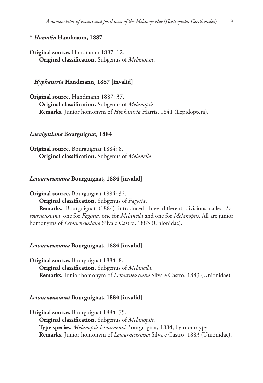## **†** *Homalia* **Handmann, 1887**

**Original source.** Handmann 1887: 12. **Original classification.** Subgenus of *Melanopsis*.

## **†** *Hyphantria* **Handmann, 1887 [invalid]**

**Original source.** Handmann 1887: 37. **Original classification.** Subgenus of *Melanopsis*. **Remarks.** Junior homonym of *Hyphantria* Harris, 1841 (Lepidoptera).

#### *Laevigatiana* **Bourguignat, 1884**

**Original source.** Bourguignat 1884: 8. **Original classification.** Subgenus of *Melanella*.

#### *Letourneuxiana* **Bourguignat, 1884 [invalid]**

**Original source.** Bourguignat 1884: 32.

**Original classification.** Subgenus of *Fagotia*.

**Remarks.** Bourguignat (1884) introduced three different divisions called *Letourneuxiana*, one for *Fagotia*, one for *Melanella* and one for *Melanopsis*. All are junior homonyms of *Letourneuxiana* Silva e Castro, 1883 (Unionidae).

#### *Letourneuxiana* **Bourguignat, 1884 [invalid]**

**Original source.** Bourguignat 1884: 8. **Original classification.** Subgenus of *Melanella*. **Remarks.** Junior homonym of *Letourneuxiana* Silva e Castro, 1883 (Unionidae).

#### *Letourneuxiana* **Bourguignat, 1884 [invalid]**

**Original source.** Bourguignat 1884: 75. **Original classification.** Subgenus of *Melanopsis*. **Type species.** *Melanopsis letourneuxi* Bourguignat, 1884, by monotypy. **Remarks.** Junior homonym of *Letourneuxiana* Silva e Castro, 1883 (Unionidae).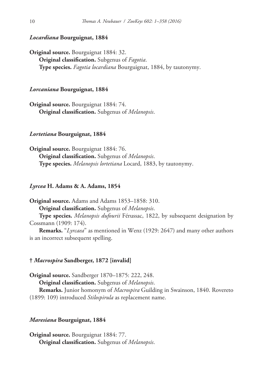## *Locardiana* **Bourguignat, 1884**

**Original source.** Bourguignat 1884: 32. **Original classification.** Subgenus of *Fagotia*. **Type species.** *Fagotia locardiana* Bourguignat, 1884, by tautonymy.

#### *Lorcaniana* **Bourguignat, 1884**

**Original source.** Bourguignat 1884: 74. **Original classification.** Subgenus of *Melanopsis*.

#### *Lortetiana* **Bourguignat, 1884**

**Original source.** Bourguignat 1884: 76. **Original classification.** Subgenus of *Melanopsis*. **Type species.** *Melanopsis lortetiana* Locard, 1883, by tautonymy.

#### *Lyrcea* **H. Adams & A. Adams, 1854**

**Original source.** Adams and Adams 1853–1858: 310. **Original classification.** Subgenus of *Melanopsis*. **Type species.** *Melanopsis dufourii* Férussac, 1822, by subsequent designation by

Cossmann (1909: 174).

**Remarks.** "*Lyrcaea*" as mentioned in Wenz (1929: 2647) and many other authors is an incorrect subsequent spelling.

## **†** *Macrospira* **Sandberger, 1872 [invalid]**

**Original source.** Sandberger 1870–1875: 222, 248. **Original classification.** Subgenus of *Melanopsis*. **Remarks.** Junior homonym of *Macrospira* Guilding in Swainson, 1840. Rovereto (1899: 109) introduced *Stilospirula* as replacement name.

#### *Maresiana* **Bourguignat, 1884**

**Original source.** Bourguignat 1884: 77. **Original classification.** Subgenus of *Melanopsis*.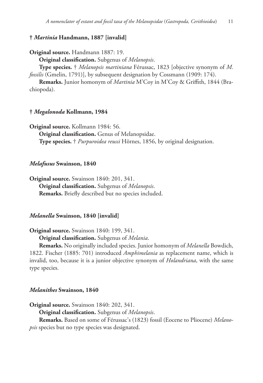## **†** *Martinia* **Handmann, 1887 [invalid]**

**Original source.** Handmann 1887: 19.

**Original classification.** Subgenus of *Melanopsis*.

**Type species.** † *Melanopsis martiniana* Férussac, 1823 [objective synonym of *M. fossilis* (Gmelin, 1791)], by subsequent designation by Cossmann (1909: 174).

**Remarks.** Junior homonym of *Martinia* M'Coy in M'Coy & Griffith, 1844 (Brachiopoda).

## **†** *Megalonoda* **Kollmann, 1984**

**Original source.** Kollmann 1984: 56. **Original classification.** Genus of Melanopsidae. **Type species.** † *Purpuroidea reussi* Hörnes, 1856, by original designation.

## *Melafusus* **Swainson, 1840**

**Original source.** Swainson 1840: 201, 341. **Original classification.** Subgenus of *Melanopsis*. **Remarks.** Briefly described but no species included.

## *Melanella* **Swainson, 1840 [invalid]**

**Original source.** Swainson 1840: 199, 341.

**Original classification.** Subgenus of *Melania*.

**Remarks.** No originally included species. Junior homonym of *Melanella* Bowdich, 1822. Fischer (1885: 701) introduced *Amphimelania* as replacement name, which is invalid, too, because it is a junior objective synonym of *Holandriana*, with the same type species.

#### *Melanithes* **Swainson, 1840**

**Original source.** Swainson 1840: 202, 341.

**Original classification.** Subgenus of *Melanopsis*.

**Remarks.** Based on some of Férussac's (1823) fossil (Eocene to Pliocene) *Melanopsis* species but no type species was designated.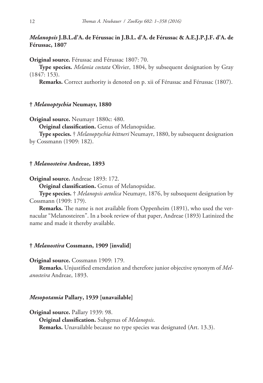## *Melanopsis* **J.B.L.d'A. de Férussac in J.B.L. d'A. de Férussac & A.E.J.P.J.F. d'A. de Férussac, 1807**

**Original source.** Férussac and Férussac 1807: 70.

**Type species.** *Melania costata* Olivier, 1804, by subsequent designation by Gray (1847: 153).

**Remarks.** Correct authority is denoted on p. xii of Férussac and Férussac (1807).

#### **†** *Melanoptychia* **Neumayr, 1880**

**Original source.** Neumayr 1880c: 480.

**Original classification.** Genus of Melanopsidae.

**Type species.** † *Melanoptychia bittneri* Neumayr, 1880, by subsequent designation by Cossmann (1909: 182).

#### **†** *Melanosteira* **Andreae, 1893**

**Original source.** Andreae 1893: 172.

**Original classification.** Genus of Melanopsidae.

**Type species.** † *Melanopsis aetolica* Neumayr, 1876, by subsequent designation by Cossmann (1909: 179).

**Remarks.** The name is not available from Oppenheim (1891), who used the vernacular "Melanosteiren". In a book review of that paper, Andreae (1893) Latinized the name and made it thereby available.

#### **†** *Melanostira* **Cossmann, 1909 [invalid]**

#### **Original source.** Cossmann 1909: 179.

**Remarks.** Unjustified emendation and therefore junior objective synonym of *Melanosteira* Andreae, 1893.

## *Mesopotamia* **Pallary, 1939 [unavailable]**

**Original source.** Pallary 1939: 98.

**Original classification.** Subgenus of *Melanopsis*. **Remarks.** Unavailable because no type species was designated (Art. 13.3).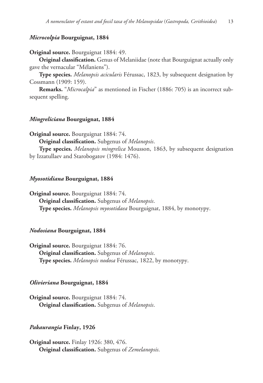## *Microcolpia* **Bourguignat, 1884**

#### **Original source.** Bourguignat 1884: 49.

**Original classification.** Genus of Melaniidae (note that Bourguignat actually only gave the vernacular "Mélaniens").

**Type species.** *Melanopsis acicularis* Férussac, 1823, by subsequent designation by Cossmann (1909: 159).

**Remarks.** "*Microcalpia*" as mentioned in Fischer (1886: 705) is an incorrect subsequent spelling.

#### *Mingreliciana* **Bourguignat, 1884**

**Original source.** Bourguignat 1884: 74.

**Original classification.** Subgenus of *Melanopsis*.

**Type species.** *Melanopsis mingrelica* Mousson, 1863, by subsequent designation by Izzatullaev and Starobogatov (1984: 1476).

#### *Myosotidiana* **Bourguignat, 1884**

**Original source.** Bourguignat 1884: 74. **Original classification.** Subgenus of *Melanopsis*. **Type species.** *Melanopsis myosotidaea* Bourguignat, 1884, by monotypy.

#### *Nodosiana* **Bourguignat, 1884**

**Original source.** Bourguignat 1884: 76. **Original classification.** Subgenus of *Melanopsis*. **Type species.** *Melanopsis nodosa* Férussac, 1822, by monotypy.

#### *Olivieriana* **Bourguignat, 1884**

**Original source.** Bourguignat 1884: 74. **Original classification.** Subgenus of *Melanopsis*.

#### *Pakaurangia* **Finlay, 1926**

**Original source.** Finlay 1926: 380, 476. **Original classification.** Subgenus of *Zemelanopsis*.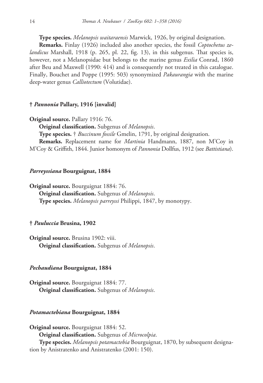**Type species.** *Melanopsis waitaraensis* Marwick, 1926, by original designation.

**Remarks.** Finlay (1926) included also another species, the fossil *Coptochetus zelandicus* Marshall, 1918 (p. 265, pl. 22, fig. 13), in this subgenus. That species is, however, not a Melanopsidae but belongs to the marine genus *Exilia* Conrad, 1860 after Beu and Maxwell (1990: 414) and is consequently not treated in this catalogue. Finally, Bouchet and Poppe (1995: 503) synonymized *Pakaurangia* with the marine deep-water genus *Calliotectum* (Volutidae).

## **†** *Pannonia* **Pallary, 1916 [invalid]**

```
Original source. Pallary 1916: 76.
```
**Original classification.** Subgenus of *Melanopsis*.

**Type species.** † *Buccinum fossile* Gmelin, 1791, by original designation.

**Remarks.** Replacement name for *Martinia* Handmann, 1887, non M'Coy in M'Coy & Griffith, 1844. Junior homonym of *Pannonia* Dollfus, 1912 (see *Battistiana*).

#### *Parreyssiana* **Bourguignat, 1884**

**Original source.** Bourguignat 1884: 76. **Original classification.** Subgenus of *Melanopsis*. **Type species.** *Melanopsis parreyssi* Philippi, 1847, by monotypy.

## **†** *Pauluccia* **Brusina, 1902**

**Original source.** Brusina 1902: viii. **Original classification.** Subgenus of *Melanopsis*.

#### *Pechaudiana* **Bourguignat, 1884**

**Original source.** Bourguignat 1884: 77. **Original classification.** Subgenus of *Melanopsis*.

## *Potamactebiana* **Bourguignat, 1884**

**Original source.** Bourguignat 1884: 52. **Original classification.** Subgenus of *Microcolpia*. **Type species.** *Melanopsis potamactebia* Bourguignat, 1870, by subsequent designation by Anistratenko and Anistratenko (2001: 150).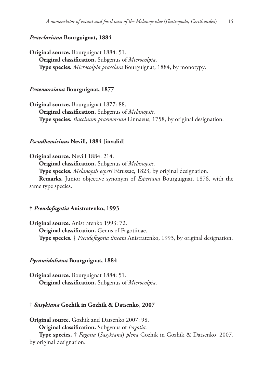## *Praeclariana* **Bourguignat, 1884**

**Original source.** Bourguignat 1884: 51. **Original classification.** Subgenus of *Microcolpia*. **Type species.** *Microcolpia praeclara* Bourguignat, 1884, by monotypy.

#### *Praemorsiana* **Bourguignat, 1877**

**Original source.** Bourguignat 1877: 88. **Original classification.** Subgenus of *Melanopsis*. **Type species.** *Buccinum praemorsum* Linnaeus, 1758, by original designation.

#### *Pseudhemisinus* **Nevill, 1884 [invalid]**

**Original source.** Nevill 1884: 214. **Original classification.** Subgenus of *Melanopsis*. **Type species.** *Melanopsis esperi* Férussac, 1823, by original designation. **Remarks.** Junior objective synonym of *Esperiana* Bourguignat, 1876, with the same type species.

## **†** *Pseudofagotia* **Anistratenko, 1993**

**Original source.** Anistratenko 1993: 72. **Original classification.** Genus of Fagotiinae. **Type species.** † *Pseudofagotia lineata* Anistratenko, 1993, by original designation.

## *Pyramidaliana* **Bourguignat, 1884**

**Original source.** Bourguignat 1884: 51. **Original classification.** Subgenus of *Microcolpia*.

## **†** *Sasykiana* **Gozhik in Gozhik & Datsenko, 2007**

**Original source.** Gozhik and Datsenko 2007: 98. **Original classification.** Subgenus of *Fagotia*. **Type species.** † *Fagotia* (*Sasykiana*) *plena* Gozhik in Gozhik & Datsenko, 2007, by original designation.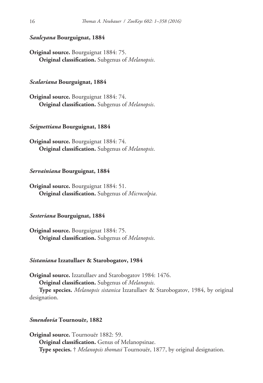## *Saulcyana* **Bourguignat, 1884**

**Original source.** Bourguignat 1884: 75. **Original classification.** Subgenus of *Melanopsis*.

## *Scalariana* **Bourguignat, 1884**

**Original source.** Bourguignat 1884: 74. **Original classification.** Subgenus of *Melanopsis*.

#### *Seignettiana* **Bourguignat, 1884**

**Original source.** Bourguignat 1884: 74. **Original classification.** Subgenus of *Melanopsis*.

#### *Servainiana* **Bourguignat, 1884**

**Original source.** Bourguignat 1884: 51. **Original classification.** Subgenus of *Microcolpia*.

## *Sesteriana* **Bourguignat, 1884**

**Original source.** Bourguignat 1884: 75. **Original classification.** Subgenus of *Melanopsis*.

## *Sistaniana* **Izzatullaev & Starobogatov, 1984**

**Original source.** Izzatullaev and Starobogatov 1984: 1476. **Original classification.** Subgenus of *Melanopsis*.

**Type species.** *Melanopsis sistanica* Izzatullaev & Starobogatov, 1984, by original designation.

## *Smendovia* **Tournouër, 1882**

**Original source.** Tournouër 1882: 59. **Original classification.** Genus of Melanopsinae. **Type species.** † *Melanopsis thomasi* Tournouër, 1877, by original designation.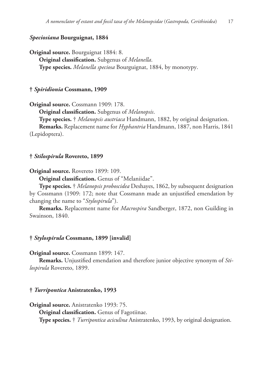## *Speciosiana* **Bourguignat, 1884**

**Original source.** Bourguignat 1884: 8. **Original classification.** Subgenus of *Melanella*. **Type species.** *Melanella speciosa* Bourguignat, 1884, by monotypy.

## **†** *Spiridionia* **Cossmann, 1909**

**Original source.** Cossmann 1909: 178.

**Original classification.** Subgenus of *Melanopsis*.

**Type species.** † *Melanopsis austriaca* Handmann, 1882, by original designation. **Remarks.** Replacement name for *Hyphantria* Handmann, 1887, non Harris, 1841 (Lepidoptera).

#### **†** *Stilospirula* **Rovereto, 1899**

**Original source.** Rovereto 1899: 109.

**Original classification.** Genus of "Melaniidae".

**Type species.** † *Melanopsis proboscidea* Deshayes, 1862, by subsequent designation by Cossmann (1909: 172; note that Cossmann made an unjustified emendation by changing the name to "*Stylospirula*").

**Remarks.** Replacement name for *Macrospira* Sandberger, 1872, non Guilding in Swainson, 1840.

## **†** *Stylospirula* **Cossmann, 1899 [invalid]**

**Original source.** Cossmann 1899: 147.

**Remarks.** Unjustified emendation and therefore junior objective synonym of *Stilospirula* Rovereto, 1899.

#### **†** *Turripontica* **Anistratenko, 1993**

**Original source.** Anistratenko 1993: 75.

**Original classification.** Genus of Fagotiinae. **Type species.** † *Turripontica aciculina* Anistratenko, 1993, by original designation.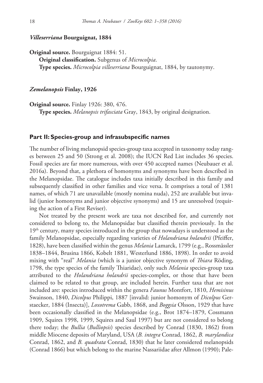#### *Villeserriana* **Bourguignat, 1884**

**Original source.** Bourguignat 1884: 51. **Original classification.** Subgenus of *Microcolpia*. **Type species.** *Microcolpia villeserriana* Bourguignat, 1884, by tautonymy.

## *Zemelanopsis* **Finlay, 1926**

**Original source.** Finlay 1926: 380, 476. **Type species.** *Melanopsis trifasciata* Gray, 1843, by original designation.

## **Part II: Species-group and infrasubspecific names**

The number of living melanopsid species-group taxa accepted in taxonomy today ranges between 25 and 50 (Strong et al. 2008); the IUCN Red List includes 36 species. Fossil species are far more numerous, with over 450 accepted names (Neubauer et al. 2016a). Beyond that, a plethora of homonyms and synonyms have been described in the Melanopsidae. The catalogue includes taxa initially described in this family and subsequently classified in other families and vice versa. It comprises a total of 1381 names, of which 71 are unavailable (mostly nomina nuda), 252 are available but invalid (junior homonyms and junior objective synonyms) and 15 are unresolved (requiring the action of a First Reviser).

Not treated by the present work are taxa not described for, and currently not considered to belong to, the Melanopsidae but classified therein previously. In the  $19<sup>th</sup>$  century, many species introduced in the group that nowadays is understood as the family Melanopsidae, especially regarding varieties of *Holandriana holandrii* (Pfeiffer, 1828), have been classified within the genus *Melania* Lamarck, 1799 (e.g., Rossmässler 1838–1844, Brusina 1866, Kobelt 1881, Westerlund 1886, 1898). In order to avoid mixing with "real" *Melania* (which is a junior objective synonym of *Thiara* Röding, 1798, the type species of the family Thiaridae), only such *Melania* species-group taxa attributed to the *Holandriana holandrii* species-complex, or those that have been claimed to be related to that group, are included herein. Further taxa that are not included are: species introduced within the genera *Faunus* Montfort, 1810, *Hemisinus* Swainson, 1840, *Dicolpus* Philippi, 1887 [invalid: junior homonym of *Dicolpus* Gerstaecker, 1884 (Insecta)], *Loxotrema* Gabb, 1868, and *Boggsia* Olsson, 1929 that have been occasionally classified in the Melanopsidae (e.g., Brot 1874–1879, Cossmann 1909, Squires 1998, 1999, Squires and Saul 1997) but are not considered to belong there today; the *Bullia* (*Bulliopsis*) species described by Conrad (1830, 1862) from middle Miocene deposits of Maryland, USA (*B. integra* Conrad, 1862, *B. marylandica* Conrad, 1862, and *B. quadrata* Conrad, 1830) that he later considered melanopsids (Conrad 1866) but which belong to the marine Nassariidae after Allmon (1990); Pale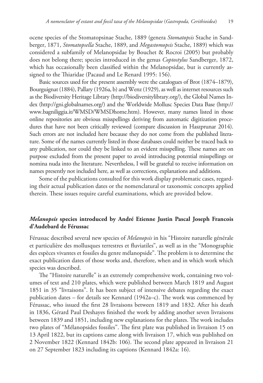ocene species of the Stomatopsinae Stache, 1889 (genera *Stomatopsis* Stache in Sandberger, 1871, *Stomatopsella* Stache, 1889, and *Megastomopsis* Stache, 1889) which was considered a subfamily of Melanopsidae by Bouchet & Rocroi (2005) but probably does not belong there; species introduced in the genus *Coptostylus* Sandberger, 1872, which has occasionally been classified within the Melanopsidae, but is currently assigned to the Thiaridae (Pacaud and Le Renard 1995: 156).

Basic sources used for the present assembly were the catalogues of Brot (1874–1879), Bourguignat (1884), Pallary (1926a, b) and Wenz (1929), as well as internet resources such as the Biodiversity Heritage Library (http://biodiversitylibrary.org/), the Global Names Index (http://gni.globalnames.org/) and the Worldwide Mollusc Species Data Base (http:// www.bagniliggia.it/WMSD/WMSDhome.htm). However, many names listed in those online repositories are obvious misspellings deriving from automatic digitization procedures that have not been critically reviewed (compare discussion in Haszprunar 2014). Such errors are not included here because they do not come from the published literature. Some of the names currently listed in those databases could neither be traced back to any publication, nor could they be linked to an evident misspelling. These names are on purpose excluded from the present paper to avoid introducing potential misspellings or nomina nuda into the literature. Nevertheless, I will be grateful to receive information on names presently not included here, as well as corrections, explanations and additions.

Some of the publications consulted for this work display problematic cases, regarding their actual publication dates or the nomenclatural or taxonomic concepts applied therein. These issues require careful examinations, which are provided below.

## *Melanopsis* **species introduced by André Etienne Justin Pascal Joseph Francois d'Audebard de Férussac**

Férussac described several new species of *Melanopsis* in his "Histoire naturelle générale et particulière des mollusques terrestres et fluviatiles", as well as in the "Monographie des espèces vivantes et fossiles du genre mélanopside". The problem is to determine the exact publication dates of those works and, therefore, when and in which work which species was described.

The "Histoire naturelle" is an extremely comprehensive work, containing two volumes of text and 210 plates, which were published between March 1819 and August 1851 in 35 "livraisons". It has been subject of intensive debates regarding the exact publication dates – for details see Kennard (1942a–c). The work was commenced by Férussac, who issued the first 28 livraisons between 1819 and 1832. After his death in 1836, Gérard Paul Deshayes finished the work by adding another seven livraisons between 1839 and 1851, including new explanations for the plates. The work includes two plates of "Mélanopsides fossiles". The first plate was published in livraison 15 on 13 April 1822, but its captions came along with livraison 17, which was published on 2 November 1822 (Kennard 1842b: 106). The second plate appeared in livraison 21 on 27 September 1823 including its captions (Kennard 1842a: 16).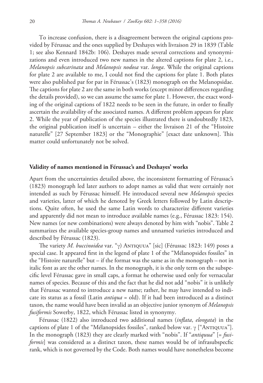To increase confusion, there is a disagreement between the original captions provided by Férussac and the ones supplied by Deshayes with livraison 29 in 1839 (Table 1; see also Kennard 1842b: 106). Deshayes made several corrections and synonymizations and even introduced two new names in the altered captions for plate 2, i.e., *Melanopsis subcarinata* and *Melanopsis nodosa* var. *longa*. While the original captions for plate 2 are available to me, I could not find the captions for plate 1. Both plates were also published par for par in Férussac's (1823) monograph on the Melanopsidae. The captions for plate 2 are the same in both works (except minor differences regarding the details provided), so we can assume the same for plate 1. However, the exact wording of the original captions of 1822 needs to be seen in the future, in order to finally ascertain the availability of the associated names. A different problem appears for plate 2. While the year of publication of the species illustrated there is undoubtedly 1823, the original publication itself is uncertain – either the livraison 21 of the "Histoire naturelle" [27 September 1823] or the "Monographie" [exact date unknown]. This matter could unfortunately not be solved.

#### **Validity of names mentioned in Férussac's and Deshayes' works**

Apart from the uncertainties detailed above, the inconsistent formatting of Férussac's (1823) monograph led later authors to adopt names as valid that were certainly not intended as such by Férussac himself. He introduced several new *Melanopsis* species and varieties, latter of which he denoted by Greek letters followed by Latin descriptions. Quite often, he used the same Latin words to characterize different varieties and apparently did not mean to introduce available names (e.g., Férussac 1823: 154). New names (or new combinations) were always denoted by him with "nobis". Table 2 summarizes the available species-group names and unnamed varieties introduced and described by Férussac (1823).

The variety *M. buccinoidea* var. "γ) Antiquua" [sic] (Férussac 1823: 149) poses a special case. It appeared first in the legend of plate 1 of the "Mélanopsides fossiles" in the "Histoire naturelle" but – if the format was the same as in the monograph – not in italic font as are the other names. In the monograph, it is the only term on the subspecific level Férussac gave in small caps, a format he otherwise used only for vernacular names of species. Because of this and the fact that he did not add "nobis" it is unlikely that Férussac wanted to introduce a new name; rather, he may have intended to indicate its status as a fossil (Latin *antiqua* = old). If it had been introduced as a distinct taxon, the name would have been invalid as an objective junior synonym of *Melanopsis fusiformis* Sowerby, 1822, which Férussac listed in synonymy.

Férussac (1822) also introduced two additional names (*inflata*, *elongata*) in the captions of plate 1 of the "Mélanopsides fossiles", ranked below var.  $\gamma$  ["ANTIQUUA"]. In the monograph (1823) they are clearly marked with "nobis". If "*antiquua*" [= *fusiformis*] was considered as a distinct taxon, these names would be of infrasubspecfic rank, which is not governed by the Code. Both names would have nonetheless become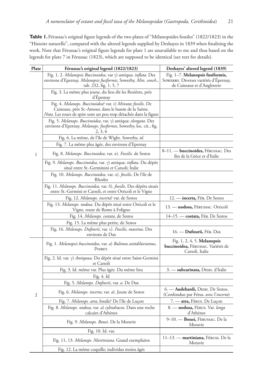Table 1. Férussac's original figure legends of the two plates of "Mélanopsides fossiles" (1822/1823) in the "Histoire naturelle", compared with the altered legends supplied by Deshayes in 1839 when finalizing the work. Note that Férussac's original figure legends for plate 1 are unavailable to me and thus based on the legends for plate 7 in Férussac (1823), which are supposed to be identical (see text for details).

| Plate          | Férussac's original legend (1822/1823)                                                                                                                                                            | Deshayes' altered legend (1839)                                                                          |
|----------------|---------------------------------------------------------------------------------------------------------------------------------------------------------------------------------------------------|----------------------------------------------------------------------------------------------------------|
| $\mathbf{1}$   | Fig. 1, 2. Melanopsis Buccinoidea, var $\gamma$ ) antiqua: inflata. Des<br>environs d'Epernay. <i>Melanopsis fusiformis</i> , Sowerby, <i>Min. conch.</i> ,<br>tab. 232, fig. 1, 5, 7             | Fig. 1-7. Melanopsis fusiformis,<br>SOWERBY. Diverses variétés d'Epernay,<br>de Cuiseaux et d'Angleterre |
|                | Fig. 3. La même plus jeune, du lieu dit les Rozières, près<br>d'Epemay                                                                                                                            |                                                                                                          |
|                | Fig. 4. Melanops. Buccinoidea? var. e) Minuta; fossilis. De<br>Cuiseaux, près St.-Amour, dans le bassin de la Saône.<br><i>Nota</i> . Les tours de spire sont un peu trop détachés dans la figure |                                                                                                          |
|                | Fig. 5. Melanops. Buccinoidea, var. γ) antiqua: elongata. Des<br>environs d'Epernay. Melanops. fusiformis, Sowerby, loc. cit., fig.<br>2, 3, 6                                                    |                                                                                                          |
|                | Fig. 6. La même, de l'île de Wight. Sowerby, id.                                                                                                                                                  |                                                                                                          |
|                | Fig. 7. La même plus âgée, des environs d'Epernay                                                                                                                                                 |                                                                                                          |
|                | Fig. 8. Melanops. Buccinoidea, var. α). Fossilis. de Sestos                                                                                                                                       | 8-11. - buccinoides, FÉRUSSAC. Des<br>îles de la Grèce et d'Italie                                       |
|                | Fig. 9. Melanops. Buccinoidea, var. γ) antiqua: inflata. Du dépôt<br>situé entre St.-Germinini et Carsoli; Italie                                                                                 |                                                                                                          |
|                | Fig. 10. Melanops. Buccinoidea, var. α). fossilis. De l'île de<br>Rhodes                                                                                                                          |                                                                                                          |
|                | Fig. 11. Melanops. Buccinoidea, var. 8). fossilis. Des dépôts situés<br>entre St.-Germini et Carsoli, et entre Otricoli et le Vigne                                                               |                                                                                                          |
|                | Fig. 12. Melanops. incerta? var. de Sestos                                                                                                                                                        | 12. - incerta, FÉR. De Sestos                                                                            |
|                | Fig. 13. Melanops. nodosa. Du dépôt situé entre Otricoli et le<br>Vigne, route de Rome à Foligno                                                                                                  | 13. — nodosa, Férussac. Otricoli                                                                         |
|                | Fig. 14. Melanops. costata, de Sestos                                                                                                                                                             | 14–15. — costata, Fér. De Sestos                                                                         |
|                | Fig. 15. La même plus petite, de Sestos                                                                                                                                                           |                                                                                                          |
|                | Fig. 16. Melanops. Dufourii, var. e). Fossilis, maxima. Des<br>environs de Dax                                                                                                                    | 16. - Dufourii, FÉR. Dax                                                                                 |
|                | Fig. 1. Melanopsis buccinoidea, var. a) Bulimus antidiluviamus,<br>POIRET.                                                                                                                        | Fig. 1, 2, 4, 5. <b>Melanopsis</b><br><b>buccinoidea, F</b> ÉRUSSAC. Variétés de<br>Carsoli, Italie      |
|                | Fig. 2. Id. var. γ) <i>Antiquua</i> . Du dépôt situé entre Saint-Germini<br>et Carsoli                                                                                                            |                                                                                                          |
|                | Fig. 3. Id. même var. Plus âgée. Du même lieu                                                                                                                                                     | 3. - subcarinata, DESH. d'Italie                                                                         |
|                | Fig. 4. Id                                                                                                                                                                                        |                                                                                                          |
|                | Fig. 5. Melanops. Dufourii, var. a. De Dax                                                                                                                                                        |                                                                                                          |
| $\mathfrak{2}$ | Fig. 6. Melanops. incerta, var. a). Jeune de Sestos                                                                                                                                               | 6. - Audebardi, DESH. De Sestos.<br>(Confondue par Férus. avec l' <i>incerta</i> )                       |
|                | Fig. 7. Melanops. atra, fossile? De l'île de Luçon                                                                                                                                                | 7. — <b>atra,</b> Fèrus. De Luçon                                                                        |
|                | Fig. 8. Melanops. nodosa, var. a) cylindracea. Dans une roche<br>calcaire d'Athènes                                                                                                               | 8. - nodosa, FÈRUS. Var. longa<br>d'Athènes                                                              |
|                | Fig. 9. Melanops. Bouei. De la Moravie                                                                                                                                                            | 9-10. - Bouei, FERUSSAC. De la<br>Moravie                                                                |
|                | Fig. 10. Id. var.                                                                                                                                                                                 |                                                                                                          |
|                | Fig. 11, 13. Melanops. Martiniana. Grand exemplaires                                                                                                                                              | 11-13. - martiniana, Féruss. De la<br>Moravie                                                            |
|                | Fig. 12. La même coquille; individus moins âgés                                                                                                                                                   |                                                                                                          |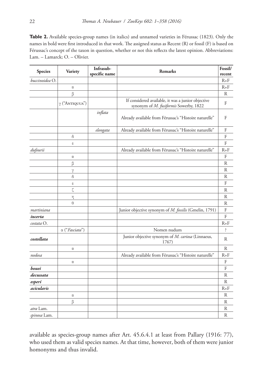**Table 2.** Available species-group names (in italics) and unnamed varieties in Férussac (1823). Only the names in bold were first introduced in that work. The assigned status as Recent (R) or fossil (F) is based on Férussac's concept of the taxon in question, whether or not this reflects the latest opinion. Abbreviations: Lam. – Lamarck; O. – Olivier.

| <b>Species</b> | Variety               | Infrasub-<br>specific name | <b>Remarks</b>                                                                               | Fossil/<br>recent |
|----------------|-----------------------|----------------------------|----------------------------------------------------------------------------------------------|-------------------|
| buccinoidea O. |                       |                            |                                                                                              | $R + F$           |
|                | $\alpha$              |                            |                                                                                              | $R + F$           |
|                | β                     |                            |                                                                                              | R                 |
|                | $\gamma$ ("ANTIQUUA") |                            | If considered available, it was a junior objective<br>synonym of M. fusiformis Sowerby, 1822 | F                 |
|                |                       | inflata                    | Already available from Férussac's "Histoire naturelle"                                       | F                 |
|                |                       | elongata                   | Already available from Férussac's "Histoire naturelle"                                       | F                 |
|                | δ                     |                            |                                                                                              | F                 |
|                | $\epsilon$            |                            |                                                                                              | F                 |
| dufourii       |                       |                            | Already available from Férussac's "Histoire naturelle"                                       | $R + F$           |
|                | $\alpha$              |                            |                                                                                              | F                 |
|                | β                     |                            |                                                                                              | R                 |
|                | γ                     |                            |                                                                                              | R                 |
|                | δ                     |                            |                                                                                              | R                 |
|                | ε                     |                            |                                                                                              | F                 |
|                | ζ                     |                            |                                                                                              | R                 |
|                | η                     |                            |                                                                                              | R                 |
|                | $\theta$              |                            |                                                                                              | R                 |
| martiniana     |                       |                            | Junior objective synonym of M. fossilis (Gmelin, 1791)                                       | $\rm F$           |
| incerta        |                       |                            |                                                                                              | F                 |
| costata O.     |                       |                            |                                                                                              | $R + F$           |
|                | α ("Fasciata")        |                            | Nomen nudum                                                                                  | Ś.                |
| costellata     |                       |                            | Junior objective synonym of M. cariosa (Linnaeus,<br>1767)                                   | R                 |
|                | $\alpha$              |                            |                                                                                              | R                 |
| nodosa         |                       |                            | Already available from Férussac's "Histoire naturelle"                                       | $R + F$           |
|                | $\alpha$              |                            |                                                                                              | F                 |
| bouei          |                       |                            |                                                                                              | F                 |
| decussata      |                       |                            |                                                                                              | R                 |
| esperi         |                       |                            |                                                                                              | R                 |
| acicularis     |                       |                            |                                                                                              | $R + F$           |
|                | $\alpha$              |                            |                                                                                              | R                 |
|                | β                     |                            |                                                                                              | R                 |
| atra Lam.      |                       |                            |                                                                                              | R                 |
| spinosa Lam.   |                       |                            |                                                                                              | R                 |

available as species-group names after Art. 45.6.4.1 at least from Pallary (1916: 77), who used them as valid species names. At that time, however, both of them were junior homonyms and thus invalid.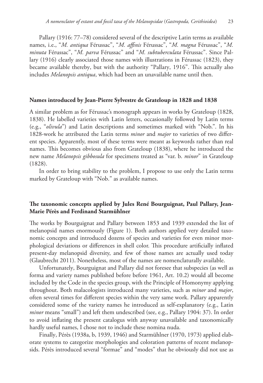Pallary (1916: 77–78) considered several of the descriptive Latin terms as available names, i.e., "*M. antiqua* Férussac", "*M. affinis* Férussac", "*M. magna* Férussac", "*M. minuta* Férussac", "*M. parva* Férussac" and "*M. subtuberculata* Férussac". Since Pallary (1916) clearly associated those names with illustrations in Férussac (1823), they became available thereby, but with the authority "Pallary, 1916". This actually also includes *Melanopsis antiqua*, which had been an unavailable name until then.

#### **Names introduced by Jean-Pierre Sylvestre de Grateloup in 1828 and 1838**

A similar problem as for Férussac's monograph appears in works by Grateloup (1828, 1838). He labelled varieties with Latin letters, occasionally followed by Latin terms (e.g., "*olivula*") and Latin descriptions and sometimes marked with "Nob.". In his 1828-work he attributed the Latin terms *minor* and *major* to varieties of two different species. Apparently, most of these terms were meant as keywords rather than real names. This becomes obvious also from Grateloup (1838), where he introduced the new name *Melanopsis gibbosula* for specimens treated as "var. b. *minor*" in Grateloup (1828).

In order to bring stability to the problem, I propose to use only the Latin terms marked by Grateloup with "Nob." as available names.

## **The taxonomic concepts applied by Jules René Bourguignat, Paul Pallary, Jean-Marie Pérès and Ferdinand Starmühlner**

The works by Bourguignat and Pallary between 1853 and 1939 extended the list of melanopsid names enormously (Figure 1). Both authors applied very detailed taxonomic concepts and introduced dozens of species and varieties for even minor morphological deviations or differences in shell color. This procedure artificially inflated present-day melanopsid diversity, and few of those names are actually used today (Glaubrecht 2011). Nonetheless, most of the names are nomenclaturally available.

Unfortunately, Bourguignat and Pallary did not foresee that subspecies (as well as forma and variety names published before before 1961, Art. 10.2) would all become included by the Code in the species group, with the Principle of Homonymy applying throughout. Both malacologists introduced many varieties, such as *minor* and *major*, often several times for different species within the very same work. Pallary apparently considered some of the variety names he introduced as self-explanatory (e.g., Latin *minor* means "small") and left them undescribed (see, e.g., Pallary 1904: 37). In order to avoid inflating the present catalogus with anyway unavailable and taxonomically hardly useful names, I chose not to include these nomina nuda.

Finally, Pérès (1938a, b, 1939, 1946) and Starmühlner (1970, 1973) applied elaborate systems to categorize morphologies and coloration patterns of recent melanopsids. Pérès introduced several "formae" and "modes" that he obviously did not use as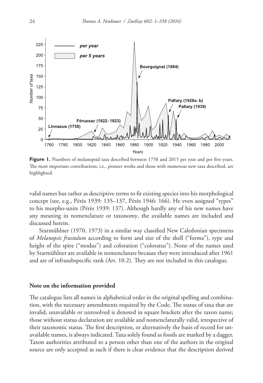

Figure 1. Numbers of melanopsid taxa described between 1758 and 2015 per year and per five years. The most important contributions, i.e., pioneer works and those with numerous new taxa described, are highlighted.

valid names but rather as descriptive terms to fit existing species into his morphological concept (see, e.g., Pérès 1939: 135–137, Pérès 1946: 166). He even assigned "types" to his morpho-units (Pérès 1939: 137). Although hardly any of his new names have any meaning in nomenclature or taxonomy, the available names are included and discussed herein.

Starmühlner (1970, 1973) in a similar way classified New Caledonian specimens of *Melanopsis frustulum* according to form and size of the shell ("forma"), type and height of the spire ("modus") and coloration ("coloratus"). None of the names used by Starmühlner are available in nomenclature because they were introduced after 1961 and are of infrasubspecific rank (Art. 10.2). They are not included in this catalogus.

#### **Note on the information provided**

The catalogue lists all names in alphabetical order in the original spelling and combination, with the necessary amendments required by the Code. The status of taxa that are invalid, unavailable or unresolved is denoted in square brackets after the taxon name; those without status declaration are available and nomenclaturally valid, irrespective of their taxonomic status. The first description, or alternatively the basis of record for unavailable names, is always indicated. Taxa solely found as fossils are marked by a dagger. Taxon authorities attributed to a person other than one of the authors in the original source are only accepted as such if there is clear evidence that the description derived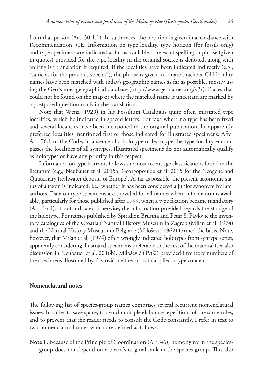from that person (Art. 50.1.1). In such cases, the notation is given in accordance with Recommendation 51E. Information on type locality, type horizon (for fossils only) and type specimens are indicated as far as available. The exact spelling or phrase (given in quotes) provided for the type locality in the original source is denoted, along with an English translation if required. If the localities have been indicated indirectly (e.g., "same as for the previous species"), the phrase is given in square brackets. Old locality names have been matched with today's geographic names as far as possible, mostly using the GeoNames geographical database (http://www.geonames.org/v3/). Places that could not be found on the map or where the matched name is uncertain are marked by a postposed question mark in the translation.

Note that Wenz (1929) in his Fossilium Catalogus quite often misstated type localities, which he indicated in spaced letters. For taxa where no type has been fixed and several localities have been mentioned in the original publication, he apparently preferred localities mentioned first or those indicated for illustrated specimens. After Art. 76.1 of the Code, in absence of a holotype or lectotype the type locality encompasses the localities of all syntypes. Illustrated specimens do not automatically qualify as holotypes or have any priority in this respect.

Information on type horizons follows the most recent age classifications found in the literature (e.g., Neubauer et al. 2015a, Georgopoulou et al. 2015 for the Neogene and Quaternary freshwater deposits of Europe). As far as possible, the present taxonomic status of a taxon is indicated, i.e., whether it has been considered a junior synonym by later authors. Data on type specimens are provided for all names where information is available, particularly for those published after 1999, when a type fixation became mandatory (Art. 16.4). If not indicated otherwise, the information provided regards the storage of the holotype. For names published by Spiridion Brusina and Petar S. Pavlović the inventory catalogues of the Croatian Natural History Museum in Zagreb (Milan et al. 1974) and the Natural History Museum in Belgrade (Milošević 1962) formed the basis. Note, however, that Milan et al. (1974) often wrongly indicated holotypes from syntype series, apparently considering illustrated specimens preferable to the rest of the material (see also discussion in Neubauer et al. 2016b). Milošević (1962) provided inventory numbers of the specimens illustrated by Pavlović; neither of both applied a type concept.

## **Nomenclatural notes**

The following list of species-group names comprises several recurrent nomenclatural issues. In order to save space, to avoid multiple elaborate repetitions of the same rules, and to prevent that the reader needs to consult the Code constantly, I refer in text to two nomenclatural notes which are defined as follows:

**Note 1:** Because of the Principle of Coordination (Art. 46), homonymy in the speciesgroup does not depend on a taxon's original rank in the species-group. This also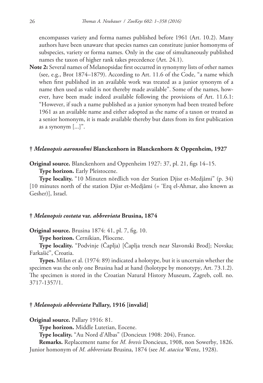encompasses variety and forma names published before 1961 (Art. 10.2). Many authors have been unaware that species names can constitute junior homonyms of subspecies, variety or forma names. Only in the case of simultaneously published names the taxon of higher rank takes precedence (Art. 24.1).

**Note 2:** Several names of Melanopsidae first occurred in synonymy lists of other names (see, e.g., Brot 1874–1879). According to Art. 11.6 of the Code, "a name which when first published in an available work was treated as a junior synonym of a name then used as valid is not thereby made available". Some of the names, however, have been made indeed available following the provisions of Art. 11.6.1: "However, if such a name published as a junior synonym had been treated before 1961 as an available name and either adopted as the name of a taxon or treated as a senior homonym, it is made available thereby but dates from its first publication as a synonym [...]".

## **†** *Melanopsis aaronsohni* **Blanckenhorn in Blanckenhorn & Oppenheim, 1927**

**Original source.** Blanckenhorn and Oppenheim 1927: 37, pl. 21, figs 14–15.

**Type horizon.** Early Pleistocene.

**Type locality.** "10 Minuten nördlich von der Station Djisr et-Medjâmi" (p. 34) [10 minutes north of the station Djisr et-Medjâmi (= 'Erq el-Ahmar, also known as Gesher)], Israel.

## **†** *Melanopsis costata* **var.** *abbreviata* **Brusina, 1874**

**Original source.** Brusina 1874: 41, pl. 7, fig. 10.

**Type horizon.** Cernikian, Pliocene.

**Type locality.** "Podvinje (Čaplja) [Čaplja trench near Slavonski Brod]; Novska; Farkašić", Croatia.

**Types.** Milan et al. (1974: 89) indicated a holotype, but it is uncertain whether the specimen was the only one Brusina had at hand (holotype by monotypy, Art. 73.1.2). The specimen is stored in the Croatian Natural History Museum, Zagreb, coll. no. 3717-1357/1.

## **†** *Melanopsis abbreviata* **Pallary, 1916 [invalid]**

**Original source.** Pallary 1916: 81.

**Type horizon.** Middle Lutetian, Eocene.

**Type locality.** "Au Nord d'Albas" (Doncieux 1908: 204), France.

**Remarks.** Replacement name for *M. brevis* Doncieux, 1908, non Sowerby, 1826. Junior homonym of *M. abbreviata* Brusina, 1874 (see *M. atacica* Wenz, 1928).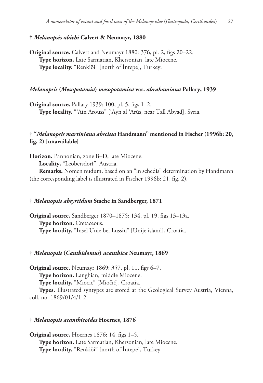## **†** *Melanopsis abichi* **Calvert & Neumayr, 1880**

**Original source.** Calvert and Neumayr 1880: 376, pl. 2, figs 20–22. **Type horizon.** Late Sarmatian, Khersonian, late Miocene. **Type locality.** "Renkiöi" [north of İntepe], Turkey.

## *Melanopsis* **(***Mesopotamia***)** *mesopotamica* **var.** *abrahamiana* **Pallary, 1939**

**Original source.** Pallary 1939: 100, pl. 5, figs 1–2. **Type locality.** "'Ain Arouss" ['Ayn al 'Arūs, near Tall Abyaḑ], Syria.

## **† "***Melanopsis martiniana abscissa* **Handmann" mentioned in Fischer (1996b: 20, fig. 2) [unavailable]**

**Horizon.** Pannonian, zone B–D, late Miocene.

**Locality.** "Leobersdorf", Austria.

**Remarks.** Nomen nudum, based on an "in schedis" determination by Handmann (the corresponding label is illustrated in Fischer 1996b: 21, fig. 2).

## **†** *Melanopsis absyrtidum* **Stache in Sandberger, 1871**

**Original source.** Sandberger 1870–1875: 134, pl. 19, figs 13–13a. **Type horizon.** Cretaceous. **Type locality.** "Insel Unie bei Lussin" [Unije island], Croatia.

## **†** *Melanopsis* **(***Canthidomus***)** *acanthica* **Neumayr, 1869**

**Original source.** Neumayr 1869: 357, pl. 11, figs 6–7. **Type horizon.** Langhian, middle Miocene. **Type locality.** "Miocic" [Miočić], Croatia.

**Types.** Illustrated syntypes are stored at the Geological Survey Austria, Vienna, coll. no. 1869/01/4/1-2.

## **†** *Melanopsis acanthicoides* **Hoernes, 1876**

**Original source.** Hoernes 1876: 14, figs 1–5. **Type horizon.** Late Sarmatian, Khersonian, late Miocene. **Type locality.** "Renkiöi" [north of İntepe], Turkey.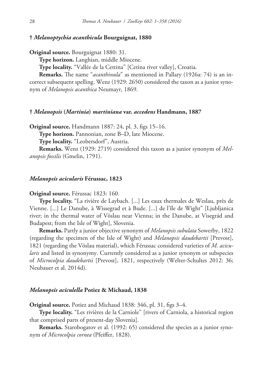#### **†** *Melanoptychia acanthicula* **Bourguignat, 1880**

**Original source.** Bourguignat 1880: 31.

**Type horizon.** Langhian, middle Miocene.

**Type locality.** "Vallée de la Cettina" [Cetina river valley], Croatia.

**Remarks.** The name "*acanthinula*" as mentioned in Pallary (1926a: 74) is an incorrect subsequent spelling. Wenz (1929: 2650) considered the taxon as a junior synonym of *Melanopsis acanthica* Neumayr, 1869.

#### **†** *Melanopsis* **(***Martinia***)** *martiniana* **var.** *accedens* **Handmann, 1887**

**Original source.** Handmann 1887: 24, pl. 3, figs 15–16.

**Type horizon.** Pannonian, zone B–D, late Miocene.

**Type locality.** "Leobersdorf", Austria.

**Remarks.** Wenz (1929: 2719) considered this taxon as a junior synonym of *Melanopsis fossilis* (Gmelin, 1791).

#### *Melanopsis acicularis* **Férussac, 1823**

## **Original source.** Férussac 1823: 160.

**Type locality.** "La rivière de Laybach. [...] Les eaux thermales de Weslau, près de Vienne. [...] Le Danube, à Wissegrad et à Bude. [...] de l'île de Wight" [Ljubljanica river; in the thermal water of Vöslau near Vienna; in the Danube, at Visegrád and Budapest; from the Isle of Wight], Slovenia.

**Remarks.** Partly a junior objective synonym of *Melanopsis subulata* Sowerby, 1822 (regarding the specimen of the Isle of Wight) and *Melanopsis daudebartii* [Prevost], 1821 (regarding the Vöslau material), which Férussac considered varieties of *M. acicularis* and listed in synonymy. Currently considered as a junior synonym or subspecies of *Microcolpia daudebartii* [Prevost], 1821, respectively (Welter-Schultes 2012: 36; Neubauer et al. 2014d).

#### *Melanopsis aciculella* **Potiez & Michaud, 1838**

**Original source.** Potiez and Michaud 1838: 346, pl. 31, figs 3–4.

**Type locality.** "Les rivières de la Carniole" [rivers of Carniola, a historical region that comprised parts of present-day Slovenia].

**Remarks.** Starobogatov et al. (1992: 65) considered the species as a junior synonym of *Microcolpia cornea* (Pfeiffer, 1828).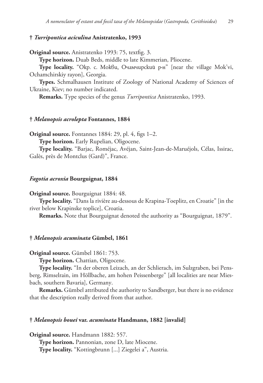## **†** *Turripontica aciculina* **Anistratenko, 1993**

**Original source.** Anistratenko 1993: 75, textfig. 3.

**Type horizon.** Duab Beds, middle to late Kimmerian, Pliocene.

**Type locality.** "Окр. с. Мокви, Очамчирский р-н" [near the village Mok'vi, Ochamchirskiy rayon], Georgia.

**Types.** Schmalhausen Institute of Zoology of National Academy of Sciences of Ukraine, Kiev; no number indicated.

**Remarks.** Type species of the genus *Turripontica* Anistratenko, 1993.

## **†** *Melanopsis acrolepta* **Fontannes, 1884**

**Original source.** Fontannes 1884: 29, pl. 4, figs 1–2.

**Type horizon.** Early Rupelian, Oligocene.

**Type locality.** "Barjac, Roméjac, Avéjan, Saint-Jean-de-Maruéjols, Célas, Issirac, Galès, près de Montclus (Gard)", France.

#### *Fagotia acroxia* **Bourguignat, 1884**

**Original source.** Bourguignat 1884: 48.

**Type locality.** "Dans la rivière au-dessous de Krapina-Toeplitz, en Croatie" [in the river below Krapinske toplice], Croatia.

**Remarks.** Note that Bourguignat denoted the authority as "Bourguignat, 1879".

## **†** *Melanopsis acuminata* **Gümbel, 1861**

**Original source.** Gümbel 1861: 753.

**Type horizon.** Chattian, Oligocene.

**Type locality.** "In der oberen Leizach, an der Schlierach, im Sulzgraben, bei Pensberg, Rimselrain, im Höllbache, am hohen Peissenberge" [all localities are near Miesbach, southern Bavaria], Germany.

**Remarks.** Gümbel attributed the authority to Sandberger, but there is no evidence that the description really derived from that author.

## **†** *Melanopsis bouei* **var.** *acuminata* **Handmann, 1882 [invalid]**

**Original source.** Handmann 1882: 557. **Type horizon.** Pannonian, zone D, late Miocene. **Type locality.** "Kottingbrunn [...] Ziegelei a", Austria.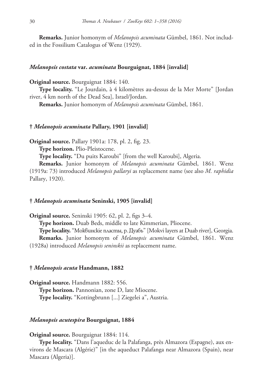**Remarks.** Junior homonym of *Melanopsis acuminata* Gümbel, 1861. Not included in the Fossilium Catalogus of Wenz (1929).

#### *Melanopsis costata* **var.** *acuminata* **Bourguignat, 1884 [invalid]**

**Original source.** Bourguignat 1884: 140.

**Type locality.** "Le Jourdain, à 4 kilomètres au-dessus de la Mer Morte" [Jordan river, 4 km north of the Dead Sea], Israel/Jordan.

**Remarks.** Junior homonym of *Melanopsis acuminata* Gümbel, 1861.

#### **†** *Melanopsis acuminata* **Pallary, 1901 [invalid]**

**Original source.** Pallary 1901a: 178, pl. 2, fig. 23.

**Type horizon.** Plio-Pleistocene.

**Type locality.** "Du puits Karoubi" [from the well Karoubi], Algeria.

**Remarks.** Junior homonym of *Melanopsis acuminata* Gümbel, 1861. Wenz (1919a: 73) introduced *Melanopsis pallaryi* as replacement name (see also *M. raphidia* Pallary, 1920).

#### **†** *Melanopsis acuminata* **Seninski, 1905 [invalid]**

**Original source.** Seninski 1905: 62, pl. 2, figs 3–4. **Type horizon.** Duab Beds, middle to late Kimmerian, Pliocene. **Type locality.** "Моквинскіе пласты, р. Дуабъ" [Mokvi layers at Duab river], Georgia. **Remarks.** Junior homonym of *Melanopsis acuminata* Gümbel, 1861. Wenz (1928a) introduced *Melanopsis seninskii* as replacement name.

#### **†** *Melanopsis acuta* **Handmann, 1882**

**Original source.** Handmann 1882: 556. **Type horizon.** Pannonian, zone D, late Miocene. **Type locality.** "Kottingbrunn [...] Ziegelei a", Austria.

#### *Melanopsis acutespira* **Bourguignat, 1884**

**Original source.** Bourguignat 1884: 114.

**Type locality.** "Dans l'aqueduc de la Palafanga, près Almazora (Espagne), aux environs de Mascara (Algérie)" [in the aqueduct Palafanga near Almazora (Spain), near Mascara (Algeria)].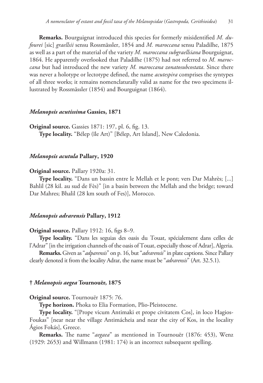**Remarks.** Bourguignat introduced this species for formerly misidentified *M. dufourei* [sic] *graellsii* sensu Rossmässler, 1854 and *M. maroccana* sensu Paladilhe, 1875 as well as a part of the material of the variety *M. maroccana subgraellsiana* Bourguignat, 1864. He apparently overlooked that Paladilhe (1875) had not referred to *M. maroccana* but had introduced the new variety *M. maroccana zonatosubcostata*. Since there was never a holotype or lectotype defined, the name *acutespira* comprises the syntypes of all three works; it remains nomenclaturally valid as name for the two specimens illustrated by Rossmässler (1854) and Bourguignat (1864).

#### *Melanopsis acutissima* **Gassies, 1871**

**Original source.** Gassies 1871: 197, pl. 6, fig. 13. **Type locality.** "Bélep (île Art)" [Bélep, Art Island], New Caledonia.

#### *Melanopsis acutula* **Pallary, 1920**

#### **Original source.** Pallary 1920a: 31.

**Type locality.** "Dans un bassin entre le Mellah et le pont; vers Dar Mahrès; [...] Bahlil (28 kil. au sud de Fès)" [in a basin between the Mellah and the bridge; toward Dar Mahres; Bhalil (28 km south of Fes)], Morocco.

## *Melanopsis adrarensis* **Pallary, 1912**

#### **Original source.** Pallary 1912: 16, figs 8–9.

**Type locality.** "Dans les seguias des oasis du Touat, spécialement dans celles de l'Adrar" [in the irrigation channels of the oasis of Touat, especially those of Adrar], Algeria.

**Remarks.** Given as "*adparensis*" on p. 16, but "*adrarensis*" in plate captions. Since Pallary clearly denoted it from the locality Adrar, the name must be "*adrarensis*" (Art. 32.5.1).

#### **†** *Melanopsis aegea* **Tournouër, 1875**

#### **Original source.** Tournouër 1875: 76.

**Type horizon.** Phoka to Elia Formation, Plio-Pleistocene.

**Type locality.** "[Prope vicum Antimaki et prope civitatem Cos], in loco Hagios-Foukas" [near near the village Antimácheia and near the city of Kos, in the locality Ágios Fokás], Greece.

**Remarks.** The name "*aegaea*" as mentioned in Tournouër (1876: 453), Wenz (1929: 2653) and Willmann (1981: 174) is an incorrect subsequent spelling.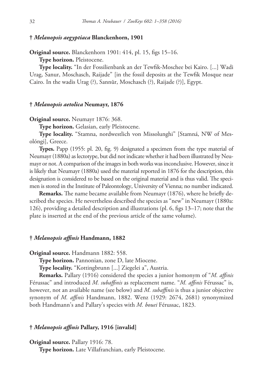## **†** *Melanopsis aegyptiaca* **Blanckenhorn, 1901**

**Original source.** Blanckenhorn 1901: 414, pl. 15, figs 15–16.

**Type horizon.** Pleistocene.

**Type locality.** "In der Fossilienbank an der Tewfik-Moschee bei Kairo. [...] Wadi Urag, Sanur, Moschasch, Raijade" [in the fossil deposits at the Tewfik Mosque near Cairo. In the wadis Urag (?), Sannūr, Moschasch (?), Raijade (?)], Egypt.

#### **†** *Melanopsis aetolica* **Neumayr, 1876**

**Original source.** Neumayr 1876: 368.

**Type horizon.** Gelasian, early Pleistocene.

**Type locality.** "Stamna, nordwestlich von Missolunghi" [Stamná, NW of Mesolóngi], Greece.

**Types.** Papp (1955: pl. 20, fig. 9) designated a specimen from the type material of Neumayr (1880a) as lectotype, but did not indicate whether it had been illustrated by Neumayr or not. A comparison of the images in both works was inconclusive. However, since it is likely that Neumayr (1880a) used the material reported in 1876 for the description, this designation is considered to be based on the original material and is thus valid. The specimen is stored in the Institute of Paleontology, University of Vienna; no number indicated.

**Remarks.** The name became available from Neumayr (1876), where he briefly described the species. He nevertheless described the species as "new" in Neumayr (1880a: 126), providing a detailed description and illustrations (pl. 6, figs 13–17; note that the plate is inserted at the end of the previous article of the same volume).

## **†** *Melanopsis affinis* **Handmann, 1882**

**Original source.** Handmann 1882: 558.

**Type horizon.** Pannonian, zone D, late Miocene.

**Type locality.** "Kottingbrunn [...] Ziegelei a", Austria.

**Remarks.** Pallary (1916) considered the species a junior homonym of "*M. affinis* Férussac" and introduced *M. subaffinis* as replacement name. "*M. affinis* Férussac" is, however, not an available name (see below) and *M. subaffinis* is thus a junior objective synonym of *M. affinis* Handmann, 1882. Wenz (1929: 2674, 2681) synonymized both Handmann's and Pallary's species with *M. bouei* Férussac, 1823.

#### **†** *Melanopsis affinis* **Pallary, 1916 [invalid]**

**Original source.** Pallary 1916: 78.

**Type horizon.** Late Villafranchian, early Pleistocene.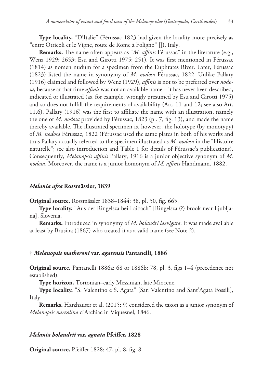**Type locality.** "D'Italie" (Férussac 1823 had given the locality more precisely as "entre Otricoli et le Vigne, route de Rome à Foligno" []), Italy.

**Remarks.** The name often appears as "*M. affinis* Férussac" in the literature (e.g., Wenz 1929: 2653; Esu and Girotti 1975: 251). It was first mentioned in Férussac (1814) as nomen nudum for a specimen from the Euphrates River. Later, Férussac (1823) listed the name in synonymy of *M. nodosa* Férussac, 1822. Unlike Pallary (1916) claimed and followed by Wenz (1929), *affinis* is not to be preferred over *nodosa*, because at that time *affinis* was not an available name – it has never been described, indicated or illustrated (as, for example, wrongly presumed by Esu and Girotti 1975) and so does not fulfill the requirements of availability (Art. 11 and 12; see also Art. 11.6). Pallary (1916) was the first to affiliate the name with an illustration, namely the one of *M. nodosa* provided by Férussac, 1823 (pl. 7, fig. 13), and made the name thereby available. The illustrated specimen is, however, the holotype (by monotypy) of *M. nodosa* Férussac, 1822 (Férussac used the same plates in both of his works and thus Pallary actually referred to the specimen illustrated as *M. nodosa* in the "Histoire naturelle"; see also introduction and Table 1 for details of Férussac's publications). Consequently, *Melanopsis affinis* Pallary, 1916 is a junior objective synonym of *M. nodosa*. Moreover, the name is a junior homonym of *M. affinis* Handmann, 1882.

#### *Melania afra* **Rossmässler, 1839**

**Original source.** Rossmässler 1838–1844: 38, pl. 50, fig. 665.

**Type locality.** "Aus der Ringelsza bei Laibach" [Ringelsza (?) brook near Ljubljana], Slovenia.

**Remarks.** Introduced in synonymy of *M. holandri laevigata*. It was made available at least by Brusina (1867) who treated it as a valid name (see Note 2).

#### **†** *Melanopsis matheroni* **var.** *agatensis* **Pantanelli, 1886**

**Original source.** Pantanelli 1886a: 68 or 1886b: 78, pl. 3, figs 1–4 (precedence not established).

**Type horizon.** Tortonian–early Messinian, late Miocene.

**Type locality.** "S. Valentino e S. Agata" [San Valentino and Sant'Agata Fossili], Italy.

**Remarks.** Harzhauser et al. (2015: 9) considered the taxon as a junior synonym of *Melanopsis narzolina* d'Archiac in Viquesnel, 1846.

## *Melania holandrii* **var.** *agnata* **Pfeiffer, 1828**

**Original source.** Pfeiffer 1828: 47, pl. 8, fig. 8.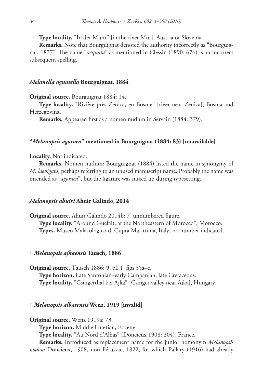**Type locality.** "In der Muhr" [in the river Mur], Austria or Slovenia.

**Remarks.** Note that Bourguignat denoted the authority incorrectly as "Bourguignat, 1877". The name "*aequata*" as mentioned in Clessin (1890: 676) is an incorrect subsequent spelling.

## *Melanella agnatella* **Bourguignat, 1884**

**Original source.** Bourguignat 1884: 14.

**Type locality.** "Rivière près Zenica, en Bosnie" [river near Zenica], Bosnia and Herzegovina.

**Remarks.** Appeared first as a nomen nudum in Servain (1884: 379).

#### **"***Melanopsis agoroea***" mentioned in Bourguignat (1884: 83) [unavailable]**

**Locality.** Not indicated.

**Remarks.** Nomen nudum: Bourguignat (1884) listed the name in synonymy of *M. laevigata*, perhaps referring to an unused manuscript name. Probably the name was intended as "*agoraea*", but the ligature was mixed up during typesetting.

#### *Melanopsis ahuiri* **Ahuir Galindo, 2014**

**Original source.** Ahuir Galindo 2014b: 7, unnumbered figure. **Type locality.** "Around Guefait, at the Northeastern of Morocco", Morocco. **Types.** Museo Malacologico di Cupra Marittima, Italy; no number indicated.

#### **†** *Melanopsis ajkaensis* **Tausch, 1886**

**Original source.** Tausch 1886: 9, pl. 1, figs 35a–c. **Type horizon.** Late Santonian–early Campanian, late Cretaceous. **Type locality.** "Csingerthal bei Ajka" [Csinger valley near Ajka], Hungary.

#### **†** *Melanopsis albasensis* **Wenz, 1919 [invalid]**

**Original source.** Wenz 1919a: 73.

**Type horizon.** Middle Lutetian, Eocene.

**Type locality.** "Au Nord d'Albas" (Doncieux 1908: 204), France.

**Remarks.** Introduced as replacement name for the junior homonym *Melanopsis nodosa* Doncieux, 1908, non Férussac, 1822, for which Pallary (1916) had already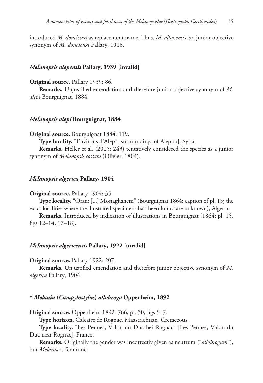introduced *M. doncieuxi* as replacement name. Thus, *M. albasensis* is a junior objective synonym of *M. doncieuxi* Pallary, 1916.

### *Melanopsis alepensis* **Pallary, 1939 [invalid]**

# **Original source.** Pallary 1939: 86.

**Remarks.** Unjustified emendation and therefore junior objective synonym of *M. alepi* Bourguignat, 1884.

# *Melanopsis alepi* **Bourguignat, 1884**

**Original source.** Bourguignat 1884: 119.

**Type locality.** "Environs d'Alep" [surroundings of Aleppo], Syria.

**Remarks.** Heller et al. (2005: 243) tentatively considered the species as a junior synonym of *Melanopsis costata* (Olivier, 1804).

#### *Melanopsis algerica* **Pallary, 1904**

#### **Original source.** Pallary 1904: 35.

**Type locality.** "Oran; [...] Mostaghanem" (Bourguignat 1864: caption of pl. 15; the exact localities where the illustrated specimens had been found are unknown), Algeria.

**Remarks.** Introduced by indication of illustrations in Bourguignat (1864: pl. 15, figs 12–14, 17–18).

#### *Melanopsis algericensis* **Pallary, 1922 [invalid]**

### **Original source.** Pallary 1922: 207.

**Remarks.** Unjustified emendation and therefore junior objective synonym of *M. algerica* Pallary, 1904.

# **†** *Melania* **(***Campylostylus***)** *allobroga* **Oppenheim, 1892**

**Original source.** Oppenheim 1892: 766, pl. 30, figs 5–7.

**Type horizon.** Calcaire de Rognac, Maastrichtian, Cretaceous.

**Type locality.** "Les Pennes, Valon du Duc bei Rognac" [Les Pennes, Valon du Duc near Rognac], France.

**Remarks.** Originally the gender was incorrectly given as neutrum ("*allobrogum*"), but *Melania* is feminine.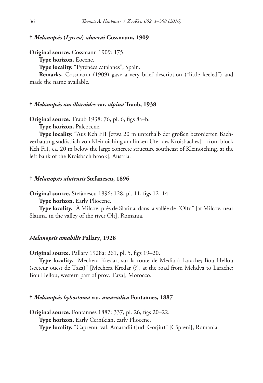### **†** *Melanopsis* **(***Lyrcea***)** *almerai* **Cossmann, 1909**

**Original source.** Cossmann 1909: 175.

**Type horizon.** Eocene.

**Type locality.** "Pyrénées catalanes", Spain.

**Remarks.** Cossmann (1909) gave a very brief description ("little keeled") and made the name available.

# **†** *Melanopsis ancillaroides* **var.** *alpina* **Traub, 1938**

**Original source.** Traub 1938: 76, pl. 6, figs 8a–b.

**Type horizon.** Paleocene.

**Type locality.** "Aus Kch Fi1 [etwa 20 m unterhalb der großen betonierten Bachverbauung südöstlich von Kleinoiching am linken Ufer des Kroisbaches]" [from block Kch Fi1, ca. 20 m below the large concrete structure southeast of Kleinoiching, at the left bank of the Kroisbach brook], Austria.

### **†** *Melanopsis alutensis* **Stefanescu, 1896**

**Original source.** Stefanescu 1896: 128, pl. 11, figs 12–14.

**Type horizon.** Early Pliocene.

**Type locality.** "À Milcov, près de Slatina, dans la vallée de l'Oltu" [at Milcov, near Slatina, in the valley of the river Olt], Romania.

# *Melanopsis amabilis* **Pallary, 1928**

**Original source.** Pallary 1928a: 261, pl. 5, figs 19–20.

**Type locality.** "Mechera Kredar, sur la route de Media à Larache; Bou Hellou (secteur ouest de Taza)" [Mechera Kredar (?), at the road from Mehdya to Larache; Bou Hellou, western part of prov. Taza], Morocco.

### **†** *Melanopsis hybostoma* **var.** *amaradica* **Fontannes, 1887**

**Original source.** Fontannes 1887: 337, pl. 26, figs 20–22. **Type horizon.** Early Cernikian, early Pliocene. **Type locality.** "Caprenu, val. Amaradii (Jud. Gorjiu)" [Căpreni], Romania.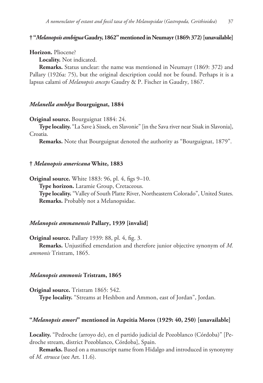**† "***Melanopsis ambigua* **Gaudry, 1862" mentioned in Neumayr (1869: 372) [unavailable]**

### **Horizon.** Pliocene?

**Locality.** Not indicated.

**Remarks.** Status unclear: the name was mentioned in Neumayr (1869: 372) and Pallary (1926a: 75), but the original description could not be found. Perhaps it is a lapsus calami of *Melanopsis anceps* Gaudry & P. Fischer in Gaudry, 1867.

### *Melanella amblya* **Bourguignat, 1884**

**Original source.** Bourguignat 1884: 24.

**Type locality.** "La Save à Sissek, en Slavonie" [in the Sava river near Sisak in Slavonia], Croatia.

**Remarks.** Note that Bourguignat denoted the authority as "Bourguignat, 1879".

### **†** *Melanopsis americana* **White, 1883**

**Original source.** White 1883: 96, pl. 4, figs 9–10. **Type horizon.** Laramie Group, Cretaceous. **Type locality.** "Valley of South Platte River, Northeastern Colorado", United States. **Remarks.** Probably not a Melanopsidae.

#### *Melanopsis ammanensis* **Pallary, 1939 [invalid]**

**Original source.** Pallary 1939: 88, pl. 4, fig. 3.

**Remarks.** Unjustified emendation and therefore junior objective synonym of *M. ammonis* Tristram, 1865.

### *Melanopsis ammonis* **Tristram, 1865**

**Original source.** Tristram 1865: 542.

**Type locality.** "Streams at Heshbon and Ammon, east of Jordan", Jordan.

### **"***Melanopsis amori***" mentioned in Azpeitia Moros (1929: 40, 250) [unavailable]**

**Locality.** "Pedroche (arroyo de), en el partido judicial de Pozoblanco (Córdoba)" [Pedroche stream, district Pozoblanco, Córdoba], Spain.

**Remarks.** Based on a manuscript name from Hidalgo and introduced in synonymy of *M. etrusca* (see Art. 11.6).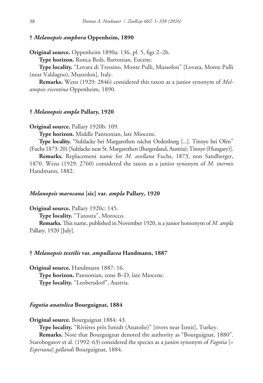# **†** *Melanopsis amphora* **Oppenheim, 1890**

**Original source.** Oppenheim 1890a: 136, pl. 5, figs 2–2b.

**Type horizon.** Ronca Beds, Bartonian, Eocene.

**Type locality.** "Lovara di Tressino, Monte Pulli, Mussolon" [Lovara, Monte Pulli (near Valdagno), Muzzolon], Italy.

**Remarks.** Wenz (1929: 2846) considered this taxon as a junior synonym of *Melanopsis vicentina* Oppenheim, 1890.

### **†** *Melanopsis ampla* **Pallary, 1920**

**Original source.** Pallary 1920b: 109.

**Type horizon.** Middle Pannonian, late Miocene.

**Type locality.** "Sulzlacke bei Margarethen nächst Oedenburg [...]. Tinnye bei Ofen" (Fuchs 1873: 20) [Sulzlacke near St. Margarethen (Burgenland, Austria); Tinnye (Hungary)].

**Remarks.** Replacement name for *M. avellana* Fuchs, 1873, non Sandberger, 1870. Wenz (1929: 2760) considered the taxon as a junior synonym of *M. inermis* Handmann, 1882.

#### *Melanopsis marocana* **[sic] var.** *ampla* **Pallary, 1920**

**Original source.** Pallary 1920c: 145.

**Type locality.** "Tazouta", Morocco.

**Remarks.** This name, published in November 1920, is a junior homonym of *M. ampla* Pallary, 1920 [July].

### **†** *Melanopsis textilis* **var.** *ampullacea* **Handmann, 1887**

**Original source.** Handmann 1887: 16. **Type horizon.** Pannonian, zone B–D, late Miocene. **Type locality.** "Leobersdorf", Austria.

## *Fagotia anatolica* **Bourguignat, 1884**

**Original source.** Bourguignat 1884: 43.

**Type locality.** "Rivières près Ismidt (Anatolie)" [rivers near İzmit], Turkey.

**Remarks.** Note that Bourguignat denoted the authority as "Bourguignat, 1880". Starobogatov et al. (1992: 63) considered the species as a junior synonym of *Fagotia* [= *Esperiana*] *gallandi* Bourguignat, 1884.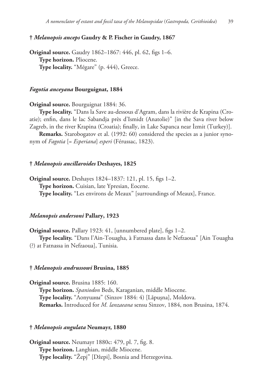# **†** *Melanopsis anceps* **Gaudry & P. Fischer in Gaudry, 1867**

**Original source.** Gaudry 1862–1867: 446, pl. 62, figs 1–6. **Type horizon.** Pliocene. **Type locality.** "Mégare" (p. 444), Greece.

# *Fagotia anceyana* **Bourguignat, 1884**

**Original source.** Bourguignat 1884: 36.

**Type locality.** "Dans la Save au-dessous d'Agram, dans la rivière de Krapina (Croatie); enfin, dans le lac Sabandja près d'Ismidt (Anatolie)" [in the Sava river below Zagreb, in the river Krapina (Croatia); finally, in Lake Sapanca near İzmit (Turkey)].

**Remarks.** Starobogatov et al. (1992: 60) considered the species as a junior synonym of *Fagotia* [= *Esperiana*] *esperi* (Férussac, 1823).

### **†** *Melanopsis ancillaroides* **Deshayes, 1825**

**Original source.** Deshayes 1824–1837: 121, pl. 15, figs 1–2. **Type horizon.** Cuisian, late Ypresian, Eocene. **Type locality.** "Les environs de Meaux" [surroundings of Meaux], France.

# *Melanopsis andersoni* **Pallary, 1923**

**Original source.** Pallary 1923: 41, [unnumbered plate], figs 1–2. **Type locality.** "Dans l'Ain-Touagha, à Fatnassa dans le Nefzaoua" [Ain Touagha (?) at Fatnassa in Nefzaoua], Tunisia.

#### **†** *Melanopsis andrussowi* **Brusina, 1885**

**Original source.** Brusina 1885: 160.

**Type horizon.** *Spaniodon* Beds, Karaganian, middle Miocene. **Type locality.** "Лопушны" (Sinzov 1884: 4) [Lăpuşna], Moldova. **Remarks.** Introduced for *M. lanzaeana* sensu Sinzov, 1884, non Brusina, 1874.

#### **†** *Melanopsis angulata* **Neumayr, 1880**

**Original source.** Neumayr 1880c: 479, pl. 7, fig. 8. **Type horizon.** Langhian, middle Miocene. **Type locality.** "Žepj" [Džepi], Bosnia and Herzegovina.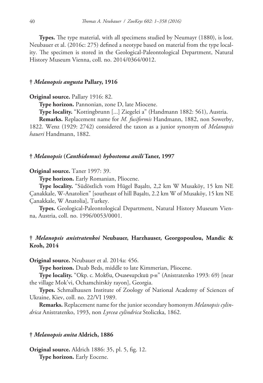**Types.** The type material, with all specimens studied by Neumayr (1880), is lost. Neubauer et al. (2016c: 275) defined a neotype based on material from the type locality. The specimen is stored in the Geological-Paleontological Department, Natural History Museum Vienna, coll. no. 2014/0364/0012.

### **†** *Melanopsis angusta* **Pallary, 1916**

#### **Original source.** Pallary 1916: 82.

**Type horizon.** Pannonian, zone D, late Miocene.

**Type locality.** "Kottingbrunn [...] Ziegelei a" (Handmann 1882: 561), Austria.

**Remarks.** Replacement name for *M. fusiformis* Handmann, 1882, non Sowerby, 1822. Wenz (1929: 2742) considered the taxon as a junior synonym of *Melanopsis haueri* Handmann, 1882.

#### **†** *Melanopsis* **(***Canthidomus***)** *hybostoma anili* **Taner, 1997**

#### **Original source.** Taner 1997: 39.

**Type horizon.** Early Romanian, Pliocene.

**Type locality.** "Südöstlich vom Hügel Başaltı, 2,2 km W Musaköy, 15 km NE Çanakkale, W-Anatolien" [southeast of hill Başaltı, 2.2 km W of Musaköy, 15 km NE Çanakkale, W Anatolia], Turkey.

**Types.** Geological-Paleontological Department, Natural History Museum Vienna, Austria, coll. no. 1996/0053/0001.

# **†** *Melanopsis anistratenkoi* **Neubauer, Harzhauser, Georgopoulou, Mandic & Kroh, 2014**

**Original source.** Neubauer et al. 2014a: 456.

**Type horizon.** Duab Beds, middle to late Kimmerian, Pliocene.

**Type locality.** "Окр. с. Мокви, Очамчирский р-н" (Anistratenko 1993: 69) [near the village Mok'vi, Ochamchirskiy rayon], Georgia.

**Types.** Schmalhausen Institute of Zoology of National Academy of Sciences of Ukraine, Kiev, coll. no. 22/VI 1989.

**Remarks.** Replacement name for the junior secondary homonym *Melanopsis cylindrica* Anistratenko, 1993, non *Lyrcea cylindrica* Stoliczka, 1862.

### **†** *Melanopsis anita* **Aldrich, 1886**

**Original source.** Aldrich 1886: 35, pl. 5, fig. 12. **Type horizon.** Early Eocene.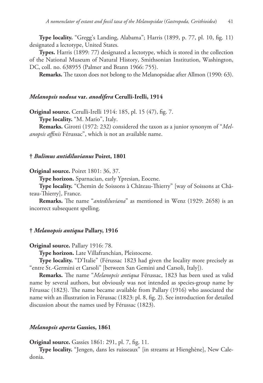**Type locality.** "Gregg's Landing, Alabama"; Harris (1899, p. 77, pl. 10, fig. 11) designated a lectotype, United States.

**Types.** Harris (1899: 77) designated a lectotype, which is stored in the collection of the National Museum of Natural History, Smithsonian Institution, Washington, DC, coll. no. 638955 (Palmer and Brann 1966: 755).

**Remarks.** The taxon does not belong to the Melanopsidae after Allmon (1990: 63).

# *Melanopsis nodosa* **var.** *anodifera* **Cerulli-Irelli, 1914**

**Original source.** Cerulli-Irelli 1914: 185, pl. 15 (47), fig. 7.

**Type locality.** "M. Mario", Italy.

**Remarks.** Girotti (1972: 232) considered the taxon as a junior synonym of "*Melanopsis affinis* Férussac", which is not an available name.

### **†** *Bulimus antidiluvianus* **Poiret, 1801**

**Original source.** Poiret 1801: 36, 37.

**Type horizon.** Sparnacian, early Ypresian, Eocene.

**Type locality.** "Chemin de Soissons à Château-Thierry" [way of Soissons at Château-Thierry], France.

**Remarks.** The name "*antediluviana*" as mentioned in Wenz (1929: 2658) is an incorrect subsequent spelling.

# **†** *Melanopsis antiqua* **Pallary, 1916**

#### **Original source.** Pallary 1916: 78.

**Type horizon.** Late Villafranchian, Pleistocene.

**Type locality.** "D'Italie" (Férussac 1823 had given the locality more precisely as "entre St.-Germini et Carsoli" [between San Gemini and Carsoli, Italy]).

**Remarks.** The name "*Melanopsis antiqua* Férussac, 1823 has been used as valid name by several authors, but obviously was not intended as species-group name by Férussac (1823). The name became available from Pallary (1916) who associated the name with an illustration in Férussac (1823: pl. 8, fig. 2). See introduction for detailed discussion about the names used by Férussac (1823).

# *Melanopsis aperta* **Gassies, 1861**

**Original source.** Gassies 1861: 291, pl. 7, fig. 11.

**Type locality.** "Jengen, dans les ruisseaux" [in streams at Hienghène], New Caledonia.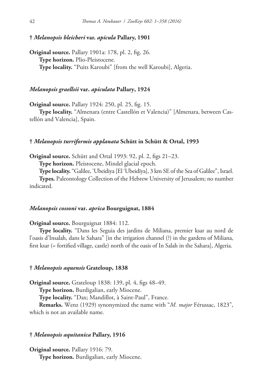# **†** *Melanopsis bleicheri* **var.** *apicula* **Pallary, 1901**

**Original source.** Pallary 1901a: 178, pl. 2, fig. 26. **Type horizon.** Plio-Pleistocene. **Type locality.** "Puits Karoubi" [from the well Karoubi], Algeria.

# *Melanopsis graellsii* **var.** *apiculata* **Pallary, 1924**

**Original source.** Pallary 1924: 250, pl. 25, fig. 15.

**Type locality.** "Almenara (entre Castellón et Valencia)" [Almenara, between Castellón and Valencia], Spain.

### **†** *Melanopsis turriformis applanata* **Schütt in Schütt & Ortal, 1993**

**Original source.** Schütt and Ortal 1993: 92, pl. 2, figs 21–23.

**Type horizon.** Pleistocene, Mindel glacial epoch.

**Type locality.** "Galilee, 'Ubeidiya [El 'Ubeidīya], 3 km SE of the Sea of Galilee", Israel.

**Types.** Paleontology Collection of the Hebrew University of Jerusalem; no number indicated.

# *Melanopsis cossoni* **var.** *aprica* **Bourguignat, 1884**

**Original source.** Bourguignat 1884: 112.

**Type locality.** "Dans les Seguia des jardins de Miliana, premier ksar au nord de l'oasis d'Insalah, dans le Sahara" [in the irrigation channel (?) in the gardens of Miliana, first ksar (= fortified village, castle) north of the oasis of In Salah in the Sahara], Algeria.

#### **†** *Melanopsis aquensis* **Grateloup, 1838**

**Original source.** Grateloup 1838: 139, pl. 4, figs 48–49.

**Type horizon.** Burdigalian, early Miocene.

**Type locality.** "Dax; Mandillot, à Saint-Paul", France.

**Remarks.** Wenz (1929) synonymized the name with "*M. major* Férussac, 1823", which is not an available name.

# **†** *Melanopsis aquitanica* **Pallary, 1916**

**Original source.** Pallary 1916: 79. **Type horizon.** Burdigalian, early Miocene.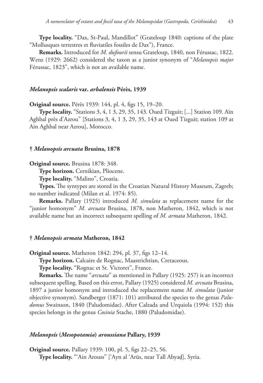**Type locality.** "Dax, St-Paul, Mandillot" (Grateloup 1840: captions of the plate "Mollusques terrestres et fluviatiles fossiles de Dax"), France.

**Remarks.** Introduced for *M. dufourii* sensu Grateloup, 1840, non Férussac, 1822. Wenz (1929: 2662) considered the taxon as a junior synonym of "*Melanopsis major* Férussac, 1823", which is not an available name.

### *Melanopsis scalaris* **var.** *arbalensis* **Pérès, 1939**

**Original source.** Pérès 1939: 144, pl. 4, figs 15, 19–20.

**Type locality.** "Stations 3, 4, 1 3, 29, 35, 143. Oued Tizguit; [...] Station 109. Aïn Aghbal près d'Azrou" [Stations 3, 4, 1 3, 29, 35, 143 at Oued Tizguit; station 109 at Ain Aghbal near Azrou], Morocco.

### **†** *Melanopsis arcuata* **Brusina, 1878**

**Original source.** Brusina 1878: 348.

**Type horizon.** Cernikian, Pliocene.

**Type locality.** "Malino", Croatia.

**Types.** The syntypes are stored in the Croatian Natural History Museum, Zagreb; no number indicated (Milan et al. 1974: 85).

**Remarks.** Pallary (1925) introduced *M. simulata* as replacement name for the "junior homonym" *M. arcuata* Brusina, 1878, non Matheron, 1842, which is not available name but an incorrect subsequent spelling of *M. armata* Matheron, 1842.

### **†** *Melanopsis armata* **Matheron, 1842**

**Original source.** Matheron 1842: 294, pl. 37, figs 12–14.

**Type horizon.** Calcaire de Rognac, Maastrichtian, Cretaceous.

**Type locality.** "Rognac et St. Victoret", France.

**Remarks.** The name "*arcuata*" as mentioned in Pallary (1925: 257) is an incorrect subsequent spelling. Based on this error, Pallary (1925) considered *M. arcuata* Brusina, 1897 a junior homonym and introduced the replacement name *M. simulata* (junior objective synonym). Sandberger (1871: 101) attributed the species to the genus *Paludomus* Swainson, 1840 (Paludomidae). After Calzada and Urquiola (1994: 152) this species belongs in the genus *Cosinia* Stache, 1880 (Paludomidae).

### *Melanopsis* **(***Mesopotamia***)** *aroussiana* **Pallary, 1939**

**Original source.** Pallary 1939: 100, pl. 5, figs 22–25, 56. **Type locality.** "'Ain Arouss" ['Ayn al 'Arūs, near Tall Abyaḑ], Syria.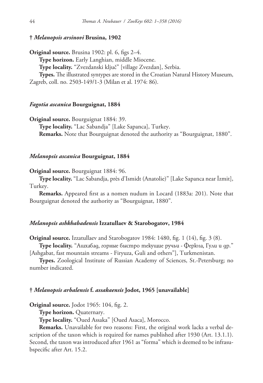### **†** *Melanopsis arsinovi* **Brusina, 1902**

**Original source.** Brusina 1902: pl. 6, figs 2–4. **Type horizon.** Early Langhian, middle Miocene. **Type locality.** "Zvezdanski ključ" [village Zvezdan], Serbia. **Types.** The illustrated syntypes are stored in the Croatian Natural History Museum, Zagreb, coll. no. 2503-149/1-3 (Milan et al. 1974: 86).

#### *Fagotia ascanica* **Bourguignat, 1884**

**Original source.** Bourguignat 1884: 39. **Type locality.** "Lac Sabandja" [Lake Sapanca], Turkey. **Remarks.** Note that Bourguignat denoted the authority as "Bourguignat, 1880".

#### *Melanopsis ascanica* **Bourguignat, 1884**

**Original source.** Bourguignat 1884: 96.

**Type locality.** "Lac Sabandja, près d'Ismidt (Anatolie)" [Lake Sapanca near İzmit], Turkey.

**Remarks.** Appeared first as a nomen nudum in Locard (1883a: 201). Note that Bourguignat denoted the authority as "Bourguignat, 1880".

#### *Melanopsis ashkhabadensis* **Izzatullaev & Starobogatov, 1984**

**Original source.** Izzatullaev and Starobogatov 1984: 1480, fig. 1 (14), fig. 3 (8).

**Type locality.** "Ашхабад, горные быстро текущие ручьи - Ферюза, Гули и др." [Ashgabat, fast mountain streams - Firyuza, Guli and others"], Turkmenistan.

**Types.** Zoological Institute of Russian Academy of Sciences, St.-Petersburg; no number indicated.

### **†** *Melanopsis arbalensis* **f.** *assakaensis* **Jodot, 1965 [unavailable]**

**Original source.** Jodot 1965: 104, fig. 2.

**Type horizon.** Quaternary.

**Type locality.** "Oued Assaka" [Oued Asaca], Morocco.

**Remarks.** Unavailable for two reasons: First, the original work lacks a verbal description of the taxon which is required for names published after 1930 (Art. 13.1.1). Second, the taxon was introduced after 1961 as "forma" which is deemed to be infrasubspecific after Art. 15.2.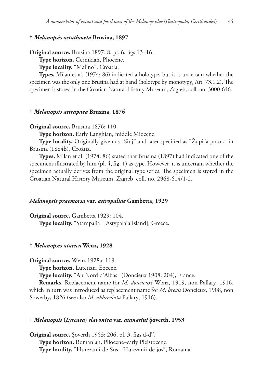# **†** *Melanopsis astathmeta* **Brusina, 1897**

**Original source.** Brusina 1897: 8, pl. 6, figs 13–16.

**Type horizon.** Cernikian, Pliocene.

**Type locality.** "Malino", Croatia.

**Types.** Milan et al. (1974: 86) indicated a holotype, but it is uncertain whether the specimen was the only one Brusina had at hand (holotype by monotypy, Art. 73.1.2). The specimen is stored in the Croatian Natural History Museum, Zagreb, coll. no. 3000-646.

### **†** *Melanopsis astrapaea* **Brusina, 1876**

**Original source.** Brusina 1876: 110.

**Type horizon.** Early Langhian, middle Miocene.

**Type locality.** Originally given as "Sinj" and later specified as "Župića potok" in Brusina (1884b), Croatia.

**Types.** Milan et al. (1974: 86) stated that Brusina (1897) had indicated one of the specimens illustrated by him (pl. 4, fig. 1) as type. However, it is uncertain whether the specimen actually derives from the original type series. The specimen is stored in the Croatian Natural History Museum, Zagreb, coll. no. 2968-614/1-2.

# *Melanopsis praemorsa* **var.** *astropaliae* **Gambetta, 1929**

**Original source.** Gambetta 1929: 104. **Type locality.** "Stampalia" [Astypalaia Island], Greece.

### **†** *Melanopsis atacica* **Wenz, 1928**

**Original source.** Wenz 1928a: 119.

**Type horizon.** Lutetian, Eocene.

**Type locality.** "Au Nord d'Albas" (Doncieux 1908: 204), France.

**Remarks.** Replacement name for *M. doncieuxi* Wenz, 1919, non Pallary, 1916, which in turn was introduced as replacement name for *M. brevis* Doncieux, 1908, non Sowerby, 1826 (see also *M. abbreviata* Pallary, 1916).

# **†** *Melanopsis* **(***Lyrcaea***)** *slavonica* **var.** *atanasiui* **Șoverth, 1953**

**Original source.** Șoverth 1953: 206, pl. 3, figs d-d''. **Type horizon.** Romanian, Pliocene–early Pleistocene. **Type locality.** "Hurezanii-de-Sus - Hurezanii-de-jos", Romania.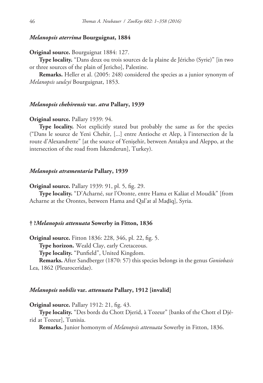# *Melanopsis aterrima* **Bourguignat, 1884**

**Original source.** Bourguignat 1884: 127.

**Type locality.** "Dans deux ou trois sources de la plaine de Jéricho (Syrie)" [in two or three sources of the plain of Jericho], Palestine.

**Remarks.** Heller et al. (2005: 248) considered the species as a junior synonym of *Melanopsis saulcyi* Bourguignat, 1853.

### *Melanopsis chehirensis* **var.** *atra* **Pallary, 1939**

#### **Original source.** Pallary 1939: 94.

**Type locality.** Not explicitly stated but probably the same as for the species ("Dans le source de Yeni Chehir, [...] entre Antioche et Alep, à l'intersection de la route d'Alexandrette" [at the source of Yenişehir, between Antakya and Aleppo, at the intersection of the road from İskenderun], Turkey).

#### *Melanopsis atramentaria* **Pallary, 1939**

**Original source.** Pallary 1939: 91, pl. 5, fig. 29.

**Type locality.** "D'Acharné, sur l'Oronte, entre Hama et Kalâat el Moudik" [from Acharne at the Orontes, between Hama and Qal'at al Maḑīq], Syria.

#### **† ?***Melanopsis attenuata* **Sowerby in Fitton, 1836**

**Original source.** Fitton 1836: 228, 346, pl. 22, fig. 5.

**Type horizon.** Weald Clay, early Cretaceous.

**Type locality.** "Punfield", United Kingdom.

**Remarks.** After Sandberger (1870: 57) this species belongs in the genus *Goniobasis* Lea, 1862 (Pleuroceridae).

#### *Melanopsis nobilis* **var.** *attenuata* **Pallary, 1912 [invalid]**

**Original source.** Pallary 1912: 21, fig. 43.

**Type locality.** "Des bords du Chott Djerid, à Tozeur" [banks of the Chott el Djérid at Tozeur], Tunisia.

**Remarks.** Junior homonym of *Melanopsis attenuata* Sowerby in Fitton, 1836.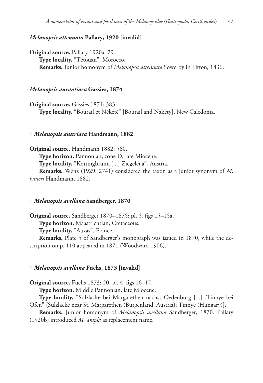# *Melanopsis attenuata* **Pallary, 1920 [invalid]**

**Original source.** Pallary 1920a: 29. **Type locality.** "Tétouan", Morocco. **Remarks.** Junior homonym of *Melanopsis attenuata* Sowerby in Fitton, 1836.

### *Melanopsis aurantiaca* **Gassies, 1874**

**Original source.** Gassies 1874: 383. **Type locality.** "Bourail et Nékété" [Bourail and Nakéty], New Caledonia.

#### **†** *Melanopsis austriaca* **Handmann, 1882**

**Original source.** Handmann 1882: 560. **Type horizon.** Pannonian, zone D, late Miocene. **Type locality.** "Kottingbrunn [...] Ziegelei a", Austria. **Remarks.** Wenz (1929: 2741) considered the taxon as a junior synonym of *M. haueri* Handmann, 1882.

# **†** *Melanopsis avellana* **Sandberger, 1870**

**Original source.** Sandberger 1870–1875: pl. 5, figs 15–15a. **Type horizon.** Maastrichtian, Cretaceous. **Type locality.** "Auzas", France.

**Remarks.** Plate 5 of Sandberger's monograph was issued in 1870, while the description on p. 110 appeared in 1871 (Woodward 1906).

#### **†** *Melanopsis avellana* **Fuchs, 1873 [invalid]**

**Original source.** Fuchs 1873: 20, pl. 4, figs 16–17.

**Type horizon.** Middle Pannonian, late Miocene.

**Type locality.** "Sulzlacke bei Margarethen nächst Oedenburg [...]. Tinnye bei Ofen" [Sulzlacke near St. Margarethen (Burgenland, Austria); Tinnye (Hungary)].

**Remarks.** Junior homonym of *Melanopsis avellana* Sandberger, 1870. Pallary (1920b) introduced *M. ampla* as replacement name.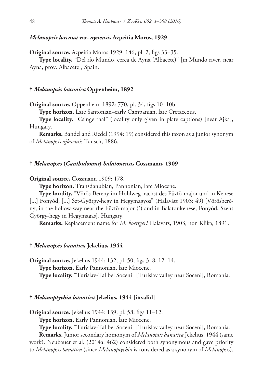### *Melanopsis lorcana* **var.** *aynensis* **Azpeitia Moros, 1929**

**Original source.** Azpeitia Moros 1929: 146, pl. 2, figs 33–35.

**Type locality.** "Del río Mundo, cerca de Ayna (Albacete)" [in Mundo river, near Ayna, prov. Albacete], Spain.

### **†** *Melanopsis baconica* **Oppenheim, 1892**

**Original source.** Oppenheim 1892: 770, pl. 34, figs 10–10b.

**Type horizon.** Late Santonian–early Campanian, late Cretaceous.

**Type locality.** "Csingerthal" (locality only given in plate captions) [near Ajka], Hungary.

**Remarks.** Bandel and Riedel (1994: 19) considered this taxon as a junior synonym of *Melanopsis ajkaensis* Tausch, 1886.

# **†** *Melanopsis* **(***Canthidomus***)** *balatonensis* **Cossmann, 1909**

### **Original source.** Cossmann 1909: 178.

**Type horizon.** Transdanubian, Pannonian, late Miocene.

**Type locality.** "Vörös-Bereny im Hohlweg nächst des Füzfö-major und in Kenese [...] Fonyód; [...] Szt-György-hegy in Hegymagyos" (Halaváts 1903: 49) [Vörösberény, in the hollow-way near the Füzfö-major (?) and in Balatonkenese; Fonyód; Szent György-hegy in Hegymagas], Hungary.

**Remarks.** Replacement name for *M. boettgeri* Halaváts, 1903, non Klika, 1891.

#### **†** *Melanopsis banatica* **Jekelius, 1944**

**Original source.** Jekelius 1944: 132, pl. 50, figs 3–8, 12–14. **Type horizon.** Early Pannonian, late Miocene. **Type locality.** "Turislav-Tal bei Soceni" [Turislav valley near Soceni], Romania.

### **†** *Melanoptychia banatica* **Jekelius, 1944 [invalid]**

**Original source.** Jekelius 1944: 139, pl. 58, figs 11–12.

**Type horizon.** Early Pannonian, late Miocene.

**Type locality.** "Turislav-Tal bei Soceni" [Turislav valley near Soceni], Romania.

**Remarks.** Junior secondary homonym of *Melanopsis banatica* Jekelius, 1944 (same work). Neubauer et al. (2014a: 462) considered both synonymous and gave priority to *Melanopsis banatica* (since *Melanoptychia* is considered as a synonym of *Melanopsis*).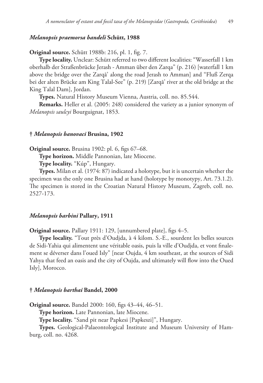### *Melanopsis praemorsa bandeli* **Schütt, 1988**

**Original source.** Schütt 1988b: 216, pl. 1, fig. 7.

**Type locality.** Unclear: Schütt referred to two different localities: "Wasserfall 1 km oberhalb der Straßenbrücke Jerash - Amman über den Zarqa" (p. 216) [waterfall 1 km above the bridge over the Zarqā' along the road Jerash to Amman] and "Fluß Zerqa bei der alten Brücke am King Talal-See" (p. 219) [Zarqā' river at the old bridge at the King Talal Dam], Jordan.

**Types.** Natural History Museum Vienna, Austria, coll. no. 85.544.

**Remarks.** Heller et al. (2005: 248) considered the variety as a junior synonym of *Melanopsis saulcyi* Bourguignat, 1853.

#### **†** *Melanopsis banovaci* **Brusina, 1902**

**Original source.** Brusina 1902: pl. 6, figs 67–68.

**Type horizon.** Middle Pannonian, late Miocene.

**Type locality.** "Kúp", Hungary.

**Types.** Milan et al. (1974: 87) indicated a holotype, but it is uncertain whether the specimen was the only one Brusina had at hand (holotype by monotypy, Art. 73.1.2). The specimen is stored in the Croatian Natural History Museum, Zagreb, coll. no. 2527-173.

# *Melanopsis barbini* **Pallary, 1911**

**Original source.** Pallary 1911: 129, [unnumbered plate], figs 4–5.

**Type locality.** "Tout près d'Oudjda, à 4 kilom. S.-E., sourdent les belles sources de Sidi-Yahia qui alimentent une véritable oasis, puis la ville d'Oudjda, et vont finalement se déverser dans l'oued Isly" [near Oujda, 4 km southeast, at the sources of Sidi Yahya that feed an oasis and the city of Oujda, and ultimately will flow into the Oued Isly], Morocco.

### **†** *Melanopsis barthai* **Bandel, 2000**

**Original source.** Bandel 2000: 160, figs 43–44, 46–51.

**Type horizon.** Late Pannonian, late Miocene.

**Type locality.** "Sand pit near Papkesi [Papkeszi]", Hungary.

**Types.** Geological-Palaeontological Institute and Museum University of Hamburg, coll. no. 4268.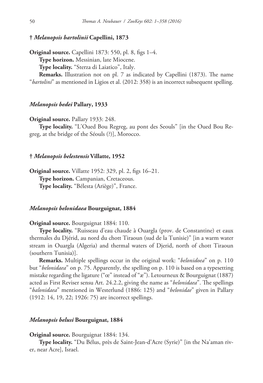# **†** *Melanopsis bartolinii* **Capellini, 1873**

**Original source.** Capellini 1873: 550, pl. 8, figs 1–4. **Type horizon.** Messinian, late Miocene. **Type locality.** "Sterza di Laiatico", Italy.

**Remarks.** Illustration not on pl. 7 as indicated by Capellini (1873). The name "*bartolini*" as mentioned in Ligios et al. (2012: 358) is an incorrect subsequent spelling.

# *Melanopsis bedei* **Pallary, 1933**

#### **Original source.** Pallary 1933: 248.

**Type locality.** "L'Oued Bou Regreg, au pont des Seouls" [in the Oued Bou Regreg, at the bridge of the Séouls (?)], Morocco.

### **†** *Melanopsis belestensis* **Villatte, 1952**

**Original source.** Villatte 1952: 329, pl. 2, figs 16–21. **Type horizon.** Campanian, Cretaceous. **Type locality.** "Bélesta (Ariège)", France.

### *Melanopsis belonidaea* **Bourguignat, 1884**

**Original source.** Bourguignat 1884: 110.

**Type locality.** "Ruisseau d'eau chaude à Ouargla (prov. de Constantine) et eaux thermales du Djérid, au nord du chott Tiraoun (sud de la Tunisie)" [in a warm water stream in Ouargla (Algeria) and thermal waters of Djerid, north of chott Tiraoun (southern Tunisia)].

**Remarks.** Multiple spellings occur in the original work: "*belonidoea*" on p. 110 but "*belonidaea*" on p. 75. Apparently, the spelling on p. 110 is based on a typesetting mistake regarding the ligature ("œ" instead of "æ"). Letourneux & Bourguignat (1887) acted as First Reviser sensu Art. 24.2.2, giving the name as "*belonidaea*". The spellings "*balonidaea*" mentioned in Westerlund (1886: 125) and "*belonidae*" given in Pallary (1912: 14, 19, 22; 1926: 75) are incorrect spellings.

### *Melanopsis belusi* **Bourguignat, 1884**

### **Original source.** Bourguignat 1884: 134.

**Type locality.** "Du Bélus, près de Saint-Jean-d'Acre (Syrie)" [in the Na'aman river, near Acre], Israel.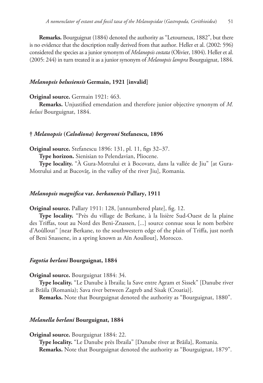**Remarks.** Bourguignat (1884) denoted the authority as "Letourneux, 1882", but there is no evidence that the description really derived from that author. Heller et al. (2002: 596) considered the species as a junior synonym of *Melanopsis costata* (Olivier, 1804). Heller et al. (2005: 244) in turn treated it as a junior synonym of *Melanopsis lampra* Bourguignat, 1884.

# *Melanopsis belusiensis* **Germain, 1921 [invalid]**

### **Original source.** Germain 1921: 463.

**Remarks.** Unjustified emendation and therefore junior objective synonym of *M. belusi* Bourguignat, 1884.

### **†** *Melanopsis* **(***Calodiona***)** *bergeroni* **Stefanescu, 1896**

**Original source.** Stefanescu 1896: 131, pl. 11, figs 32–37.

**Type horizon.** Sienisian to Pelendavian, Pliocene.

**Type locality.** "À Gura-Motrului et à Bocovatz, dans la vallée de Jiu" [at Gura-Motrului and at Bucovăț, in the valley of the river Jiu], Romania.

# *Melanopsis magnifica* **var.** *berkanensis* **Pallary, 1911**

**Original source.** Pallary 1911: 128, [unnumbered plate], fig. 12.

**Type locality.** "Près du village de Berkane, à la lisière Sud-Ouest de la plaine des Triffas, tout au Nord des Beni-Znassen, [...] source connue sous le nom berbère d'Aoûllout" [near Berkane, to the southwestern edge of the plain of Triffa, just north of Beni Snassene, in a spring known as Aïn Aoullout], Morocco.

# *Fagotia berlani* **Bourguignat, 1884**

### **Original source.** Bourguignat 1884: 34.

**Type locality.** "Le Danube à Ibraila; la Save entre Agram et Sissek" [Danube river at Brăila (Romania); Sava river between Zagreb and Sisak (Croatia)].

**Remarks.** Note that Bourguignat denoted the authority as "Bourguignat, 1880".

# *Melanella berlani* **Bourguignat, 1884**

### **Original source.** Bourguignat 1884: 22.

**Type locality.** "Le Danube près Ibraila" [Danube river at Brăila], Romania. **Remarks.** Note that Bourguignat denoted the authority as "Bourguignat, 1879".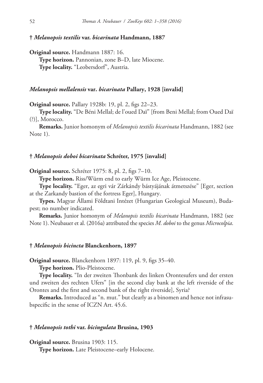### **†** *Melanopsis textilis* **var.** *bicarinata* **Handmann, 1887**

**Original source.** Handmann 1887: 16. **Type horizon.** Pannonian, zone B–D, late Miocene. **Type locality.** "Leobersdorf", Austria.

# *Melanopsis mellalensis* **var.** *bicarinata* **Pallary, 1928 [invalid]**

**Original source.** Pallary 1928b: 19, pl. 2, figs 22–23.

**Type locality.** "De Béni Mellal; de l'oued Daï" [from Beni Mellal; from Oued Daï (?)], Morocco.

**Remarks.** Junior homonym of *Melanopsis textilis bicarinata* Handmann, 1882 (see Note 1).

### **†** *Melanopsis doboi bicarinata* **Schréter, 1975 [invalid]**

**Original source.** Schréter 1975: 8, pl. 2, figs 7–10.

**Type horizon.** Riss/Würm end to early Würm Ice Age, Pleistocene.

**Type locality.** "Eger, az egri vár Zárkándy bástyájának átmetszése" [Eger, section at the Zarkandy bastion of the fortress Eger], Hungary.

**Types.** Magyar Állami Földtani Intézet (Hungarian Geological Museum), Budapest; no number indicated.

**Remarks.** Junior homonym of *Melanopsis textilis bicarinata* Handmann, 1882 (see Note 1). Neubauer et al. (2016a) attributed the species *M. doboi* to the genus *Microcolpia*.

#### **†** *Melanopsis bicincta* **Blanckenhorn, 1897**

**Original source.** Blanckenhorn 1897: 119, pl. 9, figs 35–40.

**Type horizon.** Plio-Pleistocene.

**Type locality.** "In der zweiten Thonbank des linken Orontesufers und der ersten und zweiten des rechten Ufers" [in the second clay bank at the left riverside of the Orontes and the first and second bank of the right riverside], Syria?

**Remarks.** Introduced as "n. mut." but clearly as a binomen and hence not infrasubspecific in the sense of ICZN Art. 45.6.

#### **†** *Melanopsis tothi* **var.** *bicingulata* **Brusina, 1903**

**Original source.** Brusina 1903: 115.

**Type horizon.** Late Pleistocene–early Holocene.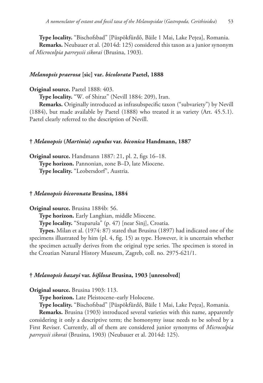**Type locality.** "Bischofsbad" [Püspökfürdő, Băile 1 Mai, Lake Pețea], Romania. **Remarks.** Neubauer et al. (2014d: 125) considered this taxon as a junior synonym of *Microcolpia parreyssii sikorai* (Brusina, 1903).

# *Melanopsis praerosa* **[sic] var.** *bicolorata* **Paetel, 1888**

**Original source.** Paetel 1888: 403.

**Type locality.** "W. of Shiraz" (Nevill 1884: 209), Iran.

**Remarks.** Originally introduced as infrasubspecific taxon ("subvariety") by Nevill (1884), but made available by Paetel (1888) who treated it as variety (Art. 45.5.1). Paetel clearly referred to the description of Nevill.

### **†** *Melanopsis* **(***Martinia***)** *capulus* **var.** *biconica* **Handmann, 1887**

**Original source.** Handmann 1887: 21, pl. 2, figs 16–18. **Type horizon.** Pannonian, zone B–D, late Miocene. **Type locality.** "Leobersdorf", Austria.

### **†** *Melanopsis bicoronata* **Brusina, 1884**

**Original source.** Brusina 1884b: 56.

**Type horizon.** Early Langhian, middle Miocene.

**Type locality.** "Stuparuša" (p. 47) [near Sinj], Croatia.

**Types.** Milan et al. (1974: 87) stated that Brusina (1897) had indicated one of the specimens illustrated by him (pl. 4, fig. 15) as type. However, it is uncertain whether the specimen actually derives from the original type series. The specimen is stored in the Croatian Natural History Museum, Zagreb, coll. no. 2975-621/1.

#### **†** *Melanopsis hazayi* **var.** *bifilosa* **Brusina, 1903 [unresolved]**

**Original source.** Brusina 1903: 113.

**Type horizon.** Late Pleistocene–early Holocene.

**Type locality.** "Bischofsbad" [Püspökfürdő, Băile 1 Mai, Lake Pețea], Romania.

**Remarks.** Brusina (1903) introduced several varieties with this name, apparently considering it only a descriptive term; the homonymy issue needs to be solved by a First Reviser. Currently, all of them are considered junior synonyms of *Microcolpia parreyssii sikorai* (Brusina, 1903) (Neubauer et al. 2014d: 125).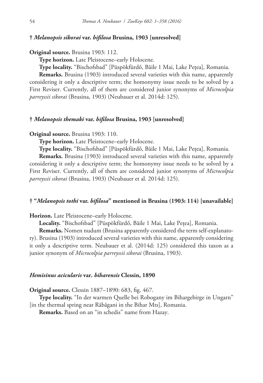### **†** *Melanopsis sikorai* **var.** *bifilosa* **Brusina, 1903 [unresolved]**

### **Original source.** Brusina 1903: 112.

**Type horizon.** Late Pleistocene–early Holocene.

**Type locality.** "Bischofsbad" [Püspökfürdő, Băile 1 Mai, Lake Pețea], Romania.

**Remarks.** Brusina (1903) introduced several varieties with this name, apparently considering it only a descriptive term; the homonymy issue needs to be solved by a First Reviser. Currently, all of them are considered junior synonyms of *Microcolpia parreyssii sikorai* (Brusina, 1903) (Neubauer et al. 2014d: 125).

# **†** *Melanopsis themaki* **var.** *bifilosa* **Brusina, 1903 [unresolved]**

#### **Original source.** Brusina 1903: 110.

**Type horizon.** Late Pleistocene–early Holocene.

**Type locality.** "Bischofsbad" [Püspökfürdő, Băile 1 Mai, Lake Pețea], Romania.

**Remarks.** Brusina (1903) introduced several varieties with this name, apparently considering it only a descriptive term; the homonymy issue needs to be solved by a First Reviser. Currently, all of them are considered junior synonyms of *Microcolpia parreyssii sikorai* (Brusina, 1903) (Neubauer et al. 2014d: 125).

# **† "***Melanopsis tothi* **var.** *bifilosa***" mentioned in Brusina (1903: 114) [unavailable]**

**Horizon.** Late Pleistocene–early Holocene.

**Locality.** "Bischofsbad" [Püspökfürdő, Băile 1 Mai, Lake Pețea], Romania.

**Remarks.** Nomen nudum (Brusina apparently considered the term self-explanatory). Brusina (1903) introduced several varieties with this name, apparently considering it only a descriptive term. Neubauer et al. (2014d: 125) considered this taxon as a junior synonym of *Microcolpia parreyssii sikorai* (Brusina, 1903).

# *Hemisinus acicularis* **var.** *biharensis* **Clessin, 1890**

**Original source.** Clessin 1887–1890: 683, fig. 467.

**Type locality.** "In der warmen Quelle bei Robogany im Bihargebirge in Ungarn" [in the thermal spring near Răbăgani in the Bihar Mts], Romania.

**Remarks.** Based on an "in schedis" name from Hazay.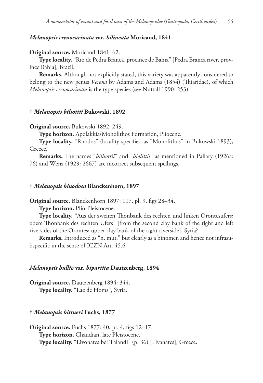### *Melanopsis crenocarinata* **var.** *bilineata* **Moricand, 1841**

#### **Original source.** Moricand 1841: 62.

**Type locality.** "Rio de Pedra Branca, procince de Bahia" [Pedra Branca river, province Bahia], Brazil.

**Remarks.** Although not explicitly stated, this variety was apparently considered to belong to the new genus *Verena* by Adams and Adams (1854) (Thiaridae), of which *Melanopsis crenocarinata* is the type species (see Nuttall 1990: 253).

#### **†** *Melanopsis biliottii* **Bukowski, 1892**

**Original source.** Bukowski 1892: 249.

**Type horizon.** Apolakkia/Monolithos Formation, Pliocene.

**Type locality.** "Rhodos" (locality specified as "Monolithos" in Bukowski 1893), Greece.

**Remarks.** The names "*billiottii*" and "*biolittii*" as mentioned in Pallary (1926a: 76) and Wenz (1929: 2667) are incorrect subsequent spellings.

### **†** *Melanopsis binodosa* **Blanckenhorn, 1897**

**Original source.** Blanckenhorn 1897: 117, pl. 9, figs 28–34.

**Type horizon.** Plio-Pleistocene.

**Type locality.** "Aus der zweiten Thonbank des rechten und linken Orontesufers; obere Thonbank des rechten Ufers" [from the second clay bank of the right and left riversides of the Orontes; upper clay bank of the right riverside], Syria?

**Remarks.** Introduced as "n. mut." but clearly as a binomen and hence not infrasubspecific in the sense of ICZN Art. 45.6.

#### *Melanopsis bullio* **var.** *bipartita* **Dautzenberg, 1894**

**Original source.** Dautzenberg 1894: 344. **Type locality.** "Lac de Homs", Syria.

#### **†** *Melanopsis bittneri* **Fuchs, 1877**

**Original source.** Fuchs 1877: 40, pl. 4, figs 12–17. **Type horizon.** Chaudian, late Pleistocene. **Type locality.** "Livonates bei Talandi" (p. 36) [Livanates], Greece.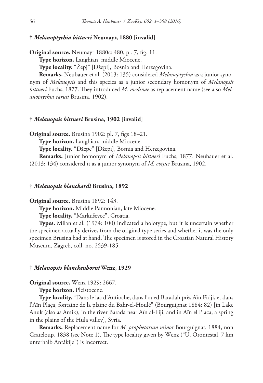# **†** *Melanoptychia bittneri* **Neumayr, 1880 [invalid]**

**Original source.** Neumayr 1880c: 480, pl. 7, fig. 11.

**Type horizon.** Langhian, middle Miocene.

**Type locality.** "Žepj" [Džepi], Bosnia and Herzegovina.

**Remarks.** Neubauer et al. (2013: 135) considered *Melanoptychia* as a junior synonym of *Melanopsis* and this species as a junior secondary homonym of *Melanopsis bittneri* Fuchs, 1877. They introduced *M. medinae* as replacement name (see also *Melanoptychia carusi* Brusina, 1902).

# **†** *Melanopsis bittneri* **Brusina, 1902 [invalid]**

**Original source.** Brusina 1902: pl. 7, figs 18–21.

**Type horizon.** Langhian, middle Miocene.

**Type locality.** "Džepe" [Džepi], Bosnia and Herzegovina.

**Remarks.** Junior homonym of *Melanopsis bittneri* Fuchs, 1877. Neubauer et al. (2013: 134) considered it as a junior synonym of *M. cvijici* Brusina, 1902.

### **†** *Melanopsis blanchardi* **Brusina, 1892**

**Original source.** Brusina 1892: 143.

**Type horizon.** Middle Pannonian, late Miocene.

**Type locality.** "Markuševec", Croatia.

**Types.** Milan et al. (1974: 100) indicated a holotype, but it is uncertain whether the specimen actually derives from the original type series and whether it was the only specimen Brusina had at hand. The specimen is stored in the Croatian Natural History Museum, Zagreb, coll. no. 2539-185.

### **†** *Melanopsis blanckenhorni* **Wenz, 1929**

**Original source.** Wenz 1929: 2667.

**Type horizon.** Pleistocene.

**Type locality.** "Dans le lac d'Antioche, dans l'oued Baradah près Aïn Fidji, et dans l'Aïn Plaça, fontaine de la plaine du Bahr-el-Houlé" (Bourguignat 1884: 82) [in Lake Anuk (also as Amik), in the river Barada near Aïn al-Fiji, and in Aïn el Placa, a spring in the plains of the Hula valley], Syria.

**Remarks.** Replacement name for *M. prophetarum minor* Bourguignat, 1884, non Grateloup, 1838 (see Note 1). The type locality given by Wenz ("U. Orontestal, 7 km unterhalb Antâkîje") is incorrect.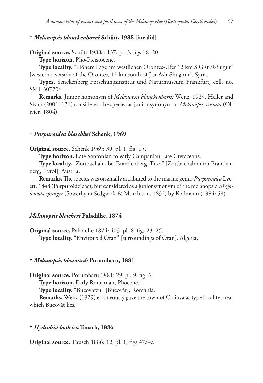# **†** *Melanopsis blanckenhorni* **Schütt, 1988 [invalid]**

**Original source.** Schütt 1988a: 137, pl. 3, figs 18–20.

**Type horizon.** Plio-Pleistocene.

**Type locality.** "Höhere Lage am westlichen Orontes-Ufer 12 km S Ǧisr aš-Šugur" [western riverside of the Orontes, 12 km south of Jisr Ash-Shughur], Syria.

**Types.** Senckenberg Forschungsinstitut und Naturmuseum Frankfurt, coll. no. SMF 307206.

**Remarks.** Junior homonym of *Melanopsis blanckenhorni* Wenz, 1929. Heller and Sivan (2001: 131) considered the species as junior synonym of *Melanopsis costata* (Olivier, 1804).

### **†** *Purpuroidea blaschkei* **Schenk, 1969**

**Original source.** Schenk 1969: 39, pl. 1, fig. 15.

**Type horizon.** Late Santonian to early Campanian, late Cretaceous.

**Type locality.** "Zöttbachalm bei Brandenberg, Tirol" [Zöttbachalm near Brandenberg, Tyrol], Austria.

**Remarks.** The species was originally attributed to the marine genus *Purpuroidea* Lycett, 1848 (Purpuroideidae), but considered as a junior synonym of the melanopsid *Megalonoda spiniger* (Sowerby in Sedgwick & Murchison, 1832) by Kollmann (1984: 58).

### *Melanopsis bleicheri* **Paladilhe, 1874**

**Original source.** Paladilhe 1874: 403, pl. 8, figs 23–25. **Type locality.** "Environs d'Oran" [surroundings of Oran], Algeria.

# **†** *Melanopsis bleunardi* **Porumbaru, 1881**

**Original source.** Porumbaru 1881: 29, pl. 9, fig. 6.

**Type horizon.** Early Romanian, Pliocene.

**Type locality.** "Bucovatzu" [Bucovăț], Romania.

**Remarks.** Wenz (1929) erroneously gave the town of Craiova as type locality, near which Bucovăț lies.

### **†** *Hydrobia bodeica* **Tausch, 1886**

**Original source.** Tausch 1886: 12, pl. 1, figs 47a–c.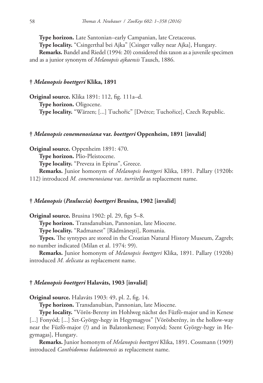**Type horizon.** Late Santonian–early Campanian, late Cretaceous.

**Type locality.** "Csingerthal bei Ajka" [Csinger valley near Ajka], Hungary.

**Remarks.** Bandel and Riedel (1994: 20) considered this taxon as a juvenile specimen and as a junior synonym of *Melanopsis ajkaensis* Tausch, 1886.

# **†** *Melanopsis boettgeri* **Klika, 1891**

**Original source.** Klika 1891: 112, fig. 111a–d. **Type horizon.** Oligocene. **Type locality.** "Wärzen; [...] Tuchořic" [Dvérce; Tuchořice], Czech Republic.

# **†** *Melanopsis conemenosiana* **var.** *boettgeri* **Oppenheim, 1891 [invalid]**

**Original source.** Oppenheim 1891: 470. **Type horizon.** Plio-Pleistocene. **Type locality.** "Preveza in Epirus", Greece. **Remarks.** Junior homonym of *Melanopsis boettgeri* Klika, 1891. Pallary (1920b: 112) introduced *M. conemenosiana* var. *turritella* as replacement name.

# **†** *Melanopsis* **(***Pauluccia***)** *boettgeri* **Brusina, 1902 [invalid]**

**Original source.** Brusina 1902: pl. 29, figs 5–8.

**Type horizon.** Transdanubian, Pannonian, late Miocene.

**Type locality.** "Radmanest" [Rădmănești], Romania.

**Types.** The syntypes are stored in the Croatian Natural History Museum, Zagreb; no number indicated (Milan et al. 1974: 99).

**Remarks.** Junior homonym of *Melanopsis boettgeri* Klika, 1891. Pallary (1920b) introduced *M. delicata* as replacement name.

# **†** *Melanopsis boettgeri* **Halaváts, 1903 [invalid]**

**Original source.** Halaváts 1903: 49, pl. 2, fig. 14.

**Type horizon.** Transdanubian, Pannonian, late Miocene.

**Type locality.** "Vörös-Bereny im Hohlweg nächst des Füzfö-major und in Kenese [...] Fonyód; [...] Szt-György-hegy in Hegymagyos" [Vörösberény, in the hollow-way near the Füzfö-major (?) and in Balatonkenese; Fonyód; Szent György-hegy in Hegymagas], Hungary.

**Remarks.** Junior homonym of *Melanopsis boettgeri* Klika, 1891. Cossmann (1909) introduced *Canthidomus balatonensis* as replacement name.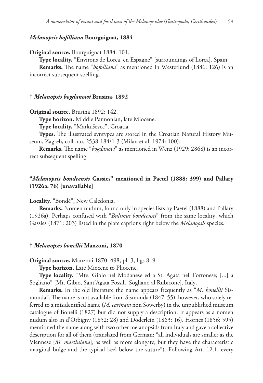# *Melanopsis bofilliana* **Bourguignat, 1884**

**Original source.** Bourguignat 1884: 101.

**Type locality.** "Environs de Lorca, en Espagne" [surroundings of Lorca], Spain.

**Remarks.** The name "*bofolliana*" as mentioned in Westerlund (1886: 126) is an incorrect subsequent spelling.

#### **†** *Melanopsis bogdanowi* **Brusina, 1892**

**Original source.** Brusina 1892: 142.

**Type horizon.** Middle Pannonian, late Miocene.

**Type locality.** "Markuševec", Croatia.

**Types.** The illustrated syntypes are stored in the Croatian Natural History Museum, Zagreb, coll. no. 2538-184/1-3 (Milan et al. 1974: 100).

**Remarks.** The name "*bogdanovi*" as mentioned in Wenz (1929: 2868) is an incorrect subsequent spelling.

# **"***Melanopsis bondeensis* **Gassies" mentioned in Paetel (1888: 399) and Pallary (1926a: 76) [unavailable]**

**Locality.** "Bondé", New Caledonia.

**Remarks.** Nomen nudum, found only in species lists by Paetel (1888) and Pallary (1926a). Perhaps confused with "*Bulimus bondeensis*" from the same locality, which Gassies (1871: 203) listed in the plate captions right below the *Melanopsis* species.

#### **†** *Melanopsis bonellii* **Manzoni, 1870**

**Original source.** Manzoni 1870: 498, pl. 3, figs 8–9.

**Type horizon.** Late Miocene to Pliocene.

**Type locality.** "Mte. Gibio nel Modanese ed a St. Agata nel Tortonese; [...] a Sogliano" [Mt. Gibio, Sant'Agata Fossili, Sogliano al Rubicone], Italy.

**Remarks.** In the old literature the name appears frequently as "*M. bonellii* Sismonda". The name is not available from Sismonda (1847: 55), however, who solely referred to a misidentified name (*M. carinata* non Sowerby) in the unpublished museum catalogue of Bonelli (1827) but did not supply a description. It appears as a nomen nudum also in d'Orbigny (1852: 28) and Doderlein (1863: 16). Hörnes (1856: 595) mentioned the name along with two other melanopsids from Italy and gave a collective description for all of them (translated from German: "all individuals are smaller as the Viennese [*M. martiniana*], as well as more elongate, but they have the characteristic marginal bulge and the typical keel below the suture"). Following Art. 12.1, every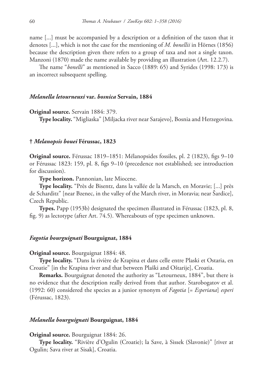name [...] must be accompanied by a description or a definition of the taxon that it denotes [...], which is not the case for the mentioning of *M. bonellii* in Hörnes (1856) because the description given there refers to a group of taxa and not a single taxon. Manzoni (1870) made the name available by providing an illustration (Art. 12.2.7).

The name "*bonelli*" as mentioned in Sacco (1889: 65) and Syrides (1998: 173) is an incorrect subsequent spelling.

#### *Melanella letourneuxi* **var.** *bosnica* **Servain, 1884**

### **Original source.** Servain 1884: 379.

**Type locality.** "Migliaska" [Miljacka river near Sarajevo], Bosnia and Herzegovina.

#### **†** *Melanopsis bouei* **Férussac, 1823**

**Original source.** Férussac 1819–1851: Mélanopsides fossiles, pl. 2 (1823), figs 9–10 or Férussac 1823: 159, pl. 8, figs 9–10 (precedence not established; see introduction for discussion).

**Type horizon.** Pannonian, late Miocene.

**Type locality.** "Près de Bisentz, dans la vallée de la Marsch, en Moravie; [...] près de Scharditz" [near Bzenec, in the valley of the March river, in Moravia; near Šardice], Czech Republic.

**Types.** Papp (1953b) designated the specimen illustrated in Férussac (1823, pl. 8, fig. 9) as lectotype (after Art. 74.5). Whereabouts of type specimen unknown.

### *Fagotia bourguignati* **Bourguignat, 1884**

#### **Original source.** Bourguignat 1884: 48.

**Type locality.** "Dans la rivière de Krapina et dans celle entre Plaski et Ostaria, en Croatie" [in the Krapina river and that between Plaški and Oštarije], Croatia.

**Remarks.** Bourguignat denoted the authority as "Letourneux, 1884", but there is no evidence that the description really derived from that author. Starobogatov et al. (1992: 60) considered the species as a junior synonym of *Fagotia* [= *Esperiana*] *esperi* (Férussac, 1823).

### *Melanella bourguignati* **Bourguignat, 1884**

### **Original source.** Bourguignat 1884: 26.

**Type locality.** "Rivière d'Ogulin (Croatie); la Save, à Sissek (Slavonie)" [river at Ogulin; Sava river at Sisak], Croatia.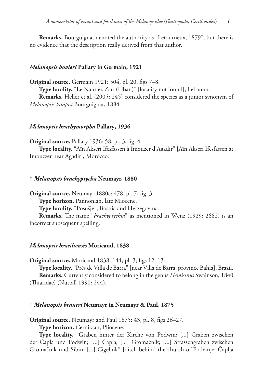**Remarks.** Bourguignat denoted the authority as "Letourneux, 1879", but there is no evidence that the description really derived from that author.

#### *Melanopsis bovieri* **Pallary in Germain, 1921**

**Original source.** Germain 1921: 504, pl. 20, figs 7–8.

**Type locality.** "Le Nahr ez Zaïr (Liban)" [locality not found], Lebanon.

**Remarks.** Heller et al. (2005: 245) considered the species as a junior synonym of *Melanopsis lampra* Bourguignat, 1884.

### *Melanopsis brachymorpha* **Pallary, 1936**

**Original source.** Pallary 1936: 58, pl. 3, fig. 4.

**Type locality.** "Aïn Akseri Ifesfassen à Imouzer d'Agadir" [Aïn Akseri Ifesfassen at Imouzzer near Agadir], Morocco.

#### **†** *Melanopsis brachyptycha* **Neumayr, 1880**

**Original source.** Neumayr 1880c: 478, pl. 7, fig. 3. **Type horizon.** Pannonian, late Miocene. **Type locality.** "Posušje", Bosnia and Herzegovina. **Remarks.** The name "*brachyptychia*" as mentioned in Wenz (1929: 2682) is an

incorrect subsequent spelling.

#### *Melanopsis brasiliensis* **Moricand, 1838**

**Original source.** Moricand 1838: 144, pl. 3, figs 12–13.

**Type locality.** "Près de Villa de Barra" [near Villa de Barra, province Bahia], Brazil. **Remarks.** Currently considered to belong in the genus *Hemisinus* Swainson, 1840 (Thiaridae) (Nuttall 1990: 244).

## **†** *Melanopsis braueri* **Neumayr in Neumayr & Paul, 1875**

**Original source.** Neumayr and Paul 1875: 43, pl. 8, figs 26–27.

**Type horizon.** Cernikian, Pliocene.

**Type locality.** "Graben hinter der Kirche von Podwin; [...] Graben zwischen der Čapla und Podwin; [...] Čapla; [...] Gromačnik; [...] Strassengraben zwischen Gromačnik und Sibin; [...] Cigelnik" [ditch behind the church of Podvinje; Čaplja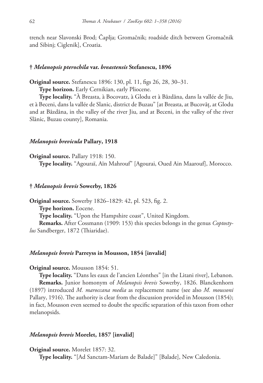trench near Slavonski Brod; Čaplja; Gromačnik; roadside ditch between Gromačnik and Sibinj; Ciglenik], Croatia.

# **†** *Melanopsis pterochila* **var.** *breastensis* **Stefanescu, 1896**

**Original source.** Stefanescu 1896: 130, pl. 11, figs 26, 28, 30–31.

**Type horizon.** Early Cernikian, early Pliocene.

**Type locality.** "À Breasta, à Bocovatz, à Glodu et à Bâzdâna, dans la vallée de Jiu, et à Beceni, dans la vallée de Slanic, district de Buzau" [at Breasta, at Bucovăț, at Glodu and at Bâzdâna, in the valley of the river Jiu, and at Beceni, in the valley of the river Slănic, Buzau county], Romania.

### *Melanopsis brevicula* **Pallary, 1918**

**Original source.** Pallary 1918: 150.

**Type locality.** "Agouraï, Aïn Mahrouf" [Agourai, Oued Ain Maarouf], Morocco.

#### **†** *Melanopsis brevis* **Sowerby, 1826**

**Original source.** Sowerby 1826–1829: 42, pl. 523, fig. 2. **Type horizon.** Eocene. **Type locality.** "Upon the Hampshire coast", United Kingdom. **Remarks.** After Cossmann (1909: 153) this species belongs in the genus *Coptostylus* Sandberger, 1872 (Thiaridae).

### *Melanopsis brevis* **Parreyss in Mousson, 1854 [invalid]**

#### **Original source.** Mousson 1854: 51.

**Type locality.** "Dans les eaux de l'ancien Léonthes" [in the Litani river], Lebanon. **Remarks.** Junior homonym of *Melanopsis brevis* Sowerby, 1826. Blanckenhorn (1897) introduced *M. maroccana media* as replacement name (see also *M. moussoni* Pallary, 1916). The authority is clear from the discussion provided in Mousson (1854); in fact, Mousson even seemed to doubt the specific separation of this taxon from other melanopsids.

# *Melanopsis brevis* **Morelet, 1857 [invalid]**

**Original source.** Morelet 1857: 32.

**Type locality.** "[Ad Sanctam-Mariam de Balade]" [Balade], New Caledonia.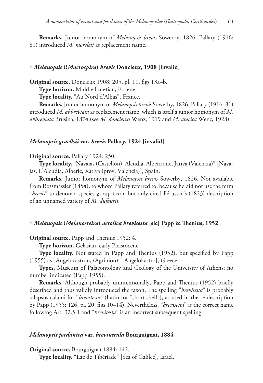**Remarks.** Junior homonym of *Melanopsis brevis* Sowerby, 1826. Pallary (1916: 81) introduced *M. moreleti* as replacement name.

#### **†** *Melanopsis* **(?***Macrospira***)** *brevis* **Doncieux, 1908 [invalid]**

**Original source.** Doncieux 1908: 205, pl. 11, figs 13a–b.

**Type horizon.** Middle Lutetian, Eocene.

**Type locality.** "Au Nord d'Albas", France.

**Remarks.** Junior homonym of *Melanopsis brevis* Sowerby, 1826. Pallary (1916: 81) introduced *M. abbreviata* as replacement name, which is itself a junior homonym of *M. abbreviata* Brusina, 1874 (see *M. doncieuxi* Wenz, 1919 and *M. atacica* Wenz, 1928).

### *Melanopsis graellsii* **var.** *brevis* **Pallary, 1924 [invalid]**

### **Original source.** Pallary 1924: 250.

**Type locality.** "Navajas (Castellón), Alcudia, Alberrique, Jativa (Valencia)" [Navajas, L'Alcúdia, Alberic, Xàtiva (prov. Valencia)], Spain.

**Remarks.** Junior homonym of *Melanopsis brevis* Sowerby, 1826. Not available from Rossmässler (1854), to whom Pallary referred to, because he did not use the term "*brevis*" to denote a species-group taxon but only cited Férussac's (1823) description of an unnamed variety of *M. dufourii*.

#### **†** *Melanopsis* **(***Melanosteira***)** *aetolica brevisesta* **[sic] Papp & Thenius, 1952**

**Original source.** Papp and Thenius 1952: 4.

**Type horizon.** Gelasian, early Pleistocene.

**Type locality.** Not stated in Papp and Thenius (1952), but specified by Papp (1955) as "Angelocastron, (Agrinion)" [Angelókastro], Greece.

**Types.** Museum of Palaeontology and Geology of the University of Athens; no number indicated (Papp 1955).

**Remarks.** Although probably unintentionally, Papp and Thenius (1952) briefly described and thus validly introduced the taxon. The spelling "*brevisesta*" is probably a lapsus calami for "*brevitesta*" (Latin for "short shell"), as used in the re-description by Papp (1955: 126, pl. 20, figs 10–14). Nevertheless, "*brevisesta*" is the correct name following Art. 32.5.1 and "*brevitesta*" is an incorrect subsequent spelling.

# *Melanopsis jordanica* **var.** *breviuscula* **Bourguignat, 1884**

**Original source.** Bourguignat 1884: 142.

**Type locality.** "Lac de Tibériade" [Sea of Galilee], Israel.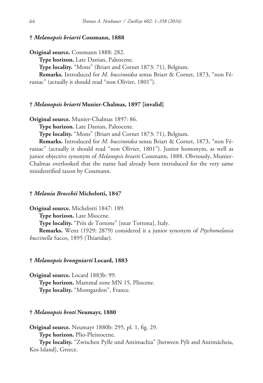# **†** *Melanopsis briarti* **Cossmann, 1888**

**Original source.** Cossmann 1888: 282.

**Type horizon.** Late Danian, Paleocene.

**Type locality.** "Mons" (Briart and Cornet 1873: 71), Belgium.

**Remarks.** Introduced for *M. buccinoidea* sensu Briart & Cornet, 1873, "non Fé-

russac" (actually it should read "non Olivier, 1801").

# **†** *Melanopsis briarti* **Munier-Chalmas, 1897 [invalid]**

**Original source.** Munier-Chalmas 1897: 86.

**Type horizon.** Late Danian, Paleocene.

**Type locality.** "Mons" (Briart and Cornet 1873: 71), Belgium.

**Remarks.** Introduced for *M. buccinoidea* sensu Briart & Cornet, 1873, "non Férussac" (actually it should read "non Olivier, 1801"). Junior homonym, as well as junior objective synonym of *Melanopsis briarti* Cossmann, 1888. Obviously, Munier-Chalmas overlooked that the name had already been introduced for the very same misidentified taxon by Cossmann.

### **†** *Melania Brocchii* **Michelotti, 1847**

**Original source.** Michelotti 1847: 189. **Type horizon.** Late Miocene. **Type locality.** "Près de Tortone" [near Tortona], Italy. **Remarks.** Wenz (1929: 2879) considered it a junior synonym of *Ptychomelania buccinella* Sacco, 1895 (Thiaridae).

# **†** *Melanopsis brongniarti* **Locard, 1883**

**Original source.** Locard 1883b: 99. **Type horizon.** Mammal zone MN 15, Pliocene. **Type locality.** "Montgardon", France.

# **†** *Melanopsis broti* **Neumayr, 1880**

**Original source.** Neumayr 1880b: 295, pl. 1, fig. 29.

**Type horizon.** Plio-Pleistocene.

**Type locality.** "Zwischen Pylle und Antimachia" [between Pýli and Antimácheia, Kos Island], Greece.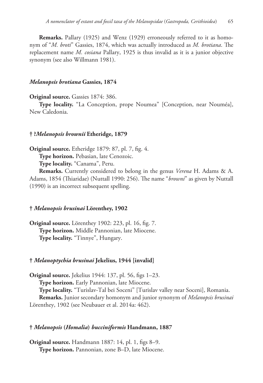**Remarks.** Pallary (1925) and Wenz (1929) erroneously referred to it as homonym of "*M. broti*" Gassies, 1874, which was actually introduced as *M. brotiana*. The replacement name *M. cosiana* Pallary, 1925 is thus invalid as it is a junior objective synonym (see also Willmann 1981).

# *Melanopsis brotiana* **Gassies, 1874**

**Original source.** Gassies 1874: 386.

**Type locality.** "La Conception, prope Noumea" [Conception, near Nouméa], New Caledonia.

### **† ?***Melanopsis brownii* **Etheridge, 1879**

**Original source.** Etheridge 1879: 87, pl. 7, fig. 4.

**Type horizon.** Pebasian, late Cenozoic.

**Type locality.** "Canama", Peru.

**Remarks.** Currently considered to belong in the genus *Verena* H. Adams & A. Adams, 1854 (Thiaridae) (Nuttall 1990: 256). The name "*browni*" as given by Nuttall (1990) is an incorrect subsequent spelling.

# **†** *Melanopsis brusinai* **Lörenthey, 1902**

**Original source.** Lörenthey 1902: 223, pl. 16, fig. 7. **Type horizon.** Middle Pannonian, late Miocene. **Type locality.** "Tinnye", Hungary.

# **†** *Melanoptychia brusinai* **Jekelius, 1944 [invalid]**

**Original source.** Jekelius 1944: 137, pl. 56, figs 1–23. **Type horizon.** Early Pannonian, late Miocene. **Type locality.** "Turislav-Tal bei Soceni" [Turislav valley near Soceni], Romania. **Remarks.** Junior secondary homonym and junior synonym of *Melanopsis brusinai* Lörenthey, 1902 (see Neubauer et al. 2014a: 462).

#### **†** *Melanopsis* **(***Homalia***)** *bucciniformis* **Handmann, 1887**

**Original source.** Handmann 1887: 14, pl. 1, figs 8–9. **Type horizon.** Pannonian, zone B–D, late Miocene.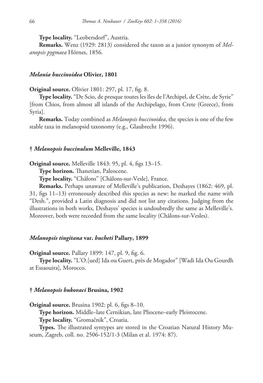**Type locality.** "Leobersdorf", Austria.

**Remarks.** Wenz (1929: 2813) considered the taxon as a junior synonym of *Melanopsis pygmaea* Hörnes, 1856.

### *Melania buccinoidea* **Olivier, 1801**

**Original source.** Olivier 1801: 297, pl. 17, fig. 8.

**Type locality.** "De Scio, de presque toutes les îles de l'Archipel, de Crète, de Syrie" [from Chios, from almost all islands of the Archipelago, from Crete (Greece), from Syria].

**Remarks.** Today combined as *Melanopsis buccinoidea*, the species is one of the few stable taxa in melanopsid taxonomy (e.g., Glaubrecht 1996).

### **†** *Melanopsis buccinulum* **Melleville, 1843**

**Original source.** Melleville 1843: 95, pl. 4, figs 13–15.

**Type horizon.** Thanetian, Paleocene.

**Type locality.** "Châlons" [Châlons-sur-Vesle], France.

**Remarks.** Perhaps unaware of Melleville's publication, Deshayes (1862: 469, pl. 31, figs 11–13) erroneously described this species as new: he marked the name with "Desh.", provided a Latin diagnosis and did not list any citations. Judging from the illustrations in both works, Deshayes' species is undoubtedly the same as Melleville's. Moreover, both were recorded from the same locality (Châlons-sur-Vesles).

# *Melanopsis tingitana* **var.** *bucheti* **Pallary, 1899**

**Original source.** Pallary 1899: 147, pl. 9, fig. 6.

**Type locality.** "L'O.[ued] Ida ou Guert, près de Mogador" [Wadi Ida Ou Gourdh at Essaouira], Morocco.

#### **†** *Melanopsis bukovaci* **Brusina, 1902**

**Original source.** Brusina 1902: pl. 6, figs 8–10.

**Type horizon.** Middle–late Cernikian, late Pliocene–early Pleistocene.

**Type locality.** "Gromačnik", Croatia.

**Types.** The illustrated syntypes are stored in the Croatian Natural History Museum, Zagreb, coll. no. 2506-152/1-3 (Milan et al. 1974: 87).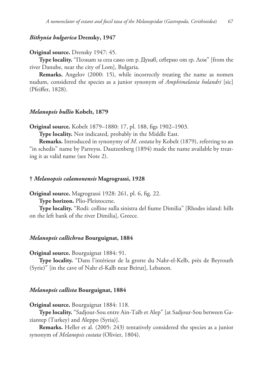# *Bithynia bulgarica* **Drensky, 1947**

#### **Original source.** Drensky 1947: 45.

**Type locality.** "Познат за сега само от р. Дунав, северно от гр. Лом" [from the river Danube, near the city of Lom], Bulgaria.

**Remarks.** Angelov (2000: 15), while incorrectly treating the name as nomen nudum, considered the species as a junior synonym of *Amphimelania holandri* [sic] (Pfeiffer, 1828).

### *Melanopsis bullio* **Kobelt, 1879**

**Original source.** Kobelt 1879–1880: 17, pl. 188, figs 1902–1903.

**Type locality.** Not indicated, probably in the Middle East.

**Remarks.** Introduced in synonymy of *M. costata* by Kobelt (1879), referring to an "in schedis" name by Parreyss. Dautzenberg (1894) made the name available by treating it as valid name (see Note 2).

#### **†** *Melanopsis calamonensis* **Magrograssi, 1928**

**Original source.** Magrograssi 1928: 261, pl. 6, fig. 22.

**Type horizon.** Plio-Pleistocene.

**Type locality.** "Rodi: colline sulla sinistra del fiume Dimilia" [Rhodes island: hills on the left bank of the river Dimilia], Greece.

### *Melanopsis callichroa* **Bourguignat, 1884**

**Original source.** Bourguignat 1884: 91.

**Type locality.** "Dans l'intérieur de la grotte du Nahr-el-Kelb, près de Beyrouth (Syrie)" [in the cave of Nahr el-Kalb near Beirut], Lebanon.

### *Melanopsis callista* **Bourguignat, 1884**

**Original source.** Bourguignat 1884: 118.

**Type locality.** "Sadjour-Sou entre Ain-Taïb et Alep" [at Sadjour-Sou between Gaziantep (Turkey) and Aleppo (Syria)].

**Remarks.** Heller et al. (2005: 243) tentatively considered the species as a junior synonym of *Melanopsis costata* (Olivier, 1804).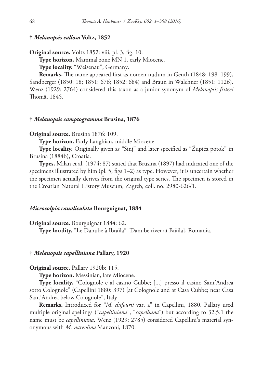### **†** *Melanopsis callosa* **Voltz, 1852**

**Original source.** Voltz 1852: viii, pl. 3, fig. 10.

**Type horizon.** Mammal zone MN 1, early Miocene.

**Type locality.** "Weisenau", Germany.

**Remarks.** The name appeared first as nomen nudum in Genth (1848: 198–199), Sandberger (1850: 18; 1851: 676; 1852: 684) and Braun in Walchner (1851: 1126). Wenz (1929: 2764) considered this taxon as a junior synonym of *Melanopsis fritzei* Thomä, 1845.

# **†** *Melanopsis camptogramma* **Brusina, 1876**

**Original source.** Brusina 1876: 109.

**Type horizon.** Early Langhian, middle Miocene.

**Type locality.** Originally given as "Sinj" and later specified as "Župića potok" in Brusina (1884b), Croatia.

**Types.** Milan et al. (1974: 87) stated that Brusina (1897) had indicated one of the specimens illustrated by him (pl. 5, figs 1–2) as type. However, it is uncertain whether the specimen actually derives from the original type series. The specimen is stored in the Croatian Natural History Museum, Zagreb, coll. no. 2980-626/1.

# *Microcolpia canaliculata* **Bourguignat, 1884**

**Original source.** Bourguignat 1884: 62.

**Type locality.** "Le Danube à Ibraïla" [Danube river at Brăila], Romania.

### **†** *Melanopsis capelliniana* **Pallary, 1920**

**Original source.** Pallary 1920b: 115.

**Type horizon.** Messinian, late Miocene.

**Type locality.** "Colognole e al casino Cubbe; [...] presso il casino Sant'Andrea sotto Colognole" (Capellini 1880: 397) [at Colognole and at Casa Cubbe; near Casa Sant'Andrea below Colognole", Italy.

**Remarks.** Introduced for "*M. dufourii* var. a" in Capellini, 1880. Pallary used multiple original spellings ("*capelliniana*", "*capelliana*") but according to 32.5.1 the name must be *capelliniana*. Wenz (1929: 2785) considered Capellini's material synonymous with *M. narzolina* Manzoni, 1870.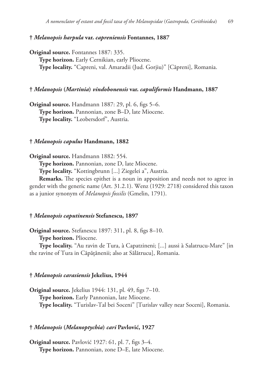# **†** *Melanopsis harpula* **var.** *capreniensis* **Fontannes, 1887**

**Original source.** Fontannes 1887: 335. **Type horizon.** Early Cernikian, early Pliocene. **Type locality.** "Capreni, val. Amaradii (Jud. Gorjiu)" [Căpreni], Romania.

### **†** *Melanopsis* **(***Martinia***)** *vindobonensis* **var.** *capuliformis* **Handmann, 1887**

**Original source.** Handmann 1887: 29, pl. 6, figs 5–6. **Type horizon.** Pannonian, zone B–D, late Miocene. **Type locality.** "Leobersdorf", Austria.

### **†** *Melanopsis capulus* **Handmann, 1882**

**Original source.** Handmann 1882: 554.

**Type horizon.** Pannonian, zone D, late Miocene.

**Type locality.** "Kottingbrunn [...] Ziegelei a", Austria.

**Remarks.** The species epithet is a noun in apposition and needs not to agree in gender with the generic name (Art. 31.2.1). Wenz (1929: 2718) considered this taxon as a junior synonym of *Melanopsis fossilis* (Gmelin, 1791).

# **†** *Melanopsis caputinensis* **Stefanescu, 1897**

**Original source.** Stefanescu 1897: 311, pl. 8, figs 8–10.

**Type horizon.** Pliocene.

**Type locality.** "Au ravin de Tura, à Capatzineni; [...] aussi à Salatrucu-Mare" [in the ravine of Tura in Căpățânenii; also at Sălătrucu], Romania.

# **†** *Melanopsis carasiensis* **Jekelius, 1944**

**Original source.** Jekelius 1944: 131, pl. 49, figs 7–10. **Type horizon.** Early Pannonian, late Miocene. **Type locality.** "Turislav-Tal bei Soceni" [Turislav valley near Soceni], Romania.

# **†** *Melanopsis* **(***Melanoptychia***)** *cari* **Pavlović, 1927**

**Original source.** Pavlović 1927: 61, pl. 7, figs 3–4. **Type horizon.** Pannonian, zone D–E, late Miocene.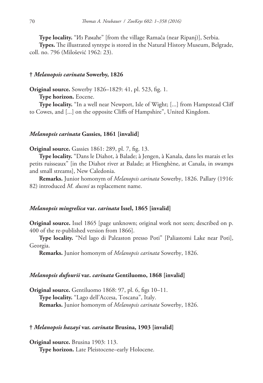**Type locality.** "Из Рамаће" [from the village Ramača (near Ripanj)], Serbia.

**Types.** The illustrated syntype is stored in the Natural History Museum, Belgrade, coll. no. 796 (Milošević 1962: 23).

## **†** *Melanopsis carinata* **Sowerby, 1826**

**Original source.** Sowerby 1826–1829: 41, pl. 523, fig. 1.

**Type horizon.** Eocene.

**Type locality.** "In a well near Newport, Isle of Wight; [...] from Hampstead Cliff to Cowes, and [...] on the opposite Cliffs of Hampshire", United Kingdom.

### *Melanopsis carinata* **Gassies, 1861 [invalid]**

**Original source.** Gassies 1861: 289, pl. 7, fig. 13.

**Type locality.** "Dans le Diahot, à Balade; à Jengen, à Kanala, dans les marais et les petits ruisseaux" [in the Diahot river at Balade; at Hienghène, at Canala, in swamps and small streams], New Caledonia.

**Remarks.** Junior homonym of *Melanopsis carinata* Sowerby, 1826. Pallary (1916: 82) introduced *M. ducosi* as replacement name.

# *Melanopsis mingrelica* **var.** *carinata* **Issel, 1865 [invalid]**

**Original source.** Issel 1865 [page unknown; original work not seen; described on p. 400 of the re-published version from 1866].

**Type locality.** "Nel lago di Paleaston presso Poti" [Paliastomi Lake near Poti], Georgia.

**Remarks.** Junior homonym of *Melanopsis carinata* Sowerby, 1826.

#### *Melanopsis dufourii* **var.** *carinata* **Gentiluomo, 1868 [invalid]**

**Original source.** Gentiluomo 1868: 97, pl. 6, figs 10–11. **Type locality.** "Lago dell'Accesa, Toscana", Italy. **Remarks.** Junior homonym of *Melanopsis carinata* Sowerby, 1826.

#### **†** *Melanopsis hazayi* **var.** *carinata* **Brusina, 1903 [invalid]**

**Original source.** Brusina 1903: 113. **Type horizon.** Late Pleistocene–early Holocene.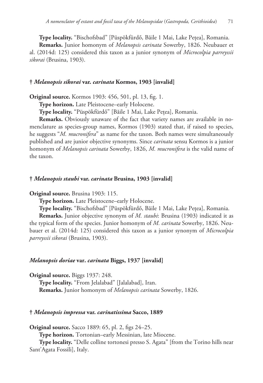**Type locality.** "Bischofsbad" [Püspökfürdő, Băile 1 Mai, Lake Pețea], Romania. **Remarks.** Junior homonym of *Melanopsis carinata* Sowerby, 1826. Neubauer et al. (2014d: 125) considered this taxon as a junior synonym of *Microcolpia parreyssii sikorai* (Brusina, 1903).

## **†** *Melanopsis sikorai* **var.** *carinata* **Kormos, 1903 [invalid]**

**Original source.** Kormos 1903: 456, 501, pl. 13, fig. 1.

**Type horizon.** Late Pleistocene–early Holocene.

**Type locality.** "Püspökfürdő" [Băile 1 Mai, Lake Pețea], Romania.

**Remarks.** Obviously unaware of the fact that variety names are available in nomenclature as species-group names, Kormos (1903) stated that, if raised to species, he suggests "*M. mucronifera*" as name for the taxon. Both names were simultaneously published and are junior objective synonyms. Since *carinata* sensu Kormos is a junior homonym of *Melanopsis carinata* Sowerby, 1826, *M. mucronifera* is the valid name of the taxon.

#### **†** *Melanopsis staubi* **var.** *carinata* **Brusina, 1903 [invalid]**

**Original source.** Brusina 1903: 115.

**Type horizon.** Late Pleistocene–early Holocene.

**Type locality.** "Bischofsbad" [Püspökfürdő, Băile 1 Mai, Lake Pețea], Romania.

**Remarks.** Junior objective synonym of *M. staubi*: Brusina (1903) indicated it as the typical form of the species. Junior homonym of *M. carinata* Sowerby, 1826. Neubauer et al. (2014d: 125) considered this taxon as a junior synonym of *Microcolpia parreyssii sikorai* (Brusina, 1903).

## *Melanopsis doriae* **var.** *carinata* **Biggs, 1937 [invalid]**

**Original source.** Biggs 1937: 248.

**Type locality.** "From Jelalabad" [Jalalabad], Iran. **Remarks.** Junior homonym of *Melanopsis carinata* Sowerby, 1826.

#### **†** *Melanopsis impressa* **var.** *carinatissima* **Sacco, 1889**

**Original source.** Sacco 1889: 65, pl. 2, figs 24–25.

**Type horizon.** Tortonian–early Messinian, late Miocene.

**Type locality.** "Delle colline tortonesi presso S. Agata" [from the Torino hills near Sant'Agata Fossili], Italy.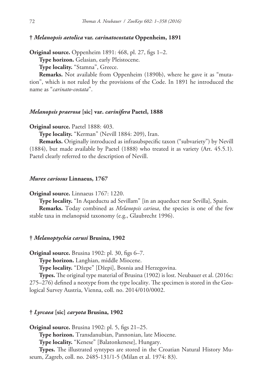## **†** *Melanopsis aetolica* **var.** *carinatocostata* **Oppenheim, 1891**

**Original source.** Oppenheim 1891: 468, pl. 27, figs 1–2.

**Type horizon.** Gelasian, early Pleistocene.

**Type locality.** "Stamna", Greece.

**Remarks.** Not available from Oppenheim (1890b), where he gave it as "mutation", which is not ruled by the provisions of the Code. In 1891 he introduced the name as "*carinato-costata*".

#### *Melanopsis praerosa* **[sic] var.** *carinifera* **Paetel, 1888**

**Original source.** Paetel 1888: 403.

**Type locality.** "Kerman" (Nevill 1884: 209), Iran.

**Remarks.** Originally introduced as infrasubspecific taxon ("subvariety") by Nevill (1884), but made available by Paetel (1888) who treated it as variety (Art. 45.5.1). Paetel clearly referred to the description of Nevill.

#### *Murex cariosus* **Linnaeus, 1767**

**Original source.** Linnaeus 1767: 1220.

**Type locality.** "In Aqaeductu ad Sevillam" [in an aqueduct near Sevilla], Spain.

**Remarks.** Today combined as *Melanopsis cariosa*, the species is one of the few stable taxa in melanopsid taxonomy (e.g., Glaubrecht 1996).

### **†** *Melanoptychia carusi* **Brusina, 1902**

**Original source.** Brusina 1902: pl. 30, figs 6–7.

**Type horizon.** Langhian, middle Miocene.

**Type locality.** "Džepe" [Džepi], Bosnia and Herzegovina.

**Types.** The original type material of Brusina (1902) is lost. Neubauer et al. (2016c: 275–276) defined a neotype from the type locality. The specimen is stored in the Geological Survey Austria, Vienna, coll. no. 2014/010/0002.

#### **†** *Lyrcaea* **[sic]** *caryota* **Brusina, 1902**

**Original source.** Brusina 1902: pl. 5, figs 21–25. **Type horizon.** Transdanubian, Pannonian, late Miocene. **Type locality.** "Kenese" [Balatonkenese], Hungary.

**Types.** The illustrated syntypes are stored in the Croatian Natural History Museum, Zagreb, coll. no. 2485-131/1-5 (Milan et al. 1974: 83).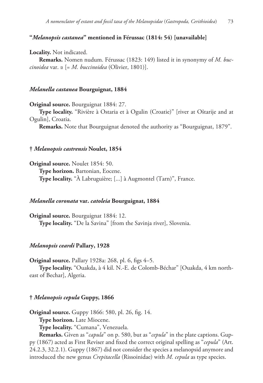## **"***Melanopsis castanea***" mentioned in Férussac (1814: 54) [unavailable]**

#### **Locality.** Not indicated.

**Remarks.** Nomen nudum. Férussac (1823: 149) listed it in synonymy of *M. buccinoidea* var. α [= *M. buccinoidea* (Olivier, 1801)].

## *Melanella castanea* **Bourguignat, 1884**

**Original source.** Bourguignat 1884: 27.

**Type locality.** "Rivière à Ostaria et à Ogulin (Croatie)" [river at Oštarije and at Ogulin], Croatia.

**Remarks.** Note that Bourguignat denoted the authority as "Bourguignat, 1879".

## **†** *Melanopsis castrensis* **Noulet, 1854**

**Original source.** Noulet 1854: 50. **Type horizon.** Bartonian, Eocene. **Type locality.** "À Labruguière; [...] à Augmontel (Tarn)", France.

## *Melanella coronata* **var.** *catoleia* **Bourguignat, 1884**

**Original source.** Bourguignat 1884: 12. **Type locality.** "De la Savina" [from the Savinja river], Slovenia.

#### *Melanopsis ceardi* **Pallary, 1928**

**Original source.** Pallary 1928a: 268, pl. 6, figs 4–5.

**Type locality.** "Ouakda, à 4 kil. N.-E. de Colomb-Béchar" [Ouakda, 4 km northeast of Bechar], Algeria.

## **†** *Melanopsis cepula* **Guppy, 1866**

**Original source.** Guppy 1866: 580, pl. 26, fig. 14.

**Type horizon.** Late Miocene.

**Type locality.** "Cumana", Venezuela.

**Remarks.** Given as "*capula*" on p. 580, but as "*cepula*" in the plate captions. Guppy (1867) acted as First Reviser and fixed the correct original spelling as "*cepula*" (Art. 24.2.3, 32.2.1). Guppy (1867) did not consider the species a melanopsid anymore and introduced the new genus *Crepitacella* (Rissoinidae) with *M. cepula* as type species.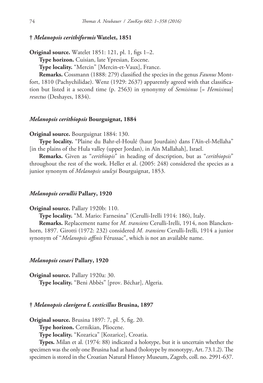## **†** *Melanopsis cerithiformis* **Watelet, 1851**

**Original source.** Watelet 1851: 121, pl. 1, figs 1–2.

**Type horizon.** Cuisian, late Ypresian, Eocene.

**Type locality.** "Mercin" [Mercin-et-Vaux], France.

**Remarks.** Cossmann (1888: 279) classified the species in the genus *Faunus* Montfort, 1810 (Pachychilidae). Wenz (1929: 2637) apparently agreed with that classification but listed it a second time (p. 2563) in synonymy of *Semisinus* [= *Hemisinus*] *resectus* (Deshayes, 1834).

## *Melanopsis cerithiopsis* **Bourguignat, 1884**

#### **Original source.** Bourguignat 1884: 130.

**Type locality.** "Plaine du Bahr-el-Houlé (haut Jourdain) dans l'Aïn-el-Mellaha" [in the plains of the Hula valley (upper Jordan), in Aïn Mallahah], Israel.

**Remarks.** Given as "*cerithiopis*" in heading of description, but as "*cerithiopsis*" throughout the rest of the work. Heller et al. (2005: 248) considered the species as a junior synonym of *Melanopsis saulcyi* Bourguignat, 1853.

#### *Melanopsis cerullii* **Pallary, 1920**

#### **Original source.** Pallary 1920b: 110.

**Type locality.** "M. Mario: Farnesina" (Cerulli-Irelli 1914: 186), Italy.

**Remarks.** Replacement name for *M. transiens* Cerulli-Irelli, 1914, non Blanckenhorn, 1897. Girotti (1972: 232) considered *M. transiens* Cerulli-Irelli, 1914 a junior synonym of "*Melanopsis affinis* Férussac", which is not an available name.

#### *Melanopsis cesari* **Pallary, 1920**

**Original source.** Pallary 1920a: 30. **Type locality.** "Beni Abbès" [prov. Béchar], Algeria.

### **†** *Melanopsis clavigera* **f.** *cesticillus* **Brusina, 1897**

**Original source.** Brusina 1897: 7, pl. 5, fig. 20.

**Type horizon.** Cernikian, Pliocene.

**Type locality.** "Kozarica" [Kozarice], Croatia.

**Types.** Milan et al. (1974: 88) indicated a holotype, but it is uncertain whether the specimen was the only one Brusina had at hand (holotype by monotypy, Art. 73.1.2). The specimen is stored in the Croatian Natural History Museum, Zagreb, coll. no. 2991-637.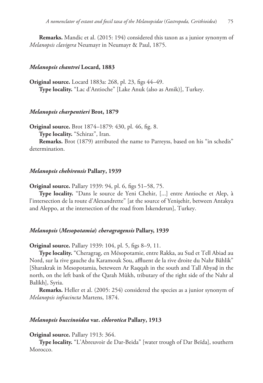**Remarks.** Mandic et al. (2015: 194) considered this taxon as a junior synonym of *Melanopsis clavigera* Neumayr in Neumayr & Paul, 1875.

#### *Melanopsis chantrei* **Locard, 1883**

**Original source.** Locard 1883a: 268, pl. 23, figs 44–49. **Type locality.** "Lac d'Antioche" [Lake Anuk (also as Amik)], Turkey.

## *Melanopsis charpentieri* **Brot, 1879**

**Original source.** Brot 1874–1879: 430, pl. 46, fig. 8.

**Type locality.** "Schiraz", Iran.

**Remarks.** Brot (1879) atrributed the name to Parreyss, based on his "in schedis" determination.

#### *Melanopsis chehirensis* **Pallary, 1939**

**Original source.** Pallary 1939: 94, pl. 6, figs 51–58, 75.

**Type locality.** "Dans le source de Yeni Chehir, [...] entre Antioche et Alep, à l'intersection de la route d'Alexandrette" [at the source of Yenişehir, between Antakya and Aleppo, at the intersection of the road from İskenderun], Turkey.

#### *Melanopsis* **(***Mesopotamia***)** *cheragragensis* **Pallary, 1939**

**Original source.** Pallary 1939: 104, pl. 5, figs 8–9, 11.

**Type locality.** "Cheragrag, en Mésopotamie, entre Rakka, au Sud et Tell Abiad au Nord, sur la rive gauche du Karamouk Sou, affluent de la rive droite du Nahr Bâhlik" [Sharakrak in Mesopotamia, beteween Ar Raqqah in the south and Tall Abyaḑ in the north, on the left bank of the Qarah Mūkh, tributary of the right side of the Nahr al Balīkh], Syria.

**Remarks.** Heller et al. (2005: 254) considered the species as a junior synonym of *Melanopsis infracincta* Martens, 1874.

#### *Melanopsis buccinoidea* **var.** *chlorotica* **Pallary, 1913**

**Original source.** Pallary 1913: 364.

**Type locality.** "L'Abreuvoir de Dar-Beida" [water trough of Dar Beïda], southern Morocco.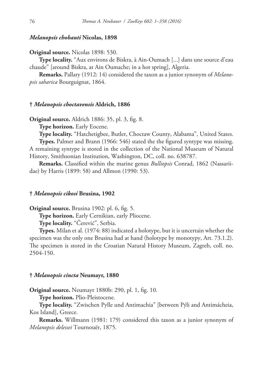### *Melanopsis chobauti* **Nicolas, 1898**

#### **Original source.** Nicolas 1898: 530.

**Type locality.** "Aux environs de Biskra, à Ain-Oumach [...] dans une source d'eau chaude" [around Biskra, at Ain Oumache; in a hot spring], Algeria.

**Remarks.** Pallary (1912: 14) considered the taxon as a junior synonym of *Melanopsis saharica* Bourguignat, 1864.

#### **†** *Melanopsis choctavensis* **Aldrich, 1886**

**Original source.** Aldrich 1886: 35, pl. 3, fig. 8.

**Type horizon.** Early Eocene.

**Type locality.** "Hatchetigbee, Butler, Choctaw County, Alabama", United States.

**Types.** Palmer and Brann (1966: 546) stated the the figured syntype was missing. A remaining syntype is stored in the collection of the National Museum of Natural History, Smithsonian Institution, Washington, DC, coll. no. 638787.

**Remarks.** Classified within the marine genus *Bulliopsis* Conrad, 1862 (Nassariidae) by Harris (1899: 58) and Allmon (1990: 53).

#### **†** *Melanopsis cikosi* **Brusina, 1902**

**Original source.** Brusina 1902: pl. 6, fig. 5.

**Type horizon.** Early Cernikian, early Pliocene.

**Type locality.** "Čerević", Serbia.

**Types.** Milan et al. (1974: 88) indicated a holotype, but it is uncertain whether the specimen was the only one Brusina had at hand (holotype by monotypy, Art. 73.1.2). The specimen is stored in the Croatian Natural History Museum, Zagreb, coll. no. 2504-150.

#### **†** *Melanopsis cincta* **Neumayr, 1880**

**Original source.** Neumayr 1880b: 290, pl. 1, fig. 10.

**Type horizon.** Plio-Pleistocene.

**Type locality.** "Zwischen Pylle und Antimachia" [between Pýli and Antimácheia, Kos Island], Greece.

**Remarks.** Willmann (1981: 179) considered this taxon as a junior synonym of *Melanopsis delessei* Tournouër, 1875.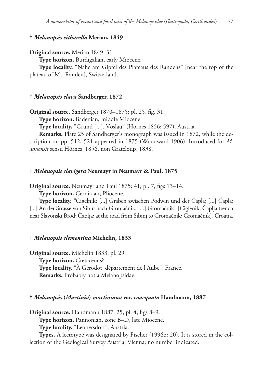## **†** *Melanopsis citharella* **Merian, 1849**

**Original source.** Merian 1849: 31.

**Type horizon.** Burdigalian, early Miocene.

**Type locality.** "Nahe am Gipfel des Plateaus des Randens" [near the top of the plateau of Mt. Randen], Switzerland.

## **†** *Melanopsis clava* **Sandberger, 1872**

**Original source.** Sandberger 1870–1875: pl. 25, fig. 31.

**Type horizon.** Badenian, middle Miocene.

**Type locality.** "Grund [...], Vöslau" (Hörnes 1856: 597), Austria.

**Remarks.** Plate 25 of Sandberger's monograph was issued in 1872, while the description on pp. 512, 521 appeared in 1875 (Woodward 1906). Introduced for *M. aquensis* sensu Hörnes, 1856, non Grateloup, 1838.

#### **†** *Melanopsis clavigera* **Neumayr in Neumayr & Paul, 1875**

**Original source.** Neumayr and Paul 1875: 41, pl. 7, figs 13–14.

**Type horizon.** Cernikian, Pliocene.

**Type locality.** "Cigelnik; [...] Graben zwischen Podwin und der Čapla; [...] Čapla; [...] An der Strasse von Sibin nach Gromačnik; [...] Gromačnik" [Ciglenik; Čaplja trench near Slavonski Brod; Čaplja; at the road from Sibinj to Gromačnik; Gromačnik], Croatia.

**†** *Melanopsis clementina* **Michelin, 1833**

**Original source.** Michelin 1833: pl. 29. **Type horizon.** Cretaceous? **Type locality.** "À Gérodot, département de l'Aube", France. **Remarks.** Probably not a Melanopsidae.

## **†** *Melanopsis* **(***Martinia***)** *martiniana* **var.** *coaequata* **Handmann, 1887**

**Original source.** Handmann 1887: 25, pl. 4, figs 8–9.

**Type horizon.** Pannonian, zone B–D, late Miocene.

**Type locality.** "Leobersdorf", Austria.

**Types.** A lectotype was designated by Fischer (1996b: 20). It is stored in the collection of the Geological Survey Austria, Vienna; no number indicated.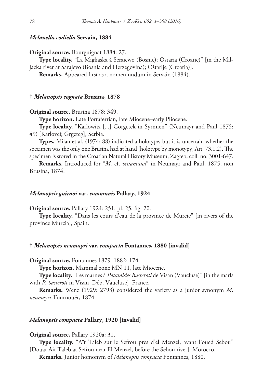### *Melanella codiella* **Servain, 1884**

**Original source.** Bourguignat 1884: 27.

**Type locality.** "La Migliaska à Serajewo (Bosnie); Ostaria (Croatie)" [in the Miljacka river at Sarajevo (Bosnia and Herzegovina); Oštarije (Croatia)].

**Remarks.** Appeared first as a nomen nudum in Servain (1884).

## **†** *Melanopsis cognata* **Brusina, 1878**

**Original source.** Brusina 1878: 349.

**Type horizon.** Late Portaferrian, late Miocene–early Pliocene.

**Type locality.** "Karlowitz [...] Görgetek in Syrmien" (Neumayr and Paul 1875: 49) [Karlovci; Grgeteg], Serbia.

**Types.** Milan et al. (1974: 88) indicated a holotype, but it is uncertain whether the specimen was the only one Brusina had at hand (holotype by monotypy, Art. 73.1.2). The specimen is stored in the Croatian Natural History Museum, Zagreb, coll. no. 3001-647.

**Remarks.** Introduced for "*M.* cf. *visianiana*" in Neumayr and Paul, 1875, non Brusina, 1874.

#### *Melanopsis guiraoi* **var.** *communis* **Pallary, 1924**

**Original source.** Pallary 1924: 251, pl. 25, fig. 20.

**Type locality.** "Dans les cours d'eau de la province de Murcie" [in rivers of the province Murcia], Spain.

#### **†** *Melanopsis neumayri* **var.** *compacta* **Fontannes, 1880 [invalid]**

**Original source.** Fontannes 1879–1882: 174.

**Type horizon.** Mammal zone MN 11, late Miocene.

**Type locality.** "Les marnes à *Potamides Basteroti* de Visan (Vaucluse)" [in the marls with *P. basteroti* in Visan, Dép. Vaucluse], France.

**Remarks.** Wenz (1929: 2793) considered the variety as a junior synonym *M. neumayri* Tournouër, 1874.

#### *Melanopsis compacta* **Pallary, 1920 [invalid]**

## **Original source.** Pallary 1920a: 31.

**Type locality.** "Aït Taleb sur le Sefrou près d'el Menzel, avant l'oued Sebou" [Douar Ait Taleb at Sefrou near El Menzel, before the Sebou river], Morocco.

**Remarks.** Junior homonym of *Melanopsis compacta* Fontannes, 1880.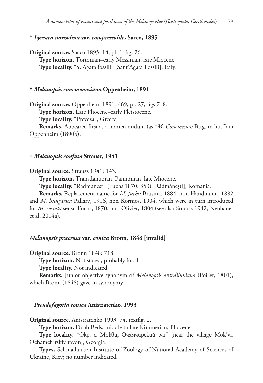### **†** *Lyrcaea narzolina* **var.** *compressoides* **Sacco, 1895**

**Original source.** Sacco 1895: 14, pl. 1, fig. 26. **Type horizon.** Tortonian–early Messinian, late Miocene. **Type locality.** "S. Agata fossili" [Sant'Agata Fossili], Italy.

## **†** *Melanopsis conemenosiana* **Oppenheim, 1891**

**Original source.** Oppenheim 1891: 469, pl. 27, figs 7–8.

**Type horizon.** Late Pliocene–early Pleistocene.

**Type locality.** "Preveza", Greece.

**Remarks.** Appeared first as a nomen nudum (as "*M. Conemenosi* Bttg. in litt.") in Oppenheim (1890b).

#### **†** *Melanopsis confusa* **Strausz, 1941**

**Original source.** Strausz 1941: 143.

**Type horizon.** Transdanubian, Pannonian, late Miocene.

**Type locality.** "Radmanest" (Fuchs 1870: 353) [Rădmănești], Romania.

**Remarks.** Replacement name for *M. fuchsi* Brusina, 1884, non Handmann, 1882 and *M. hungarica* Pallary, 1916, non Kormos, 1904, which were in turn introduced for *M. costata* sensu Fuchs, 1870, non Olivier, 1804 (see also Strausz 1942; Neubauer et al. 2014a).

## *Melanopsis praerosa* **var.** *conica* **Bronn, 1848 [invalid]**

**Original source.** Bronn 1848: 718.

**Type horizon.** Not stated, probably fossil.

**Type locality.** Not indicated.

**Remarks.** Junior objective synonym of *Melanopsis antediluviana* (Poiret, 1801), which Bronn (1848) gave in synonymy.

#### **†** *Pseudofagotia conica* **Anistratenko, 1993**

**Original source.** Anistratenko 1993: 74, textfig. 2.

**Type horizon.** Duab Beds, middle to late Kimmerian, Pliocene.

**Type locality.** "Окр. с. Мокви, Очамчирский р-н" [near the village Mok'vi, Ochamchirskiy rayon], Georgia.

**Types.** Schmalhausen Institute of Zoology of National Academy of Sciences of Ukraine, Kiev; no number indicated.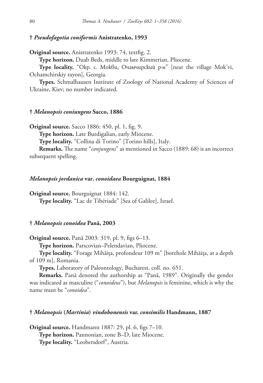## **†** *Pseudofagotia coniformis* **Anistratenko, 1993**

**Original source.** Anistratenko 1993: 74, textfig. 2.

**Type horizon.** Duab Beds, middle to late Kimmerian, Pliocene.

**Type locality.** "Окр. с. Мокви, Очамчирский р-н" [near the village Mok'vi, Ochamchirskiy rayon], Georgia.

**Types.** Schmalhausen Institute of Zoology of National Academy of Sciences of Ukraine, Kiev; no number indicated.

### **†** *Melanopsis coniungens* **Sacco, 1886**

**Original source.** Sacco 1886: 450, pl. 1, fig. 9.

**Type horizon.** Late Burdigalian, early Miocene.

**Type locality.** "Collina di Torino" [Torino hills], Italy.

**Remarks.** The name "*conjungens*" as mentioned in Sacco (1889: 68) is an incorrect subsequent spelling.

#### *Melanopsis jordanica* **var.** *conoidaea* **Bourguignat, 1884**

**Original source.** Bourguignat 1884: 142.

**Type locality.** "Lac de Tibériade" [Sea of Galilee], Israel.

## **†** *Melanopsis conoidea* **Pană, 2003**

**Original source.** Pană 2003: 319, pl. 9, figs 6–13.

**Type horizon.** Parscovian–Pelendavian, Pliocene.

**Type locality.** "Forage Mihăița, profondeur 109 m" [borehole Mihăița, at a depth of 109 m], Romania.

**Types.** Laboratory of Paleontology, Bucharest, coll. no. 651.

**Remarks.** Pană denoted the authorship as "Pană, 1989". Originally the gender was indicated as masculine ("*conoideus*"), but *Melanopsis* is feminine, which is why the name must be "*conoidea*".

## **†** *Melanopsis* **(***Martinia***)** *vindobonensis* **var.** *consimilis* **Handmann, 1887**

**Original source.** Handmann 1887: 29, pl. 6, figs 7–10. **Type horizon.** Pannonian, zone B–D, late Miocene. **Type locality.** "Leobersdorf", Austria.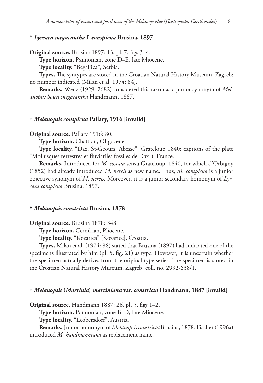### **†** *Lyrcaea megacantha* **f.** *conspicua* **Brusina, 1897**

**Original source.** Brusina 1897: 13, pl. 7, figs 3–4.

**Type horizon.** Pannonian, zone D–E, late Miocene.

**Type locality.** "Begaljica", Serbia.

**Types.** The syntypes are stored in the Croatian Natural History Museum, Zagreb; no number indicated (Milan et al. 1974: 84).

**Remarks.** Wenz (1929: 2682) considered this taxon as a junior synonym of *Melanopsis bouei megacantha* Handmann, 1887.

### **†** *Melanopsis conspicua* **Pallary, 1916 [invalid]**

**Original source.** Pallary 1916: 80.

**Type horizon.** Chattian, Oligocene.

**Type locality.** "Dax. St-Geours, Abesse" (Grateloup 1840: captions of the plate "Mollusques terrestres et fluviatiles fossiles de Dax"), France.

**Remarks.** Introduced for *M. costata* sensu Grateloup, 1840, for which d'Orbigny (1852) had already introduced *M. nereis* as new name. Thus, *M. conspicua* is a junior objective synonym of *M. nereis*. Moreover, it is a junior secondary homonym of *Lyrcaea conspicua* Brusina, 1897.

### **†** *Melanopsis constricta* **Brusina, 1878**

**Original source.** Brusina 1878: 348.

**Type horizon.** Cernikian, Pliocene.

**Type locality.** "Kozarica" [Kozarice], Croatia.

**Types.** Milan et al. (1974: 88) stated that Brusina (1897) had indicated one of the specimens illustrated by him (pl. 5, fig. 21) as type. However, it is uncertain whether the specimen actually derives from the original type series. The specimen is stored in the Croatian Natural History Museum, Zagreb, coll. no. 2992-638/1.

#### **†** *Melanopsis* **(***Martinia***)** *martiniana* **var.** *constricta* **Handmann, 1887 [invalid]**

**Original source.** Handmann 1887: 26, pl. 5, figs 1–2.

**Type horizon.** Pannonian, zone B–D, late Miocene.

**Type locality.** "Leobersdorf", Austria.

**Remarks.** Junior homonym of *Melanopsis constricta* Brusina, 1878. Fischer (1996a) introduced *M. handmanniana* as replacement name.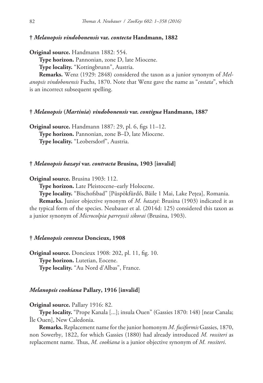#### **†** *Melanopsis vindobonensis* **var.** *contecta* **Handmann, 1882**

**Original source.** Handmann 1882: 554.

**Type horizon.** Pannonian, zone D, late Miocene.

**Type locality.** "Kottingbrunn", Austria.

**Remarks.** Wenz (1929: 2848) considered the taxon as a junior synonym of *Melanopsis vindobonensis* Fuchs, 1870. Note that Wenz gave the name as "*costata*", which is an incorrect subsequent spelling.

#### **†** *Melanopsis* **(***Martinia***)** *vindobonensis* **var.** *contigua* **Handmann, 1887**

**Original source.** Handmann 1887: 29, pl. 6, figs 11–12. **Type horizon.** Pannonian, zone B–D, late Miocene. **Type locality.** "Leobersdorf", Austria.

## **†** *Melanopsis hazayi* **var.** *contracta* **Brusina, 1903 [invalid]**

**Original source.** Brusina 1903: 112.

**Type horizon.** Late Pleistocene–early Holocene.

**Type locality.** "Bischofsbad" [Püspökfürdő, Băile 1 Mai, Lake Pețea], Romania.

**Remarks.** Junior objective synonym of *M. hazayi*: Brusina (1903) indicated it as the typical form of the species. Neubauer et al. (2014d: 125) considered this taxon as a junior synonym of *Microcolpia parreyssii sikorai* (Brusina, 1903).

### **†** *Melanopsis convexa* **Doncieux, 1908**

**Original source.** Doncieux 1908: 202, pl. 11, fig. 10. **Type horizon.** Lutetian, Eocene. **Type locality.** "Au Nord d'Albas", France.

## *Melanopsis cookiana* **Pallary, 1916 [invalid]**

**Original source.** Pallary 1916: 82.

**Type locality.** "Prope Kanala [...]; insula Ouen" (Gassies 1870: 148) [near Canala; Île Ouen], New Caledonia.

**Remarks.** Replacement name for the junior homonym *M. fusiformis* Gassies, 1870, non Sowerby, 1822, for which Gassies (1880) had already introduced *M. rossiteri* as replacement name. Thus, *M. cookiana* is a junior objective synonym of *M. rossiteri*.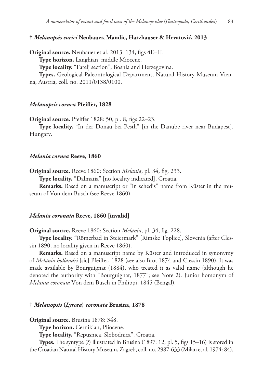## **†** *Melanopsis corici* **Neubauer, Mandic, Harzhauser & Hrvatović, 2013**

**Original source.** Neubauer et al. 2013: 134, figs 4E–H. **Type horizon.** Langhian, middle Miocene. **Type locality.** "Fatelj section", Bosnia and Herzegovina. **Types.** Geological-Paleontological Department, Natural History Museum Vienna, Austria, coll. no. 2011/0138/0100.

### *Melanopsis cornea* **Pfeiffer, 1828**

**Original source.** Pfeiffer 1828: 50, pl. 8, figs 22–23.

**Type locality.** "In der Donau bei Pesth" [in the Danube river near Budapest], Hungary.

#### *Melania cornea* **Reeve, 1860**

**Original source.** Reeve 1860: Section *Melania*, pl. 34, fig. 233.

**Type locality.** "Dalmatia" [no locality indicated], Croatia.

**Remarks.** Based on a manuscript or "in schedis" name from Küster in the museum of Von dem Busch (see Reeve 1860).

## *Melania coronata* **Reeve, 1860 [invalid]**

**Original source.** Reeve 1860: Section *Melania*, pl. 34, fig. 228.

**Type locality.** "Römerbad in Steiermark" [Rimske Toplice], Slovenia (after Clessin 1890, no locality given in Reeve 1860).

**Remarks.** Based on a manuscript name by Küster and introduced in synonymy of *Melania hollandri* [sic] Pfeiffer, 1828 (see also Brot 1874 and Clessin 1890). It was made available by Bourguignat (1884), who treated it as valid name (although he denoted the authority with "Bourguignat, 1877"; see Note 2). Junior homonym of *Melania coronata* Von dem Busch in Philippi, 1845 (Bengal).

### **†** *Melanopsis* **(***Lyrcea***)** *coronata* **Brusina, 1878**

**Original source.** Brusina 1878: 348.

**Type horizon.** Cernikian, Pliocene.

**Type locality.** "Repusnica, Slobodnica", Croatia.

**Types.** The syntype (?) illustrated in Brusina (1897: 12, pl. 5, figs 15–16) is stored in the Croatian Natural History Museum, Zagreb, coll. no. 2987-633 (Milan et al. 1974: 84).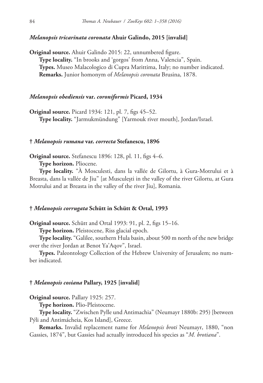## *Melanopsis tricarinata coronata* **Ahuir Galindo, 2015 [invalid]**

**Original source.** Ahuir Galindo 2015: 22, unnumbered figure. **Type locality.** "In brooks and 'gorgos' from Anna, Valencia", Spain. **Types.** Museo Malacologico di Cupra Marittima, Italy; no number indicated. **Remarks.** Junior homonym of *Melanopsis coronata* Brusina, 1878.

#### *Melanopsis obediensis* **var.** *coroniformis* **Picard, 1934**

**Original source.** Picard 1934: 121, pl. 7, figs 45–52. **Type locality.** "Jarmukmündung" [Yarmouk river mouth], Jordan/Israel.

#### **†** *Melanopsis rumana* **var.** *correcta* **Stefanescu, 1896**

**Original source.** Stefanescu 1896: 128, pl. 11, figs 4–6.

**Type horizon.** Pliocene.

**Type locality.** "À Mosculesti, dans la vallée de Gilortu, à Gura-Motrului et à Breasta, dans la vallée de Jiu" [at Musculești in the valley of the river Gilortu, at Gura Motrului and at Breasta in the valley of the river Jiu], Romania.

## **†** *Melanopsis corrugata* **Schütt in Schütt & Ortal, 1993**

**Original source.** Schütt and Ortal 1993: 91, pl. 2, figs 15–16.

**Type horizon.** Pleistocene, Riss glacial epoch.

**Type locality.** "Galilee, southern Hula basin, about 500 m north of the new bridge over the river Jordan at Benot Ya'Aqov", Israel.

**Types.** Paleontology Collection of the Hebrew University of Jerusalem; no number indicated.

### **†** *Melanopsis cosiana* **Pallary, 1925 [invalid]**

**Original source.** Pallary 1925: 257.

**Type horizon.** Plio-Pleistocene.

**Type locality.** "Zwischen Pylle und Antimachia" (Neumayr 1880b: 295) [between Pýli and Antimácheia, Kos Island], Greece.

**Remarks.** Invalid replacement name for *Melanopsis broti* Neumayr, 1880, "non Gassies, 1874", but Gassies had actually introduced his species as "*M. brotiana*".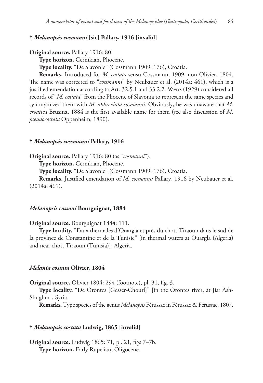## **†** *Melanopsis cosmanni* **[sic] Pallary, 1916 [invalid]**

**Original source.** Pallary 1916: 80.

**Type horizon.** Cernikian, Pliocene.

**Type locality.** "De Slavonie" (Cossmann 1909: 176), Croatia.

**Remarks.** Introduced for *M. costata* sensu Cossmann, 1909, non Olivier, 1804. The name was corrected to "*cossmanni*" by Neubauer et al. (2014a: 461), which is a justified emendation according to Art. 32.5.1 and 33.2.2. Wenz (1929) considered all records of "*M. costata*" from the Pliocene of Slavonia to represent the same species and synonymized them with *M. abbreviata cosmanni*. Obviously, he was unaware that *M. croatica* Brusina, 1884 is the first available name for them (see also discussion of *M. pseudocostata* Oppenheim, 1890).

#### **†** *Melanopsis cossmanni* **Pallary, 1916**

**Original source.** Pallary 1916: 80 (as "*cosmanni*").

**Type horizon.** Cernikian, Pliocene.

**Type locality.** "De Slavonie" (Cossmann 1909: 176), Croatia.

**Remarks.** Justified emendation of *M. cosmanni* Pallary, 1916 by Neubauer et al. (2014a: 461).

## *Melanopsis cossoni* **Bourguignat, 1884**

**Original source.** Bourguignat 1884: 111.

**Type locality.** "Eaux thermales d'Ouargla et près du chott Tiraoun dans le sud de la province de Constantine et de la Tunisie" [in thermal waters at Ouargla (Algeria) and near chott Tiraoun (Tunisia)], Algeria.

#### *Melania costata* **Olivier, 1804**

**Original source.** Olivier 1804: 294 (footnote), pl. 31, fig. 3.

**Type locality.** "De Orontes [Gesser-Chourl]" [in the Orontes river, at Jisr Ash-Shughur], Syria.

**Remarks.** Type species of the genus *Melanopsis* Férussac in Férussac & Férussac, 1807.

#### **†** *Melanopsis costata* **Ludwig, 1865 [invalid]**

**Original source.** Ludwig 1865: 71, pl. 21, figs 7–7b. **Type horizon.** Early Rupelian, Oligocene.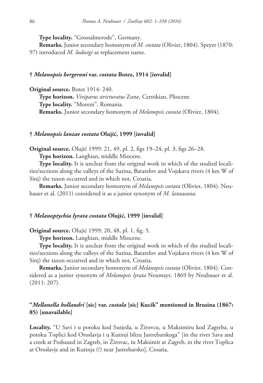**Type locality.** "Grossalmerode", Germany.

**Remarks.** Junior secondary homonym of *M. costata* (Olivier, 1804). Speyer (1870: 97) introduced *M. ludwigi* as replacement name.

### **†** *Melanopsis bergeroni* **var.** *costata* **Botez, 1914 [invalid]**

**Original source.** Botez 1914: 240. **Type horizon.** *Viviparus stricturatus* Zone, Cernikian, Pliocene. **Type locality.** "Moreni", Romania. **Remarks.** Junior secondary homonym of *Melanopsis costata* (Olivier, 1804).

### **†** *Melanopsis lanzae costata* **Olujić, 1999 [invalid]**

**Original source.** Olujić 1999: 21, 49, pl. 2, figs 19–24, pl. 3, figs 26–28. **Type horizon.** Langhian, middle Miocene.

**Type locality.** It is unclear from the original work in which of the studied localities/sections along the valleys of the Sutina, Batarelov and Vojskava rivers (4 km W of Sinj) the taxon occurred and in which not, Croatia.

**Remarks.** Junior secondary homonym of *Melanopsis costata* (Olivier, 1804). Neubauer et al. (2011) considered it as a junior synonym of *M. lanzaeana*.

## **†** *Melanoptychia lyrata costata* **Olujić, 1999 [invalid]**

**Original source.** Olujić 1999: 20, 48, pl. 1, fig. 5.

**Type horizon.** Langhian, middle Miocene.

**Type locality.** It is unclear from the original work in which of the studied localities/sections along the valleys of the Sutina, Batarelov and Vojskava rivers (4 km W of Sinj) the taxon occurred and in which not, Croatia.

**Remarks.** Junior secondary homonym of *Melanopsis costata* (Olivier, 1804). Considered as a junior synonym of *Melanopsis lyrata* Neumayr, 1869 by Neubauer et al. (2011: 207).

# **"***Mellanella hollandri* **[sic] var.** *costala* **[sic] Kucik" mentioned in Brusina (1867: 85) [unavailable]**

**Locality.** "U Savi i u potoku kod Susjeda, u Žirovcu, u Maksimiru kod Zagreba, u potoku Toplici kod Oroslavja i u Kutinji blizu Jastrebarskoga" [in the river Sava and a creek at Podsused in Zagreb, in Žirovac, in Maksimir at Zagreb, in the river Toplica at Oroslavje and in Kutinja (?) near Jastrebarsko], Croatia.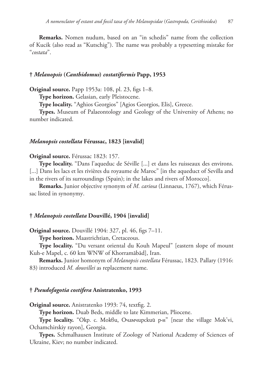**Remarks.** Nomen nudum, based on an "in schedis" name from the collection of Kucik (also read as "Kutschig"). The name was probably a typesetting mistake for "*costata*".

### **†** *Melanopsis* **(***Canthidomus***)** *costatiformis* **Papp, 1953**

**Original source.** Papp 1953a: 108, pl. 23, figs 1–8.

**Type horizon.** Gelasian, early Pleistocene.

**Type locality.** "Aghios Georgios" [Agios Georgios, Elis], Greece.

**Types.** Museum of Palaeontology and Geology of the University of Athens; no number indicated.

### *Melanopsis costellata* **Férussac, 1823 [invalid]**

#### **Original source.** Férussac 1823: 157.

**Type locality.** "Dans l'aqueduc de Séville [...] et dans les ruisseaux des environs. [...] Dans les lacs et les rivières du royaume de Maroc" [in the aqueduct of Sevilla and in the rivers of its surroundings (Spain); in the lakes and rivers of Morocco].

**Remarks.** Junior objective synonym of *M. cariosa* (Linnaeus, 1767), which Férussac listed in synonymy.

### **†** *Melanopsis costellata* **Douvillé, 1904 [invalid]**

**Original source.** Douvillé 1904: 327, pl. 46, figs 7–11.

**Type horizon.** Maastrichtian, Cretaceous.

**Type locality.** "Du versant oriental du Kouh Mapeul" [eastern slope of mount Kuh-e Mapel, c. 60 km WNW of Khorramābād], Iran.

**Remarks.** Junior homonym of *Melanopsis costellata* Férussac, 1823. Pallary (1916: 83) introduced *M. douvillei* as replacement name.

#### **†** *Pseudofagotia costifera* **Anistratenko, 1993**

**Original source.** Anistratenko 1993: 74, textfig. 2.

**Type horizon.** Duab Beds, middle to late Kimmerian, Pliocene.

**Type locality.** "Окр. с. Мокви, Очамчирский р-н" [near the village Mok'vi, Ochamchirskiy rayon], Georgia.

**Types.** Schmalhausen Institute of Zoology of National Academy of Sciences of Ukraine, Kiev; no number indicated.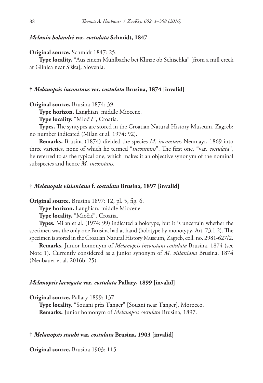#### *Melania holandri* **var.** *costulata* **Schmidt, 1847**

**Original source.** Schmidt 1847: 25.

**Type locality.** "Aus einem Mühlbache bei Klinze ob Schischka" [from a mill creek at Glinica near Šiška], Slovenia.

### **†** *Melanopsis inconstans* **var.** *costulata* **Brusina, 1874 [invalid]**

**Original source.** Brusina 1874: 39.

**Type horizon.** Langhian, middle Miocene.

**Type locality.** "Miočić", Croatia.

**Types.** The syntypes are stored in the Croatian Natural History Museum, Zagreb; no number indicated (Milan et al. 1974: 92).

**Remarks.** Brusina (1874) divided the species *M. inconstans* Neumayr, 1869 into three varieties, none of which he termed "*inconstans*". The first one, "var. *costulata*", he referred to as the typical one, which makes it an objective synonym of the nominal subspecies and hence *M. inconstans*.

### **†** *Melanopsis visianiana* **f.** *costulata* **Brusina, 1897 [invalid]**

**Original source.** Brusina 1897: 12, pl. 5, fig. 6.

**Type horizon.** Langhian, middle Miocene.

**Type locality.** "Miočić", Croatia.

**Types.** Milan et al. (1974: 99) indicated a holotype, but it is uncertain whether the specimen was the only one Brusina had at hand (holotype by monotypy, Art. 73.1.2). The specimen is stored in the Croatian Natural History Museum, Zagreb, coll. no. 2981-627/2.

**Remarks.** Junior homonym of *Melanopsis inconstans costulata* Brusina, 1874 (see Note 1). Currently considered as a junior synonym of *M. visianiana* Brusina, 1874 (Neubauer et al. 2016b: 25).

### *Melanopsis laevigata* **var.** *costulata* **Pallary, 1899 [invalid]**

**Original source.** Pallary 1899: 137.

**Type locality.** "Souani près Tanger" [Souani near Tanger], Morocco. **Remarks.** Junior homonym of *Melanopsis costulata* Brusina, 1897.

#### **†** *Melanopsis staubi* **var.** *costulata* **Brusina, 1903 [invalid]**

**Original source.** Brusina 1903: 115.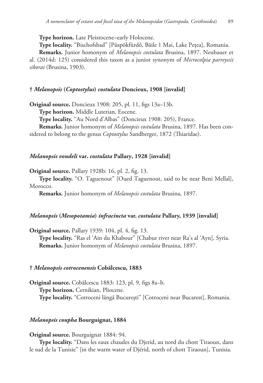**Type horizon.** Late Pleistocene–early Holocene.

**Type locality.** "Bischofsbad" [Püspökfürdő, Băile 1 Mai, Lake Pețea], Romania.

**Remarks.** Junior homonym of *Melanopsis costulata* Brusina, 1897. Neubauer et al. (2014d: 125) considered this taxon as a junior synonym of *Microcolpia parreyssii sikorai* (Brusina, 1903).

## **†** *Melanopsis* **(***Coptostylus***)** *costulata* **Doncieux, 1908 [invalid]**

**Original source.** Doncieux 1908: 205, pl. 11, figs 13a–13b.

**Type horizon.** Middle Lutetian, Eocene.

**Type locality.** "Au Nord d'Albas" (Doncieux 1908: 205), France.

**Remarks.** Junior homonym of *Melanopsis costulata* Brusina, 1897. Has been considered to belong to the genus *Coptostylus* Sandberger, 1872 (Thiaridae).

### *Melanopsis vondeli* **var.** *costulata* **Pallary, 1928 [invalid]**

**Original source.** Pallary 1928b: 16, pl. 2, fig. 13.

**Type locality.** "O. Taguenout" [Oued Taguenout, said to be near Beni Mellal], Morocco.

**Remarks.** Junior homonym of *Melanopsis costulata* Brusina, 1897.

## *Melanopsis* **(***Mesopotamia***)** *infracincta* **var.** *costulata* **Pallary, 1939 [invalid]**

**Original source.** Pallary 1939: 104, pl. 4, fig. 13. **Type locality.** "Ras el 'Ain du Khabour" [Chabur river near Ra's al 'Ayn], Syria. **Remarks.** Junior homonym of *Melanopsis costulata* Brusina, 1897.

#### **†** *Melanopsis cotrocenensis* **Cobălcescu, 1883**

**Original source.** Cobălcescu 1883: 123, pl. 9, figs 8a–b. **Type horizon.** Cernikian, Pliocene. **Type locality.** "Cotroceni lăngă București" [Cotroceni near Bucarest], Romania.

### *Melanopsis coupha* **Bourguignat, 1884**

**Original source.** Bourguignat 1884: 94.

**Type locality.** "Dans les eaux chaudes du Djerid, au nord du chott Tiraoun, dans le sud de la Tunisie" [in the warm water of Djérid, north of chott Tiraoun], Tunisia.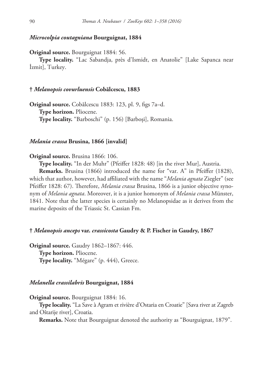### *Microcolpia coutagniana* **Bourguignat, 1884**

**Original source.** Bourguignat 1884: 56.

**Type locality.** "Lac Sabandja, près d'Ismidt, en Anatolie" [Lake Sapanca near İzmit], Turkey.

#### **†** *Melanopsis covurluensis* **Cobălcescu, 1883**

**Original source.** Cobălcescu 1883: 123, pl. 9, figs 7a–d. **Type horizon.** Pliocene. **Type locality.** "Barboschi" (p. 156) [Barboși], Romania.

#### *Melania crassa* **Brusina, 1866 [invalid]**

#### **Original source.** Brusina 1866: 106.

**Type locality.** "In der Muhr" (Pfeiffer 1828: 48) [in the river Mur], Austria.

**Remarks.** Brusina (1866) introduced the name for "var. A" in Pfeiffer (1828), which that author, however, had affiliated with the name "*Melania agnata* Ziegler" (see Pfeiffer 1828: 67). Therefore, *Melania crassa* Brusina, 1866 is a junior objective synonym of *Melania agnata*. Moreover, it is a junior homonym of *Melania crassa* Münster, 1841. Note that the latter species is certainly no Melanopsidae as it derives from the marine deposits of the Triassic St. Cassian Fm.

## **†** *Melanopsis anceps* **var.** *crassicosta* **Gaudry & P. Fischer in Gaudry, 1867**

**Original source.** Gaudry 1862–1867: 446. **Type horizon.** Pliocene. **Type locality.** "Mégare" (p. 444), Greece.

## *Melanella crassilabris* **Bourguignat, 1884**

**Original source.** Bourguignat 1884: 16.

**Type locality.** "La Save à Agram et rivière d'Ostaria en Croatie" [Sava river at Zagreb and Oštarije river], Croatia.

**Remarks.** Note that Bourguignat denoted the authority as "Bourguignat, 1879".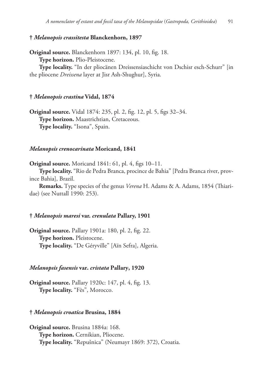### **†** *Melanopsis crassitesta* **Blanckenhorn, 1897**

**Original source.** Blanckenhorn 1897: 134, pl. 10, fig. 18. **Type horizon.** Plio-Pleistocene.

**Type locality.** "In der pliocänen Dreissensiaschicht von Dschisr esch-Schurr" [in the pliocene *Dreissena* layer at Jisr Ash-Shughur], Syria.

#### **†** *Melanopsis crastina* **Vidal, 1874**

**Original source.** Vidal 1874: 235, pl. 2, fig. 12, pl. 5, figs 32–34. **Type horizon.** Maastrichtian, Cretaceous. **Type locality.** "Isona", Spain.

### *Melanopsis crenocarinata* **Moricand, 1841**

**Original source.** Moricand 1841: 61, pl. 4, figs 10–11.

**Type locality.** "Rio de Pedra Branca, procince de Bahia" [Pedra Branca river, province Bahia], Brazil.

**Remarks.** Type species of the genus *Verena* H. Adams & A. Adams, 1854 (Thiaridae) (see Nuttall 1990: 253).

#### **†** *Melanopsis maresi* **var.** *crenulata* **Pallary, 1901**

**Original source.** Pallary 1901a: 180, pl. 2, fig. 22. **Type horizon.** Pleistocene. **Type locality.** "De Géryville" [Aïn Sefra], Algeria.

#### *Melanopsis fasensis* **var.** *cristata* **Pallary, 1920**

**Original source.** Pallary 1920c: 147, pl. 4, fig. 13. **Type locality.** "Fès", Morocco.

#### **†** *Melanopsis croatica* **Brusina, 1884**

**Original source.** Brusina 1884a: 168. **Type horizon.** Cernikian, Pliocene. **Type locality.** "Repušnica" (Neumayr 1869: 372), Croatia.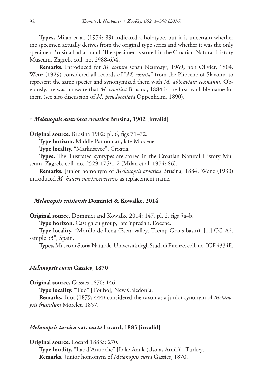**Types.** Milan et al. (1974: 89) indicated a holotype, but it is uncertain whether the specimen actually derives from the original type series and whether it was the only specimen Brusina had at hand. The specimen is stored in the Croatian Natural History Museum, Zagreb, coll. no. 2988-634.

**Remarks.** Introduced for *M. costata* sensu Neumayr, 1969, non Olivier, 1804. Wenz (1929) considered all records of "*M. costata*" from the Pliocene of Slavonia to represent the same species and synonymized them with *M. abbreviata cosmanni*. Obviously, he was unaware that *M. croatica* Brusina, 1884 is the first available name for them (see also discussion of *M. pseudocostata* Oppenheim, 1890).

## **†** *Melanopsis austriaca croatica* **Brusina, 1902 [invalid]**

**Original source.** Brusina 1902: pl. 6, figs 71–72.

**Type horizon.** Middle Pannonian, late Miocene.

**Type locality.** "Markuševec", Croatia.

**Types.** The illustrated syntypes are stored in the Croatian Natural History Museum, Zagreb, coll. no. 2529-175/1-2 (Milan et al. 1974: 86).

**Remarks.** Junior homonym of *Melanopsis croatica* Brusina, 1884. Wenz (1930) introduced *M. haueri markusevecensis* as replacement name.

#### **†** *Melanopsis cuisiensis* **Dominici & Kowalke, 2014**

**Original source.** Dominici and Kowalke 2014: 147, pl. 2, figs 5a–b.

**Type horizon.** Castigaleu group, late Ypresian, Eocene.

**Type locality.** "Morillo de Lena (Esera valley, Tremp-Graus basin), [...] CG-A2, sample 53", Spain.

**Types.** Museo di Storia Naturale, Università degli Studi di Firenze, coll. no. IGF 4334E.

### *Melanopsis curta* **Gassies, 1870**

**Original source.** Gassies 1870: 146.

**Type locality.** "Tuo" [Touho], New Caledonia.

**Remarks.** Brot (1879: 444) considered the taxon as a junior synonym of *Melanopsis frustulum* Morelet, 1857.

#### *Melanopsis turcica* **var.** *curta* **Locard, 1883 [invalid]**

**Original source.** Locard 1883a: 270. **Type locality.** "Lac d'Antioche" [Lake Anuk (also as Amik)], Turkey. **Remarks.** Junior homonym of *Melanopsis curta* Gassies, 1870.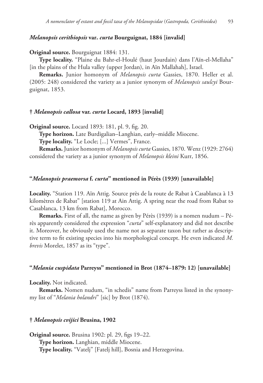## *Melanopsis cerithiopsis* **var.** *curta* **Bourguignat, 1884 [invalid]**

**Original source.** Bourguignat 1884: 131.

**Type locality.** "Plaine du Bahr-el-Houlé (haut Jourdain) dans l'Aïn-el-Mellaha" [in the plains of the Hula valley (upper Jordan), in Aïn Mallahah], Israel.

**Remarks.** Junior homonym of *Melanopsis curta* Gassies, 1870. Heller et al. (2005: 248) considered the variety as a junior synonym of *Melanopsis saulcyi* Bourguignat, 1853.

#### **†** *Melanopsis callosa* **var.** *curta* **Locard, 1893 [invalid]**

**Original source.** Locard 1893: 181, pl. 9, fig. 20.

**Type horizon.** Late Burdigalian–Langhian, early–middle Miocene.

**Type locality.** "Le Locle; [...] Vermes", France.

**Remarks.** Junior homonym of *Melanopsis curta* Gassies, 1870. Wenz (1929: 2764) considered the variety as a junior synonym of *Melanopsis kleini* Kurr, 1856.

## **"***Melanopsis praemorsa* **f.** *curta***" mentioned in Pérès (1939) [unavailable]**

**Locality.** "Station 119. Aïn Attig. Source près de la route de Rabat à Casablanca à 13 kilomètres de Rabat" [station 119 at Ain Attig. A spring near the road from Rabat to Casablanca, 13 km from Rabat], Morocco.

**Remarks.** First of all, the name as given by Pérès (1939) is a nomen nudum – Pérès apparently considered the expression "*curta*" self-explanatory and did not describe it. Moreover, he obviously used the name not as separate taxon but rather as descriptive term to fit existing species into his morphological concept. He even indicated *M. brevis* Morelet, 1857 as its "type".

#### **"***Melania cuspidata* **Parreyss" mentioned in Brot (1874–1879: 12) [unavailable]**

**Locality.** Not indicated.

**Remarks.** Nomen nudum, "in schedis" name from Parreyss listed in the synonymy list of "*Melania holandri*" [sic] by Brot (1874).

#### **†** *Melanopsis cvijici* **Brusina, 1902**

**Original source.** Brusina 1902: pl. 29, figs 19–22. **Type horizon.** Langhian, middle Miocene. **Type locality.** "Vatelj" [Fatelj hill], Bosnia and Herzegovina.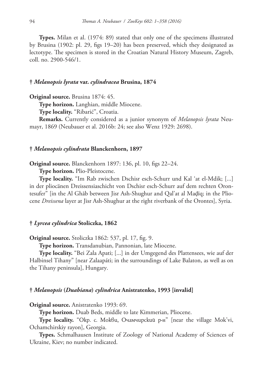**Types.** Milan et al. (1974: 89) stated that only one of the specimens illustrated by Brusina (1902: pl. 29, figs 19–20) has been preserved, which they designated as lectotype. The specimen is stored in the Croatian Natural History Museum, Zagreb, coll. no. 2900-546/1.

#### **†** *Melanopsis lyrata* **var.** *cylindracea* **Brusina, 1874**

**Original source.** Brusina 1874: 45.

**Type horizon.** Langhian, middle Miocene.

**Type locality.** "Ribarić", Croatia.

**Remarks.** Currently considered as a junior synonym of *Melanopsis lyrata* Neumayr, 1869 (Neubauer et al. 2016b: 24; see also Wenz 1929: 2698).

### **†** *Melanopsis cylindrata* **Blanckenhorn, 1897**

**Original source.** Blanckenhorn 1897: 136, pl. 10, figs 22–24.

**Type horizon.** Plio-Pleistocene.

**Type locality.** "Im Rab zwischen Dschisr esch-Schurr und Kal 'at el-Mdik; [...] in der pliocänen Dreissensiaschicht von Dschisr esch-Schurr auf dem rechten Orontesufer" [in the Al Ghāb between Jisr Ash-Shughur and Qal'at al Maḑīq; in the Pliocene *Dreissena* layer at Jisr Ash-Shughur at the right riverbank of the Orontes], Syria.

#### **†** *Lyrcea cylindrica* **Stoliczka, 1862**

**Original source.** Stoliczka 1862: 537, pl. 17, fig. 9.

**Type horizon.** Transdanubian, Pannonian, late Miocene.

**Type locality.** "Bei Zala Apati; [...] in der Umgegend des Plattensees, wie auf der Halbinsel Tihany" [near Zalaapáti; in the surroundings of Lake Balaton, as well as on the Tihany peninsula], Hungary.

#### **†** *Melanopsis* **(***Duabiana***)** *cylindrica* **Anistratenko, 1993 [invalid]**

**Original source.** Anistratenko 1993: 69.

**Type horizon.** Duab Beds, middle to late Kimmerian, Pliocene.

**Type locality.** "Окр. с. Мокви, Очамчирский р-н" [near the village Mok'vi, Ochamchirskiy rayon], Georgia.

**Types.** Schmalhausen Institute of Zoology of National Academy of Sciences of Ukraine, Kiev; no number indicated.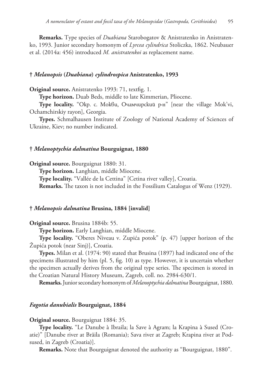**Remarks.** Type species of *Duabiana* Starobogatov & Anistratenko in Anistratenko, 1993. Junior secondary homonym of *Lyrcea cylindrica* Stoliczka, 1862. Neubauer et al. (2014a: 456) introduced *M. anistratenkoi* as replacement name.

### **†** *Melanopsis* **(***Duabiana***)** *cylindrospica* **Anistratenko, 1993**

**Original source.** Anistratenko 1993: 71, textfig. 1.

**Type horizon.** Duab Beds, middle to late Kimmerian, Pliocene.

**Type locality.** "Окр. с. Мокви, Очамчирский р-н" [near the village Mok'vi, Ochamchirskiy rayon], Georgia.

**Types.** Schmalhausen Institute of Zoology of National Academy of Sciences of Ukraine, Kiev; no number indicated.

### **†** *Melanoptychia dalmatina* **Bourguignat, 1880**

**Original source.** Bourguignat 1880: 31.

**Type horizon.** Langhian, middle Miocene.

**Type locality.** "Vallée de la Cettina" [Cetina river valley], Croatia.

**Remarks.** The taxon is not included in the Fossilium Catalogus of Wenz (1929).

## **†** *Melanopsis dalmatina* **Brusina, 1884 [invalid]**

**Original source.** Brusina 1884b: 55.

**Type horizon.** Early Langhian, middle Miocene.

**Type locality.** "Oberes Niveau v. Zupića potok" (p. 47) [upper horizon of the Župića potok (near Sinj)], Croatia.

**Types.** Milan et al. (1974: 90) stated that Brusina (1897) had indicated one of the specimens illustrated by him (pl. 5, fig. 10) as type. However, it is uncertain whether the specimen actually derives from the original type series. The specimen is stored in the Croatian Natural History Museum, Zagreb, coll. no. 2984-630/1.

**Remarks.** Junior secondary homonym of *Melanoptychia dalmatina* Bourguignat, 1880.

### *Fagotia danubialis* **Bourguignat, 1884**

**Original source.** Bourguignat 1884: 35.

**Type locality.** "Le Danube à Ibraila; la Save à Agram; la Krapina à Sused (Croatie)" [Danube river at Brăila (Romania); Sava river at Zagreb; Krapina river at Podsused, in Zagreb (Croatia)].

**Remarks.** Note that Bourguignat denoted the authority as "Bourguignat, 1880".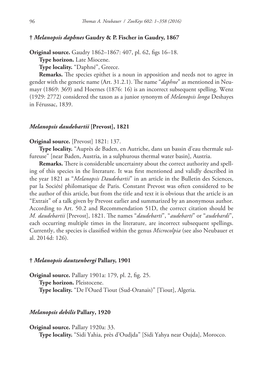## **†** *Melanopsis daphnes* **Gaudry & P. Fischer in Gaudry, 1867**

**Original source.** Gaudry 1862–1867: 407, pl. 62, figs 16–18.

**Type horizon.** Late Miocene.

**Type locality.** "Daphné", Greece.

**Remarks.** The species epithet is a noun in apposition and needs not to agree in gender with the generic name (Art. 31.2.1). The name "*daphne*" as mentioned in Neumayr (1869: 369) and Hoernes (1876: 16) is an incorrect subsequent spelling. Wenz (1929: 2772) considered the taxon as a junior synonym of *Melanopsis longa* Deshayes in Férussac, 1839.

## *Melanopsis daudebartii* **[Prevost], 1821**

#### **Original source.** [Prevost] 1821: 137.

**Type locality.** "Auprès de Baden, en Autriche, dans un bassin d'eau thermale sulfureuse" [near Baden, Austria, in a sulphurous thermal water basin], Austria.

**Remarks.** There is considerable uncertainty about the correct authority and spelling of this species in the literature. It was first mentioned and validly described in the year 1821 as "*Melanopsis Daudebartii*" in an article in the Bulletin des Sciences, par la Société philomatique de Paris. Constant Prevost was often considered to be the author of this article, but from the title and text it is obvious that the article is an "Extrait" of a talk given by Prevost earlier and summarized by an anonymous author. According to Art. 50.2 and Recommendation 51D, the correct citation should be *M. daudebartii* [Prevost], 1821. The names "*daudebarti*", "*audebarti*" or "*audebardi*", each occurring multiple times in the literature, are incorrect subsequent spellings. Currently, the species is classified within the genus *Microcolpia* (see also Neubauer et al. 2014d: 126).

## **†** *Melanopsis dautzenbergi* **Pallary, 1901**

**Original source.** Pallary 1901a: 179, pl. 2, fig. 25. **Type horizon.** Pleistocene. **Type locality.** "De l'Oued Tiout (Sud-Oranais)" [Tiout], Algeria.

#### *Melanopsis debilis* **Pallary, 1920**

**Original source.** Pallary 1920a: 33.

**Type locality.** "Sidi Yahia, près d'Oudjda" [Sidi Yahya near Oujda], Morocco.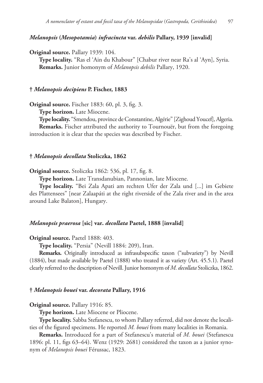## *Melanopsis* **(***Mesopotamia***)** *infracincta* **var.** *debilis* **Pallary, 1939 [invalid]**

**Original source.** Pallary 1939: 104.

**Type locality.** "Ras el 'Ain du Khabour" [Chabur river near Ra's al 'Ayn], Syria. **Remarks.** Junior homonym of *Melanopsis debilis* Pallary, 1920.

#### **†** *Melanopsis decipiens* **P. Fischer, 1883**

**Original source.** Fischer 1883: 60, pl. 3, fig. 3.

**Type horizon.** Late Miocene.

**Type locality.** "Smendou, province de Constantine, Algérie" [Zighoud Youcef], Algeria.

**Remarks.** Fischer attributed the authority to Tournouër, but from the foregoing introduction it is clear that the species was described by Fischer.

### **†** *Melanopsis decollata* **Stoliczka, 1862**

**Original source.** Stoliczka 1862: 536, pl. 17, fig. 8.

**Type horizon.** Late Transdanubian, Pannonian, late Miocene.

**Type locality.** "Bei Zala Apati am rechten Ufer der Zala und [...] im Gebiete des Plattensees" [near Zalaapáti at the right riverside of the Zala river and in the area around Lake Balaton], Hungary.

### *Melanopsis praerosa* **[sic] var.** *decollata* **Paetel, 1888 [invalid]**

**Original source.** Paetel 1888: 403.

**Type locality.** "Persia" (Nevill 1884: 209), Iran.

**Remarks.** Originally introduced as infrasubspecific taxon ("subvariety") by Nevill (1884), but made available by Paetel (1888) who treated it as variety (Art. 45.5.1). Paetel clearly referred to the description of Nevill. Junior homonym of *M. decollata* Stoliczka, 1862.

#### **†** *Melanopsis bouei* **var.** *decorata* **Pallary, 1916**

#### **Original source.** Pallary 1916: 85.

**Type horizon.** Late Miocene or Pliocene.

**Type locality.** Sabba Stefanescu, to whom Pallary referred, did not denote the localities of the figured specimens. He reported *M. bouei* from many localities in Romania.

**Remarks.** Introduced for a part of Stefanescu's material of *M. bouei* (Stefanescu 1896: pl. 11, figs 63–64). Wenz (1929: 2681) considered the taxon as a junior synonym of *Melanopsis bouei* Férussac, 1823.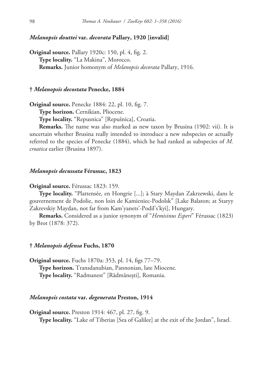## *Melanopsis douttei* **var.** *decorata* **Pallary, 1920 [invalid]**

**Original source.** Pallary 1920c: 150, pl. 4, fig. 2. **Type locality.** "La Makina", Morocco. **Remarks.** Junior homonym of *Melanopsis decorata* Pallary, 1916.

### **†** *Melanopsis decostata* **Penecke, 1884**

**Original source.** Penecke 1884: 22, pl. 10, fig. 7.

**Type horizon.** Cernikian, Pliocene.

**Type locality.** "Repusnica" [Repušnica], Croatia.

**Remarks.** The name was also marked as new taxon by Brusina (1902: vii). It is uncertain whether Brusina really intended to introduce a new subspecies or actually referred to the species of Penecke (1884), which he had ranked as subspecies of *M. croatica* earlier (Brusina 1897).

#### *Melanopsis decussata* **Férussac, 1823**

#### **Original source.** Férussac 1823: 159.

**Type locality.** "Plattensée, en Hongrie [...]; à Stary Maydan Zakrzewski, dans le gouvernement de Podolie, non loin de Kamieniec-Podolsk" [Lake Balaton; at Staryy Zakrevskiy Maydan, not far from Kam'yanets'-Podil's'kyi], Hungary.

**Remarks.** Considered as a junior synonym of "*Hemisinus Esperi*" Férussac (1823) by Brot (1878: 372).

## **†** *Melanopsis defensa* **Fuchs, 1870**

**Original source.** Fuchs 1870a: 353, pl. 14, figs 77–79. **Type horizon.** Transdanubian, Pannonian, late Miocene. **Type locality.** "Radmanest" [Rădmănești], Romania.

### *Melanopsis costata* **var.** *degenerata* **Preston, 1914**

**Original source.** Preston 1914: 467, pl. 27, fig. 9. **Type locality.** "Lake of Tiberias [Sea of Galilee] at the exit of the Jordan", Israel.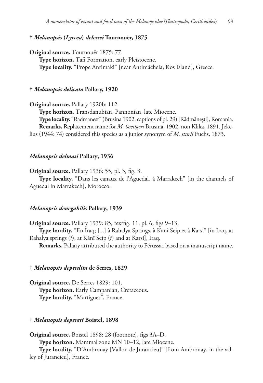## **†** *Melanopsis* **(***Lyrcea***)** *delessei* **Tournouër, 1875**

**Original source.** Tournouër 1875: 77. **Type horizon.** Tafi Formation, early Pleistocene. **Type locality.** "Prope Antimaki" [near Antimácheia, Kos Island], Greece.

## **†** *Melanopsis delicata* **Pallary, 1920**

**Original source.** Pallary 1920b: 112.

**Type horizon.** Transdanubian, Pannonian, late Miocene.

**Type locality.** "Radmanest" (Brusina 1902: captions of pl. 29) [Rădmănești], Romania. **Remarks.** Replacement name for *M. boettgeri* Brusina, 1902, non Klika, 1891. Jekelius (1944: 74) considered this species as a junior synonym of *M. sturii* Fuchs, 1873.

### *Melanopsis delmasi* **Pallary, 1936**

**Original source.** Pallary 1936: 55, pl. 3, fig. 3.

**Type locality.** "Dans les canaux de l'Aguedal, à Marrakech" [in the channels of Aguedal in Marrakech], Morocco.

## *Melanopsis denegabilis* **Pallary, 1939**

**Original source.** Pallary 1939: 85, textfig. 11, pl. 6, figs 9–13.

**Type locality.** "En Iraq; [...] à Rahalya Springs, à Kani Seip et à Karsi" [in Iraq, at Rahalya springs (?), at Kānī Seip (?) and at Karsī], Iraq.

**Remarks.** Pallary attributed the authority to Férussac based on a manuscript name.

#### **†** *Melanopsis deperdita* **de Serres, 1829**

**Original source.** De Serres 1829: 101. **Type horizon.** Early Campanian, Cretaceous. **Type locality.** "Martigues", France.

## **†** *Melanopsis depereti* **Boistel, 1898**

**Original source.** Boistel 1898: 28 (footnote), figs 3A–D. **Type horizon.** Mammal zone MN 10–12, late Miocene. **Type locality.** "D'Ambronay [Vallon de Jurancieu]" [from Ambronay, in the val-

ley of Jurancieu], France.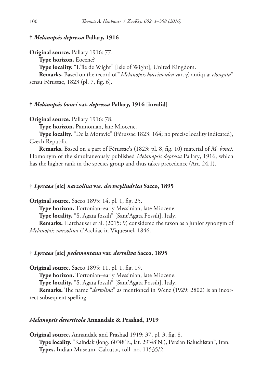## **†** *Melanopsis depressa* **Pallary, 1916**

**Original source.** Pallary 1916: 77.

**Type horizon.** Eocene?

**Type locality.** "L'île de Wight" [Isle of Wight], United Kingdom.

**Remarks.** Based on the record of "*Melanopsis buccinoidea* var. γ) antiqua; *elongata*" sensu Férussac, 1823 (pl. 7, fig. 6).

### **†** *Melanopsis bouei* **var.** *depressa* **Pallary, 1916 [invalid]**

**Original source.** Pallary 1916: 78.

**Type horizon.** Pannonian, late Miocene.

**Type locality.** "De la Moravie" (Férussac 1823: 164; no precise locality indicated), Czech Republic.

**Remarks.** Based on a part of Férussac's (1823: pl. 8, fig. 10) material of *M. bouei*. Homonym of the simultaneously published *Melanopsis depressa* Pallary, 1916, which has the higher rank in the species group and thus takes precedence (Art. 24.1).

## **†** *Lyrcaea* **[sic]** *narzolina* **var.** *dertocylindrica* **Sacco, 1895**

**Original source.** Sacco 1895: 14, pl. 1, fig. 25.

**Type horizon.** Tortonian–early Messinian, late Miocene.

**Type locality.** "S. Agata fossili" [Sant'Agata Fossili], Italy.

**Remarks.** Harzhauser et al. (2015: 9) considered the taxon as a junior synonym of *Melanopsis narzolina* d'Archiac in Viquesnel, 1846.

### **†** *Lyrcaea* **[sic]** *pedemontana* **var.** *dertoliva* **Sacco, 1895**

**Original source.** Sacco 1895: 11, pl. 1, fig. 19. **Type horizon.** Tortonian–early Messinian, late Miocene. **Type locality.** "S. Agata fossili" [Sant'Agata Fossili], Italy. **Remarks.** The name "*dertolina*" as mentioned in Wenz (1929: 2802) is an incorrect subsequent spelling.

## *Melanopsis deserticola* **Annandale & Prashad, 1919**

**Original source.** Annandale and Prashad 1919: 37, pl. 3, fig. 8. **Type locality.** "Kaindak (long. 60°48'E., lat. 29°48'N.), Persian Baluchistan", Iran. **Types.** Indian Museum, Calcutta, coll. no. 11535/2.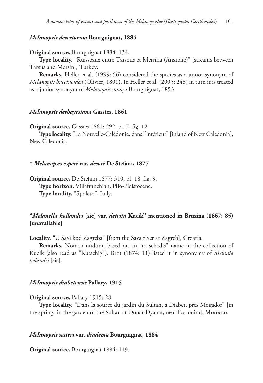## *Melanopsis desertorum* **Bourguignat, 1884**

**Original source.** Bourguignat 1884: 134.

**Type locality.** "Ruisseaux entre Tarsous et Mersina (Anatolie)" [streams between Tarsus and Mersin], Turkey.

**Remarks.** Heller et al. (1999: 56) considered the species as a junior synonym of *Melanopsis buccinoidea* (Olivier, 1801). In Heller et al. (2005: 248) in turn it is treated as a junior synonym of *Melanopsis saulcyi* Bourguignat, 1853.

#### *Melanopsis deshayesiana* **Gassies, 1861**

**Original source.** Gassies 1861: 292, pl. 7, fig. 12.

**Type locality.** "La Nouvelle-Calédonie, dans l'intérieur" [inland of New Caledonia], New Caledonia.

## **†** *Melanopsis esperi* **var.** *desori* **De Stefani, 1877**

**Original source.** De Stefani 1877: 310, pl. 18, fig. 9. **Type horizon.** Villafranchian, Plio-Pleistocene. **Type locality.** "Spoleto", Italy.

# **"***Melanella hollandri* **[sic] var.** *detrita* **Kucik" mentioned in Brusina (1867: 85) [unavailable]**

**Locality.** "U Savi kod Zagreba" [from the Sava river at Zagreb], Croatia.

**Remarks.** Nomen nudum, based on an "in schedis" name in the collection of Kucik (also read as "Kutschig"). Brot (1874: 11) listed it in synonymy of *Melania holandri* [sic].

### *Melanopsis diabetensis* **Pallary, 1915**

**Original source.** Pallary 1915: 28.

**Type locality.** "Dans la source du jardin du Sultan, à Diabet, près Mogador" [in the springs in the garden of the Sultan at Douar Dyabat, near Essaouira], Morocco.

## *Melanopsis sesteri* **var.** *diadema* **Bourguignat, 1884**

**Original source.** Bourguignat 1884: 119.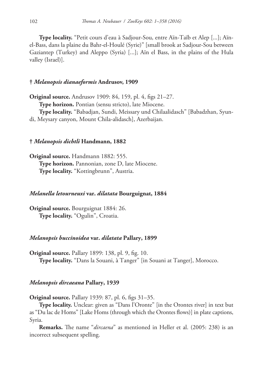**Type locality.** "Petit cours d'eau à Sadjour-Sou, entre Aïn-Taïb et Alep [...]; Aïnel-Bass, dans la plaine du Bahr-el-Houlé (Syrie)" [small brook at Sadjour-Sou between Gaziantep (Turkey) and Aleppo (Syria) [...]; Aïn el Bass, in the plains of the Hula valley (Israel)].

## **†** *Melanopsis dianaeformis* **Andrusov, 1909**

**Original source.** Andrusov 1909: 84, 159, pl. 4, figs 21–27. **Type horizon.** Pontian (sensu stricto), late Miocene. **Type locality.** "Babadjan, Sundi, Meissary und Chilaalidasch" [Babadzhan, Syundi, Meysary canyon, Mount Chila-alidasch], Azerbaijan.

### **†** *Melanopsis dichtli* **Handmann, 1882**

**Original source.** Handmann 1882: 555. **Type horizon.** Pannonian, zone D, late Miocene. **Type locality.** "Kottingbrunn", Austria.

#### *Melanella letourneuxi* **var.** *dilatata* **Bourguignat, 1884**

**Original source.** Bourguignat 1884: 26. **Type locality.** "Ogulin", Croatia.

### *Melanopsis buccinoidea* **var.** *dilatata* **Pallary, 1899**

**Original source.** Pallary 1899: 138, pl. 9, fig. 10. **Type locality.** "Dans la Souani, à Tanger" [in Souani at Tanger], Morocco.

### *Melanopsis dircaeana* **Pallary, 1939**

**Original source.** Pallary 1939: 87, pl. 6, figs 31–35.

**Type locality.** Unclear: given as "Dans l'Oronte" [in the Orontes river] in text but as "Du lac de Homs" [Lake Homs (through which the Orontes flows)] in plate captions, Syria.

**Remarks.** The name "*dircaena*" as mentioned in Heller et al. (2005: 238) is an incorrect subsequent spelling.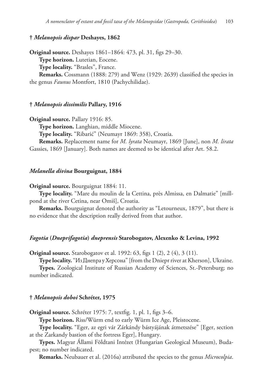## **†** *Melanopsis dispar* **Deshayes, 1862**

**Original source.** Deshayes 1861–1864: 473, pl. 31, figs 29–30. **Type horizon.** Lutetian, Eocene. **Type locality.** "Brasles", France. **Remarks.** Cossmann (1888: 279) and Wenz (1929: 2639) classified the species in the genus *Faunus* Montfort, 1810 (Pachychilidae).

#### **†** *Melanopsis dissimilis* **Pallary, 1916**

**Original source.** Pallary 1916: 85.

**Type horizon.** Langhian, middle Miocene.

**Type locality.** "Ribarić" (Neumayr 1869: 358), Croatia.

**Remarks.** Replacement name for *M. lyrata* Neumayr, 1869 [June], non *M. lirata* Gassies, 1869 [January]. Both names are deemed to be identical after Art. 58.2.

#### *Melanella divina* **Bourguignat, 1884**

**Original source.** Bourguignat 1884: 11.

**Type locality.** "Mare du moulin de la Cettina, près Almissa, en Dalmatie" [millpond at the river Cetina, near Omiš], Croatia.

**Remarks.** Bourguignat denoted the authority as "Letourneux, 1879", but there is no evidence that the description really derived from that author.

### *Fagotia* **(***Dneprifagotia***)** *dneprensis* **Starobogatov, Alexenko & Levina, 1992**

**Original source.** Starobogatov et al. 1992: 63, figs 1 (2), 2 (4), 3 (11).

**Type locality.** "Из Днепра у Херсона" [from the Dniepr river at Kherson], Ukraine.

**Types.** Zoological Institute of Russian Academy of Sciences, St.-Petersburg; no number indicated.

### **†** *Melanopsis doboi* **Schréter, 1975**

**Original source.** Schréter 1975: 7, textfig. 1, pl. 1, figs 3–6.

**Type horizon.** Riss/Würm end to early Würm Ice Age, Pleistocene.

**Type locality.** "Eger, az egri vár Zárkándy bástyájának átmetszése" [Eger, section at the Zarkandy bastion of the fortress Eger], Hungary.

**Types.** Magyar Állami Földtani Intézet (Hungarian Geological Museum), Budapest; no number indicated.

**Remarks.** Neubauer et al. (2016a) attributed the species to the genus *Microcolpia*.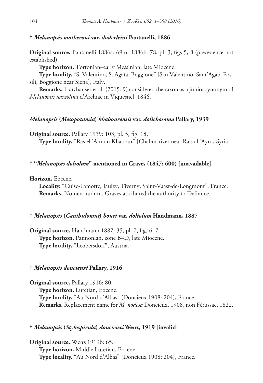## **†** *Melanopsis matheroni* **var.** *doderleini* **Pantanelli, 1886**

**Original source.** Pantanelli 1886a: 69 or 1886b: 78, pl. 3, figs 5, 8 (precedence not established).

**Type horizon.** Tortonian–early Messinian, late Miocene.

**Type locality.** "S. Valentino, S. Agata, Boggione" [San Valentino, Sant'Agata Fossili, Boggione near Siena], Italy.

**Remarks.** Harzhauser et al. (2015: 9) considered the taxon as a junior synonym of *Melanopsis narzolina* d'Archiac in Viquesnel, 1846.

## *Melanopsis* **(***Mesopotamia***)** *khabourensis* **var.** *dolichosoma* **Pallary, 1939**

**Original source.** Pallary 1939: 103, pl. 5, fig. 18.

**Type locality.** "Ras el 'Ain du Khabour" [Chabur river near Ra's al 'Ayn], Syria.

## **† "***Melanopsis doliolum***" mentioned in Graves (1847: 600) [unavailable]**

**Horizon.** Eocene.

**Locality.** "Cuise-Lamotte, Jaulzy, Tiverny, Saint-Vaast-de-Longmont", France. **Remarks.** Nomen nudum. Graves attributed the authority to Defrance.

#### **†** *Melanopsis* **(***Canthidomus***)** *bouei* **var.** *doliolum* **Handmann, 1887**

**Original source.** Handmann 1887: 35, pl. 7, figs 6–7. **Type horizon.** Pannonian, zone B–D, late Miocene. **Type locality.** "Leobersdorf", Austria.

#### **†** *Melanopsis doncieuxi* **Pallary, 1916**

**Original source.** Pallary 1916: 80. **Type horizon.** Lutetian, Eocene. **Type locality.** "Au Nord d'Albas" (Doncieux 1908: 204), France. **Remarks.** Replacement name for *M. nodosa* Doncieux, 1908, non Férussac, 1822.

## **†** *Melanopsis* **(***Stylospirula***)** *doncieuxi* **Wenz, 1919 [invalid]**

**Original source.** Wenz 1919b: 65. **Type horizon.** Middle Lutetian, Eocene. **Type locality.** "Au Nord d'Albas" (Doncieux 1908: 204), France.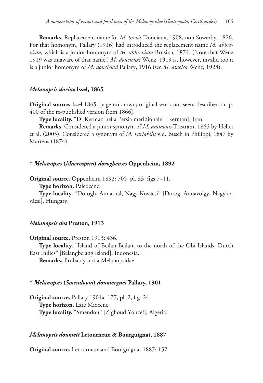**Remarks.** Replacement name for *M. brevis* Doncieux, 1908, non Sowerby, 1826. For that homonym, Pallary (1916) had introduced the replacement name *M. abbreviata*, which is a junior homonym of *M. abbreviata* Brusina, 1874. (Note that Wenz 1919 was unaware of that name.) *M. doncieuxi* Wenz, 1919 is, however, invalid too it is a junior homonym of *M. doncieuxi* Pallary, 1916 (see *M. atacica* Wenz, 1928).

### *Melanopsis doriae* **Issel, 1865**

**Original source.** Issel 1865 [page unknown; original work not seen; described on p. 400 of the re-published version from 1866].

**Type locality.** "Di Kerman nella Persia meridionale" [Kerman], Iran.

**Remarks.** Considered a junior synonym of *M. ammonis* Tristram, 1865 by Heller et al. (2005). Considered a synonym of *M. variabilis* v.d. Busch in Philippi, 1847 by Martens (1874).

#### **†** *Melanopsis* **(***Macrospira***)** *doroghensis* **Oppenheim, 1892**

**Original source.** Oppenheim 1892: 705, pl. 33, figs 7–11.

**Type horizon.** Paleocene.

**Type locality.** "Dorogh, Annathal, Nagy Kovacsi" [Dorog, Annavölgy, Nagykovácsi], Hungary.

## *Melanopsis dos* **Preston, 1913**

**Original source.** Preston 1913: 436.

**Type locality.** "Island of Beilan-Beilan, to the north of the Obi Islands, Dutch East Indies" [Belangbelang Island], Indonesia.

**Remarks.** Probably not a Melanopsidae.

## **†** *Melanopsis* **(***Smendovia***)** *doumerguei* **Pallary, 1901**

**Original source.** Pallary 1901a: 177, pl. 2, fig. 24. **Type horizon.** Late Miocene. **Type locality.** "Smendou" [Zighoud Youcef], Algeria.

#### *Melanopsis doumeti* **Letourneux & Bourguignat, 1887**

**Original source.** Letourneux and Bourguignat 1887: 157.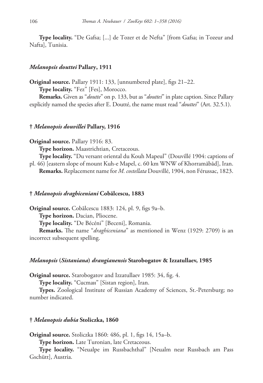**Type locality.** "De Gafsa; [...] de Tozer et de Nefta" [from Gafsa; in Tozeur and Nafta], Tunisia.

## *Melanopsis douttei* **Pallary, 1911**

**Original source.** Pallary 1911: 133, [unnumbered plate], figs 21–22.

**Type locality.** "Fez" [Fes], Morocco.

**Remarks.** Given as "*doutte*" on p. 133, but as "*douttei*" in plate caption. Since Pallary explicitly named the species after E. Doutté, the name must read "*douttei*" (Art. 32.5.1).

#### **†** *Melanopsis douvillei* **Pallary, 1916**

## **Original source.** Pallary 1916: 83.

**Type horizon.** Maastrichtian, Cretaceous.

**Type locality.** "Du versant oriental du Kouh Mapeul" (Douvillé 1904: captions of pl. 46) [eastern slope of mount Kuh-e Mapel, c. 60 km WNW of Khorramābād], Iran. **Remarks.** Replacement name for *M. costellata* Douvillé, 1904, non Férussac, 1823.

### **†** *Melanopsis draghiceniani* **Cobălcescu, 1883**

**Original source.** Cobălcescu 1883: 124, pl. 9, figs 9a–b.

**Type horizon.** Dacian, Pliocene.

**Type locality.** "De Bécéni" [Beceni], Romania.

**Remarks.** The name "*draghiceniana*" as mentioned in Wenz (1929: 2709) is an incorrect subsequent spelling.

## *Melanopsis* **(***Sistaniana***)** *drangianensis* **Starobogatov & Izzatullaev, 1985**

**Original source.** Starobogatov and Izzatullaev 1985: 34, fig. 4.

**Type locality.** "Систан" [Sistan region], Iran.

**Types.** Zoological Institute of Russian Academy of Sciences, St.-Petersburg; no number indicated.

## **†** *Melanopsis dubia* **Stoliczka, 1860**

**Original source.** Stoliczka 1860: 486, pl. 1, figs 14, 15a–b.

**Type horizon.** Late Turonian, late Cretaceous.

**Type locality.** "Neualpe im Russbachthal" [Neualm near Russbach am Pass Gschütt], Austria.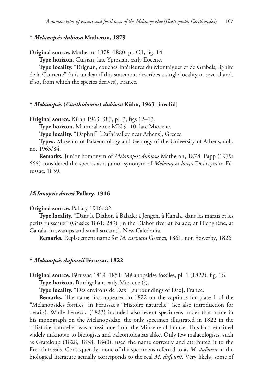# **†** *Melanopsis dubiosa* **Matheron, 1879**

**Original source.** Matheron 1878–1880: pl. O1, fig. 14.

**Type horizon.** Cuisian, late Ypresian, early Eocene.

**Type locality.** "Brignan, couches inférieures du Montaiguet et de Grabels; lignite de la Caunette" (it is unclear if this statement describes a single locality or several and, if so, from which the species derives), France.

### **†** *Melanopsis* **(***Canthidomus***)** *dubiosa* **Kühn, 1963 [invalid]**

**Original source.** Kühn 1963: 387, pl. 3, figs 12–13.

**Type horizon.** Mammal zone MN 9–10, late Miocene.

**Type locality.** "Daphni" [Dafní valley near Athens], Greece.

**Types.** Museum of Palaeontology and Geology of the University of Athens, coll. no. 1963/84.

**Remarks.** Junior homonym of *Melanopsis dubiosa* Matheron, 1878. Papp (1979: 668) considered the species as a junior synonym of *Melanopsis longa* Deshayes in Férussac, 1839.

### *Melanopsis ducosi* **Pallary, 1916**

### **Original source.** Pallary 1916: 82.

**Type locality.** "Dans le Diahot, à Balade; à Jengen, à Kanala, dans les marais et les petits ruisseaux" (Gassies 1861: 289) [in the Diahot river at Balade; at Hienghène, at Canala, in swamps and small streams], New Caledonia.

**Remarks.** Replacement name for *M. carinata* Gassies, 1861, non Sowerby, 1826.

# **†** *Melanopsis dufourii* **Férussac, 1822**

**Original source.** Férussac 1819–1851: Mélanopsides fossiles, pl. 1 (1822), fig. 16.

**Type horizon.** Burdigalian, early Miocene (?).

**Type locality.** "Des environs de Dax" [surroundings of Dax], France.

**Remarks.** The name first appeared in 1822 on the captions for plate 1 of the "Mélanopsides fossiles" in Férussac's "Histoire naturelle" (see also introduction for details). While Férussac (1823) included also recent specimens under that name in his monograph on the Melanopsidae, the only specimen illustrated in 1822 in the "Histoire naturelle" was a fossil one from the Miocene of France. This fact remained widely unknown to biologists and paleontologists alike. Only few malacologists, such as Grateloup (1828, 1838, 1840), used the name correctly and attributed it to the French fossils. Consequently, none of the specimens referred to as *M. dufourii* in the biological literature actually corresponds to the real *M. dufourii*. Very likely, some of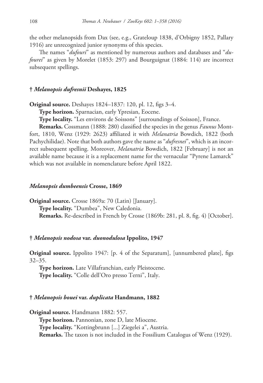the other melanopsids from Dax (see, e.g., Grateloup 1838, d'Orbigny 1852, Pallary 1916) are unrecognized junior synonyms of this species.

The names "*dufouri*" as mentioned by numerous authors and databases and "*dufourei*" as given by Morelet (1853: 297) and Bourguignat (1884: 114) are incorrect subsequent spellings.

### **†** *Melanopsis dufresnii* **Deshayes, 1825**

**Original source.** Deshayes 1824–1837: 120, pl. 12, figs 3–4.

**Type horizon.** Sparnacian, early Ypresian, Eocene.

**Type locality.** "Les environs de Soissons" [surroundings of Soisson], France.

**Remarks.** Cossmann (1888: 280) classified the species in the genus *Faunus* Montfort, 1810, Wenz (1929: 2623) affiliated it with *Melanatria* Bowdich, 1822 (both Pachychilidae). Note that both authors gave the name as "*dufresnei*", which is an incorrect subsequent spelling. Moreover, *Melanatria* Bowdich, 1822 [February] is not an available name because it is a replacement name for the vernacular "Pyrene Lamarck" which was not available in nomenclature before April 1822.

#### *Melanopsis dumbeensis* **Crosse, 1869**

**Original source.** Crosse 1869a: 70 (Latin) [January]. **Type locality.** "Dumbea", New Caledonia. **Remarks.** Re-described in French by Crosse (1869b: 281, pl. 8, fig. 4) [October].

# **†** *Melanopsis nodosa* **var.** *duonodulosa* **Ippolito, 1947**

**Original source.** Ippolito 1947: [p. 4 of the Separatum], [unnumbered plate], figs 32–35.

**Type horizon.** Late Villafranchian, early Pleistocene. **Type locality.** "Colle dell'Oro presso Terni", Italy.

# **†** *Melanopsis bouei* **var.** *duplicata* **Handmann, 1882**

**Original source.** Handmann 1882: 557. **Type horizon.** Pannonian, zone D, late Miocene. **Type locality.** "Kottingbrunn [...] Ziegelei a", Austria. **Remarks.** The taxon is not included in the Fossilium Catalogus of Wenz (1929).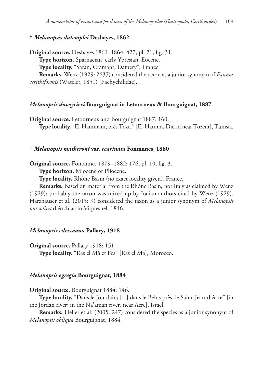# **†** *Melanopsis dutemplei* **Deshayes, 1862**

**Original source.** Deshayes 1861–1864: 427, pl. 21, fig. 31. **Type horizon.** Sparnacian, early Ypresian, Eocene. **Type locality.** "Saran, Cramant, Damery", France. **Remarks.** Wenz (1929: 2637) considered the taxon as a junior synonym of *Faunus cerithiformis* (Watelet, 1851) (Pachychilidae).

#### *Melanopsis duveyrieri* **Bourguignat in Letourneux & Bourguignat, 1887**

**Original source.** Letourneux and Bourguignat 1887: 160. **Type locality.** "El-Hammam, près Tozer" [El-Hamma-Djerid near Tozeur], Tunisia.

# **†** *Melanopsis matheroni* **var.** *ecarinata* **Fontannes, 1880**

**Original source.** Fontannes 1879–1882: 176, pl. 10, fig. 3.

**Type horizon.** Miocene or Pliocene.

**Type locality.** Rhône Basin (no exact locality given), France.

**Remarks.** Based on material from the Rhône Basin, not Italy as claimed by Wenz (1929); probably the taxon was mixed up by Italian authors cited by Wenz (1929). Harzhauser et al. (2015: 9) considered the taxon as a junior synonym of *Melanopsis narzolina* d'Archiac in Viquesnel, 1846.

#### *Melanopsis edrissiana* **Pallary, 1918**

**Original source.** Pallary 1918: 151. **Type locality.** "Ras el Mâ et Fès" [Ras el Ma], Morocco.

#### *Melanopsis egregia* **Bourguignat, 1884**

**Original source.** Bourguignat 1884: 146.

**Type locality.** "Dans le Jourdain; [...] dans le Belus près de Saint-Jean-d'Acre" [in the Jordan river; in the Na'aman river, near Acre], Israel.

**Remarks.** Heller et al. (2005: 247) considered the species as a junior synonym of *Melanopsis obliqua* Bourguignat, 1884.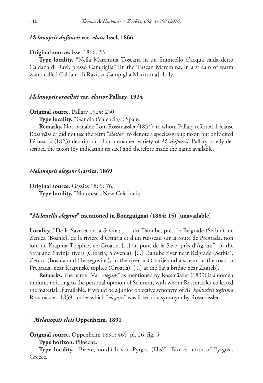### *Melanopsis dufourii* **var.** *elata* **Issel, 1866**

### **Original source.** Issel 1866: 33.

**Type locality.** "Nella Maremma Toscana in un fiumicello d'acqua calda detto Caldana di Ravi, presso Campiglia" [in the Tuscan Maremma, in a stream of warm water called Caldana di Ravi, at Campiglia Marittima], Italy.

#### *Melanopsis graellsii* **var.** *elatior* **Pallary, 1924**

#### **Original source.** Pallary 1924: 250.

**Type locality.** "Gandia (Valencia)", Spain.

**Remarks.** Not available from Rossmässler (1854), to whom Pallary referred, because Rossmässler did not use the term "*elatior*" to denote a species-group taxon but only cited Férussac's (1823) description of an unnamed variety of *M. dufourii*. Pallary briefly described the taxon (by indicating its size) and therefore made the name available.

#### *Melanopsis elegans* **Gassies, 1869**

**Original source.** Gassies 1869: 76.

**Type locality.** "Noumea", New Caledonia.

#### **"***Melanella elegans***" mentioned in Bourguignat (1884: 15) [unavailable]**

**Locality.** "De la Save et de la Savina; [...] du Danube, près de Belgrade (Serbie), de Zenica (Bosnie), de la rivière d'Ostaria et d'un ruisseau sur là route de Pregrada, non loin de Krapina-Toeplitz, en Croatie; [...] au pont de la Save, près d'Agram" [in the Sava and Savinja rivers (Croatia, Slovenia); [...] Danube river near Belgrade (Serbia), Zenica (Bosnia and Herzegovina), in the river at Oštarije and a stream at the road to Pregrada, near Krapinske toplice (Croatia); [...] at the Sava bridge near Zagreb].

**Remarks.** The name "Var. *elegans*" as mentioned by Rossmässler (1839) is a nomen nudum, referring to the personal opinion of Schmidt, with whom Rossmässler collected the material. If available, it would be a junior objective synonym of *M. holandrii legitima* Rossmässler, 1839, under which "*elegans*" was listed as a synonym by Rossmässler.

# **†** *Melanopsis eleis* **Oppenheim, 1891**

**Original source.** Oppenheim 1891: 465, pl. 26, fig. 5.

**Type horizon.** Pliocene.

**Type locality.** "Bizerè, nördlich von Pyrgos (Elis)" [Bizeré, north of Pyrgos], Greece.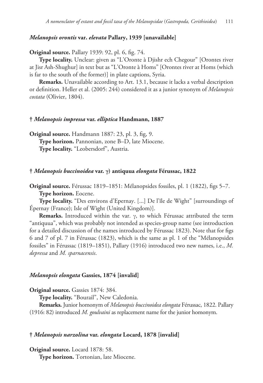# *Melanopsis orontis* **var.** *elevata* **Pallary, 1939 [unavailable]**

**Original source.** Pallary 1939: 92, pl. 6, fig. 74.

**Type locality.** Unclear: given as "L'Oronte à Djishr ech Chegour" [Orontes river at Jisr Ash-Shughur] in text but as "L'Oronte à Homs" [Orontes river at Homs (which is far to the south of the former)] in plate captions, Syria.

**Remarks.** Unavailable according to Art. 13.1, because it lacks a verbal description or definition. Heller et al. (2005: 244) considered it as a junior synonym of *Melanopsis costata* (Olivier, 1804).

# **†** *Melanopsis impressa* **var.** *elliptica* **Handmann, 1887**

**Original source.** Handmann 1887: 23, pl. 3, fig, 9. **Type horizon.** Pannonian, zone B–D, late Miocene. **Type locality.** "Leobersdorf", Austria.

#### **†** *Melanopsis buccinoidea* **var. γ) antiquua** *elongata* **Férussac, 1822**

**Original source.** Férussac 1819–1851: Mélanopsides fossiles, pl. 1 (1822), figs 5–7. **Type horizon.** Eocene.

**Type locality.** "Des environs d'Epernay. [...] De l'île de Wight" [surroundings of Épernay (France); Isle of Wight (United Kingdom)].

**Remarks.** Introduced within the var. γ, to which Férussac attributed the term "antiquua", which was probably not intended as species-group name (see introduction for a detailed discussion of the names introduced by Férussac 1823). Note that for figs 6 and 7 of pl. 7 in Férussac (1823), which is the same as pl. 1 of the "Mélanopsides fossiles" in Férussac (1819–1851), Pallary (1916) introduced two new names, i.e., *M. depressa* and *M. sparnacensis*.

#### *Melanopsis elongata* **Gassies, 1874 [invalid]**

**Original source.** Gassies 1874: 384.

**Type locality.** "Bourail", New Caledonia.

**Remarks.** Junior homonym of *Melanopsis buccinoidea elongata* Férussac, 1822. Pallary (1916: 82) introduced *M. goulvaini* as replacement name for the junior homonym.

# **†** *Melanopsis narzolina* **var.** *elongata* **Locard, 1878 [invalid]**

**Original source.** Locard 1878: 58.

**Type horizon.** Tortonian, late Miocene.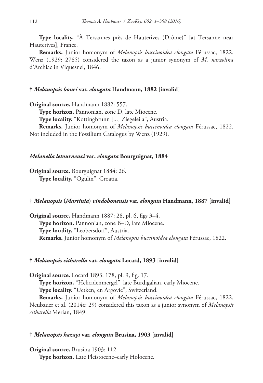**Type locality.** "À Tersannes près de Hauterives (Drôme)" [at Tersanne near Hauterives], France.

**Remarks.** Junior homonym of *Melanopsis buccinoidea elongata* Férussac, 1822. Wenz (1929: 2785) considered the taxon as a junior synonym of *M. narzolina* d'Archiac in Viquesnel, 1846.

# **†** *Melanopsis bouei* **var.** *elongata* **Handmann, 1882 [invalid]**

**Original source.** Handmann 1882: 557.

**Type horizon.** Pannonian, zone D, late Miocene.

**Type locality.** "Kottingbrunn [...] Ziegelei a", Austria.

**Remarks.** Junior homonym of *Melanopsis buccinoidea elongata* Férussac, 1822. Not included in the Fossilium Catalogus by Wenz (1929).

# *Melanella letourneuxi* **var.** *elongata* **Bourguignat, 1884**

**Original source.** Bourguignat 1884: 26. **Type locality.** "Ogulin", Croatia.

### **†** *Melanopsis* **(***Martinia***)** *vindobonensis* **var.** *elongata* **Handmann, 1887 [invalid]**

**Original source.** Handmann 1887: 28, pl. 6, figs 3–4. **Type horizon.** Pannonian, zone B–D, late Miocene. **Type locality.** "Leobersdorf", Austria. **Remarks.** Junior homonym of *Melanopsis buccinoidea elongata* Férussac, 1822.

# **†** *Melanopsis citharella* **var.** *elongata* **Locard, 1893 [invalid]**

**Original source.** Locard 1893: 178, pl. 9, fig. 17. **Type horizon.** "Helicidenmergel", late Burdigalian, early Miocene. **Type locality.** "Uetken, en Argovie", Switzerland. **Remarks.** Junior homonym of *Melanopsis buccinoidea elongata* Férussac, 1822.

Neubauer et al. (2014c: 29) considered this taxon as a junior synonym of *Melanopsis citharella* Merian, 1849.

# **†** *Melanopsis hazayi* **var.** *elongata* **Brusina, 1903 [invalid]**

**Original source.** Brusina 1903: 112. **Type horizon.** Late Pleistocene–early Holocene.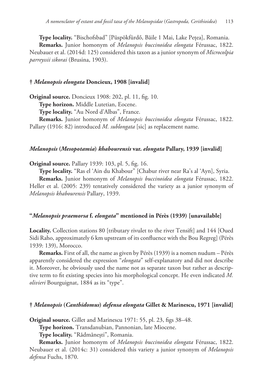**Type locality.** "Bischofsbad" [Püspökfürdő, Băile 1 Mai, Lake Pețea], Romania. **Remarks.** Junior homonym of *Melanopsis buccinoidea elongata* Férussac, 1822. Neubauer et al. (2014d: 125) considered this taxon as a junior synonym of *Microcolpia parreyssii sikorai* (Brusina, 1903).

# **†** *Melanopsis elongata* **Doncieux, 1908 [invalid]**

**Original source.** Doncieux 1908: 202, pl. 11, fig. 10.

**Type horizon.** Middle Lutetian, Eocene.

**Type locality.** "Au Nord d'Albas", France.

**Remarks.** Junior homonym of *Melanopsis buccinoidea elongata* Férussac, 1822. Pallary (1916: 82) introduced *M. sublongata* [sic] as replacement name.

### *Melanopsis* **(***Mesopotamia***)** *khabourensis* **var.** *elongata* **Pallary, 1939 [invalid]**

**Original source.** Pallary 1939: 103, pl. 5, fig. 16.

**Type locality.** "Ras el 'Ain du Khabour" [Chabur river near Ra's al 'Ayn], Syria.

**Remarks.** Junior homonym of *Melanopsis buccinoidea elongata* Férussac, 1822. Heller et al. (2005: 239) tentatively considered the variety as a junior synonym of *Melanopsis khabourensis* Pallary, 1939.

# **"***Melanopsis praemorsa* **f.** *elongata***" mentioned in Pérès (1939) [unavailable]**

**Locality.** Collection stations 80 [tributary rivulet to the river Tensift] and 144 [Oued Sidi Raho, approximately 6 km upstream of its confluence with the Bou Regreg] (Pérès 1939: 139), Morocco.

**Remarks.** First of all, the name as given by Pérès (1939) is a nomen nudum – Pérès apparently considered the expression "*elongata*" self-explanatory and did not describe it. Moreover, he obviously used the name not as separate taxon but rather as descriptive term to fit existing species into his morphological concept. He even indicated *M. olivieri* Bourguignat, 1884 as its "type".

# **†** *Melanopsis* **(***Canthidomus***)** *defensa elongata* **Gillet & Marinescu, 1971 [invalid]**

**Original source.** Gillet and Marinescu 1971: 55, pl. 23, figs 38–48.

**Type horizon.** Transdanubian, Pannonian, late Miocene.

**Type locality.** "Rădmănești", Romania.

**Remarks.** Junior homonym of *Melanopsis buccinoidea elongata* Férussac, 1822. Neubauer et al. (2014c: 31) considered this variety a junior synonym of *Melanopsis defensa* Fuchs, 1870.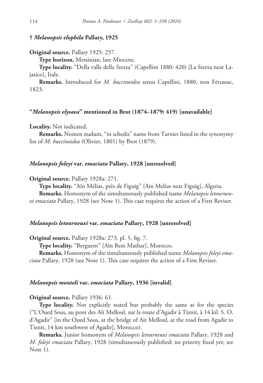# **†** *Melanopsis elophila* **Pallary, 1925**

#### **Original source.** Pallary 1925: 257.

**Type horizon.** Messinian, late Miocene.

**Type locality.** "Della valle della Sterza" (Capellini 1880: 420) [La Sterza near Lajatico], Italy.

**Remarks.** Introduced for *M. buccinoidea* sensu Capellini, 1880, non Férussac, 1823.

#### **"***Melanopsis elysaea***" mentioned in Brot (1874–1879: 419) [unavailable]**

#### **Locality.** Not indicated.

**Remarks.** Nomen nudum, "in schedis" name from Tarnier listed in the synonymy list of *M. buccinoidea* (Olivier, 1801) by Brot (1879).

# *Melanopsis foleyi* **var.** *emaciata* **Pallary, 1928 [unresolved]**

**Original source.** Pallary 1928a: 271.

**Type locality.** "Aïn Mélias, près de Figuig" [Ain Melias near Figuig], Algeria.

**Remarks.** Homonym of the simultaneously published name *Melanopsis letourneuxi emaciata* Pallary, 1928 (see Note 1). This case requires the action of a First Reviser.

#### *Melanopsis letourneuxi* **var.** *emaciata* **Pallary, 1928 [unresolved]**

**Original source.** Pallary 1928a: 273, pl. 5, fig. 7.

**Type locality.** "Berguent" [Aïn Beni Mathar], Morocco.

**Remarks.** Homonym of the simultaneously published name *Melanopsis foleyi emaciata* Pallary, 1928 (see Note 1). This case requires the action of a First Reviser.

### *Melanopsis monteli* **var.** *emaciata* **Pallary, 1936 [invalid]**

#### **Original source.** Pallary 1936: 61.

**Type locality.** Not explicitly stated but probably the same as for the species ("L'Oued Sous, au pont des Aït Melloul, sur la route d'Agadir à Tiznit, à 14 kil. S. O. d'Agadir" [in the Oued Sous, at the bridge of Ait Melloul, at the road from Agadir to Tiznit, 14 km southwest of Agadir], Morocco).

**Remarks.** Junior homonym of *Melanopsis letourneuxi emaciata* Pallary, 1928 and *M. foleyi emaciata* Pallary, 1928 (simultaneously published; no priority fixed yet; see Note 1).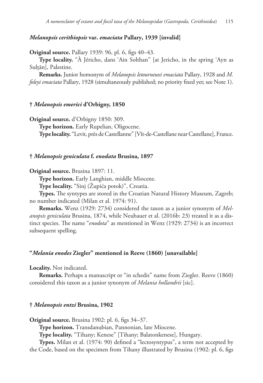# *Melanopsis cerithiopsis* **var.** *emaciata* **Pallary, 1939 [invalid]**

**Original source.** Pallary 1939: 96, pl. 6, figs 40–43.

**Type locality.** "À Jéricho, dans 'Ain Solthan" [at Jericho, in the spring 'Ayn as Sulțān], Palestine.

**Remarks.** Junior homonym of *Melanopsis letourneuxi emaciata* Pallary, 1928 and *M. foleyi emaciata* Pallary, 1928 (simultaneously published; no priority fixed yet; see Note 1).

#### **†** *Melanopsis emerici* **d'Orbigny, 1850**

**Original source.** d'Orbigny 1850: 309.

**Type horizon.** Early Rupelian, Oligocene.

**Type locality.** "Levit, près de Castellanne" [Vît-de-Castellane near Castellane], France.

# **†** *Melanopsis geniculata* **f.** *enodata* **Brusina, 1897**

**Original source.** Brusina 1897: 11.

**Type horizon.** Early Langhian, middle Miocene.

**Type locality.** "Sinj (Župića potok)", Croatia.

**Types.** The syntypes are stored in the Croatian Natural History Museum, Zagreb; no number indicated (Milan et al. 1974: 91).

**Remarks.** Wenz (1929: 2734) considered the taxon as a junior synonym of *Melanopsis geniculata* Brusina, 1874, while Neubauer et al. (2016b: 23) treated it as a distinct species. The name "*enodota*" as mentioned in Wenz (1929: 2734) is an incorrect subsequent spelling.

### **"***Melania enodes* **Ziegler" mentioned in Reeve (1860) [unavailable]**

#### **Locality.** Not indicated.

**Remarks.** Perhaps a manuscript or "in schedis" name from Ziegler. Reeve (1860) considered this taxon as a junior synonym of *Melania hollandrii* [sic].

# **†** *Melanopsis entzi* **Brusina, 1902**

**Original source.** Brusina 1902: pl. 6, figs 34–37.

**Type horizon.** Transdanubian, Pannonian, late Miocene.

**Type locality.** "Tihany; Kenese" [Tihany; Balatonkenese], Hungary.

**Types.** Milan et al. (1974: 90) defined a "lectosyntypus", a term not accepted by the Code, based on the specimen from Tihany illustrated by Brusina (1902: pl. 6, figs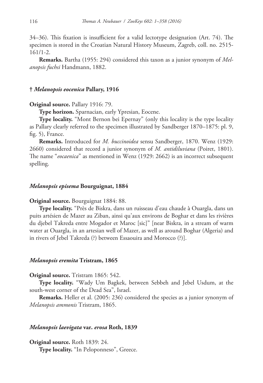34–36). This fixation is insufficient for a valid lectotype designation (Art. 74). The specimen is stored in the Croatian Natural History Museum, Zagreb, coll. no. 2515- 161/1-2.

**Remarks.** Bartha (1955: 294) considered this taxon as a junior synonym of *Melanopsis fuchsi* Handmann, 1882.

### **†** *Melanopsis eocenica* **Pallary, 1916**

#### **Original source.** Pallary 1916: 79.

**Type horizon.** Sparnacian, early Ypresian, Eocene.

**Type locality.** "Mont Bernon bei Epernay" (only this locality is the type locality as Pallary clearly referred to the specimen illustrated by Sandberger 1870–1875: pl. 9, fig. 5), France.

**Remarks.** Introduced for *M. buccinoidea* sensu Sandberger, 1870. Wenz (1929: 2660) considered that record a junior synonym of *M. antidiluviana* (Poiret, 1801). The name "*eocaenica*" as mentioned in Wenz (1929: 2662) is an incorrect subsequent spelling.

#### *Melanopsis episema* **Bourguignat, 1884**

**Original source.** Bourguignat 1884: 88.

**Type locality.** "Près de Biskra, dans un ruisseau d'eau chaude à Ouargla, dans un puits artésien de Mazer au Ziban, ainsi qu'aux environs de Boghar et dans les rivières du djebel Takreda entre Mogador et Maroc [sic]" [near Biskra, in a stream of warm water at Ouargla, in an artesian well of Mazer, as well as around Boghar (Algeria) and in rivers of Jebel Takreda (?) between Essaouira and Morocco (?)].

# *Melanopsis eremita* **Tristram, 1865**

#### **Original source.** Tristram 1865: 542.

**Type locality.** "Wady Um Bagkek, between Sebbeh and Jebel Usdum, at the south-west corner of the Dead Sea", Israel.

**Remarks.** Heller et al. (2005: 236) considered the species as a junior synonym of *Melanopsis ammonis* Tristram, 1865.

#### *Melanopsis laevigata* **var.** *erosa* **Roth, 1839**

**Original source.** Roth 1839: 24. **Type locality.** "In Peloponneso", Greece.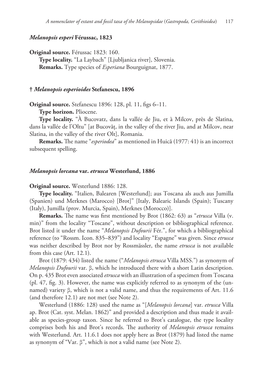# *Melanopsis esperi* **Férussac, 1823**

**Original source.** Férussac 1823: 160.

**Type locality.** "La Laybach" [Ljubljanica river], Slovenia. **Remarks.** Type species of *Esperiana* Bourguignat, 1877.

### **†** *Melanopsis esperioides* **Stefanescu, 1896**

**Original source.** Stefanescu 1896: 128, pl. 11, figs 6–11.

**Type horizon.** Pliocene.

**Type locality.** "À Bucovatz, dans la vallée de Jiu, et à Milcov, près de Slatina, dans la vallée de l'Oltu" [at Bucovăț, in the valley of the river Jiu, and at Milcov, near Slatina, in the valley of the river Olt], Romania.

**Remarks.** The name "*esperiodea*" as mentioned in Huică (1977: 41) is an incorrect subsequent spelling.

### *Melanopsis lorcana* **var.** *etrusca* **Westerlund, 1886**

**Original source.** Westerlund 1886: 128.

**Type locality.** "Italien, Balearen [Westerlund]; aus Toscana als auch aus Jumilla (Spanien) und Merknes (Marocco) [Brot]" [Italy, Balearic Islands (Spain); Tuscany (Italy), Jumilla (prov. Murcia, Spain), Merknes (Morocco)].

**Remarks.** The name was first mentioned by Brot (1862: 63) as "*etrusca* Villa (v. min)" from the locality "Toscane", without description or bibliographical reference. Brot listed it under the name "*Melanopsis Dufourii* Fér.", for which a bibliographical reference (to "Rossm. Icon. 835–839") and locality "Espagne" was given. Since *etrusca* was neither described by Brot nor by Rossmässler, the name *etrusca* is not available from this case (Art. 12.1).

Brot (1879: 434) listed the name ("*Melanopsis etrusca* Villa MSS.") as synonym of *Melanopsis Dufourii* var. β, which he introduced there with a short Latin description. On p. 435 Brot even associated *etrusca* with an illustration of a specimen from Toscana (pl. 47, fig. 3). However, the name was explicitly referred to as synonym of the (unnamed) variety β, which is not a valid name, and thus the requirements of Art. 11.6 (and therefore 12.1) are not met (see Note 2).

Westerlund (1886: 128) used the name as "[*Melanopsis lorcana*] var. *etrusca* Villa ap. Brot (Cat. syst. Melan. 1862)" and provided a description and thus made it available as species-group taxon. Since he referred to Brot's catalogue, the type locality comprises both his and Brot's records. The authority of *Melanopsis etrusca* remains with Westerlund. Art. 11.6.1 does not apply here as Brot (1879) had listed the name as synonym of "Var. β", which is not a valid name (see Note 2).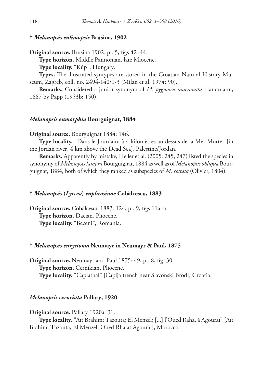# **†** *Melanopsis eulimopsis* **Brusina, 1902**

**Original source.** Brusina 1902: pl. 5, figs 42–44.

**Type horizon.** Middle Pannonian, late Miocene.

**Type locality.** "Kúp", Hungary.

**Types.** The illustrated syntypes are stored in the Croatian Natural History Museum, Zagreb, coll. no. 2494-140/1-3 (Milan et al. 1974: 90).

**Remarks.** Considered a junior synonym of *M. pygmaea mucronata* Handmann, 1887 by Papp (1953b: 150).

# *Melanopsis eumorphia* **Bourguignat, 1884**

**Original source.** Bourguignat 1884: 146.

**Type locality.** "Dans le Jourdain, à 4 kilomètres au-dessus de la Mer Morte" [in the Jordan river, 4 km above the Dead Sea], Palestine/Jordan.

**Remarks.** Apparently by mistake, Heller et al. (2005: 245, 247) listed the species in synonymy of *Melanopsis lampra* Bourguignat, 1884 as well as of *Melanopsis obliqua* Bourguignat, 1884, both of which they ranked as subspecies of *M. costata* (Olivier, 1804).

### **†** *Melanopsis* **(***Lyrcea***)** *euphrosinae* **Cobălcescu, 1883**

**Original source.** Cobălcescu 1883: 124, pl. 9, figs 11a–b. **Type horizon.** Dacian, Pliocene. **Type locality.** "Beceni", Romania.

#### **†** *Melanopsis eurystoma* **Neumayr in Neumayr & Paul, 1875**

**Original source.** Neumayr and Paul 1875: 49, pl. 8, fig. 30. **Type horizon.** Cernikian, Pliocene. **Type locality.** "Čaplathal" [Čaplja trench near Slavonski Brod], Croatia.

# *Melanopsis excoriata* **Pallary, 1920**

#### **Original source.** Pallary 1920a: 31.

**Type locality.** "Aït Brahim; Tazouta; El Menzel; [...] l'Oued Raha, à Agouraï" [Aït Brahim, Tazouta, El Menzel, Oued Rha at Agourai], Morocco.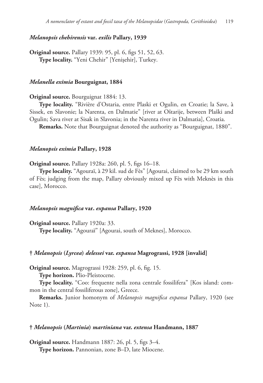# *Melanopsis chehirensis* **var.** *exilis* **Pallary, 1939**

**Original source.** Pallary 1939: 95, pl. 6, figs 51, 52, 63. **Type locality.** "Yeni Chehir" [Yenişehir], Turkey.

### *Melanella eximia* **Bourguignat, 1884**

#### **Original source.** Bourguignat 1884: 13.

**Type locality.** "Rivière d'Ostaria, entre Plaski et Ogulin, en Croatie; la Save, à Sissek, en Slavonie; la Narenta, en Dalmatie" [river at Oštarije, between Plaški and Ogulin; Sava river at Sisak in Slavonia; in the Narenta river in Dalmatia], Croatia.

**Remarks.** Note that Bourguignat denoted the authority as "Bourguignat, 1880".

# *Melanopsis eximia* **Pallary, 1928**

**Original source.** Pallary 1928a: 260, pl. 5, figs 16–18.

**Type locality.** "Agouraï, à 29 kil. sud de Fès" [Agourai, claimed to be 29 km south of Fès; judging from the map, Pallary obviously mixed up Fès with Meknès in this case], Morocco.

# *Melanopsis magnifica* **var.** *expansa* **Pallary, 1920**

**Original source.** Pallary 1920a: 33. **Type locality.** "Agouraï" [Agourai, south of Meknes], Morocco.

### **†** *Melanopsis* **(***Lyrcea***)** *delessei* **var.** *expansa* **Magrograssi, 1928 [invalid]**

**Original source.** Magrograssi 1928: 259, pl. 6, fig. 15.

**Type horizon.** Plio-Pleistocene.

**Type locality.** "Coo: frequente nella zona centrale fossilifera" [Kos island: common in the central fossiliferous zone], Greece.

**Remarks.** Junior homonym of *Melanopsis magnifica expansa* Pallary, 1920 (see Note 1).

#### **†** *Melanopsis* **(***Martinia***)** *martiniana* **var.** *extensa* **Handmann, 1887**

**Original source.** Handmann 1887: 26, pl. 5, figs 3–4. **Type horizon.** Pannonian, zone B–D, late Miocene.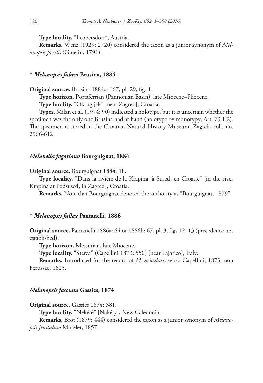**Type locality.** "Leobersdorf", Austria.

**Remarks.** Wenz (1929: 2720) considered the taxon as a junior synonym of *Melanopsis fossilis* (Gmelin, 1791).

### **†** *Melanopsis faberi* **Brusina, 1884**

**Original source.** Brusina 1884a: 167, pl. 29, fig. 1.

**Type horizon.** Portaferrian (Pannonian Basin), late Miocene–Pliocene.

**Type locality.** "Okrugljak" [near Zagreb], Croatia.

**Types.** Milan et al. (1974: 90) indicated a holotype, but it is uncertain whether the specimen was the only one Brusina had at hand (holotype by monotypy, Art. 73.1.2). The specimen is stored in the Croatian Natural History Museum, Zagreb, coll. no. 2966-612.

# *Melanella fagotiana* **Bourguignat, 1884**

**Original source.** Bourguignat 1884: 18.

**Type locality.** "Dans la rivière de la Krapina, à Sused, en Croatie" [in the river Krapina at Podsused, in Zagreb], Croatia.

**Remarks.** Note that Bourguignat denoted the authority as "Bourguignat, 1879".

#### **†** *Melanopsis fallax* **Pantanelli, 1886**

**Original source.** Pantanelli 1886a: 64 or 1886b: 67, pl. 3, figs 12–13 (precedence not established).

**Type horizon.** Messinian, late Miocene.

**Type locality.** "Sterza" (Capellini 1873: 550) [near Lajatico], Italy.

**Remarks.** Introduced for the record of *M. acicularis* sensu Capellini, 1873, non Férussac, 1823.

#### *Melanopsis fasciata* **Gassies, 1874**

**Original source.** Gassies 1874: 381.

**Type locality.** "Nékété" [Nakéty], New Caledonia.

**Remarks.** Brot (1879: 444) considered the taxon as a junior synonym of *Melanopsis frustulum* Morelet, 1857.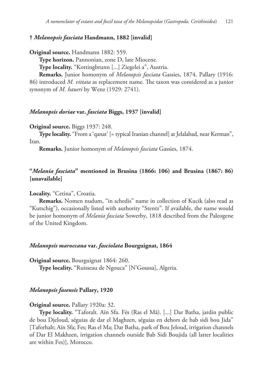# **†** *Melanopsis fasciata* **Handmann, 1882 [invalid]**

**Original source.** Handmann 1882: 559.

**Type horizon.** Pannonian, zone D, late Miocene.

**Type locality.** "Kottingbrunn [...] Ziegelei a", Austria.

**Remarks.** Junior homonym of *Melanopsis fasciata* Gassies, 1874. Pallary (1916: 86) introduced *M. vittata* as replacement name. The taxon was considered as a junior synonym of *M. haueri* by Wenz (1929: 2741).

#### *Melanopsis doriae* **var.** *fasciata* **Biggs, 1937 [invalid]**

#### **Original source.** Biggs 1937: 248.

**Type locality.** "From a 'qanat' [= typical Iranian channel] at Jelalabad, near Kerman", Iran.

**Remarks.** Junior homonym of *Melanopsis fasciata* Gassies, 1874.

# **"***Melania fasciata***" mentioned in Brusina (1866: 106) and Brusina (1867: 86) [unavailable]**

# **Locality.** "Cetina", Croatia.

**Remarks.** Nomen nudum, "in schedis" name in collection of Kucik (also read as "Kutschig"), occasionally listed with authority "Stentz". If available, the name would be junior homonym of *Melania fasciata* Sowerby, 1818 described from the Paleogene of the United Kingdom.

#### *Melanopsis maroccana* **var.** *fasciolata* **Bourguignat, 1864**

**Original source.** Bourguignat 1864: 260.

**Type locality.** "Ruisseau de Ngouca" [N'Goussa], Algeria.

#### *Melanopsis fasensis* **Pallary, 1920**

#### **Original source.** Pallary 1920a: 32.

**Type locality.** "Taforalt. Aïn Sfa. Fès (Ras el Mâ). [...] Dar Batha, jardin public de bou Djeloud, séguias de dar el Maghzen, séguias en dehors de bab sidi bou Jida" [Taforhalt; Aïn Sfa; Fes; Ras el Ma; Dar Batha, park of Bou Jeloud, irrigation channels of Dar El Makhzen, irrigation channels outside Bab Sidi Boujida (all latter localities are within Fes)], Morocco.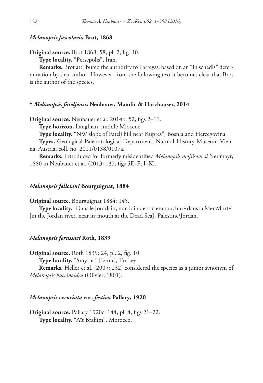# *Melanopsis faseolaria* **Brot, 1868**

**Original source.** Brot 1868: 58, pl. 2, fig. 10.

**Type locality.** "Persepolis", Iran.

**Remarks.** Brot attributed the authority to Parreyss, based on an "in schedis" determination by that author. However, from the following text it becomes clear that Brot is the author of the species.

# **†** *Melanopsis fateljensis* **Neubauer, Mandic & Harzhauser, 2014**

**Original source.** Neubauer et al. 2014b: 52, figs 2–11.

**Type horizon.** Langhian, middle Miocene.

**Type locality.** "NW slope of Fatelj hill near Kupres", Bosnia and Herzegovina.

**Types.** Geological-Paleontological Department, Natural History Museum Vienna, Austria, coll. no. 2011/0138/0107a.

**Remarks.** Introduced for formerly misidentified *Melanopsis mojsisovicsi* Neumayr, 1880 in Neubauer et al. (2013: 137, figs 5E–F, I–K).

#### *Melanopsis feliciani* **Bourguignat, 1884**

**Original source.** Bourguignat 1884: 145.

**Type locality.** "Dans le Jourdain, non loin de son embouchure dans la Mer Morte" [in the Jordan river, near its mouth at the Dead Sea], Palestine/Jordan.

# *Melanopsis ferussaci* **Roth, 1839**

**Original source.** Roth 1839: 24, pl. 2, fig. 10.

**Type locality.** "Smyrna" [Izmir], Turkey.

**Remarks.** Heller et al. (2005: 232) considered the species as a junior synonym of *Melanopsis buccinoidea* (Olivier, 1801).

### *Melanopsis excoriata* **var.** *festiva* **Pallary, 1920**

**Original source.** Pallary 1920c: 144, pl. 4, figs 21–22. **Type locality.** "Aït Brahim", Morocco.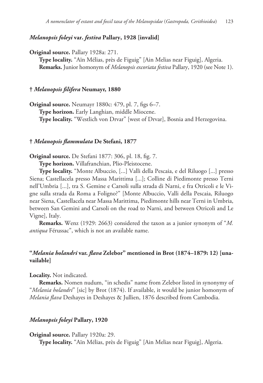# *Melanopsis foleyi* **var.** *festiva* **Pallary, 1928 [invalid]**

**Original source.** Pallary 1928a: 271.

**Type locality.** "Aïn Mélias, près de Figuig" [Ain Melias near Figuig], Algeria. **Remarks.** Junior homonym of *Melanopsis excoriata festiva* Pallary, 1920 (see Note 1).

# **†** *Melanopsis filifera* **Neumayr, 1880**

**Original source.** Neumayr 1880c: 479, pl. 7, figs 6–7. **Type horizon.** Early Langhian, middle Miocene. **Type locality.** "Westlich von Drvar" [west of Drvar], Bosnia and Herzegovina.

# **†** *Melanopsis flammulata* **De Stefani, 1877**

**Original source.** De Stefani 1877: 306, pl. 18, fig. 7.

**Type horizon.** Villafranchian, Plio-Pleistocene.

**Type locality.** "Monte Albuccio, [...] Valli della Pescaia, e del Riluogo [...] presso Siena; Castellacela presso Massa Marittima [...]; Colline di Piedimonte presso Terni nell'Umbria [...], tra S. Gemine e Carsoli sulla strada di Narni, e fra Otricoli e le Vigne sulla strada da Roma a Foligno?" [Monte Albuccio, Valli della Pescaia, Riluogo near Siena, Castellacela near Massa Marittima, Piedimonte hills near Terni in Umbria, between San Gemini and Carsoli on the road to Narni, and between Otricoli and Le Vigne], Italy.

**Remarks.** Wenz (1929: 2663) considered the taxon as a junior synonym of "*M. antiqua* Férussac", which is not an available name.

# **"***Melania holandri* **var.** *flava* **Zelebor" mentioned in Brot (1874–1879: 12) [unavailable]**

#### **Locality.** Not indicated.

**Remarks.** Nomen nudum, "in schedis" name from Zelebor listed in synonymy of "*Melania holandri*" [sic] by Brot (1874). If available, it would be junior homonym of *Melania flava* Deshayes in Deshayes & Jullien, 1876 described from Cambodia.

# *Melanopsis foleyi* **Pallary, 1920**

#### **Original source.** Pallary 1920a: 29.

**Type locality.** "Aïn Mélias, près de Figuig" [Ain Melias near Figuig], Algeria.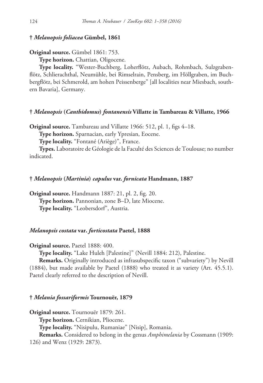# **†** *Melanopsis foliacea* **Gümbel, 1861**

# **Original source.** Gümbel 1861: 753.

**Type horizon.** Chattian, Oligocene.

**Type locality.** "Wester-Buchberg, Loherflötz, Aubach, Rohmbach, Sulzgrabenflötz, Schlierachthal, Neumühle, bei Rimselrain, Pensberg, im Höllgraben, im Buchbergflötz, bei Schmerold, am hohen Peissenberge" [all localities near Miesbach, southern Bavaria], Germany.

### **†** *Melanopsis* **(***Canthidomus***)** *fontanensis* **Villatte in Tambareau & Villatte, 1966**

**Original source.** Tambareau and Villatte 1966: 512, pl. 1, figs 4–18.

**Type horizon.** Sparnacian, early Ypresian, Eocene.

**Type locality.** "Fontané (Ariège)", France.

**Types.** Laboratoire de Géologie de la Faculté des Sciences de Toulouse; no number indicated.

#### **†** *Melanopsis* **(***Martinia***)** *capulus* **var.** *fornicata* **Handmann, 1887**

**Original source.** Handmann 1887: 21, pl. 2, fig. 20. **Type horizon.** Pannonian, zone B–D, late Miocene. **Type locality.** "Leobersdorf", Austria.

# *Melanopsis costata* **var.** *forticostata* **Paetel, 1888**

**Original source.** Paetel 1888: 400.

**Type locality.** "Lake Huleh [Palestine]" (Nevill 1884: 212), Palestine.

**Remarks.** Originally introduced as infrasubspecific taxon ("subvariety") by Nevill (1884), but made available by Paetel (1888) who treated it as variety (Art. 45.5.1). Paetel clearly referred to the description of Nevill.

### **†** *Melania fossariformis* **Tournouër, 1879**

**Original source.** Tournouër 1879: 261.

**Type horizon.** Cernikian, Pliocene.

**Type locality.** "Nisipulu, Rumaniae" [Nisip], Romania.

**Remarks.** Considered to belong in the genus *Amphimelania* by Cossmann (1909:

126) and Wenz (1929: 2873).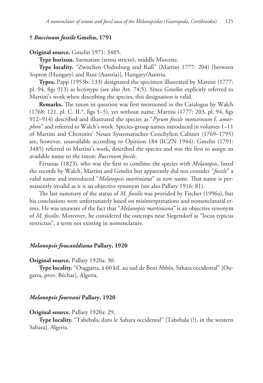# **†** *Buccinum fossile* **Gmelin, 1791**

#### **Original source.** Gmelin 1971: 3485.

**Type horizon.** Sarmatian (sensu stricto), middle Miocene.

**Type locality.** "Zwischen Oedinburg and Ruß" (Martini 1777: 204) [between Sopron (Hungary) and Rust (Austria)], Hungary/Austria.

**Types.** Papp (1953b: 133) designated the specimen illustrated by Martini (1777: pl. 94, figs 913) as lectotype (see also Art. 74.5). Since Gmelin explicitly referred to Martini's work when describing the species, this designation is valid.

**Remarks.** The taxon in question was first mentioned in the Catalogus by Walch (1768: 121, pl. C. II.\*, figs 1–5), yet without name. Martini (1777: 203, pl. 94, figs 912–914) described and illustrated the species as "*Pyrum fossile monstrosum* f. *amorphon*" and referred to Walch's work. Species-group names introduced in volumes 1–11 of Martini and Chemnitz' Neues Systematischer Conchylien Cabinet (1769–1795) are, however, unavailable according to Opinion 184 (ICZN 1944). Gmelin (1791: 3485) referred to Martini's work, described the species and was the first to assign an available name to the taxon: *Buccinum fossile*.

Férussac (1823), who was the first to combine the species with *Melanopsis*, listed the records by Walch, Martini and Gmelin but apparently did not consider "*fossile*" a valid name and introduced "*Melanopsis martiniana*" as new name. That name is permanently invalid as it is an objective synonym (see also Pallary 1916: 81).

The last summary of the status of *M. fossilis* was provided by Fischer (1996a), but his conclusions were unfortunately based on misinterpretations and nomenclatural errors. He was unaware of the fact that "*Melanopsis martiniana*" is an objective synonym of *M. fossilis*. Moreover, he considered the outcrops near Siegendorf as "locus typicus restrictus", a term not existing in nomenclature.

#### *Melanopsis foucauldiana* **Pallary, 1920**

#### **Original source.** Pallary 1920a: 30.

**Type locality.** "Ouggarta, à 60 kil. au sud de Beni Abbès, Sahara occidental" [Ougarta, prov. Béchar], Algeria.

### *Melanopsis foureaui* **Pallary, 1920**

#### **Original source.** Pallary 1920a: 29.

**Type locality.** "Tabebala, dans le Sahara occidental" [Tabebala (?), in the western Sahara], Algeria.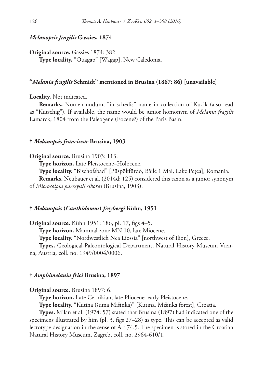# *Melanopsis fragilis* **Gassies, 1874**

**Original source.** Gassies 1874: 382. **Type locality.** "Ouagap" [Wagap], New Caledonia.

### **"***Melania fragilis* **Schmidt" mentioned in Brusina (1867: 86) [unavailable]**

**Locality.** Not indicated.

**Remarks.** Nomen nudum, "in schedis" name in collection of Kucik (also read as "Kutschig"). If available, the name would be junior homonym of *Melania fragilis* Lamarck, 1804 from the Paleogene (Eocene?) of the Paris Basin.

#### **†** *Melanopsis franciscae* **Brusina, 1903**

#### **Original source.** Brusina 1903: 113.

**Type horizon.** Late Pleistocene–Holocene.

**Type locality.** "Bischofsbad" [Püspökfürdő, Băile 1 Mai, Lake Pețea], Romania. **Remarks.** Neubauer et al. (2014d: 125) considered this taxon as a junior synonym of *Microcolpia parreyssii sikorai* (Brusina, 1903).

# **†** *Melanopsis* **(***Canthidomus***)** *freybergi* **Kühn, 1951**

**Original source.** Kühn 1951: 186, pl. 17, figs 4–5. **Type horizon.** Mammal zone MN 10, late Miocene.

**Type locality.** "Nordwestlich Nea Liossia" [northwest of Ilion], Greece.

**Types.** Geological-Paleontological Department, Natural History Museum Vienna, Austria, coll. no. 1949/0004/0006.

# **†** *Amphimelania frici* **Brusina, 1897**

# **Original source.** Brusina 1897: 6.

**Type horizon.** Late Cernikian, late Pliocene–early Pleistocene.

**Type locality.** "Kutina (šuma Mišinka)" [Kutina, Mišinka forest], Croatia.

**Types.** Milan et al. (1974: 57) stated that Brusina (1897) had indicated one of the specimens illustrated by him (pl. 3, figs 27–28) as type. This can be accepted as valid lectotype designation in the sense of Art 74.5. The specimen is stored in the Croatian Natural History Museum, Zagreb, coll. no. 2964-610/1.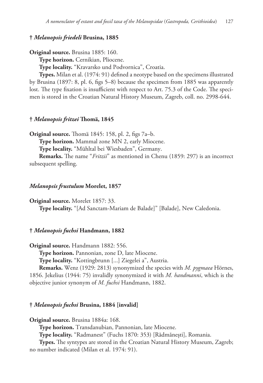# **†** *Melanopsis friedeli* **Brusina, 1885**

**Original source.** Brusina 1885: 160.

**Type horizon.** Cernikian, Pliocene.

**Type locality.** "Kravarsko und Podvornica", Croatia.

**Types.** Milan et al. (1974: 91) defined a neotype based on the specimens illustrated by Brusina (1897: 8, pl. 6, figs 5–8) because the specimen from 1885 was apparently lost. The type fixation is insufficient with respect to Art. 75.3 of the Code. The specimen is stored in the Croatian Natural History Museum, Zagreb, coll. no. 2998-644.

# **†** *Melanopsis fritzei* **Thomä, 1845**

**Original source.** Thomä 1845: 158, pl. 2, figs 7a–b.

**Type horizon.** Mammal zone MN 2, early Miocene.

**Type locality.** "Mühltal bei Wiesbaden", Germany.

**Remarks.** The name "*Fritzii*" as mentioned in Chenu (1859: 297) is an incorrect subsequent spelling.

#### *Melanopsis frustulum* **Morelet, 1857**

**Original source.** Morelet 1857: 33.

**Type locality.** "[Ad Sanctam-Mariam de Balade]" [Balade], New Caledonia.

#### **†** *Melanopsis fuchsi* **Handmann, 1882**

**Original source.** Handmann 1882: 556.

**Type horizon.** Pannonian, zone D, late Miocene.

**Type locality.** "Kottingbrunn [...] Ziegelei a", Austria.

**Remarks.** Wenz (1929: 2813) synonymized the species with *M. pygmaea* Hörnes, 1856. Jekelius (1944: 75) invalidly synonymized it with *M. handmanni*, which is the objective junior synonym of *M. fuchsi* Handmann, 1882.

# **†** *Melanopsis fuchsi* **Brusina, 1884 [invalid]**

**Original source.** Brusina 1884a: 168.

**Type horizon.** Transdanubian, Pannonian, late Miocene.

**Type locality.** "Radmanest" (Fuchs 1870: 353) [Rădmănești], Romania.

**Types.** The syntypes are stored in the Croatian Natural History Museum, Zagreb; no number indicated (Milan et al. 1974: 91).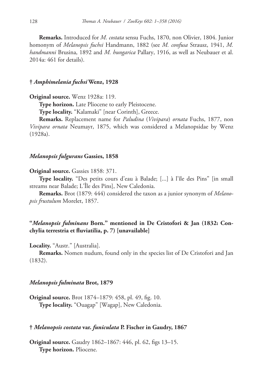**Remarks.** Introduced for *M. costata* sensu Fuchs, 1870, non Olivier, 1804. Junior homonym of *Melanopsis fuchsi* Handmann, 1882 (see *M. confusa* Strausz, 1941, *M. handmanni* Brusina, 1892 and *M. hungarica* Pallary, 1916, as well as Neubauer et al. 2014a: 461 for details).

### **†** *Amphimelania fuchsi* **Wenz, 1928**

**Original source.** Wenz 1928a: 119.

**Type horizon.** Late Pliocene to early Pleistocene.

**Type locality.** "Kalamaki" [near Corinth], Greece.

**Remarks.** Replacement name for *Paludina* (*Vivipara*) *ornata* Fuchs, 1877, non *Vivipara ornata* Neumayr, 1875, which was considered a Melanopsidae by Wenz (1928a).

### *Melanopsis fulgurans* **Gassies, 1858**

#### **Original source.** Gassies 1858: 371.

**Type locality.** "Des petits cours d'eau à Balade; [...] à l'île des Pins" [in small streams near Balade; L'Île des Pins], New Caledonia.

**Remarks.** Brot (1879: 444) considered the taxon as a junior synonym of *Melanopsis frustulum* Morelet, 1857.

# **"***Melanopsis fulminans* **Born." mentioned in De Cristofori & Jan (1832: Conchylia terrestria et fluviatilia, p. 7) [unavailable]**

#### **Locality.** "Austr." [Australia].

**Remarks.** Nomen nudum, found only in the species list of De Cristofori and Jan (1832).

#### *Melanopsis fulminata* **Brot, 1879**

**Original source.** Brot 1874–1879: 458, pl. 49, fig. 10. **Type locality.** "Ouagap" [Wagap], New Caledonia.

#### **†** *Melanopsis costata* **var.** *funiculata* **P. Fischer in Gaudry, 1867**

**Original source.** Gaudry 1862–1867: 446, pl. 62, figs 13–15. **Type horizon.** Pliocene.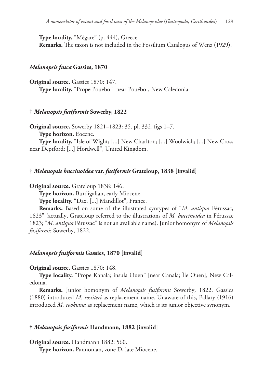**Type locality.** "Mégare" (p. 444), Greece. **Remarks.** The taxon is not included in the Fossilium Catalogus of Wenz (1929).

#### *Melanopsis fusca* **Gassies, 1870**

**Original source.** Gassies 1870: 147. **Type locality.** "Prope Pouebo" [near Pouébo], New Caledonia.

# **†** *Melanopsis fusiformis* **Sowerby, 1822**

**Original source.** Sowerby 1821–1823: 35, pl. 332, figs 1–7.

**Type horizon.** Eocene.

**Type locality.** "Isle of Wight; [...] New Charlton; [...] Woolwich; [...] New Cross near Deptford; [...] Hordwell", United Kingdom.

#### **†** *Melanopsis buccinoidea* **var.** *fusiformis* **Grateloup, 1838 [invalid]**

**Original source.** Grateloup 1838: 146.

**Type horizon.** Burdigalian, early Miocene.

**Type locality.** "Dax. [...] Mandillot", France.

**Remarks.** Based on some of the illustrated syntypes of "*M. antiqua* Férussac, 1823" (actually, Grateloup referred to the illustrations of *M. buccinoidea* in Férussac 1823; "*M. antiqua* Férussac" is not an available name). Junior homonym of *Melanopsis fusiformis* Sowerby, 1822.

### *Melanopsis fusiformis* **Gassies, 1870 [invalid]**

#### **Original source.** Gassies 1870: 148.

**Type locality.** "Prope Kanala; insula Ouen" [near Canala; Île Ouen], New Caledonia.

**Remarks.** Junior homonym of *Melanopsis fusiformis* Sowerby, 1822. Gassies (1880) introduced *M. rossiteri* as replacement name. Unaware of this, Pallary (1916) introduced *M. cookiana* as replacement name, which is its junior objective synonym.

#### **†** *Melanopsis fusiformis* **Handmann, 1882 [invalid]**

**Original source.** Handmann 1882: 560.

**Type horizon.** Pannonian, zone D, late Miocene.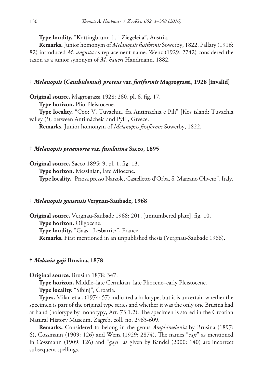**Type locality.** "Kottingbrunn [...] Ziegelei a", Austria.

**Remarks.** Junior homonym of *Melanopsis fusiformis* Sowerby, 1822. Pallary (1916: 82) introduced *M. angusta* as replacement name. Wenz (1929: 2742) considered the taxon as a junior synonym of *M. haueri* Handmann, 1882.

# **†** *Melanopsis* **(***Canthidomus***)** *proteus* **var.** *fusiformis* **Magrograssi, 1928 [invalid]**

**Original source.** Magrograssi 1928: 260, pl. 6, fig. 17.

**Type horizon.** Plio-Pleistocene.

**Type locality.** "Coo: V. Tuvachiu, fra Antimachia e Pili" [Kos island: Tuvachia valley (?), between Antimácheia and Pýli], Greece.

**Remarks.** Junior homonym of *Melanopsis fusiformis* Sowerby, 1822.

# **†** *Melanopsis praemorsa* **var.** *fusulatina* **Sacco, 1895**

**Original source.** Sacco 1895: 9, pl. 1, fig. 13. **Type horizon.** Messinian, late Miocene. **Type locality.** "Priosa presso Narzole, Castelletto d'Orba, S. Marzano Oliveto", Italy.

# **†** *Melanopsis gaasensis* **Vergnau-Saubade, 1968**

**Original source.** Vergnau-Saubade 1968: 201, [unnumbered plate], fig. 10. **Type horizon.** Oligocene. **Type locality.** "Gaas - Lesbarritz", France. **Remarks.** First mentioned in an unpublished thesis (Vergnau-Saubade 1966).

# **†** *Melania gaji* **Brusina, 1878**

**Original source.** Brusina 1878: 347.

**Type horizon.** Middle–late Cernikian, late Pliocene–early Pleistocene.

**Type locality.** "Sibinj", Croatia.

**Types.** Milan et al. (1974: 57) indicated a holotype, but it is uncertain whether the specimen is part of the original type series and whether it was the only one Brusina had at hand (holotype by monotypy, Art. 73.1.2). The specimen is stored in the Croatian Natural History Museum, Zagreb, coll. no. 2963-609.

**Remarks.** Considered to belong in the genus *Amphimelania* by Brusina (1897: 6), Cossmann (1909: 126) and Wenz (1929: 2874). The names "*caji*" as mentioned in Cossmann (1909: 126) and "*gayi*" as given by Bandel (2000: 140) are incorrect subsequent spellings.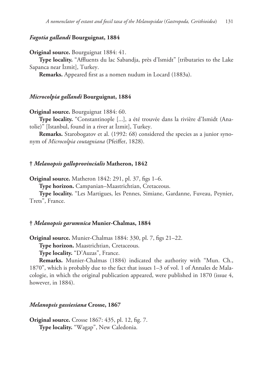# *Fagotia gallandi* **Bourguignat, 1884**

**Original source.** Bourguignat 1884: 41.

**Type locality.** "Affluents du lac Sabandja, près d'Ismidt" [tributaries to the Lake Sapanca near İzmit], Turkey.

**Remarks.** Appeared first as a nomen nudum in Locard (1883a).

### *Microcolpia gallandi* **Bourguignat, 1884**

**Original source.** Bourguignat 1884: 60.

**Type locality.** "Constantinople [...], a été trouvée dans la rivière d'Ismidt (Anatolie)" [Istanbul, found in a river at İzmit], Turkey.

**Remarks.** Starobogatov et al. (1992: 68) considered the species as a junior synonym of *Microcolpia coutagniana* (Pfeiffer, 1828).

#### **†** *Melanopsis galloprovincialis* **Matheron, 1842**

**Original source.** Matheron 1842: 291, pl. 37, figs 1–6.

**Type horizon.** Campanian–Maastrichtian, Cretaceous.

**Type locality.** "Les Martigues, les Pennes, Simiane, Gardanne, Fuveau, Peynier, Trets", France.

#### **†** *Melanopsis garumnica* **Munier-Chalmas, 1884**

**Original source.** Munier-Chalmas 1884: 330, pl. 7, figs 21–22.

**Type horizon.** Maastrichtian, Cretaceous.

**Type locality.** "D'Auzas", France.

**Remarks.** Munier-Chalmas (1884) indicated the authority with "Mun. Ch., 1870", which is probably due to the fact that issues 1–3 of vol. 1 of Annales de Malacologie, in which the original publication appeared, were published in 1870 (issue 4, however, in 1884).

# *Melanopsis gassiesiana* **Crosse, 1867**

**Original source.** Crosse 1867: 435, pl. 12, fig. 7. **Type locality.** "Wagap", New Caledonia.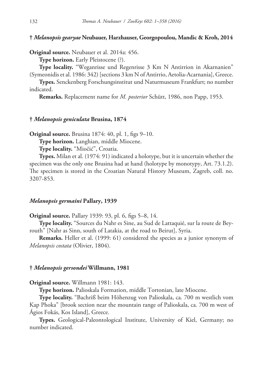# **†** *Melanopsis gearyae* **Neubauer, Harzhauser, Georgopoulou, Mandic & Kroh, 2014**

**Original source.** Neubauer et al. 2014a: 456.

**Type horizon.** Early Pleistocene (?).

**Type locality.** "Weganrisse und Regenrisse 3 Km N Antirrion in Akarnanien" (Symeonidis et al. 1986: 342) [sections 3 km N of Antirrio, Aetolia-Acarnania], Greece.

**Types.** Senckenberg Forschungsinstitut und Naturmuseum Frankfurt; no number indicated.

**Remarks.** Replacement name for *M. posterior* Schütt, 1986, non Papp, 1953.

# **†** *Melanopsis geniculata* **Brusina, 1874**

**Original source.** Brusina 1874: 40, pl. 1, figs 9–10.

**Type horizon.** Langhian, middle Miocene.

**Type locality.** "Miočić", Croatia.

**Types.** Milan et al. (1974: 91) indicated a holotype, but it is uncertain whether the specimen was the only one Brusina had at hand (holotype by monotypy, Art. 73.1.2). The specimen is stored in the Croatian Natural History Museum, Zagreb, coll. no. 3207-853.

#### *Melanopsis germaini* **Pallary, 1939**

**Original source.** Pallary 1939: 93, pl. 6, figs 5–8, 14.

**Type locality.** "Sources du Nahr es Sine, au Sud de Lattaquié, sur la route de Beyrouth" [Nahr as Sinn, south of Latakia, at the road to Beirut], Syria.

**Remarks.** Heller et al. (1999: 61) considered the species as a junior synonym of *Melanopsis costata* (Olivier, 1804).

#### **†** *Melanopsis gersondei* **Willmann, 1981**

**Original source.** Willmann 1981: 143.

**Type horizon.** Palioskala Formation, middle Tortonian, late Miocene.

**Type locality.** "Bachriß beim Höhenzug von Palioskala, ca. 700 m westlich vom Kap Phoka" [brook section near the mountain range of Palioskala, ca. 700 m west of Ágios Fokás, Kos Island], Greece.

**Types.** Geological-Paleontological Institute, University of Kiel, Germany; no number indicated.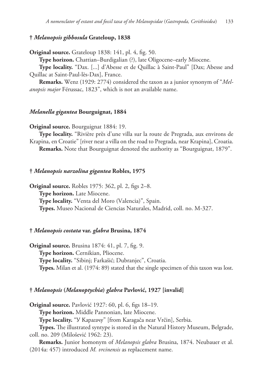# **†** *Melanopsis gibbosula* **Grateloup, 1838**

**Original source.** Grateloup 1838: 141, pl. 4, fig. 50.

**Type horizon.** Chattian–Burdigalian (?), late Oligocene–early Miocene.

**Type locality.** "Dax. [...] d'Abesse et de Quillac à Saint-Paul" [Dax; Abesse and Quillac at Saint-Paul-lès-Dax], France.

**Remarks.** Wenz (1929: 2774) considered the taxon as a junior synonym of "*Melanopsis major* Férussac, 1823", which is not an available name.

### *Melanella gigantea* **Bourguignat, 1884**

**Original source.** Bourguignat 1884: 19.

**Type locality.** "Rivière près d'une villa sur la route de Pregrada, aux environs de Krapina, en Croatie" [river near a villa on the road to Pregrada, near Krapina], Croatia. **Remarks.** Note that Bourguignat denoted the authority as "Bourguignat, 1879".

#### **†** *Melanopsis narzolina gigantea* **Robles, 1975**

**Original source.** Robles 1975: 362, pl. 2, figs 2–8. **Type horizon.** Late Miocene. **Type locality.** "Venta del Moro (Valencia)", Spain. **Types.** Museo Nacional de Ciencias Naturales, Madrid, coll. no. M-327.

#### **†** *Melanopsis costata* **var.** *glabra* **Brusina, 1874**

**Original source.** Brusina 1874: 41, pl. 7, fig. 9. **Type horizon.** Cernikian, Pliocene. **Type locality.** "Sibinj; Farkašić; Dubranjec", Croatia. **Types.** Milan et al. (1974: 89) stated that the single specimen of this taxon was lost.

#### **†** *Melanopsis* **(***Melanoptychia***)** *glabra* **Pavlović, 1927 [invalid]**

**Original source.** Pavlović 1927: 60, pl. 6, figs 18–19.

**Type horizon.** Middle Pannonian, late Miocene.

**Type locality.** "У Карагачу" [from Karagača near Vrčin], Serbia.

**Types.** The illustrated syntype is stored in the Natural History Museum, Belgrade, coll. no. 209 (Milošević 1962: 23).

**Remarks.** Junior homonym of *Melanopsis glabra* Brusina, 1874. Neubauer et al. (2014a: 457) introduced *M. vrcinensis* as replacement name.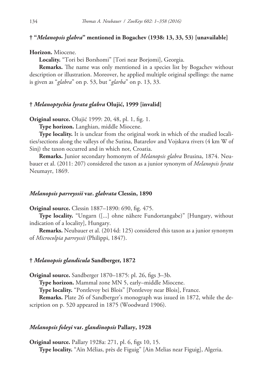# **† "***Melanopsis glabra***" mentioned in Bogachev (1938: 13, 33, 53) [unavailable]**

### **Horizon.** Miocene.

**Locality.** "Tori bei Borshomi" [Tori near Borjomi], Georgia.

**Remarks.** The name was only mentioned in a species list by Bogachev without description or illustration. Moreover, he applied multiple original spellings: the name is given as "*glabra*" on p. 53, but "*glarba*" on p. 13, 33.

# **†** *Melanoptychia lyrata glabra* **Olujić, 1999 [invalid]**

**Original source.** Olujić 1999: 20, 48, pl. 1, fig. 1.

**Type horizon.** Langhian, middle Miocene.

**Type locality.** It is unclear from the original work in which of the studied localities/sections along the valleys of the Sutina, Batarelov and Vojskava rivers (4 km W of Sinj) the taxon occurred and in which not, Croatia.

**Remarks.** Junior secondary homonym of *Melanopsis glabra* Brusina, 1874. Neubauer et al. (2011: 207) considered the taxon as a junior synonym of *Melanopsis lyrata* Neumayr, 1869.

### *Melanopsis parreyssii* **var.** *glabrata* **Clessin, 1890**

**Original source.** Clessin 1887–1890: 690, fig. 475.

**Type locality.** "Ungarn ([...] ohne nähere Fundortangabe)" [Hungary, without indication of a locality], Hungary.

**Remarks.** Neubauer et al. (2014d: 125) considered this taxon as a junior synonym of *Microcolpia parreyssii* (Philippi, 1847).

# **†** *Melanopsis glandicula* **Sandberger, 1872**

**Original source.** Sandberger 1870–1875: pl. 26, figs 3–3b.

**Type horizon.** Mammal zone MN 5, early–middle Miocene.

**Type locality.** "Pontlevoy bei Blois" [Pontlevoy near Blois], France.

**Remarks.** Plate 26 of Sandberger's monograph was issued in 1872, while the description on p. 520 appeared in 1875 (Woodward 1906).

# *Melanopsis foleyi* **var.** *glandinopsis* **Pallary, 1928**

**Original source.** Pallary 1928a: 271, pl. 6, figs 10, 15. **Type locality.** "Aïn Mélias, près de Figuig" [Ain Melias near Figuig], Algeria.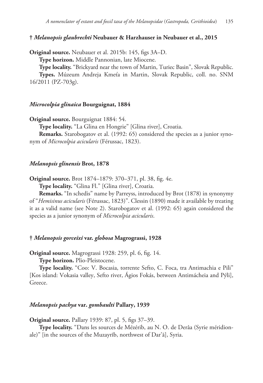# **†** *Melanopsis glaubrechti* **Neubauer & Harzhauser in Neubauer et al., 2015**

**Original source.** Neubauer et al. 2015b: 145, figs 3A–D.

**Type horizon.** Middle Pannonian, late Miocene.

**Type locality.** "Brickyard near the town of Martin, Turiec Basin", Slovak Republic.

**Types.** Múzeum Andreja Kmeťa in Martin, Slovak Republic, coll. no. SNM 16/2011 (PZ-703g).

### *Microcolpia glinaica* **Bourguignat, 1884**

**Original source.** Bourguignat 1884: 54.

**Type locality.** "La Glina en Hongrie" [Glina river], Croatia.

**Remarks.** Starobogatov et al. (1992: 65) considered the species as a junior synonym of *Microcolpia acicularis* (Férussac, 1823).

# *Melanopsis glinensis* **Brot, 1878**

**Original source.** Brot 1874–1879: 370–371, pl. 38, fig. 4e.

**Type locality.** "Glina Fl." [Glina river], Croatia.

**Remarks.** "In schedis" name by Parreyss, introduced by Brot (1878) in synonymy of "*Hemisinus acicularis* (Férussac, 1823)". Clessin (1890) made it available by treating it as a valid name (see Note 2). Starobogatov et al. (1992: 65) again considered the species as a junior synonym of *Microcolpia acicularis*.

# **†** *Melanopsis gorceixi* **var.** *globosa* **Magrograssi, 1928**

**Original source.** Magrograssi 1928: 259, pl. 6, fig. 14.

**Type horizon.** Plio-Pleistocene.

**Type locality.** "Coo: V. Bocasia, torrente Sefto, C. Foca, tra Antimachia e Pili" [Kos island: Vokasia valley, Sefto river, Ágios Fokás, between Antimácheia and Pýli], Greece.

# *Melanopsis pachya* **var.** *gombaulti* **Pallary, 1939**

**Original source.** Pallary 1939: 87, pl. 5, figs 37–39.

**Type locality.** "Dans les sources de Mézérib, au N. O. de Derâa (Syrie méridionale)" [in the sources of the Muzayrīb, northwest of Dar'ā], Syria.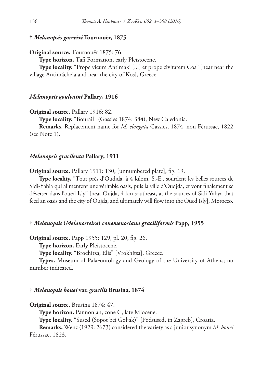# **†** *Melanopsis gorceixi* **Tournouër, 1875**

**Original source.** Tournouër 1875: 76.

**Type horizon.** Tafi Formation, early Pleistocene.

**Type locality.** "Prope vicum Antimaki [...] et prope civitatem Cos" [near near the village Antimácheia and near the city of Kos], Greece.

#### *Melanopsis goulvaini* **Pallary, 1916**

**Original source.** Pallary 1916: 82.

**Type locality.** "Bourail" (Gassies 1874: 384), New Caledonia.

**Remarks.** Replacement name for *M. elongata* Gassies, 1874, non Férussac, 1822 (see Note 1).

# *Melanopsis gracilenta* **Pallary, 1911**

**Original source.** Pallary 1911: 130, [unnumbered plate], fig. 19.

**Type locality.** "Tout près d'Oudjda, à 4 kilom. S.-E., sourdent les belles sources de Sidi-Yahia qui alimentent une véritable oasis, puis la ville d'Oudjda, et vont finalement se déverser dans l'oued Isly" [near Oujda, 4 km southeast, at the sources of Sidi Yahya that feed an oasis and the city of Oujda, and ultimately will flow into the Oued Isly], Morocco.

#### **†** *Melanopsis* **(***Melanosteira***)** *conemenosiana graciliformis* **Papp, 1955**

**Original source.** Papp 1955: 129, pl. 20, fig. 26.

**Type horizon.** Early Pleistocene.

**Type locality.** "Brochitza, Elis" [Vrokhítsa], Greece.

**Types.** Museum of Palaeontology and Geology of the University of Athens; no number indicated.

#### **†** *Melanopsis bouei* **var.** *gracilis* **Brusina, 1874**

**Original source.** Brusina 1874: 47.

**Type horizon.** Pannonian, zone C, late Miocene.

**Type locality.** "Sused (Sopot bei Goljak)" [Podsused, in Zagreb], Croatia.

**Remarks.** Wenz (1929: 2673) considered the variety as a junior synonym *M. bouei* Férussac, 1823.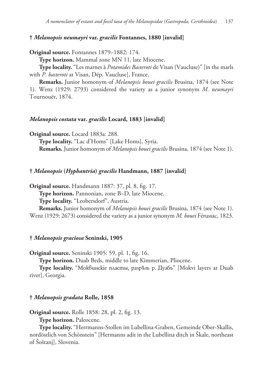# **†** *Melanopsis neumayri* **var.** *gracilis* **Fontannes, 1880 [invalid]**

**Original source.** Fontannes 1879–1882: 174.

**Type horizon.** Mammal zone MN 11, late Miocene.

**Type locality.** "Les marnes à *Potamides Basteroti* de Visan (Vaucluse)" [in the marls with *P. basteroti* at Visan, Dép. Vaucluse], France.

**Remarks.** Junior homonym of *Melanopsis bouei gracilis* Brusina, 1874 (see Note 1). Wenz (1929: 2793) considered the variety as a junior synonym *M. neumayri* Tournouër, 1874.

# *Melanopsis costata* **var.** *gracilis* **Locard, 1883 [invalid]**

**Original source.** Locard 1883a: 288.

**Type locality.** "Lac d'Homs" [Lake Homs], Syria. **Remarks.** Junior homonym of *Melanopsis bouei gracilis* Brusina, 1874 (see Note 1).

#### **†** *Melanopsis* **(***Hyphantria***)** *gracilis* **Handmann, 1887 [invalid]**

**Original source.** Handmann 1887: 37, pl. 8, fig. 17.

**Type horizon.** Pannonian, zone B–D, late Miocene.

**Type locality.** "Leobersdorf", Austria.

**Remarks.** Junior homonym of *Melanopsis bouei gracilis* Brusina, 1874 (see Note 1). Wenz (1929: 2673) considered the variety as a junior synonym *M. bouei* Férussac, 1823.

### **†** *Melanopsis graciosa* **Seninski, 1905**

**Original source.** Seninski 1905: 59, pl. 1, fig. 16.

**Type horizon.** Duab Beds, middle to late Kimmerian, Pliocene.

**Type locality.** "Моквинскіе пласты, разрѣзъ р. Дуабъ" [Mokvi layers at Duab river], Georgia.

### **†** *Melanopsis gradata* **Rolle, 1858**

**Original source.** Rolle 1858: 28, pl. 2, fig. 13.

**Type horizon.** Paleocene.

**Type locality.** "Herrmanns-Stollen im Lubellina-Graben, Gemeinde Ober-Skallis, nordöstlich von Schönstein" [Hermanns adit in the Lubellina ditch in Škale, northeast of Šoštanj], Slovenia.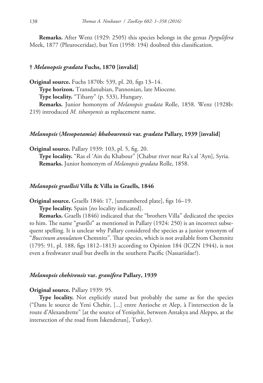**Remarks.** After Wenz (1929: 2505) this species belongs in the genus *Pyrgulifera* Meek, 1877 (Pleuroceridae), but Yen (1958: 194) doubted this classification.

# **†** *Melanopsis gradata* **Fuchs, 1870 [invalid]**

**Original source.** Fuchs 1870b: 539, pl. 20, figs 13–14. **Type horizon.** Transdanubian, Pannonian, late Miocene. **Type locality.** "Tihany" (p. 533), Hungary. **Remarks.** Junior homonym of *Melanopsis gradata* Rolle, 1858. Wenz (1928b: 219) introduced *M. tihanyensis* as replacement name.

# *Melanopsis* **(***Mesopotamia***)** *khabourensis* **var.** *gradata* **Pallary, 1939 [invalid]**

**Original source.** Pallary 1939: 103, pl. 5, fig. 20. **Type locality.** "Ras el 'Ain du Khabour" [Chabur river near Ra's al 'Ayn], Syria. **Remarks.** Junior homonym of *Melanopsis gradata* Rolle, 1858.

#### *Melanopsis graellsii* **Villa & Villa in Graells, 1846**

**Original source.** Graells 1846: 17, [unnumbered plate], figs 16–19.

**Type locality.** Spain [no locality indicated].

**Remarks.** Graells (1846) indicated that the "brothers Villa" dedicated the species to him. The name "*graellsi*" as mentioned in Pallary (1924: 250) is an incorrect subsequent spelling. It is unclear why Pallary considered the species as a junior synonym of "*Buccinum annulatum* Chemnitz". That species, which is not available from Chemnitz (1795: 91, pl. 188, figs 1812–1813) according to Opinion 184 (ICZN 1944), is not even a freshwater snail but dwells in the southern Pacific (Nassariidae?).

# *Melanopsis chehirensis* **var.** *granifera* **Pallary, 1939**

# **Original source.** Pallary 1939: 95.

**Type locality.** Not explicitly stated but probably the same as for the species ("Dans le source de Yeni Chehir, [...] entre Antioche et Alep, à l'intersection de la route d'Alexandrette" [at the source of Yenişehir, between Antakya and Aleppo, at the intersection of the road from İskenderun], Turkey).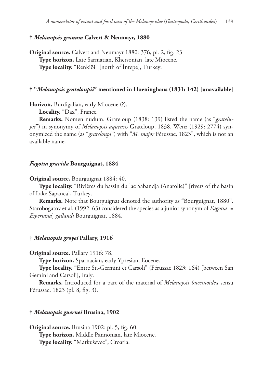# **†** *Melanopsis granum* **Calvert & Neumayr, 1880**

**Original source.** Calvert and Neumayr 1880: 376, pl. 2, fig. 23. **Type horizon.** Late Sarmatian, Khersonian, late Miocene. **Type locality.** "Renkiöi" [north of İntepe], Turkey.

# **† "***Melanopsis grateloupii***" mentioned in Hoeninghaus (1831: 142) [unavailable]**

**Horizon.** Burdigalian, early Miocene (?).

**Locality.** "Dax", France.

**Remarks.** Nomen nudum. Grateloup (1838: 139) listed the name (as "*gratelupii*") in synonymy of *Melanopsis aquensis* Grateloup, 1838. Wenz (1929: 2774) synonymized the name (as "*grateloupi*") with "*M. major* Férussac, 1823", which is not an available name.

### *Fagotia gravida* **Bourguignat, 1884**

**Original source.** Bourguignat 1884: 40.

**Type locality.** "Rivières du bassin du lac Sabandja (Anatolie)" [rivers of the basin of Lake Sapanca], Turkey.

**Remarks.** Note that Bourguignat denoted the authority as "Bourguignat, 1880". Starobogatov et al. (1992: 63) considered the species as a junior synonym of *Fagotia* [= *Esperiana*] *gallandi* Bourguignat, 1884.

# **†** *Melanopsis groyei* **Pallary, 1916**

**Original source.** Pallary 1916: 78.

**Type horizon.** Sparnacian, early Ypresian, Eocene.

**Type locality.** "Entre St.-Germini et Carsoli" (Férussac 1823: 164) [between San Gemini and Carsoli], Italy.

**Remarks.** Introduced for a part of the material of *Melanopsis buccinoidea* sensu Férussac, 1823 (pl. 8, fig. 3).

#### **†** *Melanopsis guernei* **Brusina, 1902**

**Original source.** Brusina 1902: pl. 5, fig. 60. **Type horizon.** Middle Pannonian, late Miocene. **Type locality.** "Markuševec", Croatia.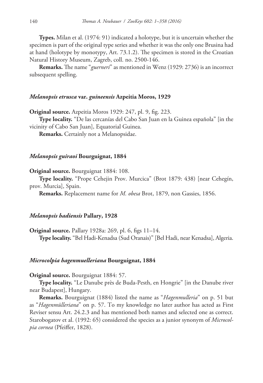**Types.** Milan et al. (1974: 91) indicated a holotype, but it is uncertain whether the specimen is part of the original type series and whether it was the only one Brusina had at hand (holotype by monotypy, Art. 73.1.2). The specimen is stored in the Croatian Natural History Museum, Zagreb, coll. no. 2500-146.

**Remarks.** The name "*guerneri*" as mentioned in Wenz (1929: 2736) is an incorrect subsequent spelling.

### *Melanopsis etrusca* **var.** *guineensis* **Azpeitia Moros, 1929**

**Original source.** Azpeitia Moros 1929: 247, pl. 9, fig. 223.

**Type locality.** "De las cercanías del Cabo San Juan en la Guinea española" [in the vicinity of Cabo San Juan], Equatorial Guinea.

**Remarks.** Certainly not a Melanopsidae.

#### *Melanopsis guiraoi* **Bourguignat, 1884**

**Original source.** Bourguignat 1884: 108.

**Type locality.** "Prope Cehejin Prov. Murcica" (Brot 1879: 438) [near Cehegín, prov. Murcia], Spain.

**Remarks.** Replacement name for *M. obesa* Brot, 1879, non Gassies, 1856.

#### *Melanopsis hadiensis* **Pallary, 1928**

**Original source.** Pallary 1928a: 269, pl. 6, figs 11–14. **Type locality.** "Bel Hadi-Kenadsa (Sud Oranais)" [Bel Hadi, near Kenadsa], Algeria.

#### *Microcolpia hagenmuelleriana* **Bourguignat, 1884**

#### **Original source.** Bourguignat 1884: 57.

**Type locality.** "Le Danube près de Buda-Pesth, en Hongrie" [in the Danube river near Budapest], Hungary.

**Remarks.** Bourguignat (1884) listed the name as "*Hagenmulleria*" on p. 51 but as "*Hagenmülleriana*" on p. 57. To my knowledge no later author has acted as First Reviser sensu Art. 24.2.3 and has mentioned both names and selected one as correct. Starobogatov et al. (1992: 65) considered the species as a junior synonym of *Microcolpia cornea* (Pfeiffer, 1828).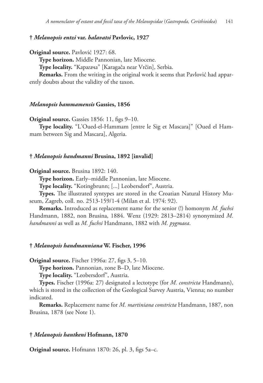# **†** *Melanopsis entzi* **var.** *halavatsi* **Pavlovic, 1927**

**Original source.** Pavlović 1927: 68.

**Type horizon.** Middle Pannonian, late Miocene.

**Type locality.** "Карагача" [Karagača near Vrčin], Serbia.

**Remarks.** From the writing in the original work it seems that Pavlović had apparently doubts about the validity of the taxon.

#### *Melanopsis hammamensis* **Gassies, 1856**

**Original source.** Gassies 1856: 11, figs 9-10.

**Type locality.** "L'Oued-el-Hammam [entre le Sig et Mascara]" [Oued el Hammam between Sig and Mascara], Algeria.

#### **†** *Melanopsis handmanni* **Brusina, 1892 [invalid]**

**Original source.** Brusina 1892: 140.

**Type horizon.** Early–middle Pannonian, late Miocene.

**Type locality.** "Kotingbrunn; [...] Leobersdorf", Austria.

**Types.** The illustrated syntypes are stored in the Croatian Natural History Museum, Zagreb, coll. no. 2513-159/1-4 (Milan et al. 1974: 92).

**Remarks.** Introduced as replacement name for the senior (!) homonym *M. fuchsi* Handmann, 1882, non Brusina, 1884. Wenz (1929: 2813–2814) synonymized *M. handmanni* as well as *M. fuchsi* Handmann, 1882 with *M. pygmaea*.

#### **†** *Melanopsis handmanniana* **W. Fischer, 1996**

**Original source.** Fischer 1996a: 27, figs 3, 5–10.

**Type horizon.** Pannonian, zone B–D, late Miocene.

**Type locality.** "Leobersdorf", Austria.

**Types.** Fischer (1996a: 27) designated a lectotype (for *M. constricta* Handmann), which is stored in the collection of the Geological Survey Austria, Vienna; no number indicated.

**Remarks.** Replacement name for *M. martiniana constricta* Handmann, 1887, non Brusina, 1878 (see Note 1).

# **†** *Melanopsis hantkeni* **Hofmann, 1870**

**Original source.** Hofmann 1870: 26, pl. 3, figs 5a–c.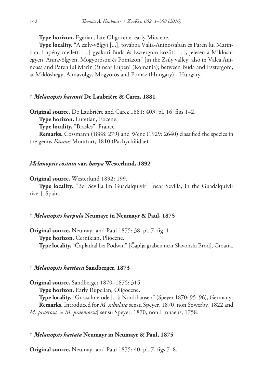**Type horizon.** Egerian, late Oligocene–early Miocene.

**Type locality.** "A zsily-völgyi [...], továbbá Valia-Aninossaban és Paren lui Marinban, Lupény mellett. [...] gyakori Buda és Esztergom között [...], jelesen a Miklóshegyen, Annavölgyen, Mogyoróson és Pomázon" [in the Zsily valley; also in Valea Aninoasa and Paren lui Marin (?) near Lupeni (Romania); between Buda and Esztergom, at Miklóshegy, Annavölgy, Mogyorós and Pomáz (Hungary)], Hungary.

### **†** *Melanopsis haranti* **De Laubrière & Carez, 1881**

**Original source.** De Laubrière and Carez 1881: 403, pl. 16, figs 1–2.

**Type horizon.** Lutetian, Eocene.

**Type locality.** "Brasles", France.

**Remarks.** Cossmann (1888: 279) and Wenz (1929: 2640) classified the species in the genus *Faunus* Montfort, 1810 (Pachychilidae).

# *Melanopsis costata* **var.** *harpa* **Westerlund, 1892**

**Original source.** Westerlund 1892: 199.

**Type locality.** "Bei Sevilla im Guadalquivir" [near Sevilla, in the Guadalquivir river], Spain.

# **†** *Melanopsis harpula* **Neumayr in Neumayr & Paul, 1875**

**Original source.** Neumayr and Paul 1875: 38, pl. 7, fig. 1. **Type horizon.** Cernikian, Pliocene. **Type locality.** "Čaplathal bei Podwin" [Čaplja graben near Slavonski Brod], Croatia.

#### **†** *Melanopsis hassiaca* **Sandberger, 1873**

**Original source.** Sandberger 1870–1875: 315.

**Type horizon.** Early Rupelian, Oligocene.

**Type locality.** "Grossalmerode [...]; Nordshausen" (Speyer 1870: 95–96), Germany. **Remarks.** Introduced for *M. subulata* sensu Speyer, 1870, non Sowerby, 1822 and *M. praerosa* [= *M. praemorsa*] sensu Speyer, 1870, non Linnaeus, 1758.

# **†** *Melanopsis hastata* **Neumayr in Neumayr & Paul, 1875**

**Original source.** Neumayr and Paul 1875: 40, pl. 7, figs 7–8.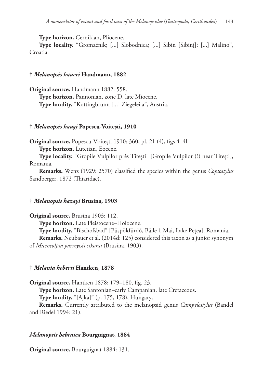**Type horizon.** Cernikian, Pliocene.

**Type locality.** "Gromačnik; [...] Slobodnica; [...] Sibin [Sibinj]; [...] Malino", Croatia.

## **†** *Melanopsis haueri* **Handmann, 1882**

**Original source.** Handmann 1882: 558. **Type horizon.** Pannonian, zone D, late Miocene. **Type locality.** "Kottingbrunn [...] Ziegelei a", Austria.

## **†** *Melanopsis haugi* **Popescu-Voitești, 1910**

**Original source.** Popescu-Voitești 1910: 360, pl. 21 (4), figs 4–4l.

**Type horizon.** Lutetian, Eocene.

**Type locality.** "Gropile Vulpilor près Titești" [Gropile Vulpilor (?) near Titești], Romania.

**Remarks.** Wenz (1929: 2570) classified the species within the genus *Coptostylus* Sandberger, 1872 (Thiaridae).

#### **†** *Melanopsis hazayi* **Brusina, 1903**

**Original source.** Brusina 1903: 112.

**Type horizon.** Late Pleistocene–Holocene.

**Type locality.** "Bischofsbad" [Püspökfürdő, Băile 1 Mai, Lake Pețea], Romania. **Remarks.** Neubauer et al. (2014d: 125) considered this taxon as a junior synonym

of *Microcolpia parreyssii sikorai* (Brusina, 1903).

#### **†** *Melania heberti* **Hantken, 1878**

**Original source.** Hantken 1878: 179–180, fig. 23.

**Type horizon.** Late Santonian–early Campanian, late Cretaceous.

**Type locality.** "[Ajka]" (p. 175, 178), Hungary.

**Remarks.** Currently attributed to the melanopsid genus *Campylostylus* (Bandel and Riedel 1994: 21).

#### *Melanopsis hebraica* **Bourguignat, 1884**

**Original source.** Bourguignat 1884: 131.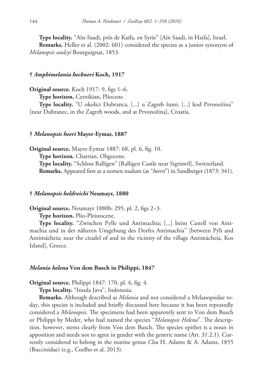**Type locality.** "Aïn-Saadi, près de Kaifa, en Syrie" [Aïn Saadi, in Haifa], Israel. **Remarks.** Heller et al. (2002: 601) considered the species as a junior synonym of *Melanopsis saulcyi* Bourguignat, 1853.

#### **†** *Amphimelania heckneri* **Koch, 1917**

**Original source.** Koch 1917: 9, figs 1–6.

**Type horizon.** Cernikian, Pliocene.

**Type locality.** "U okolici Dubranca, [...] u Zagreb šumi, [...] kod Prvonožina" [near Dubranec, in the Zagreb woods, and at Prvonožina], Croatia.

#### **†** *Melanopsis heeri* **Mayer-Eymar, 1887**

**Original source.** Mayer-Eymar 1887: 68, pl. 6, fig. 10. **Type horizon.** Chattian, Oligocene. **Type locality.** "Schloss Ralligen" [Ralligen Castle near Sigriswil], Switzerland. **Remarks.** Appeared first as a nomen nudum (as "*heerii*") in Sandberger (1873: 341).

#### **†** *Melanopsis heldreichi* **Neumayr, 1880**

**Original source.** Neumayr 1880b: 295, pl. 2, figs 2–3.

**Type horizon.** Plio-Pleistocene.

**Type locality.** "Zwischen Pylle und Antimachia; [...] beim Castell von Antimachia und in der näheren Umgebung des Dorfes Antimachia" [between Pýli and Antimácheia; near the citadel of and in the vicinity of the village Antimácheia, Kos Island], Greece.

#### *Melania helena* **Von dem Busch in Philippi, 1847**

**Original source.** Philippi 1847: 170, pl. 4, fig. 4.

**Type locality.** "Insula Java", Indonesia.

**Remarks.** Although described as *Melania* and not considered a Melanopsidae today, this species is included and briefly discussed here because it has been repeatedly considered a *Melanopsis*. The specimens had been apparently sent to Von dem Busch or Philippi by Meder, who had named the species "*Melanopsis Helena*". The description, however, stems clearly from Von dem Busch. The species epithet is a noun in apposition and needs not to agree in gender with the generic name (Art. 31.2.1). Currently considered to belong in the marine genus *Clea* H. Adams & A. Adams, 1855 (Buccinidae) (e.g., Coelho et al. 2013).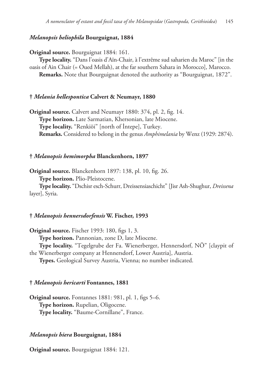## *Melanopsis heliophila* **Bourguignat, 1884**

**Original source.** Bourguignat 1884: 161.

**Type locality.** "Dans l'oasis d'Aïn-Chair, à l'extrême sud saharien du Maroc" [in the oasis of Ain Chair (= Oued Mellah), at the far southern Sahara in Morocco], Marocco. **Remarks.** Note that Bourguignat denoted the authority as "Bourguignat, 1872".

#### **†** *Melania hellespontica* **Calvert & Neumayr, 1880**

**Original source.** Calvert and Neumayr 1880: 374, pl. 2, fig. 14. **Type horizon.** Late Sarmatian, Khersonian, late Miocene. **Type locality.** "Renkiöi" [north of İntepe], Turkey. **Remarks.** Considered to belong in the genus *Amphimelania* by Wenz (1929: 2874).

#### **†** *Melanopsis hemimorpha* **Blanckenhorn, 1897**

**Original source.** Blanckenhorn 1897: 138, pl. 10, fig. 26.

**Type horizon.** Plio-Pleistocene.

**Type locality.** "Dschisr esch-Schurr, Dreissensiaschicht" [Jisr Ash-Shughur, *Dreissena* layer], Syria.

# **†** *Melanopsis hennersdorfensis* **W. Fischer, 1993**

**Original source.** Fischer 1993: 180, figs 1, 3. **Type horizon.** Pannonian, zone D, late Miocene. **Type locality.** "Tegelgrube der Fa. Wienerberger, Hennersdorf, NÖ" [claypit of the Wienerberger company at Hennersdorf, Lower Austria], Austria. **Types.** Geological Survey Austria, Vienna; no number indicated.

# **†** *Melanopsis hericarti* **Fontannes, 1881**

**Original source.** Fontannes 1881: 981, pl. 1, figs 5–6. **Type horizon.** Rupelian, Oligocene. **Type locality.** "Baume-Cornillane", France.

#### *Melanopsis hiera* **Bourguignat, 1884**

**Original source.** Bourguignat 1884: 121.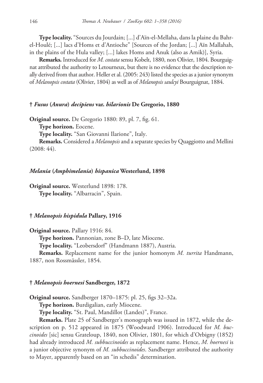**Type locality.** "Sources du Jourdain; [...] d'Aïn-el-Mellaha, dans la plaine du Bahrel-Houlé; [...] lacs d'Homs et d'Antioche" [Sources of the Jordan; [...] Aïn Mallahah, in the plains of the Hula valley; [...] lakes Homs and Anuk (also as Amik)], Syria.

**Remarks.** Introduced for *M. costata* sensu Kobelt, 1880, non Olivier, 1804. Bourguignat attributed the authority to Letourneux, but there is no evidence that the description really derived from that author. Heller et al. (2005: 243) listed the species as a junior synonym of *Melanopsis costata* (Olivier, 1804) as well as of *Melanopsis saulcyi* Bourguignat, 1884.

#### **†** *Fusus* **(***Anura***)** *decipiens* **var.** *hilarionis* **De Gregorio, 1880**

**Original source.** De Gregorio 1880: 89, pl. 7, fig. 61.

**Type horizon.** Eocene.

**Type locality.** "San Giovanni Ilarione", Italy.

**Remarks.** Considered a *Melanopsis* and a separate species by Quaggiotto and Mellini (2008: 44).

#### *Melania* **(***Amphimelania***)** *hispanica* **Westerlund, 1898**

**Original source.** Westerlund 1898: 178. **Type locality.** "Albarracin", Spain.

## **†** *Melanopsis hispidula* **Pallary, 1916**

**Original source.** Pallary 1916: 84.

**Type horizon.** Pannonian, zone B–D, late Miocene.

**Type locality.** "Leobersdorf" (Handmann 1887), Austria.

**Remarks.** Replacement name for the junior homonym *M. turrita* Handmann, 1887, non Rossmässler, 1854.

#### **†** *Melanopsis hoernesi* **Sandberger, 1872**

**Original source.** Sandberger 1870–1875: pl. 25, figs 32–32a.

**Type horizon.** Burdigalian, early Miocene.

**Type locality.** "St. Paul, Mandillot (Landes)", France.

**Remarks.** Plate 25 of Sandberger's monograph was issued in 1872, while the description on p. 512 appeared in 1875 (Woodward 1906). Introduced for *M. buccinoides* [sic] sensu Grateloup, 1840, non Olivier, 1801, for which d'Orbigny (1852) had already introduced *M. subbuccinoides* as replacement name. Hence, *M. hoernesi* is a junior objective synonym of *M. subbuccinoides*. Sandberger attributed the authority to Mayer, apparently based on an "in schedis" determination.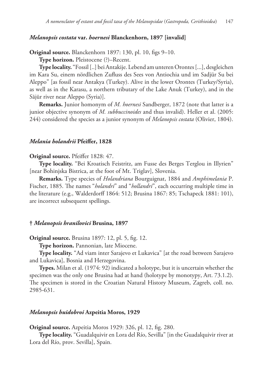## *Melanopsis costata* **var.** *hoernesi* **Blanckenhorn, 1897 [invalid]**

**Original source.** Blanckenhorn 1897: 130, pl. 10, figs 9–10.

**Type horizon.** Pleistocene (?)–Recent.

**Type locality.** "Fossil [..] bei Antakije. Lebend am unteren Orontes [...], desgleichen im Kara Su, einem nördlichen Zufluss des Sees von Antiochia und im Sadjür Su bei Aleppo" [as fossil near Antakya (Turkey). Alive in the lower Orontes (Turkey/Syria), as well as in the Karasu, a northern tributary of the Lake Anuk (Turkey), and in the Sājūr river near Aleppo (Syria)].

**Remarks.** Junior homonym of *M. hoernesi* Sandberger, 1872 (note that latter is a junior objective synonym of *M. subbuccinoides* and thus invalid). Heller et al. (2005: 244) considered the species as a junior synonym of *Melanopsis costata* (Olivier, 1804).

#### *Melania holandrii* **Pfeiffer, 1828**

#### **Original source.** Pfeiffer 1828: 47.

**Type locality.** "Bei Kroatisch Feistritz, am Fusse des Berges Terglou in Illyrien" [near Bohinjska Bistrica, at the foot of Mt. Triglav], Slovenia.

**Remarks.** Type species of *Holandriana* Bourguignat, 1884 and *Amphimelania* P. Fischer, 1885. The names "*holandri*" and "*hollandri*", each occurring multiple time in the literature (e.g., Walderdorff 1864: 512; Brusina 1867: 85; Tschapeck 1881: 101), are incorrect subsequent spellings.

#### **†** *Melanopsis hranilovici* **Brusina, 1897**

**Original source.** Brusina 1897: 12, pl. 5, fig. 12.

**Type horizon.** Pannonian, late Miocene.

**Type locality.** "Ad viam inter Sarajevo et Lukavica" [at the road between Sarajevo and Lukavica], Bosnia and Herzegovina.

**Types.** Milan et al. (1974: 92) indicated a holotype, but it is uncertain whether the specimen was the only one Brusina had at hand (holotype by monotypy, Art. 73.1.2). The specimen is stored in the Croatian Natural History Museum, Zagreb, coll. no. 2985-631.

#### *Melanopsis huidobroi* **Azpeitia Moros, 1929**

**Original source.** Azpeitia Moros 1929: 326, pl. 12, fig. 280.

**Type locality.** "Guadalquivir en Lora del Río, Sevilla" [in the Guadalquivir river at Lora del Río, prov. Sevilla], Spain.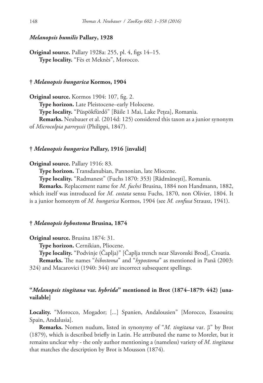## *Melanopsis humilis* **Pallary, 1928**

**Original source.** Pallary 1928a: 255, pl. 4, figs 14–15. **Type locality.** "Fès et Meknès", Morocco.

#### **†** *Melanopsis hungarica* **Kormos, 1904**

**Original source.** Kormos 1904: 107, fig. 2. **Type horizon.** Late Pleistocene–early Holocene. **Type locality.** "Püspökfürdő" [Băile 1 Mai, Lake Pețea], Romania. **Remarks.** Neubauer et al. (2014d: 125) considered this taxon as a junior synonym of *Microcolpia parreyssii* (Philippi, 1847).

#### **†** *Melanopsis hungarica* **Pallary, 1916 [invalid]**

#### **Original source.** Pallary 1916: 83.

**Type horizon.** Transdanubian, Pannonian, late Miocene.

**Type locality.** "Radmanest" (Fuchs 1870: 353) [Rădmănești], Romania.

**Remarks.** Replacement name for *M. fuchsi* Brusina, 1884 non Handmann, 1882, which itself was introduced for *M. costata* sensu Fuchs, 1870, non Olivier, 1804. It is a junior homonym of *M. hungarica* Kormos, 1904 (see *M. confusa* Strausz, 1941).

#### **†** *Melanopsis hybostoma* **Brusina, 1874**

**Original source.** Brusina 1874: 31.

**Type horizon.** Cernikian, Pliocene.

**Type locality.** "Podvinje (Čaplja)" [Čaplja trench near Slavonski Brod], Croatia.

**Remarks.** The names "*hibostoma*" and "*hypostoma*" as mentioned in Pană (2003: 324) and Macarovici (1940: 344) are incorrect subsequent spellings.

# **"***Melanopsis tingitana* **var.** *hybrida***" mentioned in Brot (1874–1879: 442) [unavailable]**

**Locality.** "Morocco, Mogador; [...] Spanien, Andalousien" [Morocco, Essaouira; Spain, Andalusia].

**Remarks.** Nomen nudum, listed in synonymy of "*M. tingitana* var. β" by Brot (1879), which is described briefly in Latin. He attributed the name to Morelet, but it remains unclear why - the only author mentioning a (nameless) variety of *M. tingitana* that matches the description by Brot is Mousson (1874).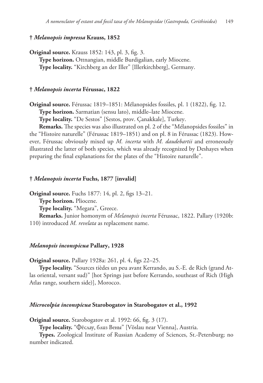## **†** *Melanopsis impressa* **Krauss, 1852**

**Original source.** Krauss 1852: 143, pl. 3, fig. 3. **Type horizon.** Ottnangian, middle Burdigalian, early Miocene. **Type locality.** "Kirchberg an der Iller" [Illerkirchberg], Germany.

#### **†** *Melanopsis incerta* **Férussac, 1822**

**Original source.** Férussac 1819–1851: Mélanopsides fossiles, pl. 1 (1822), fig. 12. **Type horizon.** Sarmatian (sensu lato), middle–late Miocene.

**Type locality.** "De Sestos" [Sestos, prov. Çanakkale], Turkey.

**Remarks.** The species was also illustrated on pl. 2 of the "Mélanopsides fossiles" in the "Histoire naturelle" (Férussac 1819–1851) and on pl. 8 in Férussac (1823). However, Férussac obviously mixed up *M. incerta* with *M. daudebartii* and erroneously illustrated the latter of both species, which was already recognized by Deshayes when preparing the final explanations for the plates of the "Histoire naturelle".

#### **†** *Melanopsis incerta* **Fuchs, 1877 [invalid]**

**Original source.** Fuchs 1877: 14, pl. 2, figs 13–21.

**Type horizon.** Pliocene.

**Type locality.** "Megara", Greece.

**Remarks.** Junior homonym of *Melanopsis incerta* Férussac, 1822. Pallary (1920b: 110) introduced *M. revelata* as replacement name.

#### *Melanopsis inconspicua* **Pallary, 1928**

**Original source.** Pallary 1928a: 261, pl. 4, figs 22–25.

**Type locality.** "Sources tièdes un peu avant Kerrando, au S.-E. de Rich (grand Atlas oriental, versant sud)" [hot Springs just before Kerrando, southeast of Rich (High Atlas range, southern side)], Morocco.

## *Microcolpia inconspicua* **Starobogatov in Starobogatov et al., 1992**

**Original source.** Starobogatov et al. 1992: 66, fig. 3 (17).

**Type locality.** "Фёслау, близ Вены" [Vöslau near Vienna], Austria.

**Types.** Zoological Institute of Russian Academy of Sciences, St.-Petersburg; no number indicated.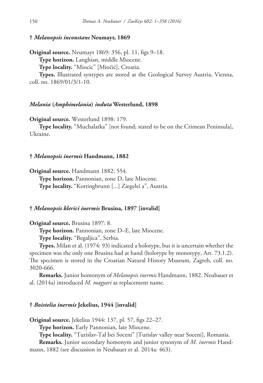## **†** *Melanopsis inconstans* **Neumayr, 1869**

**Original source.** Neumayr 1869: 356, pl. 11, figs 9–18. **Type horizon.** Langhian, middle Miocene. **Type locality.** "Miocic" [Miočić], Croatia.

**Types.** Illustrated syntypes are stored at the Geological Survey Austria, Vienna, coll. no. 1869/01/3/1-10.

#### *Melania* **(***Amphimelania***)** *induta* **Westerlund, 1898**

**Original source.** Westerlund 1898: 179.

**Type locality.** "Muchalatka" [not found; stated to be on the Crimean Peninsula], Ukraine.

#### **†** *Melanopsis inermis* **Handmann, 1882**

**Original source.** Handmann 1882: 554.

**Type horizon.** Pannonian, zone D, late Miocene. **Type locality.** "Kottingbrunn [...] Ziegelei a", Austria.

#### **†** *Melanopsis klerici inermis* **Brusina, 1897 [invalid]**

**Original source.** Brusina 1897: 8.

**Type horizon.** Pannonian, zone D–E, late Miocene.

**Type locality.** "Begaljica", Serbia.

**Types.** Milan et al. (1974: 93) indicated a holotype, but it is uncertain whether the specimen was the only one Brusina had at hand (holotype by monotypy, Art. 73.1.2). The specimen is stored in the Croatian Natural History Museum, Zagreb, coll. no. 3020-666.

**Remarks.** Junior homonym of *Melanopsis inermis* Handmann, 1882. Neubauer et al. (2014a) introduced *M. magyari* as replacement name.

## **†** *Boistelia inermis* **Jekelius, 1944 [invalid]**

**Original source.** Jekelius 1944: 137, pl. 57, figs 22–27.

**Type horizon.** Early Pannonian, late Miocene.

**Type locality.** "Turislav-Tal bei Soceni" [Turislav valley near Soceni], Romania.

**Remarks.** Junior secondary homonym and junior synonym of *M. inermis* Handmann, 1882 (see discussion in Neubauer et al. 2014a: 463).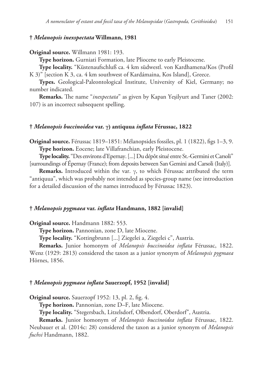## **†** *Melanopsis inexspectata* **Willmann, 1981**

#### **Original source.** Willmann 1981: 193.

**Type horizon.** Gurniati Formation, late Pliocene to early Pleistocene.

**Type locality.** "Küstenaufschluß ca. 4 km südwestl. von Kardhamena/Kos (Profil K 3)" [section K 3, ca. 4 km southwest of Kardámaina, Kos Island], Greece.

**Types.** Geological-Paleontological Institute, University of Kiel, Germany; no number indicated.

**Remarks.** The name "*inexpectata*" as given by Kapan Yeşilyurt and Taner (2002: 107) is an incorrect subsequent spelling.

## **†** *Melanopsis buccinoidea* **var. γ) antiquua** *inflata* **Férussac, 1822**

**Original source.** Férussac 1819–1851: Mélanopsides fossiles, pl. 1 (1822), figs 1–3, 9. **Type horizon.** Eocene; late Villafranchian, early Pleistocene.

**Type locality.** "Des environs d'Epernay. [...] Du dépôt situé entre St.-Germini et Carsoli" [surroundings of Épernay (France); from deposits between San Gemini and Carsoli (Italy)].

**Remarks.** Introduced within the var. γ, to which Férussac attributed the term "antiquua", which was probably not intended as species-group name (see introduction for a detailed discussion of the names introduced by Férussac 1823).

## **†** *Melanopsis pygmaea* **var.** *inflata* **Handmann, 1882 [invalid]**

**Original source.** Handmann 1882: 553.

**Type horizon.** Pannonian, zone D, late Miocene.

**Type locality.** "Kottingbrunn [...] Ziegelei a, Ziegelei c", Austria.

**Remarks.** Junior homonym of *Melanopsis buccinoidea inflata* Férussac, 1822. Wenz (1929: 2813) considered the taxon as a junior synonym of *Melanopsis pygmaea* Hörnes, 1856.

#### **†** *Melanopsis pygmaea inflata* **Sauerzopf, 1952 [invalid]**

**Original source.** Sauerzopf 1952: 13, pl. 2, fig. 4.

**Type horizon.** Pannonian, zone D–F, late Miocene.

**Type locality.** "Stegersbach, Litzelsdorf, Olbendorf, Oberdorf", Austria.

**Remarks.** Junior homonym of *Melanopsis buccinoidea inflata* Férussac, 1822. Neubauer et al. (2014c: 28) considered the taxon as a junior synonym of *Melanopsis fuchsi* Handmann, 1882.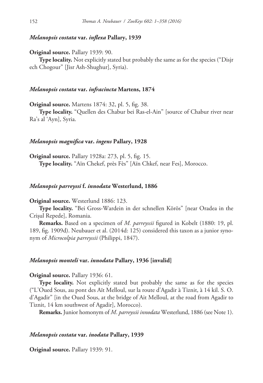## *Melanopsis costata* **var.** *inflexa* **Pallary, 1939**

**Original source.** Pallary 1939: 90.

**Type locality.** Not explicitly stated but probably the same as for the species ("Disjr ech Chogour" [Jisr Ash-Shughur], Syria).

## *Melanopsis costata* **var.** *infracincta* **Martens, 1874**

**Original source.** Martens 1874: 32, pl. 5, fig. 38.

**Type locality.** "Quellen des Chabur bei Ras-el-Ain" [source of Chabur river near Ra's al 'Ayn], Syria.

#### *Melanopsis magnifica* **var.** *ingens* **Pallary, 1928**

**Original source.** Pallary 1928a: 273, pl. 5, fig. 15. **Type locality.** "Aïn Chekef, près Fès" [Aïn Chkef, near Fes], Morocco.

## *Melanopsis parreyssi* **f.** *innodata* **Westerlund, 1886**

#### **Original source.** Westerlund 1886: 123.

**Type locality.** "Bei Gross-Wardein in der schnellen Körös" [near Oradea in the Crișul Repede], Romania.

**Remarks.** Based on a specimen of *M. parreyssii* figured in Kobelt (1880: 19, pl. 189, fig. 1909d). Neubauer et al. (2014d: 125) considered this taxon as a junior synonym of *Microcolpia parreyssii* (Philippi, 1847).

## *Melanopsis monteli* **var.** *innodata* **Pallary, 1936 [invalid]**

#### **Original source.** Pallary 1936: 61.

**Type locality.** Not explicitly stated but probably the same as for the species ("L'Oued Sous, au pont des Aït Melloul, sur la route d'Agadir à Tiznit, à 14 kil. S. O. d'Agadir" [in the Oued Sous, at the bridge of Ait Melloul, at the road from Agadir to Tiznit, 14 km southwest of Agadir], Morocco).

**Remarks.** Junior homonym of *M*. *parreyssii innodata* Westerlund, 1886 (see Note 1).

# *Melanopsis costata* **var.** *inodata* **Pallary, 1939**

**Original source.** Pallary 1939: 91.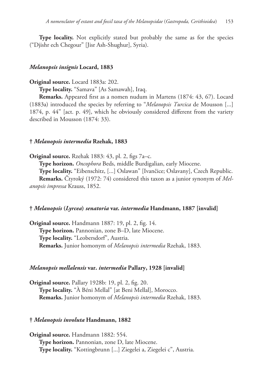**Type locality.** Not explicitly stated but probably the same as for the species ("Djishr ech Chegour" [Jisr Ash-Shughur], Syria).

## *Melanopsis insignis* **Locard, 1883**

## **Original source.** Locard 1883a: 202.

**Type locality.** "Samava" [As Samawah], Iraq.

**Remarks.** Appeared first as a nomen nudum in Martens (1874: 43, 67). Locard (1883a) introduced the species by referring to "*Melanopsis Turcica* de Mousson [...] 1874, p. 44" [act. p. 49], which he obviously considered different from the variety described in Mousson (1874: 33).

#### **†** *Melanopsis intermedia* **Rzehak, 1883**

**Original source.** Rzehak 1883: 43, pl. 2, figs 7a–c.

**Type horizon.** *Oncophora* Beds, middle Burdigalian, early Miocene.

**Type locality.** "Eibenschitz, [...] Oslawan" [Ivančice; Oslavany], Czech Republic.

**Remarks.** Čtyroký (1972: 74) considered this taxon as a junior synonym of *Melanopsis impressa* Krauss, 1852.

## **†** *Melanopsis* **(***Lyrcea***)** *senatoria* **var.** *intermedia* **Handmann, 1887 [invalid]**

**Original source.** Handmann 1887: 19, pl. 2, fig. 14. **Type horizon.** Pannonian, zone B–D, late Miocene. **Type locality.** "Leobersdorf", Austria. **Remarks.** Junior homonym of *Melanopsis intermedia* Rzehak, 1883.

#### *Melanopsis mellalensis* **var.** *intermedia* **Pallary, 1928 [invalid]**

**Original source.** Pallary 1928b: 19, pl. 2, fig. 20. **Type locality.** "À Béni Mellal" [at Beni Mellal], Morocco. **Remarks.** Junior homonym of *Melanopsis intermedia* Rzehak, 1883.

## **†** *Melanopsis involuta* **Handmann, 1882**

**Original source.** Handmann 1882: 554. **Type horizon.** Pannonian, zone D, late Miocene. **Type locality.** "Kottingbrunn [...] Ziegelei a, Ziegelei c", Austria.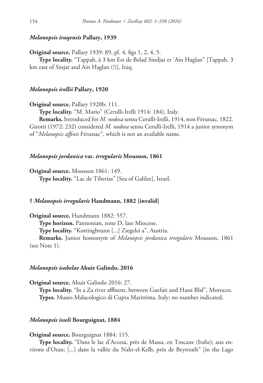## *Melanopsis iraqensis* **Pallary, 1939**

**Original source.** Pallary 1939: 89, pl. 4, figs 1, 2, 4, 5.

**Type locality.** "Tappah, à 3 km Est de Belad Sindjar et 'Ain Haglan" [Tappah, 3 km east of Sinjar and Ain Haglan (?)], Iraq.

## *Melanopsis irellii* **Pallary, 1920**

**Original source.** Pallary 1920b: 111.

**Type locality.** "M. Mario" (Cerulli-Irelli 1914: 184), Italy.

**Remarks.** Introduced for *M. nodosa* sensu Cerulli-Irelli, 1914, non Férussac, 1822. Girotti (1972: 232) considered *M. nodosa* sensu Cerulli-Irelli, 1914 a junior synonym of "*Melanopsis affinis* Férussac", which is not an available name.

## *Melanopsis jordanica* **var.** *irregularis* **Mousson, 1861**

**Original source.** Mousson 1861: 149.

**Type locality.** "Lac de Tiberias" [Sea of Galilee], Israel.

## **†** *Melanopsis irregularis* **Handmann, 1882 [invalid]**

**Original source.** Handmann 1882: 557. **Type horizon.** Pannonian, zone D, late Miocene. **Type locality.** "Kottingbrunn [...] Ziegelei a", Austria. **Remarks.** Junior homonym of *Melanopsis jordanica irregularis* Mousson, 1861

(see Note 1).

#### *Melanopsis isabelae* **Ahuir Galindo, 2016**

**Original source.** Ahuir Galindo 2016: 27.

**Type locality.** "ln a Za river affluent, between Guefait and Hassi Blal", Morocco. **Types.** Museo Malacologico di Cupra Marittima, Italy; no number indicated.

## *Melanopsis isseli* **Bourguignat, 1884**

**Original source.** Bourguignat 1884: 115.

**Type locality.** "Dans le lac d'Accesa, près de Massa, en Toscane (Italie); aux environs d'Oran; [...] dans la vallée du Nahr-el-Kelb, près de Beyrouth" [in the Lago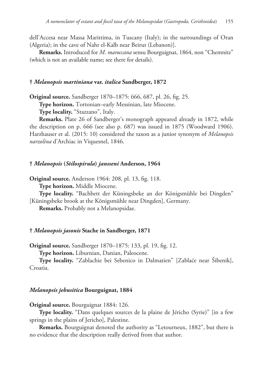dell'Accesa near Massa Marittima, in Tuscany (Italy); in the surroundings of Oran (Algeria); in the cave of Nahr el-Kalb near Beirut (Lebanon)].

**Remarks.** Introduced for *M. maroccana* sensu Bourguignat, 1864, non "Chemnitz" (which is not an available name; see there for details).

## **†** *Melanopsis martiniana* **var.** *italica* **Sandberger, 1872**

**Original source.** Sandberger 1870–1875: 666, 687, pl. 26, fig. 25.

**Type horizon.** Tortonian–early Messinian, late Miocene.

**Type locality.** "Stazzano", Italy.

**Remarks.** Plate 26 of Sandberger's monograph appeared already in 1872, while the description on p. 666 (see also p. 687) was issued in 1875 (Woodward 1906). Harzhauser et al. (2015: 10) considered the taxon as a junior synonym of *Melanopsis narzolina* d'Archiac in Viquesnel, 1846.

## **†** *Melanopsis* **(***Stilospirula***)** *jansseni* **Anderson, 1964**

**Original source.** Anderson 1964: 208, pl. 13, fig. 118.

**Type horizon.** Middle Miocene.

**Type locality.** "Bachbett der Küningsbeke an der Königsmühle bei Dingden" [Küningsbeke brook at the Königsmühle near Dingden], Germany.

**Remarks.** Probably not a Melanopsidae.

#### **†** *Melanopsis jasonis* **Stache in Sandberger, 1871**

**Original source.** Sandberger 1870–1875: 133, pl. 19, fig. 12.

**Type horizon.** Liburnian, Danian, Paleocene.

**Type locality.** "Zablachie bei Sebenico in Dalmatien" [Zablaće near Šibenik], Croatia.

#### *Melanopsis jebusitica* **Bourguignat, 1884**

**Original source.** Bourguignat 1884: 126.

**Type locality.** "Dans quelques sources de la plaine de Jéricho (Syrie)" [in a few springs in the plains of Jericho], Palestine.

**Remarks.** Bourguignat denoted the authority as "Letourneux, 1882", but there is no evidence that the description really derived from that author.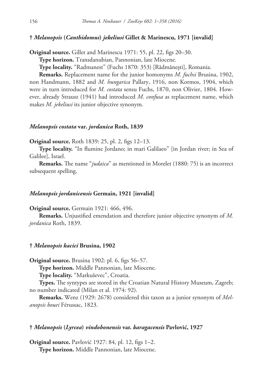## **†** *Melanopsis* **(***Canthidomus***)** *jekeliusi* **Gillet & Marinescu, 1971 [invalid]**

**Original source.** Gillet and Marinescu 1971: 55, pl. 22, figs 20–30.

**Type horizon.** Transdanubian, Pannonian, late Miocene.

**Type locality.** "Radmanest" (Fuchs 1870: 353) [Rădmănești], Romania.

**Remarks.** Replacement name for the junior homonyms *M. fuchsi* Brusina, 1902, non Handmann, 1882 and *M. hungarica* Pallary, 1916, non Kormos, 1904, which were in turn introduced for *M. costata* sensu Fuchs, 1870, non Olivier, 1804. However, already Strausz (1941) had introduced *M. confusa* as replacement name, which makes *M. jekeliusi* its junior objective synonym.

#### *Melanopsis costata* **var.** *jordanica* **Roth, 1839**

**Original source.** Roth 1839: 25, pl. 2, figs 12–13.

**Type locality.** "In flumine Jordano; in mari Galilaeo" [in Jordan river; in Sea of Galilee], Israel.

**Remarks.** The name "*judaica*" as mentioned in Morelet (1880: 75) is an incorrect subsequent spelling.

#### *Melanopsis jordanicensis* **Germain, 1921 [invalid]**

#### **Original source.** Germain 1921: 466, 496.

**Remarks.** Unjustified emendation and therefore junior objective synonym of *M. jordanica* Roth, 1839.

#### **†** *Melanopsis kacici* **Brusina, 1902**

**Original source.** Brusina 1902: pl. 6, figs 56–57.

**Type horizon.** Middle Pannonian, late Miocene.

**Type locality.** "Markuševec", Croatia.

**Types.** The syntypes are stored in the Croatian Natural History Museum, Zagreb; no number indicated (Milan et al. 1974: 92).

**Remarks.** Wenz (1929: 2678) considered this taxon as a junior synonym of *Melanopsis bouei* Férussac, 1823.

#### **†** *Melanopsis* **(***Lyrcea***)** *vindobonensis* **var.** *karagacensis* **Pavlović, 1927**

**Original source.** Pavlović 1927: 84, pl. 12, figs 1–2. **Type horizon.** Middle Pannonian, late Miocene.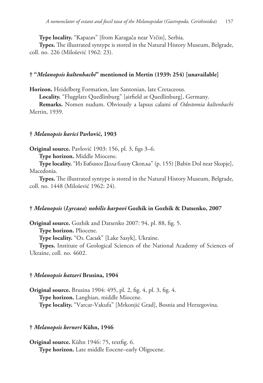**Type locality.** "Карагач" [from Karagača near Vrčin], Serbia.

**Types.** The illustrated syntype is stored in the Natural History Museum, Belgrade, coll. no. 226 (Milošević 1962: 23).

## **† "***Melanopsis kaltenbachi***" mentioned in Mertin (1939: 254) [unavailable]**

**Horizon.** Heidelberg Formation, late Santonian, late Cretaceous.

**Locality.** "Flugplatz Quedlinburg" [airfield at Quedlinburg], Germany.

**Remarks.** Nomen nudum. Obviously a lapsus calami of *Odostomia kaltenbachi* Mertin, 1939.

## **†** *Melanopsis karici* **Pavlović, 1903**

**Original source.** Pavlović 1903: 156, pl. 3, figs 3–6.

**Type horizon.** Middle Miocene.

**Type locality.** "Из Бабиног Дола близу Скопља" (p. 155) [Babin Dol near Skopje], Macedonia.

**Types.** The illustrated syntype is stored in the Natural History Museum, Belgrade, coll. no. 1448 (Milošević 1962: 24).

# **†** *Melanopsis* **(***Lyrcaea***)** *nobilis karpovi* **Gozhik in Gozhik & Datsenko, 2007**

**Original source.** Gozhik and Datsenko 2007: 94, pl. 88, fig. 5.

**Type horizon.** Pliocene.

**Type locality.** "Oз. Сасык" [Lake Sasyk], Ukraine.

**Types.** Institute of Geological Sciences of the National Academy of Sciences of Ukraine, coll. no. 4602.

# **†** *Melanopsis katzeri* **Brusina, 1904**

**Original source.** Brusina 1904: 495, pl. 2, fig. 4, pl. 3, fig. 4. **Type horizon.** Langhian, middle Miocene. **Type locality.** "Varcar-Vakufa" [Mrkonjić Grad], Bosnia and Herzegovina.

# **†** *Melanopsis kerneri* **Kühn, 1946**

**Original source.** Kühn 1946: 75, textfig. 6. **Type horizon.** Late middle Eocene–early Oligocene.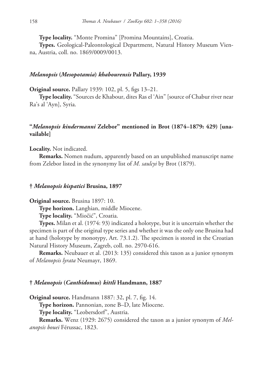**Type locality.** "Monte Promina" [Promina Mountains], Croatia.

**Types.** Geological-Paleontological Department, Natural History Museum Vienna, Austria, coll. no. 1869/0009/0013.

## *Melanopsis* **(***Mesopotamia***)** *khabourensis* **Pallary, 1939**

**Original source.** Pallary 1939: 102, pl. 5, figs 13–21.

**Type locality.** "Sources de Khabour, dites Ras el 'Ain" [source of Chabur river near Ra's al 'Ayn], Syria.

# **"***Melanopsis kindermanni* **Zelebor" mentioned in Brot (1874–1879: 429) [unavailable]**

**Locality.** Not indicated.

**Remarks.** Nomen nudum, apparently based on an unpublished manuscript name from Zelebor listed in the synonymy list of *M. saulcyi* by Brot (1879).

#### **†** *Melanopsis kispatici* **Brusina, 1897**

**Original source.** Brusina 1897: 10.

**Type horizon.** Langhian, middle Miocene.

**Type locality.** "Miočić", Croatia.

**Types.** Milan et al. (1974: 93) indicated a holotype, but it is uncertain whether the specimen is part of the original type series and whether it was the only one Brusina had at hand (holotype by monotypy, Art. 73.1.2). The specimen is stored in the Croatian Natural History Museum, Zagreb, coll. no. 2970-616.

**Remarks.** Neubauer et al. (2013: 135) considered this taxon as a junior synonym of *Melanopsis lyrata* Neumayr, 1869.

#### **†** *Melanopsis* **(***Canthidomus***)** *kittli* **Handmann, 1887**

**Original source.** Handmann 1887: 32, pl. 7, fig. 14.

**Type horizon.** Pannonian, zone B–D, late Miocene.

**Type locality.** "Leobersdorf", Austria.

**Remarks.** Wenz (1929: 2675) considered the taxon as a junior synonym of *Melanopsis bouei* Férussac, 1823.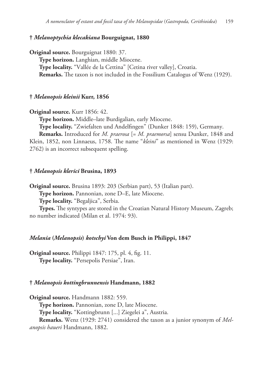## **†** *Melanoptychia klecakiana* **Bourguignat, 1880**

**Original source.** Bourguignat 1880: 37. **Type horizon.** Langhian, middle Miocene. **Type locality.** "Vallée de la Cettina" [Cetina river valley], Croatia. **Remarks.** The taxon is not included in the Fossilium Catalogus of Wenz (1929).

#### **†** *Melanopsis kleinii* **Kurr, 1856**

**Original source.** Kurr 1856: 42.

**Type horizon.** Middle–late Burdigalian, early Miocene.

**Type locality.** "Zwiefalten und Andelfingen" (Dunker 1848: 159), Germany.

**Remarks.** Introduced for *M. praerosa* [= *M. praemorsa*] sensu Dunker, 1848 and Klein, 1852, non Linnaeus, 1758. The name "*kleini*" as mentioned in Wenz (1929: 2762) is an incorrect subsequent spelling.

#### **†** *Melanopsis klerici* **Brusina, 1893**

**Original source.** Brusina 1893: 203 (Serbian part), 53 (Italian part).

**Type horizon.** Pannonian, zone D–E, late Miocene.

**Type locality.** "Begaljica", Serbia.

**Types.** The syntypes are stored in the Croatian Natural History Museum, Zagreb; no number indicated (Milan et al. 1974: 93).

## *Melania* **(***Melanopsis***)** *kotschyi* **Von dem Busch in Philippi, 1847**

**Original source.** Philippi 1847: 175, pl. 4, fig. 11. **Type locality.** "Persepolis Persiae", Iran.

#### **†** *Melanopsis kottingbrunnensis* **Handmann, 1882**

**Original source.** Handmann 1882: 559.

**Type horizon.** Pannonian, zone D, late Miocene.

**Type locality.** "Kottingbrunn [...] Ziegelei a", Austria.

**Remarks.** Wenz (1929: 2741) considered the taxon as a junior synonym of *Melanopsis haueri* Handmann, 1882.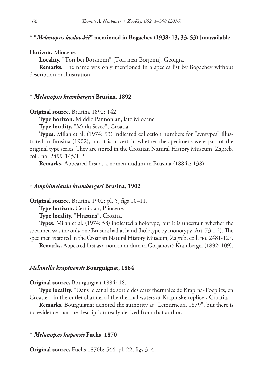## **† "***Melanopsis kozlovskii***" mentioned in Bogachev (1938: 13, 33, 53) [unavailable]**

#### **Horizon.** Miocene.

**Locality.** "Tori bei Borshomi" [Tori near Borjomi], Georgia.

**Remarks.** The name was only mentioned in a species list by Bogachev without description or illustration.

#### **†** *Melanopsis krambergeri* **Brusina, 1892**

**Original source.** Brusina 1892: 142.

**Type horizon.** Middle Pannonian, late Miocene.

**Type locality.** "Markuševec", Croatia.

**Types.** Milan et al. (1974: 93) indicated collection numbers for "syntypes" illustrated in Brusina (1902), but it is uncertain whether the specimens were part of the original type series. They are stored in the Croatian Natural History Museum, Zagreb, coll. no. 2499-145/1-2.

**Remarks.** Appeared first as a nomen nudum in Brusina (1884a: 138).

## **†** *Amphimelania krambergeri* **Brusina, 1902**

**Original source.** Brusina 1902: pl. 5, figs 10–11.

**Type horizon.** Cernikian, Pliocene.

**Type locality.** "Hrastina", Croatia.

**Types.** Milan et al. (1974: 58) indicated a holotype, but it is uncertain whether the specimen was the only one Brusina had at hand (holotype by monotypy, Art. 73.1.2). The specimen is stored in the Croatian Natural History Museum, Zagreb, coll. no. 2481-127.

**Remarks.** Appeared first as a nomen nudum in Gorjanović-Kramberger (1892: 109).

#### *Melanella krapinensis* **Bourguignat, 1884**

#### **Original source.** Bourguignat 1884: 18.

**Type locality.** "Dans le canal de sortie des eaux thermales de Krapina-Toeplitz, en Croatie" [in the outlet channel of the thermal waters at Krapinske toplice], Croatia.

**Remarks.** Bourguignat denoted the authority as "Letourneux, 1879", but there is no evidence that the description really derived from that author.

#### **†** *Melanopsis kupensis* **Fuchs, 1870**

**Original source.** Fuchs 1870b: 544, pl. 22, figs 3–4.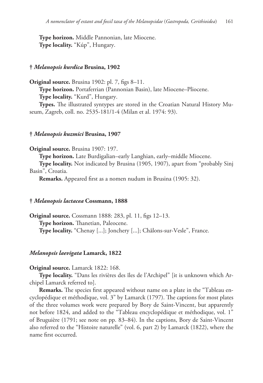**Type horizon.** Middle Pannonian, late Miocene. **Type locality.** "Kúp", Hungary.

## **†** *Melanopsis kurdica* **Brusina, 1902**

**Original source.** Brusina 1902: pl. 7, figs 8–11.

**Type horizon.** Portaferrian (Pannonian Basin), late Miocene–Pliocene.

**Type locality.** "Kurd", Hungary.

**Types.** The illustrated syntypes are stored in the Croatian Natural History Museum, Zagreb, coll. no. 2535-181/1-4 (Milan et al. 1974: 93).

#### **†** *Melanopsis kuzmici* **Brusina, 1907**

#### **Original source.** Brusina 1907: 197.

**Type horizon.** Late Burdigalian–early Langhian, early–middle Miocene.

**Type locality.** Not indicated by Brusina (1905, 1907), apart from "probably Sinj Basin", Croatia.

**Remarks.** Appeared first as a nomen nudum in Brusina (1905: 32).

#### **†** *Melanopsis lactacea* **Cossmann, 1888**

**Original source.** Cossmann 1888: 283, pl. 11, figs 12–13. **Type horizon.** Thanetian, Paleocene. **Type locality.** "Chenay [...]; Jonchery [...]; Châlons-sur-Vesle", France.

#### *Melanopsis laevigata* **Lamarck, 1822**

#### **Original source.** Lamarck 1822: 168.

**Type locality.** "Dans les rivières des îles de l'Archipel" [it is unknown which Archipel Lamarck referred to].

**Remarks.** The species first appeared without name on a plate in the "Tableau encyclopédique et méthodique, vol. 3" by Lamarck (1797). The captions for most plates of the three volumes work were prepared by Bory de Saint-Vincent, but apparently not before 1824, and added to the "Tableau encyclopédique et méthodique, vol. 1" of Bruguière (1791; see note on pp. 83–84). In the captions, Bory de Saint-Vincent also referred to the "Histoire naturelle" (vol. 6, part 2) by Lamarck (1822), where the name first occurred.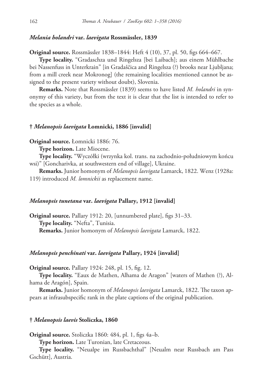#### *Melania holandri* **var.** *laevigata* **Rossmässler, 1839**

**Original source.** Rossmässler 1838–1844: Heft 4 (10), 37, pl. 50, figs 664–667.

**Type locality.** "Gradaschza und Ringelsza [bei Laibach]; aus einem Mühlbache bei Nassenfuss in Unterkrain" [in Gradaščica and Ringelsza (?) brooks near Ljubljana; from a mill creek near Mokronog] (the remaining localities mentioned cannot be assigned to the present variety without doubt), Slovenia.

**Remarks.** Note that Rossmässler (1839) seems to have listed *M. holandri* in synonymy of this variety, but from the text it is clear that the list is intended to refer to the species as a whole.

## **†** *Melanopsis laevigata* **Łomnicki, 1886 [invalid]**

**Original source.** Łomnicki 1886: 76.

**Type horizon.** Late Miocene.

**Type locality.** "Wyczółki (wrzynka kol. trans. na zachodnio-południowym końcu wsi)" [Goncharivka, at southwestern end of village], Ukraine.

**Remarks.** Junior homonym of *Melanopsis laevigata* Lamarck, 1822. Wenz (1928a: 119) introduced *M. lomnickii* as replacement name.

## *Melanopsis tunetana* **var.** *laevigata* **Pallary, 1912 [invalid]**

**Original source.** Pallary 1912: 20, [unnumbered plate], figs 31–33. **Type locality.** "Nefta", Tunisia. **Remarks.** Junior homonym of *Melanopsis laevigata* Lamarck, 1822.

#### *Melanopsis penchinati* **var.** *laevigata* **Pallary, 1924 [invalid]**

**Original source.** Pallary 1924: 248, pl. 15, fig. 12.

**Type locality.** "Eaux de Mathen, Alhama de Aragon" [waters of Mathen (?), Alhama de Aragón], Spain.

**Remarks.** Junior homonym of *Melanopsis laevigata* Lamarck, 1822. The taxon appears at infrasubspecific rank in the plate captions of the original publication.

#### **†** *Melanopsis laevis* **Stoliczka, 1860**

**Original source.** Stoliczka 1860: 484, pl. 1, figs 4a–b.

**Type horizon.** Late Turonian, late Cretaceous.

**Type locality.** "Neualpe im Russbachthal" [Neualm near Russbach am Pass Gschütt], Austria.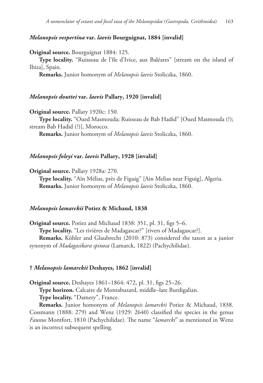# *Melanopsis vespertina* **var.** *laevis* **Bourguignat, 1884 [invalid]**

**Original source.** Bourguignat 1884: 125.

**Type locality.** "Ruisseau de l'île d'Ivice, aux Baléares" [stream on the island of Ibiza], Spain.

**Remarks.** Junior homonym of *Melanopsis laevis* Stoliczka, 1860.

#### *Melanopsis douttei* **var.** *laevis* **Pallary, 1920 [invalid]**

**Original source.** Pallary 1920c: 150. **Type locality.** "Oued Masmouda; Ruisseau de Bab Hadid" [Oued Masmouda (?); stream Bab Hadid (?)], Morocco.

**Remarks.** Junior homonym of *Melanopsis laevis* Stoliczka, 1860.

#### *Melanopsis foleyi* **var.** *laevis* **Pallary, 1928 [invalid]**

**Original source.** Pallary 1928a: 270.

**Type locality.** "Aïn Mélias, près de Figuig" [Ain Melias near Figuig], Algeria. **Remarks.** Junior homonym of *Melanopsis laevis* Stoliczka, 1860.

## *Melanopsis lamarckii* **Potiez & Michaud, 1838**

**Original source.** Potiez and Michaud 1838: 351, pl. 31, figs 5–6. **Type locality.** "Les rivières de Madagascar?" [rivers of Madagascar?]. **Remarks.** Köhler and Glaubrecht (2010: 873) considered the taxon as a junior synonym of *Madagasikara spinosa* (Lamarck, 1822) (Pachychilidae).

#### **†** *Melanopsis lamarckii* **Deshayes, 1862 [invalid]**

**Original source.** Deshayes 1861–1864: 472, pl. 31, figs 25–26.

**Type horizon.** Calcaire de Montabuzard, middle–late Burdigalian.

**Type locality.** "Damery", France.

**Remarks.** Junior homonym of *Melanopsis lamarckii* Potiez & Michaud, 1838. Cossmann (1888: 279) and Wenz (1929: 2640) classified the species in the genus *Faunus* Montfort, 1810 (Pachychilidae). The name "*lamarcki*" as mentioned in Wenz is an incorrect subsequent spelling.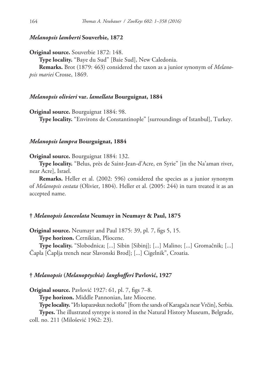## *Melanopsis lamberti* **Souverbie, 1872**

**Original source.** Souverbie 1872: 148.

**Type locality.** "Baye du Sud" [Baie Sud], New Caledonia.

**Remarks.** Brot (1879: 463) considered the taxon as a junior synonym of *Melanopsis mariei* Crosse, 1869.

#### *Melanopsis olivieri* **var.** *lamellata* **Bourguignat, 1884**

**Original source.** Bourguignat 1884: 98.

**Type locality.** "Environs de Constantinople" [surroundings of Istanbul], Turkey.

#### *Melanopsis lampra* **Bourguignat, 1884**

#### **Original source.** Bourguignat 1884: 132.

**Type locality.** "Belus, près de Saint-Jean-d'Acre, en Syrie" [in the Na'aman river, near Acre], Israel.

**Remarks.** Heller et al. (2002: 596) considered the species as a junior synonym of *Melanopsis costata* (Olivier, 1804). Heller et al. (2005: 244) in turn treated it as an accepted name.

## **†** *Melanopsis lanceolata* **Neumayr in Neumayr & Paul, 1875**

**Original source.** Neumayr and Paul 1875: 39, pl. 7, figs 5, 15.

**Type horizon.** Cernikian, Pliocene.

**Type locality.** "Slobodnica; [...] Sibin [Sibinj]; [...] Malino; [...] Gromačnik; [...] Čapla [Čaplja trench near Slavonski Brod]; [...] Cigelnik", Croatia.

## **†** *Melanopsis* **(***Melanoptychia***)** *langhofferi* **Pavlović, 1927**

**Original source.** Pavlović 1927: 61, pl. 7, figs 7–8.

**Type horizon.** Middle Pannonian, late Miocene.

**Type locality.** "Из карагачких пескова" [from the sands of Karagača near Vrčin], Serbia.

**Types.** The illustrated syntype is stored in the Natural History Museum, Belgrade, coll. no. 211 (Milošević 1962: 23).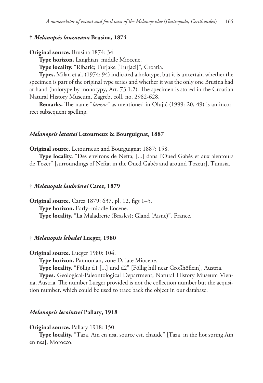## **†** *Melanopsis lanzaeana* **Brusina, 1874**

```
Original source. Brusina 1874: 34.
```
**Type horizon.** Langhian, middle Miocene.

**Type locality.** "Ribarić; Turjake [Turjaci]", Croatia.

**Types.** Milan et al. (1974: 94) indicated a holotype, but it is uncertain whether the specimen is part of the original type series and whether it was the only one Brusina had at hand (holotype by monotypy, Art. 73.1.2). The specimen is stored in the Croatian Natural History Museum, Zagreb, coll. no. 2982-628.

**Remarks.** The name "*lanzae*" as mentioned in Olujić (1999: 20, 49) is an incorrect subsequent spelling.

#### *Melanopsis latastei* **Letourneux & Bourguignat, 1887**

**Original source.** Letourneux and Bourguignat 1887: 158.

**Type locality.** "Des environs de Nefta; [...] dans l'Oued Gabès et aux alentours de Tozer" [surroundings of Nefta; in the Oued Gabès and around Tozeur], Tunisia.

#### **†** *Melanopsis laubrierei* **Carez, 1879**

**Original source.** Carez 1879: 637, pl. 12, figs 1–5. **Type horizon.** Early–middle Eocene. **Type locality.** "La Maladrerie (Brasles); Gland (Aisne)", France.

#### **†** *Melanopsis lebedai* **Lueger, 1980**

**Original source.** Lueger 1980: 104.

**Type horizon.** Pannonian, zone D, late Miocene.

**Type locality.** "Föllig d1 [...] und d2" [Föllig hill near Großhöflein], Austria.

**Types.** Geological-Paleontological Department, Natural History Museum Vienna, Austria. The number Lueger provided is not the collection number but the acqusition number, which could be used to trace back the object in our database.

## *Melanopsis lecointrei* **Pallary, 1918**

#### **Original source.** Pallary 1918: 150.

**Type locality.** "Taza, Ain en nsa, source est, chaude" [Taza, in the hot spring Ain en nsa], Morocco.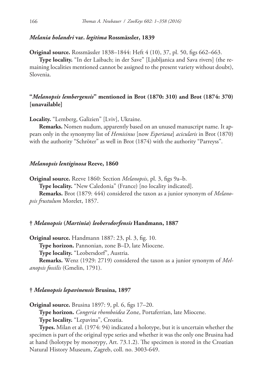## *Melania holandri* **var.** *legitima* **Rossmässler, 1839**

**Original source.** Rossmässler 1838–1844: Heft 4 (10), 37, pl. 50, figs 662–663.

**Type locality.** "In der Laibach; in der Save" [Ljubljanica and Sava rivers] (the remaining localities mentioned cannot be assigned to the present variety without doubt), Slovenia.

# **"***Melanopsis lembergensis***" mentioned in Brot (1870: 310) and Brot (1874: 370) [unavailable]**

**Locality.** "Lemberg, Galizien" [Lviv], Ukraine.

**Remarks.** Nomen nudum, apparently based on an unused manuscript name. It appears only in the synonymy list of *Hemisinus* [now *Esperiana*] *acicularis* in Brot (1870) with the authority "Schröter" as well in Brot (1874) with the authority "Parreyss".

#### *Melanopsis lentiginosa* **Reeve, 1860**

**Original source.** Reeve 1860: Section *Melanopsis*, pl. 3, figs 9a–b.

**Type locality.** "New Caledonia" (France) [no locality indicated].

**Remarks.** Brot (1879: 444) considered the taxon as a junior synonym of *Melanopsis frustulum* Morelet, 1857.

## **†** *Melanopsis* **(***Martinia***)** *leobersdorfensis* **Handmann, 1887**

**Original source.** Handmann 1887: 23, pl. 3, fig. 10.

**Type horizon.** Pannonian, zone B–D, late Miocene.

**Type locality.** "Leobersdorf", Austria.

**Remarks.** Wenz (1929: 2719) considered the taxon as a junior synonym of *Melanopsis fossilis* (Gmelin, 1791).

#### **†** *Melanopsis lepavinensis* **Brusina, 1897**

**Original source.** Brusina 1897: 9, pl. 6, figs 17–20.

**Type horizon.** *Congeria rhomboidea* Zone, Portaferrian, late Miocene.

**Type locality.** "Lepavina", Croatia.

**Types.** Milan et al. (1974: 94) indicated a holotype, but it is uncertain whether the specimen is part of the original type series and whether it was the only one Brusina had at hand (holotype by monotypy, Art. 73.1.2). The specimen is stored in the Croatian Natural History Museum, Zagreb, coll. no. 3003-649.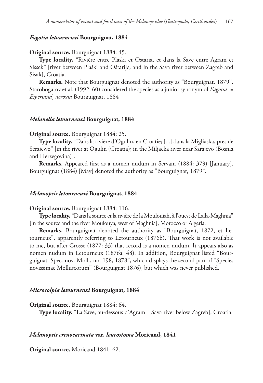## *Fagotia letourneuxi* **Bourguignat, 1884**

#### **Original source.** Bourguignat 1884: 45.

**Type locality.** "Rivière entre Plaski et Ostaria, et dans la Save entre Agram et Sissek" [river between Plaški and Oštarije, and in the Sava river between Zagreb and Sisak], Croatia.

**Remarks.** Note that Bourguignat denoted the authority as "Bourguignat, 1879". Starobogatov et al. (1992: 60) considered the species as a junior synonym of *Fagotia* [= *Esperiana*] *acroxia* Bourguignat, 1884

## *Melanella letourneuxi* **Bourguignat, 1884**

#### **Original source.** Bourguignat 1884: 25.

**Type locality.** "Dans la rivière d'Ogulin, en Croatie; [...] dans la Migliaska, près de Sérajewo" [in the river at Ogulin (Croatia); in the Miljacka river near Sarajevo (Bosnia and Herzegovina)].

**Remarks.** Appeared first as a nomen nudum in Servain (1884: 379) [January]. Bourguignat (1884) [May] denoted the authority as "Bourguignat, 1879".

#### *Melanopsis letourneuxi* **Bourguignat, 1884**

#### **Original source.** Bourguignat 1884: 116.

**Type locality.** "Dans la source et la rivière de la Moulouiah, à l'ouest de Lalla-Maghnia" [in the source and the river Moulouya, west of Maghnia], Morocco or Algeria.

**Remarks.** Bourguignat denoted the authority as "Bourguignat, 1872, et Letourneux", apparently referring to Letourneux (1876b). That work is not available to me, but after Crosse (1877: 33) that record is a nomen nudum. It appears also as nomen nudum in Letourneux (1876a: 48). In addition, Bourguignat listed "Bourguignat. Spec. nov. Moll., no. 198, 1878", which displays the second part of "Species novissimae Molluscorum" (Bourguignat 1876), but which was never published.

#### *Microcolpia letourneuxi* **Bourguignat, 1884**

**Original source.** Bourguignat 1884: 64.

**Type locality.** "La Save, au-dessous d'Agram" [Sava river below Zagreb], Croatia.

# *Melanopsis crenocarinata* **var.** *leucostoma* **Moricand, 1841**

**Original source.** Moricand 1841: 62.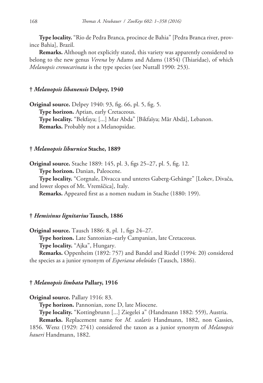**Type locality.** "Rio de Pedra Branca, procince de Bahia" [Pedra Branca river, province Bahia], Brazil.

**Remarks.** Although not explicitly stated, this variety was apparently considered to belong to the new genus *Verena* by Adams and Adams (1854) (Thiaridae), of which *Melanopsis crenocarinata* is the type species (see Nuttall 1990: 253).

## **†** *Melanopsis libanensis* **Delpey, 1940**

**Original source.** Delpey 1940: 93, fig. 66, pl. 5, fig. 5. **Type horizon.** Aptian, early Cretaceous. **Type locality.** "Bekfaya; [...] Mar Abda" [Bikfaïya; Mâr Abdâ], Lebanon. **Remarks.** Probably not a Melanopsidae.

## **†** *Melanopsis liburnica* **Stache, 1889**

**Original source.** Stache 1889: 145, pl. 3, figs 25–27, pl. 5, fig. 12. **Type horizon.** Danian, Paleocene.

**Type locality.** "Corgnale, Divacca und unteres Gaberg-Gehänge" [Lokev, Divača, and lower slopes of Mt. Vremščica], Italy.

**Remarks.** Appeared first as a nomen nudum in Stache (1880: 199).

## **†** *Hemisinus lignitarius* **Tausch, 1886**

**Original source.** Tausch 1886: 8, pl. 1, figs 24–27.

**Type horizon.** Late Santonian–early Campanian, late Cretaceous.

**Type locality.** "Ajka", Hungary.

**Remarks.** Oppenheim (1892: 757) and Bandel and Riedel (1994: 20) considered the species as a junior synonym of *Esperiana obeloides* (Tausch, 1886).

## **†** *Melanopsis limbata* **Pallary, 1916**

**Original source.** Pallary 1916: 83.

**Type horizon.** Pannonian, zone D, late Miocene.

**Type locality.** "Kottingbrunn [...] Ziegelei a" (Handmann 1882: 559), Austria.

**Remarks.** Replacement name for *M. scalaris* Handmann, 1882, non Gassies, 1856. Wenz (1929: 2741) considered the taxon as a junior synonym of *Melanopsis haueri* Handmann, 1882.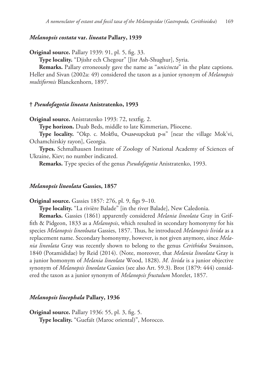## *Melanopsis costata* **var.** *lineata* **Pallary, 1939**

**Original source.** Pallary 1939: 91, pl. 5, fig. 33.

**Type locality.** "Djishr ech Chegour" [Jisr Ash-Shughur], Syria.

**Remarks.** Pallary erroneously gave the name as "*unicincta*" in the plate captions. Heller and Sivan (2002a: 49) considered the taxon as a junior synonym of *Melanopsis multiformis* Blanckenhorn, 1897.

#### **†** *Pseudofagotia lineata* **Anistratenko, 1993**

**Original source.** Anistratenko 1993: 72, textfig. 2.

**Type horizon.** Duab Beds, middle to late Kimmerian, Pliocene.

**Type locality.** "Окр. с. Мокви, Очамчирский р-н" [near the village Mok'vi, Ochamchirskiy rayon], Georgia.

**Types.** Schmalhausen Institute of Zoology of National Academy of Sciences of Ukraine, Kiev; no number indicated.

**Remarks.** Type species of the genus *Pseudofagotia* Anistratenko, 1993.

#### *Melanopsis lineolata* **Gassies, 1857**

**Original source.** Gassies 1857: 276, pl. 9, figs 9–10.

**Type locality.** "La rivière Balade" [in the river Balade], New Caledonia.

**Remarks.** Gassies (1861) apparently considered *Melania lineolata* Gray in Griffith & Pidgeon, 1833 as a *Melanopsis*, which resulted in secondary homonymy for his species *Melanopsis lineoloata* Gassies, 1857. Thus, he introduced *Melanopsis livida* as a replacement name. Secondary homonymy, however, is not given anymore, since *Melania lineolata* Gray was recently shown to belong to the genus *Cerithidea* Swainson, 1840 (Potamididae) by Reid (2014). (Note, moreover, that *Melania lineolata* Gray is a junior homonym of *Melania lineolata* Wood, 1828). *M. livida* is a junior objective synonym of *Melanopsis lineolata* Gassies (see also Art. 59.3). Brot (1879: 444) considered the taxon as a junior synonym of *Melanopsis frustulum* Morelet, 1857.

#### *Melanopsis liocephala* **Pallary, 1936**

**Original source.** Pallary 1936: 55, pl. 3, fig. 5. **Type locality.** "Guefaït (Maroc oriental)", Morocco.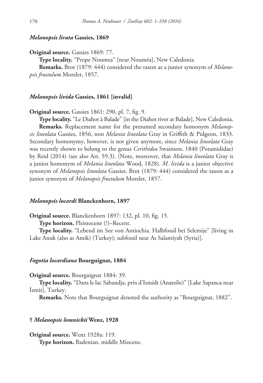#### *Melanopsis lirata* **Gassies, 1869**

**Original source.** Gassies 1869: 77.

**Type locality.** "Prope Noumea" [near Nouméa], New Caledonia.

**Remarks.** Brot (1879: 444) considered the taxon as a junior synonym of *Melanopsis frustulum* Morelet, 1857.

#### *Melanopsis livida* **Gassies, 1861 [invalid]**

**Original source.** Gassies 1861: 290, pl. 7, fig. 9.

**Type locality.** "Le Diahot à Balade" [in the Diahot river at Balade], New Caledonia. **Remarks.** Replacement name for the presumed secondary homonym *Melanopsis lineolata* Gassies, 1856, non *Melania lineolata* Gray in Griffith & Pidgeon, 1833. Secondary homonymy, however, is not given anymore, since *Melania lineolata* Gray was recently shown to belong to the genus *Cerithidea* Swainson, 1840 (Potamididae) by Reid (2014) (see also Art. 59.3). (Note, moreover, that *Melania lineolata* Gray is a junior homonym of *Melania lineolata* Wood, 1828). *M. livida* is a junior objective synonym of *Melanopsis lineolata* Gassies. Brot (1879: 444) considered the taxon as a junior synonym of *Melanopsis frustulum* Morelet, 1857.

#### *Melanopsis locardi* **Blanckenhorn, 1897**

**Original source.** Blanckenhorn 1897: 132, pl. 10, fig. 15.

**Type horizon.** Pleistocene (?)–Recent.

**Type locality.** "Lebend im See von Antiochia. Halbfossil bei Selemije" [living in Lake Anuk (also as Amik) (Turkey); subfossil near As Salamīyah (Syria)].

## *Fagotia locardiana* **Bourguignat, 1884**

**Original source.** Bourguignat 1884: 39.

**Type locality.** "Dans le lac Sabandja, près d'Ismidt (Anatolie)" [Lake Sapanca near İzmit], Turkey.

**Remarks.** Note that Bourguignat denoted the authority as "Bourguignat, 1882".

## **†** *Melanopsis lomnickii* **Wenz, 1928**

**Original source.** Wenz 1928a: 119.

**Type horizon.** Badenian, middle Miocene.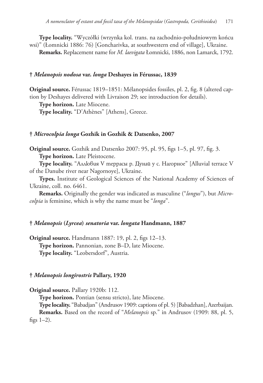**Type locality.** "Wyczółki (wrzynka kol. trans. na zachodnio-południowym końcu wsi)" (Łomnicki 1886: 76) [Goncharivka, at southwestern end of village], Ukraine.

**Remarks.** Replacement name for *M. laevigata* Łomnicki, 1886, non Lamarck, 1792.

## **†** *Melanopsis nodosa* **var.** *longa* **Deshayes in Férussac, 1839**

**Original source.** Férussac 1819–1851: Mélanopsides fossiles, pl. 2, fig. 8 (altered caption by Deshayes delivered with Livraison 29; see introduction for details).

**Type horizon.** Late Miocene.

**Type locality.** "D'Athènes" [Athens], Greece.

#### **†** *Microcolpia longa* **Gozhik in Gozhik & Datsenko, 2007**

**Original source.** Gozhik and Datsenko 2007: 95, pl. 95, figs 1–5, pl. 97, fig. 3. **Type horizon.** Late Pleistocene.

**Type locality.** "Aллювия V террасы р. Дунай у с. Нагорное" [Alluvial terrace V of the Danube river near Nagornoye], Ukraine.

**Types.** Institute of Geological Sciences of the National Academy of Sciences of Ukraine, coll. no. 6461.

**Remarks.** Originally the gender was indicated as masculine ("*longus*"), but *Microcolpia* is feminine, which is why the name must be "*longa*".

#### **†** *Melanopsis* **(***Lyrcea***)** *senatoria* **var.** *longata* **Handmann, 1887**

**Original source.** Handmann 1887: 19, pl. 2, figs 12–13. **Type horizon.** Pannonian, zone B–D, late Miocene. **Type locality.** "Leobersdorf", Austria.

#### **†** *Melanopsis longirostris* **Pallary, 1920**

**Original source.** Pallary 1920b: 112.

**Type horizon.** Pontian (sensu stricto), late Miocene.

**Type locality.** "Babadjan" (Andrusov 1909: captions of pl. 5) [Babadzhan], Azerbaijan. **Remarks.** Based on the record of "*Melanopsis* sp." in Andrusov (1909: 88, pl. 5, figs  $1-2$ ).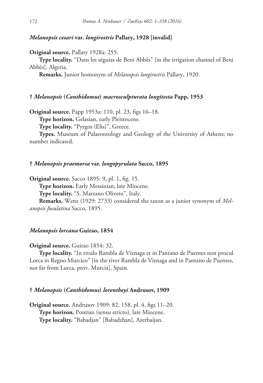## *Melanopsis cesari* **var.** *longirostris* **Pallary, 1928 [invalid]**

**Original source.** Pallary 1928a: 255.

**Type locality.** "Dans les séguias de Beni Abbès" [in the irrigation channel of Beni Abbès], Algeria.

**Remarks.** Junior homonym of *Melanopsis longirostris* Pallary, 1920.

#### **†** *Melanopsis* **(***Canthidomus***)** *macrosculpturata longitesta* **Papp, 1953**

**Original source.** Papp 1953a: 110, pl. 23, figs 16–18.

**Type horizon.** Gelasian, early Pleistocene.

**Type locality.** "Pyrgos (Elis)", Greece.

**Types.** Museum of Palaeontology and Geology of the University of Athens; no number indicated.

#### **†** *Melanopsis praemorsa* **var.** *longopyrulata* **Sacco, 1895**

**Original source.** Sacco 1895: 9, pl. 1, fig. 15.

**Type horizon.** Early Messinian, late Miocene.

**Type locality.** "S. Marzano Oliveto", Italy.

**Remarks.** Wenz (1929: 2733) considered the taxon as a junior synonym of *Melanopsis fusulatina* Sacco, 1895.

## *Melanopsis lorcana* **Guirao, 1854**

## **Original source.** Guirao 1854: 32.

**Type locality.** "In rivulo Rambla de Viznaga et in Pantano de Puentes non procul Lorca in Regno Murcico" [in the river Rambla de Viznaga and in Pantano de Puentes, not far from Lurca, prov. Murcia], Spain.

#### **†** *Melanopsis* **(***Canthidomus***)** *lorentheyi* **Andrusov, 1909**

**Original source.** Andrusov 1909: 82, 158, pl. 4, figs 11–20. **Type horizon.** Pontian (sensu stricto), late Miocene. **Type locality.** "Babadjan" [Babadzhan], Azerbaijan.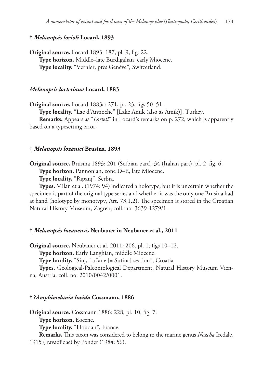## **†** *Melanopsis lorioli* **Locard, 1893**

**Original source.** Locard 1893: 187, pl. 9, fig. 22. **Type horizon.** Middle–late Burdigalian, early Miocene. **Type locality.** "Vernier, près Genève", Switzerland.

## *Melanopsis lortetiana* **Locard, 1883**

**Original source.** Locard 1883a: 271, pl. 23, figs 50–51.

**Type locality.** "Lac d'Antioche" [Lake Anuk (also as Amik)], Turkey.

**Remarks.** Appears as "*Lorteti*" in Locard's remarks on p. 272, which is apparently based on a typesetting error.

#### **†** *Melanopsis lozanici* **Brusina, 1893**

**Original source.** Brusina 1893: 201 (Serbian part), 34 (Italian part), pl. 2, fig. 6.

**Type horizon.** Pannonian, zone D–E, late Miocene.

**Type locality.** "Ripanj", Serbia.

**Types.** Milan et al. (1974: 94) indicated a holotype, but it is uncertain whether the specimen is part of the original type series and whether it was the only one Brusina had at hand (holotype by monotypy, Art. 73.1.2). The specimen is stored in the Croatian Natural History Museum, Zagreb, coll. no. 3639-1279/1.

## **†** *Melanopsis lucanensis* **Neubauer in Neubauer et al., 2011**

**Original source.** Neubauer et al. 2011: 206, pl. 1, figs 10–12.

**Type horizon.** Early Langhian, middle Miocene.

**Type locality.** "Sinj, Lučane [= Sutina] section", Croatia.

**Types.** Geological-Paleontological Department, Natural History Museum Vienna, Austria, coll. no. 2010/0042/0001.

#### **† ?***Amphimelania lucida* **Cossmann, 1886**

**Original source.** Cossmann 1886: 228, pl. 10, fig. 7.

**Type horizon.** Eocene.

**Type locality.** "Houdan", France.

**Remarks.** This taxon was considered to belong to the marine genus *Nozeba* Iredale,

1915 (Iravadiidae) by Ponder (1984: 56).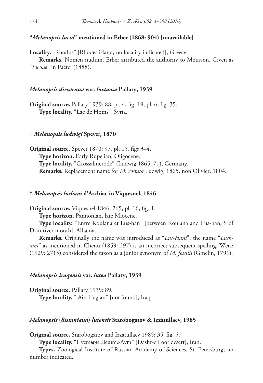## **"***Melanopsis lucio***" mentioned in Erber (1868: 904) [unavailable]**

**Locality.** "Rhodus" [Rhodes island, no locality indicated], Greece.

**Remarks.** Nomen nudum. Erber attributed the authority to Mousson. Given as "*Luciae*" in Paetel (1888).

## *Melanopsis dircaeana* **var.** *luctuosa* **Pallary, 1939**

**Original source.** Pallary 1939: 88, pl. 4, fig. 19, pl. 6, fig. 35. **Type locality.** "Lac de Homs", Syria.

#### **†** *Melanopsis ludwigi* **Speyer, 1870**

**Original source.** Speyer 1870: 97, pl. 15, figs 3–4. **Type horizon.** Early Rupelian, Oligocene. **Type locality.** "Grossalmerode" (Ludwig 1865: 71), Germany. **Remarks.** Replacement name for *M. costata* Ludwig, 1865, non Olivier, 1804.

#### **†** *Melanopsis lushani* **d'Archiac in Viquesnel, 1846**

**Original source.** Viquesnel 1846: 265, pl. 16, fig. 1.

**Type horizon.** Pannonian, late Miocene.

**Type locality.** "Entre Koulana et Lus-han" [between Koulana and Lus-han, S of Drin river mouth], Albania.

**Remarks.** Originally the name was introduced as "*Lus-Hani*"; the name "*Lushami*" as mentioned in Chenu (1859: 297) is an incorrect subsequent spelling. Wenz (1929: 2715) considered the taxon as a junior synonym of *M. fossilis* (Gmelin, 1791).

## *Melanopsis iraqensis* **var.** *lutea* **Pallary, 1939**

**Original source.** Pallary 1939: 89. **Type locality.** "'Ain Haglan" [not found], Iraq.

## *Melanopsis* **(***Sistaniana***)** *lutensis* **Starobogatov & Izzatullaev, 1985**

**Original source.** Starobogatov and Izzatullaev 1985: 35, fig. 5.

**Type locality.** "Пустыне Деште-Лут" [Dasht-e Loot desert], Iran.

**Types.** Zoological Institute of Russian Academy of Sciences, St.-Petersburg; no number indicated.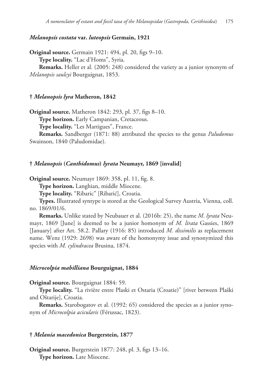## *Melanopsis costata* **var.** *luteopsis* **Germain, 1921**

**Original source.** Germain 1921: 494, pl. 20, figs 9–10. **Type locality.** "Lac d'Homs", Syria. **Remarks.** Heller et al. (2005: 248) considered the variety as a junior synonym of *Melanopsis saulcyi* Bourguignat, 1853.

#### **†** *Melanopsis lyra* **Matheron, 1842**

**Original source.** Matheron 1842: 293, pl. 37, figs 8–10.

**Type horizon.** Early Campanian, Cretaceous.

**Type locality.** "Les Martigues", France.

**Remarks.** Sandberger (1871: 88) attributed the species to the genus *Paludomus* Swainson, 1840 (Paludomidae).

## **†** *Melanopsis* **(***Canthidomus***)** *lyrata* **Neumayr, 1869 [invalid]**

**Original source.** Neumayr 1869: 358, pl. 11, fig. 8.

**Type horizon.** Langhian, middle Miocene.

**Type locality.** "Ribaric" [Ribarić], Croatia.

**Types.** Illustrated syntype is stored at the Geological Survey Austria, Vienna, coll. no. 1869/01/6.

**Remarks.** Unlike stated by Neubauer et al. (2016b: 25), the name *M. lyrata* Neumayr, 1869 [June] is deemed to be a junior homonym of *M. lirata* Gassies, 1869 [January] after Art. 58.2. Pallary (1916: 85) introduced *M. dissimilis* as replacement name. Wenz (1929: 2698) was aware of the homonymy issue and synonymized this species with *M. cylindracea* Brusina, 1874.

#### *Microcolpia mabilliana* **Bourguignat, 1884**

**Original source.** Bourguignat 1884: 59.

**Type locality.** "La rivière entre Plaski et Ostaria (Croatie)" [river between Plaški and Oštarije], Croatia.

**Remarks.** Starobogatov et al. (1992: 65) considered the species as a junior synonym of *Microcolpia acicularis* (Férussac, 1823).

## **†** *Melania macedonica* **Burgerstein, 1877**

**Original source.** Burgerstein 1877: 248, pl. 3, figs 13–16. **Type horizon.** Late Miocene.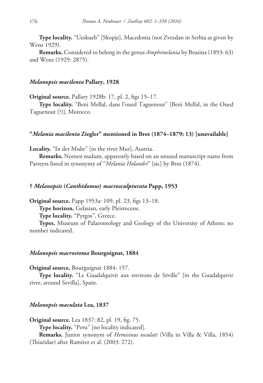**Type locality.** "Ueskueb" [Skopje], Macedonia (not Zvezdan in Serbia as given by Wenz 1929).

**Remarks.** Considered to belong in the genus *Amphimelania* by Brusina (1893: 63) and Wenz (1929: 2875).

#### *Melanopsis macilenta* **Pallary, 1928**

**Original source.** Pallary 1928b: 17, pl. 2, figs 15–17.

**Type locality.** "Beni Mellal, dans l'oued Taguenout" [Beni Mellal, in the Oued Taguenout (?)], Morocco.

#### **"***Melania macilenta* **Ziegler" mentioned in Brot (1874–1879: 13) [unavailable]**

**Locality.** "In der Muhr" [in the river Mur], Austria.

**Remarks.** Nomen nudum, apparently based on an unused manuscript name from Parreyss listed in synonymy of "*Melania Holandri*" [sic] by Brot (1874).

## **†** *Melanopsis* **(***Canthidomus***)** *macrosculpturata* **Papp, 1953**

**Original source.** Papp 1953a: 109, pl. 23, figs 13–18.

**Type horizon.** Gelasian, early Pleistocene.

**Type locality.** "Pyrgos", Greece.

**Types.** Museum of Palaeontology and Geology of the University of Athens; no number indicated.

#### *Melanopsis macrostoma* **Bourguignat, 1884**

**Original source.** Bourguignat 1884: 157.

**Type locality.** "Le Guadalquivir aux environs de Séville" [in the Guadalquivir river, around Sevilla], Spain.

#### *Melanopsis maculata* **Lea, 1837**

**Original source.** Lea 1837: 82, pl. 19, fig. 75. **Type locality.** "Peru" [no locality indicated]. **Remarks.** Junior synonym of *Hemisinus osculati* (Villa in Villa & Villa, 1854) (Thiaridae) after Ramírez et al. (2003: 272).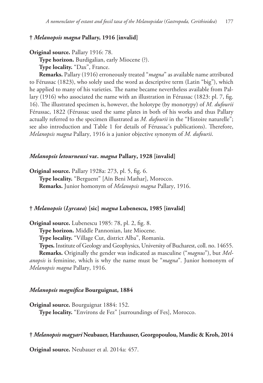# **†** *Melanopsis magna* **Pallary, 1916 [invalid]**

**Original source.** Pallary 1916: 78.

**Type horizon.** Burdigalian, early Miocene (?).

**Type locality.** "Dax", France.

**Remarks.** Pallary (1916) erroneously treated "*magna*" as available name attributed to Férussac (1823), who solely used the word as descriptive term (Latin "big"), which he applied to many of his varieties. The name became nevertheless available from Pallary (1916) who associated the name with an illustration in Férussac (1823: pl. 7, fig. 16). The illustrated specimen is, however, the holotype (by monotypy) of *M. dufourii* Férussac, 1822 (Férussac used the same plates in both of his works and thus Pallary actually referred to the specimen illustrated as *M. dufourii* in the "Histoire naturelle"; see also introduction and Table 1 for details of Férussac's publications). Therefore, *Melanopsis magna* Pallary, 1916 is a junior objective synonym of *M. dufourii*.

## *Melanopsis letourneuxi* **var.** *magna* **Pallary, 1928 [invalid]**

**Original source.** Pallary 1928a: 273, pl. 5, fig. 6.

**Type locality.** "Berguent" [Aïn Beni Mathar], Morocco. **Remarks.** Junior homonym of *Melanopsis magna* Pallary, 1916.

## **†** *Melanopsis* **(***Lyrcaea***) [sic]** *magna* **Lubenescu, 1985 [invalid]**

**Original source.** Lubenescu 1985: 78, pl. 2, fig. 8.

**Type horizon.** Middle Pannonian, late Miocene.

**Type locality.** "Village Cut, district Alba", Romania.

**Types.** Institute of Geology and Geophysics, University of Bucharest, coll. no. 14655. **Remarks.** Originally the gender was indicated as masculine ("*magnus*"), but *Melanopsis* is feminine, which is why the name must be "*magna*". Junior homonym of

*Melanopsis magna* Pallary, 1916.

#### *Melanopsis magnifica* **Bourguignat, 1884**

**Original source.** Bourguignat 1884: 152. **Type locality.** "Environs de Fez" [surroundings of Fes], Morocco.

## **†** *Melanopsis magyari* **Neubauer, Harzhauser, Georgopoulou, Mandic & Kroh, 2014**

**Original source.** Neubauer et al. 2014a: 457.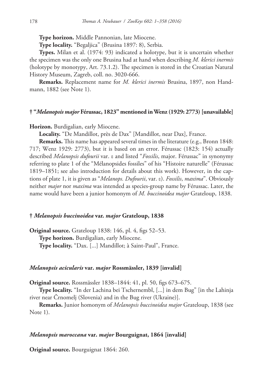**Type horizon.** Middle Pannonian, late Miocene.

**Type locality.** "Begaljica" (Brusina 1897: 8), Serbia.

**Types.** Milan et al. (1974: 93) indicated a holotype, but it is uncertain whether the specimen was the only one Brusina had at hand when describing *M. klerici inermis* (holotype by monotypy, Art. 73.1.2). The specimen is stored in the Croatian Natural History Museum, Zagreb, coll. no. 3020-666.

**Remarks.** Replacement name for *M. klerici inermis* Brusina, 1897, non Handmann, 1882 (see Note 1).

# **† "***Melanopsis major* **Férussac, 1823" mentioned in Wenz (1929: 2773) [unavailable]**

**Horizon.** Burdigalian, early Miocene.

Locality. "De Mandillot, près de Dax" [Mandillot, near Dax], France.

**Remarks.** This name has appeared several times in the literature (e.g., Bronn 1848: 717; Wenz 1929: 2773), but it is based on an error. Férussac (1823: 154) actually described *Melanopsis dufourii* var. ε and listed "*Fossilis*, major. Férussac" in synonymy referring to plate 1 of the "Mélanopsides fossiles" of his "Histoire naturelle" (Férussac 1819–1851; see also introduction for details about this work). However, in the captions of plate 1, it is given as "*Melanops. Dufourii*, var. ε). *Fossilis*, *maxima*". Obviously neither *major* nor *maxima* was intended as species-group name by Férussac. Later, the name would have been a junior homonym of *M. buccinoidea major* Grateloup, 1838.

## **†** *Melanopsis buccinoidea* **var.** *major* **Grateloup, 1838**

**Original source.** Grateloup 1838: 146, pl. 4, figs 52–53. **Type horizon.** Burdigalian, early Miocene. **Type locality.** "Dax. [...] Mandillot; à Saint-Paul", France.

#### *Melanopsis acicularis* **var.** *major* **Rossmässler, 1839 [invalid]**

**Original source.** Rossmässler 1838–1844: 41, pl. 50, figs 673–675.

**Type locality.** "In der Lachina bei Tschernembl, [...] in dem Bug" [in the Lahinja river near Črnomelj (Slovenia) and in the Bug river (Ukraine)].

**Remarks.** Junior homonym of *Melanopsis buccinoidea major* Grateloup, 1838 (see Note 1).

# *Melanopsis maroccana* **var.** *major* **Bourguignat, 1864 [invalid]**

**Original source.** Bourguignat 1864: 260.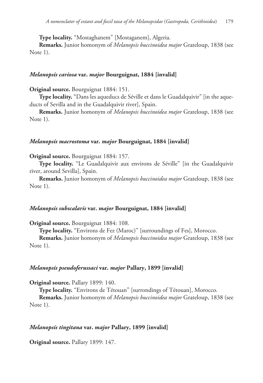**Type locality.** "Mostaghanem" [Mostaganem], Algeria.

**Remarks.** Junior homonym of *Melanopsis buccinoidea major* Grateloup, 1838 (see Note 1).

# *Melanopsis cariosa* **var.** *major* **Bourguignat, 1884 [invalid]**

**Original source.** Bourguignat 1884: 151.

**Type locality.** "Dans les aqueducs de Séville et dans le Guadalquivir" [in the aqueducts of Sevilla and in the Guadalquivir river], Spain.

**Remarks.** Junior homonym of *Melanopsis buccinoidea major* Grateloup, 1838 (see Note 1).

### *Melanopsis macrostoma* **var.** *major* **Bourguignat, 1884 [invalid]**

**Original source.** Bourguignat 1884: 157.

**Type locality.** "Le Guadalquivir aux environs de Séville" [in the Guadalquivir river, around Sevilla], Spain.

**Remarks.** Junior homonym of *Melanopsis buccinoidea major* Grateloup, 1838 (see Note 1).

# *Melanopsis subscalaris* **var.** *major* **Bourguignat, 1884 [invalid]**

**Original source.** Bourguignat 1884: 108.

**Type locality.** "Environs de Fez (Maroc)" [surroundings of Fes], Morocco.

**Remarks.** Junior homonym of *Melanopsis buccinoidea major* Grateloup, 1838 (see Note 1).

#### *Melanopsis pseudoferussaci* **var.** *major* **Pallary, 1899 [invalid]**

**Original source.** Pallary 1899: 140.

**Type locality.** "Environs de Tétouan" [surrondings of Tétouan], Morocco.

**Remarks.** Junior homonym of *Melanopsis buccinoidea major* Grateloup, 1838 (see Note 1).

# *Melanopsis tingitana* **var.** *major* **Pallary, 1899 [invalid]**

**Original source.** Pallary 1899: 147.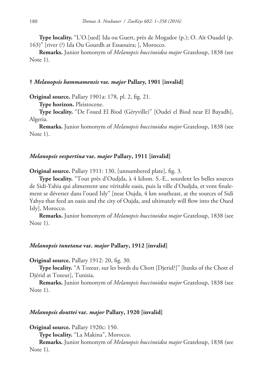**Type locality.** "L'O.[ued] Ida ou Guert, près de Mogador (p.); O. Aït Ouadel (p. 163)" [river (?) Ida Ou Gourdh at Essaouira; ], Morocco.

**Remarks.** Junior homonym of *Melanopsis buccinoidea major* Grateloup, 1838 (see Note 1).

# **†** *Melanopsis hammamensis* **var.** *major* **Pallary, 1901 [invalid]**

**Original source.** Pallary 1901a: 178, pl. 2, fig. 21.

**Type horizon.** Pleistocene.

**Type locality.** "De l'oued El Biod (Géryville)" [Oudeï el Biod near El Bayadh], Algeria.

**Remarks.** Junior homonym of *Melanopsis buccinoidea major* Grateloup, 1838 (see Note 1).

# *Melanopsis vespertina* **var.** *major* **Pallary, 1911 [invalid]**

**Original source.** Pallary 1911: 130, [unnumbered plate], fig. 3.

**Type locality.** "Tout près d'Oudjda, à 4 kilom. S.-E., sourdent les belles sources de Sidi-Yahia qui alimentent une véritable oasis, puis la ville d'Oudjda, et vont finalement se déverser dans l'oued Isly" [near Oujda, 4 km southeast, at the sources of Sidi Yahya that feed an oasis and the city of Oujda, and ultimately will flow into the Oued Isly], Morocco.

**Remarks.** Junior homonym of *Melanopsis buccinoidea major* Grateloup, 1838 (see Note 1).

# *Melanopsis tunetana* **var.** *major* **Pallary, 1912 [invalid]**

**Original source.** Pallary 1912: 20, fig. 30.

**Type locality.** "A Tozeur, sur les bords du Chott [Djerid?]" [banks of the Chott el Djérid at Tozeur], Tunisia.

**Remarks.** Junior homonym of *Melanopsis buccinoidea major* Grateloup, 1838 (see Note 1).

# *Melanopsis douttei* **var.** *major* **Pallary, 1920 [invalid]**

**Original source.** Pallary 1920c: 150.

**Type locality.** "La Makina", Morocco.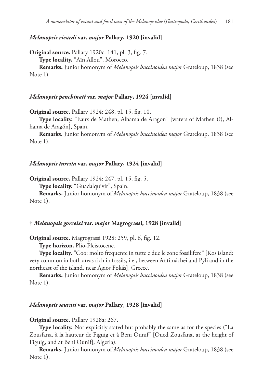# *Melanopsis ricardi* **var.** *major* **Pallary, 1920 [invalid]**

**Original source.** Pallary 1920c: 141, pl. 3, fig. 7. **Type locality.** "Aïn Allou", Morocco.

**Remarks.** Junior homonym of *Melanopsis buccinoidea major* Grateloup, 1838 (see Note 1).

### *Melanopsis penchinati* **var.** *major* **Pallary, 1924 [invalid]**

**Original source.** Pallary 1924: 248, pl. 15, fig. 10.

**Type locality.** "Eaux de Mathen, Alhama de Aragon" [waters of Mathen (?), Alhama de Aragón], Spain.

**Remarks.** Junior homonym of *Melanopsis buccinoidea major* Grateloup, 1838 (see Note 1).

# *Melanopsis turrita* **var.** *major* **Pallary, 1924 [invalid]**

**Original source.** Pallary 1924: 247, pl. 15, fig. 5.

**Type locality.** "Guadalquivir", Spain.

**Remarks.** Junior homonym of *Melanopsis buccinoidea major* Grateloup, 1838 (see Note 1).

#### **†** *Melanopsis gorceixi* **var.** *major* **Magrograssi, 1928 [invalid]**

**Original source.** Magrograssi 1928: 259, pl. 6, fig. 12.

**Type horizon.** Plio-Pleistocene.

**Type locality.** "Coo: molto frequente in tutte e due le zone fossilifere" [Kos island: very common in both areas rich in fossils, i.e., between Antimáchei and Pýli and in the northeast of the island, near Ágios Fokás], Greece.

**Remarks.** Junior homonym of *Melanopsis buccinoidea major* Grateloup, 1838 (see Note 1).

# *Melanopsis seurati* **var.** *major* **Pallary, 1928 [invalid]**

**Original source.** Pallary 1928a: 267.

**Type locality.** Not explicitly stated but probably the same as for the species ("La Zousfana, à la hauteur de Figuig et à Beni Ounif" [Oued Zousfana, at the height of Figuig, and at Beni Ounif], Algeria).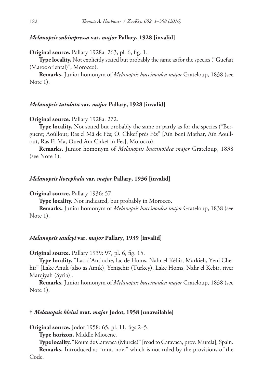# *Melanopsis subimpressa* **var.** *major* **Pallary, 1928 [invalid]**

**Original source.** Pallary 1928a: 263, pl. 6, fig. 1.

**Type locality.** Not explicitly stated but probably the same as for the species ("Guefaït (Maroc oriental)", Morocco).

**Remarks.** Junior homonym of *Melanopsis buccinoidea major* Grateloup, 1838 (see Note 1).

### *Melanopsis tutulata* **var.** *major* **Pallary, 1928 [invalid]**

### **Original source.** Pallary 1928a: 272.

**Type locality.** Not stated but probably the same or partly as for the species ("Berguent; Aoûllout; Ras el Mâ de Fès; O. Chkef près Fès" [Aïn Beni Mathar, Aïn Aoullout, Ras El Ma, Oued Aïn Chkef in Fes], Morocco).

**Remarks.** Junior homonym of *Melanopsis buccinoidea major* Grateloup, 1838 (see Note 1).

### *Melanopsis liocephala* **var.** *major* **Pallary, 1936 [invalid]**

**Original source.** Pallary 1936: 57.

**Type locality.** Not indicated, but probably in Morocco.

**Remarks.** Junior homonym of *Melanopsis buccinoidea major* Grateloup, 1838 (see Note 1).

## *Melanopsis saulcyi* **var.** *major* **Pallary, 1939 [invalid]**

**Original source.** Pallary 1939: 97, pl. 6, fig. 15.

**Type locality.** "Lac d'Antioche, lac de Homs, Nahr el Kébir, Markieh, Yeni Chehir" [Lake Anuk (also as Amik), Yenişehir (Turkey), Lake Homs, Nahr el Kebir, river Marqīyah (Syria)].

**Remarks.** Junior homonym of *Melanopsis buccinoidea major* Grateloup, 1838 (see Note 1).

# **†** *Melanopsis kleini* **mut.** *major* **Jodot, 1958 [unavailable]**

**Original source.** Jodot 1958: 65, pl. 11, figs 2–5.

**Type horizon.** Middle Miocene.

**Type locality.** "Route de Caravaca (Murcie)" [road to Caravaca, prov. Murcia], Spain. **Remarks.** Introduced as "mut. nov." which is not ruled by the provisions of the Code.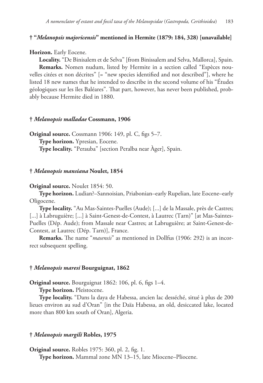# **† "***Melanopsis majoricensis***" mentioned in Hermite (1879: 184, 328) [unavailable]**

### **Horizon.** Early Eocene.

**Locality.** "De Binisalem et de Selva" [from Binissalem and Selva, Mallorca], Spain. **Remarks.** Nomen nudum, listed by Hermite in a section called "Espèces nouvelles citées et non décrites" [= "new species identified and not described"], where he listed 18 new names that he intended to describe in the second volume of his "Études géologiques sur les îles Baléares". That part, however, has never been published, probably because Hermite died in 1880.

### **†** *Melanopsis malladae* **Cossmann, 1906**

**Original source.** Cossmann 1906: 149, pl. C, figs 5–7. **Type horizon.** Ypresian, Eocene. **Type locality.** "Perauba" [section Peralba near Àger], Spain.

#### **†** *Melanopsis mansiana* **Noulet, 1854**

**Original source.** Noulet 1854: 50.

**Type horizon.** Ludian?–Sannoisian, Priabonian–early Rupelian, late Eocene–early Oligocene.

**Type locality.** "Au Mas-Saintes-Puelles (Aude); [...] de la Massale, près de Castres; [...] à Labruguière; [...] à Saint-Genest-de-Contest, à Lautrec (Tarn)" [at Mas-Saintes-Puelles (Dép. Aude); from Massale near Castres; at Labruguière; at Saint-Genest-de-Contest, at Lautrec (Dép. Tarn)], France.

**Remarks.** The name "*masensis*" as mentioned in Dollfus (1906: 292) is an incorrect subsequent spelling.

#### **†** *Melanopsis maresi* **Bourguignat, 1862**

**Original source.** Bourguignat 1862: 106, pl. 6, figs 1–4.

**Type horizon.** Pleistocene.

**Type locality.** "Dans la daya de Habessa, ancien lac desséché, situé à plus de 200 lieues environ au sud d'Oran" [in the Daïa Habessa, an old, desiccated lake, located more than 800 km south of Oran], Algeria.

# **†** *Melanopsis margili* **Robles, 1975**

**Original source.** Robles 1975: 360, pl. 2, fig. 1.

**Type horizon.** Mammal zone MN 13–15, late Miocene–Pliocene.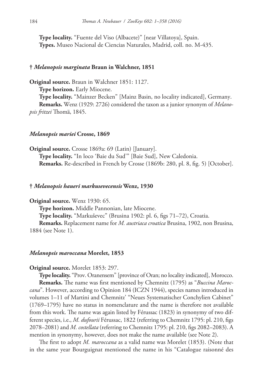**Type locality.** "Fuente del Viso (Albacete)" [near Villatoya], Spain. **Types.** Museo Nacional de Ciencias Naturales, Madrid, coll. no. M-435.

### **†** *Melanopsis marginata* **Braun in Walchner, 1851**

**Original source.** Braun in Walchner 1851: 1127. **Type horizon.** Early Miocene. **Type locality.** "Mainzer Becken" [Mainz Basin, no locality indicated], Germany. **Remarks.** Wenz (1929: 2726) considered the taxon as a junior synonym of *Melanopsis fritzei* Thomä, 1845.

#### *Melanopsis mariei* **Crosse, 1869**

**Original source.** Crosse 1869a: 69 (Latin) [January]. **Type locality.** "In loco 'Baie du Sud'" [Baie Sud], New Caledonia. **Remarks.** Re-described in French by Crosse (1869b: 280, pl. 8, fig. 5) [October].

### **†** *Melanopsis haueri markusevecensis* **Wenz, 1930**

**Original source.** Wenz 1930: 65.

**Type horizon.** Middle Pannonian, late Miocene.

**Type locality.** "Markuševec" (Brusina 1902: pl. 6, figs 71–72), Croatia.

**Remarks.** Replacement name for *M. austriaca croatica* Brusina, 1902, non Brusina, 1884 (see Note 1).

## *Melanopsis maroccana* **Morelet, 1853**

#### **Original source.** Morelet 1853: 297.

**Type locality.** "Prov. Oranensem" [province of Oran; no locality indicated], Morocco. **Remarks.** The name was first mentioned by Chemnitz (1795) as "*Buccina Maroccana*". However, according to Opinion 184 (ICZN 1944), species names introduced in volumes 1–11 of Martini and Chemnitz' "Neues Systematischer Conchylien Cabinet" (1769–1795) have no status in nomenclature and the name is therefore not available from this work. The name was again listed by Férussac (1823) in synonymy of two different species, i.e., *M. dufourii* Férussac, 1822 (referring to Chemnitz 1795: pl. 210, figs 2078–2081) and *M. costellata* (referring to Chemnitz 1795: pl. 210, figs 2082–2083). A mention in synonymy, however, does not make the name available (see Note 2).

The first to adopt *M. maroccana* as a valid name was Morelet (1853). (Note that in the same year Bourguignat mentioned the name in his "Catalogue raisonné des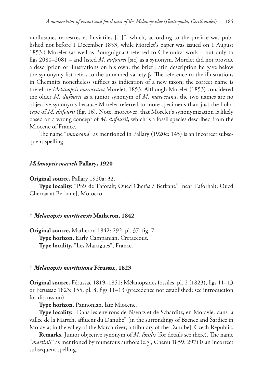mollusques terrestres et fluviatiles [...]", which, according to the preface was published not before 1 December 1853, while Morelet's paper was issued on 1 August 1853.) Morelet (as well as Bourguignat) referred to Chemnitz' work – but only to figs 2080–2081 – and listed *M. dufourei* [sic] as a synonym. Morelet did not provide a description or illustrations on his own; the brief Latin description he gave below the synonymy list refers to the unnamed variety β. The reference to the illustrations in Chemnitz nonetheless suffices as indication of a new taxon; the correct name is therefore *Melanopsis maroccana* Morelet, 1853. Although Morelet (1853) considered the older *M. dufourii* as a junior synonym of *M. maroccana*, the two names are no objective synonyms because Morelet referred to more specimens than just the holotype of *M. dufourii* (fig. 16). Note, moreover, that Morelet's synonymization is likely based on a wrong concept of *M. dufourii*, which is a fossil species described from the Miocene of France.

The name "*marocana*" as mentioned in Pallary (1920c: 145) is an incorrect subsequent spelling.

# *Melanopsis marteli* **Pallary, 1920**

### **Original source.** Pallary 1920a: 32.

**Type locality.** "Près de Taforalt; Oued Cherâa à Berkane" [near Taforhalt; Oued Cherraa at Berkane], Morocco.

# **†** *Melanopsis marticensis* **Matheron, 1842**

**Original source.** Matheron 1842: 292, pl. 37, fig. 7. **Type horizon.** Early Campanian, Cretaceous. **Type locality.** "Les Martigues", France.

#### **†** *Melanopsis martiniana* **Férussac, 1823**

**Original source.** Férussac 1819–1851: Mélanopsides fossiles, pl. 2 (1823), figs 11–13 or Férussac 1823: 155, pl. 8, figs 11–13 (precedence not established; see introduction for discussion).

**Type horizon.** Pannonian, late Miocene.

**Type locality.** "Dans les environs de Bisentz et de Scharditz, en Moravie, dans la vallée de la Marsch, affluent du Danube" [in the surrondings of Bzenec and Šardice in Moravia, in the valley of the March river, a tributary of the Danube], Czech Republic.

**Remarks.** Junior objective synonym of *M. fossilis* (for details see there). The name "*martinii*" as mentioned by numerous authors (e.g., Chenu 1859: 297) is an incorrect subsequent spelling.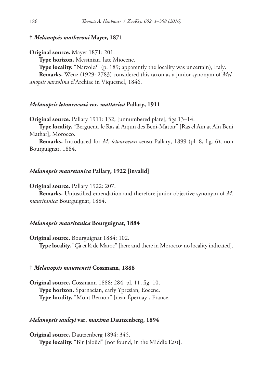# **†** *Melanopsis matheroni* **Mayer, 1871**

**Original source.** Mayer 1871: 201.

**Type horizon.** Messinian, late Miocene.

**Type locality.** "Narzole?" (p. 189; apparently the locality was uncertain), Italy. **Remarks.** Wenz (1929: 2783) considered this taxon as a junior synonym of *Melanopsis narzolina* d'Archiac in Viquesnel, 1846.

### *Melanopsis letourneuxi* **var.** *mattarica* **Pallary, 1911**

**Original source.** Pallary 1911: 132, [unnumbered plate], figs 13–14.

**Type locality.** "Berguent, le Ras al Aïqun des Beni-Mattar" [Ras el Aïn at Aïn Beni Mathar], Morocco.

**Remarks.** Introduced for *M. letourneuxi* sensu Pallary, 1899 (pl. 8, fig. 6), non Bourguignat, 1884.

### *Melanopsis mauretanica* **Pallary, 1922 [invalid]**

**Original source.** Pallary 1922: 207.

**Remarks.** Unjustified emendation and therefore junior objective synonym of *M. mauritanica* Bourguignat, 1884.

#### *Melanopsis mauritanica* **Bourguignat, 1884**

**Original source.** Bourguignat 1884: 102.

**Type locality.** "Çà et là de Maroc" [here and there in Morocco; no locality indicated].

#### **†** *Melanopsis mausseneti* **Cossmann, 1888**

**Original source.** Cossmann 1888: 284, pl. 11, fig. 10. **Type horizon.** Sparnacian, early Ypresian, Eocene. **Type locality.** "Mont Bernon" [near Épernay], France.

#### *Melanopsis saulcyi* **var.** *maxima* **Dautzenberg, 1894**

**Original source.** Dautzenberg 1894: 345. **Type locality.** "Bir Jaloûd" [not found, in the Middle East].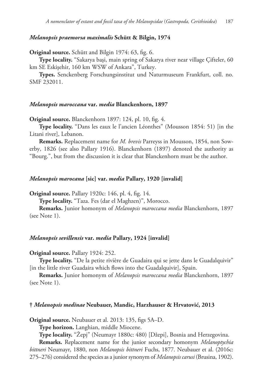# *Melanopsis praemorsa maximalis* **Schütt & Bilgin, 1974**

**Original source.** Schütt and Bilgin 1974: 63, fig. 6.

**Type locality.** "Sakarya başi, main spring of Sakarya river near village Çifteler, 60 km SE Eskişehir, 160 km WSW of Ankara", Turkey.

**Types.** Senckenberg Forschungsinstitut und Naturmuseum Frankfurt, coll. no. SMF 232011.

### *Melanopsis maroccana* **var.** *media* **Blanckenhorn, 1897**

**Original source.** Blanckenhorn 1897: 124, pl. 10, fig. 4.

**Type locality.** "Dans les eaux le l'ancien Léonthes" (Mousson 1854: 51) [in the Litani river], Lebanon.

**Remarks.** Replacement name for *M. brevis* Parreyss in Mousson, 1854, non Sowerby, 1826 (see also Pallary 1916). Blanckenhorn (1897) denoted the authority as "Bourg.", but from the discussion it is clear that Blanckenhorn must be the author.

### *Melanopsis marocana* **[sic] var.** *media* **Pallary, 1920 [invalid]**

**Original source.** Pallary 1920c: 146, pl. 4, fig. 14.

**Type locality.** "Taza. Fes (dar el Maghzen)", Morocco.

**Remarks.** Junior homonym of *Melanopsis maroccana media* Blanckenhorn, 1897 (see Note 1).

## *Melanopsis sevillensis* **var.** *media* **Pallary, 1924 [invalid]**

### **Original source.** Pallary 1924: 252.

**Type locality.** "De la petite rivière de Guadaira qui se jette dans le Guadalquivir" [in the little river Guadaira which flows into the Guadalquivir], Spain.

**Remarks.** Junior homonym of *Melanopsis maroccana media* Blanckenhorn, 1897 (see Note 1).

### **†** *Melanopsis medinae* **Neubauer, Mandic, Harzhauser & Hrvatović, 2013**

**Original source.** Neubauer et al. 2013: 135, figs 5A–D.

**Type horizon.** Langhian, middle Miocene.

**Type locality.** "Žepj" (Neumayr 1880c: 480) [Džepi], Bosnia and Herzegovina.

**Remarks.** Replacement name for the junior secondary homonym *Melanoptychia bittneri* Neumayr, 1880, non *Melanopsis bittneri* Fuchs, 1877. Neubauer et al. (2016c: 275–276) considered the species as a junior synonym of *Melanopsis carusi* (Brusina, 1902).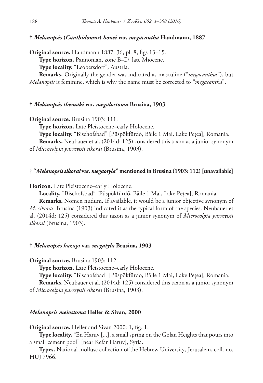**†** *Melanopsis* **(***Canthidomus***)** *bouei* **var.** *megacantha* **Handmann, 1887**

**Original source.** Handmann 1887: 36, pl. 8, figs 13–15.

**Type horizon.** Pannonian, zone B–D, late Miocene.

**Type locality.** "Leobersdorf", Austria.

**Remarks.** Originally the gender was indicated as masculine ("*megacanthus*"), but *Melanopsis* is feminine, which is why the name must be corrected to "*megacantha*".

# **†** *Melanopsis themaki* **var.** *megalostoma* **Brusina, 1903**

**Original source.** Brusina 1903: 111.

**Type horizon.** Late Pleistocene–early Holocene.

**Type locality.** "Bischofsbad" [Püspökfürdő, Băile 1 Mai, Lake Pețea], Romania.

**Remarks.** Neubauer et al. (2014d: 125) considered this taxon as a junior synonym of *Microcolpia parreyssii sikorai* (Brusina, 1903).

# **† "***Melanopsis sikorai* **var.** *megaotyla***" mentioned in Brusina (1903: 112) [unavailable]**

**Horizon.** Late Pleistocene–early Holocene.

**Locality.** "Bischofsbad" [Püspökfürdő, Băile 1 Mai, Lake Pețea], Romania.

**Remarks.** Nomen nudum. If available, it would be a junior objective synonym of *M. sikorai*: Brusina (1903) indicated it as the typical form of the species. Neubauer et al. (2014d: 125) considered this taxon as a junior synonym of *Microcolpia parreyssii sikorai* (Brusina, 1903).

# **†** *Melanopsis hazayi* **var.** *megatyla* **Brusina, 1903**

**Original source.** Brusina 1903: 112.

**Type horizon.** Late Pleistocene–early Holocene.

**Type locality.** "Bischofsbad" [Püspökfürdő, Băile 1 Mai, Lake Pețea], Romania. **Remarks.** Neubauer et al. (2014d: 125) considered this taxon as a junior synonym of *Microcolpia parreyssii sikorai* (Brusina, 1903).

# *Melanopsis meiostoma* **Heller & Sivan, 2000**

**Original source.** Heller and Sivan 2000: 1, fig. 1.

**Type locality.** "En Haruv [...], a small spring on the Golan Heights that pours into a small cement pool" [near Kefar Haruv], Syria.

**Types.** National mollusc collection of the Hebrew University, Jerusalem, coll. no. HUJ 7966.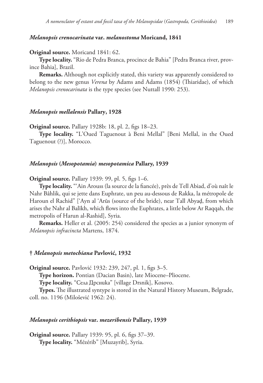## *Melanopsis crenocarinata* **var.** *melanostoma* **Moricand, 1841**

### **Original source.** Moricand 1841: 62.

**Type locality.** "Rio de Pedra Branca, procince de Bahia" [Pedra Branca river, province Bahia], Brazil.

**Remarks.** Although not explicitly stated, this variety was apparently considered to belong to the new genus *Verena* by Adams and Adams (1854) (Thiaridae), of which *Melanopsis crenocarinata* is the type species (see Nuttall 1990: 253).

### *Melanopsis mellalensis* **Pallary, 1928**

**Original source.** Pallary 1928b: 18, pl. 2, figs 18–23.

**Type locality.** "L'Oued Taguenout à Beni Mellal" [Beni Mellal, in the Oued Taguenout (?)], Morocco.

#### *Melanopsis* **(***Mesopotamia***)** *mesopotamica* **Pallary, 1939**

**Original source.** Pallary 1939: 99, pl. 5, figs 1–6.

**Type locality.** "'Ain Arouss (la source de la fiancée), près de Tell Abiad, d'où naît le Nahr Bâhlik, qui se jette dans Euphrate, un peu au-dessous de Rakka, la métropole de Haroun el Rachid" ['Ayn al 'Arūs (source of the bride), near Tall Abyaḑ, from which arises the Nahr al Balīkh, which flows into the Euphrates, a little below Ar Raqqah, the metropolis of Harun al-Rashid], Syria.

**Remarks.** Heller et al. (2005: 254) considered the species as a junior synonym of *Melanopsis infracincta* Martens, 1874.

### **†** *Melanopsis metochiana* **Pavlović, 1932**

**Original source.** Pavlović 1932: 239, 247, pl. 1, figs 3–5.

**Type horizon.** Pontian (Dacian Basin), late Miocene–Pliocene.

**Type locality.** "Села Дрсника" [village Drsnik], Kosovo.

**Types.** The illustrated syntype is stored in the Natural History Museum, Belgrade, coll. no. 1196 (Milošević 1962: 24).

#### *Melanopsis cerithiopsis* **var.** *mezeribensis* **Pallary, 1939**

**Original source.** Pallary 1939: 95, pl. 6, figs 37–39. **Type locality.** "Mézérib" [Muzayrib], Syria.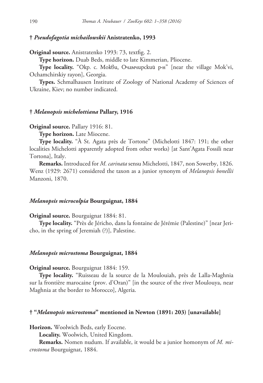# **†** *Pseudofagotia michailowskii* **Anistratenko, 1993**

**Original source.** Anistratenko 1993: 73, textfig. 2.

**Type horizon.** Duab Beds, middle to late Kimmerian, Pliocene.

**Type locality.** "Окр. с. Мокви, Очамчирский р-н" [near the village Mok'vi, Ochamchirskiy rayon], Georgia.

**Types.** Schmalhausen Institute of Zoology of National Academy of Sciences of Ukraine, Kiev; no number indicated.

# **†** *Melanopsis michelottiana* **Pallary, 1916**

**Original source.** Pallary 1916: 81.

**Type horizon.** Late Miocene.

**Type locality.** "À St. Agata près de Tortone" (Michelotti 1847: 191; the other localities Michelotti apparently adopted from other works) [at Sant'Agata Fossili near Tortona], Italy.

**Remarks.** Introduced for *M. carinata* sensu Michelotti, 1847, non Sowerby, 1826. Wenz (1929: 2671) considered the taxon as a junior synonym of *Melanopsis bonellii* Manzoni, 1870.

# *Melanopsis microcolpia* **Bourguignat, 1884**

**Original source.** Bourguignat 1884: 81.

**Type locality.** "Près de Jéricho, dans la fontaine de Jérémie (Palestine)" [near Jericho, in the spring of Jeremiah (?)], Palestine.

## *Melanopsis microstoma* **Bourguignat, 1884**

**Original source.** Bourguignat 1884: 159.

**Type locality.** "Ruisseau de la source de la Moulouiah, près de Lalla-Maghnia sur la frontière marocaine (prov. d'Oran)" [in the source of the river Moulouya, near Maghnia at the border to Morocco], Algeria.

# **† "***Melanopsis microstoma***" mentioned in Newton (1891: 203) [unavailable]**

**Horizon.** Woolwich Beds, early Eocene.

**Locality.** Woolwich, United Kingdom.

**Remarks.** Nomen nudum. If available, it would be a junior homonym of *M. microstoma* Bourguignat, 1884.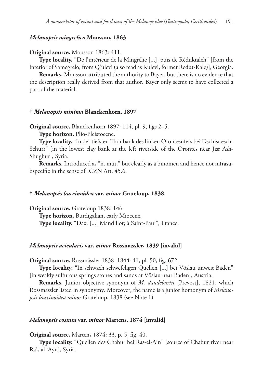# *Melanopsis mingrelica* **Mousson, 1863**

### **Original source.** Mousson 1863: 411.

**Type locality.** "De l'intérieur de la Mingrélie [...], puis de Réduktaleh" [from the interior of Samegrelo; from Q'ulevi (also read as Kulevi, former Redut-Kale)], Georgia.

**Remarks.** Mousson attributed the authority to Bayer, but there is no evidence that the description really derived from that author. Bayer only seems to have collected a part of the material.

#### **†** *Melanopsis minima* **Blanckenhorn, 1897**

**Original source.** Blanckenhorn 1897: 114, pl. 9, figs 2–5.

**Type horizon.** Plio-Pleistocene.

**Type locality.** "In der tiefsten Thonbank des linken Orontesufers bei Dschisr esch-Schurr" [in the lowest clay bank at the left riverside of the Orontes near Jisr Ash-Shughur], Syria.

**Remarks.** Introduced as "n. mut." but clearly as a binomen and hence not infrasubspecific in the sense of ICZN Art. 45.6.

### **†** *Melanopsis buccinoidea* **var.** *minor* **Grateloup, 1838**

**Original source.** Grateloup 1838: 146. **Type horizon.** Burdigalian, early Miocene. **Type locality.** "Dax. [...] Mandillot; à Saint-Paul", France.

#### *Melanopsis acicularis* **var.** *minor* **Rossmässler, 1839 [invalid]**

**Original source.** Rossmässler 1838–1844: 41, pl. 50, fig. 672.

**Type locality.** "In schwach schwefeligen Quellen [...] bei Vöslau unweit Baden" [in weakly sulfurous springs stones and sands at Vöslau near Baden], Austria.

**Remarks.** Junior objective synonym of *M. daudebartii* [Prevost], 1821, which Rossmässler listed in synonymy. Moreover, the name is a junior homonym of *Melanopsis buccinoidea minor* Grateloup, 1838 (see Note 1).

# *Melanopsis costata* **var.** *minor* **Martens, 1874 [invalid]**

**Original source.** Martens 1874: 33, p. 5, fig. 40.

**Type locality.** "Quellen des Chabur bei Ras-el-Ain" [source of Chabur river near Ra's al 'Ayn], Syria.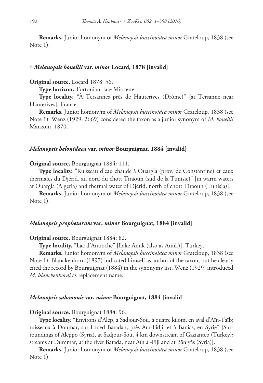**Remarks.** Junior homonym of *Melanopsis buccinoidea minor* Grateloup, 1838 (see Note 1).

#### **†** *Melanopsis bonellii* **var.** *minor* **Locard, 1878 [invalid]**

# **Original source.** Locard 1878: 56.

**Type horizon.** Tortonian, late Miocene.

**Type locality.** "À Tersannes près de Hauterives (Drôme)" [at Tersanne near Hauterives], France.

**Remarks.** Junior homonym of *Melanopsis buccinoidea minor* Grateloup, 1838 (see Note 1). Wenz (1929: 2669) considered the taxon as a junior synonym of *M. bonellii* Manzoni, 1870.

# *Melanopsis belonidaea* **var.** *minor* **Bourguignat, 1884 [invalid]**

**Original source.** Bourguignat 1884: 111.

**Type locality.** "Ruisseau d'eau chaude à Ouargla (prov. de Constantine) et eaux thermales du Djérid, au nord du chott Tiraoun (sud de la Tunisie)" [in warm waters at Ouargla (Algeria) and thermal water of Djérid, north of chott Tiraoun (Tunisia)].

**Remarks.** Junior homonym of *Melanopsis buccinoidea minor* Grateloup, 1838 (see Note 1).

#### *Melanopsis prophetarum* **var.** *minor* **Bourguignat, 1884 [invalid]**

**Original source.** Bourguignat 1884: 82.

**Type locality.** "Lac d'Antioche" [Lake Anuk (also as Amik)], Turkey.

**Remarks.** Junior homonym of *Melanopsis buccinoidea minor* Grateloup, 1838 (see Note 1). Blanckenhorn (1897) indicated himself as author of the taxon, but he clearly cited the record by Bourguignat (1884) in the synonymy list. Wenz (1929) introduced *M. blanckenhorni* as replacement name.

### *Melanopsis salomonis* **var.** *minor* **Bourguignat, 1884 [invalid]**

#### **Original source.** Bourguignat 1884: 96.

**Type locality.** "Environs d'Alep, à Sadjour-Sou, à quatre kilom. en aval d'Aïn-Taïb; ruisseaux à Doumar, sur l'oued Baradah, près Aïn-Fidji, et à Banias, en Syrie" [Surroundings of Aleppo (Syria), at Sadjour-Sou, 4 km downstream of Gaziantep (Turkey); streams at Dummar, at the river Barada, near Aïn al-Fiji and at Bāniyās (Syria)].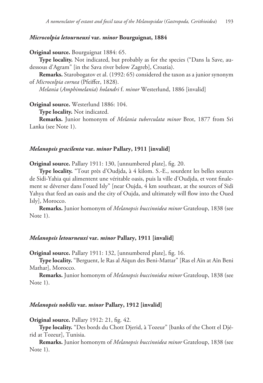# *Microcolpia letourneuxi* **var.** *minor* **Bourguignat, 1884**

**Original source.** Bourguignat 1884: 65.

**Type locality.** Not indicated, but probably as for the species ("Dans la Save, audessous d'Agram" [in the Sava river below Zagreb], Croatia).

**Remarks.** Starobogatov et al. (1992: 65) considered the taxon as a junior synonym of *Microcolpia cornea* (Pfeiffer, 1828).

*Melania* (*Amphimelania*) *holandri* f. *minor* Westerlund, 1886 [invalid]

**Original source.** Westerlund 1886: 104.

**Type locality.** Not indicated.

**Remarks.** Junior homonym of *Melania tuberculata minor* Brot, 1877 from Sri Lanka (see Note 1).

# *Melanopsis gracilenta* **var.** *minor* **Pallary, 1911 [invalid]**

**Original source.** Pallary 1911: 130, [unnumbered plate], fig. 20.

**Type locality.** "Tout près d'Oudjda, à 4 kilom. S.-E., sourdent les belles sources de Sidi-Yahia qui alimentent une véritable oasis, puis la ville d'Oudjda, et vont finalement se déverser dans l'oued Isly" [near Oujda, 4 km southeast, at the sources of Sidi Yahya that feed an oasis and the city of Oujda, and ultimately will flow into the Oued Isly], Morocco.

**Remarks.** Junior homonym of *Melanopsis buccinoidea minor* Grateloup, 1838 (see Note 1).

# *Melanopsis letourneuxi* **var.** *minor* **Pallary, 1911 [invalid]**

**Original source.** Pallary 1911: 132, [unnumbered plate], fig. 16.

**Type locality.** "Berguent, le Ras al Aïqun des Beni-Mattar" [Ras el Aïn at Aïn Beni Mathar], Morocco.

**Remarks.** Junior homonym of *Melanopsis buccinoidea minor* Grateloup, 1838 (see Note 1).

### *Melanopsis nobilis* **var.** *minor* **Pallary, 1912 [invalid]**

**Original source.** Pallary 1912: 21, fig. 42.

**Type locality.** "Des bords du Chott Djerid, à Tozeur" [banks of the Chott el Djérid at Tozeur], Tunisia.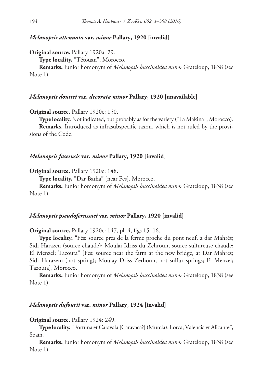# *Melanopsis attenuata* **var.** *minor* **Pallary, 1920 [invalid]**

**Original source.** Pallary 1920a: 29.

**Type locality.** "Tétouan", Morocco.

**Remarks.** Junior homonym of *Melanopsis buccinoidea minor* Grateloup, 1838 (see Note 1).

### *Melanopsis douttei* **var.** *decorata minor* **Pallary, 1920 [unavailable]**

**Original source.** Pallary 1920c: 150.

**Type locality.** Not indicated, but probably as for the variety ("La Makina", Morocco).

**Remarks.** Introduced as infrasubspecific taxon, which is not ruled by the provisions of the Code.

## *Melanopsis fasesnsis* **var.** *minor* **Pallary, 1920 [invalid]**

**Original source.** Pallary 1920c: 148.

**Type locality.** "Dar Batha" [near Fes], Morocco.

**Remarks.** Junior homonym of *Melanopsis buccinoidea minor* Grateloup, 1838 (see Note 1).

### *Melanopsis pseudoferussaci* **var.** *minor* **Pallary, 1920 [invalid]**

**Original source.** Pallary 1920c: 147, pl. 4, figs 15–16.

**Type locality.** "Fès: source près de la ferme proche du pont neuf, à dar Mahrès; Sidi Harazen (source chaude); Moulai Idriss du Zehroun, source sulfureuse chaude; El Menzel; Tazouta" [Fes: source near the farm at the new bridge, at Dar Mahres; Sidi Harazem (hot spring); Moulay Driss Zerhoun, hot sulfur springs; El Menzel; Tazouta], Morocco.

**Remarks.** Junior homonym of *Melanopsis buccinoidea minor* Grateloup, 1838 (see Note 1).

# *Melanopsis dufourii* **var.** *minor* **Pallary, 1924 [invalid]**

**Original source.** Pallary 1924: 249.

**Type locality.** "Fortuna et Caravala [Caravaca?] (Murcia). Lorca, Valencia et Alicante", Spain.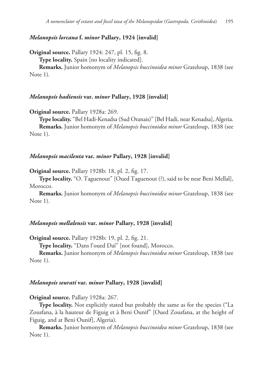# *Melanopsis lorcana* **f.** *minor* **Pallary, 1924 [invalid]**

**Original source.** Pallary 1924: 247, pl. 15, fig. 8.

**Type locality.** Spain [no locality indicated].

**Remarks.** Junior homonym of *Melanopsis buccinoidea minor* Grateloup, 1838 (see Note 1).

## *Melanopsis hadiensis* **var.** *minor* **Pallary, 1928 [invalid]**

**Original source.** Pallary 1928a: 269.

**Type locality.** "Bel Hadi-Kenadsa (Sud Oranais)" [Bel Hadi, near Kenadsa], Algeria. **Remarks.** Junior homonym of *Melanopsis buccinoidea minor* Grateloup, 1838 (see Note 1).

# *Melanopsis macilenta* **var.** *minor* **Pallary, 1928 [invalid]**

**Original source.** Pallary 1928b: 18, pl. 2, fig. 17.

**Type locality.** "O. Taguenout" [Oued Taguenout (?), said to be near Beni Mellal], Morocco.

**Remarks.** Junior homonym of *Melanopsis buccinoidea minor* Grateloup, 1838 (see Note 1).

#### *Melanopsis mellalensis* **var.** *minor* **Pallary, 1928 [invalid]**

**Original source.** Pallary 1928b: 19, pl. 2, fig. 21.

**Type locality.** "Dans l'oued Daï" [not found], Morocco.

**Remarks.** Junior homonym of *Melanopsis buccinoidea minor* Grateloup, 1838 (see Note 1).

### *Melanopsis seurati* **var.** *minor* **Pallary, 1928 [invalid]**

**Original source.** Pallary 1928a: 267.

**Type locality.** Not explicitly stated but probably the same as for the species ("La Zousfana, à la hauteur de Figuig et à Beni Ounif" [Oued Zousfana, at the height of Figuig, and at Beni Ounif], Algeria).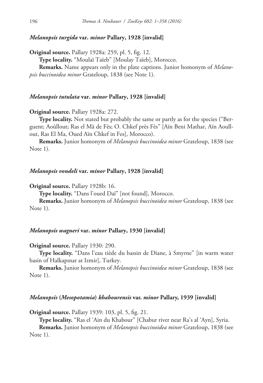# *Melanopsis turgida* **var.** *minor* **Pallary, 1928 [invalid]**

**Original source.** Pallary 1928a: 259, pl. 5, fig. 12.

**Type locality.** "Moulaï Taïeb" [Moulay Taïeb], Morocco.

**Remarks.** Name appears only in the plate captions. Junior homonym of *Melanopsis buccinoidea minor* Grateloup, 1838 (see Note 1).

## *Melanopsis tutulata* **var.** *minor* **Pallary, 1928 [invalid]**

**Original source.** Pallary 1928a: 272.

Type locality. Not stated but probably the same or partly as for the species ("Berguent; Aoûllout; Ras el Mâ de Fès; O. Chkef près Fès" [Aïn Beni Mathar, Aïn Aoullout, Ras El Ma, Oued Aïn Chkef in Fes], Morocco).

**Remarks.** Junior homonym of *Melanopsis buccinoidea minor* Grateloup, 1838 (see Note 1).

## *Melanopsis vondeli* **var.** *minor* **Pallary, 1928 [invalid]**

**Original source.** Pallary 1928b: 16.

**Type locality.** "Dans l'oued Daï" [not found], Morocco.

**Remarks.** Junior homonym of *Melanopsis buccinoidea minor* Grateloup, 1838 (see Note 1).

# *Melanopsis wagneri* **var.** *minor* **Pallary, 1930 [invalid]**

**Original source.** Pallary 1930: 290.

**Type locality.** "Dans l'eau tiède du bassin de Diane, à Smyrne" [in warm water basin of Halkapınar at Izmir], Turkey.

**Remarks.** Junior homonym of *Melanopsis buccinoidea minor* Grateloup, 1838 (see Note 1).

### *Melanopsis* **(***Mesopotamia***)** *khabourensis* **var.** *minor* **Pallary, 1939 [invalid]**

**Original source.** Pallary 1939: 103, pl. 5, fig. 21.

**Type locality.** "Ras el 'Ain du Khabour" [Chabur river near Ra's al 'Ayn], Syria.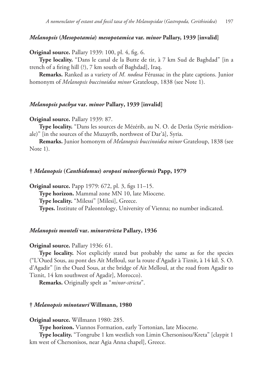# *Melanopsis* **(***Mesopotamia***)** *mesopotamica* **var.** *minor* **Pallary, 1939 [invalid]**

**Original source.** Pallary 1939: 100, pl. 4, fig. 6.

**Type locality.** "Dans le canal de la Butte de tir, à 7 km Sud de Baghdad" [in a trench of a firing hill (?), 7 km south of Baghdad], Iraq.

**Remarks.** Ranked as a variety of *M. nodosa* Férussac in the plate captions. Junior homonym of *Melanopsis buccinoidea minor* Grateloup, 1838 (see Note 1).

## *Melanopsis pachya* **var.** *minor* **Pallary, 1939 [invalid]**

#### **Original source.** Pallary 1939: 87.

**Type locality.** "Dans les sources de Mézérib, au N. O. de Derâa (Syrie méridionale)" [in the sources of the Muzayrīb, northwest of Dar'ā], Syria.

**Remarks.** Junior homonym of *Melanopsis buccinoidea minor* Grateloup, 1838 (see Note 1).

#### **†** *Melanopsis* **(***Canthidomus***)** *oroposi minoriformis* **Papp, 1979**

**Original source.** Papp 1979: 672, pl. 3, figs 11–15. **Type horizon.** Mammal zone MN 10, late Miocene. **Type locality.** "Milessi" [Milesi], Greece. **Types.** Institute of Paleontology, University of Vienna; no number indicated.

# *Melanopsis monteli* **var.** *minorstricta* **Pallary, 1936**

#### **Original source.** Pallary 1936: 61.

**Type locality.** Not explicitly stated but probably the same as for the species ("L'Oued Sous, au pont des Aït Melloul, sur la route d'Agadir à Tiznit, à 14 kil. S. O. d'Agadir" [in the Oued Sous, at the bridge of Ait Melloul, at the road from Agadir to Tiznit, 14 km southwest of Agadir], Morocco).

**Remarks.** Originally spelt as "*minor-stricta*".

### **†** *Melanopsis minotauri* **Willmann, 1980**

**Original source.** Willmann 1980: 285.

**Type horizon.** Viannos Formation, early Tortonian, late Miocene.

**Type locality.** "Tongrube 1 km westlich von Limin Chersonisou/Kreta" [claypit 1 km west of Chersonisos, near Agia Anna chapel], Greece.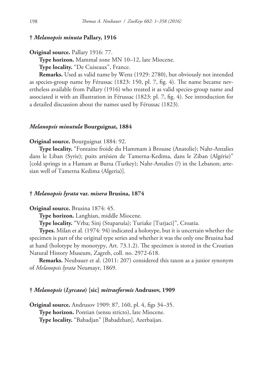# **†** *Melanopsis minuta* **Pallary, 1916**

**Original source.** Pallary 1916: 77.

**Type horizon.** Mammal zone MN 10–12, late Miocene.

**Type locality.** "De Cuiseaux", France.

**Remarks.** Used as valid name by Wenz (1929: 2780), but obviously not intended as species-group name by Férussac (1823: 150, pl. 7, fig. 4). The name became nevertheless available from Pallary (1916) who treated it as valid species-group name and associated it with an illustration in Férussac (1823: pl. 7, fig. 4). See introduction for a detailed discussion about the names used by Férussac (1823).

### *Melanopsis minutula* **Bourguignat, 1884**

#### **Original source.** Bourguignat 1884: 92.

**Type locality.** "Fontaine froide du Hammam à Brousse (Anatolie); Nahr-Antalies dans le Liban (Syrie); puits artésien de Tamerna-Kedima, dans le Ziban (Algérie)" [cold springs in a Hamam at Bursa (Turkey); Nahr-Antalies (?) in the Lebanon; artesian well of Tamerna Kedima (Algeria)].

### **†** *Melanopsis lyrata* **var.** *misera* **Brusina, 1874**

### **Original source.** Brusina 1874: 45.

**Type horizon.** Langhian, middle Miocene.

**Type locality.** "Vrba; Sinj (Stuparuša); Turiake [Turjaci]", Croatia.

**Types.** Milan et al. (1974: 94) indicated a holotype, but it is uncertain whether the specimen is part of the original type series and whether it was the only one Brusina had at hand (holotype by monotypy, Art. 73.1.2). The specimen is stored in the Croatian Natural History Museum, Zagreb, coll. no. 2972-618.

**Remarks.** Neubauer et al. (2011: 207) considered this taxon as a junior synonym of *Melanopsis lyrata* Neumayr, 1869.

# **†** *Melanopsis* **(***Lyrcaea***) [sic]** *mitraeformis* **Andrusov, 1909**

**Original source.** Andrusov 1909: 87, 160, pl. 4, figs 34–35. **Type horizon.** Pontian (sensu stricto), late Miocene. **Type locality.** "Babadjan" [Babadzhan], Azerbaijan.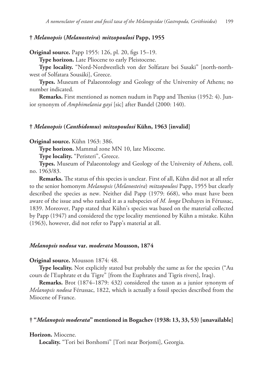# **†** *Melanopsis* **(***Melanosteira***)** *mitzopoulosi* **Papp, 1955**

**Original source.** Papp 1955: 126, pl. 20, figs 15–19.

**Type horizon.** Late Pliocene to early Pleistocene.

**Type locality.** "Nord-Nordwestlich von der Solfatare bei Susaki" [north-northwest of Solfatara Sousáki], Greece.

**Types.** Museum of Palaeontology and Geology of the University of Athens; no number indicated.

**Remarks.** First mentioned as nomen nudum in Papp and Thenius (1952: 4). Junior synonym of *Amphimelania gayi* [sic] after Bandel (2000: 140).

### **†** *Melanopsis* **(***Canthidomus***)** *mitzopoulosi* **Kühn, 1963 [invalid]**

**Original source.** Kühn 1963: 386.

**Type horizon.** Mammal zone MN 10, late Miocene.

**Type locality.** "Peristeri", Greece.

**Types.** Museum of Palaeontology and Geology of the University of Athens, coll. no. 1963/83.

**Remarks.** The status of this species is unclear. First of all, Kühn did not at all refer to the senior homonym *Melanopsis* (*Melanosteira*) *mitzopoulosi* Papp, 1955 but clearly described the species as new. Neither did Papp (1979: 668), who must have been aware of the issue and who ranked it as a subspecies of *M. longa* Deshayes in Férussac, 1839. Moreover, Papp stated that Kühn's species was based on the material collected by Papp (1947) and considered the type locality mentioned by Kühn a mistake. Kühn (1963), however, did not refer to Papp's material at all.

#### *Melanopsis nodosa* **var.** *moderata* **Mousson, 1874**

### **Original source.** Mousson 1874: 48.

**Type locality.** Not explicitly stated but probably the same as for the species ("Au cours de l'Euphrate et du Tigre" [from the Euphrates and Tigris rivers], Iraq).

**Remarks.** Brot (1874–1879: 432) considered the taxon as a junior synonym of *Melanopsis nodosa* Férussac, 1822, which is actually a fossil species described from the Miocene of France.

# **† "***Melanopsis moderata***" mentioned in Bogachev (1938: 13, 33, 53) [unavailable]**

### **Horizon.** Miocene.

**Locality.** "Tori bei Borshomi" [Tori near Borjomi], Georgia.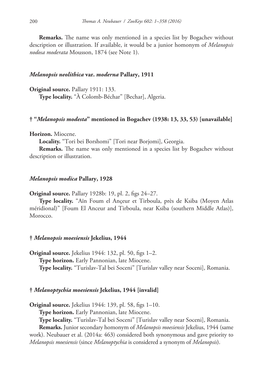**Remarks.** The name was only mentioned in a species list by Bogachev without description or illustration. If available, it would be a junior homonym of *Melanopsis nodosa moderata* Mousson, 1874 (see Note 1).

### *Melanopsis neolithica* **var.** *moderna* **Pallary, 1911**

**Original source.** Pallary 1911: 133. **Type locality.** "À Colomb-Béchar" [Bechar], Algeria.

# **† "***Melanopsis modesta***" mentioned in Bogachev (1938: 13, 33, 53) [unavailable]**

**Horizon.** Miocene.

**Locality.** "Tori bei Borshomi" [Tori near Borjomi], Georgia.

**Remarks.** The name was only mentioned in a species list by Bogachev without description or illustration.

### *Melanopsis modica* **Pallary, 1928**

**Original source.** Pallary 1928b: 19, pl. 2, figs 24–27.

**Type locality.** "Aïn Foum el Ançeur et Tirboula, près de Ksiba (Moyen Atlas méridional)" [Foum El Anceur and Tirboula, near Ksiba (southern Middle Atlas)], Morocco.

### **†** *Melanopsis moesiensis* **Jekelius, 1944**

**Original source.** Jekelius 1944: 132, pl. 50, figs 1–2. **Type horizon.** Early Pannonian, late Miocene. **Type locality.** "Turislav-Tal bei Soceni" [Turislav valley near Soceni], Romania.

### **†** *Melanoptychia moesiensis* **Jekelius, 1944 [invalid]**

**Original source.** Jekelius 1944: 139, pl. 58, figs 1–10.

**Type horizon.** Early Pannonian, late Miocene.

**Type locality.** "Turislav-Tal bei Soceni" [Turislav valley near Soceni], Romania.

**Remarks.** Junior secondary homonym of *Melanopsis moesiensis* Jekelius, 1944 (same work). Neubauer et al. (2014a: 463) considered both synonymous and gave priority to *Melanopsis moesiensis* (since *Melanoptychia* is considered a synonym of *Melanopsis*).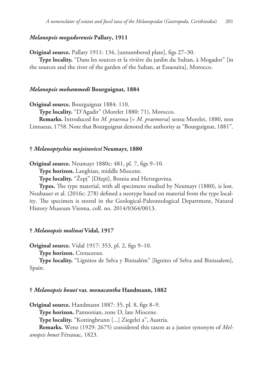# *Melanopsis mogadorensis* **Pallary, 1911**

**Original source.** Pallary 1911: 134, [unnumbered plate], figs 27–30.

**Type locality.** "Dans les sources et la rivière du jardin du Sultan, à Mogador" [in the sources and the river of the garden of the Sultan, at Essaouira], Morocco.

### *Melanopsis mohammedi* **Bourguignat, 1884**

**Original source.** Bourguignat 1884: 110.

**Type locality.** "D'Agadir" (Morelet 1880: 71), Morocco.

**Remarks.** Introduced for *M. praerosa* [= *M. praemorsa*] sensu Morelet, 1880, non Linnaeus, 1758. Note that Bourguignat denoted the authority as "Bourguignat, 1881".

#### **†** *Melanoptychia mojsisovicsi* **Neumayr, 1880**

**Original source.** Neumayr 1880c: 481, pl. 7, figs 9–10.

**Type horizon.** Langhian, middle Miocene.

**Type locality.** "Žepj" [Džepi], Bosnia and Herzegovina.

**Types.** The type material, with all specimens studied by Neumayr (1880), is lost. Neubauer et al. (2016c: 278) defined a neotype based on material from the type locality. The specimen is stored in the Geological-Paleontological Department, Natural History Museum Vienna, coll. no. 2014/0364/0013.

#### **†** *Melanopsis molinai* **Vidal, 1917**

**Original source.** Vidal 1917: 353, pl. 2, figs 9–10.

**Type horizon.** Cretaceous.

**Type locality.** "Lignitos de Selva y Binisalém" [lignites of Selva and Binissalem], Spain.

#### **†** *Melanopsis bouei* **var.** *monacantha* **Handmann, 1882**

**Original source.** Handmann 1887: 35, pl. 8, figs 8–9. **Type horizon.** Pannonian, zone D, late Miocene. **Type locality.** "Kottingbrunn [...] Ziegelei a", Austria. **Remarks.** Wenz (1929: 2675) considered this taxon as a junior synonym of *Mel-*

*anopsis bouei* Férussac, 1823.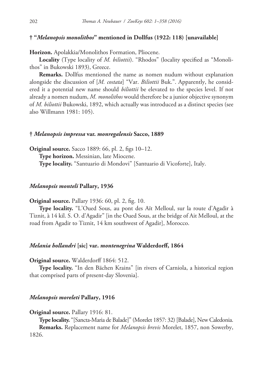## **† "***Melanopsis monolithos***" mentioned in Dollfus (1922: 118) [unavailable]**

**Horizon.** Apolakkia/Monolithos Formation, Pliocene.

**Locality** (Type locality of *M. biliottii*). "Rhodos" (locality specified as "Monolithos" in Bukowski 1893), Greece.

**Remarks.** Dollfus mentioned the name as nomen nudum without explanation alongside the discussion of [*M. costata*] "Var. *Biliottii* Buk.". Apparently, he considered it a potential new name should *biliottii* be elevated to the species level. If not already a nomen nudum, *M. monolithos* would therefore be a junior objective synonym of *M. biliottii* Bukowski, 1892, which actually was introduced as a distinct species (see also Willmann 1981: 105).

#### **†** *Melanopsis impressa* **var.** *monregalensis* **Sacco, 1889**

**Original source.** Sacco 1889: 66, pl. 2, figs 10–12.

**Type horizon.** Messinian, late Miocene.

**Type locality.** "Santuario di Mondovi" [Santuario di Vicoforte], Italy.

#### *Melanopsis monteli* **Pallary, 1936**

**Original source.** Pallary 1936: 60, pl. 2, fig. 10.

**Type locality.** "L'Oued Sous, au pont des Aït Melloul, sur la route d'Agadir à Tiznit, à 14 kil. S. O. d'Agadir" [in the Oued Sous, at the bridge of Ait Melloul, at the road from Agadir to Tiznit, 14 km southwest of Agadir], Morocco.

#### *Melania hollandri* **[sic] var.** *montenegrina* **Walderdorff, 1864**

**Original source.** Walderdorff 1864: 512.

**Type locality.** "In den Bächen Krains" [in rivers of Carniola, a historical region that comprised parts of present-day Slovenia].

### *Melanopsis moreleti* **Pallary, 1916**

**Original source.** Pallary 1916: 81.

**Type locality.** "[Sancta-Maria de Balade]" (Morelet 1857: 32) [Balade], New Caledonia. **Remarks.** Replacement name for *Melanopsis brevis* Morelet, 1857, non Sowerby, 1826.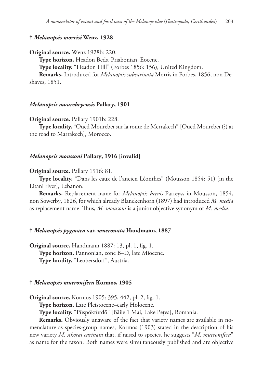### **†** *Melanopsis morrisi* **Wenz, 1928**

**Original source.** Wenz 1928b: 220.

**Type horizon.** Headon Beds, Priabonian, Eocene.

**Type locality.** "Headon Hill" (Forbes 1856: 156), United Kingdom.

**Remarks.** Introduced for *Melanopsis subcarinata* Morris in Forbes, 1856, non Deshayes, 1851.

#### *Melanopsis mourebeyensis* **Pallary, 1901**

**Original source.** Pallary 1901b: 228.

**Type locality.** "Oued Mourebeï sur la route de Merrakech" [Oued Mourebeï (?) at the road to Marrakech], Morocco.

#### *Melanopsis moussoni* **Pallary, 1916 [invalid]**

#### **Original source.** Pallary 1916: 81.

**Type locality.** "Dans les eaux de l'ancien Léonthes" (Mousson 1854: 51) [in the Litani river], Lebanon.

**Remarks.** Replacement name for *Melanopsis brevis* Parreyss in Mousson, 1854, non Sowerby, 1826, for which already Blanckenhorn (1897) had introduced *M. media* as replacement name. Thus, *M. moussoni* is a junior objective synonym of *M. media*.

#### **†** *Melanopsis pygmaea* **var.** *mucronata* **Handmann, 1887**

**Original source.** Handmann 1887: 13, pl. 1, fig. 1. **Type horizon.** Pannonian, zone B–D, late Miocene. **Type locality.** "Leobersdorf", Austria.

## **†** *Melanopsis mucronifera* **Kormos, 1905**

**Original source.** Kormos 1905: 395, 442, pl. 2, fig. 1.

**Type horizon.** Late Pleistocene–early Holocene.

**Type locality.** "Püspökfürdő" [Băile 1 Mai, Lake Pețea], Romania.

**Remarks.** Obviously unaware of the fact that variety names are available in nomenclature as species-group names, Kormos (1903) stated in the description of his new variety *M. sikorai carinata* that, if raised to species, he suggests "*M. mucronifera*" as name for the taxon. Both names were simultaneously published and are objective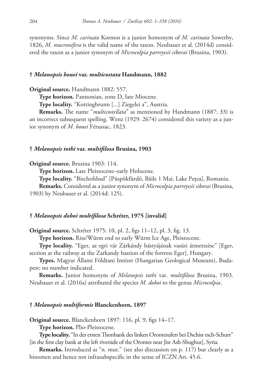synonyms. Since *M. carinata* Kormos is a junior homonym of *M. carinata* Sowerby, 1826, *M. mucronifera* is the valid name of the taxon. Neubauer et al. (2014d) considered the taxon as a junior synonym of *Microcolpia parreyssii sikorai* (Brusina, 1903).

### **†** *Melanopsis bouei* **var.** *multicostata* **Handmann, 1882**

**Original source.** Handmann 1882: 557.

**Type horizon.** Pannonian, zone D, late Miocene.

**Type locality.** "Kottingbrunn [...] Ziegelei a", Austria.

**Remarks.** The name "*multicostellata*" as mentioned by Handmann (1887: 33) is an incorrect subsequent spelling. Wenz (1929: 2674) considered this variety as a junior synonym of *M. bouei* Férussac, 1823.

### **†** *Melanopsis tothi* **var.** *multifilosa* **Brusina, 1903**

**Original source.** Brusina 1903: 114.

**Type horizon.** Late Pleistocene–early Holocene.

**Type locality.** "Bischofsbad" [Püspökfürdő, Băile 1 Mai, Lake Pețea], Romania.

**Remarks.** Considered as a junior synonym of *Microcolpia parreyssii sikorai* (Brusina, 1903) by Neubauer et al. (2014d: 125).

## **†** *Melanopsis doboi multifilosa* **Schréter, 1975 [invalid]**

**Original source.** Schréter 1975: 10, pl. 2, figs 11–12, pl. 3, fig. 13.

**Type horizon.** Riss/Würm end to early Würm Ice Age, Pleistocene.

**Type locality.** "Eger, az egri vár Zárkándy bástyájának vasúti átmetszése" [Eger, section at the railway at the Zarkandy bastion of the fortress Eger], Hungary.

**Types.** Magyar Állami Földtani Intézet (Hungarian Geological Museum), Budapest; no number indicated.

**Remarks.** Junior homonym of *Melanopsis tothi* var. *multifilosa* Brusina, 1903. Neubauer et al. (2016a) attributed the species *M. doboi* to the genus *Microcolpia*.

### **†** *Melanopsis multiformis* **Blanckenhorn, 1897**

**Original source.** Blanckenhorn 1897: 116, pl. 9, figs 14–17.

**Type horizon.** Plio-Pleistocene.

**Type locality.** "In der ersten Thonbank des linken Orontesufers bei Dschisr esch-Schurr" [in the first clay bank at the left riverside of the Orontes near Jisr Ash-Shughur], Syria.

**Remarks.** Introduced as "n. mut." (see also discussion on p. 117) but clearly as a binomen and hence not infrasubspecific in the sense of ICZN Art. 45.6.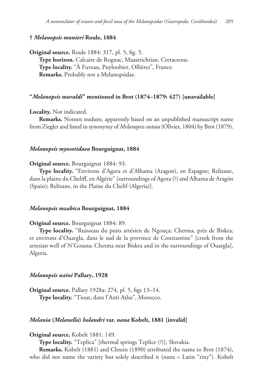# **†** *Melanopsis munieri* **Roule, 1884**

**Original source.** Roule 1884: 317, pl. 5, fig. 5. **Type horizon.** Calcaire de Rognac, Maastrichtian, Cretaceous. **Type locality.** "À Fuveau, Puyloubier, Ollières", France. **Remarks.** Probably not a Melanopsidae.

## **"***Melanopsis muraldi***" mentioned in Brot (1874–1879: 427) [unavailable]**

**Locality.** Not indicated.

**Remarks.** Nomen nudum; apparently based on an unpublished manuscript name from Ziegler and listed in synonymy of *Melanopsis costata* (Olivier, 1804) by Brot (1879).

# *Melanopsis myosotidaea* **Bourguignat, 1884**

**Original source.** Bourguignat 1884: 93.

**Type locality.** "Environs d'Agora et d'Alhama (Aragon), en Espagne; Relizane, dans la plaine du Cheliff, en Algérie" [surroundings of Agora (?) and Alhama de Aragón (Spain); Relizane, in the Plaine du Chelif (Algeria)].

# *Melanopsis mzabica* **Bourguignat, 1884**

#### **Original source.** Bourguignat 1884: 89.

**Type locality.** "Ruisseau du puits artésien de Ngouça; Chetma, près de Biskra, et environs d'Ouargla, dans le sud de la province de Constantine" [creek from the artesian well of N'Goussa; Chetma near Biskra and in the surroundings of Ouargla], Algeria.

### *Melanopsis naini* **Pallary, 1928**

**Original source.** Pallary 1928a: 274, pl. 5, figs 13–14. **Type locality.** "Tiout, dans l'Anti Atlas", Morocco.

#### *Melania* **(***Melanella***)** *holandri* **var.** *nana* **Kobelt, 1881 [invalid]**

**Original source.** Kobelt 1881: 149.

**Type locality.** "Teplica" [thermal springs Teplice (?)], Slovakia.

**Remarks.** Kobelt (1881) and Clessin (1890) attributed the name to Brot (1874), who did not name the variety but solely described it (nana = Latin "tiny"). Kobelt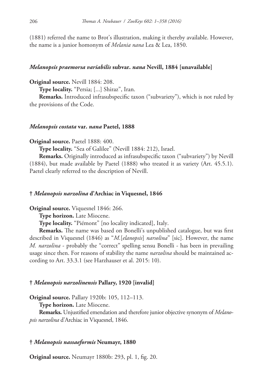(1881) referred the name to Brot's illustration, making it thereby available. However, the name is a junior homonym of *Melania nana* Lea & Lea, 1850.

# *Melanopsis praemorsa variabilis* **subvar.** *nana* **Nevill, 1884 [unavailable]**

**Original source.** Nevill 1884: 208.

**Type locality.** "Persia; [...] Shiraz", Iran.

**Remarks.** Introduced infrasubspecific taxon ("subvariety"), which is not ruled by the provisions of the Code.

### *Melanopsis costata* **var.** *nana* **Paetel, 1888**

**Original source.** Paetel 1888: 400.

**Type locality.** "Sea of Galilee" (Nevill 1884: 212), Israel.

**Remarks.** Originally introduced as infrasubspecific taxon ("subvariety") by Nevill (1884), but made available by Paetel (1888) who treated it as variety (Art. 45.5.1). Paetel clearly referred to the description of Nevill.

## **†** *Melanopsis narzolina* **d'Archiac in Viquesnel, 1846**

**Original source.** Viquesnel 1846: 266.

**Type horizon.** Late Miocene.

**Type locality.** "Piémont" [no locality indicated], Italy.

**Remarks.** The name was based on Bonelli's unpublished catalogue, but was first described in Viquesnel (1846) as "*M.*[*elanopsis*] *narsolina*" [sic]. However, the name *M. narzolina* - probably the "correct" spelling sensu Bonelli - has been in prevailing usage since then. For reasons of stability the name *narzolina* should be maintained according to Art. 33.3.1 (see Harzhauser et al. 2015: 10).

### **†** *Melanopsis narzolinensis* **Pallary, 1920 [invalid]**

**Original source.** Pallary 1920b: 105, 112–113.

**Type horizon.** Late Miocene.

**Remarks.** Unjustified emendation and therefore junior objective synonym of *Melanopsis narzolina* d'Archiac in Viquesnel, 1846.

### **†** *Melanopsis nassaeformis* **Neumayr, 1880**

**Original source.** Neumayr 1880b: 293, pl. 1, fig. 20.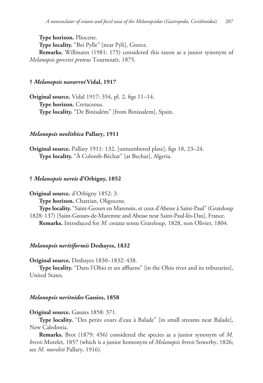**Type horizon.** Pliocene.

**Type locality.** "Bei Pylle" [near Pýli], Greece.

**Remarks.** Willmann (1981: 175) considered this taxon as a junior synonym of *Melanopsis gorceixi proteus* Tournouër, 1875.

# **†** *Melanopsis navarroi* **Vidal, 1917**

**Original source.** Vidal 1917: 354, pl. 2, figs 11–14. **Type horizon.** Cretaceous. **Type locality.** "De Binisalém" [from Binissalem], Spain.

# *Melanopsis neolithica* **Pallary, 1911**

**Original source.** Pallary 1911: 132, [unnumbered plate], figs 18, 23–24. **Type locality.** "À Colomb-Béchar" [at Bechar], Algeria.

# **†** *Melanopsis nereis* **d'Orbigny, 1852**

**Original source.** d'Orbigny 1852: 3.

**Type horizon.** Chattian, Oligocene.

**Type locality.** "Saint-Geours en Marensin, et ceux d'Abesse à Saint-Paul" (Grateloup 1828: 137) [Saint-Geours-de-Maremne and Abesse near Saint-Paul-lès-Dax], France. **Remarks.** Introduced for *M. costata* sensu Grateloup, 1828, non Olivier, 1804.

#### *Melanopsis neritiformis* **Deshayes, 1832**

**Original source.** Deshayes 1830–1832: 438.

**Type locality.** "Dans l'Ohio et ses affluens" [in the Ohio river and its tributaries], United States.

#### *Melanopsis neritoides* **Gassies, 1858**

#### **Original source.** Gassies 1858: 371.

**Type locality.** "Des petits cours d'eau à Balade" [in small streams near Balade], New Caledonia.

**Remarks.** Brot (1879: 456) considered the species as a junior synonym of *M. brevis* Morelet, 1857 (which is a junior homonym of *Melanopsis brevis* Sowerby, 1826; see *M. moreleti* Pallary, 1916).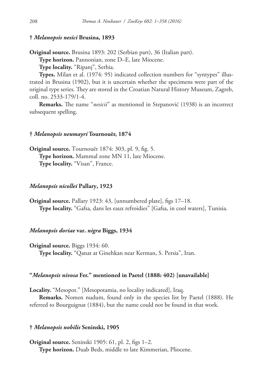# **†** *Melanopsis nesici* **Brusina, 1893**

**Original source.** Brusina 1893: 202 (Serbian part), 36 (Italian part).

**Type horizon.** Pannonian, zone D–E, late Miocene.

**Type locality.** "Ripanj", Serbia.

**Types.** Milan et al. (1974: 95) indicated collection numbers for "syntypes" illustrated in Brusina (1902), but it is uncertain whether the specimens were part of the original type series. They are stored in the Croatian Natural History Museum, Zagreb, coll. no. 2533-179/1-4.

**Remarks.** The name "*nesicii*" as mentioned in Stepanović (1938) is an incorrect subsequent spelling.

#### **†** *Melanopsis neumayri* **Tournouër, 1874**

**Original source.** Tournouër 1874: 303, pl. 9, fig. 5. **Type horizon.** Mammal zone MN 11, late Miocene. **Type locality.** "Visan", France.

#### *Melanopsis nicollei* **Pallary, 1923**

**Original source.** Pallary 1923: 43, [unnumbered plate], figs 17–18. **Type locality.** "Gafsa, dans les eaux refroidies" [Gafsa, in cool waters], Tunisia.

# *Melanopsis doriae* **var.** *nigra* **Biggs, 1934**

**Original source.** Biggs 1934: 60. **Type locality.** "Qanat at Ginehkan near Kerman, S. Persia", Iran.

# **"***Melanopsis nivosa* **Fer." mentioned in Paetel (1888: 402) [unavailable]**

**Locality.** "Mesopot." [Mesopotamia, no locality indicated], Iraq.

**Remarks.** Nomen nudum, found only in the species list by Paetel (1888). He referred to Bourguignat (1884), but the name could not be found in that work.

## **†** *Melanopsis nobilis* **Seninski, 1905**

**Original source.** Seninski 1905: 61, pl. 2, figs 1–2. **Type horizon.** Duab Beds, middle to late Kimmerian, Pliocene.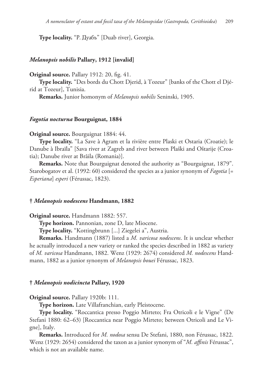**Type locality.** "P. Дуабъ" [Duab river], Georgia.

# *Melanopsis nobilis* **Pallary, 1912 [invalid]**

**Original source.** Pallary 1912: 20, fig. 41.

**Type locality.** "Des bords du Chott Djerid, à Tozeur" [banks of the Chott el Djérid at Tozeur], Tunisia.

**Remarks.** Junior homonym of *Melanopsis nobilis* Seninski, 1905.

# *Fagotia nocturna* **Bourguignat, 1884**

#### **Original source.** Bourguignat 1884: 44.

**Type locality.** "La Save à Agram et la rivière entre Plaski et Ostaria (Croatie); le Danube à Ibraïla" [Sava river at Zagreb and river between Plaški and Oštarije (Croatia); Danube river at Brăila (Romania)].

**Remarks.** Note that Bourguignat denoted the authority as "Bourguignat, 1879". Starobogatov et al. (1992: 60) considered the species as a junior synonym of *Fagotia* [= *Esperiana*] *esperi* (Férussac, 1823).

#### **†** *Melanopsis nodescens* **Handmann, 1882**

**Original source.** Handmann 1882: 557.

**Type horizon.** Pannonian, zone D, late Miocene.

**Type locality.** "Kottingbrunn [...] Ziegelei a", Austria.

**Remarks.** Handmann (1887) listed a *M. varicosa nodescens*. It is unclear whether he actually introduced a new variety or ranked the species described in 1882 as variety of *M. varicosa* Handmann, 1882. Wenz (1929: 2674) considered *M. nodescens* Handmann, 1882 as a junior synonym of *Melanopsis bouei* Férussac, 1823.

### **†** *Melanopsis nodicincta* **Pallary, 1920**

**Original source.** Pallary 1920b: 111.

**Type horizon.** Late Villafranchian, early Pleistocene.

**Type locality.** "Roccantica presso Poggio Mirteto; Fra Otricoli e le Vigne" (De Stefani 1880: 62–63) [Roccantica near Poggio Mirteto; between Otricoli and Le Vigne], Italy.

**Remarks.** Introduced for *M. nodosa* sensu De Stefani, 1880, non Férussac, 1822. Wenz (1929: 2654) considered the taxon as a junior synonym of "*M. affinis* Férussac", which is not an available name.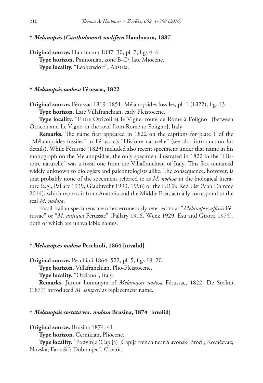# **†** *Melanopsis* **(***Canthidomus***)** *nodifera* **Handmann, 1887**

**Original source.** Handmann 1887: 30, pl. 7, figs 4–6. **Type horizon.** Pannonian, zone B–D, late Miocene. **Type locality.** "Leobersdorf", Austria.

# **†** *Melanopsis nodosa* **Férussac, 1822**

**Original source.** Férussac 1819–1851: Mélanopsides fossiles, pl. 1 (1822), fig. 13.

**Type horizon.** Late Villafranchian, early Pleistocene.

**Type locality.** "Entre Otricoli et le Vigne, route de Rome à Foligno" [between Otricoli and Le Vigne, at the road from Rome to Foligno], Italy.

**Remarks.** The name first appeared in 1822 on the captions for plate 1 of the "Mélanopsides fossiles" in Férussac's "Histoire naturelle" (see also introduction for details). While Férussac (1823) included also recent specimens under that name in his monograph on the Melanopsidae, the only specimen illustrated in 1822 in the "Histoire naturelle" was a fossil one from the Villafranchian of Italy. This fact remained widely unknown to biologists and paleontologists alike. The consequence, however, is that probably none of the specimens referred to as *M. nodosa* in the biological literature (e.g., Pallary 1939, Glaubrecht 1993, 1996) or the IUCN Red List (Van Damme 2014), which reports it from Anatolia and the Middle East, actually correspond to the real *M. nodosa*.

Fossil Italian specimens are often erroneously referred to as "*Melanopsis affinis* Férussac" or "*M. antiqua* Fèrussac" (Pallary 1916, Wenz 1929, Esu and Girotti 1975), both of which are unavailable names.

# **†** *Melanopsis nodosa* **Pecchioli, 1864 [invalid]**

**Original source.** Pecchioli 1864: 522, pl. 5, figs 19–20.

**Type horizon.** Villafranchian, Plio-Pleistocene.

**Type locality.** "Orciano", Italy.

**Remarks.** Junior homonym of *Melanopsis nodosa* Férussac, 1822. De Stefani (1877) introduced *M. semperi* as replacement name.

### **†** *Melanopsis costata* **var.** *nodosa* **Brusina, 1874 [invalid]**

**Original source.** Brusina 1874: 41.

**Type horizon.** Cernikian, Pliocene.

**Type locality.** "Podvinje (Čaplja) [Čaplja trench near Slavonski Brod]; Kovačevac; Novska; Farkašić; Dubranjec", Croatia.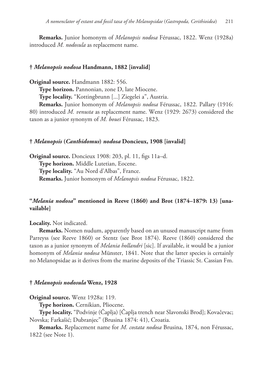**Remarks.** Junior homonym of *Melanopsis nodosa* Férussac, 1822. Wenz (1928a) introduced *M. nodosula* as replacement name.

### **†** *Melanopsis nodosa* **Handmann, 1882 [invalid]**

**Original source.** Handmann 1882: 556.

**Type horizon.** Pannonian, zone D, late Miocene.

**Type locality.** "Kottingbrunn [...] Ziegelei a", Austria.

**Remarks.** Junior homonym of *Melanopsis nodosa* Férussac, 1822. Pallary (1916: 80) introduced *M. venusta* as replacement name. Wenz (1929: 2673) considered the taxon as a junior synonym of *M. bouei* Férussac, 1823.

## **†** *Melanopsis* **(***Canthidomus***)** *nodosa* **Doncieux, 1908 [invalid]**

**Original source.** Doncieux 1908: 203, pl. 11, figs 11a–d. **Type horizon.** Middle Lutetian, Eocene. **Type locality.** "Au Nord d'Albas", France. **Remarks.** Junior homonym of *Melanopsis nodosa* Férussac, 1822.

# **"***Melania nodosa***" mentioned in Reeve (1860) and Brot (1874–1879: 13) [unavailable]**

**Locality.** Not indicated.

**Remarks.** Nomen nudum, apparently based on an unused manuscript name from Parreyss (see Reeve 1860) or Stentz (see Brot 1874). Reeve (1860) considered the taxon as a junior synonym of *Melania hollandri* [sic]. If available, it would be a junior homonym of *Melania nodosa* Münster, 1841. Note that the latter species is certainly no Melanopsidae as it derives from the marine deposits of the Triassic St. Cassian Fm.

### **†** *Melanopsis nodosula* **Wenz, 1928**

**Original source.** Wenz 1928a: 119.

**Type horizon.** Cernikian, Pliocene.

**Type locality.** "Podvinje (Čaplja) [Čaplja trench near Slavonski Brod]; Kovačevac; Novska; Farkašić; Dubranjec" (Brusina 1874: 41), Croatia.

**Remarks.** Replacement name for *M. costata nodosa* Brusina, 1874, non Férussac, 1822 (see Note 1).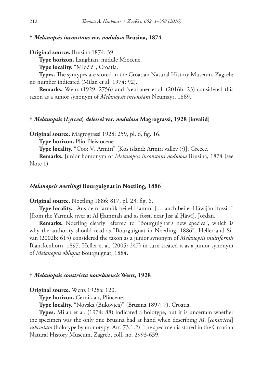# **†** *Melanopsis inconstans* **var.** *nodulosa* **Brusina, 1874**

**Original source.** Brusina 1874: 39.

**Type horizon.** Langhian, middle Miocene.

**Type locality.** "Miočić", Croatia.

**Types.** The syntypes are stored in the Croatian Natural History Museum, Zagreb; no number indicated (Milan et al. 1974: 92).

**Remarks.** Wenz (1929: 2756) and Neubauer et al. (2016b: 23) considered this taxon as a junior synonym of *Melanopsis inconstans* Neumayr, 1869.

### **†** *Melanopsis* **(***Lyrcea***)** *delessei* **var.** *nodulosa* **Magrograssi, 1928 [invalid]**

**Original source.** Magrograssi 1928: 259, pl. 6, fig. 16.

**Type horizon.** Plio-Pleistocene.

**Type locality.** "Coo: V. Armiri" [Kos island: Armiri valley (?)], Greece.

**Remarks.** Junior homonym of *Melanopsis inconstans nodulosa* Brusina, 1874 (see Note 1).

#### *Melanopsis noetlingi* **Bourguignat in Noetling, 1886**

**Original source.** Noetling 1886: 817, pl. 23, fig. 6.

**Type locality.** "Aus dem Jarmūk bei el Hammi [...] auch bei el-Hāwijān [fossil]" [from the Yarmuk river at Al Ḩammah and as fossil near Jisr al Ḩāwī], Jordan.

**Remarks.** Noetling clearly referred to "Bourguignat's new species", which is why the authority should read as "Bourguignat in Noetling, 1886". Heller and Sivan (2002b: 615) considered the taxon as a junior synonym of *Melanopsis multiformis* Blanckenhorn, 1897. Heller et al. (2005: 247) in turn treated it as a junior synonym of *Melanopsis obliqua* Bourguignat, 1884.

### **†** *Melanopsis constricta nowskaensis* **Wenz, 1928**

**Original source.** Wenz 1928a: 120.

**Type horizon.** Cernikian, Pliocene.

**Type locality.** "Novska (Bukovica)" (Brusina 1897: 7), Croatia.

**Types.** Milan et al. (1974: 88) indicated a holotype, but it is uncertain whether the specimen was the only one Brusina had at hand when describing *M*. [*constricta*] *subcostata* (holotype by monotypy, Art. 73.1.2). The specimen is stored in the Croatian Natural History Museum, Zagreb, coll. no. 2993-639.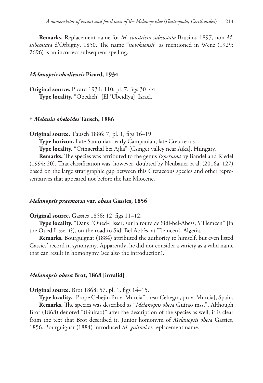**Remarks.** Replacement name for *M. constricta subcostata* Brusina, 1897, non *M. subcostata* d'Orbigny, 1850. The name "*novskaensis*" as mentioned in Wenz (1929: 2696) is an incorrect subsequent spelling.

#### *Melanopsis obediensis* **Picard, 1934**

**Original source.** Picard 1934: 110, pl. 7, figs 30–44. **Type locality.** "Obedieh" [El 'Ubeidīya], Israel.

# **†** *Melania obeloides* **Tausch, 1886**

**Original source.** Tausch 1886: 7, pl. 1, figs 16–19.

**Type horizon.** Late Santonian–early Campanian, late Cretaceous.

**Type locality.** "Csingerthal bei Ajka" [Csinger valley near Ajka], Hungary.

**Remarks.** The species was attributed to the genus *Esperiana* by Bandel and Riedel (1994: 20). That classification was, however, doubted by Neubauer et al. (2016a: 127) based on the large stratigraphic gap between this Cretaceous species and other representatives that appeared not before the late Miocene.

#### *Melanopsis praemorsa* **var.** *obesa* **Gassies, 1856**

# **Original source.** Gassies 1856: 12, figs 11–12.

**Type locality.** "Dans l'Oued-Lisser, sur la route de Sidi-bel-Abess, à Tlemcen" [in the Oued Lisser (?), on the road to Sidi Bel Abbès, at Tlemcen], Algeria.

**Remarks.** Bourguignat (1884) attributed the authority to himself, but even listed Gassies' record in synonymy. Apparently, he did not consider a variety as a valid name that can result in homonymy (see also the introduction).

#### *Melanopsis obesa* **Brot, 1868 [invalid]**

**Original source.** Brot 1868: 57, pl. 1, figs 14–15.

**Type locality.** "Prope Cehejin Prov. Murcia" [near Cehegín, prov. Murcia], Spain. **Remarks.** The species was described as "*Melanopsis obesa* Guirao mss.". Although Brot (1868) denoted "(Guirao)" after the description of the species as well, it is clear from the text that Brot described it. Junior homonym of *Melanopsis obesa* Gassies, 1856. Bourguignat (1884) introduced *M. guiraoi* as replacement name.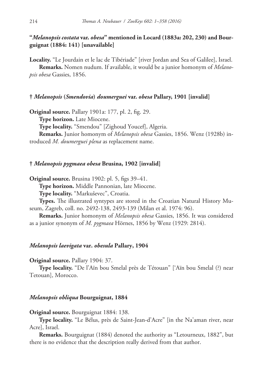# **"***Melanopsis costata* **var.** *obesa***" mentioned in Locard (1883a: 202, 230) and Bourguignat (1884: 141) [unavailable]**

**Locality.** "Le Jourdain et le lac de Tibériade" [river Jordan and Sea of Galilee], Israel.

**Remarks.** Nomen nudum. If available, it would be a junior homonym of *Melanopsis obesa* Gassies, 1856.

# **†** *Melanopsis* **(***Smendovia***)** *doumerguei* **var.** *obesa* **Pallary, 1901 [invalid]**

**Original source.** Pallary 1901a: 177, pl. 2, fig. 29. **Type horizon.** Late Miocene. **Type locality.** "Smendou" [Zighoud Youcef], Algeria. **Remarks.** Junior homonym of *Melanopsis obesa* Gassies, 1856. Wenz (1928b) introduced *M. doumerguei plena* as replacement name.

# **†** *Melanopsis pygmaea obesa* **Brusina, 1902 [invalid]**

**Original source.** Brusina 1902: pl. 5, figs 39–41.

**Type horizon.** Middle Pannonian, late Miocene.

**Type locality.** "Markuševec", Croatia.

**Types.** The illustrated syntypes are stored in the Croatian Natural History Museum, Zagreb, coll. no. 2492-138, 2493-139 (Milan et al. 1974: 96).

**Remarks.** Junior homonym of *Melanopsis obesa* Gassies, 1856. It was considered as a junior synonym of *M. pygmaea* Hörnes, 1856 by Wenz (1929: 2814).

# *Melanopsis laevigata* **var.** *obesula* **Pallary, 1904**

# **Original source.** Pallary 1904: 37.

**Type locality.** "De l'Aïn bou Smelal près de Tétouan" ['Aïn bou Smelal (?) near Tetouan], Morocco.

# *Melanopsis obliqua* **Bourguignat, 1884**

# **Original source.** Bourguignat 1884: 138.

**Type locality.** "Le Bélus, près de Saint-Jean-d'Acre" [in the Na'aman river, near Acre], Israel.

**Remarks.** Bourguignat (1884) denoted the authority as "Letourneux, 1882", but there is no evidence that the description really derived from that author.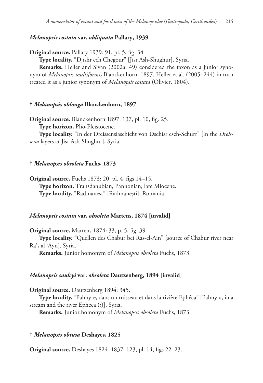## *Melanopsis costata* **var.** *obliquata* **Pallary, 1939**

**Original source.** Pallary 1939: 91, pl. 5, fig. 34.

**Type locality.** "Djishr ech Chegour" [Jisr Ash-Shughur], Syria.

**Remarks.** Heller and Sivan (2002a: 49) considered the taxon as a junior synonym of *Melanopsis multiformis* Blanckenhorn, 1897. Heller et al. (2005: 244) in turn treated it as a junior synonym of *Melanopsis costata* (Olivier, 1804).

# **†** *Melanopsis oblonga* **Blanckenhorn, 1897**

**Original source.** Blanckenhorn 1897: 137, pl. 10, fig. 25.

**Type horizon.** Plio-Pleistocene.

**Type locality.** "In der Dreissensiaschicht von Dschisr esch-Schurr" [in the *Dreissena* layers at Jisr Ash-Shughur], Syria.

## **†** *Melanopsis obsoleta* **Fuchs, 1873**

**Original source.** Fuchs 1873: 20, pl. 4, figs 14–15. **Type horizon.** Transdanubian, Pannonian, late Miocene. **Type locality.** "Radmanest" [Rădmănești], Romania.

## *Melanopsis costata* **var.** *obsoleta* **Martens, 1874 [invalid]**

**Original source.** Martens 1874: 33, p. 5, fig. 39. **Type locality.** "Quellen des Chabur bei Ras-el-Ain" [source of Chabur river near Ra's al 'Ayn], Syria.

**Remarks.** Junior homonym of *Melanopsis obsoleta* Fuchs, 1873.

## *Melanopsis saulcyi* **var.** *obsoleta* **Dautzenberg, 1894 [invalid]**

**Original source.** Dautzenberg 1894: 345.

**Type locality.** "Palmyre, dans un ruisseau et dans la rivière Ephéca" [Palmyra, in a stream and the river Epheca (?)], Syria.

**Remarks.** Junior homonym of *Melanopsis obsoleta* Fuchs, 1873.

## **†** *Melanopsis obtusa* **Deshayes, 1825**

**Original source.** Deshayes 1824–1837: 123, pl. 14, figs 22–23.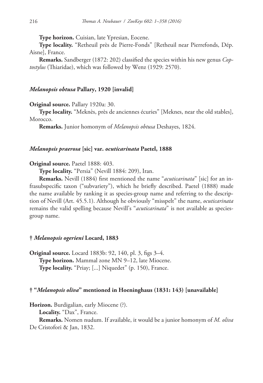**Type horizon.** Cuisian, late Ypresian, Eocene.

**Type locality.** "Retheuil près de Pierre-Fonds" [Retheuil near Pierrefonds, Dép. Aisne], France.

**Remarks.** Sandberger (1872: 202) classified the species within his new genus *Coptostylus* (Thiaridae), which was followed by Wenz (1929: 2570).

## *Melanopsis obtusa* **Pallary, 1920 [invalid]**

**Original source.** Pallary 1920a: 30.

**Type locality.** "Meknès, près de anciennes écuries" [Meknes, near the old stables], Morocco.

**Remarks.** Junior homonym of *Melanopsis obtusa* Deshayes, 1824.

## *Melanopsis praerosa* **[sic] var.** *ocuticarinata* **Paetel, 1888**

#### **Original source.** Paetel 1888: 403.

**Type locality.** "Persia" (Nevill 1884: 209), Iran.

**Remarks.** Nevill (1884) first mentioned the name "*acuticarinata*" [sic] for an infrasubspecific taxon ("subvariety"), which he briefly described. Paetel (1888) made the name available by ranking it as species-group name and referring to the description of Nevill (Art. 45.5.1). Although he obviously "misspelt" the name, *ocuticarinata* remains the valid spelling because Nevill's "*acuticarinata*" is not available as speciesgroup name.

# **†** *Melanopsis ogerieni* **Locard, 1883**

**Original source.** Locard 1883b: 92, 140, pl. 3, figs 3–4. **Type horizon.** Mammal zone MN 9–12, late Miocene. **Type locality.** "Priay; [...] Niquedet" (p. 150), France.

### **† "***Melanopsis oliva***" mentioned in Hoeninghaus (1831: 143) [unavailable]**

**Horizon.** Burdigalian, early Miocene (?).

**Locality.** "Dax", France.

**Remarks.** Nomen nudum. If available, it would be a junior homonym of *M. oliva* De Cristofori & Jan, 1832.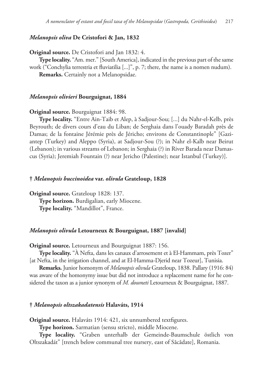## *Melanopsis oliva* **De Cristofori & Jan, 1832**

**Original source.** De Cristofori and Jan 1832: 4.

**Type locality.** "Am. mer." [South America], indicated in the previous part of the same work ("Conchylia terrestria et fluviatilia [...]", p. 7; there, the name is a nomen nudum).

**Remarks.** Certainly not a Melanopsidae.

#### *Melanopsis olivieri* **Bourguignat, 1884**

**Original source.** Bourguignat 1884: 98.

**Type locality.** "Entre Ain-Taib et Alep, à Sadjour-Sou; [...] du Nahr-el-Kelb, près Beyrouth; de divers cours d'eau du Liban; de Serghaia dans l'ouady Baradah près de Damas; de la fontaine Jérémie près de Jéricho; environs de Constantinople" [Gaziantep (Turkey) and Aleppo (Syria), at Sadjour-Sou (?); in Nahr el-Kalb near Beirut (Lebanon); in various streams of Lebanon; in Serghaia (?) in River Barada near Damascus (Syria); Jeremiah Fountain (?) near Jericho (Palestine); near Istanbul (Turkey)].

#### **†** *Melanopsis buccinoidea* **var.** *olivula* **Grateloup, 1828**

**Original source.** Grateloup 1828: 137. **Type horizon.** Burdigalian, early Miocene. **Type locality.** "Mandillot", France.

## *Melanopsis olivula* **Letourneux & Bourguignat, 1887 [invalid]**

**Original source.** Letourneux and Bourguignat 1887: 156.

**Type locality.** "À Nefta, dans les canaux d'arrosement et à El-Hammam, près Tozer" [at Nefta, in the irrigation channel, and at El-Hamma-Djerid near Tozeur], Tunisia.

**Remarks.** Junior homonym of *Melanopsis olivula* Grateloup, 1838. Pallary (1916: 84) was aware of the homonymy issue but did not introduce a replacement name for he considered the taxon as a junior synonym of *M. doumeti* Letourneux & Bourguignat, 1887.

### **†** *Melanopsis oltszakadatensis* **Halaváts, 1914**

**Original source.** Halaváts 1914: 421, six unnumbered textfigures.

**Type horizon.** Sarmatian (sensu stricto), middle Miocene.

**Type locality.** "Graben unterhalb der Gemeinde-Baumschule östlich von Oltszakadát" [trench below communal tree nursery, east of Săcădate], Romania.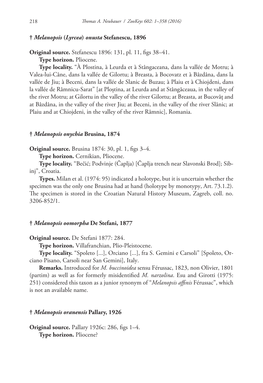## **†** *Melanopsis* **(***Lyrcea***)** *onusta* **Stefanescu, 1896**

**Original source.** Stefanescu 1896: 131, pl. 11, figs 38–41.

**Type horizon.** Pliocene.

**Type locality.** "À Plostina, à Leurda et à Stângaceana, dans la vallée de Motru; à Valea-lui-Câne, dans la vallée de Gilortu; à Breasta, à Bocovatz et à Bâzdâna, dans la vallée de Jiu; à Beceni, dans la vallée de Slanic de Buzau; à Plaiu et à Chiojdeni, dans la vallée de Râmnicu-Sarat" [at Ploștina, at Leurda and at Stângăceaua, in the valley of the river Motru; at Gilortu in the valley of the river Gilortu; at Breasta, at Bucovăț and at Bâzdâna, in the valley of the river Jiu; at Beceni, in the valley of the river Slănic; at Plaiu and at Chiojdeni, in the valley of the river Râmnic], Romania.

#### **†** *Melanopsis onychia* **Brusina, 1874**

**Original source.** Brusina 1874: 30, pl. 1, figs 3–4.

**Type horizon.** Cernikian, Pliocene.

**Type locality.** "Bečić; Podvinje (Čaplja) [Čaplja trench near Slavonski Brod]; Sibinj", Croatia.

**Types.** Milan et al. (1974: 95) indicated a holotype, but it is uncertain whether the specimen was the only one Brusina had at hand (holotype by monotypy, Art. 73.1.2). The specimen is stored in the Croatian Natural History Museum, Zagreb, coll. no. 3206-852/1.

## **†** *Melanopsis oomorpha* **De Stefani, 1877**

**Original source.** De Stefani 1877: 284.

**Type horizon.** Villafranchian, Plio-Pleistocene.

**Type locality.** "Spoleto [...], Orciano [...], fra S. Gemini e Carsoli" [Spoleto, Orciano Pisano, Carsoli near San Gemini], Italy.

**Remarks.** Introduced for *M. buccinoidea* sensu Férussac, 1823, non Olivier, 1801 (partim) as well as for formerly misidentified *M. narzolina*. Esu and Girotti (1975: 251) considered this taxon as a junior synonym of "*Melanopsis affinis* Férussac", which is not an available name.

#### **†** *Melanopsis oranensis* **Pallary, 1926**

**Original source.** Pallary 1926c: 286, figs 1–4. **Type horizon.** Pliocene?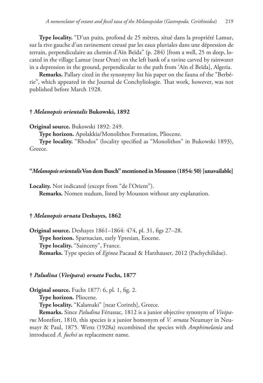**Type locality.** "D'un puits, profond de 25 mètres, situé dans la propriété Lamur, sur la rive gauche d'un ravinement creusé par les eaux pluviales dans une dépression de terrain, perpendiculaire au chemin d'Aïn Beïda" (p. 284) [from a well, 25 m deep, located in the village Lamur (near Oran) on the left bank of a ravine carved by rainwater in a depression in the ground, perpendicular to the path from 'Aïn el Beïda], Algeria.

**Remarks.** Pallary cited in the synonymy list his paper on the fauna of the "Berbérie", which appeared in the Journal de Conchyliologie. That work, however, was not published before March 1928.

## **†** *Melanopsis orientalis* **Bukowski, 1892**

**Original source.** Bukowski 1892: 249.

**Type horizon.** Apolakkia/Monolithos Formation, Pliocene.

**Type locality.** "Rhodos" (locality specified as "Monolithos" in Bukowski 1893), Greece.

### **"***Melanopsis orientalis* **Von dem Busch" mentioned in Mousson (1854: 50) [unavailable]**

Locality. Not indicated (except from "de l'Orient"). **Remarks.** Nomen nudum, listed by Mousson without any explanation.

## **†** *Melanopsis ornata* **Deshayes, 1862**

**Original source.** Deshayes 1861–1864: 474, pl. 31, figs 27–28. **Type horizon.** Sparnacian, early Ypresian, Eocene. **Type locality.** "Sainceny", France. **Remarks.** Type species of *Eginea* Pacaud & Harzhauser, 2012 (Pachychilidae).

#### **†** *Paludina* **(***Vivipara***)** *ornata* **Fuchs, 1877**

**Original source.** Fuchs 1877: 6, pl. 1, fig. 2.

**Type horizon.** Pliocene.

**Type locality.** "Kalamaki" [near Corinth], Greece.

**Remarks.** Since *Paludina* Férussac, 1812 is a junior objective synonym of *Viviparus* Montfort, 1810, this species is a junior homonym of *V. ornata* Neumayr in Neumayr & Paul, 1875. Wenz (1928a) recombined the species with *Amphimelania* and introduced *A. fuchsi* as replacement name.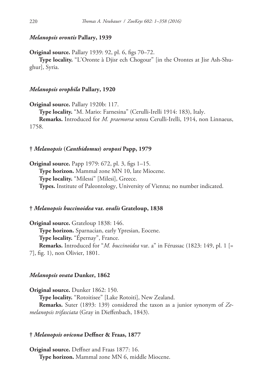### *Melanopsis orontis* **Pallary, 1939**

**Original source.** Pallary 1939: 92, pl. 6, figs 70–72.

**Type locality.** "L'Oronte à Djisr ech Chogour" [in the Orontes at Jisr Ash-Shughur], Syria.

### *Melanopsis orophila* **Pallary, 1920**

**Original source.** Pallary 1920b: 117.

**Type locality.** "M. Mario: Farnesina" (Cerulli-Irelli 1914: 183), Italy.

**Remarks.** Introduced for *M. praemorsa* sensu Cerulli-Irelli, 1914, non Linnaeus, 1758.

## **†** *Melanopsis* **(***Canthidomus***)** *oroposi* **Papp, 1979**

**Original source.** Papp 1979: 672, pl. 3, figs 1–15. **Type horizon.** Mammal zone MN 10, late Miocene. **Type locality.** "Milessi" [Milesi], Greece. **Types.** Institute of Paleontology, University of Vienna; no number indicated.

## **†** *Melanopsis buccinoidea* **var.** *ovalis* **Grateloup, 1838**

**Original source.** Grateloup 1838: 146. **Type horizon.** Sparnacian, early Ypresian, Eocene. **Type locality.** "Épernay", France. **Remarks.** Introduced for "*M. buccinoidea* var. a" in Férussac (1823: 149, pl. 1 [= 7], fig. 1), non Olivier, 1801.

#### *Melanopsis ovata* **Dunker, 1862**

**Original source.** Dunker 1862: 150. **Type locality.** "Rotoitisee" [Lake Rotoiti], New Zealand. **Remarks.** Suter (1893: 139) considered the taxon as a junior synonym of *Zemelanopsis trifasciata* (Gray in Dieffenbach, 1843).

## **†** *Melanopsis ovicona* **Deffner & Fraas, 1877**

**Original source.** Deffner and Fraas 1877: 16. **Type horizon.** Mammal zone MN 6, middle Miocene.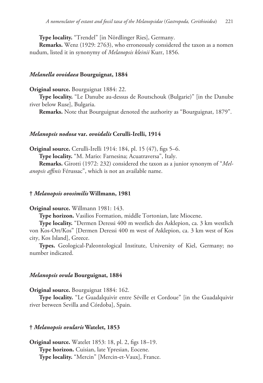**Type locality.** "Trendel" [in Nördlinger Ries], Germany.

**Remarks.** Wenz (1929: 2763), who erroneously considered the taxon as a nomen nudum, listed it in synonymy of *Melanopsis kleinii* Kurr, 1856.

### *Melanella ovoidaea* **Bourguignat, 1884**

**Original source.** Bourguignat 1884: 22.

**Type locality.** "Le Danube au-dessus de Routschouk (Bulgarie)" [in the Danube river below Ruse], Bulgaria.

**Remarks.** Note that Bourguignat denoted the authority as "Bourguignat, 1879".

#### *Melanopsis nodosa* **var.** *ovoidalis* **Cerulli-Irelli, 1914**

**Original source.** Cerulli-Irelli 1914: 184, pl. 15 (47), figs 5–6.

**Type locality.** "M. Mario: Farnesina; Acuatraversa", Italy.

**Remarks.** Girotti (1972: 232) considered the taxon as a junior synonym of "*Melanopsis affinis* Férussac", which is not an available name.

### **†** *Melanopsis ovosimilis* **Willmann, 1981**

### **Original source.** Willmann 1981: 143.

**Type horizon.** Vasilios Formation, middle Tortonian, late Miocene.

**Type locality.** "Dermen Deressi 400 m westlich des Asklepion, ca. 3 km westlich von Kos-Ort/Kos" [Dermen Deressi 400 m west of Asklepion, ca. 3 km west of Kos city, Kos Island], Greece.

**Types.** Geological-Paleontological Institute, University of Kiel, Germany; no number indicated.

#### *Melanopsis ovula* **Bourguignat, 1884**

**Original source.** Bourguignat 1884: 162.

**Type locality.** "Le Guadalquivir entre Séville et Cordoue" [in the Guadalquivir river between Sevilla and Córdoba], Spain.

#### **†** *Melanopsis ovularis* **Watelet, 1853**

**Original source.** Watelet 1853: 18, pl. 2, figs 18–19. **Type horizon.** Cuisian, late Ypresian, Eocene. **Type locality.** "Mercin" [Mercin-et-Vaux], France.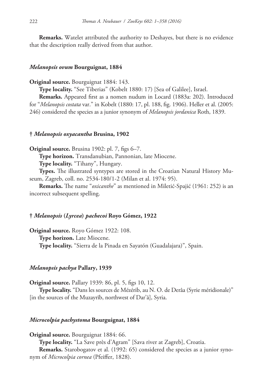**Remarks.** Watelet attributed the authority to Deshayes, but there is no evidence that the description really derived from that author.

#### *Melanopsis ovum* **Bourguignat, 1884**

**Original source.** Bourguignat 1884: 143.

**Type locality.** "See Tiberias" (Kobelt 1880: 17) [Sea of Galilee], Israel.

**Remarks.** Appeared first as a nomen nudum in Locard (1883a: 202). Introduced for "*Melanopsis costata* var." in Kobelt (1880: 17, pl. 188, fig. 1906). Heller et al. (2005: 246) considered the species as a junior synonym of *Melanopsis jordanica* Roth, 1839.

### **†** *Melanopsis oxyacantha* **Brusina, 1902**

**Original source.** Brusina 1902: pl. 7, figs 6–7.

**Type horizon.** Transdanubian, Pannonian, late Miocene.

**Type locality.** "Tihany", Hungary.

**Types.** The illustrated syntypes are stored in the Croatian Natural History Museum, Zagreb, coll. no. 2534-180/1-2 (Milan et al. 1974: 95).

**Remarks.** The name "*oxicanthe*" as mentioned in Miletić-Spajić (1961: 252) is an incorrect subsequent spelling.

## **†** *Melanopsis* **(***Lyrcea***)** *pachecoi* **Royo Gómez, 1922**

**Original source.** Royo Gómez 1922: 108. **Type horizon.** Late Miocene. **Type locality.** "Sierra de la Pinada en Sayatón (Guadalajara)", Spain.

## *Melanopsis pachya* **Pallary, 1939**

**Original source.** Pallary 1939: 86, pl. 5, figs 10, 12.

**Type locality.** "Dans les sources de Mézérib, au N. O. de Derâa (Syrie méridionale)" [in the sources of the Muzayrīb, northwest of Dar'ā], Syria.

## *Microcolpia pachystoma* **Bourguignat, 1884**

**Original source.** Bourguignat 1884: 66. **Type locality.** "La Save près d'Agram" [Sava river at Zagreb], Croatia. **Remarks.** Starobogatov et al. (1992: 65) considered the species as a junior synonym of *Microcolpia cornea* (Pfeiffer, 1828).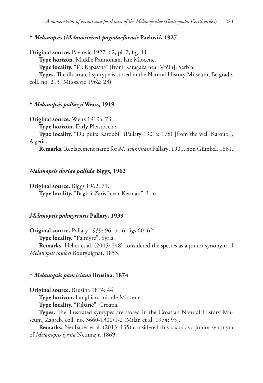**†** *Melanopsis* **(***Melanosteira***)** *pagodaeformis* **Pavlović, 1927**

**Original source.** Pavlović 1927: 62, pl. 7, fig. 11. **Type horizon.** Middle Pannonian, late Miocene. **Type locality.** "Из Карагача" [from Karagača near Vrčin], Serbia. **Types.** The illustrated syntype is stored in the Natural History Museum, Belgrade, coll. no. 213 (Milošević 1962: 23).

## **†** *Melanopsis pallaryi* **Wenz, 1919**

**Original source.** Wenz 1919a: 73.

**Type horizon.** Early Pleistocene.

**Type locality.** "Du puits Karoubi" (Pallary 1901a: 178) [from the well Karoubi], Algeria.

**Remarks.** Replacement name for *M. acuminata* Pallary, 1901, non Gümbel, 1861.

#### *Melanopsis doriae pallida* **Biggs, 1962**

**Original source.** Biggs 1962: 71.

**Type locality.** "Bagh-i-Zerisf near Kerman", Iran.

## *Melanopsis palmyrensis* **Pallary, 1939**

**Original source.** Pallary 1939: 96, pl. 6, figs 60–62. **Type locality.** "Palmyre", Syria. **Remarks.** Heller et al. (2005: 248) considered the species as a junior synonym of *Melanopsis saulcyi* Bourguignat, 1853.

#### **†** *Melanopsis panciciana* **Brusina, 1874**

**Original source.** Brusina 1874: 44.

**Type horizon.** Langhian, middle Miocene.

**Type locality.** "Ribarić", Croatia.

**Types.** The illustrated syntypes are stored in the Croatian Natural History Museum, Zagreb, coll. no. 3660-1300/1-2 (Milan et al. 1974: 95).

**Remarks.** Neubauer et al. (2013: 135) considered this taxon as a junior synonym of *Melanopsis lyrata* Neumayr, 1869.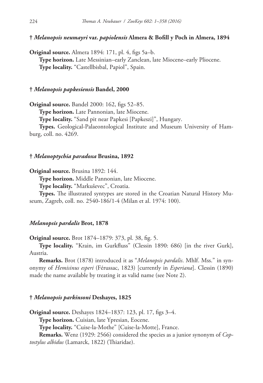**†** *Melanopsis neumayri* **var.** *papiolensis* **Almera & Bofill y Poch in Almera, 1894**

**Original source.** Almera 1894: 171, pl. 4, figs 5a–b. **Type horizon.** Late Messinian–early Zanclean, late Miocene–early Pliocene. **Type locality.** "Castellbisbal, Papiol", Spain.

### **†** *Melanopsis papkesiensis* **Bandel, 2000**

**Original source.** Bandel 2000: 162, figs 52–85.

**Type horizon.** Late Pannonian, late Miocene.

**Type locality.** "Sand pit near Papkesi [Papkeszi]", Hungary.

**Types.** Geological-Palaeontological Institute and Museum University of Hamburg, coll. no. 4269.

### **†** *Melanoptychia paradoxa* **Brusina, 1892**

**Original source.** Brusina 1892: 144.

**Type horizon.** Middle Pannonian, late Miocene.

**Type locality.** "Markuševec", Croatia.

**Types.** The illustrated syntypes are stored in the Croatian Natural History Museum, Zagreb, coll. no. 2540-186/1-4 (Milan et al. 1974: 100).

## *Melanopsis pardalis* **Brot, 1878**

**Original source.** Brot 1874–1879: 373, pl. 38, fig. 5.

**Type locality.** "Krain, im Gurkfluss" (Clessin 1890: 686) [in the river Gurk], Austria.

**Remarks.** Brot (1878) introduced it as "*Melanopsis pardalis*. Mhlf. Mss." in synonymy of *Hemisinus esperi* (Férussac, 1823) [currently in *Esperiana*]. Clessin (1890) made the name available by treating it as valid name (see Note 2).

### **†** *Melanopsis parkinsoni* **Deshayes, 1825**

**Original source.** Deshayes 1824–1837: 123, pl. 17, figs 3–4.

**Type horizon.** Cuisian, late Ypresian, Eocene.

**Type locality.** "Cuise-la-Mothe" [Cuise-la-Motte], France.

**Remarks.** Wenz (1929: 2566) considered the species as a junior synonym of *Coptostylus albidus* (Lamarck, 1822) (Thiaridae).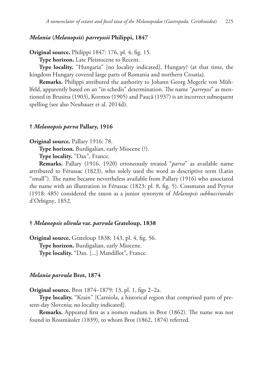## *Melania* **(***Melanopsis***)** *parreyssii* **Philippi, 1847**

**Original source.** Philippi 1847: 176, pl. 4, fig. 15.

**Type horizon.** Late Pleistocene to Recent.

**Type locality.** "Hungaria" [no locality indicated], Hungary? (at that time, the kingdom Hungary covered large parts of Romania and northern Croatia).

**Remarks.** Philippi attributed the authority to Johann Georg Megerle von Mühlfeld, apparently based on an "in schedis" determination. The name "*parreyssi*" as mentioned in Brusina (1903), Kormos (1905) and Paucă (1937) is an incorrect subsequent spelling (see also Neubauer et al. 2014d).

## **†** *Melanopsis parva* **Pallary, 1916**

**Original source.** Pallary 1916: 78.

**Type horizon.** Burdigalian, early Miocene (?).

**Type locality.** "Dax", France.

**Remarks.** Pallary (1916, 1920) erroneously treated "*parva*" as available name attributed to Férussac (1823), who solely used the word as descriptive term (Latin "small"). The name became nevertheless available from Pallary (1916) who associated the name with an illustration in Férussac (1823: pl. 8, fig. 5). Cossmann and Peyrot (1918: 485) considered the taxon as a junior synonym of *Melanopsis subbuccinoides* d'Orbigny, 1852.

## **†** *Melanopsis olivula* **var.** *parvula* **Grateloup, 1838**

**Original source.** Grateloup 1838: 143, pl. 4, fig. 56. **Type horizon.** Burdigalian, early Miocene. **Type locality.** "Dax. [...] Mandillot", France.

#### *Melania parvula* **Brot, 1874**

**Original source.** Brot 1874–1879: 13, pl. 1, figs 2–2a.

**Type locality.** "Krain" [Carniola, a historical region that comprised parts of present-day Slovenia; no locality indicated].

**Remarks.** Appeared first as a nomen nudum in Brot (1862). The name was not found in Rossmässler (1839), to whom Brot (1862, 1874) referred.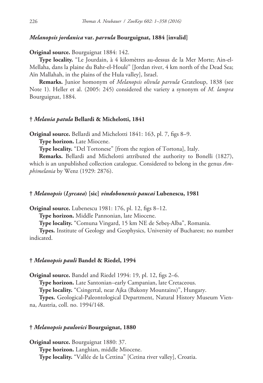## *Melanopsis jordanica* **var.** *parvula* **Bourguignat, 1884 [invalid]**

**Original source.** Bourguignat 1884: 142.

**Type locality.** "Le Jourdain, à 4 kilomètres au-dessus de la Mer Morte; Ain-el-Mellaha, dans la plaine du Bahr-el-Houlé" [Jordan river, 4 km north of the Dead Sea; Aïn Mallahah, in the plains of the Hula valley], Israel.

**Remarks.** Junior homonym of *Melanopsis olivula parvula* Grateloup, 1838 (see Note 1). Heller et al. (2005: 245) considered the variety a synonym of *M. lampra* Bourguignat, 1884.

## **†** *Melania patula* **Bellardi & Michelotti, 1841**

**Original source.** Bellardi and Michelotti 1841: 163, pl. 7, figs 8–9.

**Type horizon.** Late Miocene.

**Type locality.** "Del Tortonese" [from the region of Tortona], Italy.

**Remarks.** Bellardi and Michelotti attributed the authority to Bonelli (1827), which is an unpublished collection catalogue. Considered to belong in the genus *Amphimelania* by Wenz (1929: 2876).

#### **†** *Melanopsis* **(***Lyrcaea***) [sic]** *vindobonensis paucai* **Lubenescu, 1981**

**Original source.** Lubenescu 1981: 176, pl. 12, figs 8–12.

**Type horizon.** Middle Pannonian, late Miocene.

**Type locality.** "Comuna Vingard, 15 km NE de Sebeș-Alba", Romania.

**Types.** Institute of Geology and Geophysics, University of Bucharest; no number indicated.

### **†** *Melanopsis pauli* **Bandel & Riedel, 1994**

**Original source.** Bandel and Riedel 1994: 19, pl. 12, figs 2–6.

**Type horizon.** Late Santonian–early Campanian, late Cretaceous.

**Type locality.** "Csingertal, near Ajka (Bakony Mountains)", Hungary.

**Types.** Geological-Paleontological Department, Natural History Museum Vienna, Austria, coll. no. 1994/148.

#### **†** *Melanopsis paulovici* **Bourguignat, 1880**

**Original source.** Bourguignat 1880: 37. **Type horizon.** Langhian, middle Miocene. **Type locality.** "Vallée de la Cettina" [Cetina river valley], Croatia.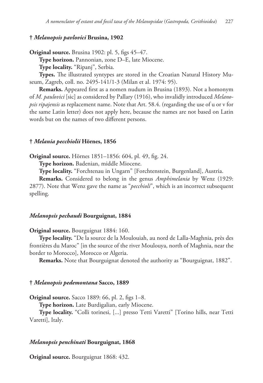## **†** *Melanopsis pavlovici* **Brusina, 1902**

**Original source.** Brusina 1902: pl. 5, figs 45–47.

**Type horizon.** Pannonian, zone D–E, late Miocene.

**Type locality.** "Ripanj", Serbia.

**Types.** The illustrated syntypes are stored in the Croatian Natural History Museum, Zagreb, coll. no. 2495-141/1-3 (Milan et al. 1974: 95).

**Remarks.** Appeared first as a nomen nudum in Brusina (1893). Not a homonym of *M. paulovici* [sic] as considered by Pallary (1916), who invalidly introduced *Melanopsis ripajensis* as replacement name. Note that Art. 58.4. (regarding the use of u or v for the same Latin letter) does not apply here, because the names are not based on Latin words but on the names of two different persons.

### **†** *Melania pecchiolii* **Hörnes, 1856**

**Original source.** Hörnes 1851–1856: 604, pl. 49, fig. 24.

**Type horizon.** Badenian, middle Miocene.

**Type locality.** "Forchtenau in Ungarn" [Forchtenstein, Burgenland], Austria.

**Remarks.** Considered to belong in the genus *Amphimelania* by Wenz (1929: 2877). Note that Wenz gave the name as "*pecchioli*", which is an incorrect subsequent spelling.

## *Melanopsis pechaudi* **Bourguignat, 1884**

**Original source.** Bourguignat 1884: 160.

**Type locality.** "De la source de la Moulouiah, au nord de Lalla-Maghnia, près des frontières du Maroc" [in the source of the river Moulouya, north of Maghnia, near the border to Morocco], Morocco or Algeria.

**Remarks.** Note that Bourguignat denoted the authority as "Bourguignat, 1882".

### **†** *Melanopsis pedemontana* **Sacco, 1889**

**Original source.** Sacco 1889: 66, pl. 2, figs 1–8.

**Type horizon.** Late Burdigalian, early Miocene.

**Type locality.** "Colli torinesi, [...] presso Tetti Varetti" [Torino hills, near Tetti Varetti], Italy.

## *Melanopsis penchinati* **Bourguignat, 1868**

**Original source.** Bourguignat 1868: 432.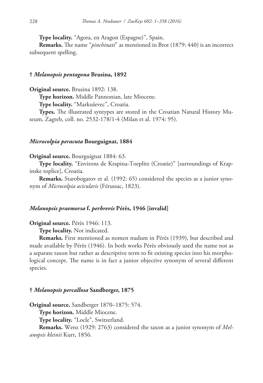**Type locality.** "Agora, en Aragon (Espagne)", Spain.

**Remarks.** The name "*pinchinati*" as mentioned in Brot (1879: 440) is an incorrect subsequent spelling.

## **†** *Melanopsis pentagona* **Brusina, 1892**

**Original source.** Brusina 1892: 138.

**Type horizon.** Middle Pannonian, late Miocene.

**Type locality.** "Markuševec", Croatia.

**Types.** The illustrated syntypes are stored in the Croatian Natural History Museum, Zagreb, coll. no. 2532-178/1-4 (Milan et al. 1974: 95).

### *Microcolpia peracuta* **Bourguignat, 1884**

#### **Original source.** Bourguignat 1884: 63.

**Type locality.** "Environs de Krapina-Toeplitz (Croatie)" [surroundings of Krapinske toplice], Croatia.

**Remarks.** Starobogatov et al. (1992: 65) considered the species as a junior synonym of *Microcolpia acicularis* (Férussac, 1823).

### *Melanopsis praemorsa* **f.** *perbrevis* **Pérès, 1946 [invalid]**

**Original source.** Pérès 1946: 113.

**Type locality.** Not indicated.

**Remarks.** First mentioned as nomen nudum in Pérès (1939), but described and made available by Pérès (1946). In both works Pérès obviously used the name not as a separate taxon but rather as descriptive term to fit existing species into his morphological concept. The name is in fact a junior objective synonym of several different species.

### **†** *Melanopsis percallosa* **Sandberger, 1875**

**Original source.** Sandberger 1870–1875: 574.

**Type horizon.** Middle Miocene.

**Type locality.** "Locle", Switzerland.

**Remarks.** Wenz (1929: 2763) considered the taxon as a junior synonym of *Melanopsis kleinii* Kurr, 1856.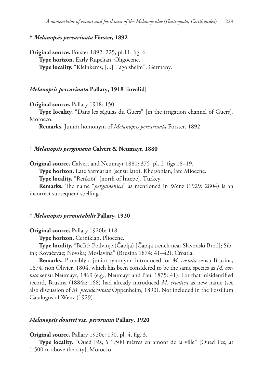## **†** *Melanopsis percarinata* **Förster, 1892**

**Original source.** Förster 1892: 225, pl.11, fig. 6. **Type horizon.** Early Rupelian, Oligocene. **Type locality.** "Kleinkems, [...] Tagolsheim", Germany.

## *Melanopsis percarinata* **Pallary, 1918 [invalid]**

**Original source.** Pallary 1918: 150.

**Type locality.** "Dans les séguias du Guers" [in the irrigation channel of Guers], Morocco.

**Remarks.** Junior homonym of *Melanopsis percarinata* Förster, 1892.

## **†** *Melanopsis pergamena* **Calvert & Neumayr, 1880**

**Original source.** Calvert and Neumayr 1880: 375, pl. 2, figs 18–19.

**Type horizon.** Late Sarmatian (sensu lato), Khersonian, late Miocene.

**Type locality.** "Renkiöi" [north of İntepe], Turkey.

**Remarks.** The name "*pergamenica*" as mentioned in Wenz (1929: 2804) is an incorrect subsequent spelling.

## **†** *Melanopsis permutabilis* **Pallary, 1920**

**Original source.** Pallary 1920b: 118.

**Type horizon.** Cernikian, Pliocene.

**Type locality.** "Bečić; Podvinje (Čaplja) [Čaplja trench near Slavonski Brod]; Sibinj; Kovačevac; Novska; Moslavina" (Brusina 1874: 41–42), Croatia.

**Remarks.** Probably a junior synonym: introduced for *M. costata* sensu Brusina, 1874, non Olivier, 1804, which has been considered to be the same species as *M. costata* sensu Neumayr, 1869 (e.g., Neumayr and Paul 1875: 41). For that misidentified record, Brusina (1884a: 168) had already introduced *M. croatica* as new name (see also discussion of *M. pseudocostata* Oppenheim, 1890). Not included in the Fossilium Catalogus of Wenz (1929).

#### *Melanopsis douttei* **var.** *perornata* **Pallary, 1920**

**Original source.** Pallary 1920c: 150, pl. 4, fig. 3.

**Type locality.** "Oued Fès, à 1.500 mètres en amont de la ville" [Oued Fes, at 1.500 m above the city], Morocco.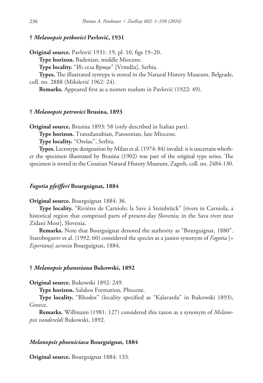## **†** *Melanopsis petkovici* **Pavlović, 1931**

**Original source.** Pavlović 1931: 19, pl. 10, figs 19–20.

**Type horizon.** Badenian, middle Miocene.

**Type locality.** "Из села Врмџе" [Vrmdža], Serbia.

**Types.** The illustrated syntype is stored in the Natural History Museum, Belgrade, coll. no. 2888 (Milošević 1962: 24).

**Remarks.** Appeared first as a nomen nudum in Pavlović (1922: 49).

## **†** *Melanopsis petrovici* **Brusina, 1893**

**Original source.** Brusina 1893: 58 (only described in Italian part).

**Type horizon.** Transdanubian, Pannonian, late Miocene.

**Type locality.** "Orešac", Serbia.

**Types.** Lectotype designation by Milan et al. (1974: 84) invalid: it is uncertain whether the specimen illustrated by Brusina (1902) was part of the original type series. The specimen is stored in the Croatian Natural History Museum, Zagreb, coll. no. 2484-130.

### *Fagotia pfeifferi* **Bourguignat, 1884**

#### **Original source.** Bourguignat 1884: 36.

**Type locality.** "Rivières de Carniole; la Save à Steinbrück" [rivers in Carniola, a historical region that comprised parts of present-day Slovenia; in the Sava river near Zidani Most], Slovenia.

**Remarks.** Note that Bourguignat denoted the authority as "Bourguignat, 1880". Starobogatov et al. (1992: 60) considered the species as a junior synonym of *Fagotia* [= *Esperiana*] *acroxia* Bourguignat, 1884.

#### **†** *Melanopsis phanesiana* **Bukowski, 1892**

**Original source.** Bukowski 1892: 249.

**Type horizon.** Salakos Formation, Pliocene.

**Type locality.** "Rhodos" (locality specified as "Kalavarda" in Bukowski 1893), Greece.

**Remarks.** Willmann (1981: 127) considered this taxon as a synonym of *Melanopsis vandeveldi* Bukowski, 1892.

#### *Melanopsis phoeniciaca* **Bourguignat, 1884**

**Original source.** Bourguignat 1884: 133.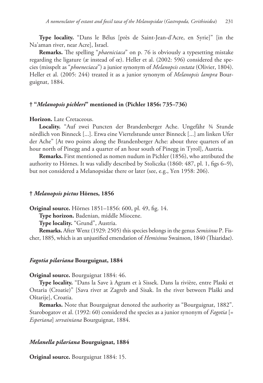**Type locality.** "Dans le Bélus [près de Saint-Jean-d'Acre, en Syrie]" [in the Na'aman river, near Acre], Israel.

**Remarks.** The spelling "*phaeniciaca*" on p. 76 is obviously a typesetting mistake regarding the ligature (æ instead of œ). Heller et al. (2002: 596) considered the species (misspelt as "*phoeneciaca*") a junior synonym of *Melanopsis costata* (Olivier, 1804). Heller et al. (2005: 244) treated it as a junior synonym of *Melanopsis lampra* Bourguignat, 1884.

# **† "***Melanopsis pichleri***" mentioned in (Pichler 1856: 735–736)**

## **Horizon.** Late Cretaceous.

**Locality.** "Auf zwei Puncten der Brandenberger Ache. Ungefähr ¾ Stunde nördlich von Binneck [...]. Etwa eine Viertelstunde unter Binneck [...] am linken Ufer der Ache" [At two points along the Brandenberger Ache: about three quarters of an hour north of Pinegg and a quarter of an hour south of Pinegg in Tyrol], Austria.

**Remarks.** First mentioned as nomen nudum in Pichler (1856), who attributed the authority to Hörnes. It was validly described by Stoliczka (1860: 487, pl. 1, figs 6–9), but not considered a Melanopsidae there or later (see, e.g., Yen 1958: 206).

### **†** *Melanopsis pictus* **Hörnes, 1856**

**Original source.** Hörnes 1851–1856: 600, pl. 49, fig. 14.

**Type horizon.** Badenian, middle Miocene.

**Type locality.** "Grund", Austria.

**Remarks.** After Wenz (1929: 2505) this species belongs in the genus *Semisinus* P. Fischer, 1885, which is an unjustified emendation of *Hemisinus* Swainson, 1840 (Thiaridae).

## *Fagotia pilariana* **Bourguignat, 1884**

#### **Original source.** Bourguignat 1884: 46.

**Type locality.** "Dans la Save à Agram et à Sissek. Dans la rivière, entre Plaski et Ostaria (Croatie)" [Sava river at Zagreb and Sisak. In the river between Plaški and Oštarije], Croatia.

**Remarks.** Note that Bourguignat denoted the authority as "Bourguignat, 1882". Starobogatov et al. (1992: 60) considered the species as a junior synonym of *Fagotia* [= *Esperiana*] *servainiana* Bourguignat, 1884.

#### *Melanella pilariana* **Bourguignat, 1884**

**Original source.** Bourguignat 1884: 15.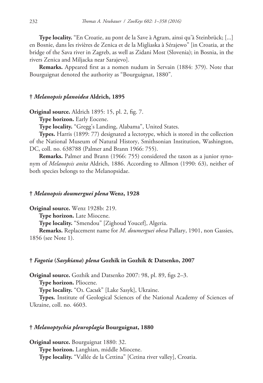**Type locality.** "En Croatie, au pont de la Save à Agram, ainsi qu'à Steinbrück; [...] en Bosnie, dans les rivières de Zenica et de la Migliaska à Sérajewo" [in Croatia, at the bridge of the Sava river in Zagreb, as well as Zidani Most (Slovenia); in Bosnia, in the rivers Zenica and Miljacka near Sarajevo].

**Remarks.** Appeared first as a nomen nudum in Servain (1884: 379). Note that Bourguignat denoted the authority as "Bourguignat, 1880".

### **†** *Melanopsis planoidea* **Aldrich, 1895**

**Original source.** Aldrich 1895: 15, pl. 2, fig. 7.

**Type horizon.** Early Eocene.

**Type locality.** "Gregg's Landing, Alabama", United States.

**Types.** Harris (1899: 77) designated a lectotype, which is stored in the collection of the National Museum of Natural History, Smithsonian Institution, Washington, DC, coll. no. 638788 (Palmer and Brann 1966: 755).

**Remarks.** Palmer and Brann (1966: 755) considered the taxon as a junior synonym of *Melanopsis anita* Aldrich, 1886. According to Allmon (1990: 63), neither of both species belongs to the Melanopsidae.

#### **†** *Melanopsis doumerguei plena* **Wenz, 1928**

**Original source.** Wenz 1928b: 219.

**Type horizon.** Late Miocene.

**Type locality.** "Smendou" [Zighoud Youcef], Algeria.

**Remarks.** Replacement name for *M*. *doumerguei obesa* Pallary, 1901, non Gassies, 1856 (see Note 1).

## **†** *Fagotia* **(***Sasykiana***)** *plena* **Gozhik in Gozhik & Datsenko, 2007**

**Original source.** Gozhik and Datsenko 2007: 98, pl. 89, figs 2–3.

**Type horizon.** Pliocene.

**Type locality.** "Oз. Сасык" [Lake Sasyk], Ukraine.

**Types.** Institute of Geological Sciences of the National Academy of Sciences of Ukraine, coll. no. 4603.

#### **†** *Melanoptychia pleuroplagia* **Bourguignat, 1880**

**Original source.** Bourguignat 1880: 32. **Type horizon.** Langhian, middle Miocene. **Type locality.** "Vallée de la Cettina" [Cetina river valley], Croatia.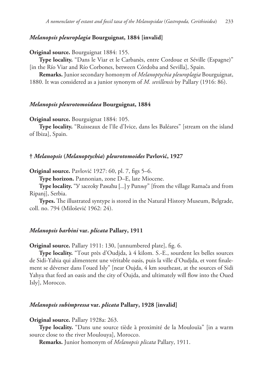## *Melanopsis pleuroplagia* **Bourguignat, 1884 [invalid]**

**Original source.** Bourguignat 1884: 155.

**Type locality.** "Dans le Viar et le Carbanès, entre Cordoue et Séville (Espagne)" [in the Río Viar and Río Corbones, between Córdoba and Sevilla], Spain.

**Remarks.** Junior secondary homonym of *Melanoptychia pleuroplagia* Bourguignat, 1880. It was considered as a junior synonym of *M. sevillensis* by Pallary (1916: 86).

### *Melanopsis pleurotomoidaea* **Bourguignat, 1884**

**Original source.** Bourguignat 1884: 105.

**Type locality.** "Ruisseaux de l'île d'Ivice, dans les Baléares" [stream on the island of Ibiza], Spain.

### **†** *Melanopsis* **(***Melanoptychia***)** *pleurotomoides* **Pavlović, 1927**

**Original source.** Pavlović 1927: 60, pl. 7, figs 5–6.

**Type horizon.** Pannonian, zone D–E, late Miocene.

**Type locality.** "У засеоку Рамаћи [...] у Рипњу" [from the village Ramača and from Ripanj], Serbia.

**Types.** The illustrated syntype is stored in the Natural History Museum, Belgrade, coll. no. 794 (Milošević 1962: 24).

#### *Melanopsis barbini* **var.** *plicata* **Pallary, 1911**

**Original source.** Pallary 1911: 130, [unnumbered plate], fig. 6.

**Type locality.** "Tout près d'Oudjda, à 4 kilom. S.-E., sourdent les belles sources de Sidi-Yahia qui alimentent une véritable oasis, puis la ville d'Oudjda, et vont finalement se déverser dans l'oued Isly" [near Oujda, 4 km southeast, at the sources of Sidi Yahya that feed an oasis and the city of Oujda, and ultimately will flow into the Oued Isly], Morocco.

## *Melanopsis subimpressa* **var.** *plicata* **Pallary, 1928 [invalid]**

**Original source.** Pallary 1928a: 263.

**Type locality.** "Dans une source tiède à proximité de la Moulouïa" [in a warm source close to the river Moulouya], Morocco.

**Remarks.** Junior homonym of *Melanopsis plicata* Pallary, 1911.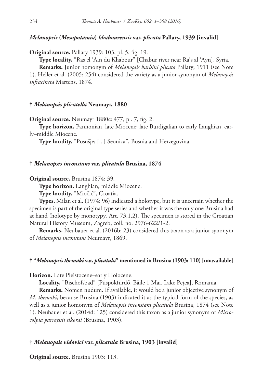## *Melanopsis* **(***Mesopotamia***)** *khabourensis* **var.** *plicata* **Pallary, 1939 [invalid]**

**Original source.** Pallary 1939: 103, pl. 5, fig. 19.

**Type locality.** "Ras el 'Ain du Khabour" [Chabur river near Ra's al 'Ayn], Syria.

**Remarks.** Junior homonym of *Melanopsis barbini plicata* Pallary, 1911 (see Note 1). Heller et al. (2005: 254) considered the variety as a junior synonym of *Melanopsis infracincta* Martens, 1874.

### **†** *Melanopsis plicatella* **Neumayr, 1880**

**Original source.** Neumayr 1880c: 477, pl. 7, fig. 2.

**Type horizon.** Pannonian, late Miocene; late Burdigalian to early Langhian, early–middle Miocene.

**Type locality.** "Posušje; [...] Seonica", Bosnia and Herzegovina.

## **†** *Melanopsis inconstans* **var.** *plicatula* **Brusina, 1874**

**Original source.** Brusina 1874: 39.

**Type horizon.** Langhian, middle Miocene.

**Type locality.** "Miočić", Croatia.

**Types.** Milan et al. (1974: 96) indicated a holotype, but it is uncertain whether the specimen is part of the original type series and whether it was the only one Brusina had at hand (holotype by monotypy, Art. 73.1.2). The specimen is stored in the Croatian Natural History Museum, Zagreb, coll. no. 2976-622/1-2.

**Remarks.** Neubauer et al. (2016b: 23) considered this taxon as a junior synonym of *Melanopsis inconstans* Neumayr, 1869.

### **† "***Melanopsis themaki* **var.** *plicatula***" mentioned in Brusina (1903: 110) [unavailable]**

**Horizon.** Late Pleistocene–early Holocene.

**Locality.** "Bischofsbad" [Püspökfürdő, Băile 1 Mai, Lake Pețea], Romania.

**Remarks.** Nomen nudum. If available, it would be a junior objective synonym of *M. themaki*, because Brusina (1903) indicated it as the typical form of the species, as well as a junior homonym of *Melanopsis inconstans plicatula* Brusina, 1874 (see Note 1). Neubauer et al. (2014d: 125) considered this taxon as a junior synonym of *Microcolpia parreyssii sikorai* (Brusina, 1903).

# **†** *Melanopsis vidovici* **var.** *plicatula* **Brusina, 1903 [invalid]**

**Original source.** Brusina 1903: 113.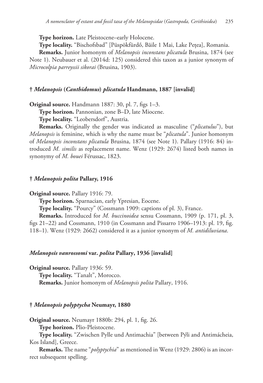**Type horizon.** Late Pleistocene–early Holocene.

**Type locality.** "Bischofsbad" [Püspökfürdő, Băile 1 Mai, Lake Pețea], Romania.

**Remarks.** Junior homonym of *Melanopsis inconstans plicatula* Brusina, 1874 (see Note 1). Neubauer et al. (2014d: 125) considered this taxon as a junior synonym of *Microcolpia parreyssii sikorai* (Brusina, 1903).

## **†** *Melanopsis* **(***Canthidomus***)** *plicatula* **Handmann, 1887 [invalid]**

**Original source.** Handmann 1887: 30, pl. 7, figs 1–3.

**Type horizon.** Pannonian, zone B–D, late Miocene.

**Type locality.** "Leobersdorf", Austria.

**Remarks.** Originally the gender was indicated as masculine ("*plicatulus*"), but *Melanopsis* is feminine, which is why the name must be "*plicatula*". Junior homonym of *Melanopsis inconstans plicatula* Brusina, 1874 (see Note 1). Pallary (1916: 84) introduced *M. similis* as replacement name. Wenz (1929: 2674) listed both names in synonymy of *M. bouei* Férussac, 1823.

## **†** *Melanopsis polita* **Pallary, 1916**

**Original source.** Pallary 1916: 79.

**Type horizon.** Sparnacian, early Ypresian, Eocene.

**Type locality.** "Pourcy" (Cossmann 1909: captions of pl. 3), France.

**Remarks.** Introduced for *M. buccinoidea* sensu Cossmann, 1909 (p. 171, pl. 3, figs 21–22) and Cossmann, 1910 (in Cossmann and Pissarro 1906–1913: pl. 19, fig. 118–1). Wenz (1929: 2662) considered it as a junior synonym of *M. antidiluviana*.

### *Melanopsis vanrossomi* **var.** *polita* **Pallary, 1936 [invalid]**

**Original source.** Pallary 1936: 59.

Type locality. "Tanalt", Morocco.

**Remarks.** Junior homonym of *Melanopsis polita* Pallary, 1916.

## **†** *Melanopsis polyptycha* **Neumayr, 1880**

**Original source.** Neumayr 1880b: 294, pl. 1, fig. 26.

**Type horizon.** Plio-Pleistocene.

**Type locality.** "Zwischen Pylle und Antimachia" [between Pýli and Antimácheia, Kos Island], Greece.

**Remarks.** The name "*polyptychia*" as mentioned in Wenz (1929: 2806) is an incorrect subsequent spelling.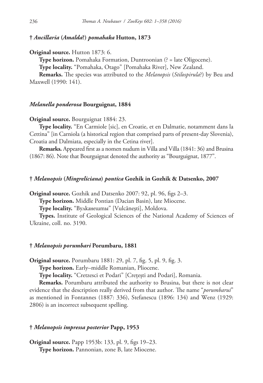## **†** *Ancillaria* **(***Amalda***?)** *pomahaka* **Hutton, 1873**

**Original source.** Hutton 1873: 6.

**Type horizon.** Pomahaka Formation, Duntroonian (? = late Oligocene).

**Type locality.** "Pomahaka, Otago" [Pomahaka River], New Zealand.

**Remarks.** The species was attributed to the *Melanopsis* (*Stilospirula*?) by Beu and Maxwell (1990: 141).

## *Melanella ponderosa* **Bourguignat, 1884**

**Original source.** Bourguignat 1884: 23.

**Type locality.** "En Carmiole [sic], en Croatie, et en Dalmatie, notamment dans la Cettina" [in Carniola (a historical region that comprised parts of present-day Slovenia), Croatia and Dalmiata, especially in the Cetina river].

**Remarks.** Appeared first as a nomen nudum in Villa and Villa (1841: 36) and Brusina (1867: 86). Note that Bourguignat denoted the authority as "Bourguignat, 1877".

### **†** *Melanopsis* **(***Mingreliciana***)** *pontica* **Gozhik in Gozhik & Datsenko, 2007**

**Original source.** Gozhik and Datsenko 2007: 92, pl. 96, figs 2–3.

**Type horizon.** Middle Pontian (Dacian Basin), late Miocene.

**Type locality.** "Вулканешты" [Vulcăneşti], Moldova.

**Types.** Institute of Geological Sciences of the National Academy of Sciences of Ukraine, coll. no. 3190.

#### **†** *Melanopsis porumbari* **Porumbaru, 1881**

**Original source.** Porumbaru 1881: 29, pl. 7, fig. 5, pl. 9, fig. 3.

**Type horizon.** Early–middle Romanian, Pliocene.

**Type locality.** "Cretzesci et Podari" [Crețești and Podari], Romania.

**Remarks.** Porumbaru attributed the authority to Brusina, but there is not clear evidence that the description really derived from that author. The name "*porumbarui*" as mentioned in Fontannes (1887: 336), Stefanescu (1896: 134) and Wenz (1929: 2806) is an incorrect subsequent spelling.

## **†** *Melanopsis impressa posterior* **Papp, 1953**

**Original source.** Papp 1953b: 133, pl. 9, figs 19–23. **Type horizon.** Pannonian, zone B, late Miocene.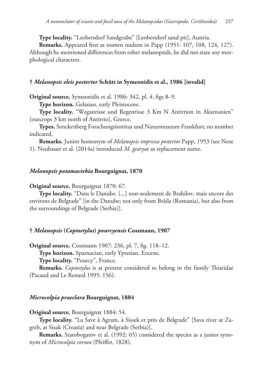**Type locality.** "Leobersdorf Sandgrube" [Leobersdorf sand pit], Austria.

**Remarks.** Appeared first as nomen nudum in Papp (1951: 107, 108, 124, 127). Although he mentioned differences from other melanopsids, he did not state any morphological characters.

## **†** *Melanopsis eleis posterior* **Schütt in Symeonidis et al., 1986 [invalid]**

**Original source.** Symeonidis et al. 1986: 342, pl. 4, figs 8–9.

**Type horizon.** Gelasian, early Pleistocene.

**Type locality.** "Weganrisse und Regenrisse 3 Km N Antirrion in Akarnanien" [outcrops 3 km north of Antirrio], Greece.

**Types.** Senckenberg Forschungsinstitut und Naturmuseum Frankfurt; no number indicated.

**Remarks.** Junior homonym of *Melanopsis impressa posterior* Papp, 1953 (see Note 1). Neubauer et al. (2014a) introduced *M. gearyae* as replacement name.

### *Melanopsis potamactebia* **Bourguignat, 1870**

### **Original source.** Bourguignat 1870: 67.

**Type locality.** "Dans le Danube. [...] non-seulement de Brahilov, mais encore des environs de Belgrade" [in the Danube; not only from Brăila (Romania), but also from the surroundings of Belgrade (Serbia)].

## **†** *Melanopsis* **(***Coptostylus***)** *pourcyensis* **Cossmann, 1907**

**Original source.** Cossmann 1907: 236, pl. 7, fig. 118–12.

**Type horizon.** Sparnacian, early Ypresian, Eocene.

**Type locality.** "Pourcy", France.

**Remarks.** *Coptostylus* is at present considered to belong in the family Thiaridae (Pacaud and Le Renard 1995: 156).

## *Microcolpia praeclara* **Bourguignat, 1884**

## **Original source.** Bourguignat 1884: 54.

**Type locality.** "La Save à Agram, à Sissek et près de Belgrade" [Sava river at Zagreb, at Sisak (Croatia) and near Belgrade (Serbia)].

**Remarks.** Starobogatov et al. (1992: 65) considered the species as a junior synonym of *Microcolpia cornea* (Pfeiffer, 1828).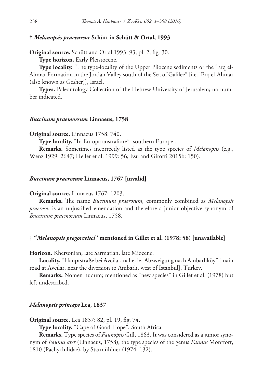### **†** *Melanopsis praecursor* **Schütt in Schütt & Ortal, 1993**

**Original source.** Schütt and Ortal 1993: 93, pl. 2, fig. 30.

**Type horizon.** Early Pleistocene.

**Type locality.** "The type-locality of the Upper Pliocene sediments or the 'Erq el-Ahmar Formation in the Jordan Valley south of the Sea of Galilee" [i.e. 'Erq el-Ahmar (also known as Gesher)], Israel.

**Types.** Paleontology Collection of the Hebrew University of Jerusalem; no number indicated.

### *Buccinum praemorsum* **Linnaeus, 1758**

**Original source.** Linnaeus 1758: 740.

**Type locality.** "In Europa australiore" [southern Europe].

**Remarks.** Sometimes incorrectly listed as the type species of *Melanopsis* (e.g., Wenz 1929: 2647; Heller et al. 1999: 56; Esu and Girotti 2015b: 150).

#### *Buccinum praerosum* **Linnaeus, 1767 [invalid]**

#### **Original source.** Linnaeus 1767: 1203.

**Remarks.** The name *Buccinum praerosum*, commonly combined as *Melanopsis praerosa*, is an unjustified emendation and therefore a junior objective synonym of *Buccinum praemorsum* Linnaeus, 1758.

#### **† "***Melanopsis pregorceisci***" mentioned in Gillet et al. (1978: 58) [unavailable]**

**Horizon.** Khersonian, late Sarmatian, late Miocene.

**Locality.** "Hauptstraße bei Avcilar, nahe der Abzweigung nach Ambarliköy" [main road at Avcılar, near the diversion to Ambarlı, west of Istanbul], Turkey.

**Remarks.** Nomen nudum; mentioned as "new species" in Gillet et al. (1978) but left undescribed.

## *Melanopsis princeps* **Lea, 1837**

**Original source.** Lea 1837: 82, pl. 19, fig. 74.

**Type locality.** "Cape of Good Hope", South Africa.

**Remarks.** Type species of *Faunopsis* Gill, 1863. It was considered as a junior synonym of *Faunus ater* (Linnaeus, 1758), the type species of the genus *Faunus* Montfort, 1810 (Pachychilidae), by Starmühlner (1974: 132).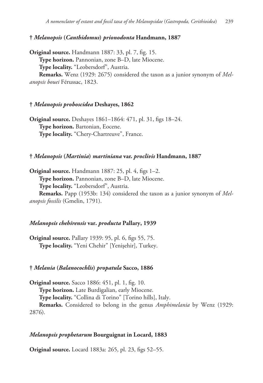**†** *Melanopsis* **(***Canthidomus***)** *prionodonta* **Handmann, 1887**

**Original source.** Handmann 1887: 33, pl. 7, fig. 15. **Type horizon.** Pannonian, zone B–D, late Miocene. **Type locality.** "Leobersdorf", Austria. **Remarks.** Wenz (1929: 2675) considered the taxon as a junior synonym of *Melanopsis bouei* Férussac, 1823.

### **†** *Melanopsis proboscidea* **Deshayes, 1862**

**Original source.** Deshayes 1861–1864: 471, pl. 31, figs 18–24. **Type horizon.** Bartonian, Eocene. **Type locality.** "Chery-Chartreuve", France.

#### **†** *Melanopsis* **(***Martinia***)** *martiniana* **var.** *proclivis* **Handmann, 1887**

**Original source.** Handmann 1887: 25, pl. 4, figs 1–2. **Type horizon.** Pannonian, zone B–D, late Miocene. **Type locality.** "Leobersdorf", Austria.

**Remarks.** Papp (1953b: 134) considered the taxon as a junior synonym of *Melanopsis fossilis* (Gmelin, 1791).

#### *Melanopsis chehirensis* **var.** *producta* **Pallary, 1939**

**Original source.** Pallary 1939: 95, pl. 6, figs 55, 75. **Type locality.** "Yeni Chehir" [Yenişehir], Turkey.

#### **†** *Melania* **(***Balanocochlis***)** *propatula* **Sacco, 1886**

**Original source.** Sacco 1886: 451, pl. 1, fig. 10.

**Type horizon.** Late Burdigalian, early Miocene.

**Type locality.** "Collina di Torino" [Torino hills], Italy.

**Remarks.** Considered to belong in the genus *Amphimelania* by Wenz (1929: 2876).

#### *Melanopsis prophetarum* **Bourguignat in Locard, 1883**

**Original source.** Locard 1883a: 265, pl. 23, figs 52–55.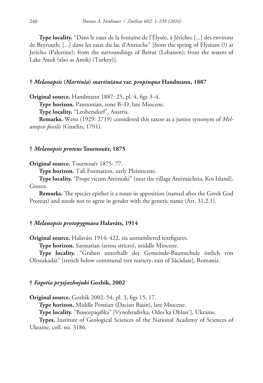**Type locality.** "Dans le eaux de la fontaine de l'Élysée, à Jéricho; [...] des environs de Beyrouth; [...] dans les eaux du lac d'Antioche" [from the spring of Elysium (?) at Jericho (Palestine); from the surroundings of Beirut (Lebanon); from the waters of Lake Anuk (also as Amik) (Turkey)].

### **†** *Melanopsis* **(***Martinia***)** *martiniana* **var.** *propinqua* **Handmann, 1887**

**Original source.** Handmann 1887: 25, pl. 4, figs 3–4.

**Type horizon.** Pannonian, zone B–D, late Miocene.

**Type locality.** "Leobersdorf", Austria.

**Remarks.** Wenz (1929: 2719) considered this taxon as a junior synonym of *Melanopsis fossilis* (Gmelin, 1791).

## **†** *Melanopsis proteus* **Tournouër, 1875**

**Original source.** Tournouër 1875: 77.

**Type horizon.** Tafi Formation, early Pleistocene.

**Type locality.** "Prope vicum Antimaki" [near the village Antimácheia, Kos Island], Greece.

**Remarks.** The species epithet is a noun in apposition (named after the Greek God Proteus) and needs not to agree in gender with the generic name (Art. 31.2.1).

# **†** *Melanopsis protopygmaea* **Halaváts, 1914**

**Original source.** Halaváts 1914: 422, six unnumbered textfigures.

**Type horizon.** Sarmatian (sensu stricto), middle Miocene.

**Type locality.** "Graben unterhalb der Gemeinde-Baumschule östlich von Oltszakadát" [trench below communal tree nursery, east of Săcădate], Romania.

### **†** *Fagotia prysjazhnjuki* **Gozhik, 2002**

**Original source.** Gozhik 2002: 54, pl. 3, figs 15, 17.

**Type horizon.** Middle Pontian (Dacian Basin), late Miocene.

**Type locality.** "Виноградівка" [Vynohradivka, Odes'ka Oblast'], Ukraine.

**Types.** Institute of Geological Sciences of the National Academy of Sciences of Ukraine, coll. no. 3186.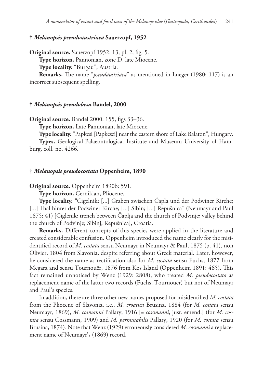## **†** *Melanopsis pseudoaustriaca* **Sauerzopf, 1952**

**Original source.** Sauerzopf 1952: 13, pl. 2, fig. 5. **Type horizon.** Pannonian, zone D, late Miocene. **Type locality.** "Burgau", Austria. **Remarks.** The name "*pseudaustriaca*" as mentioned in Lueger (1980: 117) is an

incorrect subsequent spelling.

## **†** *Melanopsis pseudobesa* **Bandel, 2000**

**Original source.** Bandel 2000: 155, figs 33–36.

**Type horizon.** Late Pannonian, late Miocene.

**Type locality.** "Papkesi [Papkeszi] near the eastern shore of Lake Balaton", Hungary.

**Types.** Geological-Palaeontological Institute and Museum University of Hamburg, coll. no. 4266.

### **†** *Melanopsis pseudocostata* **Oppenheim, 1890**

**Original source.** Oppenheim 1890b: 591.

**Type horizon.** Cernikian, Pliocene.

**Type locality.** "Cigelnik; [...] Graben zwischen Čapla und der Podwiner Kirche; [...] Thal hinter der Podwiner Kirche; [...] Sibin; [...] Repušnica" (Neumayr and Paul 1875: 41) [Ciglenik; trench between Čaplja and the church of Podvinje; valley behind the church of Podvinje; Sibinj; Repušnica], Croatia.

**Remarks.** Different concepts of this species were applied in the literature and created considerable confusion. Oppenheim introduced the name clearly for the misidentified record of *M. costata* sensu Neumayr in Neumayr & Paul, 1875 (p. 41), non Olivier, 1804 from Slavonia, despite referring about Greek material. Later, however, he considered the name as rectification also for *M. costata* sensu Fuchs, 1877 from Megara and sensu Tournouër, 1876 from Kos Island (Oppenheim 1891: 465). This fact remained unnoticed by Wenz (1929: 2808), who treated *M. pseudocostata* as replacement name of the latter two records (Fuchs, Tournouër) but not of Neumayr and Paul's species.

In addition, there are three other new names proposed for misidentified *M. costata* from the Pliocene of Slavonia, i.e., *M. croatica* Brusina, 1884 (for *M. costata* sensu Neumayr, 1869), *M. cosmanni* Pallary, 1916 [= *cossmanni*, just. emend.] (for *M. costata* sensu Cossmann, 1909) and *M. permutabilis* Pallary, 1920 (for *M. costata* sensu Brusina, 1874). Note that Wenz (1929) erroneously considered *M. cosmanni* a replacement name of Neumayr's (1869) record.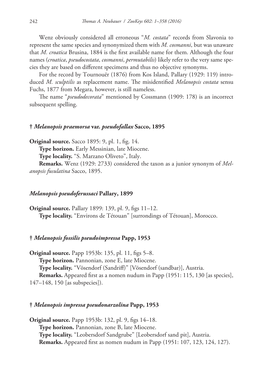Wenz obviously considered all erroneous "*M. costata*" records from Slavonia to represent the same species and synonymized them with *M. cosmanni*, but was unaware that *M. croatica* Brusina, 1884 is the first available name for them. Although the four names (*croatica*, *pseudocostata*, *cosmanni*, *permutabilis*) likely refer to the very same species they are based on different specimens and thus no objective synonyms.

For the record by Tournouër (1876) from Kos Island, Pallary (1929: 119) introduced *M. sculptilis* as replacement name. The misidentified *Melanopsis costata* sensu Fuchs, 1877 from Megara, however, is still nameless.

The name "*pseudodecorata*" mentioned by Cossmann (1909: 178) is an incorrect subsequent spelling.

### **†** *Melanopsis praemorsa* **var.** *pseudofallax* **Sacco, 1895**

**Original source.** Sacco 1895: 9, pl. 1, fig. 14.

**Type horizon.** Early Messinian, late Miocene.

**Type locality.** "S. Marzano Oliveto", Italy.

**Remarks.** Wenz (1929: 2733) considered the taxon as a junior synonym of *Melanopsis fusulatina* Sacco, 1895.

## *Melanopsis pseudoferussaci* **Pallary, 1899**

**Original source.** Pallary 1899: 139, pl. 9, figs 11–12. **Type locality.** "Environs de Tétouan" [surrondings of Tétouan], Morocco.

# **†** *Melanopsis fossilis pseudoimpressa* **Papp, 1953**

**Original source.** Papp 1953b: 135, pl. 11, figs 5–8. **Type horizon.** Pannonian, zone E, late Miocene. **Type locality.** "Vösendorf (Sandriff)" [Vösendorf (sandbar)], Austria. **Remarks.** Appeared first as a nomen nudum in Papp (1951: 115, 130 [as species], 147–148, 150 [as subspecies]).

## **†** *Melanopsis impressa pseudonarzolina* **Papp, 1953**

**Original source.** Papp 1953b: 132, pl. 9, figs 14–18. **Type horizon.** Pannonian, zone B, late Miocene. **Type locality.** "Leobersdorf Sandgrube" [Leobersdorf sand pit], Austria. **Remarks.** Appeared first as nomen nudum in Papp (1951: 107, 123, 124, 127).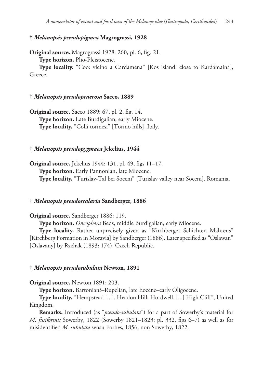# **†** *Melanopsis pseudopigmea* **Magrograssi, 1928**

**Original source.** Magrograssi 1928: 260, pl. 6, fig. 21. **Type horizon.** Plio-Pleistocene.

**Type locality.** "Coo: vicino a Cardamena" [Kos island: close to Kardámaina], Greece.

### **†** *Melanopsis pseudopraerosa* **Sacco, 1889**

**Original source.** Sacco 1889: 67, pl. 2, fig. 14. **Type horizon.** Late Burdigalian, early Miocene. **Type locality.** "Colli torinesi" [Torino hills], Italy.

# **†** *Melanopsis pseudopygmaea* **Jekelius, 1944**

**Original source.** Jekelius 1944: 131, pl. 49, figs 11–17. **Type horizon.** Early Pannonian, late Miocene. **Type locality.** "Turislav-Tal bei Soceni" [Turislav valley near Soceni], Romania.

## **†** *Melanopsis pseudoscalaria* **Sandberger, 1886**

### **Original source.** Sandberger 1886: 119.

**Type horizon.** *Oncophora* Beds, middle Burdigalian, early Miocene.

**Type locality.** Rather unprecisely given as "Kirchberger Schichten Mährens" [Kirchberg Formation in Moravia] by Sandberger (1886). Later specified as "Oslawan" [Oslavany] by Rzehak (1893: 174), Czech Republic.

#### **†** *Melanopsis pseudosubulata* **Newton, 1891**

**Original source.** Newton 1891: 203.

**Type horizon.** Bartonian?–Rupelian, late Eocene–early Oligocene.

**Type locality.** "Hempstead [...]. Headon Hill; Hordwell. [...] High Cliff", United Kingdom.

**Remarks.** Introduced (as "*pseudo-subulata*") for a part of Sowerby's material for *M. fusiformis* Sowerby, 1822 (Sowerby 1821–1823: pl. 332, figs 6–7) as well as for misidentified *M. subulata* sensu Forbes, 1856, non Sowerby, 1822.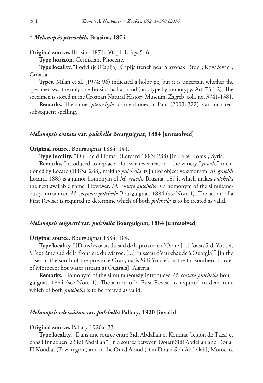## **†** *Melanopsis pterochila* **Brusina, 1874**

**Original source.** Brusina 1874: 30, pl. 1, figs 5–6.

**Type horizon.** Cernikian, Pliocene.

**Type locality.** "Podvinje (Čaplja) [Čaplja trench near Slavonski Brod]; Kovačevac", Croatia.

**Types.** Milan et al. (1974: 96) indicated a holotype, but it is uncertain whether the specimen was the only one Brusina had at hand (holotype by monotypy, Art. 73.1.2). The specimen is stored in the Croatian Natural History Museum, Zagreb, coll. no. 3741-1381.

**Remarks.** The name "*pterochyla*" as mentioned in Pană (2003: 322) is an incorrect subsequent spelling.

### *Melanopsis costata* **var.** *pulchella* **Bourguignat, 1884 [unresolved]**

#### **Original source.** Bourguignat 1884: 141.

**Type locality.** "Du Lac d'Homs" (Lorcard 1883: 288) [in Lake Homs], Syria.

**Remarks.** Introduced to replace - for whatever reason - the variety "*gracilis*" mentioned by Locard (1883a: 288), making *pulchella* its junior objective synonym. *M. gracilis* Locard, 1883 is a junior homonym of *M. gracilis* Brusina, 1874, which makes *pulchella* the next available name. However, *M. costata pulchella* is a homonym of the simultaneously introduced *M. seignetti pulchella* Bourguignat, 1884 (see Note 1). The action of a First Reviser is required to determine which of both *pulchella* is to be treated as valid.

# *Melanopsis seignetti* **var.** *pulchella* **Bourguignat, 1884 [unresolved]**

**Original source.** Bourguignat 1884: 104.

**Type locality.** "[Dans les oasis du sud de la province d'Oran; [...] l'oasis Sidi Yousef, à l'extrême sud de la frontière du Maroc; [...] ruisseau d'eau chaude à Ouargla]" [in the oases in the south of the province Oran; oasis Sidi Youcef, at the far southern border of Morocco; hot water stream at Ouargla], Algeria.

**Remarks.** Homonym of the simultaneously introduced *M. costata pulchella* Bourguignat, 1884 (see Note 1). The action of a First Reviser is required to determine which of both *pulchella* is to be treated as valid.

### *Melanopsis edrissiana* **var.** *pulchella* **Pallary, 1920 [invalid]**

#### **Original source.** Pallary 1920a: 33.

**Type locality.** "Dans une source entre Sidi Abdallah et Koudiat (région de Taza) et dans l'Innaouen, à Sidi Abdallah" [in a source between Douar Sidi Abdellah and Douar El Koudiat (Taza region) and in the Oued Abiod (?) in Douar Sidi Abdellah], Morocco.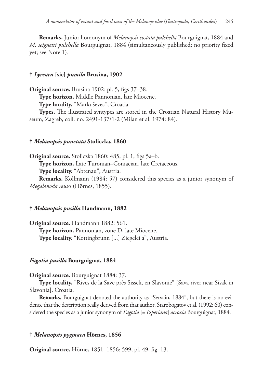**Remarks.** Junior homonym of *Melanopsis costata pulchella* Bourguignat, 1884 and *M. seignetti pulchella* Bourguignat, 1884 (simultaneously published; no priority fixed yet; see Note 1).

### **†** *Lyrcaea* **[sic]** *pumila* **Brusina, 1902**

**Original source.** Brusina 1902: pl. 5, figs 37–38. **Type horizon.** Middle Pannonian, late Miocene. **Type locality.** "Markuševec", Croatia.

**Types.** The illustrated syntypes are stored in the Croatian Natural History Museum, Zagreb, coll. no. 2491-137/1-2 (Milan et al. 1974: 84).

#### **†** *Melanopsis punctata* **Stoliczka, 1860**

**Original source.** Stoliczka 1860: 485, pl. 1, figs 5a–b. **Type horizon.** Late Turonian–Coniacian, late Cretaceous. **Type locality.** "Abtenau", Austria.

**Remarks.** Kollmann (1984: 57) considered this species as a junior synonym of *Megalonoda reussi* (Hörnes, 1855).

### **†** *Melanopsis pusilla* **Handmann, 1882**

**Original source.** Handmann 1882: 561. **Type horizon.** Pannonian, zone D, late Miocene. **Type locality.** "Kottingbrunn [...] Ziegelei a", Austria.

#### *Fagotia pusilla* **Bourguignat, 1884**

**Original source.** Bourguignat 1884: 37.

**Type locality.** "Rives de la Save près Sissek, en Slavonie" [Sava river near Sisak in Slavonia], Croatia.

**Remarks.** Bourguignat denoted the authority as "Servain, 1884", but there is no evidence that the description really derived from that author. Starobogatov et al. (1992: 60) considered the species as a junior synonym of *Fagotia* [= *Esperiana*] *acroxia* Bourguignat, 1884.

#### **†** *Melanopsis pygmaea* **Hörnes, 1856**

**Original source.** Hörnes 1851–1856: 599, pl. 49, fig. 13.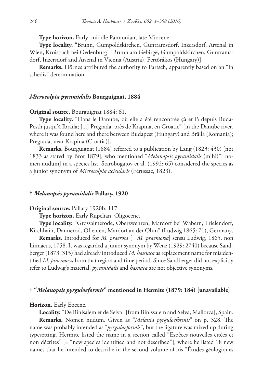**Type horizon.** Early–middle Pannonian, late Miocene.

**Type locality.** "Brunn, Gumpoldskirchen, Guntramsdorf, Inzersdorf, Arsenal in Wien, Kroisbach bei Oedenburg" [Brunn am Gebirge, Gumpoldskirchen, Guntramsdorf, Inzersdorf and Arsenal in Vienna (Austria), Fertőrákos (Hungary)].

**Remarks.** Hörnes attributed the authority to Partsch, apparently based on an "in schedis" determination.

# *Microcolpia pyramidalis* **Bourguignat, 1884**

## **Original source.** Bourguignat 1884: 61.

**Type locality.** "Dans le Danube, où elle a été rencontrée çà et là depuis Buda-Pesth jusqu'à Ibraila; [...] Pregrada, près de Krapina, en Croatie" [in the Danube river, where it was found here and there between Budapest (Hungary) and Brăila (Romania); Pregrada, near Krapina (Croatia)].

**Remarks.** Bourguignat (1884) referred to a publication by Lang (1823: 430) [not 1833 as stated by Brot 1879], who mentioned "*Melanopsis pyramidalis* (mihi)" [nomen nudum] in a species list. Starobogatov et al. (1992: 65) considered the species as a junior synonym of *Microcolpia acicularis* (Férussac, 1823).

### **†** *Melanopsis pyramidalis* **Pallary, 1920**

#### **Original source.** Pallary 1920b: 117.

**Type horizon.** Early Rupelian, Oligocene.

**Type locality.** "Grossalmerode, Oberzwehren, Mardorf bei Wabern, Frielendorf, Kirchhain, Dannerod, Ofleiden, Mardorf an der Ohm" (Ludwig 1865: 71), Germany.

**Remarks.** Introduced for *M. praerosa* [= *M. praemorsa*] sensu Ludwig, 1865, non Linnaeus, 1758. It was regarded a junior synonym by Wenz (1929: 2740) because Sandberger (1873: 315) had already introduced *M. hassiaca* as replacement name for misidentified *M. praemorsa* from that region and time period. Since Sandberger did not explicitly refer to Ludwig's material, *pyramidalis* and *hassiaca* are not objective synonyms.

### **† "***Melanopsis pyrguloeformis***" mentioned in Hermite (1879: 184) [unavailable]**

#### **Horizon.** Early Eocene.

**Locality.** "De Binisalem et de Selva" [from Binissalem and Selva, Mallorca], Spain.

**Remarks.** Nomen nudum. Given as "*Melania pyrguloeformis*" on p. 328. The name was probably intended as "*pyrgulaeformis*", but the ligature was mixed up during typesetting. Hermite listed the name in a section called "Espèces nouvelles citées et non décrites" [= "new species identified and not described"], where he listed 18 new names that he intended to describe in the second volume of his "Études géologiques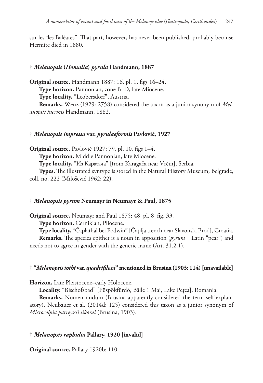sur les îles Baléares". That part, however, has never been published, probably because Hermite died in 1880.

## **†** *Melanopsis* **(***Homalia***)** *pyrula* **Handmann, 1887**

**Original source.** Handmann 1887: 16, pl. 1, figs 16–24. **Type horizon.** Pannonian, zone B–D, late Miocene. **Type locality.** "Leobersdorf", Austria.

**Remarks.** Wenz (1929: 2758) considered the taxon as a junior synonym of *Melanopsis inermis* Handmann, 1882.

### **†** *Melanopsis impressa* **var.** *pyrulaeformis* **Pavlović, 1927**

**Original source.** Pavlović 1927: 79, pl. 10, figs 1–4.

**Type horizon.** Middle Pannonian, late Miocene.

**Type locality.** "Из Карагача" [from Karagača near Vrčin], Serbia.

**Types.** The illustrated syntype is stored in the Natural History Museum, Belgrade, coll. no. 222 (Milošević 1962: 22).

## **†** *Melanopsis pyrum* **Neumayr in Neumayr & Paul, 1875**

**Original source.** Neumayr and Paul 1875: 48, pl. 8, fig. 33.

**Type horizon.** Cernikian, Pliocene.

**Type locality.** "Čaplathal bei Podwin" [Čaplja trench near Slavonski Brod], Croatia.

**Remarks.** The species epithet is a noun in apposition (*pyrum* = Latin "pear") and needs not to agree in gender with the generic name (Art. 31.2.1).

## **† "***Melanopsis tothi* **var.** *quadrifilosa***" mentioned in Brusina (1903: 114) [unavailable]**

**Horizon.** Late Pleistocene–early Holocene.

**Locality.** "Bischofsbad" [Püspökfürdő, Băile 1 Mai, Lake Pețea], Romania.

**Remarks.** Nomen nudum (Brusina apparently considered the term self-explanatory). Neubauer et al. (2014d: 125) considered this taxon as a junior synonym of *Microcolpia parreyssii sikorai* (Brusina, 1903).

## **†** *Melanopsis raphidia* **Pallary, 1920 [invalid]**

**Original source.** Pallary 1920b: 110.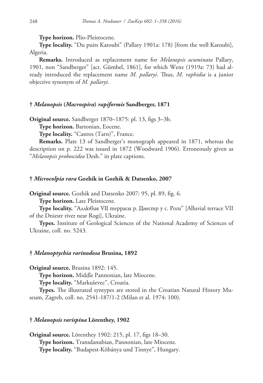**Type horizon.** Plio-Pleistocene.

**Type locality.** "Du puits Karoubi" (Pallary 1901a: 178) [from the well Karoubi], Algeria.

**Remarks.** Introduced as replacement name for *Melanopsis acuminata* Pallary, 1901, non "Sandberger" [act. Gümbel, 1861], for which Wenz (1919a: 73) had already introduced the replacement name *M. pallaryi*. Thus, *M. raphidia* is a junior objective synonym of *M. pallaryi*.

## **†** *Melanopsis* **(***Macrospira***)** *rapiformis* **Sandberger, 1871**

**Original source.** Sandberger 1870–1875: pl. 13, figs 3–3b.

**Type horizon.** Bartonian, Eocene.

**Type locality.** "Castres (Tarn)", France.

**Remarks.** Plate 13 of Sandberger's monograph appeared in 1871, whereas the description on p. 222 was issued in 1872 (Woodward 1906). Erroneously given as "*Melanopsis proboscidea* Desh." in plate captions.

### **†** *Microcolpia rara* **Gozhik in Gozhik & Datsenko, 2007**

**Original source.** Gozhik and Datsenko 2007: 95, pl. 89, fig. 6.

**Type horizon.** Late Pleistocene.

**Type locality.** "Aллювия VII террасы р. Днестр у с. Роги" [Alluvial terrace VII of the Dniestr river near Rogi], Ukraine.

**Types.** Institute of Geological Sciences of the National Academy of Sciences of Ukraine, coll. no. 5243.

### **†** *Melanoptychia rarinodosa* **Brusina, 1892**

**Original source.** Brusina 1892: 145.

**Type horizon.** Middle Pannonian, late Miocene.

**Type locality.** "Markuševec", Croatia.

**Types.** The illustrated syntypes are stored in the Croatian Natural History Museum, Zagreb, coll. no. 2541-187/1-2 (Milan et al. 1974: 100).

#### **†** *Melanopsis rarispina* **Lörenthey, 1902**

**Original source.** Lörenthey 1902: 215, pl. 17, figs 18–30. **Type horizon.** Transdanubian, Pannonian, late Miocene. **Type locality.** "Budapest-Köbánya und Tinnye", Hungary.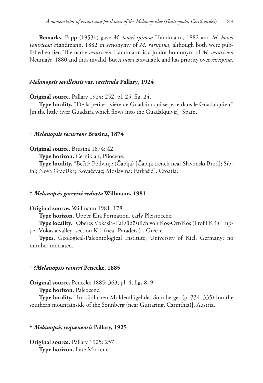**Remarks.** Papp (1953b) gave *M. bouei spinosa* Handmann, 1882 and *M. bouei ventricosa* Handmann, 1882 in synonymy of *M. rarispina*, although both were published earlier. The name *ventricosa* Handmann is a junior homonym of *M. ventricosa* Neumayr, 1880 and thus invalid, but *spinosa* is available and has priority over *rarispina*.

## *Melanopsis sevillensis* **var.** *rectituda* **Pallary, 1924**

**Original source.** Pallary 1924: 252, pl. 25, fig. 24.

**Type locality.** "De la petite rivière de Guadaira qui se jette dans le Guadalquivir" [in the little river Guadaira which flows into the Guadalquivir], Spain.

### **†** *Melanopsis recurrens* **Brusina, 1874**

**Original source.** Brusina 1874: 42.

**Type horizon.** Cernikian, Pliocene.

**Type locality.** "Bečić; Podvinje (Čaplja) [Čaplja trench near Slavonski Brod]; Sibinj; Nova Gradiška; Kovačevac; Moslavina; Farkašić", Croatia.

## **†** *Melanopsis gorceixi reducta* **Willmann, 1981**

**Original source.** Willmann 1981: 178.

**Type horizon.** Upper Elia Formation, early Pleistocene.

**Type locality.** "Oberes Vokasia-Tal südöstlich von Kos-Ort/Kos (Profil K 1)" [upper Vokasia valley, section K 1 (near Paradeísi)], Greece.

**Types.** Geological-Paleontological Institute, University of Kiel, Germany; no number indicated.

## **† ?***Melanopsis reineri* **Penecke, 1885**

**Original source.** Penecke 1885: 363, pl. 4, figs 8–9.

**Type horizon.** Paleocene.

**Type locality.** "Im südlichen Muldenflügel des Sonnberges (p. 334–335) [on the southern mountainside of the Sonnberg (near Guttaring, Carinthia)], Austria.

## **†** *Melanopsis requenensis* **Pallary, 1925**

**Original source.** Pallary 1925: 257. **Type horizon.** Late Miocene.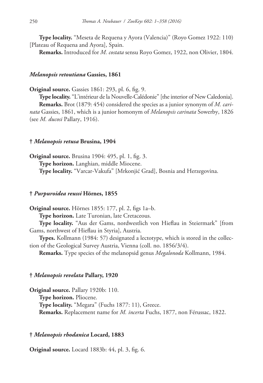**Type locality.** "Meseta de Requena y Ayora (Valencia)" (Royo Gomez 1922: 110) [Plateau of Requena and Ayora], Spain.

**Remarks.** Introduced for *M. costata* sensu Royo Gomez, 1922, non Olivier, 1804.

### *Melanopsis retoutiana* **Gassies, 1861**

**Original source.** Gassies 1861: 293, pl. 6, fig. 9.

**Type locality.** "L'intérieur de la Nouvelle-Calédonie" [the interior of New Caledonia]. **Remarks.** Brot (1879: 454) considered the species as a junior synonym of *M. carinata* Gassies, 1861, which is a junior homonym of *Melanopsis carinata* Sowerby, 1826 (see *M. ducosi* Pallary, 1916).

### **†** *Melanopsis retusa* **Brusina, 1904**

**Original source.** Brusina 1904: 495, pl. 1, fig. 3. **Type horizon.** Langhian, middle Miocene. **Type locality.** "Varcar-Vakufa" [Mrkonjić Grad], Bosnia and Herzegovina.

## **†** *Purpuroidea reussi* **Hörnes, 1855**

**Original source.** Hörnes 1855: 177, pl. 2, figs 1a–b. **Type horizon.** Late Turonian, late Cretaceous. **Type locality.** "Aus der Gams, nordwestlich von Hieflau in Steiermark" [from Gams, northwest of Hieflau in Styria], Austria. **Types.** Kollmann (1984: 57) designated a lectotype, which is stored in the collec-

tion of the Geological Survey Austria, Vienna (coll. no. 1856/3/4).

**Remarks.** Type species of the melanopsid genus *Megalonoda* Kollmann, 1984.

### **†** *Melanopsis revelata* **Pallary, 1920**

**Original source.** Pallary 1920b: 110. **Type horizon.** Pliocene. **Type locality.** "Megara" (Fuchs 1877: 11), Greece. **Remarks.** Replacement name for *M. incerta* Fuchs, 1877, non Férussac, 1822.

## **†** *Melanopsis rhodanica* **Locard, 1883**

**Original source.** Locard 1883b: 44, pl. 3, fig. 6.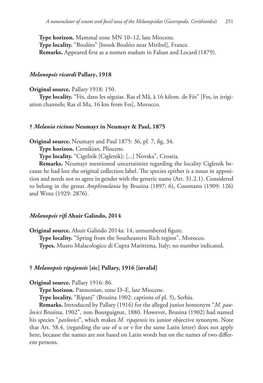**Type horizon.** Mammal zone MN 10–12, late Miocene. **Type locality.** "Boulées" [brook Boulées near Miribel], France. **Remarks.** Appeared first as a nomen nudum in Falsan and Locard (1879).

# *Melanopsis ricardi* **Pallary, 1918**

**Original source.** Pallary 1918: 150.

**Type locality.** "Fès, dans les séguias. Ras el Mâ, à 16 kilom. de Fès" [Fes, in irrigiation channels; Ras el Ma, 16 km from Fes], Morocco.

### **†** *Melania ricinus* **Neumayr in Neumayr & Paul, 1875**

**Original source.** Neumayr and Paul 1875: 36, pl. 7, fig. 34.

**Type horizon.** Cernikian, Pliocene.

**Type locality.** "Cigelnik [Ciglenik]; [...] Novska", Croatia.

**Remarks.** Neumayr mentioned uncertainties regarding the locality Ciglenik because he had lost the original collection label. The species epithet is a noun in apposition and needs not to agree in gender with the generic name (Art. 31.2.1). Considered to belong in the genus *Amphimelania* by Brusina (1897: 6), Cossmann (1909: 126) and Wenz (1929: 2876).

# *Melanopsis rifi* **Ahuir Galindo, 2014**

**Original source.** Ahuir Galindo 2014a: 14, unnumbered figure. **Type locality.** "Spring from the Southeastern Rich region", Morocco. **Types.** Museo Malacologico di Cupra Marittima, Italy; no number indicated.

#### **†** *Melanopsis ripajensis* **[sic] Pallary, 1916 [invalid]**

**Original source.** Pallary 1916: 86.

**Type horizon.** Pannonian, zone D–E, late Miocene.

**Type locality.** "Ripanj" (Brusina 1902: captions of pl. 5), Serbia.

**Remarks.** Introduced by Pallary (1916) for the alleged junior homonym "*M. paulovici* Brusina, 1902", non Bourguignat, 1880. However, Brusina (1902) had named his species "*pavlovici*", which makes *M. ripajensis* its junior objective synonym. Note that Art. 58.4. (regarding the use of u or v for the same Latin letter) does not apply here, because the names are not based on Latin words but on the names of two different persons.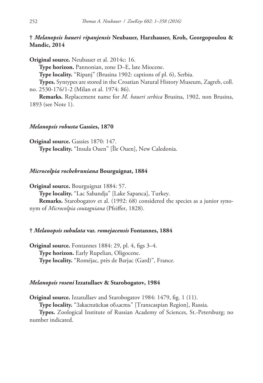# **†** *Melanopsis haueri ripanjensis* **Neubauer, Harzhauser, Kroh, Georgopoulou & Mandic, 2014**

**Original source.** Neubauer et al. 2014c: 16.

**Type horizon.** Pannonian, zone D–E, late Miocene.

**Type locality.** "Ripanj" (Brusina 1902: captions of pl. 6), Serbia.

**Types.** Syntypes are stored in the Croatian Natural History Museum, Zagreb, coll. no. 2530-176/1-2 (Milan et al. 1974: 86).

**Remarks.** Replacement name for *M. haueri serbica* Brusina, 1902, non Brusina, 1893 (see Note 1).

# *Melanopsis robusta* **Gassies, 1870**

**Original source.** Gassies 1870: 147. **Type locality.** "Insula Ouen" [Île Ouen], New Caledonia.

# *Microcolpia rochebruniana* **Bourguignat, 1884**

**Original source.** Bourguignat 1884: 57.

**Type locality.** "Lac Sabandja" [Lake Sapanca], Turkey.

**Remarks.** Starobogatov et al. (1992: 68) considered the species as a junior synonym of *Microcolpia coutagniana* (Pfeiffer, 1828).

# **†** *Melanopsis subulata* **var.** *romejacensis* **Fontannes, 1884**

**Original source.** Fontannes 1884: 29, pl. 4, figs 3–4. **Type horizon.** Early Rupelian, Oligocene. **Type locality.** "Roméjac, près de Barjac (Gard)", France.

# *Melanopsis roseni* **Izzatullaev & Starobogatov, 1984**

**Original source.** Izzatullaev and Starobogatov 1984: 1479, fig. 1 (11).

**Type locality.** "Закаспийская область" [Transcaspian Region], Russia.

**Types.** Zoological Institute of Russian Academy of Sciences, St.-Petersburg; no number indicated.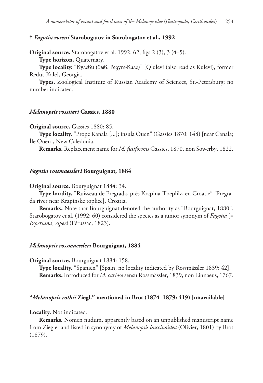# **†** *Fagotia roseni* **Starobogatov in Starobogatov et al., 1992**

**Original source.** Starobogatov et al. 1992: 62, figs 2 (3), 3 (4–5). **Type horizon.** Quaternary.

**Type locality.** "Кулеви (быв. Редут-Кале)" [Q'ulevi (also read as Kulevi), former Redut-Kale], Georgia.

**Types.** Zoological Institute of Russian Academy of Sciences, St.-Petersburg; no number indicated.

# *Melanopsis rossiteri* **Gassies, 1880**

**Original source.** Gassies 1880: 85.

**Type locality.** "Prope Kanala [...]; insula Ouen" (Gassies 1870: 148) [near Canala; Île Ouen], New Caledonia.

**Remarks.** Replacement name for *M. fusiformis* Gassies, 1870, non Sowerby, 1822.

# *Fagotia rossmaessleri* **Bourguignat, 1884**

**Original source.** Bourguignat 1884: 34.

**Type locality.** "Ruisseau de Pregrada, près Krapina-Toeplilz, en Croatie" [Pregrada river near Krapinske toplice], Croatia.

**Remarks.** Note that Bourguignat denoted the authority as "Bourguignat, 1880". Starobogatov et al. (1992: 60) considered the species as a junior synonym of *Fagotia* [= *Esperiana*] *esperi* (Férussac, 1823).

#### *Melanopsis rossmaessleri* **Bourguignat, 1884**

**Original source.** Bourguignat 1884: 158.

**Type locality.** "Spanien" [Spain, no locality indicated by Rossmässler 1839: 42]. **Remarks.** Introduced for *M. cariosa* sensu Rossmässler, 1839, non Linnaeus, 1767.

### **"***Melanopsis rothii* **Ziegl." mentioned in Brot (1874–1879: 419) [unavailable]**

#### **Locality.** Not indicated.

**Remarks.** Nomen nudum, apparently based on an unpublished manuscript name from Ziegler and listed in synonymy of *Melanopsis buccinoidea* (Olivier, 1801) by Brot (1879).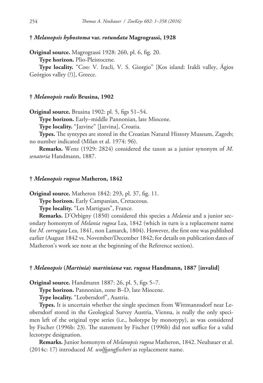# **†** *Melanopsis hybostoma* **var.** *rotundata* **Magrograssi, 1928**

**Original source.** Magrograssi 1928: 260, pl. 6, fig. 20. **Type horizon.** Plio-Pleistocene.

**Type locality.** "Coo: V. Iracli, V. S. Giorgio" [Kos island: Irakli valley, Ágios Geórgios valley (?)], Greece.

### **†** *Melanopsis rudis* **Brusina, 1902**

**Original source.** Brusina 1902: pl. 5, figs 51–54.

**Type horizon.** Early–middle Pannonian, late Miocene.

**Type locality.** "Jazvine" [Jazvina], Croatia.

**Types.** The syntypes are stored in the Croatian Natural History Museum, Zagreb; no number indicated (Milan et al. 1974: 96).

**Remarks.** Wenz (1929: 2824) considered the taxon as a junior synonym of *M. senatoria* Handmann, 1887.

### **†** *Melanopsis rugosa* **Matheron, 1842**

**Original source.** Matheron 1842: 293, pl. 37, fig. 11.

**Type horizon.** Early Campanian, Cretaceous.

**Type locality.** "Les Martigues", France.

**Remarks.** D'Orbigny (1850) considered this species a *Melania* and a junior secondary homonym of *Melania rugosa* Lea, 1842 (which in turn is a replacement name for *M. corrugata* Lea, 1841, non Lamarck, 1804). However, the first one was published earlier (August 1842 vs. November/December 1842; for details on publication dates of Matheron's work see note at the beginning of the Reference section).

#### **†** *Melanopsis* **(***Martinia***)** *martiniana* **var.** *rugosa* **Handmann, 1887 [invalid]**

**Original source.** Handmann 1887: 26, pl. 5, figs 5–7.

**Type horizon.** Pannonian, zone B–D, late Miocene.

**Type locality.** "Leobersdorf", Austria.

**Types.** It is uncertain whether the single specimen from Wittmannsdorf near Leobersdorf stored in the Geological Survey Austria, Vienna, is really the only specimen left of the original type series (i.e., holotype by monotypy), as was considered by Fischer (1996b: 23). The statement by Fischer (1996b) did not suffice for a valid lectotype designation.

**Remarks.** Junior homonym of *Melanopsis rugosa* Matheron, 1842. Neubauer et al. (2014c: 17) introduced *M. wolfgangfischeri* as replacement name.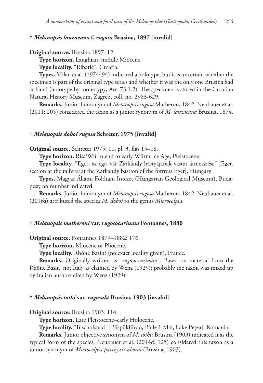# **†** *Melanopsis lanzaeana* **f.** *rugosa* **Brusina, 1897 [invalid]**

```
Original source. Brusina 1897: 12.
```
**Type horizon.** Langhian, middle Miocene.

**Type locality.** "Ribarić", Croatia.

**Types.** Milan et al. (1974: 94) indicated a holotype, but it is uncertain whether the specimen is part of the original type series and whether it was the only one Brusina had at hand (holotype by monotypy, Art. 73.1.2). The specimen is stored in the Croatian Natural History Museum, Zagreb, coll. no. 2983-629.

**Remarks.** Junior homonym of *Melanopsis rugosa* Matheron, 1842. Neubauer et al. (2011: 205) considered the taxon as a junior synonym of *M. lanzaeana* Brusina, 1874.

### **†** *Melanopsis doboi rugosa* **Schréter, 1975 [invalid]**

**Original source.** Schréter 1975: 11, pl. 3, figs 15–18.

**Type horizon.** Riss/Würm end to early Würm Ice Age, Pleistocene.

**Type locality.** "Eger, az egri vár Zárkándy bástyájának vasúti átmetszése" [Eger, section at the railway at the Zarkandy bastion of the fortress Eger], Hungary.

**Types.** Magyar Állami Földtani Intézet (Hungarian Geological Museum), Budapest; no number indicated.

**Remarks.** Junior homonym of *Melanopsis rugosa* Matheron, 1842. Neubauer et al. (2016a) attributed the species *M. doboi* to the genus *Microcolpia*.

#### **†** *Melanopsis matheroni* **var.** *rugosocarinata* **Fontannes, 1880**

**Original source.** Fontannes 1879–1882: 176.

**Type horizon.** Miocene or Pliocene.

**Type locality.** Rhône Basin? (no exact locality given), France.

**Remarks.** Originally written as "*rugoso-carinata*". Based on material from the Rhône Basin, not Italy as claimed by Wenz (1929); probably the taxon was mixed up by Italian authors cited by Wenz (1929).

#### **†** *Melanopsis tothi* **var.** *rugosula* **Brusina, 1903 [invalid]**

**Original source.** Brusina 1903: 114.

**Type horizon.** Late Pleistocene–early Holocene.

**Type locality.** "Bischofsbad" [Püspökfürdő, Băile 1 Mai, Lake Pețea], Romania.

**Remarks.** Junior objective synonym of *M. tothi*: Brusina (1903) indicated it as the typical form of the species. Neubauer et al. (2014d: 125) considered this taxon as a junior synonym of *Microcolpia parreyssii sikorai* (Brusina, 1903).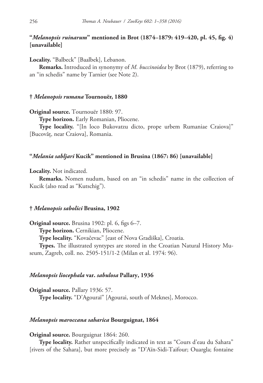# **"***Melanopsis ruinarum***" mentioned in Brot (1874–1879: 419–420, pl. 45, fig. 4) [unavailable]**

**Locality.** "Balbeck" [Baalbek], Lebanon.

**Remarks.** Introduced in synonymy of *M. buccinoidea* by Brot (1879), referring to an "in schedis" name by Tarnier (see Note 2).

# **†** *Melanopsis rumana* **Tournouër, 1880**

**Original source.** Tournouër 1880: 97.

**Type horizon.** Early Romanian, Pliocene.

**Type locality.** "[In loco Bukovatzu dicto, prope urbem Rumaniae Craiova]" [Bucovăț, near Craiova], Romania.

### **"***Melania sabljari* **Kucik" mentioned in Brusina (1867: 86) [unavailable]**

**Locality.** Not indicated.

**Remarks.** Nomen nudum, based on an "in schedis" name in the collection of Kucik (also read as "Kutschig").

# **†** *Melanopsis sabolici* **Brusina, 1902**

**Original source.** Brusina 1902: pl. 6, figs 6–7.

**Type horizon.** Cernikian, Pliocene.

**Type locality.** "Kovačevac" [east of Nova Gradiška], Croatia.

**Types.** The illustrated syntypes are stored in the Croatian Natural History Museum, Zagreb, coll. no. 2505-151/1-2 (Milan et al. 1974: 96).

# *Melanopsis liocephala* **var.** *sabulosa* **Pallary, 1936**

**Original source.** Pallary 1936: 57. **Type locality.** "D'Agouraï" [Agourai, south of Meknes], Morocco.

### *Melanopsis maroccana saharica* **Bourguignat, 1864**

**Original source.** Bourguignat 1864: 260.

**Type locality.** Rather unspecifically indicated in text as "Cours d'eau du Sahara" [rivers of the Sahara], but more precisely as "D'Aïn-Sidi-Taifour; Ouargla; fontaine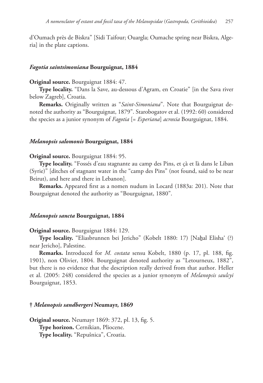d'Oumach près de Biskra" [Sidi Taifour; Ouargla; Oumache spring near Biskra, Algeria] in the plate captions.

### *Fagotia saintsimoniana* **Bourguignat, 1884**

# **Original source.** Bourguignat 1884: 47.

**Type locality.** "Dans la Save, au-dessous d'Agram, en Croatie" [in the Sava river below Zagreb], Croatia.

**Remarks.** Originally written as "*Saint-Simoniana*". Note that Bourguignat denoted the authority as "Bourguignat, 1879". Starobogatov et al. (1992: 60) considered the species as a junior synonym of *Fagotia* [= *Esperiana*] *acroxia* Bourguignat, 1884.

### *Melanopsis salomonis* **Bourguignat, 1884**

#### **Original source.** Bourguignat 1884: 95.

**Type locality.** "Fossés d'eau stagnante au camp des Pins, et çà et là dans le Liban (Syrie)" [ditches of stagnant water in the "camp des Pins" (not found, said to be near Beirut), and here and there in Lebanon].

**Remarks.** Appeared first as a nomen nudum in Locard (1883a: 201). Note that Bourguignat denoted the authority as "Bourguignat, 1880".

# *Melanopsis sancta* **Bourguignat, 1884**

#### **Original source.** Bourguignat 1884: 129.

**Type locality.** "Eliasbrunnen bei Jericho" (Kobelt 1880: 17) [Nahal Elisha' (?) near Jericho], Palestine.

**Remarks.** Introduced for *M. costata* sensu Kobelt, 1880 (p. 17, pl. 188, fig. 1901), non Olivier, 1804. Bourguignat denoted authority as "Letourneux, 1882", but there is no evidence that the description really derived from that author. Heller et al. (2005: 248) considered the species as a junior synonym of *Melanopsis saulcyi* Bourguignat, 1853.

# **†** *Melanopsis sandbergeri* **Neumayr, 1869**

**Original source.** Neumayr 1869: 372, pl. 13, fig. 5. **Type horizon.** Cernikian, Pliocene. **Type locality.** "Repušnica", Croatia.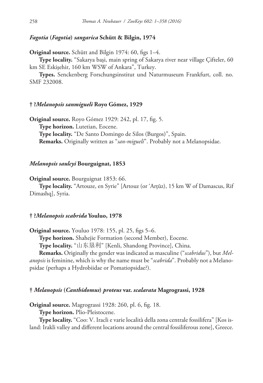# *Fagotia* **(***Fagotia***)** *sangarica* **Schütt & Bilgin, 1974**

**Original source.** Schütt and Bilgin 1974: 60, figs 1–4.

**Type locality.** "Sakarya başi, main spring of Sakarya river near village Çifteler, 60 km SE Eskişehir, 160 km WSW of Ankara", Turkey.

**Types.** Senckenberg Forschungsinstitut und Naturmuseum Frankfurt, coll. no. SMF 232008.

### **† ?***Melanopsis sanmigueli* **Royo Gómez, 1929**

**Original source.** Royo Gómez 1929: 242, pl. 17, fig. 5. **Type horizon.** Lutetian, Eocene. **Type locality.** "De Santo Domingo de Silos (Burgos)", Spain. **Remarks.** Originally written as "*san-migueli*". Probably not a Melanopsidae.

# *Melanopsis saulcyi* **Bourguignat, 1853**

**Original source.** Bourguignat 1853: 66.

**Type locality.** "Artouze, en Syrie" [Artouz (or 'Arţūz), 15 km W of Damascus, Rif Dimashq], Syria.

# **† ?***Melanopsis scabrida* **Youluo, 1978**

**Original source.** Youluo 1978: 155, pl. 25, figs 5–6.

**Type horizon.** Shahejie Formation (second Member), Eocene.

**Type locality.** "山东垦利" [Kenli, Shandong Province], China.

**Remarks.** Originally the gender was indicated as masculine ("*scabridus*"), but *Melanopsis* is feminine, which is why the name must be "*scabrida*". Probably not a Melanopsidae (perhaps a Hydrobiidae or Pomatiopsidae?).

### **†** *Melanopsis* **(***Canthidomus***)** *proteus* **var.** *scalarata* **Magrograssi, 1928**

**Original source.** Magrograssi 1928: 260, pl. 6, fig. 18.

**Type horizon.** Plio-Pleistocene.

**Type locality.** "Coo: V. Iracli e varie località della zona centrale fossilifera" [Kos island: Irakli valley and different locations around the central fossiliferous zone], Greece.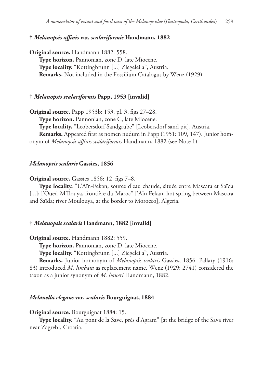### **†** *Melanopsis affinis* **var.** *scalariformis* **Handmann, 1882**

**Original source.** Handmann 1882: 558. **Type horizon.** Pannonian, zone D, late Miocene. **Type locality.** "Kottingbrunn [...] Ziegelei a", Austria. **Remarks.** Not included in the Fossilium Catalogus by Wenz (1929).

#### **†** *Melanopsis scalariformis* **Papp, 1953 [invalid]**

**Original source.** Papp 1953b: 153, pl. 3, figs 27–28. **Type horizon.** Pannonian, zone C, late Miocene.

**Type locality.** "Leobersdorf Sandgrube" [Leobersdorf sand pit], Austria.

**Remarks.** Appeared first as nomen nudum in Papp (1951: 109, 147). Junior homonym of *Melanopsis affinis scalariformis* Handmann, 1882 (see Note 1).

# *Melanopsis scalaris* **Gassies, 1856**

**Original source.** Gassies 1856: 12, figs 7–8.

**Type locality.** "L'Aïn-Fekan, source d'eau chaude, située entre Mascara et Saïda [...]; l'Oued-M'Ilouya, frontière du Maroc" ['Aïn Fekan, hot spring between Mascara and Saïda; river Moulouya, at the border to Morocco], Algeria.

#### **†** *Melanopsis scalaris* **Handmann, 1882 [invalid]**

**Original source.** Handmann 1882: 559.

**Type horizon.** Pannonian, zone D, late Miocene.

**Type locality.** "Kottingbrunn [...] Ziegelei a", Austria.

**Remarks.** Junior homonym of *Melanopsis scalaris* Gassies, 1856. Pallary (1916: 83) introduced *M. limbata* as replacement name. Wenz (1929: 2741) considered the taxon as a junior synonym of *M. haueri* Handmann, 1882.

#### *Melanella elegans* **var.** *scalaris* **Bourguignat, 1884**

#### **Original source.** Bourguignat 1884: 15.

**Type locality.** "Au pont de la Save, près d'Agram" [at the bridge of the Sava river near Zagreb], Croatia.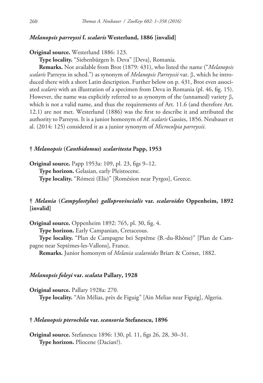# *Melanopsis parreyssi* **f.** *scalaris* **Westerlund, 1886 [invalid]**

**Original source.** Westerlund 1886: 123.

**Type locality.** "Siebenbürgen b. Deva" [Deva], Romania.

**Remarks.** Not available from Brot (1879: 431), who listed the name ("*Melanopsis scalaris* Parreyss in sched.") as synonym of *Melanopsis Parreyssii* var. β, which he introduced there with a short Latin description. Further below on p. 431, Brot even associated *scalaris* with an illustration of a specimen from Deva in Romania (pl. 46, fig. 15). However, the name was explicitly referred to as synonym of the (unnamed) variety β, which is not a valid name, and thus the requirements of Art. 11.6 (and therefore Art. 12.1) are not met. Westerlund (1886) was the first to describe it and attributed the authority to Parreyss. It is a junior homonym of *M. scalaris* Gassies, 1856. Neubauer et al. (2014: 125) considered it as a junior synonym of *Microcolpia parreyssii*.

# **†** *Melanopsis* **(***Canthidomus***)** *scalaritesta* **Papp, 1953**

**Original source.** Papp 1953a: 109, pl. 23, figs 9–12. **Type horizon.** Gelasian, early Pleistocene. **Type locality.** "Rómezi (Elis)" [Romésion near Pyrgos], Greece.

# **†** *Melania* **(***Campylostylus***)** *galloprovincialis* **var.** *scalaroides* **Oppenheim, 1892 [invalid]**

**Original source.** Oppenheim 1892: 765, pl. 30, fig. 4. **Type horizon.** Early Campanian, Cretaceous. **Type locality.** "Plan de Campagne bei Septême (B.-du-Rhône)" [Plan de Campagne near Septèmes-les-Vallons], France.

**Remarks.** Junior homonym of *Melania scalaroides* Briart & Cornet, 1882.

# *Melanopsis foleyi* **var.** *scalata* **Pallary, 1928**

**Original source.** Pallary 1928a: 270. **Type locality.** "Aïn Mélias, près de Figuig" [Ain Melias near Figuig], Algeria.

# **†** *Melanopsis pterochila* **var.** *scansoria* **Stefanescu, 1896**

**Original source.** Stefanescu 1896: 130, pl. 11, figs 26, 28, 30–31. **Type horizon.** Pliocene (Dacian?).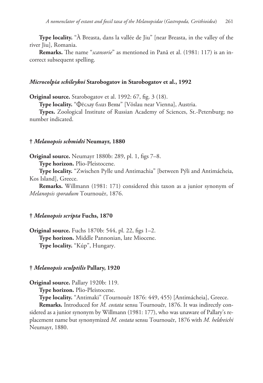**Type locality.** "À Breasta, dans la vallée de Jiu" [near Breasta, in the valley of the river Jiu], Romania.

**Remarks.** The name "*scansorie*" as mentioned in Pană et al. (1981: 117) is an incorrect subsequent spelling.

# *Microcolpia schileykoi* **Starobogatov in Starobogatov et al., 1992**

**Original source.** Starobogatov et al. 1992: 67, fig. 3 (18).

**Type locality.** "Фёслау близ Вены" [Vöslau near Vienna], Austria.

**Types.** Zoological Institute of Russian Academy of Sciences, St.-Petersburg; no number indicated.

### **†** *Melanopsis schmidti* **Neumayr, 1880**

**Original source.** Neumayr 1880b: 289, pl. 1, figs 7–8.

**Type horizon.** Plio-Pleistocene.

**Type locality.** "Zwischen Pylle und Antimachia" [between Pýli and Antimácheia, Kos Island], Greece.

**Remarks.** Willmann (1981: 171) considered this taxon as a junior synonym of *Melanopsis sporadum* Tournouër, 1876.

# **†** *Melanopsis scripta* **Fuchs, 1870**

**Original source.** Fuchs 1870b: 544, pl. 22, figs 1–2. **Type horizon.** Middle Pannonian, late Miocene. **Type locality.** "Kúp", Hungary.

#### **†** *Melanopsis sculptilis* **Pallary, 1920**

**Original source.** Pallary 1920b: 119.

**Type horizon.** Plio-Pleistocene.

**Type locality.** "Antimaki" (Tournouër 1876: 449, 455) [Antimácheia], Greece.

**Remarks.** Introduced for *M. costata* sensu Tournouër, 1876. It was indirectly considered as a junior synonym by Willmann (1981: 177), who was unaware of Pallary's replacement name but synonymized *M. costata* sensu Tournouër, 1876 with *M. heldreichi* Neumayr, 1880.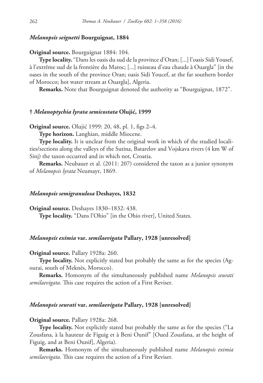# *Melanopsis seignetti* **Bourguignat, 1884**

### **Original source.** Bourguignat 1884: 104.

**Type locality.** "Dans les oasis du sud de la province d'Oran; [...] l'oasis Sidi Yousef, à l'extrême sud de la frontière du Maroc; [...] ruisseau d'eau chaude à Ouargla" [in the oases in the south of the province Oran; oasis Sidi Youcef, at the far southern border of Morocco; hot water stream at Ouargla], Algeria.

**Remarks.** Note that Bourguignat denoted the authority as "Bourguignat, 1872".

### **†** *Melanoptychia lyrata semicostata* **Olujić, 1999**

**Original source.** Olujić 1999: 20, 48, pl. 1, figs 2–4.

**Type horizon.** Langhian, middle Miocene.

**Type locality.** It is unclear from the original work in which of the studied localities/sections along the valleys of the Sutina, Batarelov and Vojskava rivers (4 km W of Sinj) the taxon occurred and in which not, Croatia.

**Remarks.** Neubauer et al. (2011: 207) considered the taxon as a junior synonym of *Melanopsis lyrata* Neumayr, 1869.

# *Melanopsis semigranulosa* **Deshayes, 1832**

**Original source.** Deshayes 1830–1832: 438.

**Type locality.** "Dans l'Ohio" [in the Ohio river], United States.

# *Melanopsis eximia* **var.** *semilaevigata* **Pallary, 1928 [unresolved]**

# **Original source.** Pallary 1928a: 260.

**Type locality.** Not explicitly stated but probably the same as for the species (Agourai, south of Meknès, Morocco).

**Remarks.** Homonym of the simultaneously published name *Melanopsis seurati semilaevigata*. This case requires the action of a First Reviser.

# *Melanopsis seurati* **var.** *semilaevigata* **Pallary, 1928 [unresolved]**

**Original source.** Pallary 1928a: 268.

**Type locality.** Not explicitly stated but probably the same as for the species ("La Zousfana, à la hauteur de Figuig et à Beni Ounif" [Oued Zousfana, at the height of Figuig, and at Beni Ounif], Algeria).

**Remarks.** Homonym of the simultaneously published name *Melanopsis eximia semilaevigata*. This case requires the action of a First Reviser.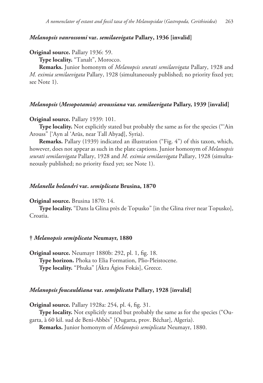# *Melanopsis vanrossomi* **var.** *semilaevigata* **Pallary, 1936 [invalid]**

# **Original source.** Pallary 1936: 59.

**Type locality.** "Tanalt", Morocco.

**Remarks.** Junior homonym of *Melanopsis seurati semilaevigata* Pallary, 1928 and *M. eximia semilaevigata* Pallary, 1928 (simultaneously published; no priority fixed yet; see Note 1).

### *Melanopsis* **(***Mesopotamia***)** *aroussiana* **var.** *semilaevigata* **Pallary, 1939 [invalid]**

### **Original source.** Pallary 1939: 101.

**Type locality.** Not explicitly stated but probably the same as for the species ("Ain Arouss" ['Ayn al 'Arūs, near Tall Abyaḑ], Syria).

**Remarks.** Pallary (1939) indicated an illustration ("Fig. 4") of this taxon, which, however, does not appear as such in the plate captions. Junior homonym of *Melanopsis seurati semilaevigata* Pallary, 1928 and *M. eximia semilaevigata* Pallary, 1928 (simultaneously published; no priority fixed yet; see Note 1).

#### *Melanella holandri* **var.** *semiplicata* **Brusina, 1870**

#### **Original source.** Brusina 1870: 14.

**Type locality.** "Dans la Glina près de Topusko" [in the Glina river near Topusko], Croatia.

# **†** *Melanopsis semiplicata* **Neumayr, 1880**

**Original source.** Neumayr 1880b: 292, pl. 1, fig. 18. **Type horizon.** Phoka to Elia Formation, Plio-Pleistocene. **Type locality.** "Phuka" [Ákra Ágios Fokás], Greece.

### *Melanopsis foucauldiana* **var.** *semiplicata* **Pallary, 1928 [invalid]**

**Original source.** Pallary 1928a: 254, pl. 4, fig. 31.

**Type locality.** Not explicitly stated but probably the same as for the species ("Ougarta, à 60 kil. sud de Beni-Abbès" [Ougarta, prov. Béchar], Algeria).

**Remarks.** Junior homonym of *Melanopsis semiplicata* Neumayr, 1880.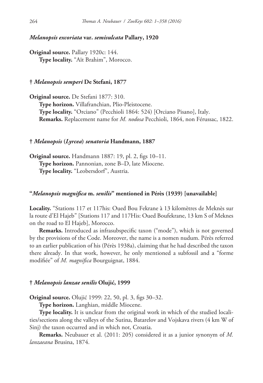# *Melanopsis excoriata* **var.** *semisulcata* **Pallary, 1920**

**Original source.** Pallary 1920c: 144. **Type locality.** "Aït Brahim", Morocco.

# **†** *Melanopsis semperi* **De Stefani, 1877**

**Original source.** De Stefani 1877: 310. **Type horizon.** Villafranchian, Plio-Pleistocene. **Type locality.** "Orciano" (Pecchioli 1864: 524) [Orciano Pisano], Italy. **Remarks.** Replacement name for *M. nodosa* Pecchioli, 1864, non Férussac, 1822.

# **†** *Melanopsis* **(***Lyrcea***)** *senatoria* **Handmann, 1887**

**Original source.** Handmann 1887: 19, pl. 2, figs 10–11. **Type horizon.** Pannonian, zone B–D, late Miocene. **Type locality.** "Leobersdorf", Austria.

# **"***Melanopsis magnifica* **m.** *senilis***" mentioned in Pérès (1939) [unavailable]**

**Locality.** "Stations 117 et 117his: Oued Bou Fekrane à 13 kilomètres de Meknès sur la route d'El Hajeb" [Stations 117 and 117His: Oued Boufekrane, 13 km S of Meknes on the road to El Hajeb], Morocco.

**Remarks.** Introduced as infrasubspecific taxon ("mode"), which is not governed by the provisions of the Code. Moreover, the name is a nomen nudum. Pérès referred to an earlier publication of his (Pérès 1938a), claiming that he had described the taxon there already. In that work, however, he only mentioned a subfossil and a "forme modifiée" of *M. magnifica* Bourguignat, 1884.

### **†** *Melanopsis lanzae senilis* **Olujić, 1999**

**Original source.** Olujić 1999: 22, 50, pl. 3, figs 30–32.

**Type horizon.** Langhian, middle Miocene.

**Type locality.** It is unclear from the original work in which of the studied localities/sections along the valleys of the Sutina, Batarelov and Vojskava rivers (4 km W of Sinj) the taxon occurred and in which not, Croatia.

**Remarks.** Neubauer et al. (2011: 205) considered it as a junior synonym of *M. lanzaeana* Brusina, 1874.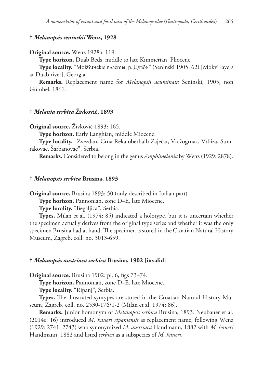# **†** *Melanopsis seninskii* **Wenz, 1928**

### **Original source.** Wenz 1928a: 119.

**Type horizon.** Duab Beds, middle to late Kimmerian, Pliocene.

**Type locality.** "Моквинскіе пласты, р. Дуабъ" (Seninski 1905: 62) [Mokvi layers at Duab river], Georgia.

**Remarks.** Replacement name for *Melanopsis acuminata* Seninski, 1905, non Gümbel, 1861.

# **†** *Melania serbica* **Živković, 1893**

**Original source.** Živković 1893: 165.

**Type horizon.** Early Langhian, middle Miocene.

**Type locality.** "Zvezdan, Crna Reka oberhalb Zaječar, Vražogrnac, Vrbiza, Sumrakovac, Šarbanovac", Serbia.

**Remarks.** Considered to belong in the genus *Amphimelania* by Wenz (1929: 2878).

### **†** *Melanopsis serbica* **Brusina, 1893**

**Original source.** Brusina 1893: 50 (only described in Italian part).

**Type horizon.** Pannonian, zone D–E, late Miocene.

**Type locality.** "Begaljica", Serbia.

**Types.** Milan et al. (1974: 85) indicated a holotype, but it is uncertain whether the specimen actually derives from the original type series and whether it was the only specimen Brusina had at hand. The specimen is stored in the Croatian Natural History Museum, Zagreb, coll. no. 3013-659.

# **†** *Melanopsis austriaca serbica* **Brusina, 1902 [invalid]**

**Original source.** Brusina 1902: pl. 6, figs 73–74.

**Type horizon.** Pannonian, zone D–E, late Miocene.

**Type locality.** "Ripanj", Serbia.

**Types.** The illustrated syntypes are stored in the Croatian Natural History Museum, Zagreb, coll. no. 2530-176/1-2 (Milan et al. 1974: 86).

**Remarks.** Junior homonym of *Melanopsis serbica* Brusina, 1893. Neubauer et al. (2014c: 16) introduced *M. haueri ripanjensis* as replacement name, following Wenz (1929: 2741, 2743) who synonymized *M. austriaca* Handmann, 1882 with *M. haueri* Handmann, 1882 and listed *serbica* as a subspecies of *M. haueri*.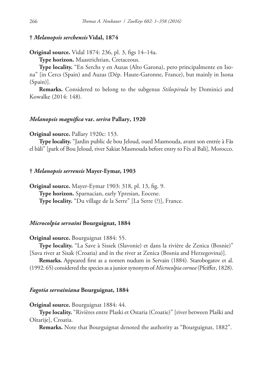### **†** *Melanopsis serchensis* **Vidal, 1874**

# **Original source.** Vidal 1874: 236, pl. 3, figs 14–14a.

**Type horizon.** Maastrichtian, Cretaceous.

**Type locality.** "En Serchs y en Auzas (Alto Garona), pero principalmente en Isona" [in Cercs (Spain) and Auzas (Dép. Haute-Garonne, France), but mainly in Isona (Spain)].

**Remarks.** Considered to belong to the subgenus *Stilospirula* by Dominici and Kowalke (2014: 148).

# *Melanopsis magnifica* **var.** *serira* **Pallary, 1920**

### **Original source.** Pallary 1920c: 153.

**Type locality.** "Jardin public de bou Jeloud, oued Masmouda, avant son entrée à Fâs el bâli" [park of Bou Jeloud, river Sakiat Masmouda before entry to Fès al Bali], Morocco.

#### **†** *Melanopsis serrensis* **Mayer-Eymar, 1903**

**Original source.** Mayer-Eymar 1903: 318, pl. 13, fig. 9. **Type horizon.** Sparnacian, early Ypresian, Eocene. **Type locality.** "Du village de la Serre" [La Serre (?)], France.

### *Microcolpia servaini* **Bourguignat, 1884**

**Original source.** Bourguignat 1884: 55.

**Type locality.** "La Save à Sissek (Slavonie) et dans la rivière de Zenica (Bosnie)" [Sava river at Sisak (Croatia) and in the river at Zenica (Bosnia and Herzegovina)].

**Remarks.** Appeared first as a nomen nudum in Servain (1884). Starobogatov et al. (1992: 65) considered the species as a junior synonym of *Microcolpia cornea* (Pfeiffer, 1828).

#### *Fagotia servainiana* **Bourguignat, 1884**

#### **Original source.** Bourguignat 1884: 44.

**Type locality.** "Rivières entre Plaski et Ostaria (Croatie)" [river between Plaški and Oštarije], Croatia.

**Remarks.** Note that Bourguignat denoted the authority as "Bourguignat, 1882".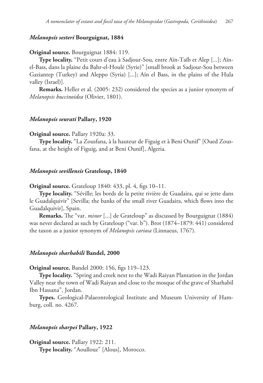# *Melanopsis sesteri* **Bourguignat, 1884**

### **Original source.** Bourguignat 1884: 119.

**Type locality.** "Petit cours d'eau à Sadjour-Sou, entre Aïn-Taïb et Alep [...]; Aïnel-Bass, dans la plaine du Bahr-el-Houlé (Syrie)" [small brook at Sadjour-Sou between Gaziantep (Turkey) and Aleppo (Syria) [...]; Aïn el Bass, in the plains of the Hula valley (Israel)].

**Remarks.** Heller et al. (2005: 232) considered the species as a junior synonym of *Melanopsis buccinoidea* (Olivier, 1801).

# *Melanopsis seurati* **Pallary, 1920**

### **Original source.** Pallary 1920a: 33.

**Type locality.** "La Zousfana, à la hauteur de Figuig et à Beni Ounif" [Oued Zousfana, at the height of Figuig, and at Beni Ounif], Algeria.

#### *Melanopsis sevillensis* **Grateloup, 1840**

**Original source.** Grateloup 1840: 433, pl. 4, figs 10–11.

**Type locality.** "Séville; les bords de la petite rivière de Guadaira, qui se jette dans le Guadalquivir" [Sevilla; the banks of the small river Guadaira, which flows into the Guadalquivir], Spain.

**Remarks.** The "var. *minor* [...] de Grateloup" as discussed by Bourguignat (1884) was never declared as such by Grateloup ("var. b"). Brot (1874–1879: 441) considered the taxon as a junior synonym of *Melanopsis cariosa* (Linnaeus, 1767).

### *Melanopsis sharhabili* **Bandel, 2000**

**Original source.** Bandel 2000: 156, figs 119–123.

**Type locality.** "Spring and creek next to the Wadi Raiyan Plantation in the Jordan Valley near the town of Wadi Raiyan and close to the mosque of the grave of Sharhabil Ibn Hassana", Jordan.

**Types.** Geological-Palaeontological Institute and Museum University of Hamburg, coll. no. 4267.

### *Melanopsis sharpei* **Pallary, 1922**

**Original source.** Pallary 1922: 211. **Type locality.** "Aoullouz" [Alous], Morocco.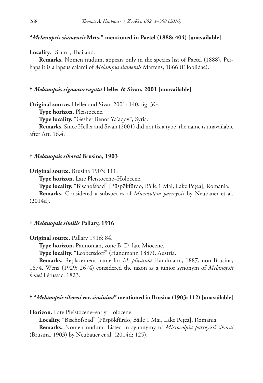# **"***Melanopsis siamensis* **Mrts." mentioned in Paetel (1888: 404) [unavailable]**

**Locality.** "Siam", Thailand.

**Remarks.** Nomen nudum, appears only in the species list of Paetel (1888). Perhaps it is a lapsus calami of *Melampus siamensis* Martens, 1866 (Ellobiidae).

# **†** *Melanopsis sigmocorrugata* **Heller & Sivan, 2001 [unavailable]**

**Original source.** Heller and Sivan 2001: 140, fig. 3G.

**Type horizon.** Pleistocene.

**Type locality.** "Gesher Benot Ya'aqov", Syria.

**Remarks.** Since Heller and Sivan (2001) did not fix a type, the name is unavailable after Art. 16.4.

### **†** *Melanopsis sikorai* **Brusina, 1903**

**Original source.** Brusina 1903: 111.

**Type horizon.** Late Pleistocene–Holocene.

**Type locality.** "Bischofsbad" [Püspökfürdő, Băile 1 Mai, Lake Pețea], Romania.

**Remarks.** Considered a subspecies of *Microcolpia parreyssii* by Neubauer et al. (2014d).

# **†** *Melanopsis similis* **Pallary, 1916**

**Original source.** Pallary 1916: 84.

**Type horizon.** Pannonian, zone B–D, late Miocene.

**Type locality.** "Leobersdorf" (Handmann 1887), Austria.

**Remarks.** Replacement name for *M. plicatula* Handmann, 1887, non Brusina, 1874. Wenz (1929: 2674) considered the taxon as a junior synonym of *Melanopsis bouei* Férussac, 1823.

### **† "***Melanopsis sikorai* **var.** *siminina***" mentioned in Brusina (1903: 112) [unavailable]**

**Horizon.** Late Pleistocene–early Holocene.

**Locality.** "Bischofsbad" [Püspökfürdő, Băile 1 Mai, Lake Pețea], Romania.

**Remarks.** Nomen nudum. Listed in synonymy of *Microcolpia parreyssii sikorai* (Brusina, 1903) by Neubauer et al. (2014d: 125).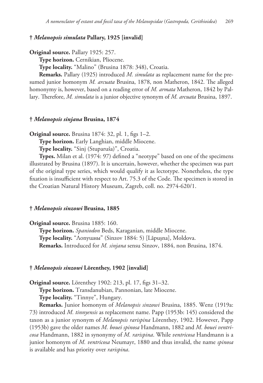# **†** *Melanopsis simulata* **Pallary, 1925 [invalid]**

```
Original source. Pallary 1925: 257.
```
**Type horizon.** Cernikian, Pliocene.

**Type locality.** "Malino" (Brusina 1878: 348), Croatia.

**Remarks.** Pallary (1925) introduced *M. simulata* as replacement name for the presumed junior homonym *M. arcuata* Brusina, 1878, non Matheron, 1842. The alleged homonymy is, however, based on a reading error of *M. armata* Matheron, 1842 by Pallary. Therefore, *M. simulata* is a junior objective synonym of *M. arcuata* Brusina, 1897.

# **†** *Melanopsis sinjana* **Brusina, 1874**

**Original source.** Brusina 1874: 32, pl. 1, figs 1–2.

**Type horizon.** Early Langhian, middle Miocene.

**Type locality.** "Sinj (Stuparuša)", Croatia.

**Types.** Milan et al. (1974: 97) defined a "neotype" based on one of the specimens illustrated by Brusina (1897). It is uncertain, however, whether the specimen was part of the original type series, which would qualify it as lectotype. Nonetheless, the type fixation is insufficient with respect to Art. 75.3 of the Code. The specimen is stored in the Croatian Natural History Museum, Zagreb, coll. no. 2974-620/1.

### **†** *Melanopsis sinzowi* **Brusina, 1885**

**Original source.** Brusina 1885: 160.

**Type horizon.** *Spaniodon* Beds, Karaganian, middle Miocene. **Type locality.** "Лопушны" (Sinzov 1884: 5) [Lăpuşna], Moldova. **Remarks.** Introduced for *M. sinjana* sensu Sinzov, 1884, non Brusina, 1874.

#### **†** *Melanopsis sinzowi* **Lörenthey, 1902 [invalid]**

**Original source.** Lörenthey 1902: 213, pl. 17, figs 31–32.

**Type horizon.** Transdanubian, Pannonian, late Miocene.

**Type locality.** "Tinnye", Hungary.

**Remarks.** Junior homonym of *Melanopsis sinzowi* Brusina, 1885. Wenz (1919a: 73) introduced *M. tinnyensis* as replacement name. Papp (1953b: 145) considered the taxon as a junior synonym of *Melanopsis rarispina* Lörenthey, 1902. However, Papp (1953b) gave the older names *M. bouei spinosa* Handmann, 1882 and *M. bouei ventricosa* Handmann, 1882 in synonymy of *M. rarispina*. While *ventricosa* Handmann is a junior homonym of *M. ventricosa* Neumayr, 1880 and thus invalid, the name *spinosa* is available and has priority over *rarispina*.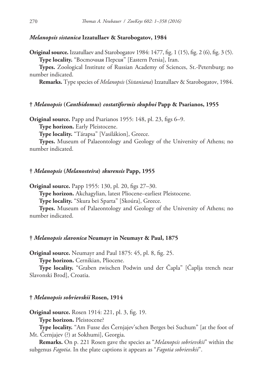# *Melanopsis sistanica* **Izzatullaev & Starobogatov, 1984**

**Original source.** Izzatullaev and Starobogatov 1984: 1477, fig. 1 (15), fig. 2 (6), fig. 3 (5). **Type locality.** "Восточная Персия" [Eastern Persia], Iran.

**Types.** Zoological Institute of Russian Academy of Sciences, St.-Petersburg; no number indicated.

**Remarks.** Type species of *Melanopsis* (*Sistaniana*) Izzatullaev & Starobogatov, 1984.

# **†** *Melanopsis* **(***Canthidomus***)** *costatiformis skuphoi* **Papp & Psarianos, 1955**

**Original source.** Papp and Psarianos 1955: 148, pl. 23, figs 6–9.

**Type horizon.** Early Pleistocene.

**Type locality.** "Tárapsa" [Vasilákion], Greece.

**Types.** Museum of Palaeontology and Geology of the University of Athens; no number indicated.

### **†** *Melanopsis* **(***Melanosteira***)** *skurensis* **Papp, 1955**

**Original source.** Papp 1955: 130, pl. 20, figs 27–30.

**Type horizon.** Akchagylian, latest Pliocene–earliest Pleistocene.

**Type locality.** "Skura bei Sparta" [Skoúra], Greece.

**Types.** Museum of Palaeontology and Geology of the University of Athens; no number indicated.

# **†** *Melanopsis slavonica* **Neumayr in Neumayr & Paul, 1875**

**Original source.** Neumayr and Paul 1875: 45, pl. 8, fig. 25.

**Type horizon.** Cernikian, Pliocene.

**Type locality.** "Graben zwischen Podwin und der Čapla" [Čaplja trench near Slavonski Brod], Croatia.

### **†** *Melanopsis sobrievskii* **Rosen, 1914**

**Original source.** Rosen 1914: 221, pl. 3, fig. 19.

**Type horizon.** Pleistocene?

**Type locality.** "Am Fusse des Černjajev'schen Berges bei Suchum" [at the foot of Mt. Černjajev (?) at Sokhumi], Georgia.

**Remarks.** On p. 221 Rosen gave the species as "*Melanopsis sobrievskii*" within the subgenus *Fagotia*. In the plate captions it appears as "*Fagotia sobrievskii*".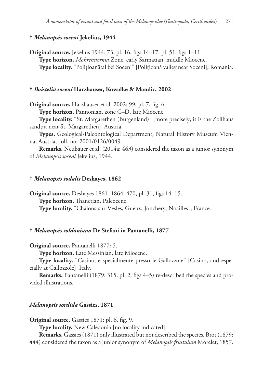# **†** *Melanopsis soceni* **Jekelius, 1944**

**Original source.** Jekelius 1944: 73, pl. 16, figs 14–17, pl. 51, figs 1–11. **Type horizon.** *Mohrensternia* Zone, early Sarmatian, middle Miocene. **Type locality.** "Polițioanătal bei Soceni" [Polițioană valley near Soceni], Romania.

# **†** *Boistelia soceni* **Harzhauser, Kowalke & Mandic, 2002**

**Original source.** Harzhauser et al. 2002: 99, pl. 7, fig. 6.

**Type horizon.** Pannonian, zone C–D, late Miocene.

**Type locality.** "St. Margarethen (Burgenland)" [more precisely, it is the Zollhaus sandpit near St. Margarethen], Austria.

**Types.** Geological-Paleontological Department, Natural History Museum Vienna, Austria, coll. no. 2001/0126/0049.

**Remarks.** Neubauer et al. (2014a: 463) considered the taxon as a junior synonym of *Melanopsis soceni* Jekelius, 1944.

### **†** *Melanopsis sodalis* **Deshayes, 1862**

**Original source.** Deshayes 1861–1864: 470, pl. 31, figs 14–15. **Type horizon.** Thanetian, Paleocene. **Type locality.** "Châlons-sur-Vesles, Gueux, Jonchery, Noailles", France.

### **†** *Melanopsis soldaniana* **De Stefani in Pantanelli, 1877**

**Original source.** Pantanelli 1877: 5.

**Type horizon.** Late Messinian, late Miocene.

**Type locality.** "Casino, e specialmente presso le Gallozzole" [Casino, and especially at Gallozzole], Italy.

**Remarks.** Pantanelli (1879: 315, pl. 2, figs 4–5) re-described the species and provided illustrations.

# *Melanopsis sordida* **Gassies, 1871**

**Original source.** Gassies 1871: pl. 6, fig. 9.

**Type locality.** New Caledonia [no locality indicated].

**Remarks.** Gassies (1871) only illustrated but not described the species. Brot (1879: 444) considered the taxon as a junior synonym of *Melanopsis frustulum* Morelet, 1857.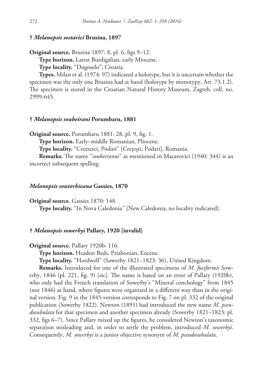# **†** *Melanopsis sostarici* **Brusina, 1897**

**Original source.** Brusina 1897: 8, pl. 6, figs 9–12.

**Type horizon.** Latest Burdigalian, early Miocene.

**Type locality.** "Dugoselo", Croatia.

**Types.** Milan et al. (1974: 97) indicated a holotype, but it is uncertain whether the specimen was the only one Brusina had at hand (holotype by monotypy, Art. 73.1.2). The specimen is stored in the Croatian Natural History Museum, Zagreb, coll. no. 2999-645.

# **†** *Melanopsis soubeirani* **Porumbaru, 1881**

**Original source.** Porumbaru 1881: 28, pl. 9, fig. 1.

**Type horizon.** Early–middle Romanian, Pliocene.

**Type locality.** "Cretzesci, Podari" [Crețești, Podari], Romania.

**Remarks.** The name "*soubeiranus*" as mentioned in Macarovici (1940: 344) is an incorrect subsequent spelling.

#### *Melanopsis souverbieana* **Gassies, 1870**

**Original source.** Gassies 1870: 148.

**Type locality.** "In Nova Caledonia" [New Caledonia; no locality indicated].

# **†** *Melanopsis sowerbyi* **Pallary, 1920 [invalid]**

**Original source.** Pallary 1920b: 116.

**Type horizon.** Headon Beds, Priabonian, Eocene.

**Type locality.** "Hordwell" (Sowerby 1821–1823: 36), United Kingdom.

**Remarks.** Introduced for one of the illustrated specimens of *M. fusiformis* Sowerby, 1846 (pl. 221, fig. 9) [sic]. The name is based on an error of Pallary (1920b), who only had the French translation of Sowerby's "Mineral conchology" from 1845 (not 1846) at hand, where figures were organized in a different way than in the original version. Fig. 9 in the 1845-version corresponds to Fig. 7 on pl. 332 of the original publication (Sowerby 1822). Newton (1891) had introduced the new name *M. pseudosubulata* for that specimen and another specimen already (Sowerby 1821–1823: pl. 332, figs 6–7). Since Pallary mixed up the figures, he considered Newton's taxonomic separation misleading and, in order to settle the problem, introduced *M. sowerbyi*. Consequently, *M. sowerbyi* is a junior objective synonym of *M. pseudosubulata*.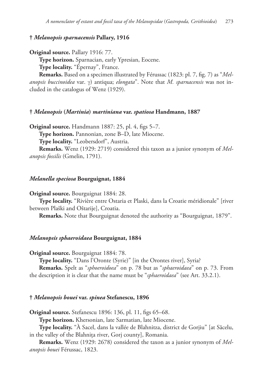# **†** *Melanopsis sparnacensis* **Pallary, 1916**

```
Original source. Pallary 1916: 77.
```
**Type horizon.** Sparnacian, early Ypresian, Eocene.

**Type locality.** "Épernay", France.

**Remarks.** Based on a specimen illustrated by Férussac (1823: pl. 7, fig. 7) as "*Melanopsis buccinoidea* var. γ) antiqua; *elongata*". Note that *M. sparnacensis* was not included in the catalogus of Wenz (1929).

### **†** *Melanopsis* **(***Martinia***)** *martiniana* **var.** *spatiosa* **Handmann, 1887**

**Original source.** Handmann 1887: 25, pl. 4, figs 5–7.

**Type horizon.** Pannonian, zone B–D, late Miocene.

**Type locality.** "Leobersdorf", Austria.

**Remarks.** Wenz (1929: 2719) considered this taxon as a junior synonym of *Melanopsis fossilis* (Gmelin, 1791).

### *Melanella speciosa* **Bourguignat, 1884**

**Original source.** Bourguignat 1884: 28.

**Type locality.** "Rivière entre Ostaria et Plaski, dans la Croatie méridionale" [river between Plaški and Oštarije], Croatia.

**Remarks.** Note that Bourguignat denoted the authority as "Bourguignat, 1879".

# *Melanopsis sphaeroidaea* **Bourguignat, 1884**

**Original source.** Bourguignat 1884: 78.

**Type locality.** "Dans l'Oronte (Syrie)" [in the Orontes river], Syria?

**Remarks.** Spelt as "*sphoeroidoea*" on p. 78 but as "*sphaeroidaea*" on p. 73. From the description it is clear that the name must be "*sphaeroidaea*" (see Art. 33.2.1).

# **†** *Melanopsis bouei* **var.** *spinea* **Stefanescu, 1896**

**Original source.** Stefanescu 1896: 136, pl. 11, figs 65–68.

**Type horizon.** Khersonian, late Sarmatian, late Miocene.

**Type locality.** "À Sacel, dans la vallée de Blahnitza, district de Gorjiu" [at Săcelu, in the valley of the Blahnița river, Gorj county], Romania.

**Remarks.** Wenz (1929: 2678) considered the taxon as a junior synonym of *Melanopsis bouei* Férussac, 1823.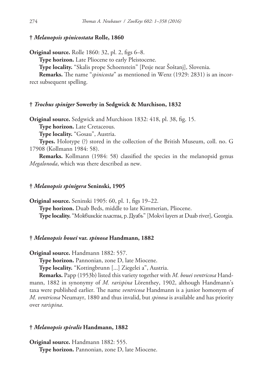# **†** *Melanopsis spinicostata* **Rolle, 1860**

**Original source.** Rolle 1860: 32, pl. 2, figs 6–8.

**Type horizon.** Late Pliocene to early Pleistocene.

**Type locality.** "Skalis prope Schoenstein" [Pesje near Šoštanj], Slovenia.

**Remarks.** The name "*spinicosta*" as mentioned in Wenz (1929: 2831) is an incorrect subsequent spelling.

### **†** *Trochus spiniger* **Sowerby in Sedgwick & Murchison, 1832**

**Original source.** Sedgwick and Murchison 1832: 418, pl. 38, fig. 15.

**Type horizon.** Late Cretaceous.

**Type locality.** "Gosau", Austria.

**Types.** Holotype (?) stored in the collection of the British Museum, coll. no. G 17908 (Kollmann 1984: 58).

**Remarks.** Kollmann (1984: 58) classified the species in the melanopsid genus *Megalonoda*, which was there described as new.

### **†** *Melanopsis spinigera* **Seninski, 1905**

**Original source.** Seninski 1905: 60, pl. 1, figs 19–22. **Type horizon.** Duab Beds, middle to late Kimmerian, Pliocene. **Type locality.** "Моквинскіе пласты, р. Дуабъ" [Mokvi layers at Duab river], Georgia.

# **†** *Melanopsis bouei* **var.** *spinosa* **Handmann, 1882**

**Original source.** Handmann 1882: 557.

**Type horizon.** Pannonian, zone D, late Miocene.

**Type locality.** "Kottingbrunn [...] Ziegelei a", Austria.

**Remarks.** Papp (1953b) listed this variety together with *M. bouei ventricosa* Handmann, 1882 in synonymy of *M. rarispina* Lörenthey, 1902, although Handmann's taxa were published earlier. The name *ventricosa* Handmann is a junior homonym of *M. ventricosa* Neumayr, 1880 and thus invalid, but *spinosa* is available and has priority over *rarispina*.

### **†** *Melanopsis spiralis* **Handmann, 1882**

**Original source.** Handmann 1882: 555. **Type horizon.** Pannonian, zone D, late Miocene.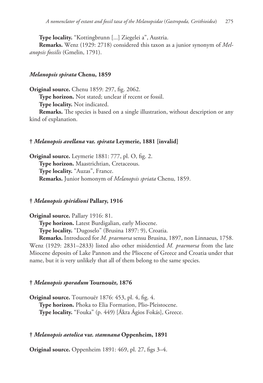**Type locality.** "Kottingbrunn [...] Ziegelei a", Austria.

**Remarks.** Wenz (1929: 2718) considered this taxon as a junior synonym of *Melanopsis fossilis* (Gmelin, 1791).

# *Melanopsis spirata* **Chenu, 1859**

**Original source.** Chenu 1859: 297, fig. 2062.

**Type horizon.** Not stated; unclear if recent or fossil.

**Type locality.** Not indicated.

**Remarks.** The species is based on a single illustration, without description or any kind of explanation.

# **†** *Melanopsis avellana* **var.** *spirata* **Leymerie, 1881 [invalid]**

**Original source.** Leymerie 1881: 777, pl. O, fig. 2. **Type horizon.** Maastrichtian, Cretaceous. **Type locality.** "Auzas", France. **Remarks.** Junior homonym of *Melanopsis spriata* Chenu, 1859.

# **†** *Melanopsis spiridioni* **Pallary, 1916**

**Original source.** Pallary 1916: 81.

**Type horizon.** Latest Burdigalian, early Miocene.

**Type locality.** "Dugoselo" (Brusina 1897: 9), Croatia.

**Remarks.** Introduced for *M. praemorsa* sensu Brusina, 1897, non Linnaeus, 1758. Wenz (1929: 2831–2833) listed also other misidentied *M. praemorsa* from the late Miocene deposits of Lake Pannon and the Pliocene of Greece and Croatia under that name, but it is very unlikely that all of them belong to the same species.

# **†** *Melanopsis sporadum* **Tournouër, 1876**

**Original source.** Tournouër 1876: 453, pl. 4, fig. 4. **Type horizon.** Phoka to Elia Formation, Plio-Pleistocene. **Type locality.** "Fouka" (p. 449) [Ákra Ágios Fokás], Greece.

# **†** *Melanopsis aetolica* **var.** *stamnana* **Oppenheim, 1891**

**Original source.** Oppenheim 1891: 469, pl. 27, figs 3–4.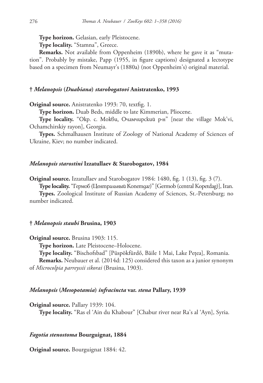**Type horizon.** Gelasian, early Pleistocene.

**Type locality.** "Stamna", Greece.

**Remarks.** Not available from Oppenheim (1890b), where he gave it as "mutation". Probably by mistake, Papp (1955, in figure captions) designated a lectotype based on a specimen from Neumayr's (1880a) (not Oppenheim's) original material.

# **†** *Melanopsis* **(***Duabiana***)** *starobogatovi* **Anistratenko, 1993**

**Original source.** Anistratenko 1993: 70, textfig. 1.

**Type horizon.** Duab Beds, middle to late Kimmerian, Pliocene.

**Type locality.** "Окр. с. Мокви, Очамчирский р-н" [near the village Mok'vi, Ochamchirskiy rayon], Georgia.

**Types.** Schmalhausen Institute of Zoology of National Academy of Sciences of Ukraine, Kiev; no number indicated.

# *Melanopsis starostini* **Izzatullaev & Starobogatov, 1984**

**Original source.** Izzatullaev and Starobogatov 1984: 1480, fig. 1 (13), fig. 3 (7).

**Type locality.** "Гермоб (Центральный Копетдаг)" [Germob (central Kopetdag)], Iran.

**Types.** Zoological Institute of Russian Academy of Sciences, St.-Petersburg; no number indicated.

# **†** *Melanopsis staubi* **Brusina, 1903**

**Original source.** Brusina 1903: 115.

**Type horizon.** Late Pleistocene–Holocene.

**Type locality.** "Bischofsbad" [Püspökfürdő, Băile 1 Mai, Lake Pețea], Romania.

**Remarks.** Neubauer et al. (2014d: 125) considered this taxon as a junior synonym of *Microcolpia parreyssii sikorai* (Brusina, 1903).

### *Melanopsis* **(***Mesopotamia***)** *infracincta* **var.** *stena* **Pallary, 1939**

**Original source.** Pallary 1939: 104.

**Type locality.** "Ras el 'Ain du Khabour" [Chabur river near Ra's al 'Ayn], Syria.

# *Fagotia stenostoma* **Bourguignat, 1884**

**Original source.** Bourguignat 1884: 42.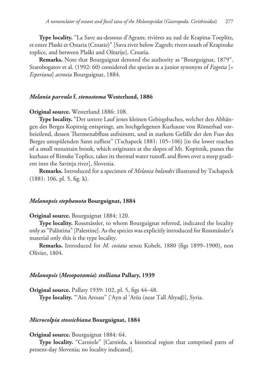**Type locality.** "La Save au-dessous d'Agram; rivières au sud de Krapina-Toeplitz, et entre Plaski et Ostaria (Croatie)" [Sava river below Zagreb; rivers south of Krapinske toplice, and between Plaški and Oštarije], Croatia.

**Remarks.** Note that Bourguignat denoted the authority as "Bourguignat, 1879". Starobogatov et al. (1992: 60) considered the species as a junior synonym of *Fagotia* [= *Esperiana*] *acroxia* Bourguignat, 1884.

# *Melania parvula* **f.** *stenostoma* **Westerlund, 1886**

# **Original source.** Westerlund 1886: 108.

**Type locality.** "Der untere Lauf jenes kleinen Gebirgsbaches, welcher den Abhängen des Berges Kopitnig entspringt, am hochgelegenen Kurhause von Römerbad vorbeieilend, dessen Thermenabfluss aufnimmt, und in starkem Gefälle der den Fuss des Berges umspülenden Sann zufliest" (Tschapeck 1881: 105–106) [in the lower reaches of a small mountain brook, which originates at the slopes of Mt. Kopitnik, passes the kurhaus of Rimske Toplice, takes its thermal water runoff, and flows over a steep gradient into the Savinja river], Slovenia.

**Remarks.** Introduced for a specimen of *Melania holandri* illustrated by Tschapeck (1881: 106, pl. 5, fig. k).

#### *Melanopsis stephanota* **Bourguignat, 1884**

# **Original source.** Bourguignat 1884: 120.

**Type locality.** Rossmässler, to whom Bourguignat referred, indicated the locality only as "Palästina" [Palestine]. As the species was explicitly introduced for Rossmässler's material only this is the type locality.

**Remarks.** Introduced for *M. costata* sensu Kobelt, 1880 (figs 1899–1900), non Olivier, 1804.

#### *Melanopsis* **(***Mesopotamia***)** *stolliana* **Pallary, 1939**

**Original source.** Pallary 1939: 102, pl. 5, figs 44–48. **Type locality.** "'Ain Arouss" ['Ayn al 'Arūs (near Tall Abyaḑ)], Syria.

# *Microcolpia stossichiana* **Bourguignat, 1884**

### **Original source.** Bourguignat 1884: 64.

**Type locality.** "Carniole" [Carniola, a historical region that comprised parts of present-day Slovenia; no locality indicated].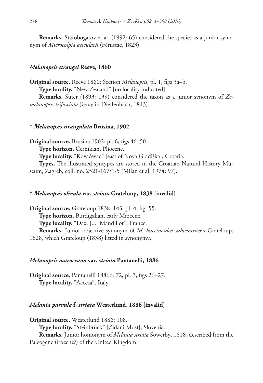**Remarks.** Starobogatov et al. (1992: 65) considered the species as a junior synonym of *Microcolpia acicularis* (Férussac, 1823).

### *Melanopsis strangei* **Reeve, 1860**

**Original source.** Reeve 1860: Section *Melanopsis*, pl. 1, figs 3a–b. **Type locality.** "New Zealand" [no locality indicated]. **Remarks.** Suter (1893: 139) considered the taxon as a junior synonym of *Zemelanopsis trifasciata* (Gray in Dieffenbach, 1843).

### **†** *Melanopsis strangulata* **Brusina, 1902**

**Original source.** Brusina 1902: pl. 6, figs 46–50. **Type horizon.** Cernikian, Pliocene. **Type locality.** "Kovačevac" [east of Nova Gradiška], Croatia. **Types.** The illustrated syntypes are stored in the Croatian Natural History Museum, Zagreb, coll. no. 2521-167/1-5 (Milan et al. 1974: 97).

# **†** *Melanopsis olivula* **var.** *striata* **Grateloup, 1838 [invalid]**

**Original source.** Grateloup 1838: 143, pl. 4, fig. 55. **Type horizon.** Burdigalian, early Miocene. **Type locality.** "Dax. [...] Mandillot", France. **Remarks.** Junior objective synonym of *M. buccinoidea subventricosa* Grateloup, 1828, which Grateloup (1838) listed in synonymy.

### *Melanopsis maroccana* **var.** *striata* **Pantanelli, 1886**

**Original source.** Pantanelli 1886b: 72, pl. 3, figs 26–27. **Type locality.** "Accesa", Italy.

# *Melania parvula* **f.** *striata* **Westerlund, 1886 [invalid]**

**Original source.** Westerlund 1886: 108. **Type locality.** "Steinbrück" [Zidani Most], Slovenia. **Remarks.** Junior homonym of *Melania striata* Sowerby, 1818, described from the Paleogene (Eocene?) of the United Kingdom.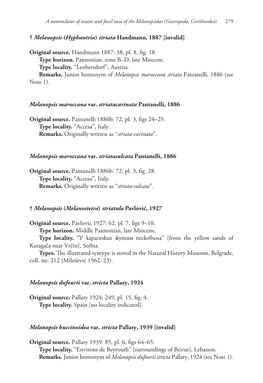# **†** *Melanopsis* **(***Hyphantria***)** *striata* **Handmann, 1887 [invalid]**

**Original source.** Handmann 1887: 38, pl. 8, fig. 18. **Type horizon.** Pannonian, zone B–D, late Miocene. **Type locality.** "Leobersdorf", Austria. **Remarks.** Junior homonym of *Melanopsis maroccana striata* Pantanelli, 1886 (see

Note 1).

### *Melanopsis maroccana* **var.** *striatacarinata* **Pantanelli, 1886**

**Original source.** Pantanelli 1886b: 72, pl. 3, figs 24–25. **Type locality.** "Accesa", Italy. **Remarks.** Originally written as "*striata-carinata*".

# *Melanopsis maroccana* **var.** *striatasulcata* **Pantanelli, 1886**

**Original source.** Pantanelli 1886b: 72, pl. 3, fig. 28. **Type locality.** "Accesa", Italy. **Remarks.** Originally written as "*striata-sulcata*".

# **†** *Melanopsis* **(***Melanosteira***)** *striatula* **Pavlović, 1927**

**Original source.** Pavlović 1927: 62, pl. 7, figs 9–10. **Type horizon.** Middle Pannonian, late Miocene.

**Type locality.** "У карагачких жутим песковима" [from the yellow sands of Karagača near Vrčin], Serbia.

**Types.** The illustrated syntype is stored in the Natural History Museum, Belgrade, coll. no. 212 (Milošević 1962: 23).

# *Melanopsis dufourii* **var.** *stricta* **Pallary, 1924**

**Original source.** Pallary 1924: 249, pl. 15, fig. 4. **Type locality.** Spain [no locality indicated].

### *Melanopsis buccinoidea* **var.** *stricta* **Pallary, 1939 [invalid]**

**Original source.** Pallary 1939: 85, pl. 6, figs 64–65. **Type locality.** "Environs de Beyrouth" [surroundings of Beirut], Lebanon. **Remarks.** Junior homonym of *Melanopsis dufourii stricta* Pallary, 1924 (see Note 1).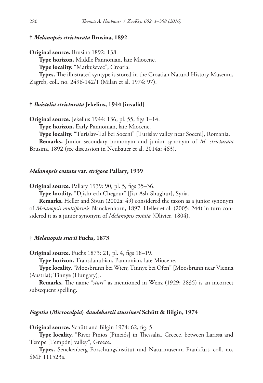# **†** *Melanopsis stricturata* **Brusina, 1892**

**Original source.** Brusina 1892: 138.

**Type horizon.** Middle Pannonian, late Miocene.

**Type locality.** "Markuševec", Croatia.

**Types.** The illustrated syntype is stored in the Croatian Natural History Museum, Zagreb, coll. no. 2496-142/1 (Milan et al. 1974: 97).

### **†** *Boistelia stricturata* **Jekelius, 1944 [invalid]**

**Original source.** Jekelius 1944: 136, pl. 55, figs 1–14.

**Type horizon.** Early Pannonian, late Miocene.

**Type locality.** "Turislav-Tal bei Soceni" [Turislav valley near Soceni], Romania.

**Remarks.** Junior secondary homonym and junior synonym of *M. stricturata* Brusina, 1892 (see discussion in Neubauer et al. 2014a: 463).

#### *Melanopsis costata* **var.** *strigosa* **Pallary, 1939**

**Original source.** Pallary 1939: 90, pl. 5, figs 35–36.

**Type locality.** "Djishr ech Chegour" [Jisr Ash-Shughur], Syria.

**Remarks.** Heller and Sivan (2002a: 49) considered the taxon as a junior synonym of *Melanopsis multiformis* Blanckenhorn, 1897. Heller et al. (2005: 244) in turn considered it as a junior synonym of *Melanopsis costata* (Olivier, 1804).

### **†** *Melanopsis sturii* **Fuchs, 1873**

**Original source.** Fuchs 1873: 21, pl. 4, figs 18–19.

**Type horizon.** Transdanubian, Pannonian, late Miocene.

**Type locality.** "Moosbrunn bei Wien; Tinnye bei Ofen" [Moosbrunn near Vienna (Austria); Tinnye (Hungary)].

**Remarks.** The name "*sturi*" as mentioned in Wenz (1929: 2835) is an incorrect subsequent spelling.

# *Fagotia* **(***Microcolpia***)** *daudebartii stussineri* **Schütt & Bilgin, 1974**

**Original source.** Schütt and Bilgin 1974: 62, fig. 5.

**Type locality.** "River Pinios [Pineiós] in Thessalia, Greece, between Larissa and Tempe [Tempón] valley", Greece.

**Types.** Senckenberg Forschungsinstitut und Naturmuseum Frankfurt, coll. no. SMF 111523a.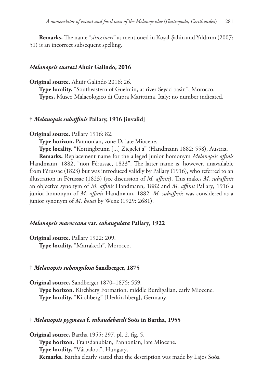**Remarks.** The name "*situssineri*" as mentioned in Koşal-Şahin and Yıldırım (2007: 51) is an incorrect subsequent spelling.

# *Melanopsis suarezi* **Ahuir Galindo, 2016**

**Original source.** Ahuir Galindo 2016: 26.

**Type locality.** "Southeastern of Guelmin, at river Seyad basin", Morocco. **Types.** Museo Malacologico di Cupra Marittima, Italy; no number indicated.

# **†** *Melanopsis subaffinis* **Pallary, 1916 [invalid]**

### **Original source.** Pallary 1916: 82.

**Type horizon.** Pannonian, zone D, late Miocene.

**Type locality.** "Kottingbrunn [...] Ziegelei a" (Handmann 1882: 558), Austria.

**Remarks.** Replacement name for the alleged junior homonym *Melanopsis affinis* Handmann, 1882, "non Férussac, 1823". The latter name is, however, unavailable from Férussac (1823) but was introduced validly by Pallary (1916), who referred to an illustration in Férussac (1823) (see discussion of *M. affinis*). This makes *M. subaffinis* an objective synonym of *M. affinis* Handmann, 1882 and *M. affinis* Pallary, 1916 a junior homonym of *M. affinis* Handmann, 1882. *M. subaffinis* was considered as a junior synonym of *M. bouei* by Wenz (1929: 2681).

### *Melanopsis maroccana* **var.** *subangulata* **Pallary, 1922**

**Original source.** Pallary 1922: 209.

**Type locality.** "Marrakech", Morocco.

### **†** *Melanopsis subangulosa* **Sandberger, 1875**

**Original source.** Sandberger 1870–1875: 559. **Type horizon.** Kirchberg Formation, middle Burdigalian, early Miocene. **Type locality.** "Kirchberg" [Illerkirchberg], Germany.

# **†** *Melanopsis pygmaea* **f.** *subaudebardi* **Soós in Bartha, 1955**

**Original source.** Bartha 1955: 297, pl. 2, fig. 5. **Type horizon.** Transdanubian, Pannonian, late Miocene. **Type locality.** "Várpalota", Hungary. **Remarks.** Bartha clearly stated that the description was made by Lajos Soós.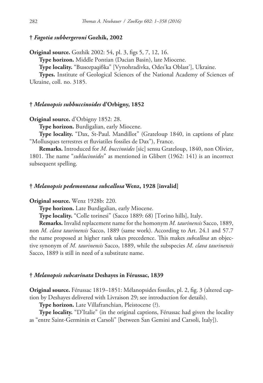# **†** *Fagotia subbergeroni* **Gozhik, 2002**

**Original source.** Gozhik 2002: 54, pl. 3, figs 5, 7, 12, 16.

**Type horizon.** Middle Pontian (Dacian Basin), late Miocene.

**Type locality.** "Виноградівка" [Vynohradivka, Odes'ka Oblast'], Ukraine.

**Types.** Institute of Geological Sciences of the National Academy of Sciences of Ukraine, coll. no. 3185.

# **†** *Melanopsis subbuccinoides* **d'Orbigny, 1852**

**Original source.** d'Orbigny 1852: 28.

**Type horizon.** Burdigalian, early Miocene.

**Type locality.** "Dax, St-Paul. Mandillot" (Grateloup 1840, in captions of plate "Mollusques terrestres et fluviatiles fossiles de Dax"), France.

**Remarks.** Introduced for *M. buccinoides* [sic] sensu Grateloup, 1840, non Olivier, 1801. The name "*sublucinoides*" as mentioned in Glibert (1962: 141) is an incorrect subsequent spelling.

# **†** *Melanopsis pedemontana subcallosa* **Wenz, 1928 [invalid]**

**Original source.** Wenz 1928b: 220.

**Type horizon.** Late Burdigalian, early Miocene.

**Type locality.** "Colle torinesi" (Sacco 1889: 68) [Torino hills], Italy.

**Remarks.** Invalid replacement name for the homonym *M. taurinensis* Sacco, 1889, non *M. clava taurinensis* Sacco, 1889 (same work). According to Art. 24.1 and 57.7 the name proposed at higher rank takes precedence. This makes *subcallosa* an objective synonym of *M. taurinensis* Sacco, 1889, while the subspecies *M*. *clava taurinensis* Sacco, 1889 is still in need of a substitute name.

#### **†** *Melanopsis subcarinata* **Deshayes in Férussac, 1839**

**Original source.** Férussac 1819–1851: Mélanopsides fossiles, pl. 2, fig. 3 (altered caption by Deshayes delivered with Livraison 29; see introduction for details).

**Type horizon.** Late Villafranchian, Pleistocene (?).

**Type locality.** "D'Italie" (in the original captions, Férussac had given the locality as "entre Saint-Germinin et Carsoli" [between San Gemini and Carsoli, Italy]).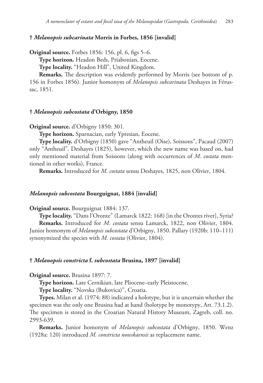# **†** *Melanopsis subcarinata* **Morris in Forbes, 1856 [invalid]**

**Original source.** Forbes 1856: 156, pl. 6, figs 5–6.

**Type horizon.** Headon Beds, Priabonian, Eocene.

**Type locality.** "Headon Hill", United Kingdom.

**Remarks.** The description was evidently performed by Morris (see bottom of p. 156 in Forbes 1856). Junior homonym of *Melanopsis subcarinata* Deshayes in Férussac, 1851.

# **†** *Melanopsis subcostata* **d'Orbigny, 1850**

**Original source.** d'Orbigny 1850: 301.

**Type horizon.** Sparnacian, early Ypresian, Eocene.

**Type locality.** d'Orbigny (1850) gave "Antheuil (Oise), Soissons", Pacaud (2007) only "Antheuil". Deshayes (1825), however, which the new name was based on, had only mentioned material from Soissons (along with occurrences of *M. costata* mentioned in other works), France.

**Remarks.** Introduced for *M. costata* sensu Deshayes, 1825, non Olivier, 1804.

# *Melanopsis subcostata* **Bourguignat, 1884 [invalid]**

**Original source.** Bourguignat 1884: 137.

**Type locality.** "Dans l'Oronte" (Lamarck 1822: 168) [in the Orontes river], Syria? **Remarks.** Introduced for *M. costata* sensu Lamarck, 1822, non Olivier, 1804. Junior homonym of *Melanopsis subcostata* d'Orbigny, 1850. Pallary (1920b: 110–111) synonymized the species with *M. costata* (Olivier, 1804).

# **†** *Melanopsis constricta* **f.** *subcostata* **Brusina, 1897 [invalid]**

**Original source.** Brusina 1897: 7.

**Type horizon.** Late Cernikian, late Pliocene–early Pleistocene.

**Type locality.** "Novska (Bukovica)", Croatia.

**Types.** Milan et al. (1974: 88) indicated a holotype, but it is uncertain whether the specimen was the only one Brusina had at hand (holotype by monotypy, Art. 73.1.2). The specimen is stored in the Croatian Natural History Museum, Zagreb, coll. no. 2993-639.

**Remarks.** Junior homonym of *Melanopsis subcostata* d'Orbigny, 1850. Wenz (1928a: 120) introduced *M. constricta nowskaensis* as replacement name.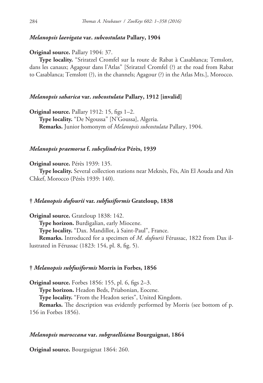# *Melanopsis laevigata* **var.** *subcostulata* **Pallary, 1904**

**Original source.** Pallary 1904: 37.

**Type locality.** "Sriratzel Cromfel sur la route de Rabat à Casablanca; Temslott, dans les canaux; Agagour dans l'Atlas" [Sriratzel Cromfel (?) at the road from Rabat to Casablanca; Temslott (?), in the channels; Agagour (?) in the Atlas Mts.], Morocco.

### *Melanopsis saharica* **var.** *subcostulata* **Pallary, 1912 [invalid]**

**Original source.** Pallary 1912: 15, figs 1–2. **Type locality.** "De Ngoussa" [N'Goussa], Algeria. **Remarks.** Junior homonym of *Melanopsis subcostulata* Pallary, 1904.

# *Melanopsis praemorsa* **f.** *subcylindrica* **Pérès, 1939**

**Original source.** Pérès 1939: 135.

**Type locality.** Several collection stations near Meknès, Fès, Aïn El Aouda and Aïn Chkef, Morocco (Pérès 1939: 140).

# **†** *Melanopsis dufourii* **var.** *subfusiformis* **Grateloup, 1838**

**Original source.** Grateloup 1838: 142.

**Type horizon.** Burdigalian, early Miocene.

**Type locality.** "Dax. Mandillot, à Saint-Paul", France.

**Remarks.** Introduced for a specimen of *M. dufourii* Férussac, 1822 from Dax illustrated in Férussac (1823: 154, pl. 8, fig. 5).

#### **†** *Melanopsis subfusiformis* **Morris in Forbes, 1856**

**Original source.** Forbes 1856: 155, pl. 6, figs 2–3.

**Type horizon.** Headon Beds, Priabonian, Eocene.

**Type locality.** "From the Headon series", United Kingdom.

**Remarks.** The description was evidently performed by Morris (see bottom of p. 156 in Forbes 1856).

# *Melanopsis maroccana* **var.** *subgraellsiana* **Bourguignat, 1864**

**Original source.** Bourguignat 1864: 260.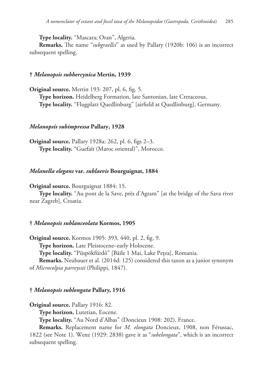**Type locality.** "Mascara; Oran", Algeria.

**Remarks.** The name "*subgraellsi*" as used by Pallary (1920b: 106) is an incorrect subsequent spelling.

### **†** *Melanopsis subhercynica* **Mertin, 1939**

**Original source.** Mertin 193: 207, pl. 6, fig. 5. **Type horizon.** Heidelberg Formation, late Santonian, late Cretaceous. **Type locality.** "Flugplatz Quedlinburg" [airfield at Quedlinburg], Germany.

# *Melanopsis subimpressa* **Pallary, 1928**

**Original source.** Pallary 1928a: 262, pl. 6, figs 2–3. **Type locality.** "Guefaït (Maroc oriental)", Morocco.

### *Melanella elegans* **var.** *sublaevis* **Bourguignat, 1884**

**Original source.** Bourguignat 1884: 15.

**Type locality.** "Au pont de la Save, près d'Agram" [at the bridge of the Sava river near Zagreb], Croatia.

### **†** *Melanopsis sublanceolata* **Kormos, 1905**

**Original source.** Kormos 1905: 393, 440, pl. 2, fig. 9.

**Type horizon.** Late Pleistocene–early Holocene.

**Type locality.** "Püspökfürdő" [Băile 1 Mai, Lake Pețea], Romania.

**Remarks.** Neubauer et al. (2014d: 125) considered this taxon as a junior synonym of *Microcolpia parreyssii* (Philippi, 1847).

#### **†** *Melanopsis sublongata* **Pallary, 1916**

**Original source.** Pallary 1916: 82.

**Type horizon.** Lutetian, Eocene.

**Type locality.** "Au Nord d'Albas" (Doncieux 1908: 202), France.

**Remarks.** Replacement name for *M. elongata* Doncieux, 1908, non Férussac, 1822 (see Note 1). Wenz (1929: 2838) gave it as "*subelongata*", which is an incorrect subsequent spelling.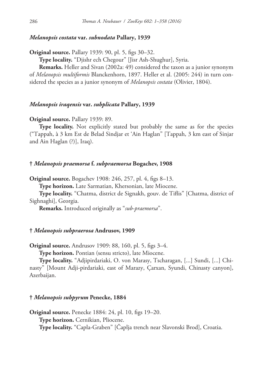# *Melanopsis costata* **var.** *subnodata* **Pallary, 1939**

**Original source.** Pallary 1939: 90, pl. 5, figs 30–32.

**Type locality.** "Djishr ech Chegour" [Jisr Ash-Shughur], Syria.

**Remarks.** Heller and Sivan (2002a: 49) considered the taxon as a junior synonym of *Melanopsis multiformis* Blanckenhorn, 1897. Heller et al. (2005: 244) in turn considered the species as a junior synonym of *Melanopsis costata* (Olivier, 1804).

# *Melanopsis iraqensis* **var.** *subplicata* **Pallary, 1939**

### **Original source.** Pallary 1939: 89.

**Type locality.** Not explicitly stated but probably the same as for the species ("Tappah, à 3 km Est de Belad Sindjar et 'Ain Haglan" [Tappah, 3 km east of Sinjar and Ain Haglan (?)], Iraq).

### **†** *Melanopsis praemorsa* **f.** *subpraemorsa* **Bogachev, 1908**

**Original source.** Bogachev 1908: 246, 257, pl. 4, figs 8–13.

**Type horizon.** Late Sarmatian, Khersonian, late Miocene.

**Type locality.** "Chatma, district de Signakh, gouv. de Tiflis" [Chatma, district of Sighnaghi], Georgia.

**Remarks.** Introduced originally as "*sub-praemorsa*".

### **†** *Melanopsis subpraerosa* **Andrusov, 1909**

**Original source.** Andrusov 1909: 88, 160, pl. 5, figs 3–4.

**Type horizon.** Pontian (sensu stricto), late Miocene.

**Type locality.** "Adjipirdariaki, O. von Marasy, Tscharagan, [...] Sundi, [...] Chinasty" [Mount Adji-pirdariaki, east of Marazy, Çarxan, Syundi, Chinasty canyon], Azerbaijan.

### **†** *Melanopsis subpyrum* **Penecke, 1884**

**Original source.** Penecke 1884: 24, pl. 10, figs 19–20. **Type horizon.** Cernikian, Pliocene. **Type locality.** "Capla-Graben" [Čaplja trench near Slavonski Brod], Croatia.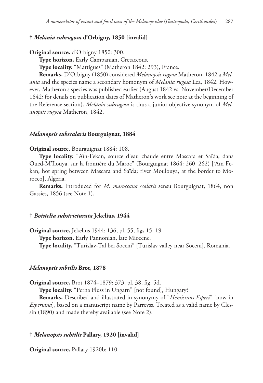# **†** *Melania subrugosa* **d'Orbigny, 1850 [invalid]**

**Original source.** d'Orbigny 1850: 300.

**Type horizon.** Early Campanian, Cretaceous.

**Type locality.** "Martigues" (Matheron 1842: 293), France.

**Remarks.** D'Orbigny (1850) considered *Melanopsis rugosa* Matheron, 1842 a *Melania* and the species name a secondary homonym of *Melania rugosa* Lea, 1842. However, Matheron's species was published earlier (August 1842 vs. November/December 1842; for details on publication dates of Matheron's work see note at the beginning of the Reference section). *Melania subrugosa* is thus a junior objective synonym of *Melanopsis rugosa* Matheron, 1842.

#### *Melanopsis subscalaris* **Bourguignat, 1884**

#### **Original source.** Bourguignat 1884: 108.

**Type locality.** "Aïn-Fekan, source d'eau chaude entre Mascara et Saïda; dans Oued-M'Ilouya, sur la frontière du Maroc" (Bourguignat 1864: 260, 262) ['Aïn Fekan, hot spring between Mascara and Saïda; river Moulouya, at the border to Morocco], Algeria.

**Remarks.** Introduced for *M. maroccana scalaris* sensu Bourguignat, 1864, non Gassies, 1856 (see Note 1).

# **†** *Boistelia substricturata* **Jekelius, 1944**

**Original source.** Jekelius 1944: 136, pl. 55, figs 15–19.

**Type horizon.** Early Pannonian, late Miocene.

**Type locality.** "Turislav-Tal bei Soceni" [Turislav valley near Soceni], Romania.

#### *Melanopsis subtilis* **Brot, 1878**

**Original source.** Brot 1874–1879: 373, pl. 38, fig. 5d.

**Type locality.** "Perna Fluss in Ungarn" [not found], Hungary?

**Remarks.** Described and illustrated in synonymy of "*Hemisinus Esperi*" [now in *Esperiana*], based on a manuscript name by Parreyss. Treated as a valid name by Clessin (1890) and made thereby available (see Note 2).

# **†** *Melanopsis subtilis* **Pallary, 1920 [invalid]**

**Original source.** Pallary 1920b: 110.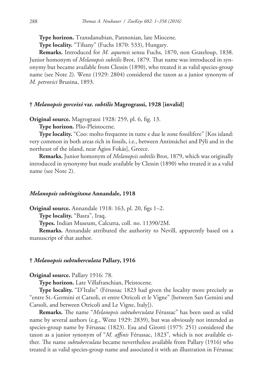**Type horizon.** Transdanubian, Pannonian, late Miocene.

**Type locality.** "Tihany" (Fuchs 1870: 533), Hungary.

**Remarks.** Introduced for *M. aquensis* sensu Fuchs, 1870, non Grateloup, 1838. Junior homonym of *Melanopsis subtilis* Brot, 1879. That name was introduced in synonymy but became available from Clessin (1890), who treated it as valid species-group name (see Note 2). Wenz (1929: 2804) considered the taxon as a junior synonym of *M. petrovici* Brusina, 1893.

# **†** *Melanopsis gorceixi* **var.** *subtilis* **Magrograssi, 1928 [invalid]**

**Original source.** Magrograssi 1928: 259, pl. 6, fig. 13.

**Type horizon.** Plio-Pleistocene.

**Type locality.** "Coo: molto frequente in tutte e due le zone fossilifere" [Kos island: very common in both areas rich in fossils, i.e., between Antimáchei and Pýli and in the northeast of the island, near Ágios Fokás], Greece.

**Remarks.** Junior homonym of *Melanopsis subtilis* Brot, 1879, which was originally introduced in synonymy but made available by Clessin (1890) who treated it as a valid name (see Note 2).

# *Melanopsis subtingitana* **Annandale, 1918**

**Original source.** Annandale 1918: 163, pl. 20, figs 1–2.

**Type locality.** "Basra", Iraq.

**Types.** Indian Museum, Calcutta, coll. no. 11390/2M.

**Remarks.** Annandale attributed the authority to Nevill, apparently based on a manuscript of that author.

# **†** *Melanopsis subtuberculata* **Pallary, 1916**

**Original source.** Pallary 1916: 78.

**Type horizon.** Late Villafranchian, Pleistocene.

**Type locality.** "D'Italie" (Férussac 1823 had given the locality more precisely as "entre St.-Germini et Carsoli, et entre Otricoli et le Vigne" [between San Gemini and Carsoli, and between Otricoli and Le Vigne, Italy]).

**Remarks.** The name "*Melanopsis subtuberculata* Férussac" has been used as valid name by several authors (e.g., Wenz 1929: 2839), but was obviously not intended as species-group name by Férussac (1823). Esu and Girotti (1975: 251) considered the taxon as a junior synonym of "*M. affinis* Férussac, 1823", which is not available either. The name *subtuberculata* became nevertheless available from Pallary (1916) who treated it as valid species-group name and associated it with an illustration in Férussac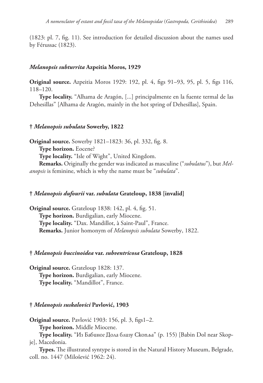(1823: pl. 7, fig. 11). See introduction for detailed discussion about the names used by Férussac (1823).

#### *Melanopsis subturrita* **Azpeitia Moros, 1929**

**Original source.** Azpeitia Moros 1929: 192, pl. 4, figs 91–93, 95, pl. 5, figs 116, 118–120.

**Type locality.** "Alhama de Aragón, [...] principalmente en la fuente termal de las Dehesillas" [Alhama de Aragón, mainly in the hot spring of Dehesillas], Spain.

## **†** *Melanopsis subulata* **Sowerby, 1822**

**Original source.** Sowerby 1821–1823: 36, pl. 332, fig. 8.

**Type horizon.** Eocene?

**Type locality.** "Isle of Wight", United Kingdom.

**Remarks.** Originally the gender was indicated as masculine ("*subulatus*"), but *Melanopsis* is feminine, which is why the name must be "*subulata*".

# **†** *Melanopsis dufourii* **var.** *subulata* **Grateloup, 1838 [invalid]**

**Original source.** Grateloup 1838: 142, pl. 4, fig. 51. **Type horizon.** Burdigalian, early Miocene. **Type locality.** "Dax. Mandillot, à Saint-Paul", France. **Remarks.** Junior homonym of *Melanopsis subulata* Sowerby, 1822.

## **†** *Melanopsis buccinoidea* **var.** *subventricosa* **Grateloup, 1828**

**Original source.** Grateloup 1828: 137. **Type horizon.** Burdigalian, early Miocene. **Type locality.** "Mandillot", France.

# **†** *Melanopsis suskalovici* **Pavlović, 1903**

**Original source.** Pavlović 1903: 156, pl. 3, figs1–2.

**Type horizon.** Middle Miocene.

**Type locality.** "Из Бабиног Дола близу Скопља" (p. 155) [Babin Dol near Skopje], Macedonia.

**Types.** The illustrated syntype is stored in the Natural History Museum, Belgrade, coll. no. 1447 (Milošević 1962: 24).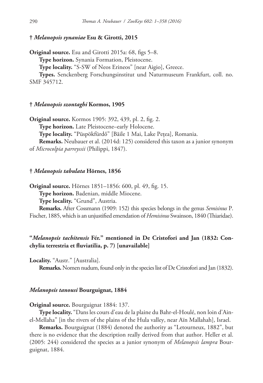# **†** *Melanopsis synaniae* **Esu & Girotti, 2015**

**Original source.** Esu and Girotti 2015a: 68, figs 5–8.

**Type horizon.** Synania Formation, Pleistocene.

**Type locality.** "S-SW of Neos Erineos" [near Aigio], Greece.

**Types.** Senckenberg Forschungsinstitut und Naturmuseum Frankfurt, coll. no. SMF 345712.

# **†** *Melanopsis szontaghi* **Kormos, 1905**

**Original source.** Kormos 1905: 392, 439, pl. 2, fig. 2. **Type horizon.** Late Pleistocene–early Holocene. **Type locality.** "Püspökfürdő" [Băile 1 Mai, Lake Pețea], Romania. **Remarks.** Neubauer et al. (2014d: 125) considered this taxon as a junior synonym of *Microcolpia parreyssii* (Philippi, 1847).

#### **†** *Melanopsis tabulata* **Hörnes, 1856**

**Original source.** Hörnes 1851–1856: 600, pl. 49, fig. 15.

**Type horizon.** Badenian, middle Miocene.

**Type locality.** "Grund", Austria.

**Remarks.** After Cossmann (1909: 152) this species belongs in the genus *Semisinus* P. Fischer, 1885, which is an unjustified emendation of *Hemisinus* Swainson, 1840 (Thiaridae).

# **"***Melanopsis tachitensis* **Fér." mentioned in De Cristofori and Jan (1832: Conchylia terrestria et fluviatilia, p. 7) [unavailable]**

**Locality.** "Austr." [Australia].

**Remarks.** Nomen nudum, found only in the species list of De Cristofori and Jan (1832).

#### *Melanopsis tanousi* **Bourguignat, 1884**

**Original source.** Bourguignat 1884: 137.

**Type locality.** "Dans les cours d'eau de la plaine du Bahr-el-Houlé, non loin d'Ainel-Mellaha" [in the rivers of the plains of the Hula valley, near Aïn Mallahah], Israel.

**Remarks.** Bourguignat (1884) denoted the authority as "Letourneux, 1882", but there is no evidence that the description really derived from that author. Heller et al. (2005: 244) considered the species as a junior synonym of *Melanopsis lampra* Bourguignat, 1884.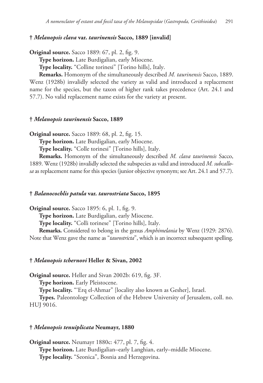## **†** *Melanopsis clava* **var.** *taurinensis* **Sacco, 1889 [invalid]**

**Original source.** Sacco 1889: 67, pl. 2, fig. 9.

**Type horizon.** Late Burdigalian, early Miocene.

**Type locality.** "Colline torinesi" [Torino hills], Italy.

**Remarks.** Homonym of the simultaneously described *M. taurinensis* Sacco, 1889. Wenz (1928b) invalidly selected the variety as valid and introduced a replacement name for the species, but the taxon of higher rank takes precedence (Art. 24.1 and 57.7). No valid replacement name exists for the variety at present.

# **†** *Melanopsis taurinensis* **Sacco, 1889**

**Original source.** Sacco 1889: 68, pl. 2, fig. 15.

**Type horizon.** Late Burdigalian, early Miocene.

**Type locality.** "Colle torinesi" [Torino hills], Italy.

**Remarks.** Homonym of the simultaneously described *M. clava taurinensis* Sacco, 1889. Wenz (1928b) invalidly selected the subspecies as valid and introduced *M. subcallosa* as replacement name for this species (junior objective synonym; see Art. 24.1 and 57.7).

#### **†** *Balanocochlis patula* **var.** *taurostriata* **Sacco, 1895**

**Original source.** Sacco 1895: 6, pl. 1, fig. 9.

**Type horizon.** Late Burdigalian, early Miocene.

**Type locality.** "Colli torinese" [Torino hills], Italy.

**Remarks.** Considered to belong in the genus *Amphimelania* by Wenz (1929: 2876). Note that Wenz gave the name as "*taurostricta*", which is an incorrect subsequent spelling.

## **†** *Melanopsis tchernovi* **Heller & Sivan, 2002**

**Original source.** Heller and Sivan 2002b: 619, fig. 3F.

**Type horizon.** Early Pleistocene.

**Type locality.** "'Erq el-Ahmar" [locality also known as Gesher], Israel.

**Types.** Paleontology Collection of the Hebrew University of Jerusalem, coll. no. HUJ 9016.

#### **†** *Melanopsis tenuiplicata* **Neumayr, 1880**

**Original source.** Neumayr 1880c: 477, pl. 7, fig. 4. **Type horizon.** Late Burdigalian–early Langhian, early–middle Miocene. **Type locality.** "Seonica", Bosnia and Herzegovina.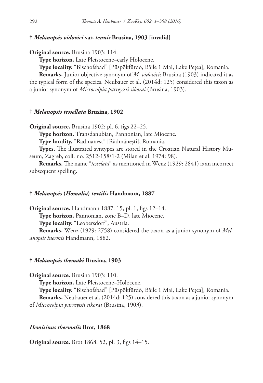# **†** *Melanopsis vidovici* **var.** *tenuis* **Brusina, 1903 [invalid]**

**Original source.** Brusina 1903: 114.

**Type horizon.** Late Pleistocene–early Holocene.

**Type locality.** "Bischofsbad" [Püspökfürdő, Băile 1 Mai, Lake Pețea], Romania.

**Remarks.** Junior objective synonym of *M. vidovici*: Brusina (1903) indicated it as the typical form of the species. Neubauer et al. (2014d: 125) considered this taxon as a junior synonym of *Microcolpia parreyssii sikorai* (Brusina, 1903).

# **†** *Melanopsis tessellata* **Brusina, 1902**

**Original source.** Brusina 1902: pl. 6, figs 22–25.

**Type horizon.** Transdanubian, Pannonian, late Miocene.

**Type locality.** "Radmanest" [Rădmănești], Romania.

**Types.** The illustrated syntypes are stored in the Croatian Natural History Museum, Zagreb, coll. no. 2512-158/1-2 (Milan et al. 1974: 98).

**Remarks.** The name "*tesselata*" as mentioned in Wenz (1929: 2841) is an incorrect subsequent spelling.

#### **†** *Melanopsis* **(***Homalia***)** *textilis* **Handmann, 1887**

**Original source.** Handmann 1887: 15, pl. 1, figs 12–14. **Type horizon.** Pannonian, zone B–D, late Miocene. **Type locality.** "Leobersdorf", Austria. **Remarks.** Wenz (1929: 2758) considered the taxon as a junior synonym of *Melanopsis inermis* Handmann, 1882.

# **†** *Melanopsis themaki* **Brusina, 1903**

**Original source.** Brusina 1903: 110.

**Type horizon.** Late Pleistocene–Holocene.

**Type locality.** "Bischofsbad" [Püspökfürdő, Băile 1 Mai, Lake Pețea], Romania. **Remarks.** Neubauer et al. (2014d: 125) considered this taxon as a junior synonym of *Microcolpia parreyssii sikorai* (Brusina, 1903).

## *Hemisinus thermalis* **Brot, 1868**

**Original source.** Brot 1868: 52, pl. 3, figs 14–15.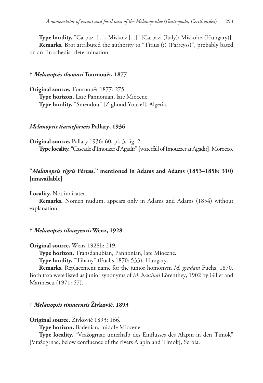**Type locality.** "Carpazi [...], Miskolz [...]" [Carpazi (Italy); Miskolcz (Hungary)]. **Remarks.** Brot attributed the authority to "Titius (?) (Parreyss)", probably based on an "in schedis" determination.

# **†** *Melanopsis thomasi* **Tournouër, 1877**

**Original source.** Tournouër 1877: 275. **Type horizon.** Late Pannonian, late Miocene. **Type locality.** "Smendou" [Zighoud Youcef], Algeria.

## *Melanopsis tiaraeformis* **Pallary, 1936**

**Original source.** Pallary 1936: 60, pl. 3, fig. 2. **Type locality.** "Cascade d'Imouzer d'Agadir" [waterfall of Imouzzer at Agadir], Morocco.

# **"***Melanopsis tigris* **Féruss." mentioned in Adams and Adams (1853–1858: 310) [unavailable]**

**Locality.** Not indicated.

**Remarks.** Nomen nudum, appears only in Adams and Adams (1854) without explanation.

# **†** *Melanopsis tihanyensis* **Wenz, 1928**

**Original source.** Wenz 1928b: 219.

**Type horizon.** Transdanubian, Pannonian, late Miocene.

**Type locality.** "Tihany" (Fuchs 1870: 533), Hungary.

**Remarks.** Replacement name for the junior homonym *M. gradata* Fuchs, 1870. Both taxa were listed as junior synonyms of *M. brusinai* Lörenthey, 1902 by Gillet and Marinescu (1971: 57).

# **†** *Melanopsis timacensis* **Živković, 1893**

**Original source.** Živković 1893: 166.

**Type horizon.** Badenian, middle Miocene.

**Type locality.** "Vražogrnac unterhalb des Einflusses des Alapin in den Timok" [Vražogrnac, below confluence of the rivers Alapin and Timok], Serbia.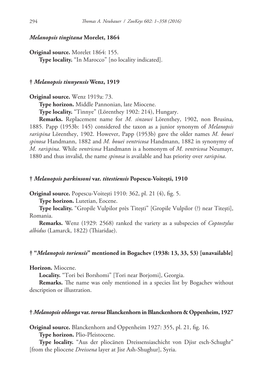## *Melanopsis tingitana* **Morelet, 1864**

**Original source.** Morelet 1864: 155. **Type locality.** "In Marocco" [no locality indicated].

## **†** *Melanopsis tinnyensis* **Wenz, 1919**

**Original source.** Wenz 1919a: 73.

**Type horizon.** Middle Pannonian, late Miocene.

**Type locality.** "Tinnye" (Lörenthey 1902: 214), Hungary.

**Remarks.** Replacement name for *M. sinzowi* Lörenthey, 1902, non Brusina, 1885. Papp (1953b: 145) considered the taxon as a junior synonym of *Melanopsis rarispina* Lörenthey, 1902. However, Papp (1953b) gave the older names *M. bouei spinosa* Handmann, 1882 and *M. bouei ventricosa* Handmann, 1882 in synonymy of *M. rarispina*. While *ventricosa* Handmann is a homonym of *M. ventricosa* Neumayr, 1880 and thus invalid, the name *spinosa* is available and has priority over *rarispina*.

#### **†** *Melanopsis parkinsoni* **var.** *titestiensis* **Popescu-Voitești, 1910**

**Original source.** Popescu-Voitești 1910: 362, pl. 21 (4), fig. 5.

**Type horizon.** Lutetian, Eocene.

**Type locality.** "Gropile Vulpilor près Titești" [Gropile Vulpilor (?) near Titești], Romania.

**Remarks.** Wenz (1929: 2568) ranked the variety as a subspecies of *Coptostylus albidus* (Lamarck, 1822) (Thiaridae).

# **† "***Melanopsis toriensis***" mentioned in Bogachev (1938: 13, 33, 53) [unavailable]**

**Horizon.** Miocene.

**Locality.** "Tori bei Borshomi" [Tori near Borjomi], Georgia.

**Remarks.** The name was only mentioned in a species list by Bogachev without description or illustration.

#### **†** *Melanopsis oblonga* **var.** *torosa* **Blanckenhorn in Blanckenhorn & Oppenheim, 1927**

**Original source.** Blanckenhorn and Oppenheim 1927: 355, pl. 21, fig. 16.

**Type horizon.** Plio-Pleistocene.

**Type locality.** "Aus der pliocänen Dreissensiaschicht von Djisr esch-Schughr" [from the pliocene *Dreissena* layer at Jisr Ash-Shughur], Syria.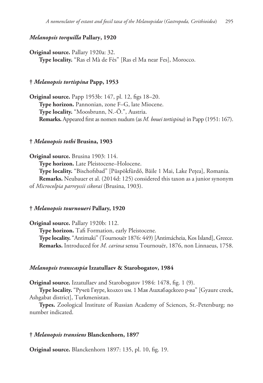# *Melanopsis torquilla* **Pallary, 1920**

**Original source.** Pallary 1920a: 32.

**Type locality.** "Ras el Mà de Fès" [Ras el Ma near Fes], Morocco.

# **†** *Melanopsis tortispina* **Papp, 1953**

**Original source.** Papp 1953b: 147, pl. 12, figs 18–20. **Type horizon.** Pannonian, zone F–G, late Miocene. **Type locality.** "Moosbrunn, N.-Ö.", Austria. **Remarks.** Appeared first as nomen nudum (as *M. bouei tortispina*) in Papp (1951: 167).

#### **†** *Melanopsis tothi* **Brusina, 1903**

**Original source.** Brusina 1903: 114. **Type horizon.** Late Pleistocene–Holocene. **Type locality.** "Bischofsbad" [Püspökfürdő, Băile 1 Mai, Lake Pețea], Romania.

**Remarks.** Neubauer et al. (2014d: 125) considered this taxon as a junior synonym of *Microcolpia parreyssii sikorai* (Brusina, 1903).

#### **†** *Melanopsis tournoueri* **Pallary, 1920**

**Original source.** Pallary 1920b: 112. **Type horizon.** Tafi Formation, early Pleistocene. **Type locality.** "Antimaki" (Tournouër 1876: 449) [Antimácheia, Kos Island], Greece. **Remarks.** Introduced for *M. cariosa* sensu Tournouër, 1876, non Linnaeus, 1758.

#### *Melanopsis transcaspia* **Izzatullaev & Starobogatov, 1984**

**Original source.** Izzatullaev and Starobogatov 1984: 1478, fig. 1 (9).

**Type locality.** "Ручей Гяуре, колхоз им. 1 Мая Ашхабадского р-на" [Gyaure creek, Ashgabat district], Turkmenistan.

**Types.** Zoological Institute of Russian Academy of Sciences, St.-Petersburg; no number indicated.

#### **†** *Melanopsis transiens* **Blanckenhorn, 1897**

**Original source.** Blanckenhorn 1897: 135, pl. 10, fig. 19.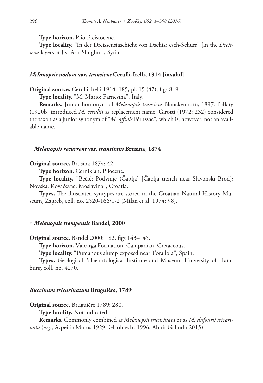**Type horizon.** Plio-Pleistocene.

**Type locality.** "In der Dreissensiaschicht von Dschisr esch-Schurr" [in the *Dreissena* layers at Jisr Ash-Shughur], Syria.

## *Melanopsis nodosa* **var.** *transiens* **Cerulli-Irelli, 1914 [invalid]**

**Original source.** Cerulli-Irelli 1914: 185, pl. 15 (47), figs 8–9.

**Type locality.** "M. Mario: Farnesina", Italy.

**Remarks.** Junior homonym of *Melanopsis transiens* Blanckenhorn, 1897. Pallary (1920b) introduced *M. cerullii* as replacement name. Girotti (1972: 232) considered the taxon as a junior synonym of "*M. affinis* Férussac", which is, however, not an available name.

## **†** *Melanopsis recurrens* **var.** *transitans* **Brusina, 1874**

## **Original source.** Brusina 1874: 42.

**Type horizon.** Cernikian, Pliocene.

**Type locality.** "Bečić; Podvinje (Čaplja) [Čaplja trench near Slavonski Brod]; Novska; Kovačevac; Moslavina", Croatia.

**Types.** The illustrated syntypes are stored in the Croatian Natural History Museum, Zagreb, coll. no. 2520-166/1-2 (Milan et al. 1974: 98).

# **†** *Melanopsis trempensis* **Bandel, 2000**

**Original source.** Bandel 2000: 182, figs 143–145.

**Type horizon.** Valcarga Formation, Campanian, Cretaceous.

**Type locality.** "Pumanous slump exposed near Torallola", Spain.

**Types.** Geological-Palaeontological Institute and Museum University of Hamburg, coll. no. 4270.

#### *Buccinum tricarinatum* **Bruguière, 1789**

**Original source.** Bruguière 1789: 280.

**Type locality.** Not indicated.

**Remarks.** Commonly combined as *Melanopsis tricarinata* or as *M. dufourii tricarinata* (e.g., Azpeitia Moros 1929, Glaubrecht 1996, Ahuir Galindo 2015).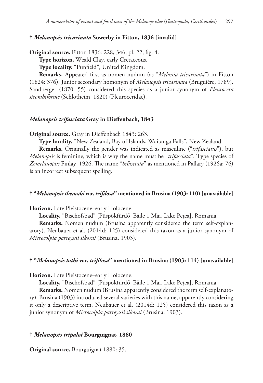# **†** *Melanopsis tricarinata* **Sowerby in Fitton, 1836 [invalid]**

**Original source.** Fitton 1836: 228, 346, pl. 22, fig. 4.

**Type horizon.** Weald Clay, early Cretaceous.

**Type locality.** "Punfield", United Kingdom.

**Remarks.** Appeared first as nomen nudum (as "*Melania tricarinata*") in Fitton (1824: 376). Junior secondary homonym of *Melanopsis tricarinata* (Bruguière, 1789). Sandberger (1870: 55) considered this species as a junior synonym of *Pleurocera strombiforme* (Schlotheim, 1820) (Pleuroceridae).

# *Melanopsis trifasciata* **Gray in Dieffenbach, 1843**

**Original source.** Gray in Dieffenbach 1843: 263.

**Type locality.** "New Zealand, Bay of Islands, Waitanga Falls", New Zealand.

**Remarks.** Originally the gender was indicated as masculine ("*trifasciatus*"), but *Melanopsis* is feminine, which is why the name must be "*trifasciata*". Type species of *Zemelanopsis* Finlay, 1926. The name "*bifasciata*" as mentioned in Pallary (1926a: 76) is an incorrect subsequent spelling.

## **† "***Melanopsis themaki* **var.** *trifilosa***" mentioned in Brusina (1903: 110) [unavailable]**

**Horizon.** Late Pleistocene–early Holocene.

**Locality.** "Bischofsbad" [Püspökfürdő, Băile 1 Mai, Lake Pețea], Romania.

**Remarks.** Nomen nudum (Brusina apparently considered the term self-explanatory). Neubauer et al. (2014d: 125) considered this taxon as a junior synonym of *Microcolpia parreyssii sikorai* (Brusina, 1903).

## **† "***Melanopsis tothi* **var.** *trifilosa***" mentioned in Brusina (1903: 114) [unavailable]**

**Horizon.** Late Pleistocene–early Holocene.

**Locality.** "Bischofsbad" [Püspökfürdő, Băile 1 Mai, Lake Pețea], Romania.

**Remarks.** Nomen nudum (Brusina apparently considered the term self-explanatory). Brusina (1903) introduced several varieties with this name, apparently considering it only a descriptive term. Neubauer et al. (2014d: 125) considered this taxon as a junior synonym of *Microcolpia parreyssii sikorai* (Brusina, 1903).

# **†** *Melanopsis tripaloi* **Bourguignat, 1880**

**Original source.** Bourguignat 1880: 35.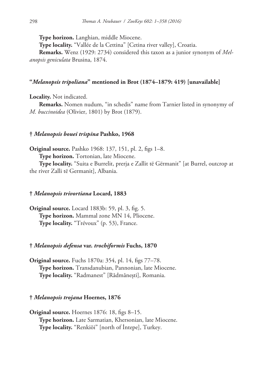**Type horizon.** Langhian, middle Miocene.

**Type locality.** "Vallée de la Cettina" [Cetina river valley], Croatia.

**Remarks.** Wenz (1929: 2734) considered this taxon as a junior synonym of *Melanopsis geniculata* Brusina, 1874.

## **"***Melanopsis tripoliana***" mentioned in Brot (1874–1879: 419) [unavailable]**

**Locality.** Not indicated.

**Remarks.** Nomen nudum, "in schedis" name from Tarnier listed in synonymy of *M. buccinoidea* (Olivier, 1801) by Brot (1879).

#### **†** *Melanopsis bouei trispina* **Pashko, 1968**

**Original source.** Pashko 1968: 137, 151, pl. 2, figs 1–8. **Type horizon.** Tortonian, late Miocene.

**Type locality.** "Suita e Burrelit, prerja e Zallit të Gërmanit" [at Burrel, outcrop at the river Zalli të Germanit], Albania.

## **†** *Melanopsis trivortiana* **Locard, 1883**

**Original source.** Locard 1883b: 59, pl. 3, fig. 5. **Type horizon.** Mammal zone MN 14, Pliocene. **Type locality.** "Trévoux" (p. 53), France.

# **†** *Melanopsis defensa* **var.** *trochiformis* **Fuchs, 1870**

**Original source.** Fuchs 1870a: 354, pl. 14, figs 77–78. **Type horizon.** Transdanubian, Pannonian, late Miocene. **Type locality.** "Radmanest" [Rădmănești], Romania.

# **†** *Melanopsis trojana* **Hoernes, 1876**

**Original source.** Hoernes 1876: 18, figs 8–15. **Type horizon.** Late Sarmatian, Khersonian, late Miocene. **Type locality.** "Renkiöi" [north of İntepe], Turkey.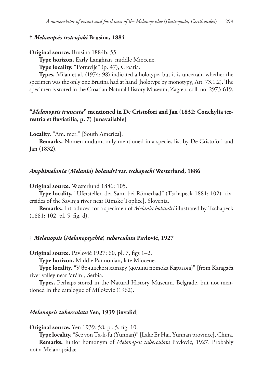# **†** *Melanopsis trstenjaki* **Brusina, 1884**

**Original source.** Brusina 1884b: 55.

**Type horizon.** Early Langhian, middle Miocene.

**Type locality.** "Potravlje" (p. 47), Croatia.

**Types.** Milan et al. (1974: 98) indicated a holotype, but it is uncertain whether the specimen was the only one Brusina had at hand (holotype by monotypy, Art. 73.1.2). The specimen is stored in the Croatian Natural History Museum, Zagreb, coll. no. 2973-619.

# **"***Melanopsis truncata***" mentioned in De Cristofori and Jan (1832: Conchylia terrestria et fluviatilia, p. 7) [unavailable]**

**Locality.** "Am. mer." [South America].

**Remarks.** Nomen nudum, only mentioned in a species list by De Cristofori and Jan (1832).

## *Amphimelania* **(***Melania***)** *holandri* **var.** *tschapecki* **Westerlund, 1886**

**Original source.** Westerlund 1886: 105.

**Type locality.** "Uferstellen der Sann bei Römerbad" (Tschapeck 1881: 102) [riversides of the Savinja river near Rimske Toplice], Slovenia.

**Remarks.** Introduced for a specimen of *Melania holandri* illustrated by Tschapeck (1881: 102, pl. 5, fig. d).

## **†** *Melanopsis* **(***Melanoptychia***)** *tuberculata* **Pavlović, 1927**

**Original source.** Pavlović 1927: 60, pl. 7, figs 1–2.

**Type horizon.** Middle Pannonian, late Miocene.

**Type locality.** "У врчинском хатару (долини потока Карагача)" [from Karagača river valley near Vrčin], Serbia.

**Types.** Perhaps stored in the Natural History Museum, Belgrade, but not mentioned in the catalogue of Milošević (1962).

#### *Melanopsis tuberculata* **Yen, 1939 [invalid]**

**Original source.** Yen 1939: 58, pl. 5, fig. 10.

**Type locality.** "See von Ta-li-fu (Yünnan)" [Lake Er Hai, Yunnan province], China. **Remarks.** Junior homonym of *Melanopsis tuberculata* Pavlović, 1927. Probably not a Melanopsidae.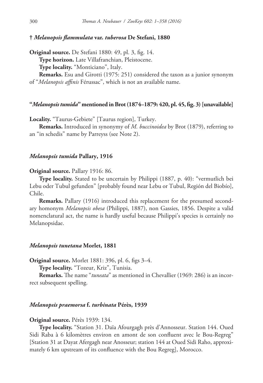## **†** *Melanopsis flammulata* **var.** *tuberosa* **De Stefani, 1880**

**Original source.** De Stefani 1880: 49, pl. 3, fig. 14. **Type horizon.** Late Villafranchian, Pleistocene. **Type locality.** "Monticiano", Italy. **Remarks.** Esu and Girotti (1975: 251) considered the taxon as a junior synonym

of "*Melanopsis affinis* Férussac", which is not an available name.

#### **"***Melanopsis tumida***" mentioned in Brot (1874–1879: 420, pl. 45, fig. 3) [unavailable]**

**Locality.** "Taurus-Gebiete" [Taurus region], Turkey.

**Remarks.** Introduced in synonymy of *M. buccinoidea* by Brot (1879), referring to an "in schedis" name by Parreyss (see Note 2).

## *Melanopsis tumida* **Pallary, 1916**

#### **Original source.** Pallary 1916: 86.

**Type locality.** Stated to be uncertain by Philippi (1887, p. 40): "vermutlich bei Lebu oder Tubul gefunden" [probably found near Lebu or Tubul, Región del Biobío], Chile.

**Remarks.** Pallary (1916) introduced this replacement for the presumed secondary homonym *Melanopsis obesa* (Philippi, 1887), non Gassies, 1856. Despite a valid nomenclatural act, the name is hardly useful because Philippi's species is certainly no Melanopsidae.

#### *Melanopsis tunetana* **Morlet, 1881**

**Original source.** Morlet 1881: 396, pl. 6, figs 3–4.

**Type locality.** "Tozeur, Kriz", Tunisia.

**Remarks.** The name "*tuneata*" as mentioned in Chevallier (1969: 286) is an incorrect subsequent spelling.

## *Melanopsis praemorsa* **f.** *turbinata* **Pérès, 1939**

#### **Original source.** Pérès 1939: 134.

**Type locality.** "Station 31. Daïa Afourgagh près d'Annosseur. Station 144. Oued Sidi Raba à 6 kilomètres environ en amont de son confluent avec le Bou-Regreg" [Station 31 at Dayat Afergagh near Anosseur; station 144 at Oued Sidi Raho, approximately 6 km upstream of its confluence with the Bou Regreg], Morocco.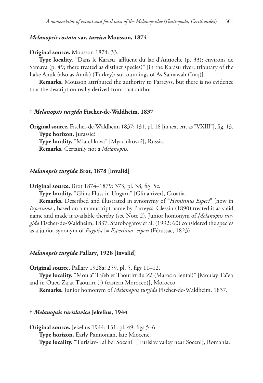# *Melanopsis costata* **var.** *turcica* **Mousson, 1874**

## **Original source.** Mousson 1874: 33.

**Type locality.** "Dans le Karasu, affluent du lac d'Antioche (p. 33); environs de Samava (p. 49; there treated as distinct species)" [in the Karasu river, tributary of the Lake Anuk (also as Amik) (Turkey); surroundings of As Samawah (Iraq)].

**Remarks.** Mousson attributed the authority to Parreyss, but there is no evidence that the description really derived from that author.

## **†** *Melanopsis turgida* **Fischer-de-Waldheim, 1837**

**Original source.** Fischer-de-Waldheim 1837: 131, pl. 18 [in text err. as "VXIII"], fig. 13. **Type horizon.** Jurassic? **Type locality.** "Miatchkova" [Myachikovo?], Russia. **Remarks.** Certainly not a *Melanopsis*.

## *Melanopsis turgida* **Brot, 1878 [invalid]**

**Original source.** Brot 1874–1879: 373, pl. 38, fig. 5c.

**Type locality.** "Glina Fluss in Ungarn" [Glina river], Croatia.

**Remarks.** Described and illustrated in synonymy of "*Hemisinus Esperi*" [now in *Esperiana*], based on a manuscript name by Parreyss. Clessin (1890) treated it as valid name and made it available thereby (see Note 2). Junior homonym of *Melanopsis turgida* Fischer-de-Waldheim, 1837. Starobogatov et al. (1992: 60) considered the species as a junior synonym of *Fagotia* [= *Esperiana*] *esperi* (Férussac, 1823).

## *Melanopsis turgida* **Pallary, 1928 [invalid]**

**Original source.** Pallary 1928a: 259, pl. 5, figs 11–12.

**Type locality.** "Moulaï Taïeb et Taourirt du Zâ (Maroc oriental)" [Moulay Taïeb and in Oued Za at Taourirt (?) (eastern Morocco)], Morocco.

**Remarks.** Junior homonym of *Melanopsis turgida* Fischer-de-Waldheim, 1837.

#### **†** *Melanopsis turislavica* **Jekelius, 1944**

**Original source.** Jekelius 1944: 131, pl. 49, figs 5–6. **Type horizon.** Early Pannonian, late Miocene. **Type locality.** "Turislav-Tal bei Soceni" [Turislav valley near Soceni], Romania.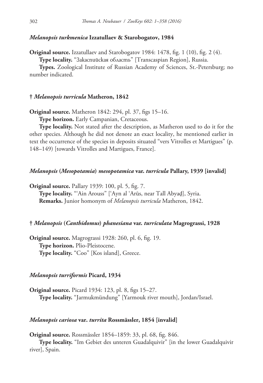# *Melanopsis turkmenica* **Izzatullaev & Starobogatov, 1984**

**Original source.** Izzatullaev and Starobogatov 1984: 1478, fig. 1 (10), fig. 2 (4).

**Type locality.** "Закаспийская область" [Transcaspian Region], Russia.

**Types.** Zoological Institute of Russian Academy of Sciences, St.-Petersburg; no number indicated.

## **†** *Melanopsis turricula* **Matheron, 1842**

**Original source.** Matheron 1842: 294, pl. 37, figs 15–16.

**Type horizon.** Early Campanian, Cretaceous.

**Type locality.** Not stated after the description, as Matheron used to do it for the other species. Although he did not denote an exact locality, he mentioned earlier in text the occurrence of the species in deposits situated "vers Vitrolles et Martigues" (p. 148–149) [towards Vitrolles and Martigues, France].

## *Melanopsis* **(***Mesopotamia***)** *mesopotamica* **var.** *turricula* **Pallary, 1939 [invalid]**

**Original source.** Pallary 1939: 100, pl. 5, fig. 7.

**Type locality.** "'Ain Arouss" ['Ayn al 'Arūs, near Tall Abyaḑ], Syria. **Remarks.** Junior homonym of *Melanopsis turricula* Matheron, 1842.

# **†** *Melanopsis* **(***Canthidomus***)** *phanesiana* **var.** *turriculata* **Magrograssi, 1928**

**Original source.** Magrograssi 1928: 260, pl. 6, fig. 19. **Type horizon.** Plio-Pleistocene. **Type locality.** "Coo" [Kos island], Greece.

# *Melanopsis turriformis* **Picard, 1934**

**Original source.** Picard 1934: 123, pl. 8, figs 15–27. **Type locality.** "Jarmukmündung" [Yarmouk river mouth], Jordan/Israel.

# *Melanopsis cariosa* **var.** *turrita* **Rossmässler, 1854 [invalid]**

**Original source.** Rossmässler 1854–1859: 33, pl. 68, fig. 846.

**Type locality.** "Im Gebiet des unteren Guadalquivir" [in the lower Guadalquivir river], Spain.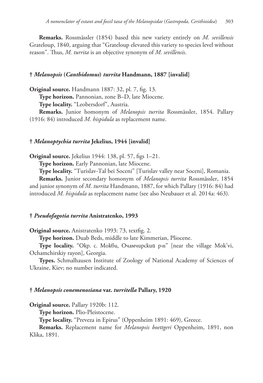**Remarks.** Rossmässler (1854) based this new variety entirely on *M. sevillensis* Grateloup, 1840, arguing that "Grateloup elevated this variety to species level without reason". Thus, *M. turrita* is an objective synonym of *M. sevillensis*.

## **†** *Melanopsis* **(***Canthidomus***)** *turrita* **Handmann, 1887 [invalid]**

**Original source.** Handmann 1887: 32, pl. 7, fig. 13. **Type horizon.** Pannonian, zone B–D, late Miocene. **Type locality.** "Leobersdorf", Austria. **Remarks.** Junior homonym of *Melanopsis turrita* Rossmässler, 1854. Pallary (1916: 84) introduced *M. hispidula* as replacement name.

#### **†** *Melanoptychia turrita* **Jekelius, 1944 [invalid]**

**Original source.** Jekelius 1944: 138, pl. 57, figs 1–21.

**Type horizon.** Early Pannonian, late Miocene.

**Type locality.** "Turislav-Tal bei Soceni" [Turislav valley near Soceni], Romania.

**Remarks.** Junior secondary homonym of *Melanopsis turrita* Rossmässler, 1854 and junior synonym of *M. turrita* Handmann, 1887, for which Pallary (1916: 84) had introduced *M. hispidula* as replacement name (see also Neubauer et al. 2014a: 463).

# **†** *Pseudofagotia turrita* **Anistratenko, 1993**

**Original source.** Anistratenko 1993: 73, textfig. 2.

**Type horizon.** Duab Beds, middle to late Kimmerian, Pliocene.

**Type locality.** "Окр. с. Мокви, Очамчирский р-н" [near the village Mok'vi, Ochamchirskiy rayon], Georgia.

**Types.** Schmalhausen Institute of Zoology of National Academy of Sciences of Ukraine, Kiev; no number indicated.

#### **†** *Melanopsis conemenosiana* **var.** *turritella* **Pallary, 1920**

**Original source.** Pallary 1920b: 112.

**Type horizon.** Plio-Pleistocene.

**Type locality.** "Preveza in Epirus" (Oppenheim 1891: 469), Greece.

**Remarks.** Replacement name for *Melanopsis boettgeri* Oppenheim, 1891, non Klika, 1891.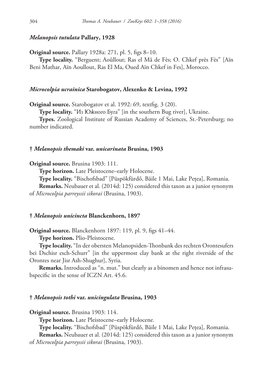# *Melanopsis tutulata* **Pallary, 1928**

**Original source.** Pallary 1928a: 271, pl. 5, figs 8–10.

**Type locality.** "Berguent; Aoûllout; Ras el Mâ de Fès; O. Chkef près Fès" [Aïn Beni Mathar, Aïn Aoullout, Ras El Ma, Oued Aïn Chkef in Fes], Morocco.

## *Microcolpia ucrainica* **Starobogatov, Alexenko & Levina, 1992**

**Original source.** Starobogatov et al. 1992: 69, textfig. 3 (20).

**Type locality.** "Из Южного Буга" [in the southern Bug river], Ukraine.

**Types.** Zoological Institute of Russian Academy of Sciences, St.-Petersburg; no number indicated.

## **†** *Melanopsis themaki* **var.** *unicarinata* **Brusina, 1903**

## **Original source.** Brusina 1903: 111.

**Type horizon.** Late Pleistocene–early Holocene.

**Type locality.** "Bischofsbad" [Püspökfürdő, Băile 1 Mai, Lake Pețea], Romania.

**Remarks.** Neubauer et al. (2014d: 125) considered this taxon as a junior synonym of *Microcolpia parreyssii sikorai* (Brusina, 1903).

## **†** *Melanopsis unicincta* **Blanckenhorn, 1897**

**Original source.** Blanckenhorn 1897: 119, pl. 9, figs 41–44.

**Type horizon.** Plio-Pleistocene.

**Type locality.** "In der obersten Melanopsiden-Thonbank des rechten Orontesufers bei Dschisr esch-Schurr" [in the uppermost clay bank at the right riverside of the Orontes near Jisr Ash-Shughur], Syria.

**Remarks.** Introduced as "n. mut." but clearly as a binomen and hence not infrasubspecific in the sense of ICZN Art. 45.6.

## **†** *Melanopsis tothi* **var.** *unicingulata* **Brusina, 1903**

**Original source.** Brusina 1903: 114.

**Type horizon.** Late Pleistocene–early Holocene.

**Type locality.** "Bischofsbad" [Püspökfürdő, Băile 1 Mai, Lake Pețea], Romania.

**Remarks.** Neubauer et al. (2014d: 125) considered this taxon as a junior synonym of *Microcolpia parreyssii sikorai* (Brusina, 1903).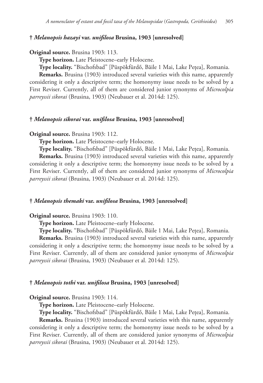## **†** *Melanopsis hazayi* **var.** *unifilosa* **Brusina, 1903 [unresolved]**

## **Original source.** Brusina 1903: 113.

**Type horizon.** Late Pleistocene–early Holocene.

**Type locality.** "Bischofsbad" [Püspökfürdő, Băile 1 Mai, Lake Pețea], Romania.

**Remarks.** Brusina (1903) introduced several varieties with this name, apparently considering it only a descriptive term; the homonymy issue needs to be solved by a First Reviser. Currently, all of them are considered junior synonyms of *Microcolpia parreyssii sikorai* (Brusina, 1903) (Neubauer et al. 2014d: 125).

# **†** *Melanopsis sikorai* **var.** *unifilosa* **Brusina, 1903 [unresolved]**

## **Original source.** Brusina 1903: 112.

**Type horizon.** Late Pleistocene–early Holocene.

**Type locality.** "Bischofsbad" [Püspökfürdő, Băile 1 Mai, Lake Pețea], Romania.

**Remarks.** Brusina (1903) introduced several varieties with this name, apparently considering it only a descriptive term; the homonymy issue needs to be solved by a First Reviser. Currently, all of them are considered junior synonyms of *Microcolpia parreyssii sikorai* (Brusina, 1903) (Neubauer et al. 2014d: 125).

## **†** *Melanopsis themaki* **var.** *unifilosa* **Brusina, 1903 [unresolved]**

# **Original source.** Brusina 1903: 110.

**Type horizon.** Late Pleistocene–early Holocene.

**Type locality.** "Bischofsbad" [Püspökfürdő, Băile 1 Mai, Lake Pețea], Romania.

**Remarks.** Brusina (1903) introduced several varieties with this name, apparently considering it only a descriptive term; the homonymy issue needs to be solved by a First Reviser. Currently, all of them are considered junior synonyms of *Microcolpia parreyssii sikorai* (Brusina, 1903) (Neubauer et al. 2014d: 125).

## **†** *Melanopsis tothi* **var.** *unifilosa* **Brusina, 1903 [unresolved]**

#### **Original source.** Brusina 1903: 114.

**Type horizon.** Late Pleistocene–early Holocene.

**Type locality.** "Bischofsbad" [Püspökfürdő, Băile 1 Mai, Lake Pețea], Romania.

**Remarks.** Brusina (1903) introduced several varieties with this name, apparently considering it only a descriptive term; the homonymy issue needs to be solved by a First Reviser. Currently, all of them are considered junior synonyms of *Microcolpia parreyssii sikorai* (Brusina, 1903) (Neubauer et al. 2014d: 125).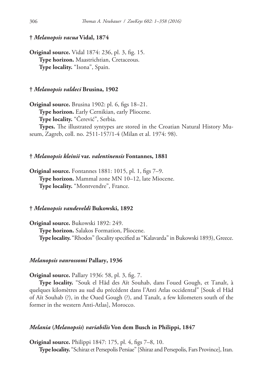## **†** *Melanopsis vacua* **Vidal, 1874**

**Original source.** Vidal 1874: 236, pl. 3, fig. 15. **Type horizon.** Maastrichtian, Cretaceous. **Type locality.** "Isona", Spain.

#### **†** *Melanopsis valdeci* **Brusina, 1902**

**Original source.** Brusina 1902: pl. 6, figs 18–21. **Type horizon.** Early Cernikian, early Pliocene. **Type locality.** "Čerević", Serbia.

**Types.** The illustrated syntypes are stored in the Croatian Natural History Museum, Zagreb, coll. no. 2511-157/1-4 (Milan et al. 1974: 98).

# **†** *Melanopsis kleinii* **var.** *valentinensis* **Fontannes, 1881**

**Original source.** Fontannes 1881: 1015, pl. 1, figs 7–9. **Type horizon.** Mammal zone MN 10–12, late Miocene. **Type locality.** "Montvendre", France.

## **†** *Melanopsis vandeveldi* **Bukowski, 1892**

**Original source.** Bukowski 1892: 249. **Type horizon.** Salakos Formation, Pliocene. **Type locality.** "Rhodos" (locality specified as "Kalavarda" in Bukowski 1893), Greece.

# *Melanopsis vanrossomi* **Pallary, 1936**

**Original source.** Pallary 1936: 58, pl. 3, fig. 7.

**Type locality.** "Souk el Hâd des Aït Souhab, dans l'oued Gough, et Tanalt, à quelques kilomètres au sud du précédent dans l'Anti Atlas occidental" [Souk el Hâd of Aït Souhab (?), in the Oued Gough (?), and Tanalt, a few kilometers south of the former in the western Anti-Atlas], Morocco.

# *Melania* **(***Melanopsis***)** *variabilis* **Von dem Busch in Philippi, 1847**

**Original source.** Philippi 1847: 175, pl. 4, figs 7–8, 10. **Type locality.** "Schiraz et Persepolis Persiae" [Shiraz and Persepolis, Fars Province], Iran.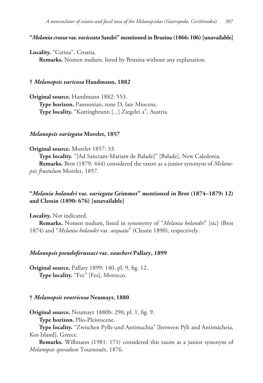# **"***Melania crassa* **var.** *variceata* **Sandri" mentioned in Brusina (1866: 106) [unavailable]**

# **Locality.** "Cetina", Croatia.

**Remarks.** Nomen nudum, listed by Brusina without any explanation.

# **†** *Melanopsis varicosa* **Handmann, 1882**

**Original source.** Handmann 1882: 553. **Type horizon.** Pannonian, zone D, late Miocene. **Type locality.** "Kottingbrunn [...] Ziegelei a", Austria.

## *Melanopsis variegata* **Morelet, 1857**

**Original source.** Morelet 1857: 33.

**Type locality.** "[Ad Sanctam-Mariam de Balade]" [Balade], New Caledonia. **Remarks.** Brot (1879: 444) considered the taxon as a junior synonym of *Melanopsis frustulum* Morelet, 1857.

# **"***Melania holandri* **var.** *variegata* **Grimmer" mentioned in Brot (1874–1879: 12) and Clessin (1890: 676) [unavailable]**

**Locality.** Not indicated.

**Remarks.** Nomen nudum, listed in synonymy of "*Melania holandri*" [sic] (Brot 1874) and "*Melania holandri* var. *aequata*" (Clessin 1890), respectively.

#### *Melanopsis pseudoferussaci* **var.** *vaucheri* **Pallary, 1899**

**Original source.** Pallary 1899: 140, pl. 9, fig. 12. **Type locality.** "Fez" [Fes], Morocco.

## **†** *Melanopsis ventricosa* **Neumayr, 1880**

**Original source.** Neumayr 1880b: 290, pl. 1, fig. 9.

**Type horizon.** Plio-Pleistocene.

**Type locality.** "Zwischen Pylle und Antimachia" [between Pýli and Antimácheia, Kos Island], Greece.

**Remarks.** Willmann (1981: 171) considered this taxon as a junior synonym of *Melanopsis sporadum* Tournouër, 1876.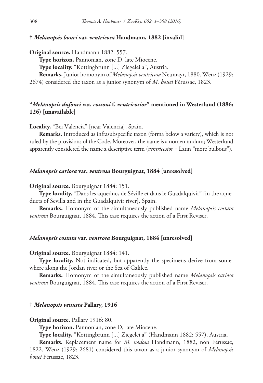# **†** *Melanopsis bouei* **var.** *ventricosa* **Handmann, 1882 [invalid]**

**Original source.** Handmann 1882: 557.

**Type horizon.** Pannonian, zone D, late Miocene.

**Type locality.** "Kottingbrunn [...] Ziegelei a", Austria.

**Remarks.** Junior homonym of *Melanopsis ventricosa* Neumayr, 1880. Wenz (1929:

2674) considered the taxon as a junior synonym of *M. bouei* Férussac, 1823.

# **"***Melanopsis dufouri* **var.** *cossoni* **f.** *ventricosior***" mentioned in Westerlund (1886: 126) [unavailable]**

**Locality.** "Bei Valencia" [near Valencia], Spain.

**Remarks.** Introduced as infrasubspecific taxon (forma below a variety), which is not ruled by the provisions of the Code. Moreover, the name is a nomen nudum; Westerlund apparently considered the name a descriptive term (*ventricosior* = Latin "more bulbous").

#### *Melanopsis cariosa* **var.** *ventrosa* **Bourguignat, 1884 [unresolved]**

**Original source.** Bourguignat 1884: 151.

**Type locality.** "Dans les aqueducs de Séville et dans le Guadalquivir" [in the aqueducts of Sevilla and in the Guadalquivir river], Spain.

**Remarks.** Homonym of the simultaneously published name *Melanopsis costata ventrosa* Bourguignat, 1884. This case requires the action of a First Reviser.

# *Melanopsis costata* **var.** *ventrosa* **Bourguignat, 1884 [unresolved]**

**Original source.** Bourguignat 1884: 141.

**Type locality.** Not indicated, but apparently the specimens derive from somewhere along the Jordan river or the Sea of Galilee.

**Remarks.** Homonym of the simultaneously published name *Melanopsis cariosa ventrosa* Bourguignat, 1884. This case requires the action of a First Reviser.

## **†** *Melanopsis venusta* **Pallary, 1916**

**Original source.** Pallary 1916: 80.

**Type horizon.** Pannonian, zone D, late Miocene.

**Type locality.** "Kottingbrunn [...] Ziegelei a" (Handmann 1882: 557), Austria.

**Remarks.** Replacement name for *M. nodosa* Handmann, 1882, non Férussac, 1822. Wenz (1929: 2681) considered this taxon as a junior synonym of *Melanopsis bouei* Férussac, 1823.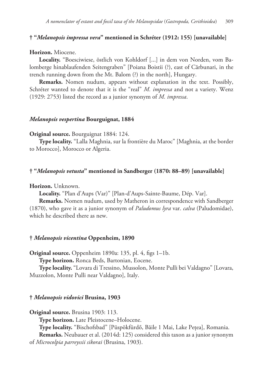# **† "***Melanopsis impressa vera***" mentioned in Schréter (1912: 155) [unavailable]**

## **Horizon.** Miocene.

**Locality.** "Boesciwiese, östlich von Kohldorf [...] in dem von Norden, vom Balomberge hinablaufenden Seitengraben" [Poiana Boistii (?), east of Cărbunari, in the trench running down from the Mt. Balom (?) in the north], Hungary.

**Remarks.** Nomen nudum, appears without explanation in the text. Possibly, Schréter wanted to denote that it is the "real" *M. impressa* and not a variety. Wenz (1929: 2753) listed the record as a junior synonym of *M. impressa*.

# *Melanopsis vespertina* **Bourguignat, 1884**

## **Original source.** Bourguignat 1884: 124.

**Type locality.** "Lalla Maghnia, sur la frontière du Maroc" [Maghnia, at the border to Morocco], Morocco or Algeria.

## **† "***Melanopsis vetusta***" mentioned in Sandberger (1870: 88–89) [unavailable]**

#### **Horizon.** Unknown.

**Locality.** "Plan d'Aups (Var)" [Plan-d'Aups-Sainte-Baume, Dép. Var].

**Remarks.** Nomen nudum, used by Matheron in correspondence with Sandberger (1870), who gave it as a junior synonym of *Paludomus lyra* var. *calva* (Paludomidae), which he described there as new.

#### **†** *Melanopsis vicentina* **Oppenheim, 1890**

**Original source.** Oppenheim 1890a: 135, pl. 4, figs 1–1b.

**Type horizon.** Ronca Beds, Bartonian, Eocene.

**Type locality.** "Lovara di Tressino, Mussolon, Monte Pulli bei Valdagno" [Lovara, Muzzolon, Monte Pulli near Valdagno], Italy.

#### **†** *Melanopsis vidovici* **Brusina, 1903**

**Original source.** Brusina 1903: 113.

**Type horizon.** Late Pleistocene–Holocene.

**Type locality.** "Bischofsbad" [Püspökfürdő, Băile 1 Mai, Lake Pețea], Romania.

**Remarks.** Neubauer et al. (2014d: 125) considered this taxon as a junior synonym of *Microcolpia parreyssii sikorai* (Brusina, 1903).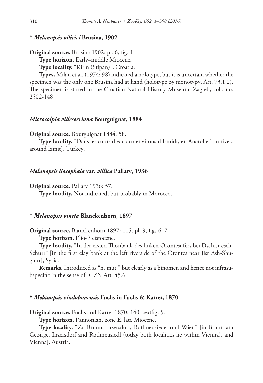# **†** *Melanopsis vilicici* **Brusina, 1902**

**Original source.** Brusina 1902: pl. 6, fig. 1.

**Type horizon.** Early–middle Miocene.

**Type locality.** "Kirin (Stipan)", Croatia.

**Types.** Milan et al. (1974: 98) indicated a holotype, but it is uncertain whether the specimen was the only one Brusina had at hand (holotype by monotypy, Art. 73.1.2). The specimen is stored in the Croatian Natural History Museum, Zagreb, coll. no. 2502-148.

# *Microcolpia villeserriana* **Bourguignat, 1884**

**Original source.** Bourguignat 1884: 58.

**Type locality.** "Dans les cours d'eau aux environs d'Ismidt, en Anatolie" [in rivers around İzmit], Turkey.

## *Melanopsis liocephala* **var.** *villica* **Pallary, 1936**

**Original source.** Pallary 1936: 57.

**Type locality.** Not indicated, but probably in Morocco.

## **†** *Melanopsis vincta* **Blanckenhorn, 1897**

**Original source.** Blanckenhorn 1897: 115, pl. 9, figs 6–7.

**Type horizon.** Plio-Pleistocene.

**Type locality.** "In der ersten Thonbank des linken Orontesufers bei Dschisr esch-Schurr" [in the first clay bank at the left riverside of the Orontes near Jisr Ash-Shughur], Syria.

**Remarks.** Introduced as "n. mut." but clearly as a binomen and hence not infrasubspecific in the sense of ICZN Art. 45.6.

## **†** *Melanopsis vindobonensis* **Fuchs in Fuchs & Karrer, 1870**

**Original source.** Fuchs and Karrer 1870: 140, textfig. 5.

**Type horizon.** Pannonian, zone E, late Miocene.

**Type locality.** "Zu Brunn, Inzersdorf, Rothneusiedel und Wien" [in Brunn am Gebirge, Inzersdorf and Rothneusiedl (today both localities lie within Vienna), and Vienna], Austria.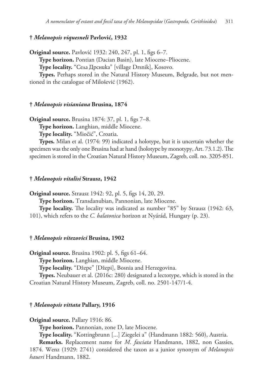# **†** *Melanopsis viquesneli* **Pavlović, 1932**

**Original source.** Pavlović 1932: 240, 247, pl. 1, figs 6–7.

**Type horizon.** Pontian (Dacian Basin), late Miocene–Pliocene.

**Type locality.** "Села Дрсника" [village Drsnik], Kosovo.

**Types.** Perhaps stored in the Natural History Museum, Belgrade, but not mentioned in the catalogue of Milošević (1962).

## **†** *Melanopsis visianiana* **Brusina, 1874**

**Original source.** Brusina 1874: 37, pl. 1, figs 7–8.

**Type horizon.** Langhian, middle Miocene.

**Type locality.** "Miočić", Croatia.

**Types.** Milan et al. (1974: 99) indicated a holotype, but it is uncertain whether the specimen was the only one Brusina had at hand (holotype by monotypy, Art. 73.1.2). The specimen is stored in the Croatian Natural History Museum, Zagreb, coll. no. 3205-851.

## **†** *Melanopsis vitalisi* **Strausz, 1942**

**Original source.** Strausz 1942: 92, pl. 5, figs 14, 20, 29.

**Type horizon.** Transdanubian, Pannonian, late Miocene.

**Type locality.** The locality was indicated as number "85" by Strausz (1942: 63, 101), which refers to the *C. balatonica* horizon at Nyárád, Hungary (p. 23).

#### **†** *Melanopsis vitezovici* **Brusina, 1902**

**Original source.** Brusina 1902: pl. 5, figs 61–64.

**Type horizon.** Langhian, middle Miocene.

**Type locality.** "Džepe" [Džepi], Bosnia and Herzegovina.

**Types.** Neubauer et al. (2016c: 280) designated a lectotype, which is stored in the Croatian Natural History Museum, Zagreb, coll. no. 2501-147/1-4.

# **†** *Melanopsis vittata* **Pallary, 1916**

**Original source.** Pallary 1916: 86.

**Type horizon.** Pannonian, zone D, late Miocene.

**Type locality.** "Kottingbrunn [...] Ziegelei a" (Handmann 1882: 560), Austria.

**Remarks.** Replacement name for *M. fasciata* Handmann, 1882, non Gassies, 1874. Wenz (1929: 2741) considered the taxon as a junior synonym of *Melanopsis haueri* Handmann, 1882.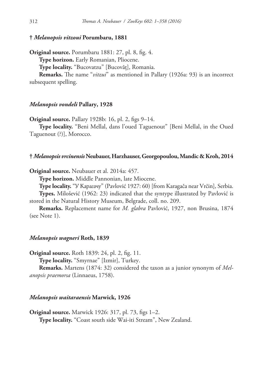# **†** *Melanopsis vitzoui* **Porumbaru, 1881**

**Original source.** Porumbaru 1881: 27, pl. 8, fig. 4. **Type horizon.** Early Romanian, Pliocene.

**Type locality.** "Bucovatzu" [Bucovăț], Romania.

**Remarks.** The name "*vitzui*" as mentioned in Pallary (1926a: 93) is an incorrect subsequent spelling.

## *Melanopsis vondeli* **Pallary, 1928**

**Original source.** Pallary 1928b: 16, pl. 2, figs 9–14.

**Type locality.** "Beni Mellal, dans l'oued Taguenout" [Beni Mellal, in the Oued Taguenout (?)], Morocco.

#### **†** *Melanopsis vrcinensis* **Neubauer, Harzhauser, Georgopoulou, Mandic & Kroh, 2014**

**Original source.** Neubauer et al. 2014a: 457.

**Type horizon.** Middle Pannonian, late Miocene.

**Type locality.** "У Карагачу" (Pavlović 1927: 60) [from Karagača near Vrčin], Serbia.

**Types.** Milošević (1962: 23) indicated that the syntype illustrated by Pavlović is stored in the Natural History Museum, Belgrade, coll. no. 209.

**Remarks.** Replacement name for *M. glabra* Pavlović, 1927, non Brusina, 1874 (see Note 1).

#### *Melanopsis wagneri* **Roth, 1839**

**Original source.** Roth 1839: 24, pl. 2, fig. 11.

**Type locality.** "Smyrnae" [Izmir], Turkey.

**Remarks.** Martens (1874: 32) considered the taxon as a junior synonym of *Melanopsis praemorsa* (Linnaeus, 1758).

#### *Melanopsis waitaraensis* **Marwick, 1926**

**Original source.** Marwick 1926: 317, pl. 73, figs 1–2. **Type locality.** "Coast south side Wai-iti Stream", New Zealand.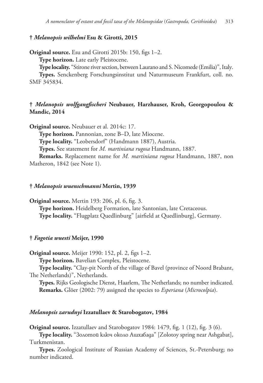# **†** *Melanopsis wilhelmi* **Esu & Girotti, 2015**

**Original source.** Esu and Girotti 2015b: 150, figs 1–2.

**Type horizon.** Late early Pleistocene.

**Type locality.** "Stirone river section, between Laurano and S. Nicomede (Emilia)", Italy.

**Types.** Senckenberg Forschungsinstitut und Naturmuseum Frankfurt, coll. no. SMF 345834.

# **†** *Melanopsis wolfgangfischeri* **Neubauer, Harzhauser, Kroh, Georgopoulou & Mandic, 2014**

**Original source.** Neubauer et al. 2014c: 17.

**Type horizon.** Pannonian, zone B–D, late Miocene.

**Type locality.** "Leobersdorf" (Handmann 1887), Austria.

**Types.** See statement for *M. martiniana rugosa* Handmann, 1887.

**Remarks.** Replacement name for *M. martiniana rugosa* Handmann, 1887, non Matheron, 1842 (see Note 1).

#### **†** *Melanopsis wuenschmanni* **Mertin, 1939**

**Original source.** Mertin 193: 206, pl. 6, fig. 3. **Type horizon.** Heidelberg Formation, late Santonian, late Cretaceous. **Type locality.** "Flugplatz Quedlinburg" [airfield at Quedlinburg], Germany.

#### **†** *Fagotia wuesti* **Meijer, 1990**

**Original source.** Meijer 1990: 152, pl. 2, figs 1–2.

**Type horizon.** Bavelian Complex, Pleistocene.

**Type locality.** "Clay-pit North of the village of Bavel (province of Noord Brabant, The Netherlands)", Netherlands.

**Types.** Rijks Geologische Dienst, Haarlem, The Netherlands; no number indicated. **Remarks.** Glöer (2002: 79) assigned the species to *Esperiana* (*Microcolpia*).

#### *Melanopsis zarudnyi* **Izzatullaev & Starobogatov, 1984**

**Original source.** Izzatullaev and Starobogatov 1984: 1479, fig. 1 (12), fig. 3 (6).

**Type locality.** "Золотой ключ около Ашхабада" [Zolotoy spring near Ashgabat], Turkmenistan.

**Types.** Zoological Institute of Russian Academy of Sciences, St.-Petersburg; no number indicated.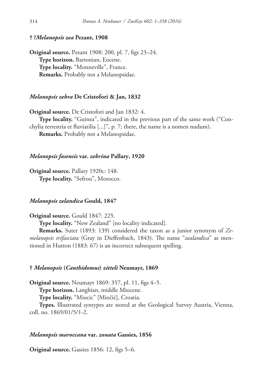# **† ?***Melanopsis zea* **Pezant, 1908**

**Original source.** Pezant 1908: 200, pl. 7, figs 23–24. **Type horizon.** Bartonian, Eocene. **Type locality.** "Monneville", France. **Remarks.** Probably not a Melanopsidae.

# *Melanopsis zebra* **De Cristofori & Jan, 1832**

**Original source.** De Cristofori and Jan 1832: 4. **Type locality.** "Guinea", indicated in the previous part of the same work ("Conchylia terrestria et fluviatilia [...]", p. 7; there, the name is a nomen nudum). **Remarks.** Probably not a Melanopsidae.

## *Melanopsis fasensis* **var.** *zebrina* **Pallary, 1920**

**Original source.** Pallary 1920c: 148. **Type locality.** "Sefrou", Morocco.

## *Melanopsis zelandica* **Gould, 1847**

**Original source.** Gould 1847: 225.

**Type locality.** "New Zealand" [no locality indicated].

**Remarks.** Suter (1893: 139) considered the taxon as a junior synonym of *Zemelanopsis trifasciata* (Gray in Dieffenbach, 1843). The name "*zealandica*" as mentioned in Hutton (1883: 67) is an incorrect subsequent spelling.

#### **†** *Melanopsis* **(***Canthidomus***)** *zitteli* **Neumayr, 1869**

**Original source.** Neumayr 1869: 357, pl. 11, figs 4–5.

**Type horizon.** Langhian, middle Miocene.

**Type locality.** "Miocic" [Miočić], Croatia.

**Types.** Illustrated syntypes are stored at the Geological Survey Austria, Vienna, coll. no. 1869/01/5/1-2.

#### *Melanopsis maroccana* **var.** *zonata* **Gassies, 1856**

**Original source.** Gassies 1856: 12, figs 5–6.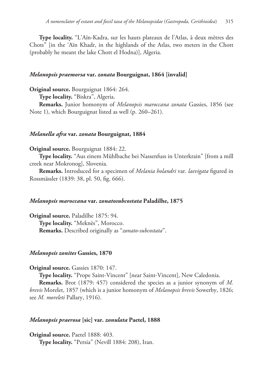**Type locality.** "L'Aïn-Kadra, sur les hauts plateaux de l'Atlas, à deux mètres des Chots" [in the 'Aïn Khadr, in the highlands of the Atlas, two meters in the Chott (probably he meant the lake Chott el Hodna)], Algeria.

# *Melanopsis praemorsa* **var.** *zonata* **Bourguignat, 1864 [invalid]**

**Original source.** Bourguignat 1864: 264.

**Type locality.** "Biskra", Algeria.

**Remarks.** Junior homonym of *Melanopsis maroccana zonata* Gassies, 1856 (see Note 1), which Bourguignat listed as well (p. 260–261).

#### *Melanella afra* **var.** *zonata* **Bourguignat, 1884**

## **Original source.** Bourguignat 1884: 22.

**Type locality.** "Aus einem Mühlbache bei Nassenfuss in Unterkrain" [from a mill creek near Mokronog], Slovenia.

**Remarks.** Introduced for a specimen of *Melania holandri* var. *laevigata* figured in Rossmässler (1839: 38, pl. 50, fig. 666).

## *Melanopsis maroccana* **var.** *zonatosubcostata* **Paladilhe, 1875**

**Original source.** Paladilhe 1875: 94. **Type locality.** "Meknès", Morocco. **Remarks.** Described originally as "*zonato-subcostata*".

#### *Melanopsis zonites* **Gassies, 1870**

**Original source.** Gassies 1870: 147.

**Type locality.** "Prope Saint-Vincent" [near Saint-Vincent], New Caledonia.

**Remarks.** Brot (1879: 457) considered the species as a junior synonym of *M. brevis* Morelet, 1857 (which is a junior homonym of *Melanopsis brevis* Sowerby, 1826; see *M. moreleti* Pallary, 1916).

# *Melanopsis praerosa* **[sic] var.** *zonulata* **Paetel, 1888**

**Original source.** Paetel 1888: 403. **Type locality.** "Persia" (Nevill 1884: 208), Iran.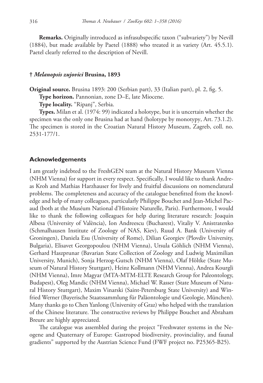**Remarks.** Originally introduced as infrasubspecific taxon ("subvariety") by Nevill (1884), but made available by Paetel (1888) who treated it as variety (Art. 45.5.1). Paetel clearly referred to the description of Nevill.

# **†** *Melanopsis zujovici* **Brusina, 1893**

**Original source.** Brusina 1893: 200 (Serbian part), 33 (Italian part), pl. 2, fig. 5.

**Type horizon.** Pannonian, zone D–E, late Miocene.

**Type locality.** "Ripanj", Serbia.

**Types.** Milan et al. (1974: 99) indicated a holotype, but it is uncertain whether the specimen was the only one Brusina had at hand (holotype by monotypy, Art. 73.1.2). The specimen is stored in the Croatian Natural History Museum, Zagreb, coll. no. 2531-177/1.

# **Acknowledgements**

I am greatly indebted to the FreshGEN team at the Natural History Museum Vienna (NHM Vienna) for support in every respect. Specifically, I would like to thank Andreas Kroh and Mathias Harzhauser for lively and fruitful discussions on nomenclatural problems. The completeness and accuracy of the catalogue benefitted from the knowledge and help of many colleagues, particularly Philippe Bouchet and Jean-Michel Pacaud (both at the Muséum National d'Histoire Naturelle, Paris). Furthermore, I would like to thank the following colleagues for help during literature research: Joaquin Albesa (University of València), Ion Andreescu (Bucharest), Vitaliy V. Anistratenko (Schmalhausen Institute of Zoology of NAS, Kiev), Ruud A. Bank (University of Groningen), Daniela Esu (University of Rome), Dilian Georgiev (Plovdiv University, Bulgaria), Elisavet Georgopoulou (NHM Vienna), Ursula Göhlich (NHM Vienna), Gerhard Haszprunar (Bavarian State Collection of Zoology and Ludwig Maximilian University, Munich), Sonja Herzog-Gutsch (NHM Vienna), Olaf Höltke (State Museum of Natural History Stuttgart), Heinz Kollmann (NHM Vienna), Andrea Kourgli (NHM Vienna), Imre Magyar (MTA-MTM-ELTE Research Group for Paleontology, Budapest), Oleg Mandic (NHM Vienna), Michael W. Rasser (State Museum of Natural History Stuttgart), Maxim Vinarski (Saint-Petersburg State University) and Winfried Werner (Bayerische Staatssammlung für Paläontologie und Geologie, München). Many thanks go to Chen Yanlong (University of Graz) who helped with the translation of the Chinese literature. The constructive reviews by Philippe Bouchet and Abraham Breure are highly appreciated.

The catalogue was assembled during the project "Freshwater systems in the Neogene and Quaternary of Europe: Gastropod biodiversity, provinciality, and faunal gradients" supported by the Austrian Science Fund (FWF project no. P25365-B25).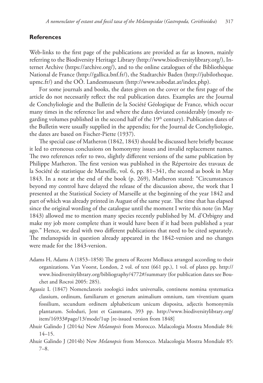# **References**

Web-links to the first page of the publications are provided as far as known, mainly referring to the Biodiversity Heritage Library (http://www.biodiversitylibrary.org/), Internet Archive (https://archive.org/), and to the online catalogues of the Bibliothèque National de France (http://gallica.bnf.fr/), the Stadtarchiv Baden (http://jubilotheque. upmc.fr/) and the OÖ. Landesmuseum (http://www.zobodat.at/index.php).

For some journals and books, the dates given on the cover or the first page of the article do not necessarily reflect the real publication dates. Examples are the Journal de Conchyliologie and the Bulletin de la Société Géologique de France, which occur many times in the reference list and where the dates deviated considerably (mostly regarding volumes published in the second half of the  $19<sup>th</sup>$  century). Publication dates of the Bulletin were usually supplied in the appendix; for the Journal de Conchyliologie, the dates are based on Fischer-Piette (1937).

The special case of Matheron (1842, 1843) should be discussed here briefly because it led to erroneous conclusions on homonymy issues and invalid replacement names. The two references refer to two, slightly different versions of the same publication by Philippe Matheron. The first version was published in the Répertoire des travaux de la Société de statistique de Marseille, vol. 6, pp. 81–341, the second as book in May 1843. In a note at the end of the book (p. 269), Matheron stated: "Circumstances beyond my control have delayed the release of the discussion above, the work that I presented at the Statistical Society of Marseille at the beginning of the year 1842 and part of which was already printed in August of the same year. The time that has elapsed since the original wording of the catalogue until the moment I write this note (in May 1843) allowed me to mention many species recently published by M. d'Orbigny and make my job more complete than it would have been if it had been published a year ago." Hence, we deal with two different publications that need to be cited separately. The melanopsids in question already appeared in the 1842-version and no changes were made for the 1843-version.

- Adams H, Adams A (1853–1858) The genera of Recent Mollusca arranged according to their organizations. Van Voorst, London, 2 vol. of text (661 pp.), 1 vol. of plates pp. http:// www.biodiversitylibrary.org/bibliography/4772#/summary (for publication dates see Bouchet and Rocroi 2005: 285).
- Agassiz L (1847) Nomenclatoris zoologici index universalis, continens nomina systematica classium, ordinum, familiarum et generum animalium omnium, tam viventium quam fossilium, secundum ordinem alphabeticum unicum disposita, adjectis homonymiis plantarum. Soloduri, Jent et Gassmann, 393 pp. http://www.biodiversitylibrary.org/ item/16933#page/13/mode/1up [re-issued version from 1848]
- Ahuir Galindo J (2014a) New *Melanopsis* from Morocco. Malacologia Mostra Mondiale 84: 14–15.
- Ahuir Galindo J (2014b) New *Melanopsis* from Morocco. Malacologia Mostra Mondiale 85: 7–8.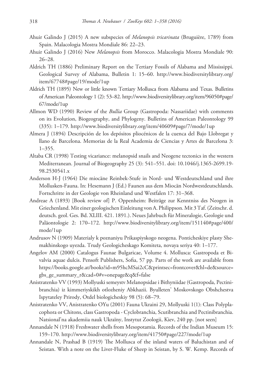- Ahuir Galindo J (2015) A new subspecies of *Melanopsis tricarinata* (Bruguière, 1789) from Spain. Malacologia Mostra Mondiale 86: 22–23.
- Ahuir Galindo J (2016) New *Melanopsis* from Morocco. Malacologia Mostra Mondiale 90: 26–28.
- Aldrich TH (1886) Preliminary Report on the Tertiary Fossils of Alabama and Mississippi. Geological Survey of Alabama, Bulletin 1: 15–60. http://www.biodiversitylibrary.org/ item/67748#page/19/mode/1up
- Aldrich TH (1895) New or little known Tertiary Mollusca from Alabama and Texas. Bulletins of American Paleontology 1 (2): 53–82. http://www.biodiversitylibrary.org/item/96050#page/ 67/mode/1up
- Allmon WD (1990) Review of the *Bullia* Group (Gastropoda: Nassariidae) with comments on its Evolution, Biogeography, and Phylogeny. Bulletins of American Paleontology 99 (335): 1–179. http://www.biodiversitylibrary.org/item/40609#page/7/mode/1up
- Almera J (1894) Descripción de los depósitos pliocénicos de la cuenca del Bajo Llobregat y llano de Barcelona. Memorias de la Real Academia de Ciencias y Artes de Barcelona 3: 1–355.
- Altaba CR (1998) Testing vicariance: melanopsid snails and Neogene tectonics in the western Mediterranean. Journal of Biogeography 25 (3): 541–551. doi: 10.1046/j.1365-2699.19- 98.2530541.x
- Anderson H-J (1964) Die miocäne Reinbek-Stufe in Nord- und Westdeutschland und ihre Mollusken-Fauna. In: Hesemann J (Ed.) Faunen aus dem Miocän Nordwestdeutschlands. Fortschritte in der Geologie von Rheinland und Westfalen 17: 31–368.
- Andreae A (1893) [Book review of] P. Oppenheim: Beiträge zur Kenntniss des Neogen in Griechenland. Mit einer geologischen Einleitung von A. Philippson. Mit 3 Taf. (Zeitschr. d. deutsch. geol. Ges. Bd. XLIII. 421. 1891.). Neues Jahrbuch für Mineralogie, Geologie und Paläontologie 2: 170–172. http://www.biodiversitylibrary.org/item/151140#page/400/ mode/1up
- Andrusov N (1909) Materialy k poznaniyu Prikaspiyskogo neogena. Ponticheskiye plasty Shemakhinskogo uyezda. Trudy Geologicheskago Komiteta, novaya seriya 40: 1–177.
- Angelov AM (2000) Catalogus Faunae Bulgaricae, Volume 4. Mollusca: Gastropoda et Bivalvia aquae dulcis. Pensoft Publishers, Sofia, 57 pp. Parts of the work are available from https://books.google.at/books?id=m95hcMSai2cC&printsec=frontcover&hl=de&source= gbs\_ge\_summary\_r&cad=0#v=onepage&q&f=false
- Anistratenko VV (1993) Mollyuski semeystv Melanopsidae i Bithyniidae (Gastropoda, Pectinibranchia) iz kimmeriyskikh otlozheniy Abkhazii. Byulleten' Moskovskogo Obshchestva Ispytateley Prirody, Otdel biologicheskiy 98 (5): 68–79.
- Anistratenko VV, Anistratenko OYu (2001) Fauna Ukraini 29, Mollyuski 1(1): Class Polyplacophora or Chitons, class Gastropoda - Cyclobranchia, Scutibranchia and Pectinibranchia. Natsional'na akademiia nauk Ukraïny, Instytut Zoologii, Kiev, 240 pp. [not seen]
- Annandale N (1918) Freshwater shells from Mesopotamia. Records of the Indian Museum 15: 159–170. http://www.biodiversitylibrary.org/item/41750#page/227/mode/1up
- Annandale N, Prashad B (1919) The Mollusca of the inland waters of Baluchistan and of Seistan. With a note on the Liver-Fluke of Sheep in Seistan, by S. W. Kemp. Records of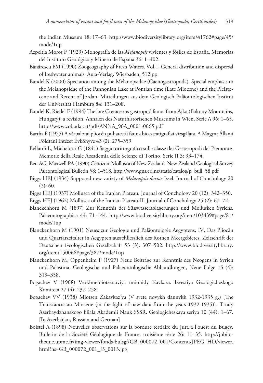the Indian Museum 18: 17–63. http://www.biodiversitylibrary.org/item/41762#page/45/ mode/1up

- Azpeitia Moros F (1929) Monografía de las *Melanopsis* vivientes y fósiles de España. Memorias del Instituto Geológico y Minero de España 36: 1–402.
- Bănărescu PM (1990) Zoogeography of Fresh Waters. Vol.1. General distribution and dispersal of freshwater animals. Aula-Verlag, Wiesbaden, 512 pp.
- Bandel K (2000) Speciation among the Melanopsidae (Caenogastropoda). Special emphasis to the Melanopsidae of the Pannonian Lake at Pontian time (Late Miocene) and the Pleistocene and Recent of Jordan. Mitteilungen aus dem Geologisch-Paläontologischen Institut der Universität Hamburg 84: 131–208.
- Bandel K, Riedel F (1994) The late Cretaceous gastropod fauna from Ajka (Bakony Mountains, Hungary): a revision. Annalen des Naturhistorischen Museums in Wien, Serie A 96: 1–65. http://www.zobodat.at/pdf/ANNA\_96A\_0001-0065.pdf
- Bartha F (1955) A várpalotai pliocén puhatestü fauna biosztratigrafiai vizsgálata. A Magyar Állami Földtani Intézet Évkönyve 43 (2): 275–359.
- Bellardi L, Michelotti G (1841) Saggio orittografico sulla classe dei Gasteropodi del Piemonte. Memorie della Reale Accademia delle Scienze di Torino, Serie II 3: 93–174.
- Beu AG, Maxwell PA (1990) Cenozoic Mollusca of New Zealand. New Zealand Geological Survey Paleontological Bulletin 58: 1–518. http://www.gns.cri.nz/static/catalog/p\_bull\_58.pdf
- Biggs HEJ (1934) Supposed new variety of *Melanopsis doriae* Issel. Journal of Conchology 20 (2): 60.
- Biggs HEJ (1937) Mollusca of the Iranian Plateau. Journal of Conchology 20 (12): 342–350.
- Biggs HEJ (1962) Mollusca of the Iranian Plateau-II. Journal of Conchology 25 (2): 67–72.
- Blanckenhorn M (1897) Zur Kenntnis der Süsswasserablagerungen und Mollusken Syriens. Palaeontographica 44: 71–144. http://www.biodiversitylibrary.org/item/103439#page/81/ mode/1up
- Blanckenhorn M (1901) Neues zur Geologie und Paläontologie Aegyptens. IV. Das Pliocän und Quartärzeitalter in Aegypten ausschliesslich des Rothen Meergebietes. Zeitschrift der Deutschen Geologischen Gesellschaft 53 (3): 307–502. http://www.biodiversitylibrary. org/item/150066#page/387/mode/1up
- Blanckenhorn M, Oppenheim P (1927) Neue Beiträge zur Kenntnis des Neogens in Syrien und Palästina. Geologische und Palaeontologische Abhandlungen, Neue Folge 15 (4): 319–358.
- Bogachev V (1908) Verkhnemiotsenoviya unionidy Kavkaza. Izvestiya Geologicheskogo Komiteta 27 (4): 237–258.
- Bogachev VV (1938) Miotsen Zakavkaz'ya (V svete novykh dannykh 1932-1935 g.) [The Transcaucasian Miocene (in the light of new data from the years 1932-1935)]. Trudy Azerbaydzhanskogo filiala Akademii Nauk SSSR. Geologicheskaya seriya 10 (44): 1–67. [In Azerbaijan, Russian and German]
- Boistel A (1898) Nouvelles observations sur la bordure tertiaire du Jura a l'ouest du Bugey. Bulletin de la Société Géologique de France, troisième série 26: 11–35. http://jubilotheque.upmc.fr/img-viewer/fonds-bulsgf/GB\_000072\_001/Contenu/JPEG\_HD/viewer. html?ns=GB\_000072\_001\_J3\_0013.jpg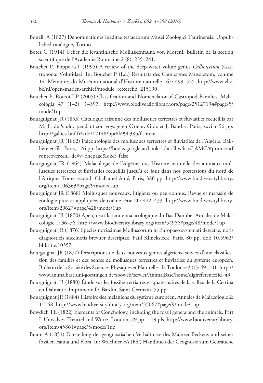- Bonelli A (1827) Denominationes ineditae testaceorum Musei Zoologici Taurinensis. Unpublished catalogue, Torino.
- Botez G (1914) Ueber die levantinische Molluskenfauna von Moreni. Bulletin de la section scientifique de l'Academie Roumaine 2 (8): 235–241.
- Bouchet P, Poppe GT (1995) A review of the deep-water volute genus *Calliotectum* (Gastropoda: Volutidae). In: Bouchet P (Ed.) Résultats des Campagnes Musorstom, volume 14. Mémoires du Muséum national d'Histoire naturelle 167: 499–525. http://www.vliz. be/nl/open-marien-archief?module=ref&refid=215190
- Bouchet P, Rocroi J-P (2005) Classification and Nomenclator of Gastropod Families. Malacologia 47 (1–2): 1–397. http://www.biodiversitylibrary.org/page/25127194#page/5/ mode/1up
- Bourguignat JR (1853) Catalogue raisonné des mollusques terrestres et fluviatiles recueillis par M. F. de Saulcy pendant son voyage en Orient. Gide et J. Baudry, Paris, xxvi + 96 pp. http://gallica.bnf.fr/ark:/12148/bpt6k99038p/f1.item
- Bourguignat JR (1862) Paléontologie des mollusques terrestres et fluviatiles de l'Algérie. Baillière et fils, Paris, 126 pp. https://books.google.at/books?id=k2hw4aoCjAMC&printsec=f rontcover&hl=de#v=onepage&q&f=false
- Bourguignat JR (1864) Malacologie de l'Algérie, ou, Histoire naturelle des animaux mollusques terrestres et fluviatiles recueillis jusqu'à ce jour dans nos possessions du nord de l'Afrique. Tome second. Challamel Ainé, Paris, 380 pp. http://www.biodiversitylibrary. org/item/106363#page/9/mode/1up
- Bourguignat JR (1868) Mollusques nouveaux, litigieux ou peu connus. Revue et magasin de zoologie pure et appliquée, deuxième série 20: 422–433. http://www.biodiversitylibrary. org/item/20627#page/428/mode/1up
- Bourguignat JR (1870) Aperçu sur la faune malacologique du Bas Danube. Annales de Malacologie 1: 36–76. http://www.biodiversitylibrary.org/item/54956#page/48/mode/1up
- Bourguignat JR (1876) Species novissimae Molluscorum in Europaeo systemati detectae, notis diagnosticis succinctis breviter descriptae. Paul Klincksieck, Paris, 80 pp. doi: 10.5962/ bhl.title.10357
- Bourguignat JR (1877) Descriptions de deux nouveaux genres algériens, suivies d'une classification des familles et des genres de mollusques terrestres et fluviatiles du système européen. Bulletin de la Société des Sciences Physiques et Naturelles de Toulouse 3 (1): 49–101. http:// www.animalbase.uni-goettingen.de/zooweb/servlet/AnimalBase/home/digireference?id=43
- Bourguignat JR (1880) Étude sur les fossiles tertiaires et quaternaires de la vallée de la Cettina en Dalmatie. Imprimerie D. Bardin, Saint Germain, 55 pp.
- Bourguignat JR (1884) Histoire des mélaniens du système européen. Annales de Malacologie 2: 1–168. http://www.biodiversitylibrary.org/item/55067#page/9/mode/1up
- Bowdich TE (1822) Elements of Conchology, including the fossil genera and the animals. Part I. Univalves. Treuttel and Würtz, London, 79 pp. + 19 pls. http://www.biodiversitylibrary. org/item/45861#page/5/mode/1up
- Braun A (1851) Darstellung der geognostischen Verhältnisse des Mainzer Beckens und seiner fossilen Fauna und Flora. In: Walchner FA (Ed.) Handbuch der Geognosie zum Gebrauche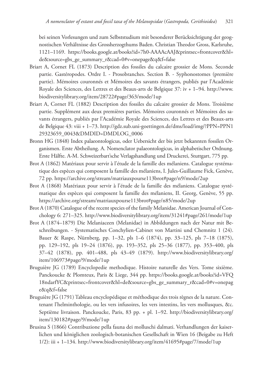bei seinen Vorlesungen und zum Selbststudium mit besonderer Berücksichtigung der geognostischen Verhältnisse des Grossherzogthums Baden. Christian Theodor Gross, Karlsruhe, 1121–1169. https://books.google.at/books?id=7h0-AAAAcAAJ&printsec=frontcover&hl= de&source=gbs\_ge\_summary\_r&cad=0#v=onepage&q&f=false

- Briart A, Cornet FL (1873) Description des fossiles du calcaire grossier de Mons. Seconde partie. Gastéropodes. Ordre I. - Prosobranches. Section B. - Syphonostomes (première partie). Mémoires couronnés et Mémoires des savants étrangers, publiés par l'Académie Royale des Sciences, des Lettres et des Beaux-arts de Belgique 37: iv + 1–94. http://www. biodiversitylibrary.org/item/28722#page/363/mode/1up
- Briart A, Cornet FL (1882) Description des fossiles du calcaire grossier de Mons. Troisième partie. Supplément aux deux premières parties. Mémoires couronnés et Mémoires des savants étrangers, publiés par l'Académie Royale des Sciences, des Lettres et des Beaux-arts de Belgique 43: viii + 1–73. http://gdz.sub.uni-goettingen.de/dms/load/img/?PPN=PPN1 29323659\_0043&DMDID=DMDLOG\_0006
- Bronn HG (1848) Index palaeontologicus, oder Uebersicht der bis jetzt bekannten fossilen Organismen. Erste Abtheilung. A. Nomenclator palaeontologicus, in alphabetischer Ordnung. Erste Hälfte. A-M. Schweizerbart'sche Verlagshandlung und Druckerei, Stuttgart, 775 pp.
- Brot A (1862) Matériaux pour servir à l'étude de la famille des mélaniens. Catalogue systématique des espèces qui composent la famille des mélaniens, I. Jules-Guillaume Fick, Genève, 72 pp. https://archive.org/stream/matriauxpourse113brot#page/n9/mode/2up
- Brot A (1868) Matériaux pour servir à l'étude de la famille des mélaniens. Catalogue systématique des espèces qui composent la famille des mélaniens, II. Georg, Genève, 55 pp. https://archive.org/stream/matriauxpourse113brot#page/n85/mode/2up
- Brot A (1870) Catalogue of the recent species of the family Melanidae. American Journal of Conchology 6: 271–325. http://www.biodiversitylibrary.org/item/31241#page/261/mode/1up
- Brot A (1874–1879) Die Melaniaceen (Melanidae) in Abbildungen nach der Natur mit Beschreibungen. - Systematisches Conchylien-Cabinet von Martini und Chemnitz 1 (24). Bauer & Raspe, Nürnberg, pp. 1–32, pls 1–6 (1874), pp. 33–125, pls 7–18 (1875), pp. 129–192, pls 19–24 (1876), pp. 193–352, pls 25–36 (1877), pp. 353–400, pls 37–42 (1878), pp. 401–488, pls 43–49 (1879). http://www.biodiversitylibrary.org/ item/106973#page/9/mode/1up
- Bruguière JG (1789) Encyclopedie methodique. Histoire naturelle des Vers. Tome sixième. Panckoucke & Plomteux, Paris & Liege, 344 pp. https://books.google.at/books?id=VFQ 18ndarfYC&printsec=frontcover&hl=de&source=gbs\_ge\_summary\_r&cad=0#v=onepag e&q&f=false
- Bruguière JG (1791) Tableau encyclopédique et méthodique des trois règnes de la nature. Contenant l'helminthologie, ou les vers infusoires, les vers intestins, les vers mollusques, &c. Septième livraison. Panckoucke, Paris, 83 pp. + pl. 1–92. http://biodiversitylibrary.org/ item/130182#page/9/mode/1up
- Brusina S (1866) Contribuzione pella fauna dei molluschi dalmati. Verhandlungen der kaiserlichen und königlichen zoologisch-botanischen Gesellschaft in Wien 16 (Beigabe zu Heft 1/2): iii + 1–134. http://www.biodiversitylibrary.org/item/41695#page/7/mode/1up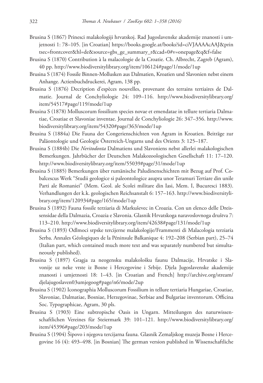- Brusina S (1867) Prinesci malakologiji hrvatskoj. Rad Jugoslavenske akademije znanosti i umjetnosti 1: 78–105. [in Croatian] https://books.google.at/books?id=ciVJAAAAcAAJ&prin tsec=frontcover&hl=de&source=gbs\_ge\_summary\_r&cad=0#v=onepage&q&f=false
- Brusina S (1870) Contribution à la malacologie de la Croatie. Ch. Albrecht, Zagreb (Agram), 40 pp. http://www.biodiversitylibrary.org/item/106124#page/1/mode/1up
- Brusina S (1874) Fossile Binnen-Mollusken aus Dalmatien, Kroatien und Slavonien nebst einem Anhange. Actienbuchdruckerei, Agram, 138 pp.
- Brusina S (1876) Decription d'espèces nouvelles, provenant des terrains tertiaires de Dalmatie. Journal de Conchyliologie 24: 109–116. http://www.biodiversitylibrary.org/ item/54517#page/119/mode/1up
- Brusina S (1878) Molluscorum fossilium species novae et emendatae in tellure tertiaria Dalmatiae, Croatiae et Slavoniae inventae. Journal de Conchyliologie 26: 347–356. http://www. biodiversitylibrary.org/item/54320#page/363/mode/1up
- Brusina S (1884a) Die Fauna der Congerienschichten von Agram in Kroatien. Beiträge zur Paläontologie und Geologie Österreich-Ungarns und des Orients 3: 125–187.
- Brusina S (1884b) Die *Neritodonta* Dalmatiens und Slavoniens nebst allerlei malakologischen Bemerkungen. Jahrbücher der Deutschen Malakozoologischen Gesellschaft 11: 17–120. http://www.biodiversitylibrary.org/item/55039#page/31/mode/1up
- Brusina S (1885) Bemerkungen über rumänische Paludinenschichten mit Bezug auf Prof. Cobalcescus Werk "Studii geologice si paleontologice asupra unor Teramuri Tertiare din unile Parti ale Romaniei" (Mem. Geol. ale Scolei militare din Iasi, Mem. I, Bucuresci 1883). Verhandlungen der k.k. geologischen Reichsanstalt 6: 157–163. http://www.biodiversitylibrary.org/item/120934#page/165/mode/1up
- Brusina S (1892) Fauna fossile terziaria di Markuševec in Croazia. Con un elenco delle Dreissensidae della Dalmazia, Croazia e Slavonia. Glasnik Hrvatskoga naravoslovnoga društva 7: 113–210. http://www.biodiversitylibrary.org/item/42638#page/131/mode/1up
- Brusina S (1893) Odlmoci srpske tercijerne malakologije/Frammenti di Malacologia terziaria Serba. Annales Géologiques de la Péninsule Balkanique 4: 192–208 (Serbian part), 25–74 (Italian part, which contained much more text and was separately numbered but simultaneously published).
- Brusina S (1897) Gragja za neogensku malakološku faunu Dalmacije, Hrvatske i Slavonije uz neke vrste iz Bosne i Hercegovine i Srbije. Djela Jugoslavenske akademije znanosti i umjetnosti 18: 1–43. [in Croatian and French] http://archive.org/stream/ djelajugoslaven03umjegoog#page/n6/mode/2up
- Brusina S (1902) Iconographia Molluscorum Fossilium in tellure tertiaria Hungariae, Croatiae, Slavoniae, Dalmatiae, Bosniae, Herzegovinae, Serbiae and Bulgariae inventorum. Officina Soc. Typographicae, Agram, 30 pls.
- Brusina S (1903) Eine subtropische Oasis in Ungarn. Mitteilungen des naturwissenschaftlichen Vereines für Steiermark 39: 101–121. http://www.biodiversitylibrary.org/ item/45396#page/203/mode/1up
- Brusina S (1904) Šipovo i njegova tercijarna fauna. Glasnik Zemaljskog muzeja Bosne i Hercegovine 16 (4): 493–498. [in Bosnian] The german version published in Wissenschaftliche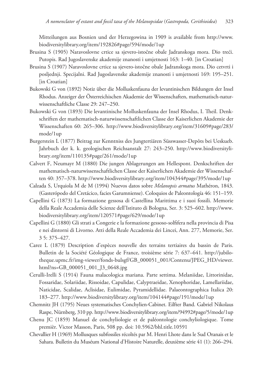Mitteilungen aus Bosnien und der Herzegowina in 1909 is available from http://www. biodiversitylibrary.org/item/192826#page/594/mode/1up

- Brusina S (1905) Naravoslovne crtice sa sjevero-istočne obale Jadranskoga mora. Dio treći. Putopis. Rad Jugoslavenske akademije znanosti i umjetnosti 163: 1–40. [in Croatian]
- Brusina S (1907) Naravoslovne crtice sa sjevero-istočne obale Jadranskoga mora. Dio cetvrti i posljednji. Specijalni. Rad Jugoslavenske akademije znanosti i umjetnosti 169: 195–251. [in Croatian]
- Bukowski G von (1892) Notiz über die Molluskenfauna der levantinischen Bildungen der Insel Rhodus. Anzeiger der Österreichischen Akademie der Wissenschaften, mathematisch-naturwissenschaftliche Classe 29: 247–250.
- Bukowski G von (1893) Die levantinische Molluskenfauna der Insel Rhodus, I. Theil. Denkschriften der mathematisch-naturwissenschaftlichen Classe der Kaiserlichen Akademie der Wissenschaften 60: 265–306. http://www.biodiversitylibrary.org/item/31609#page/283/ mode/1up
- Burgerstein L (1877) Beitrag zur Kenntniss des Jungtertiären Süsswasser-Depôts bei Ueskueb. Jahrbuch der k. k. geologischen Reichsanstalt 27: 243–250. http://www.biodiversitylibrary.org/item/110135#page/261/mode/1up
- Calvert F, Neumayr M (1880) Die jungen Ablagerungen am Hellespont. Denkschriften der mathematisch-naturwissenschaftlichen Classe der Kaiserlichen Akademie der Wissenschaften 40: 357–378. http://www.biodiversitylibrary.org/item/104344#page/395/mode/1up
- Calzada S, Urquiola M de M (1994) Nuevos datos sobre *Melanopsis armatus* Mathéron, 1843. (Gasterópodo del Cretácico, facies Garumniense). Coloquios de Paleontología 46: 151–159.
- Capellini G (1873) La formazione gessosa di Castellina Marittima e i suoi fossili. Memorie della Reale Accademia delle Scienze dell'Istituto di Bologna, Ser. 3: 525–602. http://www. biodiversitylibrary.org/item/120571#page/629/mode/1up
- Capellini G (1880) Gli strati a Congerie e la formazione gessoso-solfifera nella provincia di Pisa e nei dintorni di Livorno. Atti della Reale Accademia dei Lincei, Ann. 277, Memorie, Ser. 3 5: 375–427.
- Carez L (1879) Description d'espèces nouvelle des terrains tertiaires du bassin de Paris. Bulletin de la Société Géologique de France, troisième série 7: 637–641. http://jubilotheque.upmc.fr/img-viewer/fonds-bulsgf/GB\_000051\_001/Contenu/JPEG\_HD/viewer. html?ns=GB\_000051\_001\_J3\_0648.jpg
- Cerulli-Irelli S (1914) Fauna malacologica mariana. Parte settima. Melaniidae, Littorinidae, Fossaridae, Solariidae, Rissoidae, Capulidae, Calyptraeidae, Xenophoridae, Lamellariidae, Naticidae, Scalidae, Aclisidae, Eulimidae, Pyramidellidae. Palaeontographica Italica 20: 183–277. http://www.biodiversitylibrary.org/item/104144#page/191/mode/1up
- Chemnitz JH (1795) Neues systematisches Conchylien-Cabinet. Eilfter Band. Gabriel Nikolaus Raspe, Nürnberg, 310 pp. http://www.biodiversitylibrary.org/item/94992#page/5/mode/1up
- Chenu JC (1859) Manuel de conchyliologie et de paléontologie conchyliologique. Tome premièr. Victor Masson, Paris, 508 pp. doi: 10.5962/bhl.title.10591
- Chevallier H (1969) Mollusques subfossiles récoltés par M. Henri Lhote dans le Sud Oranais et le Sahara. Bulletin du Muséum National d'Histoire Naturelle, deuxième série 41 (1): 266–294.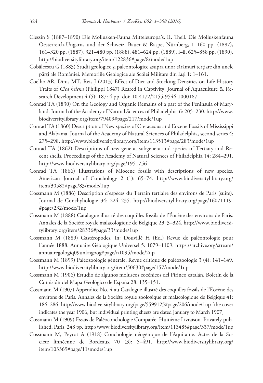- Clessin S (1887–1890) Die Mollusken-Fauna Mitteleuropa's. II. Theil. Die Molluskenfauna Oesterreich-Ungarns und der Schweiz. Bauer & Raspe, Nürnberg, 1–160 pp. (1887), 161–320 pp. (1887), 321–480 pp. (1888), 481–624 pp. (1889), i–ii, 625–858 pp. (1890). http://biodiversitylibrary.org/item/122836#page/8/mode/1up
- Cobălcescu G (1883) Studii geologice și paleontologice asupra unor tărâmuri terțiare din unele părţi ale României. Memoriile Geologice ale Scólei Militare din Iaşi 1: 1–161.
- Coelho AR, Dinis MT, Reis J (2013) Effect of Diet and Stocking Densities on Life History Traits of *Clea helena* (Philippi 1847) Reared in Captivity. Journal of Aquaculture & Research Development 4 (5): 187: 4 pp. doi: 10.4172/2155-9546.1000187
- Conrad TA (1830) On the Geology and Organic Remains of a part of the Peninsula of Maryland. Journal of the Academy of Natural Sciences of Philadelphia 6: 205–230. http://www. biodiversitylibrary.org/item/79409#page/217/mode/1up
- Conrad TA (1860) Description of New species of Cretaceous and Eocene Fossils of Mississippi and Alabama. Journal of the Academy of Natural Sciences of Philadelphia, second series 4: 275–298. http://www.biodiversitylibrary.org/item/113513#page/283/mode/1up
- Conrad TA (1862) Descriptions of new genera, subgenera and species of Tertiary and Recent shells. Proceedings of the Academy of Natural Sciences of Philadelphia 14: 284–291. http://www.biodiversitylibrary.org/page/1951756
- Conrad TA (1866) Illustrations of Miocene fossils with descriptions of new species. American Journal of Conchology 2 (1): 65–74. http://www.biodiversitylibrary.org/ item/30582#page/83/mode/1up
- Cossmann M (1886) Description d'espèces du Terrain tertiaire des environs de Paris (suite). Journal de Conchyliologie 34: 224–235. http://biodiversitylibrary.org/page/16071119- #page/232/mode/1up
- Cossmann M (1888) Catalogue illustré des coquilles fossils de l'Éocène des environs de Paris. Annales de la Société royale malacologique de Belgique 23: 3–324. http://www.biodiversitylibrary.org/item/28336#page/33/mode/1up
- Cossmann M (1889) Gastéropodes. In: Douvillé H (Ed.) Revue de paléontologie pour l'année 1888. Annuaire Géologique Universel 5: 1079–1109. https://archive.org/stream/ annuairegologiq09unkngoog#page/n1095/mode/2up
- Cossmann M (1899) Paléozoologie générale. Revue critique de paléozoologie 3 (4): 141–149. http://www.biodiversitylibrary.org/item/50630#page/157/mode/1up
- Cossmann M (1906) Estudio de algunos moluscos eocénicos del Pirineo catalán. Boletín de la Comisión del Mapa Geológico de España 28: 135–151.
- Cossmann M (1907) Appendice No. 4 au Catalogue illustré des coquilles fossils de l'Éocène des environs de Paris. Annales de la Société royale zoologique et malacologique de Belgique 41: 186–286. http://www.biodiversitylibrary.org/page/5599125#page/206/mode/1up [the cover indicates the year 1906, but individual printing sheets are dated January to March 1907]
- Cossmann M (1909) Essais de Paléoconchologie Comparée. Huitième Livraison. Privately published, Paris, 248 pp. http://www.biodiversitylibrary.org/item/113485#page/337/mode/1up
- Cossmann M, Peyrot A (1918) Conchologie néogènique de l'Aquitaine. Actes de la Société linnéenne de Bordeaux 70 (3): 5–491. http://www.biodiversitylibrary.org/ item/103369#page/11/mode/1up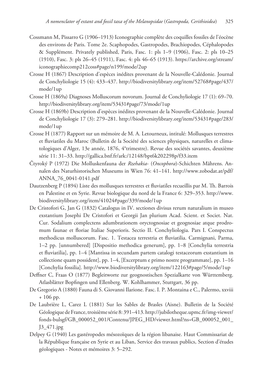- Cossmann M, Pissarro G (1906–1913) Iconographie complète des coquilles fossiles de l'éocène des environs de Paris. Tome 2e. Scaphopodes, Gastropodes, Brachiopodes, Céphalopodes & Supplément. Privately published, Paris, Fasc. 1: pls 1–9 (1906), Fasc. 2: pls 10–25 (1910), Fasc. 3: pls 26–45 (1911), Fasc. 4: pls 46–65 (1913). https://archive.org/stream/ iconographiecomp212coss#page/n199/mode/2up
- Crosse H (1867) Description d'espèces inédites provenant de la Nouvelle-Calédonie. Journal de Conchyliologie 15 (4): 433–437. http://biodiversitylibrary.org/item/52768#page/437/ mode/1up
- Crosse H (1869a) Diagnoses Molluscorum novorum. Journal de Conchyliologie 17 (1): 69–70. http://biodiversitylibrary.org/item/53431#page/73/mode/1up
- Crosse H (1869b) Description d'espèces inédites provenant de la Nouvelle-Calédonie. Journal de Conchyliologie 17 (3): 279–281. http://biodiversitylibrary.org/item/53431#page/283/ mode/1up
- Crosse H (1877) Rapport sur un mémoire de M. A. Letourneux, intitulé: Mollusques terrestres et fluviatiles du Maroc (Bulletin de la Société des sciences physiques, naturelles et climatologiques d'Alger, 13e année, 1876, 4°trimestre). Revue des sociétés savantes, deuxième série 11: 31–33. http://gallica.bnf.fr/ark:/12148/bpt6k202298p/f33.item
- Čtyroký P (1972) Die Molluskenfauna der *Rzehakia* (*Oncophora*)-Schichten Mährens. Annalen des Naturhistorischen Museums in Wien 76: 41–141. http://www.zobodat.at/pdf/ ANNA\_76\_0041-0141.pdf
- Dautzenberg P (1894) Liste des mollusques terrestres et fluviatiles recueillis par M. Th. Barrois en Palestine et en Syrie. Revue biologique du nord de la France 6: 329–353. http://www. biodiversitylibrary.org/item/41024#page/339/mode/1up
- De Cristofori G, Jan G (1832) Catalogus in IV. sectiones divisus rerum naturalium in museo exstantium Josephi De Cristofori et Georgii Jan plurium Acad. Scient. et Societ. Nat. Cur. Sodalium complectens adumbrationem oryctognosiae et geognosiae atque prodromum faunae et floriae Italiae Superioris. Sectio II. Conchyliologia. Pars I. Conspectus methodicus molluscorum. Fasc. 1. Testacea terrestria et fluviatilia. Carmignani, Parma, 1–2 pp. [unnumbered] [Dispositio methodica generum], pp. 1–8 [Conchylia terrestria et fluviatilia], pp. 1–4 [Mantissa in secundam partem catalogi testaceorum exstantium in collectione quam possident], pp. 1–4, [Excerptum e primo nostre programmate], pp. 1–16 [Conchylia fossilia]. http://www.biodiversitylibrary.org/item/122163#page/5/mode/1up
- Deffner C, Fraas O (1877) Begleitworte zur geognostischen Spezialkarte von Württemberg. Atlasblätter Bopfingen und Ellenberg. W. Kohlhammer, Stuttgart, 36 pp.
- De Gregorio A (1880) Fauna di S. Giovanni Ilarione. Fasc. I. P. Montaina e C., Palermo, xxviii + 106 pp.
- De Laubrière L, Carez L (1881) Sur les Sables de Brasles (Aisne). Bulletin de la Société Géologique de France, troisième série 8: 391–413. http://jubilotheque.upmc.fr/img-viewer/ fonds-bulsgf/GB\_000052\_001/Contenu/JPEG\_HD/viewer.html?ns=GB\_000052\_001\_ J3\_471.jpg
- Delpey G (1940) Les gastéropodes mésozoïques de la région libanaise. Haut Commissariat de la République française en Syrie et au Liban, Service des travaux publics, Section d'études géologiques - Notes et mémoires 3: 5–292.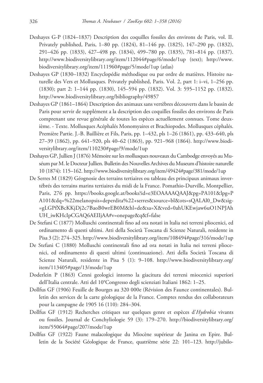- Deshayes G-P (1824–1837) Description des coquilles fossiles des environs de Paris, vol. II. Privately published, Paris, 1–80 pp. (1824), 81–146 pp. (1825), 147–290 pp. (1832), 291–426 pp. (1833), 427–498 pp. (1834), 499–780 pp. (1835), 781–814 pp. (1837). http://www.biodiversitylibrary.org/item/112044#page/6/mode/1up (text); http://www. biodiversitylibrary.org/item/111960#page/5/mode/1up (atlas)
- Deshayes GP (1830–1832) Encyclopédie méthodique ou par ordre de matières. Histoire naturelle des Vers et Mollusques. Privately published, Paris. Vol. 2, part 1: i–vi, 1–256 pp. (1830); part 2: 1–144 pp. (1830), 145–594 pp. (1832). Vol. 3: 595–1152 pp. (1832). http://www.biodiversitylibrary.org/bibliography/49857
- Deshayes GP (1861–1864) Description des animaux sans vertèbres découverts dans le bassin de Paris pour servir de supplément a la description des coquilles fossiles des environs de Paris comprenant une revue générale de toutes les espèces actuellement connues. Tome deuxième. - Texte. Mollusques Acéphalés Monomyaires et Brachiopodes. Mollusques céphalés. Première Partie. J.-B. Baillière et Fils, Paris, pp. 1–432, pls 1–26 (1861), pp. 433–640, pls 27–39 (1862), pp. 641–920, pls 40–62 (1863), pp. 921–968 (1864). http://www.biodiversitylibrary.org/item/110230#page/9/mode/1up
- Deshayes GP, Jullien J (1876) Mémoire sur les mollusques nouveaux du Cambodge envoyés au Muséum par M. le Docteur Jullien. Bulletin des Nouvelles Archives du Museum d'histoire naturelle 10 (1874): 115–162. http://www.biodiversitylibrary.org/item/49424#page/381/mode/1up
- De Serres M (1829) Géognosie des terrains tertiaires ou tableau des principaux animaux invertébrés des terrains marins tertiaires du midi de la France. Pomathio-Durville, Montpellier, Paris, 276 pp. https://books.google.at/books?id=e3EOAAAAQAAJ&pg=PA101&lpg=P A101&dq=%22melanopsis+deperdita%22+serres&source=bl&ots=sQALAl0\_Dw&sig- =gLGPfXBcKKjDj2c7BaoB0wrEB0M&hl=de&sa=X&ved=0ahUKEwjaw6uO1NPJAh UH\_iwKHcIpCGAQ6AEIIjAA#v=onepage&q&f=false
- De Stefani C (1877) Molluschi continentali fino ad ora notati in ltalia nei terreni pliocenici, ed ordinamento di questi ultimi. Atti della Società Toscana di Scienze Naturali, residente in Pisa 3 (2): 274–325. http://www.biodiversitylibrary.org/item/108494#page/316/mode/1up
- De Stefani C (1880) Molluschi continentali fino ad ora notati in ltalia nei terreni pliocenici, ed ordinamento di questi ultimi (continuazione). Atti della Società Toscana di Scienze Naturali, residente in Pisa 5 (1): 9–108. http://www.biodiversitylibrary.org/ item/113405#page/13/mode/1up
- Doderlein P (1863) Cenni geologici intorno la giacitura dei terreni miocenici superiori dell'Italia centrale. Atti del 10°Congresso degli scienziati Italiani 1862: 1–25.
- Dollfus GF (1906) Feuille de Bourges au 320 000e (Révision des Faunce continentales). Bulletin des services de la carte géologique de la France. Comptes rendus des collaborateurs pour la campagne de 1905 16 (110): 284–304.
- Dollfus GF (1912) Recherches critiques sur quelques genre et espèces d'*Hydrobia* vivants ou fossiles. Journal de Conchyliologie 59 (3): 179–270. http://biodiversitylibrary.org/ item/55064#page/207/mode/1up
- Dollfus GF (1922) Faune malacologique du Miocène supérieur de Janina en Epire. Bulletin de la Société Géologique de France, quatrième série 22: 101–123. http://jubilo-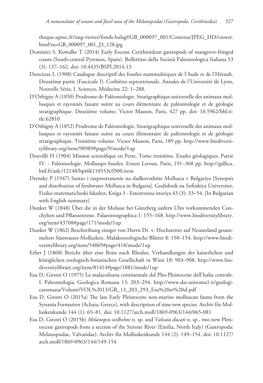theque.upmc.fr/img-viewer/fonds-bulsgf/GB\_000097\_001/Contenu/JPEG\_HD/viewer. html?ns=GB\_000097\_001\_J3\_128.jpg

- Dominici S, Kowalke T (2014) Early Eocene Cerithioidean gastropods of mangrove-fringed coasts (South-central Pyrenees, Spain). Bollettino della Società Paleontologica Italiana 53 (3): 137–162. doi: 10.4435/BSPI.2014.13
- Doncieux L (1908) Catalogue descriptif des fossiles nummulitiques de l'Aude et de l'Hérault. Deuxième partie (Fascicule I). Corbières septentrionale. Annales de l'Université de Lyon, Nouvelle Série, I. Sciences, Médecine 22: 1–288.
- D'Orbigny A (1850) Prodrome de Paléontologie. Stratigraphique universelle des animaux mollusques et rayonnés faisant suitre au cours élémentaire de paléontologie et de géologie stratigraphique. Deuxième volume. Victor Masson, Paris, 427 pp. doi: 10.5962/bhl.title.62810
- D'Orbigny A (1852) Prodrome de Paléontologie. Stratigraphique universelle des animaux mollusques et rayonnés faisant suitre au cours élémentaire de paléontologie et de géologie stratigraphique. Troisième volume. Victor Masson, Paris, 189 pp. http://www.biodiversitylibrary.org/item/98989#page/9/mode/1up
- Douvillé H (1904) Mission scientifique en Perse. Tome troisième. Etudes géologiques. Partie IV. - Paléontologie. Mollusqes fossiles. Ernest Leroux, Paris, 191–368 pp. http://gallica. bnf.fr/ark:/12148/bpt6k110553t/f300.item
- Drensky P (1947) Sustav i razprostranenie na sladkovodnite Mollusca v Bulgariya [Synopsis and distribution of freshwater Mollusca in Bulgaria]. Godishnik na Sofiiskiya Universitet, Fiziko-matematicheski fakultet, Kniga 3 - Estestrenna istoriya 43 (3): 33–54. [In Bulgarian with English summary]
- Dunker W (1848) Über die in der Molasse bei Günzberg unfern Ulm vorkommenden Conchylien und Pflanzenreste. Palaeontographica 1: 155–168. http://www.biodiversitylibrary. org/item/43708#page/171/mode/1up
- Dunker W (1862) Beschreibung einiger von Herrn Dr. v. Hochstetter auf Neuseeland gesammelten Süsswasser-Mollusken. Malakozoologische Blätter 8: 150–154. http://www.biodiversitylibrary.org/item/54069#page/418/mode/1up
- Erber J (1868) Bericht über eine Reise nach Rhodus. Verhandlungen der kaiserlichen und königlichen zoologisch-botanischen Gesellschaft in Wien 18: 903–908. http://www.biodiversitylibrary.org/item/81414#page/1081/mode/1up
- Esu D, Girotti O (1975) La malacofauna continentale del Plio-Pleistocene dell'Italia centrale. I. Paleontologia. Geologica Romana 13: 203–294. http://www.dst.uniroma1.it/geologicaromana/Volumi/VOL%2013/GR\_13\_203\_293\_Esu%20et%20al.pdf
- Esu D, Girotti O (2015a) The late Early Pleistocene non-marine molluscan fauna from the Synania Formation (Achaia, Greece), with description of nine new species. Archiv für Molluskenkunde 144 (1): 65–81. doi: 10.1127/arch.moll/1869-0963/144/065-081
- Esu D, Girotti O (2015b) *Melanopsis wilhelmi* n. sp. and *Valvata ducati* n. sp., two new Pleistocene gastropods from a section of the Stirone River (Emilia, North Italy) (Gastropoda: Melanopsidae, Valvatidae). Archiv für Molluskenkunde 144 (2): 149–154. doi: 10.1127/ arch.moll/1869-0963/144/149-154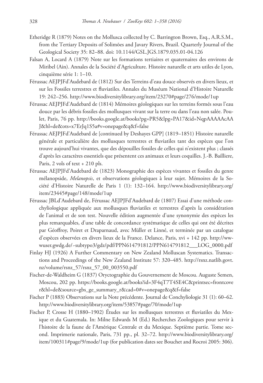- Etheridge R (1879) Notes on the Mollusca collected by C. Barrington Brown, Esq., A.R.S.M., from the Tertiary Deposits of Solimões and Javary Rivers, Brazil. Quarterly Journal of the Geological Society 35: 82–88. doi: 10.1144/GSL.JGS.1879.035.01-04.126
- Falsan A, Locard A (1879) Note sur les formations tertiaires et quaternaires des environs de Miribel (Ain). Annales de la Société d'Agriculture. Histoire naturelle et arts utiles de Lyon, cinquième série 1: 1–10.
- Férussac AEJPJFd'Audebard de (1812) Sur des Terreins d'eau douce observés en divers lieux, et sur les Fossiles terrestres et fluviatiles. Annales du Muséum National d'Histoire Naturelle 19: 242–256. http://www.biodiversitylibrary.org/item/23270#page/276/mode/1up
- Férussac AEJPJFd'Audebard de (1814) Mémoires géologiques sur les terreins formés sous l'eau douce par les débris fossiles des mollusques vivant sur la terre ou dans l'eau non salée. Poulet, Paris, 76 pp. http://books.google.at/books?pg=PR5&lpg=PA17&id=NqpAAAAAcAA J&hl=de&ots=x7ErJq1S5a#v=onepage&q&f=false
- Férussac AEJPJFd'Audebard de [continued by Deshayes GPP] (1819–1851) Histoire naturelle générale et particulière des mollusques terrestres et fluviatiles tant des espèces que l'on trouve aujourd'hui vivantes, que des dépouilles fossiles de celles qui n'existent plus ; classés d'après les caractères essentiels que présentent ces animaux et leurs coquilles. J.-B. Bailliere, Paris, 2 vols of text + 210 pls.
- Férussac AEJPJFd'Audebard de (1823) Monographie des espèces vivantes et fossiles du genre mélanopside, *Melanopsis*, et observations géologiques à leur sujet. Mémoires de la Société d'Histoire Naturelle de Paris 1 (1): 132–164. http://www.biodiversitylibrary.org/ item/23445#page/148/mode/1up
- Férussac JBLd'Audebard de, Férussac AEJPJFd'Audebard de (1807) Essai d'une méthode conchyliologique appliquée aux mollusques fluviatiles et terrestres d'après la considération de l'animal et de son test. Nouvelle édition augmentée d'une synonymie des espèces les plus remarquables, d'une table de concordance systématique de celles qui ont été décrites par Géoffroy, Poiret et Draparnaud, avec Müller et Linné, et terminée par un catalogue d'espèces observées en divers lieux de la France. Delance, Paris, xvi + 142 pp. http://wwwuser.gwdg.de/~subtypo3/gdz/pdf/PPN614791812/PPN614791812\_\_\_LOG\_0000.pdf
- Finlay HJ (1926) A Further Commentary on New Zealand Molluscan Systematics. Transactions and Proceedings of the New Zealand Institute 57: 320–485. http://rsnz.natlib.govt. nz/volume/rsnz\_57/rsnz\_57\_00\_003550.pdf
- Fischer-de-Waldheim G (1837) Oryctographie du Gouvernement de Moscou. Auguste Semen, Moscou, 202 pp. https://books.google.at/books?id=3F4qT7T4SE4C&printsec=frontcove r&hl=de&source=gbs\_ge\_summary\_r&cad=0#v=onepage&q&f=false
- Fischer P (1883) Observations sur la Note précédente. Journal de Conchyliologie 31 (1): 60–62. http://www.biodiversitylibrary.org/item/53857#page/70/mode/1up
- Fischer P, Crosse H (1880–1902) Études sur les mollusques terrestres et fluviatiles du Mexique et du Guatemala. In: Milne Edwards M (Ed.) Recherches Zoologiques pour servir à l'histoire de la faune de l'Amérique Centrale et du Mexique. Septième partie. Tome second. Imprimerie nationale, Paris, 731 pp., pl. 32–72. http://www.biodiversitylibrary.org/ item/100311#page/9/mode/1up (for publication dates see Bouchet and Rocroi 2005: 306).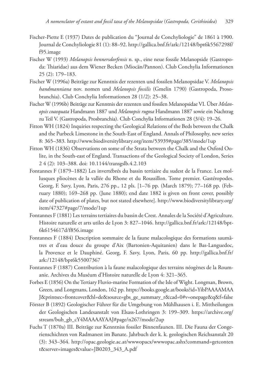- Fischer-Piette E (1937) Dates de publication du "Journal de Conchyliologie" de 1861 à 1900. Journal de Conchyliologie 81 (1): 88–92. http://gallica.bnf.fr/ark:/12148/bpt6k5567298f/ f95.image
- Fischer W (1993) *Melanopsis hennersdorfensis* n. sp., eine neue fossile Melanopside (Gastropoda: Thiaridae) aus dem Wiener Becken (Miocän/Pannon). Club Conchylia Informationen 25 (2): 179–183.
- Fischer W (1996a) Beiträge zur Kenntnis der rezenten und fossilen Melanopsidae V. *Melanopsis handmanniana* nov. nomen und *Melanopsis fossilis* (Gmelin 1790) (Gastropoda, Prosobranchia). Club Conchylia Informationen 28 (1/2): 25–38.
- Fischer W (1996b) Beiträge zur Kenntnis der rezenten und fossilen Melanopsidae VI. Über *Melanopsis coaequata* Handmann 1887 und *Melanopsis rugosa* Handmann 1887 sowie ein Nachtrag zu Teil V. (Gastropoda, Prosbranchia). Club Conchylia Informationen 28 (3/4): 19–26.
- Fitton WH (1824) Inquiries respecting the Geological Relations of the Beds between the Chalk and the Purbeck Limestone in the South-East of England. Annals of Philosophy, new series 8: 365–383. http://www.biodiversitylibrary.org/item/53939#page/385/mode/1up
- Fitton WH (1836) Observations on some of the Strata between the Chalk and the Oxford Oolite, in the South-east of England. Transactions of the Geological Society of London, Series 2 4 (2): 103–388. doi: 10.1144/transgslb.4.2.103
- Fontannes F (1879–1882) Les invertébrés du bassin tertiaire du sudest de la France. Les mollusques pliocènes de la vallée du Rhone et du Roussillon. Tome premier. Gastéropodes. Georg, F. Savy, Lyon, Paris, 276 pp., 12 pls. [1–76 pp. (March 1879); 77–168 pp. (February 1880); 169–268 pp. (June 1880); end date 1882 is given on front cover, possibly date of publication of plates, but not stated elsewhere]. http://www.biodiversitylibrary.org/ item/47327#page/7/mode/1up
- Fontannes F (1881) Les terrains tertiaires du bassin de Crest. Annales de la Société d'Agriculture. Histoire naturelle et arts utiles de Lyon 3: 827–1046. http://gallica.bnf.fr/ark:/12148/bpt-6k6154617d/f856.image
- Fontannes F (1884) Description sommaire de la faune malacologique des formations saumâtres et d'eau douce du groupe d'Aix (Bartonien-Aquitanien) dans le Bas-Languedoc, la Provence et le Dauphiné. Georg, F. Savy, Lyon, Paris, 60 pp. http://gallica.bnf.fr/ ark:/12148/bpt6k55007367
- Fontannes F (1887) Contribution à la faune malacologique des terrains néogènes de la Roumanie. Archives du Muséum d'Histoire naturelle de Lyon 4: 321–365.
- Forbes E (1856) On the Tertiary Fluvio-marine Formation of the Isle of Wight. Longman, Brown, Green, and Longmans, London, 162 pp. https://books.google.at/books?id=YibPAAAAMAA J&printsec=frontcover&hl=de&source=gbs\_ge\_summary\_r&cad=0#v=onepage&q&f=false
- Förster B (1892) Geologischer Führer für die Umgebung von Mühlhausen i. E. Mittheilungen der Geologischen Landesanstalt von Elsass-Lothringen 3: 199–309. https://archive.org/ stream/bub\_gb\_cY4MAAAAYAAJ#page/n267/mode/2up
- Fuchs T (1870a) III. Beiträge zur Kenntniss fossiler Binnenfaunen. III. Die Fauna der Congerienschichten von Radmanest im Banate. Jahrbuch der k. k. geologischen Reichsanstalt 20 (3): 343–364. http://opac.geologie.ac.at/wwwopacx/wwwopac.ashx?command=getconten t&server=images&value=JB0203\_343\_A.pdf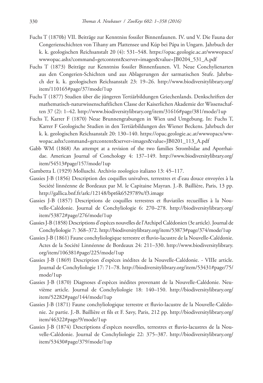- Fuchs T (1870b) VII. Beiträge zur Kenntniss fossiler Binnenfaunen. IV. und V. Die Fauna der Congerienschichten von Tihany am Plattensee und Kúp bei Pápa in Ungarn. Jahrbuch der k. k. geologischen Reichsanstalt 20 (4): 531–548. https://opac.geologie.ac.at/wwwopacx/ wwwopac.ashx?command=getcontent&server=images&value=JB0204\_531\_A.pdf
- Fuchs T (1873) Beiträge zur Kenntniss fossiler Binnenfaunen. VI. Neue Conchylienarten aus den Congerien-Schichten und aus Ablagerungen der sarmatischen Stufe. Jahrbuch der k. k. geologischen Reichsanstalt 23: 19–26. http://www.biodiversitylibrary.org/ item/110165#page/37/mode/1up
- Fuchs T (1877) Studien über die jüngeren Tertiärbildungen Griechenlands. Denkschriften der mathematisch-naturwissenschaftlichen Classe der Kaiserlichen Akademie der Wissenschaften 37 (2): 1–42. http://www.biodiversitylibrary.org/item/31616#page/381/mode/1up
- Fuchs T, Karrer F (1870) Neue Brunnengrabungen in Wien und Umgebung. In: Fuchs T, Karrer F Geologische Studien in den Tertiärbildungen des Wiener Beckens. Jahrbuch der k. k. geologischen Reichsanstalt 20: 130–140. https://opac.geologie.ac.at/wwwopacx/wwwopac.ashx?command=getcontent&server=images&value=JB0201\_113\_A.pdf
- Gabb WM (1868) An attempt at a revision of the two families Strombidae and Aporrhaidae. American Journal of Conchology 4: 137–149. http://www.biodiversitylibrary.org/ item/54513#page/157/mode/1up
- Gambetta L (1929) Molluschi. Archivio zoologico italiano 13: 45–117.
- Gassies J-B (1856) Description des coquilles univalves, terrestres et d'eau douce envoyées à la Société linnéenne de Bordeaux par M. le Capitaine Mayran. J.-B. Baillière, Paris, 13 pp. http://gallica.bnf.fr/ark:/12148/bpt6k6529789x/f3.image
- Gassies J-B (1857) Descriptions de coquilles terrestres et fluviatiles recueillies à la Nouvelle-Calédonie. Journal de Conchyliologie 6: 270–278. http://biodiversitylibrary.org/ item/53872#page/276/mode/1up
- Gassies J-B (1858) Descriptions d'espèces nouvelles de l'Archipel Calédonien (3e article). Journal de Conchyliologie 7: 368–372. http://biodiversitylibrary.org/item/53873#page/374/mode/1up
- Gassies J-B (1861) Faune conchyliologique terrestre et fluvio-lacustre de la Nouvelle-Calédonie. Actes de la Société Linnéenne de Bordeaux 24: 211–330. http://www.biodiversitylibrary. org/item/106381#page/225/mode/1up
- Gassies J-B (1869) Description d'espèces inédites de la Nouvelle-Calédonie. VIIIe article. Journal de Conchyliologie 17: 71–78. http://biodiversitylibrary.org/item/53431#page/75/ mode/1up
- Gassies J-B (1870) Diagnoses d'espèces inédites provenant de la Nouvelle-Calédonie. Neuvième article. Journal de Conchyliologie 18: 140–150. http://biodiversitylibrary.org/ item/52282#page/144/mode/1up
- Gassies J-B (1871) Faune conchyliologique terrestre et fluvio-lacustre de la Nouvelle-Calédonie. 2e partie. J.-B. Baillière et fils et F. Savy, Paris, 212 pp. http://biodiversitylibrary.org/ item/46322#page/9/mode/1up
- Gassies J-B (1874) Descriptions d'espèces nouvelles, terrestres et fluvio-lacustres de la Nouvelle-Calédonie. Journal de Conchyliologie 22: 375–387. http://biodiversitylibrary.org/ item/53430#page/379/mode/1up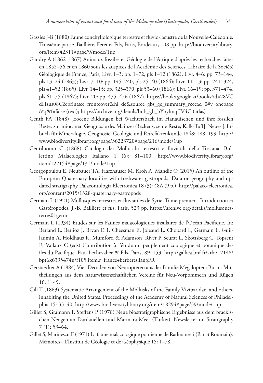- Gassies J-B (1880) Faune conchyliologique terrestre et fluvio-lacustre de la Nouvelle-Calédonie. Troisième partie. Baillière, Féret et Fils, Paris, Bordeaux, 108 pp. http://biodiversitylibrary. org/item/42311#page/9/mode/1up
- Gaudry A (1862–1867) Animaux fossiles et Géologie de l'Attique d'après les recherches faites en 1855–56 et en 1860 sous les auspices de l'Académie des Sciences. Libraire de la Société Géologique de France, Paris, Livr. 1–3: pp. 1–72, pls 1–12 (1862); Livr. 4–6: pp. 73–144, pls 13–24 (1863); Livr. 7–10: pp. 145–240, pls 25–40 (1864); Livr. 11–13: pp. 241–324, pls 41–52 (1865); Livr. 14–15: pp. 325–370, pls 53–60 (1866); Livr. 16–19: pp. 371–474, pls 61–75 (1867); Livr. 20: pp. 475–476 (1867). https://books.google.at/books?id=28VC dHzus08C&printsec=frontcover&hl=de&source=gbs\_ge\_summary\_r&cad=0#v=onepage &q&f=false (text); https://archive.org/details/bub\_gb\_bYbylmqfJV4C (atlas)
- Genth FA (1848) [Eocene Bildungen bei Wächtersbach im Hanauischen und ihre fossilen Reste; zur miocänen Geognosie des Mainzer-Beckens, seine Reste; Kalk-Tuff]. Neues Jahrbuch für Mineralogie, Geognosie, Geologie und Petrefaktenkunde 1848: 188–199. http:// www.biodiversitylibrary.org/page/36223720#page/216/mode/1up
- Gentiluomo C (1868) Catalogo dei Molluschi terrestri e fluviatili della Toscana. Bullettino Malacologico Italiano 1 (6): 81–100. http://www.biodiversitylibrary.org/ item/122154#page/131/mode/1up
- Georgopoulou E, Neubauer TA, Harzhauser M, Kroh A, Mandic O (2015) An outline of the European Quaternary localities with freshwater gastropods: Data on geography and updated stratigraphy. Palaeontologia Electronica 18 (3): 48A (9 p.). http://palaeo-electronica. org/content/2015/1328-quaternary-gastropods
- Germain L (1921) Mollusques terrestres et fluviatiles de Syrie. Tome premier Introduction et Gastéropodes. J.-B. Bailliére et fils, Paris, 523 pp. https://archive.org/details/mollusquesterres01germ
- Germain L (1934) Études sur les Faunes malacologiques insulaires de l'Océan Pacifique. In: Berland L, Berlioz J, Bryan EH, Cheesman E, Joleaud L, Chopard L, Germain L, Guillaumin A, Holdhaus K, Mumford & Adamson, River P, Seurat L, Skottsberg C, Topsent E, Vallaux C (eds) Contribution à l'étude du peuplement zoologique et botanique des îles du Pacifique. Paul Lechevalier & Fils, Paris, 89–153. http://gallica.bnf.fr/ark:/12148/ bpt6k6395474n/f105.item.r=france+berberes.langFR
- Gerstaecker A (1884) Vier Decaden von Neuropteren aus der Familie Megaloptera Burm. Mittheilungen aus dem naturwissenschaftlichen Vereine für Neu-Vorpommern und Rügen 16: 1–49.
- Gill T (1863) Systematic Arrangement of the Mollusks of the Family Viviparidae, and others, inhabiting the United States. Proceedings of the Academy of Natural Sciences of Philadelphia 15: 33–40. http://www.biodiversitylibrary.org/item/18294#page/39/mode/1up
- Gillet S, Gramann F, Steffens P (1978) Neue biostratigraphische Ergebnisse aus dem brackischen Neogen an Dardanellen und Marmara-Meer (Türkei). Newsletter on Stratigraphy 7 (1): 53–64.
- Gillet S, Marinescu F (1971) La faune malacologique pontienne de Radmanesti (Banat Roumain). Mémoires - L'Institut de Géologie et de Géophysique 15: 1–78.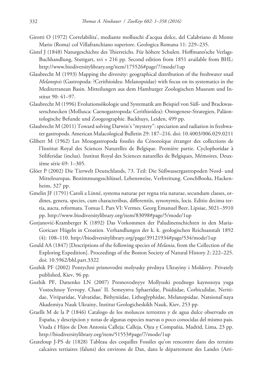- Girotti O (1972) Correlabilita', mediante molluschi d'acqua dolce, del Calabriano di Monte Mario (Roma) col Villafranchiano superiore. Geologica Romana 11: 229–235.
- Gistel J (1848) Naturgeschichte des Thierreichs. Für höhere Schulen. Hoffmann'sche Verlags-Buchhandlung, Stuttgart, xvi + 216 pp. Second edition from 1851 available from BHL: http://www.biodiversitylibrary.org/item/175526#page/7/mode/1up
- Glaubrecht M (1993) Mapping the diversity: geographical distribution of the freshwater snail *Melanopsis* (Gastropoda: ?Cerithioidea: Melanopsidae) with focus on its systematics in the Mediterranean Basin. Mitteilungen aus dem Hamburger Zoologischen Museum und Institut 90: 41–97.
- Glaubrecht M (1996) Evolutionsökologie und Systematik am Beispiel von Süß- und Brackwasserschnecken (Mollusca: Caenogastropoda: Cerithioidea): Ontogenese-Strategien, Paläontologische Befunde und Zoogeographie. Backhuys, Leiden, 499 pp.
- Glaubrecht M (2011) Toward solving Darwin's "mystery": speciation and radiation in freshwater gastropods. American Malacological Bulletin 29: 187–216. doi: 10.4003/006.029.0211
- Glibert M (1962) Les Mesogastropoda fossiles du Cénozoïque étranger des collections de l'Institut Royal des Sciences Naturelles de Belgique. Première partie. Cyclophoridae à Stiliferidae (inclus). Institut Royal des Sciences naturelles de Belgiques, Mémoires. Deuxième série 69: 1–305.
- Glöer P (2002) Die Tierwelt Deutschlands, 73. Teil: Die Süßwassergastropoden Nord- und Mitteleuropas. Bestimmungsschlüssel, Lebensweise, Verbreitung. ConchBooks, Hackenheim, 327 pp.
- Gmelin JF (1791) Caroli a Linné, systema naturae per regna tria naturae, secundum classes, ordines, genera, species, cum characteribus, differentiis, synonymis, locis. Editio decima tertia, aucta, reformata. Tomus I. Pars VI: Vermes. Georg Emanuel Beer, Lipsiae, 3021–3910 pp. http://www.biodiversitylibrary.org/item/83098#page/5/mode/1up
- Gorjanović-Kramberger K (1892) Das Vorkommen der Paludinenschichten in den Maria-Goricaer Hügeln in Croatien. Verhandlungen der k. k. geologischen Reichsanstalt 1892 (4): 108–110. http://biodiversitylibrary.org/page/39121934#page/534/mode/1up
- Gould AA (1847) [Descriptions of the following species of *Melania*, from the Collection of the Exploring Expedition]. Proceedings of the Boston Society of Natural History 2: 222–225. doi: 10.5962/bhl.part.3322
- Gozhik PF (2002) Pontychni prisnovodni molyusky pivdnya Ukrayiny i Moldovy. Privately published, Kiev, 96 pp.
- Gozhik PF, Datsenko LN (2007) Presnovodnyye Mollyuski pozdnego kaynozoya yuga Vostochnoy Yevropy. Chast' II. Semeystva Sphaeridae, Pisidiidae, Corbiculidae, Neritidae, Viviparidae, Valvatidae, Bithyniidae, Lithoglyphidae, Melanopsidae. Natsional'naya Akademiya Nauk Ukrainy, Institut Geologicheskikh Nauk, Kiev, 253 pp.
- Graells M de la P (1846) Catalogo de los moluscos terrestres y de agua dulce observado en España, y descripcion y notas de algunas especies nuevas o poco conocidas del mismo pais. Viuda é Hijos de Don Antonia Calleja; Calleja, Ojea y Compañia, Madrid, Lima, 23 pp. http://biodiversitylibrary.org/item/51553#page/7/mode/1up
- Grateloup J-PS de (1828) Tableau des coquilles Fossiles qu'on rencontre dans des terrains calcaires tertiaires (faluns) des environs de Dax, dans le département des Landes (Arti-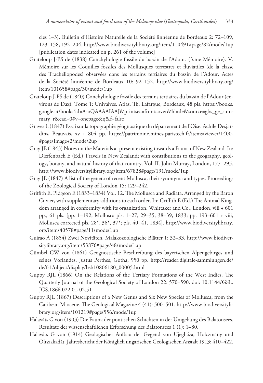cles 1–3). Bulletin d'Histoire Naturelle de la Société linnéenne de Bordeaux 2: 72–109, 123–158, 192–204. http://www.biodiversitylibrary.org/item/110491#page/82/mode/1up [publication dates indicated on p. 261 of the volume]

- Grateloup J-PS de (1838) Conchyliologie fossile du bassin de l'Adour. (3.me Mémoire). V. Mémoire sur les Coquilles fossiles des Mollusques terrestres et fluviatiles (de la classe des Trachéliopodes) observées dans les terrains tertiaires du bassin de l'Adour. Actes de la Société linnéenne de Bordeaux 10: 92–152. http://www.biodiversitylibrary.org/ item/101658#page/30/mode/1up
- Grateloup J-PS de (1840) Conchyliologie fossile des terrains tertiaires du bassin de l'Adour (environs de Dax). Tome 1: Univalves. Atlas. Th. Lafargue, Bordeaux, 48 pls. https://books. google.at/books?id=A-oQAAAAIAAJ&printsec=frontcover&hl=de&source=gbs\_ge\_summary\_r&cad=0#v=onepage&q&f=false
- Graves L (1847) Essai sur la topographie géognostique du département de l'Oise. Achile Desjardins, Beauvais, xv + 804 pp. https://patrimoine.mines-paristech.fr/items/viewer/1400- #page/Image+2/mode/2up
- Gray JE (1843) Notes on the Materials at present existing towards a Fauna of New Zealand. In: Dieffenbach E (Ed.) Travels in New Zealand; with contributions to the geography, geology, botany, and natural history of that country. Vol. II. John Murray, London, 177–295. http://www.biodiversitylibrary.org/item/67828#page/191/mode/1up
- Gray JE (1847) A list of the genera of recent Mollusca, their synonyma and types. Proceedings of the Zoological Society of London 15: 129–242.
- Griffith E, Pidgeon E (1833–1834) Vol. 12. The Mollusca and Radiata. Arranged by the Baron Cuvier, with supplementary additions to each order. In: Griffith E (Ed.) The Animal Kingdom arranged in conformity with its organization. Whittaker and Co., London, viii + 601 pp., 61 pls. [pp. 1–192, Mollusca pls. 1–27, 29–35, 38–39, 1833; pp. 193–601 + viii, Mollusca corrected pls. 28\*, 36\*, 37\*; pls. 40, 41, 1834]. http://www.biodiversitylibrary. org/item/40578#page/11/mode/1up
- Guirao Á (1854) Zwei Novitäten. Malakozoologische Blätter 1: 32–33. http://www.biodiversitylibrary.org/item/53876#page/48/mode/1up
- Gümbel CW von (1861) Geognostische Beschreibung des bayerischen Alpengebirges und seines Vorlandes. Justus Perthes, Gotha, 950 pp. http://reader.digitale-sammlungen.de/ de/fs1/object/display/bsb10806180\_00005.html
- Guppy RJL (1866) On the Relations of the Tertiary Formations of the West Indies. The Quarterly Journal of the Geological Society of London 22: 570–590. doi: 10.1144/GSL. JGS.1866.022.01-02.51
- Guppy RJL (1867) Descriptions of a New Genus and Six New Species of Mollusca, from the Caribean Miocene. The Geological Magazine 4 (41): 500–501. http://www.biodiversitylibrary.org/item/101219#page/556/mode/1up
- Halaváts G von (1903) Die Fauna der pontischen Schichten in der Umgebung des Balatonsees. Resultate der wissenschaftlichen Erforschung des Balatonsees 1 (1): 1–80.
- Halaváts G von (1914) Geologischer Aufbau der Gegend von Ujegháza, Holczmány und Oltszakadát. Jahresbericht der Königlich ungarischen Geologischen Anstalt 1913: 410–422.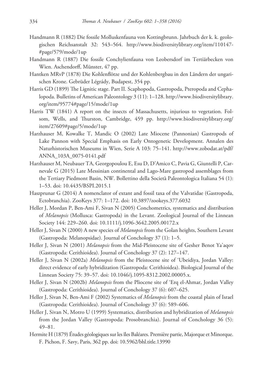- Handmann R (1882) Die fossile Molluskenfauna von Kottingbrunn. Jahrbuch der k. k. geologischen Reichsanstalt 32: 543–564. http://www.biodiversitylibrary.org/item/110147- #page/579/mode/1up
- Handmann R (1887) Die fossile Conchylienfauna von Leobersdorf im Tertiärbecken von Wien. Aschendorff, Münster, 47 pp.
- Hantken MRvP (1878) Die Kohlenflötze und der Kohlenbergbau in den Ländern der ungarischen Krone. Gebrüder Légrády, Budapest, 354 pp.
- Harris GD (1899) The Lignitic stage. Part II. Scaphopoda, Gastropoda, Pteropoda and Cephalopoda. Bulletins of American Paleontology 3 (11): 1–128. http://www.biodiversitylibrary. org/item/95774#page/15/mode/1up
- Harris TW (1841) A report on the insects of Massachusetts, injurious to vegetation. Folsom, Wells, and Thurston, Cambridge, 459 pp. http://www.biodiversitylibrary.org/ item/27609#page/5/mode/1up
- Harzhauser M, Kowalke T, Mandic O (2002) Late Miocene (Pannonian) Gastropods of Lake Pannon with Special Emphasis on Early Ontogenetic Development. Annalen des Naturhistorischen Museums in Wien, Serie A 103: 75–141. http://www.zobodat.at/pdf/ ANNA\_103A\_0075-0141.pdf
- Harzhauser M, Neubauer TA, Georgopoulou E, Esu D, D'Amico C, Pavia G, Giuntelli P, Carnevale G (2015) Late Messinian continental and Lago-Mare gastropod assemblages from the Tertiary Piedmont Basin, NW. Bollettino della Società Paleontologica Italiana 54 (1): 1–53. doi: 10.4435/BSPI.2015.1
- Haszprunar G (2014) A nomenclator of extant and fossil taxa of the Valvatidae (Gastropoda, Ectobranchia). ZooKeys 377: 1–172. doi: 10.3897/zookeys.377.6032
- Heller J, Mordan P, Ben-Ami F, Sivan N (2005) Conchometrics, systematics and distribution of *Melanopsis* (Mollusca: Gastropoda) in the Levant. Zoological Journal of the Linnean Society 144: 229–260. doi: 10.1111/j.1096-3642.2005.00172.x
- Heller J, Sivan N (2000) A new species of *Melanopsis* from the Golan heights, Southern Levant (Gastropoda: Melanopsidae). Journal of Conchology 37 (1): 1–5.
- Heller J, Sivan N (2001) *Melanopsis* from the Mid-Pleistocene site of Gesher Benot Ya'aqov (Gastropoda: Cerithioidea). Journal of Conchology 37 (2): 127–147.
- Heller J, Sivan N (2002a) *Melanopsis* from the Pleistocene site of 'Ubeidiya, Jordan Valley: direct evidence of early hybridization (Gastropoda: Cerithioidea). Biological Journal of the Linnean Society 75: 39–57. doi: 10.1046/j.1095-8312.2002.00005.x.
- Heller J, Sivan N (2002b) *Melanopsis* from the Pliocene site of 'Erq el-Ahmar, Jordan Valley (Gastropoda: Cerithioidea). Journal of Conchology 37 (6): 607–625.
- Heller J, Sivan N, Ben-Ami F (2002) Systematics of *Melanopsis* from the coastal plain of Israel (Gastropoda: Cerithioidea). Journal of Conchology 37 (6): 589–606.
- Heller J, Sivan N, Motro U (1999) Systematics, distribution and hybridization of *Melanopsis*  from the Jordan Valley (Gastropoda: Prosobranchia). Journal of Conchology 36 (5): 49–81.
- Hermite H (1879) Études géologiques sur les îles Baléares. Première partie, Majorque et Minorque. F. Pichon, F. Savy, Paris, 362 pp. doi: 10.5962/bhl.title.13990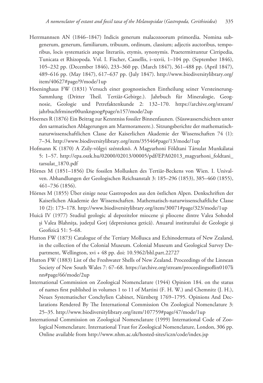- Herrmannsen AN (1846–1847) Indicis generum malacozoorum primordia. Nomina subgenerum, generum, familiarum, tribuum, ordinum, classium; adjectis auctoribus, temporibus, locis systematicis atque literariis, etymis, synonymis. Praetermittuntur Cirripedia, Tunicata et Rhizopoda. Vol. I. Fischer, Cassellis, i–xxvii, 1–104 pp. (September 1846), 105–232 pp. (December 1846), 233–360 pp. (March 1847), 361–488 pp. (April 1847), 489–616 pp. (May 1847), 617–637 pp. (July 1847). http://www.biodiversitylibrary.org/ item/40627#page/9/mode/1up
- Hoeninghaus FW (1831) Versuch einer geognostischen Eintheilung seiner Versteinerung-Sammlung (Dritter Theil. Tertiär-Gebirge.). Jahrbuch für Mineralogie, Geognosie, Geologie und Petrefaktenkunde 2: 132–170. https://archive.org/stream/ jahrbuchfrminer00unkngoog#page/n157/mode/2up
- Hoernes R (1876) Ein Beitrag zur Kenntniss fossiler Binnenfaunen. (Süsswasserschichten unter den sarmatischen Ablagerungen am Marmorameere.). Sitzungsberichte der mathematischnaturwissenschaftlichen Classe der Kaiserlichen Akademie der Wissenschaften 74 (1): 7–34. http://www.biodiversitylibrary.org/item/35546#page/13/mode/1up
- Hofmann K (1870) A Zsily-völgyi szénteknö. A Magyarhoni Földtani Társulat Munkálatai 5: 1–57. http://epa.oszk.hu/02000/02013/00005/pdf/EPA02013\_magyarhoni\_foldtani\_ tarsulat\_1870.pdf
- Hörnes M (1851–1856) Die fossilen Mollusken des Tertiär-Beckens von Wien. I. Univalven. Abhandlungen der Geologischen Reichsanstalt 3: 185–296 (1853), 385–460 (1855), 461–736 (1856).
- Hörnes M (1855) Über einige neue Gastropoden aus den östlichen Alpen. Denkschriften der Kaiserlichen Akademie der Wissenschaften. Mathematisch-naturwissenschaftliche Classe 10 (2): 173–178. http://www.biodiversitylibrary.org/item/30071#page/323/mode/1up
- Huică IV (1977) Studiul geologic al depozitelor miocene și pliocene dintre Valea Sohodol și Valea Blahnița, județul Gorj (depresiunea getică). Anuarul institutului de Geologie și Geofizică 51: 5–68.
- Hutton FW (1873) Catalogue of the Tertiary Mollusca and Echinodermata of New Zealand, in the collection of the Colonial Museum. Colonial Museum and Geological Survey Department, Wellington, xvi + 48 pp. doi: 10.5962/bhl.part.22727
- Hutton FW (1883) List of the Freshwater Shells of New Zealand. Proceedings of the Linnean Society of New South Wales 7: 67–68. https://archive.org/stream/proceedingsoflin0107li nn#page/66/mode/2up
- International Commission on Zoological Nomenclature (1944) Opinion 184. on the status of names first published in volumes 1 to 11 of Martini (F. H. W.) and Chemnitz (J. H.), Neues Systematischer Conchylien Cabinet, Nürnberg 1769–1795. Opinions And Declarations Rendered By The International Commission On Zoological Nomenclature 3: 25–35. http://www.biodiversitylibrary.org/item/107759#page/47/mode/1up
- International Commission on Zoological Nomenclature (1999) International Code of Zoological Nomenclature. International Trust for Zoological Nomenclature, London, 306 pp. Online available from http://www.nhm.ac.uk/hosted-sites/iczn/code/index.jsp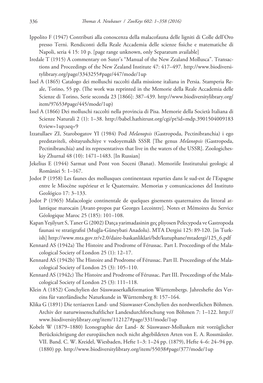- Ippolito F (1947) Contributi alla conoscenza della malacofauna delle ligniti di Colle dell'Oro presso Terni. Rendiconti della Reale Accademia delle scienze fisiche e matematiche di Napoli, seria 4 15: 10 p. [page range unknown, only Separatum available]
- Iredale T (1915) A commentary on Suter's "Manual of the New Zealand Mollusca". Transactions and Proceedings of the New Zealand Institute 47: 417–497. http://www.biodiversitylibrary.org/page/3343255#page/447/mode/1up
- Issel A (1865) Catalogo dei molluschi raccolti dalla missione italiana in Persia. Stamperia Reale, Torino, 55 pp. (The work was reprinted in the Memorie della Reale Accademia delle Scienze di Torino, Serie seconda 23 [1866]: 387–439. http://www.biodiversitylibrary.org/ item/97653#page/445/mode/1up)
- Issel A (1866) Dei molluschi raccolti nella provincia di Pisa. Memorie della Società Italiana di Scienze Naturali 2 (1): 1–38. http://babel.hathitrust.org/cgi/pt?id=mdp.3901504009183 0;view=1up;seq=9
- Izzatullaev ZI, Starobogatov YI (1984) Pod *Melanopsis* (Gastropoda, Pectinibranchia) i ego predstaviteli, obitayushchiye v vodoyemakh SSSR [The genus *Melanopsis* (Gastropoda, Pectinibranchia) and its representatives that live in the waters of the USSR]. Zoologicheskiy Zhurnal 48 (10): 1471–1483. [In Russian]
- Jekelius E (1944) Sarmat und Pont von Soceni (Banat). Memoriile Institutului geologic al României 5: 1–167.
- Jodot P (1958) Les faunes des mollusques continentaux reparties dans le sud-est de l'Espagne entre le Miocène supérieur et le Quaternaire. Memorias y comunicaciones del Instituto Geológico 17: 3–133.
- Jodot P (1965) Malacologie continentale de quelques gisements quaternaires du littoral atlantique marocain [Avant-propos par Georges Lecointre]. Notes et Mémoires du Service Géologique Maroc 25 (185): 101–108.
- Kapan Yeşilyurt S, Taner G (2002) Datça yarimadasinin geç pliyosen Pelecypoda ve Gastropoda faunasi ve stratigrafisî (Muğla-Güneybati Anadolu). MTA Dergisi 125: 89-120. [in Turkish] http://www.mta.gov.tr/v2.0/daire-baskanliklari/bdt/kutuphane/mtadergi/125\_6.pdf
- Kennard AS (1942a) The Histoire and Prodrome of Férussac. Part I. Proceedings of the Malacological Society of London 25 (1): 12–17.
- Kennard AS (1942b) The Histoire and Prodrome of Férussac. Part II. Proceedings of the Malacological Society of London 25 (3): 105–110.
- Kennard AS (1942c) The Histoire and Prodrome of Férussac. Part III. Proceedings of the Malacological Society of London 25 (3): 111–118.
- Klein A (1852) Conchylien der Süsswasserkalkformation Württembergs. Jahreshefte des Vereins für vaterländische Naturkunde in Württemberg 8: 157–164.
- Klika G (1891) Die tertiaeren Land- und Süsswasser-Conchylien des nordwestlichen Böhmen. Archiv der naturwissenschaftlicher Landesdurchforschung von Böhmen 7: 1–122. http:// www.biodiversitylibrary.org/item/112127#page/331/mode/1up
- Kobelt W (1879–1880) Iconographie der Land- & Süsswasser-Mollusken mit vorzüglicher Berücksichtigung der europäischen noch nicht abgebildeten Arten von E. A. Rossmässler. VII. Band. C. W. Kreidel, Wiesbaden, Hefte 1–3: 1–24 pp. (1879), Hefte 4–6: 24–94 pp. (1880) pp. http://www.biodiversitylibrary.org/item/55038#page/377/mode/1up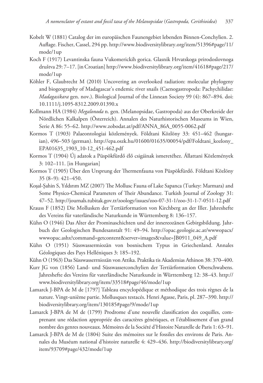- Kobelt W (1881) Catalog der im europäischen Faunengebiet lebenden Binnen-Conchylien. 2. Auflage. Fischer, Cassel, 294 pp. http://www.biodiversitylibrary.org/item/51396#page/11/ mode/1up
- Koch F (1917) Levantinska fauna Vukomerickih gorica. Glasnik Hrvatskoga prirodoslovnoga društva 29: 7–17. [in Croatian] http://www.biodiversitylibrary.org/item/41618#page/217/ mode/1up
- Köhler F, Glaubrecht M (2010) Uncovering an overlooked radiation: molecular phylogeny and biogeography of Madagascar's endemic river snails (Caenogastropoda: Pachychilidae: *Madagasikara* gen. nov.). Biological Journal of the Linnean Society 99 (4): 867–894. doi: 10.1111/j.1095-8312.2009.01390.x
- Kollmann HA (1984) *Megalonoda* n. gen. (Melanopsidae, Gastropoda) aus der Oberkreide der Nördlichen Kalkalpen (Österreich). Annalen des Naturhistorischen Museums in Wien, Serie A 86: 55–62. http://www.zobodat.at/pdf/ANNA\_86A\_0055-0062.pdf
- Kormos T (1903) Palaeontologiai közlemények. Földtani Közlöny 33: 451–462 (hungarian), 496–503 (german). http://epa.oszk.hu/01600/01635/00054/pdf/Foldtani\_kozlony\_ EPA01635\_1903\_10-12\_451-462.pdf
- Kormos T (1904) Új adatok a Püspökfürdő élő csigáinak ismeretéhez. Állattani Közlemények 3: 102–111. [in Hungarian]
- Kormos T (1905) Über den Ursprung der Thermenfauna von Püspökfürdő. Földtani Közlöny 35 (8–9): 421–450.
- Koşal-Şahin S, Yıldırım MZ (2007) The Mollusc Fauna of Lake Sapanca (Turkey: Marmara) and Some Physico-Chemical Parameters of Their Abundance. Turkish Journal of Zoology 31: 47–52. http://journals.tubitak.gov.tr/zoology/issues/zoo-07-31-1/zoo-31-1-7-0511-12.pdf
- Krauss F (1852) Die Mollusken der Tertiärformation von Kirchberg an der Iller. Jahreshefte des Vereins für vaterländische Naturkunde in Württemberg 8: 136–157.
- Kühn O (1946) Das Alter der Prominaschichten und der innereozänen Gebirgsbildung. Jahrbuch der Geologischen Bundesanstalt 91: 49–94. http://opac.geologie.ac.at/wwwopacx/ wwwopac.ashx?command=getcontent&server=images&value=JB0911\_049\_A.pdf
- Kühn O (1951) Süsswassermiozän von bosnischem Typus in Griechenland. Annales Géologiques des Pays Helléniques 3: 185–192.
- Kühn O (1963) Das Süsswasserrniozän von Attika. Praktika tis Akademias Athinon 38: 370–400.
- Kurr JG von (1856) Land- und Süsswasserconchylien der Tertiärformation Oberschwabens. Jahreshefte des Vereins für vaterländische Naturkunde in Württemberg 12: 38–43. http:// www.biodiversitylibrary.org/item/33518#page/46/mode/1up
- Lamarck J-BPA de M de [1797] Tableau encyclopédique et méthodique des trois règnes de la nature. Vingt-unième partie. Mollusques testacés. Henri Agasse, Paris, pl. 287–390. http:// biodiversitylibrary.org/item/130185#page/9/mode/1up
- Lamarck J-BPA de M de (1799) Prodrome d'une nouvelle classification des coquilles, comprenant une rédaction appropriée des caractères génériques, et l'établissement d'un grand nombre des genres nouveaux. Mémoires de la Société d'Histoire Naturelle de Paris 1: 63–91.
- Lamarck J-BPA de M de (1804) Suite des mémoires sur le fossiles des environs de Paris. Annales du Muséum national d'histoire naturelle 4: 429–436. http://biodiversitylibrary.org/ item/93709#page/432/mode/1up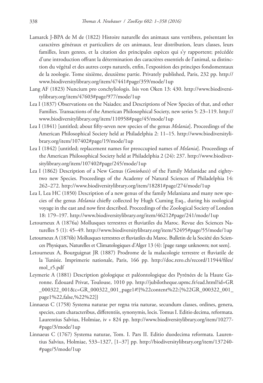- Lamarck J-BPA de M de (1822) Histoire naturelle des animaux sans vertèbres, présentant les caractères généraux et particuliers de ces animaux, leur distribution, leurs classes, leurs familles, leurs genres, et la citation des principales espèces qui s'y rapportent; précédée d'une introduction offrant la détermination des caractères essentiels de l'animal, sa distinction du végétal et des autres corps naturels, enfin, l'exposition des principes fondomentaux de la zoologie. Tome sixième, deuxième partie. Privately published, Paris, 232 pp. http:// www.biodiversitylibrary.org/item/47441#page/359/mode/1up
- Lang AF (1823) Nuncium pro conchyliologis. Isis von Oken 13: 430. http://www.biodiversitylibrary.org/item/47603#page/977/mode/1up
- Lea I (1837) Observations on the Naiades; and Descriptions of New Species of that, and other Families. Transactions of the American Philosophical Society, new series 5: 23–119. http:// www.biodiversitylibrary.org/item/110958#page/45/mode/1up
- Lea I (1841) [untitled; about fifty-seven new species of the genus *Melania*]. Proceedings of the American Philosophical Society held at Philadelphia 2: 11–15. http://www.biodiversitylibrary.org/item/107402#page/19/mode/1up
- Lea I (1842) [untitled; replacement names for preoccupied names of *Melania*]. Proceedings of the American Philosophical Society held at Philadelphia 2 (24): 237. http://www.biodiversitylibrary.org/item/107402#page/245/mode/1up
- Lea I (1862) Description of a New Genus (*Goniobasis*) of the Family Melanidae and eightytwo new Species. Proceedings of the Academy of Natural Sciences of Philadelphia 14: 262–272. http://www.biodiversitylibrary.org/item/18281#page/274/mode/1up
- Lea I, Lea HC (1850) Description of a new genus of the family Melaniana and many new species of the genus *Melania* chiefly collected by Hugh Cuming Esq., during his zoological voyage in the east and now first described. Proceedings of the Zoological Society of London 18: 179–197. http://www.biodiversitylibrary.org/item/46212#page/241/mode/1up
- Letourneux A (1876a) Mollusques terrestres et fluviatiles du Maroc. Revue des Sciences Naturelles 5 (1): 45–49. http://www.biodiversitylibrary.org/item/52495#page/55/mode/1up
- Letourneux A (1876b) Mollusques terrestres et fluviatiles du Maroc. Bulletin de la Société des Sciences Physiques, Naturelles et Climatologiques d'Alger 13 (4): [page range unknown; not seen].
- Letourneux A, Bourguignat JR (1887) Prodrome de la malacologie terrestre et fluviatile de la Tunisie. Imprimerie nationale, Paris, 166 pp. http://doc.rero.ch/record/11944/files/ mol\_r5.pdf
- Leymerie A (1881) Description géologique et paléontologique des Pyrénées de la Haute Garonne. Édouard Privat, Toulouse, 1010 pp. http://jubilotheque.upmc.fr/ead.html?id=GR \_000322\_001&c=GR\_000322\_001\_page1#!{%22content%22:[%22GR\_000322\_001\_ page1%22,false,%22%22]}
- Linnaeus C (1758) Systema naturae per regna tria naturae, secundum classes, ordines, genera, species, cum characteribus, differentiis, synonymis, locis. Tomus I. Editio decima, reformata. Laurentius Salvius, Holmiae, iv + 824 pp. http://www.biodiversitylibrary.org/item/10277- #page/3/mode/1up
- Linnaeus C (1767) Systema naturae, Tom. I. Pars II. Editio duodecima reformata. Laurentius Salvius, Holmiae, 533–1327, [1–37] pp. http://biodiversitylibrary.org/item/137240- #page/5/mode/1up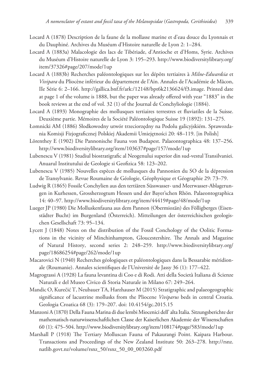- Locard A (1878) Description de la faune de la mollasse marine et d'eau douce du Lyonnais et du Dauphiné. Archives du Muséum d'Histoire naturelle de Lyon 2: 1–284.
- Locard A (1883a) Malacologie des lacs de Tibériade, d'Antioche et d'Homs, Syrie. Archives du Muséum d'Histoire naturelle de Lyon 3: 195–293. http://www.biodiversitylibrary.org/ item/37326#page/207/mode/1up
- Locard A (1883b) Recherches paléontologiques sur les dépôts tertiaires à *Milne-Edwardsia* et *Vivipara* du Pliocène inférieur du département de l'Ain. Annales de l'Académie de Mâcon, IIe Série 6: 2–166. http://gallica.bnf.fr/ark:/12148/bpt6k2136624/f3.image. Printed date at page 1 of the volume is 1888, but the paper was already offered with year "1883" in the book reviews at the end of vol. 32 (1) of the Journal de Conchyliologie (1884).
- Locard A (1893) Monographie des mollusques tertiaires terrestres et fluviatiles de la Suisse. Deuxième partie. Mémoires de la Société Paléontologique Suisse 19 (1892): 131–275.
- Łomnicki AM (1886) Słodkowodny utwór trzeciorzędny na Podolu galicyjskiém. Sprawozdania Komisji Fizjograficznej Polskiej Akademii Umiejętności 20: 48–119. [in Polish]
- Lörenthey E (1902) Die Pannonische Fauna von Budapest. Palaeontographica 48: 137–256. http://www.biodiversitylibrary.org/item/103637#page/157/mode/1up
- Lubenescu V (1981) Studiul biostratigrafic al Neogenului superior din sud-vestul Transilvaniei. Anuarul Institutului de Geologie si Geofizica 58: 123–202.
- Lubenescu V (1985) Nouvelles espèces de mollusques du Pannonien du SO de la dépression de Transylvanie. Revue Roumaine de Géologie, Géophysique et Géographie 29: 73–79.
- Ludwig R (1865) Fossile Conchylien aus den tertiären Süsswasser- und Meerwasser-Ablagerungen in Kurhessen, Grossherzogtum Hessen und der Bayer'schen Rhön. Palaeontographica 14: 40–97. http://www.biodiversitylibrary.org/item/44419#page/48/mode/1up
- Lueger JP (1980) Die Molluskenfauna aus dem Pannon (Obermiozän) des Fölligberges (Eisenstädter Bucht) im Burgenland (Österreich). Mitteilungen der österreichischen geologischen Gesellschaft 73: 95–134.
- Lycett J (1848) Notes on the distribution of the Fossil Conchology of the Oolitic Formations in the vicinity of Minchinhampton, Gloucestershire. The Annals and Magazine of Natural History, second series 2: 248–259. http://www.biodiversitylibrary.org/ page/18686254#page/262/mode/1up
- Macarovici N (1940) Recherches géologiques et paléontologiques dans la Bessarabie méridionale (Roumanie). Annales scientifiques de l'Université de Jassy 36 (1): 177–422.
- Magrograssi A (1928) La fauna levantina di Coo e di Rodi. Atti della Società Italiana di Scienze Naturali e del Museo Civico di Storia Naturale in Milano 67: 249–264.
- Mandic O, Kurečić T, Neubauer TA, Harzhauser M (2015) Stratigraphic and palaeogeographic significance of lacustrine mollusks from the Pliocene *Viviparus* beds in central Croatia. Geologia Croatica 68 (3): 179–207. doi: 10.4154/gc.2015.15
- Manzoni A (1870) Della Fauna Marina di due lembi Miocenici dell' alta Italia. Sitzungsberichte der mathematisch-naturwissenschaftlichen Classe der Kaiserlichen Akademie der Wissenschaften 60 (1): 475–504. http://www.biodiversitylibrary.org/item/108174#page/583/mode/1up
- Marshall P (1918) The Tertiary Molluscan Fauna of Pakaurangi Point. Kaipara Harbour. Transactions and Proceedings of the New Zealand Institute 50: 263–278. http://rsnz. natlib.govt.nz/volume/rsnz\_50/rsnz\_50\_00\_003260.pdf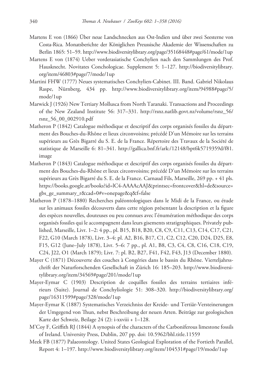- Martens E von (1866) Über neue Landschnecken aus Ost-Indien und über zwei Seesterne von Costa-Rica. Monatsberichte der Königlichen Preussische Akademie der Wissenschaften zu Berlin 1865: 51–59. http://www.biodiversitylibrary.org/page/35168448#page/61/mode/1up
- Martens E von (1874) Ueber vorderasiatische Conchylien nach den Sammlungen des Prof. Hausknecht. Novitates Conchologicae. Supplement 5: 1–127. http://biodiversitylibrary. org/item/46803#page/7/mode/1up
- Martini FHW (1777) Neues systematisches Conchylien-Cabinet. III. Band. Gabriel Nikolaus Raspe, Nürnberg, 434 pp. http://www.biodiversitylibrary.org/item/94988#page/5/ mode/1up
- Marwick J (1926) New Tertiary Mollusca from North Taranaki. Transactions and Proceedings of the New Zealand Institute 56: 317–331. http://rsnz.natlib.govt.nz/volume/rsnz\_56/ rsnz\_56\_00\_002910.pdf
- Matheron P (1842) Catalogue méthodique et descriptif des corps organisés fossiles du départment des Bouches-du-Rhône et lieux circonvoisins; précédé D'un Mémoire sur les terrains supérieurs au Grès Bigarré du S. E. de la France. Répertoire des Travaux de la Société de statistique de Marseille 6: 81–341. http://gallica.bnf.fr/ark:/12148/bpt6k5719359d/f81. image
- Matheron P (1843) Catalogue méthodique et descriptif des corps organisés fossiles du départment des Bouches-du-Rhône et lieux circonvoisins; précédé D'un Mémoire sur les terrains supérieurs au Grès Bigarré du S. E. de la France. Carnaud Fils, Marseille, 269 pp. + 41 pls. https://books.google.at/books?id=lC4-AAAAcAAJ&printsec=frontcover&hl=de&source= gbs\_ge\_summary\_r&cad=0#v=onepage&q&f=false
- Matheron P (1878–1880) Recherches paléontologiques dans le Midi de la France, ou étude sur les animaux fossiles découverts dans cette région présentant la description et la figure des espèces nouvelles, douteuses ou peu connues avec l'énumération méthodique des corps organisés fossiles qui le accompagnent dans leurs gisements stratigraphiques. Privately published, Marseille, Livr. 1–2: 4 pp., pl. B15, B18, B20, C8, C9, C11, C13, C14, C17, C21, F22, G10 (March 1878), Livr. 3–4: pl. A2, B16, B17, C1, C2, C12, C20, D24, D25, E8, F15, G12 (June–July 1878), Livr. 5–6: 7 pp., pl. A1, B8, C3, C4, C8, C16, C18, C19, C24, J22, O1 (March 1879); Livr. 7: pl. B2, B27, F41, F42, F43, J13 (December 1880).
- Mayer C (1871) Découverte des couches à Congéries dans le bassin du Rhône. Vierteljahrsschrift der Naturforschenden Gesellschaft in Zürich 16: 185–203. http://www.biodiversitylibrary.org/item/34569#page/201/mode/1up
- Mayer-Eymar C (1903) Description de coquilles fossiles des terrains tertiaires inférieurs (Suite). Journal de Conchyliologie 51: 308–320. http://biodiversitylibrary.org/ page/16311599#page/328/mode/1up
- Mayer-Eymar K (1887) Systematisches Verzeichniss der Kreide- und Tertiär-Versteinerungen der Umgegend von Thun, nebst Beschreibung der neuen Arten. Beiträge zur geologischen Karte der Schweiz, Beilage 24 (2): i-xxviii + 1–128.
- M'Coy F, Griffith RJ (1844) A synopsis of the characters of the Carboniferous limestone fossils of Ireland. University Press, Dublin, 207 pp. doi: 10.5962/bhl.title.11559
- Meek FB (1877) Palaeontology. United States Geological Exploration of the Fortieth Parallel, Report 4: 1–197. http://www.biodiversitylibrary.org/item/104531#page/19/mode/1up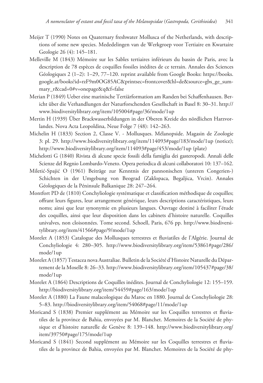- Meijer T (1990) Notes on Quaternary freshwater Mollusca of the Netherlands, with descriptions of some new species. Mededelingen van de Werkgroep voor Tertiaire en Kwartaire Geologie 26 (4): 145–181.
- Melleville M (1843) Mémoire sur les Sables tertiaires inférieurs du bassin de Paris, avec la description de 78 espèces de coquilles fossiles inédites de ce terrain. Annales des Sciences Géologiques 2 (1–2): 1–29, 77–120. reprint available from Google Books: https://books. google.at/books?id=rzF9m0OG85AC&printsec=frontcover&hl=de&source=gbs\_ge\_summary\_r&cad=0#v=onepage&q&f=false
- Merian P (1849) Ueber eine marinische Tertiärformation am Randen bei Schaffenhausen. Bericht über die Verhandlungen der Naturforschenden Gesellschaft in Basel 8: 30–31. http:// www.biodiversitylibrary.org/item/105004#page/36/mode/1up
- Mertin H (1939) Über Brackwasserbildungen in der Oberen Kreide des nördlichen Harzvorlandes. Nova Acta Leopoldina, Neue Folge 7 (48): 142–263.
- Michelin H (1833) Section 2, Classe V. Mollusques. Mélanopside. Magasin de Zoologie 3: pl. 29. http://www.biodiversitylibrary.org/item/114093#page/183/mode/1up (notice); http://www.biodiversitylibrary.org/item/114093#page/453/mode/1up (plate)
- Michelotti G (1840) Rivista di alcune specie fossili della famiglia dei gasteropodi. Annali delle Scienze del Regnio Lombardo-Veneto. Opera periodica di alcuni collaboratori 10: 137–162.
- Miletić-Spajić O (1961) Beiträge zur Kenntnis der pannonischen (unteren Congerien-) Schichten in der Umgebung von Beograd (Zaklopaca, Begaljica, Vrcin). Annales Géologiques de la Péninsule Balkanique 28: 247–264.
- Montfort PD de (1810) Conchyliologie systématique et classification méthodique de coquilles; offrant leurs figures, leur arrangement générique, leurs descriptions caractéristiques, leurs noms; ainsi que leur synonymie en plusieurs langues. Ouvrage destiné à faciliter l'étude des coquilles, ainsi que leur disposition dans les cabinets d'histoire naturelle. Coquilles univalves, non cloisonnées. Tome second. Schoell, Paris, 676 pp. http://www.biodiversitylibrary.org/item/41566#page/9/mode/1up
- Morelet A (1853) Catalogue des Mollusques terrestres et fluviatiles de l'Algérie. Journal de Conchyliologie 4: 280–305. http://www.biodiversitylibrary.org/item/53861#page/286/ mode/1up
- Morelet A (1857) Testacea nova Australiae. Bulletin de la Société d'Histoire Naturelle du Département de la Moselle 8: 26–33. http://www.biodiversitylibrary.org/item/105437#page/38/ mode/1up
- Morelet A (1864) Descriptions de Coquilles inédites. Journal de Conchyliologie 12: 155–159. http://biodiversitylibrary.org/item/54459#page/163/mode/1up
- Morelet A (1880) La Faune malacologique du Maroc en 1880. Journal de Conchyliologie 28: 5–83. http://biodiversitylibrary.org/item/54068#page/11/mode/1up
- Moricand S (1838) Premier supplément au Mémoire sur les Coquilles terrestres et fluviatiles de la province de Bahia, envoyées par M. Blanchet. Memoires de la Société de physique et d'histoire naturelle de Genève 8: 139–148. http://www.biodiversitylibrary.org/ item/39750#page/175/mode/1up
- Moricand S (1841) Second supplément au Mémoire sur les Coquilles terrestres et fluviatiles de la province de Bahia, envoyées par M. Blanchet. Memoires de la Société de phy-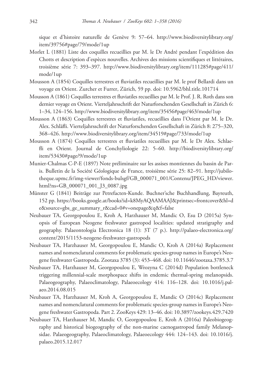sique et d'histoire naturelle de Genève 9: 57–64. http://www.biodiversitylibrary.org/ item/39756#page/79/mode/1up

- Morlet L (1881) Liste des coquilles recueillies par M. le Dr André pendant l'expédition des Chotts et description d'espèces nouvelles. Archives des missions scientifiques et littéraires, troisième série 7: 393–397. http://www.biodiversitylibrary.org/item/111285#page/411/ mode/1up
- Mousson A (1854) Coquilles terrestres et fluviatiles recueillies par M. le prof Bellardi dans un voyage en Orient. Zurcher et Furrer, Zürich, 59 pp. doi: 10.5962/bhl.title.101714
- Mousson A (1861) Coquilles terrestres et fluviatiles recueillies par M. le Prof. J. R. Roth dans son dernier voyage en Orient. Vierteljahrsschrift der Naturforschenden Gesellschaft in Zürich 6: 1–34, 124–156. http://www.biodiversitylibrary.org/item/35456#page/463/mode/1up
- Mousson A (1863) Coquilles terrestres et fluviatiles, recueillies dans l'Orient par M. le Dr. Alex. Schläfli. Vierteljahrsschrift der Naturforschenden Gesellschaft in Zürich 8: 275–320, 368–426. http://www.biodiversitylibrary.org/item/34519#page/733/mode/1up
- Mousson A (1874) Coquilles terrestres et fluviatiles recueillies par M. le Dr Alex. Schlaefli en Orient. Journal de Conchyliologie 22: 5–60. http://biodiversitylibrary.org/ item/53430#page/9/mode/1up
- Munier-Chalmas C-P-E (1897) Note préliminaire sur les assises montiennes du bassin de Paris. Bulletin de la Société Géologique de France, troisième série 25: 82–91. http://jubilotheque.upmc.fr/img-viewer/fonds-bulsgf/GB\_000071\_001/Contenu/JPEG\_HD/viewer. html?ns=GB\_000071\_001\_J3\_0087.jpg
- Münster G (1841) Beiträge zur Petrefacten-Kunde. Buchner'sche Buchhandlung, Bayreuth, 152 pp. https://books.google.at/books?id=k8MyAQAAMAAJ&printsec=frontcover&hl=d e&source=gbs\_ge\_summary\_r&cad=0#v=onepage&q&f=false
- Neubauer TA, Georgopoulou E, Kroh A, Harzhauser M, Mandic O, Esu D (2015a) Synopsis of European Neogene freshwater gastropod localities: updated stratigraphy and geography. Palaeontologia Electronica 18 (1): 3T (7 p.). http://palaeo-electronica.org/ content/2015/1153-neogene-freshwater-gastropods
- Neubauer TA, Harzhauser M, Georgopoulou E, Mandic O, Kroh A (2014a) Replacement names and nomenclatural comments for problematic species-group names in Europe's Neogene freshwater Gastropoda. Zootaxa 3785 (3): 453–468. doi: 10.11646/zootaxa.3785.3.7
- Neubauer TA, Harzhauser M, Georgopoulou E, Wrozyna C (2014d) Population bottleneck triggering millennial-scale morphospace shifts in endemic thermal-spring melanopsids. Palaeogeography, Palaeoclimatology, Palaeoecology 414: 116–128. doi: 10.1016/j.palaeo.2014.08.015
- Neubauer TA, Harzhauser M, Kroh A, Georgopoulou E, Mandic O (2014c) Replacement names and nomenclatural comments for problematic species-group names in Europe's Neogene freshwater Gastropoda. Part 2. ZooKeys 429: 13–46. doi: 10.3897/zookeys.429.7420
- Neubauer TA, Harzhauser M, Mandic O, Georgopoulou E, Kroh A (2016a) Paleobiogeography and historical biogeography of the non-marine caenogastropod family Melanopsidae. Palaeogeography, Palaeoclimatology, Palaeoecology 444: 124–143. doi: 10.1016/j. palaeo.2015.12.017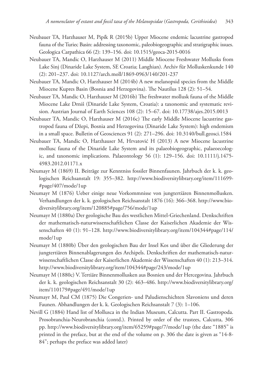- Neubauer TA, Harzhauser M, Pipík R (2015b) Upper Miocene endemic lacustrine gastropod fauna of the Turiec Basin: addressing taxonomic, paleobiogeographic and stratigraphic issues. Geologica Carpathica 66 (2): 139–156. doi: 10.1515/geoca-2015-0016
- Neubauer TA, Mandic O, Harzhauser M (2011) Middle Miocene Freshwater Mollusks from Lake Sinj (Dinaride Lake System, SE Croatia; Langhian). Archiv für Molluskenkunde 140 (2): 201–237. doi: 10.1127/arch.moll/1869-0963/140/201-237
- Neubauer TA, Mandic O, Harzhauser M (2014b) A new melanopsid species from the Middle Miocene Kupres Basin (Bosnia and Herzegovina). The Nautilus 128 (2): 51–54.
- Neubauer TA, Mandic O, Harzhauser M (2016b) The freshwater mollusk fauna of the Middle Miocene Lake Drniš (Dinaride Lake System, Croatia): a taxonomic and systematic revision. Austrian Journal of Earth Sciences 108 (2): 15–67. doi: 10.17738/ajes.2015.0013
- Neubauer TA, Mandic O, Harzhauser M (2016c) The early Middle Miocene lacustrine gastropod fauna of Džepi, Bosnia and Herzegovina (Dinaride Lake System): high endemism in a small space. Bulletin of Geosciences 91 (2): 271–296. doi: 10.3140/bull.geosci.1584
- Neubauer TA, Mandic O, Harzhauser M, Hrvatović H (2013) A new Miocene lacustrine mollusc fauna of the Dinaride Lake System and its palaeobiogeographic, palaeoecologic, and taxonomic implications. Palaeontology 56 (1): 129–156. doi: 10.1111/j.1475- 4983.2012.01171.x
- Neumayr M (1869) II. Beiträge zur Kenntniss fossiler Binnenfaunen. Jahrbuch der k. k. geologischen Reichsanstalt 19: 355–382. http://www.biodiversitylibrary.org/item/111699- #page/407/mode/1up
- Neumayr M (1876) Ueber einige neue Vorkommnisse von jungtertiären Binnenmollusken. Verhandlungen der k. k. geologischen Reichsanstalt 1876 (16): 366–368. http://www.biodiversitylibrary.org/item/120885#page/756/mode/1up
- Neumayr M (1880a) Der geologische Bau des westlichen Mittel-Griechenland. Denkschriften der mathematisch-naturwissenschaftlichen Classe der Kaiserlichen Akademie der Wissenschaften 40 (1): 91–128. http://www.biodiversitylibrary.org/item/104344#page/114/ mode/1up
- Neumayr M (1880b) Über den geologischen Bau der Insel Kos und über die Gliederung der jungtertiären Binnenablagerungen des Archipels. Denkschriften der mathematisch-naturwissenschaftlichen Classe der Kaiserlichen Akademie der Wissenschaften 40 (1): 213–314. http://www.biodiversitylibrary.org/item/104344#page/243/mode/1up
- Neumayr M (1880c) V. Tertiäre Binnenmollusken aus Bosnien und der Hercegovina. Jahrbuch der k. k. geologischen Reichsanstalt 30 (2): 463–486. http://www.biodiversitylibrary.org/ item/110179#page/491/mode/1up
- Neumayr M, Paul CM (1875) Die Congerien- und Paludienschichten Slavoniens und deren Faunen. Abhandlungen der k. k. Geologischen Reichsanstalt 7 (3): 1–106.
- Nevill G (1884) Hand list of Mollusca in the Indian Museum, Calcutta. Part II. Gastropoda. Prosobranchia-Neurobranchia (contd.). Printed by order of the trustees, Calcutta, 306 pp. http://www.biodiversitylibrary.org/item/65259#page/7/mode/1up (the date "1885" is printed in the preface, but at the end of the volume on p. 306 the date is given as "14-8- 84"; perhaps the preface was added later)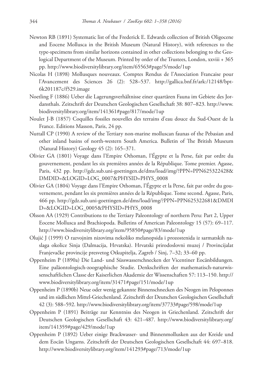- Newton RB (1891) Systematic list of the Frederick E. Edwards collection of British Oligocene and Eocene Mollusca in the British Museum (Natural History), with references to the type-specimens from similar horizons contained in other collections belonging to the Geological Department of the Museum. Printed by order of the Trustees, London, xxviii + 365 pp. http://www.biodiversitylibrary.org/item/65563#page/5/mode/1up
- Nicolas H (1898) Mollusques nouveaux. Comptes Rendus de l'Association Francaise pour l'Avancement des Sciences 26 (2): 528–537. http://gallica.bnf.fr/ark:/12148/bpt-6k201187c/f529.image
- Noetling F (1886) Ueber die Lagerungsverhältnisse einer quartären Fauna im Gebiete des Jordansthals. Zeitschrift der Deutschen Geologischen Gesellschaft 38: 807–823. http://www. biodiversitylibrary.org/item/141361#page/817/mode/1up
- Noulet J-B (1857) Coquilles fossiles nouvelles des terrains d'eau douce du Sud-Ouest de la France. Editions Masson, Paris, 24 pp.
- Nuttall CP (1990) A review of the Tertiary non-marine molluscan faunas of the Pebasian and other inland basins of north-western South America. Bulletin of The British Museum (Natural History) Geology 45 (2): 165–371.
- Olivier GA (1801) Voyage dans l'Empire Othoman, l'Égypte et la Perse, fait par ordre du gouvernement, pendant les six premières années de la République. Tome premier. Agasse, Paris, 432 pp. http://gdz.sub.uni-goettingen.de/dms/load/img/?PPN=PPN625322428& DMDID=&LOGID=LOG\_0007&PHYSID=PHYS\_0008
- Olivier GA (1804) Voyage dans l'Empire Othoman, l'Égypte et la Perse, fait par ordre du gouvernement, pendant les six premières années de la République. Tome second. Agasse, Paris, 466 pp. http://gdz.sub.uni-goettingen.de/dms/load/img/?PPN=PPN625322681&DMDI D=&LOGID=LOG\_0005&PHYSID=PHYS\_0008
- Olsson AA (1929) Contributions to the Tertiary Paleontology of northern Peru: Part 2, Upper Eocene Mollusca and Brachiopoda. Bulletins of American Paleontology 15 (57): 69–117. http://www.biodiversitylibrary.org/item/95850#page/83/mode/1up
- Olujić J (1999) O razvojnim nizovima nekoliko melanopsida i prozostenida iz sarmatskih naslaga okolice Sinja (Dalmacija, Hrvatska). Hrvatski prirodoslovni muzej / Provincijalat Franjevačke provincije presvetog Otkupitelja, Zagreb / Sinj, 7–32; 33–60 pp.
- Oppenheim P (1890a) Die Land- und Süsswasserschnecken der Vicentiner Eocänbildungen. Eine paläontologisch-zoographische Studie. Denkschriften der mathematisch-naturwissenschaftlichen Classe der Kaiserlichen Akademie der Wissenschaften 57: 113–150. http:// www.biodiversitylibrary.org/item/31471#page/151/mode/1up
- Oppenheim P (1890b) Neue oder wenig gekannte Binnenschnecken des Neogen im Peloponnes und im südlichen Mittel-Griechenland. Zeitschrift der Deutschen Geologischen Gesellschaft 42 (3): 588–592. http://www.biodiversitylibrary.org/item/37733#page/598/mode/1up
- Oppenheim P (1891) Beiträge zur Kenntniss des Neogen in Griechenland. Zeitschrift der Deutschen Geologischen Gesellschaft 43: 421–487. http://www.biodiversitylibrary.org/ item/141359#page/429/mode/1up
- Oppenheim P (1892) Ueber einige Brackwasser- und Binnenmollusken aus der Kreide und dem Eocän Ungarns. Zeitschrift der Deutschen Geologischen Gesellschaft 44: 697–818. http://www.biodiversitylibrary.org/item/141293#page/713/mode/1up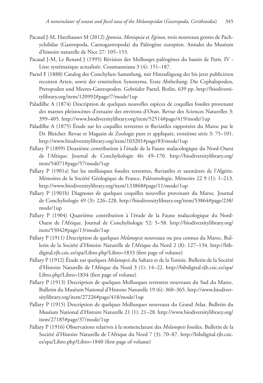- Pacaud J-M, Harzhauser M (2012) *Jponsia*, *Moniquia* et *Eginea*, trois nouveaux genres de Pachychilidae (Gastropoda, Caenogastropoda) du Paléogène européen. Annales du Muséum d'histoire naturelle de Nice 27: 105–153.
- Pacaud J-M, Le Renard J (1995) Révision des Mollusqes paléogènes du bassin de Paris. IV Liste systématique actualisée. Cossmanniana 3 (4): 151–187.
- Paetel F (1888) Catalog der Conchylien-Sammlung, mit Hinzufügung der bis jetzt publicirten recenten Arten, sowie der ermittelten Synonyma. Erste Abtheilung: Die Cephalopoden, Pteropoden und Meeres-Gastropoden. Gebrüder Paetel, Berlin, 639 pp. http://biodiversitylibrary.org/item/120992#page/7/mode/1up
- Paladilhe A (1874) Description de quelques nouvelles espèces de coquilles fossiles provenant des marnes pleistocènes d'estuaire des environs d'Oran. Revue des Sciences Naturelles 3: 399–405. http://www.biodiversitylibrary.org/item/52514#page/419/mode/1up
- Paladilhe A (1875) Étude sur les coquilles terrestres et fluviatiles rapportées du Maroc par le Dr. Bleicher. Revue et Magasin de Zoologie pure et appliquée, troisième série 3: 75–101. http://www.biodiversitylibrary.org/item/103201#page/83/mode/1up
- Pallary P (1899) Deuxième contribution à l'étude de la Faune malacologique du Nord-Ouest de l'Afrique. Journal de Conchyliologie 46: 49–170. http://biodiversitylibrary.org/ item/54071#page/57/mode/1up
- Pallary P (1901a) Sur les mollusques fossiles terrestres, fluviatiles et saumâtres de l'Algérie. Mémoires de la Société Géologique de France, Paléontologie, Mémoire 22 9 (1): 1–213. http://www.biodiversitylibrary.org/item/133868#page/11/mode/1up
- Pallary P (1901b) Diagnoses de quelques coquilles nouvelles provenant du Maroc. Journal de Conchyliologie 49 (3): 226–228. http://biodiversitylibrary.org/item/53864#page/238/ mode/1up
- Pallary P (1904) Quatrième contribution à l'étude de la Faune malacologique du Nord-Ouest de l'Afrique. Journal de Conchyliologie 52: 5–58. http://biodiversitylibrary.org/ item/55042#page/13/mode/1up
- Pallary P (1911) Description de quelques *Melanopsis* nouveaux ou peu connus du Maroc. Bulletin de la Société d'Histoire Naturelle de l'Afrique du Nord 2 (8): 127–134. http://bibdigital.rjb.csic.es/spa/Libro.php?Libro=1833 (first page of volume)
- Pallary P (1912) Étude sur quelques *Melanopsis* du Sahara et de la Tunisie. Bulletin de la Société d'Histoire Naturelle de l'Afrique du Nord 3 (1): 14–22. http://bibdigital.rjb.csic.es/spa/ Libro.php?Libro=1834 (first page of volume)
- Pallary P (1913) Description de quelques Mollusques terrestres nouveaux du Sud du Maroc. Bulletin du Muséum National d'Histoire Naturelle 19 (6): 360–365. http://www.biodiversitylibrary.org/item/27226#page/418/mode/1up
- Pallary P (1915) Description de quelques Mollusques nouveaux du Grand Atlas. Bulletin du Muséum National d'Histoire Naturelle 21 (1): 21–28. http://www.biodiversitylibrary.org/ item/27185#page/37/mode/1up
- Pallary P (1916) Observations relatives à la nomenclature des *Melanopsis* fossiles. Bulletin de la Société d'Histoire Naturelle de l'Afrique du Nord 7 (3): 70–87. http://bibdigital.rjb.csic. es/spa/Libro.php?Libro=1840 (first page of volume)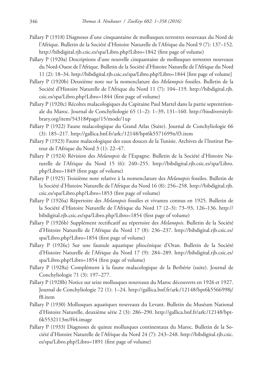- Pallary P (1918) Diagnoses d'une cinquantaine de mollusques terrestres nouveaux du Nord de l'Afrique. Bulletin de la Société d'Histoire Naturelle de l'Afrique du Nord 9 (7): 137–152. http://bibdigital.rjb.csic.es/spa/Libro.php?Libro=1842 (first page of volume)
- Pallary P (1920a) Descriptions d'une nouvelle cinquantaine de mollusques terrestres nouveaux du Nord-Ouest de l'Afrique. Bulletin de la Société d'Histoire Naturelle de l'Afrique du Nord 11 (2): 18–34. http://bibdigital.rjb.csic.es/spa/Libro.php?Libro=1844 [first page of volume]
- Pallary P (1920b) Deuxième note sur la nomenclature des *Melanopsis* fossiles. Bulletin de la Société d'Histoire Naturelle de l'Afrique du Nord 11 (7): 104–119. http://bibdigital.rjb. csic.es/spa/Libro.php?Libro=1844 (first page of volume)
- Pallary P (1920c) Récoltes malacologiques du Capitaine Paul Martel dans la partie septentrionale du Maroc. Journal de Conchyliologie 65 (1–2): 1–39, 131–160. http://biodiversitylibrary.org/item/54318#page/15/mode/1up
- Pallary P (1922) Faune malacologique du Grand Atlas (Suite). Journal de Conchyliologie 66 (3): 185–217. http://gallica.bnf.fr/ark:/12148/bpt6k5571699n/f3.item
- Pallary P (1923) Faune malacologique des eaux douces de la Tunisie. Archives de l'Institut Pasteur de l'Afrique du Nord 3 (1): 22–47.
- Pallary P (1924) Révision des *Melanopsis* de l'Espagne. Bulletin de la Société d'Histoire Naturelle de l'Afrique du Nord 15 (6): 240–255. http://bibdigital.rjb.csic.es/spa/Libro. php?Libro=1849 (first page of volume)
- Pallary P (1925) Troisième note relative à la nomenclature des *Melanopsis* fossiles. Bulletin de la Société d'Histoire Naturelle de l'Afrique du Nord 16 (8): 256–258. http://bibdigital.rjb. csic.es/spa/Libro.php?Libro=1853 (first page of volume)
- Pallary P (1926a) Répertoire des *Melanopsis* fossiles et vivantes connus en 1925. Bulletin de la Société d'Histoire Naturelle de l'Afrique du Nord 17 (2–3): 73–93, 126–136. http:// bibdigital.rjb.csic.es/spa/Libro.php?Libro=1854 (first page of volume)
- Pallary P (1926b) Supplément rectificatif au répertoire des *Melanopsis*. Bulletin de la Société d'Histoire Naturelle de l'Afrique du Nord 17 (8): 236–237. http://bibdigital.rjb.csic.es/ spa/Libro.php?Libro=1854 (first page of volume)
- Pallary P (1926c) Sur une faunule aquatique pliocénique d'Oran. Bulletin de la Société d'Histoire Naturelle de l'Afrique du Nord 17 (9): 284–289. http://bibdigital.rjb.csic.es/ spa/Libro.php?Libro=1854 (first page of volume)
- Pallary P (1928a) Complément à la faune malacologique de la Berbérie (suite). Journal de Conchyliologie 71 (3): 197–277.
- Pallary P (1928b) Notice sur seize mollusques nouveaux du Maroc découverts en 1926 et 1927. Journal de Conchyliologie 72 (1): 1–24. http://gallica.bnf.fr/ark:/12148/bpt6k5566998j/ f8.item
- Pallary P (1930) Mollusques aquatiques nouveaux du Levant. Bulletin du Muséum National d'Histoire Naturelle, deuxième série 2 (3): 286–290. http://gallica.bnf.fr/ark:/12148/bpt-6k5532113m/f44.image
- Pallary P (1933) Diagnoses de quinze mollusques continentaux du Maroc. Bulletin de la Société d'Histoire Naturelle de l'Afrique du Nord 24 (7): 243–248. http://bibdigital.rjb.csic. es/spa/Libro.php?Libro=1891 (first page of volume)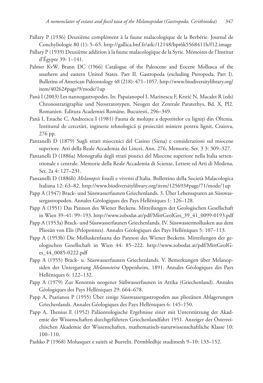- Pallary P (1936) Deuxième complément à la faune malacologique de la Berbérie. Journal de Conchyliologie 80 (1): 5–65. http://gallica.bnf.fr/ark:/12148/bpt6k5568411h/f12.image
- Pallary P (1939) Deuxième addition à la faune malacologique de la Syrie. Mémoires de l'Institut d'Égypte 39: 1–141.
- Palmer KvW, Brann DC (1966) Catalogue of the Paleocene and Eocene Mollusca of the southern and eastern United States. Part II. Gastropoda (excluding Pteropoda, Part I). Bulletins of American Paleontology 48 (218): 471–1057. http://www.biodiversitylibrary.org/ item/40262#page/9/mode/1up
- Pană I (2003) Les nannogastropodes. In: Papaianopol I, Marinescu F, Krstić N, Macalet R (eds) Chronostratigraphie und Neostratotypen. Neogen der Zentrale Paratethys, Bd. X, Pl2. Romanien. Editura Academiei Române, Bucuresti, 296–349.
- Pană I, Enache C, Andreescu I (1981) Fauna de moluște a depozitelor cu ligniți din Oltenia. Institutul de cercetări, inginerie tehnologică și proiectări miniere pentru lignit, Craiova, 276 pp.
- Pantanelli D (1879) Sugli strati miocenici del Casino (Siena) e considerazioni sul miocene superiore. Atti della Reale Accademia dei Lincei, Ann. 276, Memorie, Ser. 3 3: 309–327.
- Pantanelli D (1886a) Monografia degli strati pontici del Miocene superiore nella Italia settentrionale e centrale. Memorie della Reale Accademia di Scienze, Lettere ed Arti di Modena, Ser. 2a 4: 127–231.
- Pantanelli D (1886b) *Melanopsis* fossili e viventi d'Italia. Bollettino della Società Malacologica Italiana 12: 63–82. http://www.biodiversitylibrary.org/item/125693#page/71/mode/1up
- Papp A (1947) Brack- und Süsswasserfaunen Griechenlands. 3. Über Lebensspuren an Süsswassergastropoden. Annales Géologiques des Pays Helléniques 1: 126–128.
- Papp A (1951) Das Pannon des Wiener Beckens. Mitteilungen der Geologischen Gesellschaft in Wien 39–41: 99–193. http://www.zobodat.at/pdf/MittGeolGes\_39\_41\_0099-0193.pdf
- Papp A (1953a) Brack- und Süsswasserfaunen Griechenlands. IV. Süsswassermollusken aus dem Pliozän von Elis (Peloponnes). Annales Géologiques des Pays Helléniques 5: 107–113.
- Papp A (1953b) Die Molluskenfauna des Pannon des Wiener Beckens. Mitteilungen der geologischen Gesellschaft in Wien 44: 85–222. http://www.zobodat.at/pdf/MittGeolGes\_44\_0085-0222.pdf
- Papp A (1955) Brack- u. Süsswasserfaunen Griechenlands. V. Bemerkungen über Melanopsiden der Untergattung *Melanosteira* Oppenheim, 1891. Annales Géologiques des Pays Helléniques 6: 122–132.
- Papp A (1979) Zur Kenntnis neogener Süßwasserfaunen in Attika (Griechenland). Annales Géologiques des Pays Helléniques 29: 664–678.
- Papp A, Psarianos P (1955) Über einige Süsswassergastropoden aus pliozänen Ablagerungen Griechenlands. Annales Géologiques des Pays Helléniques 6: 145–150.
- Papp A, Thenius E (1952) Paläontologische Ergebnisse einer mit Unterstützung der Akademie der Wissenschaften durchgeführten Griechenlandfahrt 1951. Anzeiger der Österreichischen Akademie der Wissenschaften, mathematisch-naturwissenschaftliche Klasse 10: 100–110.
- Pashko P (1968) Molusquet e suitës së Burrelit. Përmbledhje studimesh 9–10: 133–152.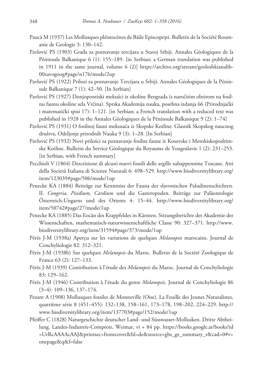- Paucă M (1937) Les Mollusques pléistocènes de Băile Episcopești. Bulletin de la Société Roumanie de Geologie 3: 130–142.
- Pavlović PS (1903) Građa za poznavanje tercijara u Staroj Srbiji. Annales Géologiques de la Péninsule Balkanique 6 (1): 155–189. [in Serbian; a German translation was published in 1911 in the same journal, volume 6 (2)] https://archive.org/stream/geoloshkianalib-00zavogoog#page/n176/mode/2up
- Pavlović PS (1922) Prilozi za poznavanje Tercijara u Srbiji. Annales Géologiques de la Péninsule Balkanique 7 (1): 42–50. [In Serbian]
- Pavlović PS (1927) Donjopontiski mekušci iz okoline Beograda (s naročitim obzirom na fosilnu faunu okoline sela Vrčina). Sprska Akademija nauka, posebna izdanja 66 (Prirodnjački i matematički spisi 17): 1–121. [in Serbian; a French translation with a reduced text was published in 1928 in the Annales Géologiques de la Péninsule Balkanique 9 (2): 1–74]
- Pavlović PS (1931) O fosilnoj fauni mekusača iz Skopske Kotline. Glasnik Skopskog naucnog društva, Odeljenje prirodnih Nauka 9 (3): 1–28. [In Serbian]
- Pavlović PS (1932) Novi prilošci za poznavanje fosilne faune iz Kosovske i Metohiskopodrimske Kotline. Bulletin du Service Géologique du Royaume de Yougoslavie 1 (2): 231–253. [in Serbian, with French summary]
- Pecchioli V (1864) Descrizione di alcuni nuovi fossili delle argille subappennine Toscane. Atti della Società Italiana di Scienze Naturali 6: 498–529. http://www.biodiversitylibrary.org/ item/123039#page/506/mode/1up
- Penecke KA (1884) Beiträge zur Kenntniss der Fauna der slavonischen Paludinenschichten. II. *Congeria*, *Pisidium*, *Cardium* und die Gasteropoden. Beiträge zur Paläontologie Österreich-Ungarns und des Orients 4: 15–44. http://www.biodiversitylibrary.org/ item/50742#page/27/mode/1up
- Penecke KA (1885) Das Eocän des Krappfeldes in Kärnten. Sitzungsberichte der Akademie der Wissenschaften, mathematisch-naturwissenschaftliche Classe 90: 327–371. http://www. biodiversitylibrary.org/item/31594#page/373/mode/1up
- Pérès J-M (1938a) Aperçu sur les variations de quelques *Melanopsis* marocains. Journal de Conchyliologie 82: 312–321.
- Pérès J-M (1938b) Sur quelques *Melanopsis* du Maroc. Bulletin de la Société Zoologique de France 63 (2): 127–133.
- Pérès J-M (1939) Contribution à l'étude des *Melanopsis* du Maroc. Journal de Conchyliologie 83: 129–162.
- Pérès J-M (1946) Contribution à l'étude du genre *Melanopsis*. Journal de Conchyliologie 86 (3–4): 109–136, 137–174.
- Pezant A (1908) Mollusques fossiles de Monneville (Oise). La Feuille des Jeunes Naturalistes, quatrième série 8 (451–455): 132–138, 158–161, 173–178, 198–202, 224–229. http:// www.biodiversitylibrary.org/item/137703#page/152/mode/1up
- Pfeiffer C (1828) Naturgeschichte deutscher Land- und Süsswasser-Mollusken. Dritte Abtheilung. Landes-Industrie-Comptoir, Weimar, vi + 84 pp. https://books.google.at/books?id =UtRcAAAAcAAJ&printsec=frontcover&hl=de&source=gbs\_ge\_summary\_r&cad=0#v= onepage&q&f=false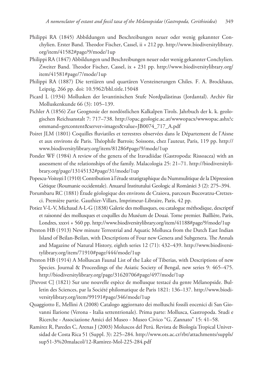- Philippi RA (1845) Abbildungen und Beschreibungen neuer oder wenig gekannter Conchylien. Erster Band. Theodor Fischer, Cassel, ii + 212 pp. http://www.biodiversitylibrary. org/item/41582#page/9/mode/1up
- Philippi RA (1847) Abbildungen und Beschreibungen neuer oder wenig gekannter Conchylien. Zweiter Band. Theodor Fischer, Cassel, ix + 231 pp. http://www.biodiversitylibrary.org/ item/41581#page/7/mode/1up
- Philippi RA (1887) Die tertiären und quartären Versteinerungen Chiles. F. A. Brockhaus, Leipzig, 266 pp. doi: 10.5962/bhl.title.15048
- Picard L (1934) Mollusken der levantinischen Stufe Nordpalästinas (Jordantal). Archiv für Molluskenkunde 66 (3): 105–139.
- Pichler A (1856) Zur Geognosie der nordöstlichen Kalkalpen Tirols. Jahrbuch der k. k. geologischen Reichsanstalt 7: 717–738. http://opac.geologie.ac.at/wwwopacx/wwwopac.ashx?c ommand=getcontent&server=images&value=JB0074\_717\_A.pdf
- Poiret JLM (1801) Coquilles fluviatiles et terrestres observées dans le Département de l'Aisne et aux environs de Paris. Théophile Barrois; Soissons, chez l'auteur, Paris, 119 pp. http:// www.biodiversitylibrary.org/item/81286#page/9/mode/1up
- Ponder WF (1984) A review of the genera of the Iravadiidae (Gastropoda: Rissoacea) with an assessment of the relationships of the family. Malacologia 25: 21–71. http://biodiversitylibrary.org/page/13145132#page/31/mode/1up
- Popescu-Voitești I (1910) Contribution à l'étude stratigraphique du Nummulitique de la Dépression Gétique (Roumanie occidentale). Anuarul Institutului Geologic al României 3 (2): 275–394.
- Porumbaru RC (1881) Étude géologique des environs de Craiova, parcours Bucovatzu-Cretzesci. Première partie. Gauthier-Villars, Imprimeur-Libraire, Paris, 42 pp.
- Potiez V-L-V, Michaud A-L-G (1838) Galerie des mollusques, ou catalogue méthodique, descriptif et raisonné des mollusques et coquilles du Muséum de Douai. Tome premier. Baillière, Paris, Londres, xxxvi + 560 pp. http://www.biodiversitylibrary.org/item/41188#page/9/mode/1up
- Preston HB (1913) New minute Terrestrial and Aquatic Mollusca from the Dutch East Indian Island of Beilan-Beilan, with Descriptions of Four new Genera and Subgenera. The Annals and Magazine of Natural History, eighth series 12 (71): 432–439. http://www.biodiversitylibrary.org/item/71910#page/444/mode/1up
- Preston HB (1914) A Molluscan Faunal List of the Lake of Tiberias, with Descriptions of new Species. Journal & Proceedings of the Asiatic Society of Bengal, new series 9: 465–475. http://biodiversitylibrary.org/page/31620706#page/497/mode/1up
- [Prevost C] (1821) Sur une nouvelle espèce de mollusque testacé du genre Mélanopside. Bulletin des Sciences, par la Société philomatique de Paris 1821: 136–137. http://www.biodiversitylibrary.org/item/99191#page/346/mode/1up
- Quaggiotto E, Mellini A (2008) Catalogo aggiornato dei molluschi fossili eocenici di San Giovanni Ilarione (Verona - Italia settentrionale). Prima parte: Mollusca, Gastropoda. Studi e Ricerche - Associazione Amici del Museo - Museo Civico "G. Zannato" 15: 41–58.
- Ramírez R, Paredes C, Arenas J (2003) Moluscos del Perú. Revista de Biología Tropical Universidad de Costa Rica 51 (Suppl. 3): 225–284. http://www.ots.ac.cr/rbt/attachments/suppls/ sup51-3%20malacol/12-Ramirez-Mol-225-284.pdf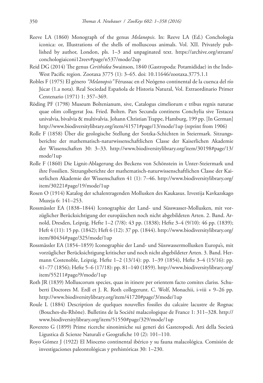- Reeve LA (1860) Monograph of the genus *Melanopsis*. In: Reeve LA (Ed.) Conchologia iconica: or, Illustrations of the shells of molluscous animals. Vol. XII. Privately published by author, London, pls. 1–3 and unpaginated text. https://archive.org/stream/ conchologiaiconi12reev#page/n537/mode/2up
- Reid DG (2014) The genus *Cerithidea* Swainson, 1840 (Gastropoda: Potamididae) in the Indo-West Pacific region. Zootaxa 3775 (1): 3–65. doi: 10.11646/zootaxa.3775.1.1
- Robles F (1975) El género *"Melanopsis"* Férussac en el Neógeno continental de la cuenca del río Júcar (1.a nota). Real Sociedad Española de Historia Natural, Vol. Extraordinario Primer Centenario (1971) 1: 357–369.
- Röding PF (1798) Museum Boltenianum, sive, Catalogus cimeliorum e tribus regnis naturae quae olim collegerat Joa. Fried. Bolten. Pars Secunda continens Conchylia sive Testacea univalvia, bivalvia & multivalvia. Johann Christian Trappe, Hamburg, 199 pp. [In German] http://www.biodiversitylibrary.org/item/41571#page/13/mode/1up (reprint from 1906)
- Rolle F (1858) Über die geologische Stellung der Sotzka-Schichten in Steiermark. Sitzungsberichte der mathematisch-naturwissenschaftlichen Classe der Kaiserlichen Akademie der Wissenschaften 30: 3–33. http://www.biodiversitylibrary.org/item/30198#page/13/ mode/1up
- Rolle F (1860) Die Lignit-Ablagerung des Beckens von Schönstein in Unter-Steiermark und ihre Fossilien. Sitzungsberichte der mathematisch-naturwissenschaftlichen Classe der Kaiserlichen Akademie der Wissenschaften 41 (1): 7–46. http://www.biodiversitylibrary.org/ item/30221#page/19/mode/1up
- Rosen O (1914) Katalog der schalentragenden Mollusken des Kaukasus. Izvestija Kavkazskago Muzeja 6: 141–253.
- Rossmässler EA (1838–1844) Iconographie der Land- und Süsswasser-Mollusken, mit vorzüglicher Berücksichtigung der europäischen noch nicht abgebildeten Arten. 2. Band. Arnold, Dresden, Leipzig. Hefte 1–2 (7/8): 43 pp. (1838); Hefte 3–4 (9/10): 46 pp. (1839); Heft 4 (11): 15 pp. (1842); Heft 6 (12): 37 pp. (1844). http://www.biodiversitylibrary.org/ item/80434#page/325/mode/1up
- Rossmässler EA (1854–1859) Iconographie der Land- und Süsswassermollusken Europa's, mit vorzüglicher Berücksichtigung kritischer und noch nicht abgebildeter Arten. 3. Band. Hermann Costenoble, Leipzig. Hefte 1–2 (13/14): pp. 1–39 (1854), Hefte 3–4 (15/16): pp. 41–77 (1856); Hefte 5–6 (17/18): pp. 81–140 (1859). http://www.biodiversitylibrary.org/ item/55211#page/9/mode/1up
- Roth JR (1839) Molluscorum species, quas in itinere per orientem facto comites clariss. Schuberti Doctores M. Erdl et J. R. Roth collegerunt. C. Wolf, Monachii, i-viii + 9–26 pp. http://www.biodiversitylibrary.org/item/41720#page/3/mode/1up
- Roule L (1884) Description de quelques nouvelles fossiles du calcaire lacustre de Rognac (Bouches-du-Rhône). Bulletins de la Société malacologique de France 1: 311–328. http:// www.biodiversitylibrary.org/item/51550#page/329/mode/1up
- Rovereto G (1899) Prime ricerche sinonimiche sui generi dei Gasteropodi. Atti della Società Ligustica di Scienze Naturali e Geografiche 10 (2): 101–110.
- Royo Gómez J (1922) El Mioceno continental ibérico y su fauna malacológica. Comisión de investigaciones paleontológicas y prehistóricas 30: 1–230.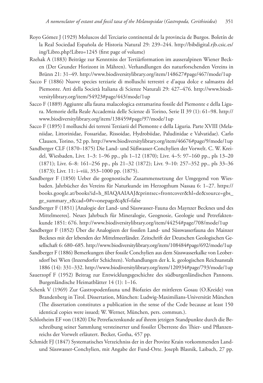- Royo Gómez J (1929) Moluscos del Terciario continental de la provincia de Burgos. Boletín de la Real Sociedad Española de Historia Natural 29: 239–244. http://bibdigital.rjb.csic.es/ ing/Libro.php?Libro=1245 (first page of volume)
- Rzehak A (1883) Beiträge zur Kenntniss der Tertiärformation im ausseralpinen Wiener Becken (Der Grunder Horizont in Mähren). Verhandlungen des naturforschenden Vereins in Brünn 21: 31–49. http://www.biodiversitylibrary.org/item/148627#page/467/mode/1up
- Sacco F (1886) Nuove species terziarie di molluschi terrestri e d'aqua dolce e salmastra del Piemonte. Atti della Società Italiana di Scienze Naturali 29: 427–476. http://www.biodiversitylibrary.org/item/54923#page/443/mode/1up
- Sacco F (1889) Aggiunte alla fauna malacologica estramarina fossile del Piemonte e della Ligura. Memorie della Reale Accademia delle Scienze di Torino, Serie II 39 (1): 61–98. http:// www.biodiversitylibrary.org/item/138459#page/97/mode/1up
- Sacco F (1895) I molluschi dei terreni Terziarii del Piemonte e della Liguria. Parte XVIII (Melaniidae, Littorinidae, Fossaridae, Rissoidae, Hydrobiidae, Paludinidae e Valvatidae). Carlo Clausen, Torino, 52 pp. http://www.biodiversitylibrary.org/item/46676#page/9/mode/1up
- Sandberger CLF (1870–1875) Die Land- und Süßwasser-Conchylien der Vorwelt. C. W. Kreidel, Wiesbaden, Livr. 1–3: 1–96 pp., pls 1–12 (1870); Livr. 4–5: 97–160 pp., pls 13–20 (1871); Livr. 6–8: 161–256 pp., pls 21–32 (1872); Livr. 9–10: 257–352 pp., pls 33–36 (1873); Livr. 11: i–viii, 353–1000 pp. (1875).
- Sandberger F (1850) Ueber die geognostische Zusammensetzung der Umgegend von Wiesbaden. Jahrbücher des Vereins für Naturkunde im Herzogthum Nassau 6: 1–27. https:// books.google.at/books?id=h\_8IAQAAIAAJ&printsec=frontcover&hl=de&source=gbs\_ ge\_summary\_r&cad=0#v=onepage&q&f=false
- Sandberger F (1851) [Analogie der Land- und Süsswasser-Fauna des Maynzer Becknes und des Mittelmeeres]. Neues Jahrbuch für Mineralogie, Geognosie, Geologie und Petrefaktenkunde 1851: 676. http://www.biodiversitylibrary.org/item/44254#page/708/mode/1up
- Sandberger F (1852) Über die Analogieen der fossilen Land- und Süsswasserfauna des Mainzer Becknes mit der lebenden der Mittelmeerländer. Zeitschrift der Deutschen Geologischen Gesellschaft 6: 680–685. http://www.biodiversitylibrary.org/item/108484#page/692/mode/1up
- Sandberger F (1886) Bemerkungen über fossile Conchylien aus dem Süsswasserkalke von Leobersdorf bei Wien (Inzersdorfer Schichten). Verhandlungen der k. k. geologischen Reichsanstalt 1886 (14): 331–332. http://www.biodiversitylibrary.org/item/120934#page/793/mode/1up
- Sauerzopf F (1952) Beitrag zur Entwicklungsgeschichte des südburgenländischen Pannons. Burgenländische Heimatblätter 14 (1): 1–16.
- Schenk V (1969) Zur Gastropodenfauna und Biofazies der mittleren Gosau (O.Kreide) von Brandenberg in Tirol. Dissertation, München: Ludwig-Maximilians-Universität München (The dissertation constitutes a publication in the sense of the Code because at least 150 identical copies were issued; W. Werner, München, pers. commun.).
- Schlotheim EF von (1820) Die Petrefactenkunde auf ihrem jetzigen Standpunkte durch die Beschreibung seiner Sammlung versteinerter und fossiler Überreste des Thier- und Pflanzenreichs der Vorwelt erläutert. Becker, Gotha, 457 pp.
- Schmidt FJ (1847) Systematisches Verzeichniss der in der Provinz Krain vorkommenden Landund Süsswasser-Conchylien, mit Angabe der Fund-Orte. Joseph Blasnik, Laibach, 27 pp.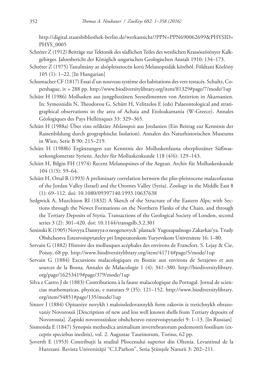http://digital.staatsbibliothek-berlin.de/werkansicht/?PPN=PPN690062699&PHYSID= PHYS\_0005

- Schréter Z (1912) Beiträge zur Tektonik des südlichen Teiles des westlichen Krassószörényer Kalkgebirges. Jahresbericht der Königlich ungarischen Geologischen Anstalt 1910: 134–173.
- Schréter Z (1975) Tanulmány az alsópleisztocén korú Melanopsidák körébõl. Földtani Közlöny 105 (1): 1–22. [In Hungarian]
- Schumacher CF (1817) Essai d'un nouveau système des habitations des vers testacés. Schultz, Copenhague, iv + 288 pp. http://www.biodiversitylibrary.org/item/81329#page/7/mode/1up
- Schütt H (1986) Mollusken aus jungpliozänen Seesedimenten von Antirrion in Akarnanien. In: Symeonidis N, Theodorou G, Schütt H, Velitzelos E (eds) Palaeontological and stratigraphical observations in the area of Achaia and Etoloakamania (W-Greece). Annales Géologiques des Pays Helléniques 33: 329–365.
- Schütt H (1988a) Über eine reliktäre *Melanopsis* aus Jordanien (Ein Beitrag zur Kenntnis der Rassenbildung durch geographische Isolation). Annalen des Naturhistorischen Museums in Wien, Serie B 90: 215–219.
- Schütt H (1988b) Ergänzungen zur Kenntnis der Molluskenfauna oberpliozäner Süßwasserkonglomerate Syriens. Archiv für Molluskenkunde 118 (4/6): 129–143.
- Schütt H, Bilgin FH (1974) Recent Melanopsines of the Aegean. Archiv für Molluskenkunde 104 (1/3): 59–64.
- Schütt H, Ortal R (1993) A preliminary correlation between the plio-pleistocene malacofaunas of the Jordan Valley (Israel) and the Orontes Valley (Syria). Zoology in the Middle East 8 (1): 69–112. doi: 10.1080/09397140.1993.10637638
- Sedgwick A, Murchison RI (1832) A Sketch of the Structure of the Eastern Alps; with Sections through the Newer Formations on the Northern Flanks of the Chain, and through the Tertiary Deposits of Styria. Transactions of the Geological Society of London, second series 3 (2): 301–420. doi: 10.1144/transgslb.3.2.301
- Seninski K (1905) Novyya Dannyya o neogenovych' plastach' Yugozapadnogo Zakavkaz'ya. Trudy Obshchestva Estestvoispytateley pri Imperatorskom Yuryevskom Universitete 16: 1–80.
- Servain G (1882) Histoire des mollusques acéphales des environs de Francfort. S. Lejay & Cie, Poissy, 68 pp. http://www.biodiversitylibrary.org/item/41714#page/5/mode/1up
- Servain G (1884) Excursions malacologiques en Bosnie aux environs de Serajewo et aux sources de la Bosna. Annales de Malacologie 1 (4): 341–380. http://biodiversitylibrary. org/page/16253419#page/379/mode/1up
- Silva e Castro J de (1883) Contributions à la faune malacologique du Portugal. Jornal de sciencias mathematicas, physicas, e naturaes 9 (35): 121–152. http://www.biodiversitylibrary. org/item/54851#page/135/mode/1up
- Sinzov I (1884) Opisaniye novykh i maloissledovannykh form rakovin iz tretichnykh obrazovaniy Novorossii [Description of new and less well known shells from Tertiary deposits of Novorossia]. Zapiski novorossiiskoe obshchestvo estestvoispytatelei 9: 1–13. [In Russian]
- Sismonda E (1847) Synopsis methodica animalium invertebratorum pedemontii fossilium (exceptis speciebus ineditis), vol. 2. Augustae Taurinorum, Torino, 62 pp.
- Șoverth E (1953) Contribuții la studiul Pliocenului superior din Oltenia. Levantinul de la Hurezani. Revista Universității "C.I.Parhon", Seria Științele Naturii 3: 202–211.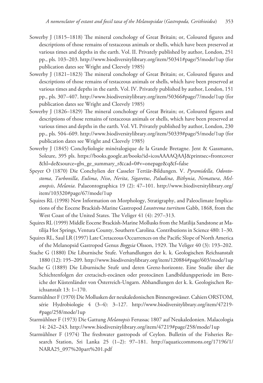- Sowerby J (1815–1818) The mineral conchology of Great Britain; or, Coloured figures and descriptions of those remains of testaceous animals or shells, which have been preserved at various times and depths in the earth. Vol. II. Privately published by author, London, 251 pp., pls. 103–203. http://www.biodiversitylibrary.org/item/50341#page/5/mode/1up (for publication dates see Wright and Cleevely 1985)
- Sowerby J (1821–1823) The mineral conchology of Great Britain; or, Coloured figures and descriptions of those remains of testaceous animals or shells, which have been preserved at various times and depths in the earth. Vol. IV. Privately published by author, London, 151 pp., pls. 307–407. http://www.biodiversitylibrary.org/item/50366#page/7/mode/1up (for publication dates see Wright and Cleevely 1985)
- Sowerby J (1826–1829) The mineral conchology of Great Britain; or, Coloured figures and descriptions of those remains of testaceous animals or shells, which have been preserved at various times and depths in the earth. Vol. VI. Privately published by author, London, 230 pp., pls. 504–609. http://www.biodiversitylibrary.org/item/50339#page/5/mode/1up (for publication dates see Wright and Cleevely 1985)
- Sowerby J (1845) Conchyliologie minéralogique de la Grande Bretagne. Jent & Gassmann, Soleure, 395 pls. https://books.google.at/books?id=icosAAAAQAAJ&printsec=frontcover &hl=de&source=gbs\_ge\_summary\_r&cad=0#v=onepage&q&f=false
- Speyer O (1870) Die Conchylien der Casseler Tertiär-Bildungen. V. *Pyramidella*, *Odontostoma*, *Turbonilla*, *Eulima*, *Niso*, *Nerita*, *Sigaretus*, *Paludina*, *Bithynia*, *Nematura*, *Melanopsis*, *Melania*. Palaeontographica 19 (2): 47–101. http://www.biodiversitylibrary.org/ item/103320#page/67/mode/1up
- Squires RL (1998) New Information on Morphology, Stratigraphy, and Paleoclimate Implications of the Eocene Brackish-Marine Gastropod *Loxotrema turritum* Gabb, 1868, from the West Coast of the United States. The Veliger 41 (4): 297–313.
- Squires RL (1999) Middle Eocene Brackish-Marine Mollusks from the Matilija Sandstone at Matilija Hot Springs, Ventura County, Southern Carolina. Contributions in Science 480: 1–30.
- Squires RL, Saul LR (1997) Late Cretaceous Occurrences on the Pacific Slope of North America of the Melanopsid Gastropod Genus *Boggsia* Olsson, 1929. The Veliger 40 (3): 193–202.
- Stache G (1880) Die Liburnische Stufe. Verhandlungen der k. k. Geologischen Reichsanstalt 1880 (12): 195–209. http://www.biodiversitylibrary.org/item/120884#page/603/mode/1up
- Stache G (1889) Die Liburnische Stufe und deren Grenz-horizonte. Eine Studie über die Schichtenfolgen der cretacisch-eocänen oder protocänen Landbildungsperiode im Bereiche der Küstenländer von Österreich-Ungarn. Abhandlungen der k. k. Geologischen Reichsanstalt 13: 1–170.
- Starmühlner F (1970) Die Mollusken der neukaledonischen Binnengewässer. Cahiers ORSTOM, série Hydrobiologie 4 (3-4): 3-127. http://www.biodiversitylibrary.org/item/47219-#page/258/mode/1up
- Starmühlner F (1973) Die Gattung *Melanopsis* Ferussac 1807 auf Neukaledonien. Malacologia 14: 242–243. http://www.biodiversitylibrary.org/item/47219#page/258/mode/1up
- Starmühlner F (1974) The freshwater gastropods of Ceylon. Bulletin of the Fisheries Research Station, Sri Lanka 25 (1–2): 97–181. http://aquaticcommons.org/17196/1/ NARA25\_097%20part%201.pdf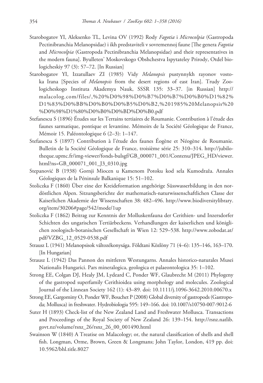- Starobogatov YI, Aleksenko TL, Levina OV (1992) Rody *Fagotia* i *Microcolpia* (Gastropoda Pectinibranchia Melanopsidae) i ikh predstaviteli v sovremennoj faune [The genera *Fagotia*  and *Microcolpia* (Gastropoda Pectinibranchia Melanopsidae) and their representatives in the modern fauna]. Byulleten' Moskovskogo Obshchestva Ispytateley Prirody, Otdel biologicheskiy 97 (3): 57–72. [In Russian]
- Starobogatov YI, Izzatullaev ZI (1985) Vidy *Melanopsis* pustynnykh rayonov vostoka Irana [Species of *Melanopsis* from the desert regions of east Iran]. Trudy Zoologicheskogo Instituta Akademya Nauk, SSSR 135: 33–37. [in Russian] http:// malacolog.com/files/,%20%D0%98%D0%B7%D0%B7%D0%B0%D1%82% D1%83%D0%BB%D0%B0%D0%B5%D0%B2,%201985%20Melanopsis%20 %D0%98%D1%80%D0%B0%D0%BD%D0%B0.pdf
- Stefanescu S (1896) Études sur les Terrains tertiaires de Roumanie. Contribution à l'étude des faunes sarmatique, pontique et levantine. Mémoirs de la Société Géologique de France, Mémoir 15. Paléontologique 6 (2–3): 1–147.
- Stefanescu S (1897) Contribution à l'étude des faunes Éogène et Néogène de Roumanie. Bulletin de la Société Géologique de France, troisième série 25: 310–314. http://jubilotheque.upmc.fr/img-viewer/fonds-bulsgf/GB\_000071\_001/Contenu/JPEG\_HD/viewer. html?ns=GB\_000071\_001\_J3\_0310.jpg
- Stepanović B (1938) Gornji Miocen u Kamenom Potoku kod sela Kumodraža. Annales Géologiques de la Péninsule Balkanique 15: 51–102.
- Stoliczka F (1860) Über eine der Kreideformation angehörige Süsswasserbildung in den nordöstlichen Alpen. Sitzungsberichte der mathematisch-naturwissenschaftlichen Classe der Kaiserlichen Akademie der Wissenschaften 38: 482–496. http://www.biodiversitylibrary. org/item/30206#page/542/mode/1up
- Stoliczka F (1862) Beitrag zur Kenntnis der Molluskenfauna der Cerithien- und Inzersdorfer Schichten des ungarischen Tertiärbeckens. Verhandlungen der kaiserlichen und königlichen zoologisch-botanischen Gesellschaft in Wien 12: 529–538. http://www.zobodat.at/ pdf/VZBG\_12\_0529-0538.pdf
- Strausz L (1941) Melanopsisok változékonysága. Földtani Közlöny 71 (4–6): 135–146, 163–170. [In Hungarian]
- Strausz L (1942) Das Pannon des mittleren Westungarns. Annales historico-naturales Musei Nationalis Hungarici. Pars mineralogica, geologica et palaeontologica 35: 1–102.
- Strong EE, Colgan DJ, Healy JM, Lydeard C, Ponder WF, Glaubrecht M (2011) Phylogeny of the gastropod superfamily Cerithioidea using morphology and molecules. Zoological Journal of the Linnean Society 162 (1): 43–89. doi: 10.1111/j.1096-3642.2010.00670.x
- Strong EE, Gargominy O, Ponder WF, Bouchet P (2008) Global diversity of gastropods (Gastropoda; Mollusca) in freshwater. Hydrobiologia 595: 149–166. doi: 10.1007/s10750-007-9012-6
- Suter H (1893) Check-list of the New Zealand Land and Freshwater Mollusca. Transactions and Proceedings of the Royal Society of New Zealand 26: 139–154. http://rsnz.natlib. govt.nz/volume/rsnz\_26/rsnz\_26\_00\_001490.html
- Swainson W (1840) A Treatise on Malacology; or, the natural classification of shells and shell fish. Longman, Orme, Brown, Green & Longmans; John Taylor, London, 419 pp. doi: 10.5962/bhl.title.8027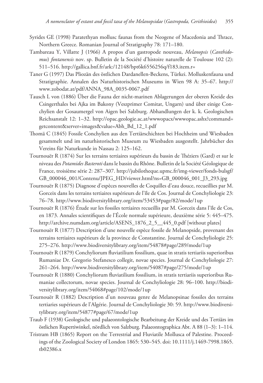- Syrides GE (1998) Paratethyan mollusc faunas from the Neogene of Macedonia and Thrace, Northern Greece. Romanian Journal of Stratigraphy 78: 171–180.
- Tambareau Y, Villatte J (1966) A propos d'un gastropode nouveau, *Melanopsis* (*Canthidomus*) *fontanensis* nov. sp. Bulletin de la Société d'histoire naturelle de Toulouse 102 (2): 511–516. http://gallica.bnf.fr/ark:/12148/bpt6k6556256q/f183.item.r=
- Taner G (1997) Das Pliozän des östlichen Dardanellen-Beckens, Türkei. Molluskenfauna und Stratigraphie. Annalen des Naturhistorischen Museums in Wien 98 A: 35–67. http:// www.zobodat.at/pdf/ANNA\_98A\_0035-0067.pdf
- Tausch L von (1886) Über die Fauna der nicht-marinen Ablagerungen der oberen Kreide des Csingerthales bei Ajka im Bakony (Veszprimer Comitat, Ungarn) und über einige Conchylien der Gosaumergel von Aigen bei Salzburg. Abhandlungen der k. k. Geologischen Reichsanstalt 12: 1–32. http://opac.geologie.ac.at/wwwopacx/wwwopac.ashx?command= getcontent&server=images&value=Abh\_Bd\_12\_1.pdf
- Thomä C (1845) Fossile Conchylien aus den Tertiärschichten bei Hochheim und Wiesbaden gesammelt und im naturhistorischen Museum zu Wiesbaden ausgestellt. Jahrbücher des Vereins für Naturkunde in Nassau 2: 125–162.
- Tournouër R (1874) Sur les terrains tertiaires supérieurs du bassin de Théziers (Gard) et sur le niveau des *Potamides Basteroti* dans le bassin du Rhône. Bulletin de la Société Géologique de France, troisième série 2: 287–307. http://jubilotheque.upmc.fr/img-viewer/fonds-bulsgf/ GB\_000046\_001/Contenu/JPEG\_HD/viewer.html?ns=GB\_000046\_001\_J3\_293.jpg
- Tournouër R (1875) Diagnose d'espèces nouvelles de Coquilles d'eau douce, recueillies par M. Gorceix dans les terrains tertiaires supérieurs de l'île de Cos. Journal de Conchyliologie 23: 76–78. http://www.biodiversitylibrary.org/item/53453#page/82/mode/1up
- Tournouër R (1876) Étude sur les fossiles tertiaires recueillis par M. Gorceix dans l'île de Cos, en 1873. Annales scientifiques de l'École normale supérieure, deuxième série 5: 445–475. http://archive.numdam.org/article/ASENS\_1876\_2\_5\_\_445\_0.pdf [without plates]
- Tournouër R (1877) Description d'une nouvelle espèce fossile de Melanopside, provenant des terrains tertiaires supérieurs de la province de Constantine. Journal de Conchyliologie 25: 275–276. http://www.biodiversitylibrary.org/item/54878#page/289/mode/1up
- Tournouër R (1879) Conchyliorum fluviatilium fossilium, quae in stratis tertiariis superioribus Rumaniae Dr. Gregorio Stefanesco collegit, novae species. Journal de Conchyliologie 27: 261–264. http://www.biodiversitylibrary.org/item/54087#page/275/mode/1up
- Tournouër R (1880) Conchyliorum fluviatilium fossilium, in stratis tertiariis superioribus Rumaniae collectorum, novae species. Journal de Conchyliologie 28: 96–100. http://biodiversitylibrary.org/item/54068#page/102/mode/1up
- Tournouër R (1882) Description d'un nouveau genre de Melanopsinae fossiles des terrains tertiaries supérieurs de l'Algérie. Journal de Conchyliologie 30: 59. http://www.biodiversitylibrary.org/item/54877#page/67/mode/1up
- Traub F (1938) Geologische und palaeontologische Bearbeitung der Kreide und des Tertiärs im östlichen Rupertiwinkel, nördlich von Salzburg. Palaeontographica Abt. A 88 (1–3): 1–114.
- Tristram HB (1865) Report on the Terrestrial and Fluviatile Mollusca of Palestine. Proceedings of the Zoological Society of London 1865: 530–545. doi: 10.1111/j.1469-7998.1865. tb02386.x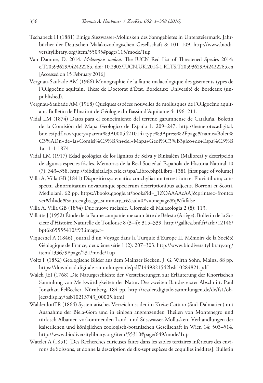- Tschapeck H (1881) Einige Süsswasser-Mollusken des Sanngebietes in Untersteiermark. Jahrbücher der Deutschen Malakozoologischen Gesellschaft 8: 101–109. http://www.biodiversitylibrary.org/item/55035#page/115/mode/1up
- Van Damme, D. 2014. *Melanopsis nodosa*. The IUCN Red List of Threatened Species 2014: e.T20593629A42422265. doi: 10.2305/IUCN.UK.2014-1.RLTS.T20593629A42422265.en [Accessed on 15 February 2016]
- Vergnau-Saubade AM (1966) Monographie de la faune malacologique des gisements types de l'Oligocène aquitain. Thèse de Doctorat d'État, Bordeaux: Université de Bordeaux (unpublished).
- Vergnau-Saubade AM (1968) Quelques espèces nouvelles de mollusques de l'Oligocène aquitain. Bulletin de l'Institut de Géologie du Bassin d'Aquitaine 4: 196–211.
- Vidal LM (1874) Datos para el conocimiento del terreno garumnense de Cataluña. Boletín de la Comisión del Mapa Geológico de España 1: 209–247. http://hemerotecadigital. bne.es/pdf.raw?query=parent%3A0005421014+type%3Apress%2Fpage&name=Bolet% C3%ADn+de+la+Comisi%C3%B3n+del+Mapa+Geol%C3%B3gico+de+Espa%C3%B 1a.+1-1-1874
- Vidal LM (1917) Edad geológica de los lignitos de Selva y Binisalém (Mallorca) y descripción de algunas especies fósiles. Memorias de la Real Sociedad Española de Historia Natural 10 (7): 343–358. http://bibdigital.rjb.csic.es/spa/Libro.php?Libro=1381 [first page of volume]
- Villa A, Villa GB (1841) Dispositio systematica conchyliarum terrestrium et Fluviatilium; conspectu abnormitatum novarumque specierum descriptionibus adjectis. Borroni et Scotti, Mediolani, 62 pp. https://books.google.at/books?id=\_1ZOAAAAcAAJ&printsec=frontco ver&hl=de&source=gbs\_ge\_summary\_r&cad=0#v=onepage&q&f=false
- Villa A, Villa GB (1854) Due nuove melanie. Giornale di Malacologia 2 (8): 113.
- Villatte J (1952) Étude de la Faune campanienne saumâtre de Bélesta (Ariège). Bulletin de la Société d'Histoire Naturelle de Toulouse 8 (3–4): 315–339. http://gallica.bnf.fr/ark:/12148/ bpt6k65555410/f93.image.r=
- Viquesnel A (1846) Journal d'un Voyage dans la Turquie d'Europe II. Mémoirs de la Société Géologique de France, deuxième série 1 (2): 207–303. http://www.biodiversitylibrary.org/ item/133679#page/231/mode/1up
- Voltz F (1852) Geologische Bilder aus dem Mainzer Becken. J. G. Wirth Sohn, Mainz, 88 pp. https://download.digitale-sammlungen.de/pdf/1449821542bsb10284821.pdf
- Walch JEI (1768) Die Naturgeschichte der Versteinerungen zur Erläuterung der Knorrischen Sammlung von Merkwürdigkeiten der Natur. Des zweiten Bandes erster Abschnitt. Paul Jonathan Felßecker, Nürnberg, 184 pp. http://reader.digitale-sammlungen.de/de/fs1/object/display/bsb10213743\_00005.html
- Walderdorff R (1864) Systematisches Verzeichniss der im Kreise Cattaro (Süd-Dalmatien) mit Ausnahme der Biela-Gora und in einigen angrenzenden Theilen von Montenegro und türkisch Albanien vorkommenden Land- und Süsswasser-Mollusken. Verhandlungen der kaiserlichen und königlichen zoologisch-botanischen Gesellschaft in Wien 14: 503–514. http://www.biodiversitylibrary.org/item/55310#page/649/mode/1up
- Watelet A (1851) [Des Recherches curieuses faites dans les sables tertiaires inférieurs des environs de Soissons, et donne la description de dix-sept espèces de coquilles inédites]. Bulletin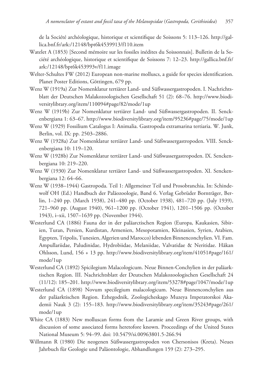de la Société archéologique, historique et scientifique de Soissons 5: 113–126. http://gallica.bnf.fr/ark:/12148/bpt6k4539913/f110.item

- Watelet A (1853) [Second mémoire sur les fossiles inédites du Soissonnais]. Bulletin de la Société archéologique, historique et scientifique de Soissons 7: 12–23. http://gallica.bnf.fr/ ark:/12148/bpt6k453993v/f11.image
- Welter-Schultes FW (2012) European non-marine molluscs, a guide for species identification. Planet Poster Editions, Göttingen, 679 pp.
- Wenz W (1919a) Zur Nomenklatur tertiärer Land- und Süßwassergastropoden. I. Nachrichtsblatt der Deutschen Malakozoologischen Gesellschaft 51 (2): 68–76. http://www.biodiversitylibrary.org/item/110094#page/82/mode/1up
- Wenz W (1919b) Zur Nomenklatur tertiärer Land- und Süßwassergastropoden. II. Senckenbergiana 1: 63–67. http://www.biodiversitylibrary.org/item/95236#page/75/mode/1up
- Wenz W (1929) Fossilium Catalogus I: Animalia. Gastropoda extramarina tertiaria. W. Junk, Berlin, vol. IX: pp. 2503–2886.
- Wenz W (1928a) Zur Nomenklatur tertiärer Land- und Süßwassergastropoden. VIII. Senckenbergiana 10: 119–120.
- Wenz W (1928b) Zur Nomenklatur tertiärer Land- und Süßwassergastropoden. IX. Senckenbergiana 10: 219–220.
- Wenz W (1930) Zur Nomenklatur tertiärer Land- und Süßwassergastropoden. XI. Senckenbergiana 12: 64–66.
- Wenz W (1938–1944) Gastropoda. Teil 1: Allgemeiner Teil und Prosobranchia. In: Schindewolf OH (Ed.) Handbuch der Paläozoologie, Band 6. Verlag Gebrüder Bornträger, Berlin, 1–240 pp. (March 1938), 241–480 pp. (October 1938), 481–720 pp. (July 1939), 721–960 pp. (August 1940), 961–1200 pp. (October 1941), 1201–1506 pp. (October 1943), i–xii, 1507–1639 pp. (November 1944).
- Westerlund CA (1886) Fauna der in der paläarctischen Region (Europa, Kaukasien, Sibirien, Turan, Persien, Kurdistan, Armenien, Mesopotamien, Kleinasien, Syrien, Arabien, Egypten, Tripolis, Tunesien, Algerien und Marocco) lebenden Binnenconchylien. VI. Fam. Ampullariidae, Paludinidae, Hydrobiidae, Melaniidae, Valvatidae & Neritidae. Håkan Ohlsson, Lund, 156 + 13 pp. http://www.biodiversitylibrary.org/item/41051#page/161/ mode/1up
- Westerlund CA (1892) Spicilegium Malacologicum. Neue Binnen-Conchylien in der paläarktischen Region. III. Nachrichtsblatt der Deutschen Malakozoologischen Gesellschaft 24 (11/12): 185–201. http://www.biodiversitylibrary.org/item/53278#page/1047/mode/1up
- Westerlund CA (1898) Novum specilegium malacologicum. Neue Binnenconchylien aus der paläarktischen Region. Ezhegodnik, Zoologicheskago Muzeya Imperatorskoi Akademii Nauk 3 (2): 155–183. http://www.biodiversitylibrary.org/item/35243#page/261/ mode/1up
- White CA (1883) New molluscan forms from the Laramie and Green River groups, with discussion of some associated forms heretofore known. Proceedings of the United States National Museum 5: 94–99. doi: 10.5479/si.00963801.5-266.94
- Willmann R (1980) Die neogenen Süßwassergastropoden von Chersonisos (Kreta). Neues Jahrbuch für Geologie und Paläontologie, Abhandlungen 159 (2): 273–295.